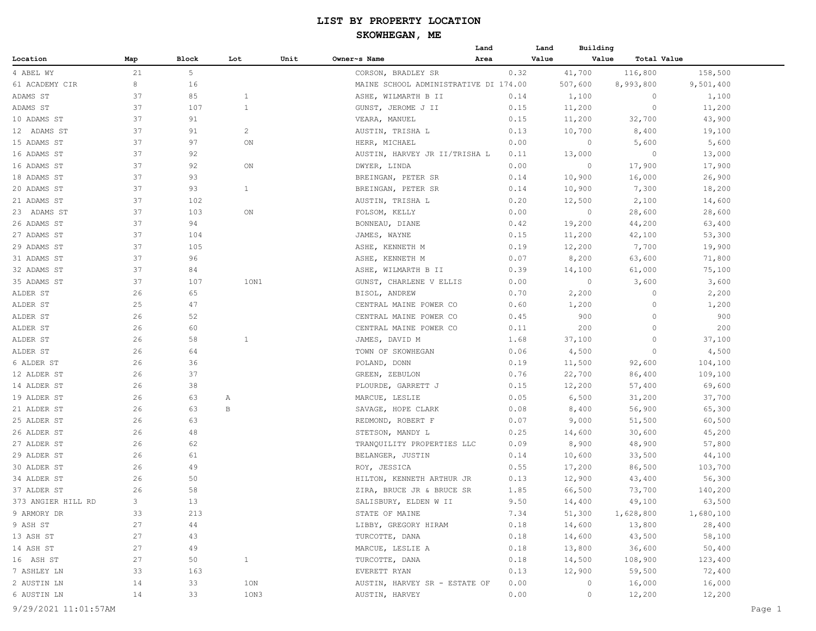|                    |     |       |                |      |                                       | Land | Land  | Building |             |           |  |
|--------------------|-----|-------|----------------|------|---------------------------------------|------|-------|----------|-------------|-----------|--|
| Location           | Map | Block | Lot            | Unit | Owner~s Name                          | Area | Value | Value    | Total Value |           |  |
| 4 ABEL WY          | 21  | 5     |                |      | CORSON, BRADLEY SR                    |      | 0.32  | 41,700   | 116,800     | 158,500   |  |
| 61 ACADEMY CIR     | 8   | 16    |                |      | MAINE SCHOOL ADMINISTRATIVE DI 174.00 |      |       | 507,600  | 8,993,800   | 9,501,400 |  |
| ADAMS ST           | 37  | 85    | $\mathbf{1}$   |      | ASHE, WILMARTH B II                   |      | 0.14  | 1,100    | 0           | 1,100     |  |
| ADAMS ST           | 37  | 107   | $\mathbf{1}$   |      | GUNST, JEROME J II                    |      | 0.15  | 11,200   | $\circ$     | 11,200    |  |
| 10 ADAMS ST        | 37  | 91    |                |      | VEARA, MANUEL                         |      | 0.15  | 11,200   | 32,700      | 43,900    |  |
| 12 ADAMS ST        | 37  | 91    | $\overline{c}$ |      | AUSTIN, TRISHA L                      |      | 0.13  | 10,700   | 8,400       | 19,100    |  |
| 15 ADAMS ST        | 37  | 97    | ON             |      | HERR, MICHAEL                         |      | 0.00  | $\circ$  | 5,600       | 5,600     |  |
| 16 ADAMS ST        | 37  | 92    |                |      | AUSTIN, HARVEY JR II/TRISHA L         |      | 0.11  | 13,000   | 0           | 13,000    |  |
| 16 ADAMS ST        | 37  | 92    | ON             |      | DWYER, LINDA                          |      | 0.00  | $\circ$  | 17,900      | 17,900    |  |
| 18 ADAMS ST        | 37  | 93    |                |      | BREINGAN, PETER SR                    |      | 0.14  | 10,900   | 16,000      | 26,900    |  |
| 20 ADAMS ST        | 37  | 93    | $\mathbf{1}$   |      | BREINGAN, PETER SR                    |      | 0.14  | 10,900   | 7,300       | 18,200    |  |
| 21 ADAMS ST        | 37  | 102   |                |      | AUSTIN, TRISHA L                      |      | 0.20  | 12,500   | 2,100       | 14,600    |  |
| 23 ADAMS ST        | 37  | 103   | ON             |      | FOLSOM, KELLY                         |      | 0.00  | $\circ$  | 28,600      | 28,600    |  |
| 26 ADAMS ST        | 37  | 94    |                |      | BONNEAU, DIANE                        |      | 0.42  | 19,200   | 44,200      | 63,400    |  |
| 27 ADAMS ST        | 37  | 104   |                |      | JAMES, WAYNE                          |      | 0.15  | 11,200   | 42,100      | 53,300    |  |
| 29 ADAMS ST        | 37  | 105   |                |      | ASHE, KENNETH M                       |      | 0.19  | 12,200   | 7,700       | 19,900    |  |
| 31 ADAMS ST        | 37  | 96    |                |      | ASHE, KENNETH M                       |      | 0.07  | 8,200    | 63,600      | 71,800    |  |
| 32 ADAMS ST        | 37  | 84    |                |      | ASHE, WILMARTH B II                   |      | 0.39  | 14,100   | 61,000      | 75,100    |  |
| 35 ADAMS ST        | 37  | 107   | 10N1           |      | GUNST, CHARLENE V ELLIS               |      | 0.00  | $\circ$  | 3,600       | 3,600     |  |
| ALDER ST           | 26  | 65    |                |      | BISOL, ANDREW                         |      | 0.70  | 2,200    | $\circ$     | 2,200     |  |
| ALDER ST           | 25  | 47    |                |      | CENTRAL MAINE POWER CO                |      | 0.60  | 1,200    | $\circ$     | 1,200     |  |
| ALDER ST           | 26  | 52    |                |      | CENTRAL MAINE POWER CO                |      | 0.45  | 900      | $\circ$     | 900       |  |
| ALDER ST           | 26  | 60    |                |      | CENTRAL MAINE POWER CO                |      | 0.11  | 200      | $\circ$     | 200       |  |
| ALDER ST           | 26  | 58    | $\mathbf{1}$   |      | JAMES, DAVID M                        |      | 1.68  | 37,100   | $\circ$     | 37,100    |  |
| ALDER ST           | 26  | 64    |                |      | TOWN OF SKOWHEGAN                     |      | 0.06  | 4,500    | $\circ$     | 4,500     |  |
| 6 ALDER ST         | 26  | 36    |                |      | POLAND, DONN                          |      | 0.19  | 11,500   | 92,600      | 104,100   |  |
| 12 ALDER ST        | 26  | 37    |                |      | GREEN, ZEBULON                        |      | 0.76  | 22,700   | 86,400      | 109,100   |  |
| 14 ALDER ST        | 26  | 38    |                |      | PLOURDE, GARRETT J                    |      | 0.15  | 12,200   | 57,400      | 69,600    |  |
| 19 ALDER ST        | 26  | 63    | A              |      | MARCUE, LESLIE                        |      | 0.05  | 6,500    | 31,200      | 37,700    |  |
| 21 ALDER ST        | 26  | 63    | В              |      | SAVAGE, HOPE CLARK                    |      | 0.08  | 8,400    | 56,900      | 65,300    |  |
| 25 ALDER ST        | 26  | 63    |                |      | REDMOND, ROBERT F                     |      | 0.07  | 9,000    | 51,500      | 60,500    |  |
| 26 ALDER ST        | 26  | 48    |                |      | STETSON, MANDY L                      |      | 0.25  | 14,600   | 30,600      | 45,200    |  |
| 27 ALDER ST        | 26  | 62    |                |      | TRANQUILITY PROPERTIES LLC            |      | 0.09  | 8,900    | 48,900      | 57,800    |  |
| 29 ALDER ST        | 26  | 61    |                |      | BELANGER, JUSTIN                      |      | 0.14  | 10,600   | 33,500      | 44,100    |  |
| 30 ALDER ST        | 26  | 49    |                |      | ROY, JESSICA                          |      | 0.55  | 17,200   | 86,500      | 103,700   |  |
| 34 ALDER ST        | 26  | 50    |                |      | HILTON, KENNETH ARTHUR JR             |      | 0.13  | 12,900   | 43,400      | 56,300    |  |
| 37 ALDER ST        | 26  | 58    |                |      | ZIRA, BRUCE JR & BRUCE SR             |      | 1.85  | 66,500   | 73,700      | 140,200   |  |
| 373 ANGIER HILL RD | 3   | 13    |                |      | SALISBURY, ELDEN W II                 |      | 9.50  | 14,400   | 49,100      | 63,500    |  |
| 9 ARMORY DR        | 33  | 213   |                |      | STATE OF MAINE                        |      | 7.34  | 51,300   | 1,628,800   | 1,680,100 |  |
| 9 ASH ST           | 27  | 44    |                |      | LIBBY, GREGORY HIRAM                  |      | 0.18  | 14,600   | 13,800      | 28,400    |  |
| 13 ASH ST          | 27  | 43    |                |      | TURCOTTE, DANA                        |      | 0.18  | 14,600   | 43,500      | 58,100    |  |
| 14 ASH ST          | 27  | 49    |                |      | MARCUE, LESLIE A                      |      | 0.18  | 13,800   | 36,600      | 50,400    |  |
| 16 ASH ST          | 27  | 50    | $\mathbf{1}$   |      | TURCOTTE, DANA                        |      | 0.18  | 14,500   | 108,900     | 123,400   |  |
| 7 ASHLEY LN        | 33  | 163   |                |      | EVERETT RYAN                          |      | 0.13  | 12,900   | 59,500      | 72,400    |  |
| 2 AUSTIN LN        | 14  | 33    | 1ON            |      | AUSTIN, HARVEY SR - ESTATE OF         |      | 0.00  | $\circ$  | 16,000      | 16,000    |  |
| 6 AUSTIN LN        | 14  | 33    | 10N3           |      | AUSTIN, HARVEY                        |      | 0.00  | 0        | 12,200      | 12,200    |  |
|                    |     |       |                |      |                                       |      |       |          |             |           |  |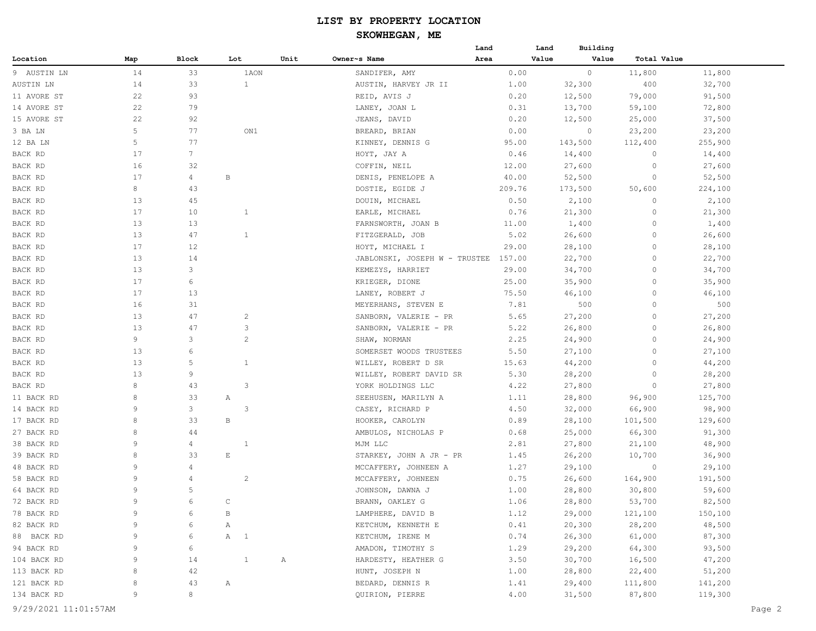## **SKOWHEGAN, ME**

| Total Value<br>Location<br>Block<br>Lot<br>Unit<br>Owner~s Name<br>Area<br>Value<br>Value<br>Map<br>14<br>33<br>0.00<br>$\circ$<br>11,800<br>9 AUSTIN LN<br>1AON<br>SANDIFER, AMY<br>11,800<br>14<br>33<br>$\mathbf{1}$<br>400<br>AUSTIN LN<br>32,300<br>32,700<br>AUSTIN, HARVEY JR II<br>1.00<br>22<br>11 AVORE ST<br>93<br>REID, AVIS J<br>0.20<br>12,500<br>79,000<br>91,500<br>22<br>79<br>14 AVORE ST<br>LANEY, JOAN L<br>0.31<br>13,700<br>59,100<br>72,800<br>22<br>15 AVORE ST<br>92<br>JEANS, DAVID<br>0.20<br>12,500<br>25,000<br>37,500<br>5<br>77<br>3 BA LN<br>ON1<br>BREARD, BRIAN<br>0.00<br>0<br>23,200<br>23,200<br>5<br>12 BA LN<br>77<br>KINNEY, DENNIS G<br>95.00<br>143,500<br>112,400<br>255,900<br>17<br>$7\phantom{.}$<br>BACK RD<br>HOYT, JAY A<br>0.46<br>14,400<br>14,400<br>0<br>16<br>BACK RD<br>32<br>12.00<br>27,600<br>27,600<br>COFFIN, NEIL<br>0<br>17<br>52,500<br>4<br>В<br>52,500<br>BACK RD<br>DENIS, PENELOPE A<br>40.00<br>0<br>8<br>43<br>209.76<br>173,500<br>50,600<br>224,100<br>BACK RD<br>DOSTIE, EGIDE J<br>13<br>BACK RD<br>45<br>DOUIN, MICHAEL<br>0.50<br>2,100<br>0<br>2,100<br>17<br>BACK RD<br>10<br>0.76<br>21,300<br>0<br>21,300<br>1<br>EARLE, MICHAEL<br>13<br>BACK RD<br>13<br>FARNSWORTH, JOAN B<br>11.00<br>1,400<br>$\circ$<br>1,400<br>BACK RD<br>13<br>47<br>$\mathbf{1}$<br>FITZGERALD, JOB<br>5.02<br>26,600<br>26,600<br>0<br>17<br>BACK RD<br>12<br>HOYT, MICHAEL I<br>28,100<br>28,100<br>29.00<br>0<br>13<br>14<br>22,700<br>22,700<br>BACK RD<br>JABLONSKI, JOSEPH W - TRUSTEE<br>157.00<br>0<br>13<br>3<br>29.00<br>34,700<br>BACK RD<br>KEMEZYS, HARRIET<br>34,700<br>0<br>17<br>6<br>KRIEGER, DIONE<br>25.00<br>35,900<br>0<br>35,900<br>BACK RD<br>17<br>13<br>BACK RD<br>LANEY, ROBERT J<br>75.50<br>46,100<br>0<br>46,100<br>500<br>BACK RD<br>16<br>31<br>MEYERHANS, STEVEN E<br>7.81<br>500<br>0<br>13<br>BACK RD<br>47<br>$\overline{c}$<br>SANBORN, VALERIE - PR<br>5.65<br>27,200<br>$\circ$<br>27,200<br>13<br>BACK RD<br>47<br>3<br>SANBORN, VALERIE - PR<br>5.22<br>26,800<br>$\circ$<br>26,800<br>9<br>3<br>$\overline{c}$<br>BACK RD<br>SHAW, NORMAN<br>2.25<br>24,900<br>$\circ$<br>24,900<br>13<br>BACK RD<br>SOMERSET WOODS TRUSTEES<br>5.50<br>27,100<br>27,100<br>6<br>0<br>13<br>BACK RD<br>5<br>WILLEY, ROBERT D SR<br>44,200<br>0<br>44,200<br>$\mathbf{1}$<br>15.63<br>13<br>9<br>WILLEY, ROBERT DAVID SR<br>5.30<br>28,200<br>$\circ$<br>28,200<br>BACK RD<br>8<br>43<br>3<br>YORK HOLDINGS LLC<br>4.22<br>27,800<br>0<br>27,800<br>BACK RD<br>11 BACK RD<br>8<br>33<br>1.11<br>28,800<br>96,900<br>125,700<br>Α<br>SEEHUSEN, MARILYN A<br>9<br>3<br>3<br>14 BACK RD<br>CASEY, RICHARD P<br>32,000<br>66,900<br>98,900<br>4.50<br>17 BACK RD<br>8<br>33<br>В<br>HOOKER, CAROLYN<br>0.89<br>28,100<br>101,500<br>129,600<br>8<br>91,300<br>27 BACK RD<br>AMBULOS, NICHOLAS P<br>25,000<br>66,300<br>44<br>0.68<br>38 BACK RD<br>9<br>$\mathbf{1}$<br>MJM LLC<br>27,800<br>21,100<br>48,900<br>4<br>2.81<br>8<br>33<br>39 BACK RD<br>E<br>26,200<br>10,700<br>36,900<br>STARKEY, JOHN A JR - PR<br>1.45<br>9<br>48 BACK RD<br>MCCAFFERY, JOHNEEN A<br>29,100<br>29,100<br>4<br>1.27<br>$\circ$<br>9<br>$\overline{c}$<br>58 BACK RD<br>MCCAFFERY, JOHNEEN<br>0.75<br>164,900<br>191,500<br>4<br>26,600<br>9<br>5<br>64 BACK RD<br>JOHNSON, DAWNA J<br>1.00<br>28,800<br>30,800<br>59,600<br>72 BACK RD<br>q<br>BRANN, OAKLEY G<br>82,500<br>1.06<br>28,800<br>53,700<br>6<br>$\mathbb{C}$<br>78 BACK RD<br>9<br>LAMPHERE, DAVID B<br>1.12<br>29,000<br>121,100<br>150,100<br>В<br>6<br>48,500<br>82 BACK RD<br>KETCHUM, KENNETH E<br>0.41<br>20,300<br>28,200<br>9<br>Α<br>6<br>88 BACK RD<br>A 1<br>0.74<br>26,300<br>61,000<br>87,300<br>9<br>KETCHUM, IRENE M<br>6<br>94 BACK RD<br>AMADON, TIMOTHY S<br>1.29<br>29,200<br>64,300<br>93,500<br>9<br>6<br>3.50<br>30,700<br>47,200<br>104 BACK RD<br>9<br>14<br>A<br>HARDESTY, HEATHER G<br>16,500<br>$\frac{1}{2}$<br>113 BACK RD<br>8<br>HUNT, JOSEPH N<br>1.00<br>28,800<br>22,400<br>51,200<br>42<br>121 BACK RD<br>BEDARD, DENNIS R<br>1.41<br>29,400<br>111,800<br>141,200<br>8<br>43<br>A<br>8<br>119,300<br>134 BACK RD<br>9<br>QUIRION, PIERRE<br>4.00<br>31,500<br>87,800 |  |  | Land | Building<br>Land |  |  |
|--------------------------------------------------------------------------------------------------------------------------------------------------------------------------------------------------------------------------------------------------------------------------------------------------------------------------------------------------------------------------------------------------------------------------------------------------------------------------------------------------------------------------------------------------------------------------------------------------------------------------------------------------------------------------------------------------------------------------------------------------------------------------------------------------------------------------------------------------------------------------------------------------------------------------------------------------------------------------------------------------------------------------------------------------------------------------------------------------------------------------------------------------------------------------------------------------------------------------------------------------------------------------------------------------------------------------------------------------------------------------------------------------------------------------------------------------------------------------------------------------------------------------------------------------------------------------------------------------------------------------------------------------------------------------------------------------------------------------------------------------------------------------------------------------------------------------------------------------------------------------------------------------------------------------------------------------------------------------------------------------------------------------------------------------------------------------------------------------------------------------------------------------------------------------------------------------------------------------------------------------------------------------------------------------------------------------------------------------------------------------------------------------------------------------------------------------------------------------------------------------------------------------------------------------------------------------------------------------------------------------------------------------------------------------------------------------------------------------------------------------------------------------------------------------------------------------------------------------------------------------------------------------------------------------------------------------------------------------------------------------------------------------------------------------------------------------------------------------------------------------------------------------------------------------------------------------------------------------------------------------------------------------------------------------------------------------------------------------------------------------------------------------------------------------------------------------------------------------------------------------------------------------------------------------------------------------------------------------------------------------------------------------------------------------------------------------------------------------------------------------------------------------------------------------------------------------------------------------------------------------------------------------------------------------------------------------------------------------------------------------------------------------------------------------------------------------------------------------------------------------------------------------------------------------------------------------------------------------------------|--|--|------|------------------|--|--|
|                                                                                                                                                                                                                                                                                                                                                                                                                                                                                                                                                                                                                                                                                                                                                                                                                                                                                                                                                                                                                                                                                                                                                                                                                                                                                                                                                                                                                                                                                                                                                                                                                                                                                                                                                                                                                                                                                                                                                                                                                                                                                                                                                                                                                                                                                                                                                                                                                                                                                                                                                                                                                                                                                                                                                                                                                                                                                                                                                                                                                                                                                                                                                                                                                                                                                                                                                                                                                                                                                                                                                                                                                                                                                                                                                                                                                                                                                                                                                                                                                                                                                                                                                                                                                                      |  |  |      |                  |  |  |
|                                                                                                                                                                                                                                                                                                                                                                                                                                                                                                                                                                                                                                                                                                                                                                                                                                                                                                                                                                                                                                                                                                                                                                                                                                                                                                                                                                                                                                                                                                                                                                                                                                                                                                                                                                                                                                                                                                                                                                                                                                                                                                                                                                                                                                                                                                                                                                                                                                                                                                                                                                                                                                                                                                                                                                                                                                                                                                                                                                                                                                                                                                                                                                                                                                                                                                                                                                                                                                                                                                                                                                                                                                                                                                                                                                                                                                                                                                                                                                                                                                                                                                                                                                                                                                      |  |  |      |                  |  |  |
|                                                                                                                                                                                                                                                                                                                                                                                                                                                                                                                                                                                                                                                                                                                                                                                                                                                                                                                                                                                                                                                                                                                                                                                                                                                                                                                                                                                                                                                                                                                                                                                                                                                                                                                                                                                                                                                                                                                                                                                                                                                                                                                                                                                                                                                                                                                                                                                                                                                                                                                                                                                                                                                                                                                                                                                                                                                                                                                                                                                                                                                                                                                                                                                                                                                                                                                                                                                                                                                                                                                                                                                                                                                                                                                                                                                                                                                                                                                                                                                                                                                                                                                                                                                                                                      |  |  |      |                  |  |  |
|                                                                                                                                                                                                                                                                                                                                                                                                                                                                                                                                                                                                                                                                                                                                                                                                                                                                                                                                                                                                                                                                                                                                                                                                                                                                                                                                                                                                                                                                                                                                                                                                                                                                                                                                                                                                                                                                                                                                                                                                                                                                                                                                                                                                                                                                                                                                                                                                                                                                                                                                                                                                                                                                                                                                                                                                                                                                                                                                                                                                                                                                                                                                                                                                                                                                                                                                                                                                                                                                                                                                                                                                                                                                                                                                                                                                                                                                                                                                                                                                                                                                                                                                                                                                                                      |  |  |      |                  |  |  |
|                                                                                                                                                                                                                                                                                                                                                                                                                                                                                                                                                                                                                                                                                                                                                                                                                                                                                                                                                                                                                                                                                                                                                                                                                                                                                                                                                                                                                                                                                                                                                                                                                                                                                                                                                                                                                                                                                                                                                                                                                                                                                                                                                                                                                                                                                                                                                                                                                                                                                                                                                                                                                                                                                                                                                                                                                                                                                                                                                                                                                                                                                                                                                                                                                                                                                                                                                                                                                                                                                                                                                                                                                                                                                                                                                                                                                                                                                                                                                                                                                                                                                                                                                                                                                                      |  |  |      |                  |  |  |
|                                                                                                                                                                                                                                                                                                                                                                                                                                                                                                                                                                                                                                                                                                                                                                                                                                                                                                                                                                                                                                                                                                                                                                                                                                                                                                                                                                                                                                                                                                                                                                                                                                                                                                                                                                                                                                                                                                                                                                                                                                                                                                                                                                                                                                                                                                                                                                                                                                                                                                                                                                                                                                                                                                                                                                                                                                                                                                                                                                                                                                                                                                                                                                                                                                                                                                                                                                                                                                                                                                                                                                                                                                                                                                                                                                                                                                                                                                                                                                                                                                                                                                                                                                                                                                      |  |  |      |                  |  |  |
|                                                                                                                                                                                                                                                                                                                                                                                                                                                                                                                                                                                                                                                                                                                                                                                                                                                                                                                                                                                                                                                                                                                                                                                                                                                                                                                                                                                                                                                                                                                                                                                                                                                                                                                                                                                                                                                                                                                                                                                                                                                                                                                                                                                                                                                                                                                                                                                                                                                                                                                                                                                                                                                                                                                                                                                                                                                                                                                                                                                                                                                                                                                                                                                                                                                                                                                                                                                                                                                                                                                                                                                                                                                                                                                                                                                                                                                                                                                                                                                                                                                                                                                                                                                                                                      |  |  |      |                  |  |  |
|                                                                                                                                                                                                                                                                                                                                                                                                                                                                                                                                                                                                                                                                                                                                                                                                                                                                                                                                                                                                                                                                                                                                                                                                                                                                                                                                                                                                                                                                                                                                                                                                                                                                                                                                                                                                                                                                                                                                                                                                                                                                                                                                                                                                                                                                                                                                                                                                                                                                                                                                                                                                                                                                                                                                                                                                                                                                                                                                                                                                                                                                                                                                                                                                                                                                                                                                                                                                                                                                                                                                                                                                                                                                                                                                                                                                                                                                                                                                                                                                                                                                                                                                                                                                                                      |  |  |      |                  |  |  |
|                                                                                                                                                                                                                                                                                                                                                                                                                                                                                                                                                                                                                                                                                                                                                                                                                                                                                                                                                                                                                                                                                                                                                                                                                                                                                                                                                                                                                                                                                                                                                                                                                                                                                                                                                                                                                                                                                                                                                                                                                                                                                                                                                                                                                                                                                                                                                                                                                                                                                                                                                                                                                                                                                                                                                                                                                                                                                                                                                                                                                                                                                                                                                                                                                                                                                                                                                                                                                                                                                                                                                                                                                                                                                                                                                                                                                                                                                                                                                                                                                                                                                                                                                                                                                                      |  |  |      |                  |  |  |
|                                                                                                                                                                                                                                                                                                                                                                                                                                                                                                                                                                                                                                                                                                                                                                                                                                                                                                                                                                                                                                                                                                                                                                                                                                                                                                                                                                                                                                                                                                                                                                                                                                                                                                                                                                                                                                                                                                                                                                                                                                                                                                                                                                                                                                                                                                                                                                                                                                                                                                                                                                                                                                                                                                                                                                                                                                                                                                                                                                                                                                                                                                                                                                                                                                                                                                                                                                                                                                                                                                                                                                                                                                                                                                                                                                                                                                                                                                                                                                                                                                                                                                                                                                                                                                      |  |  |      |                  |  |  |
|                                                                                                                                                                                                                                                                                                                                                                                                                                                                                                                                                                                                                                                                                                                                                                                                                                                                                                                                                                                                                                                                                                                                                                                                                                                                                                                                                                                                                                                                                                                                                                                                                                                                                                                                                                                                                                                                                                                                                                                                                                                                                                                                                                                                                                                                                                                                                                                                                                                                                                                                                                                                                                                                                                                                                                                                                                                                                                                                                                                                                                                                                                                                                                                                                                                                                                                                                                                                                                                                                                                                                                                                                                                                                                                                                                                                                                                                                                                                                                                                                                                                                                                                                                                                                                      |  |  |      |                  |  |  |
|                                                                                                                                                                                                                                                                                                                                                                                                                                                                                                                                                                                                                                                                                                                                                                                                                                                                                                                                                                                                                                                                                                                                                                                                                                                                                                                                                                                                                                                                                                                                                                                                                                                                                                                                                                                                                                                                                                                                                                                                                                                                                                                                                                                                                                                                                                                                                                                                                                                                                                                                                                                                                                                                                                                                                                                                                                                                                                                                                                                                                                                                                                                                                                                                                                                                                                                                                                                                                                                                                                                                                                                                                                                                                                                                                                                                                                                                                                                                                                                                                                                                                                                                                                                                                                      |  |  |      |                  |  |  |
|                                                                                                                                                                                                                                                                                                                                                                                                                                                                                                                                                                                                                                                                                                                                                                                                                                                                                                                                                                                                                                                                                                                                                                                                                                                                                                                                                                                                                                                                                                                                                                                                                                                                                                                                                                                                                                                                                                                                                                                                                                                                                                                                                                                                                                                                                                                                                                                                                                                                                                                                                                                                                                                                                                                                                                                                                                                                                                                                                                                                                                                                                                                                                                                                                                                                                                                                                                                                                                                                                                                                                                                                                                                                                                                                                                                                                                                                                                                                                                                                                                                                                                                                                                                                                                      |  |  |      |                  |  |  |
|                                                                                                                                                                                                                                                                                                                                                                                                                                                                                                                                                                                                                                                                                                                                                                                                                                                                                                                                                                                                                                                                                                                                                                                                                                                                                                                                                                                                                                                                                                                                                                                                                                                                                                                                                                                                                                                                                                                                                                                                                                                                                                                                                                                                                                                                                                                                                                                                                                                                                                                                                                                                                                                                                                                                                                                                                                                                                                                                                                                                                                                                                                                                                                                                                                                                                                                                                                                                                                                                                                                                                                                                                                                                                                                                                                                                                                                                                                                                                                                                                                                                                                                                                                                                                                      |  |  |      |                  |  |  |
|                                                                                                                                                                                                                                                                                                                                                                                                                                                                                                                                                                                                                                                                                                                                                                                                                                                                                                                                                                                                                                                                                                                                                                                                                                                                                                                                                                                                                                                                                                                                                                                                                                                                                                                                                                                                                                                                                                                                                                                                                                                                                                                                                                                                                                                                                                                                                                                                                                                                                                                                                                                                                                                                                                                                                                                                                                                                                                                                                                                                                                                                                                                                                                                                                                                                                                                                                                                                                                                                                                                                                                                                                                                                                                                                                                                                                                                                                                                                                                                                                                                                                                                                                                                                                                      |  |  |      |                  |  |  |
|                                                                                                                                                                                                                                                                                                                                                                                                                                                                                                                                                                                                                                                                                                                                                                                                                                                                                                                                                                                                                                                                                                                                                                                                                                                                                                                                                                                                                                                                                                                                                                                                                                                                                                                                                                                                                                                                                                                                                                                                                                                                                                                                                                                                                                                                                                                                                                                                                                                                                                                                                                                                                                                                                                                                                                                                                                                                                                                                                                                                                                                                                                                                                                                                                                                                                                                                                                                                                                                                                                                                                                                                                                                                                                                                                                                                                                                                                                                                                                                                                                                                                                                                                                                                                                      |  |  |      |                  |  |  |
|                                                                                                                                                                                                                                                                                                                                                                                                                                                                                                                                                                                                                                                                                                                                                                                                                                                                                                                                                                                                                                                                                                                                                                                                                                                                                                                                                                                                                                                                                                                                                                                                                                                                                                                                                                                                                                                                                                                                                                                                                                                                                                                                                                                                                                                                                                                                                                                                                                                                                                                                                                                                                                                                                                                                                                                                                                                                                                                                                                                                                                                                                                                                                                                                                                                                                                                                                                                                                                                                                                                                                                                                                                                                                                                                                                                                                                                                                                                                                                                                                                                                                                                                                                                                                                      |  |  |      |                  |  |  |
|                                                                                                                                                                                                                                                                                                                                                                                                                                                                                                                                                                                                                                                                                                                                                                                                                                                                                                                                                                                                                                                                                                                                                                                                                                                                                                                                                                                                                                                                                                                                                                                                                                                                                                                                                                                                                                                                                                                                                                                                                                                                                                                                                                                                                                                                                                                                                                                                                                                                                                                                                                                                                                                                                                                                                                                                                                                                                                                                                                                                                                                                                                                                                                                                                                                                                                                                                                                                                                                                                                                                                                                                                                                                                                                                                                                                                                                                                                                                                                                                                                                                                                                                                                                                                                      |  |  |      |                  |  |  |
|                                                                                                                                                                                                                                                                                                                                                                                                                                                                                                                                                                                                                                                                                                                                                                                                                                                                                                                                                                                                                                                                                                                                                                                                                                                                                                                                                                                                                                                                                                                                                                                                                                                                                                                                                                                                                                                                                                                                                                                                                                                                                                                                                                                                                                                                                                                                                                                                                                                                                                                                                                                                                                                                                                                                                                                                                                                                                                                                                                                                                                                                                                                                                                                                                                                                                                                                                                                                                                                                                                                                                                                                                                                                                                                                                                                                                                                                                                                                                                                                                                                                                                                                                                                                                                      |  |  |      |                  |  |  |
|                                                                                                                                                                                                                                                                                                                                                                                                                                                                                                                                                                                                                                                                                                                                                                                                                                                                                                                                                                                                                                                                                                                                                                                                                                                                                                                                                                                                                                                                                                                                                                                                                                                                                                                                                                                                                                                                                                                                                                                                                                                                                                                                                                                                                                                                                                                                                                                                                                                                                                                                                                                                                                                                                                                                                                                                                                                                                                                                                                                                                                                                                                                                                                                                                                                                                                                                                                                                                                                                                                                                                                                                                                                                                                                                                                                                                                                                                                                                                                                                                                                                                                                                                                                                                                      |  |  |      |                  |  |  |
|                                                                                                                                                                                                                                                                                                                                                                                                                                                                                                                                                                                                                                                                                                                                                                                                                                                                                                                                                                                                                                                                                                                                                                                                                                                                                                                                                                                                                                                                                                                                                                                                                                                                                                                                                                                                                                                                                                                                                                                                                                                                                                                                                                                                                                                                                                                                                                                                                                                                                                                                                                                                                                                                                                                                                                                                                                                                                                                                                                                                                                                                                                                                                                                                                                                                                                                                                                                                                                                                                                                                                                                                                                                                                                                                                                                                                                                                                                                                                                                                                                                                                                                                                                                                                                      |  |  |      |                  |  |  |
|                                                                                                                                                                                                                                                                                                                                                                                                                                                                                                                                                                                                                                                                                                                                                                                                                                                                                                                                                                                                                                                                                                                                                                                                                                                                                                                                                                                                                                                                                                                                                                                                                                                                                                                                                                                                                                                                                                                                                                                                                                                                                                                                                                                                                                                                                                                                                                                                                                                                                                                                                                                                                                                                                                                                                                                                                                                                                                                                                                                                                                                                                                                                                                                                                                                                                                                                                                                                                                                                                                                                                                                                                                                                                                                                                                                                                                                                                                                                                                                                                                                                                                                                                                                                                                      |  |  |      |                  |  |  |
|                                                                                                                                                                                                                                                                                                                                                                                                                                                                                                                                                                                                                                                                                                                                                                                                                                                                                                                                                                                                                                                                                                                                                                                                                                                                                                                                                                                                                                                                                                                                                                                                                                                                                                                                                                                                                                                                                                                                                                                                                                                                                                                                                                                                                                                                                                                                                                                                                                                                                                                                                                                                                                                                                                                                                                                                                                                                                                                                                                                                                                                                                                                                                                                                                                                                                                                                                                                                                                                                                                                                                                                                                                                                                                                                                                                                                                                                                                                                                                                                                                                                                                                                                                                                                                      |  |  |      |                  |  |  |
|                                                                                                                                                                                                                                                                                                                                                                                                                                                                                                                                                                                                                                                                                                                                                                                                                                                                                                                                                                                                                                                                                                                                                                                                                                                                                                                                                                                                                                                                                                                                                                                                                                                                                                                                                                                                                                                                                                                                                                                                                                                                                                                                                                                                                                                                                                                                                                                                                                                                                                                                                                                                                                                                                                                                                                                                                                                                                                                                                                                                                                                                                                                                                                                                                                                                                                                                                                                                                                                                                                                                                                                                                                                                                                                                                                                                                                                                                                                                                                                                                                                                                                                                                                                                                                      |  |  |      |                  |  |  |
|                                                                                                                                                                                                                                                                                                                                                                                                                                                                                                                                                                                                                                                                                                                                                                                                                                                                                                                                                                                                                                                                                                                                                                                                                                                                                                                                                                                                                                                                                                                                                                                                                                                                                                                                                                                                                                                                                                                                                                                                                                                                                                                                                                                                                                                                                                                                                                                                                                                                                                                                                                                                                                                                                                                                                                                                                                                                                                                                                                                                                                                                                                                                                                                                                                                                                                                                                                                                                                                                                                                                                                                                                                                                                                                                                                                                                                                                                                                                                                                                                                                                                                                                                                                                                                      |  |  |      |                  |  |  |
|                                                                                                                                                                                                                                                                                                                                                                                                                                                                                                                                                                                                                                                                                                                                                                                                                                                                                                                                                                                                                                                                                                                                                                                                                                                                                                                                                                                                                                                                                                                                                                                                                                                                                                                                                                                                                                                                                                                                                                                                                                                                                                                                                                                                                                                                                                                                                                                                                                                                                                                                                                                                                                                                                                                                                                                                                                                                                                                                                                                                                                                                                                                                                                                                                                                                                                                                                                                                                                                                                                                                                                                                                                                                                                                                                                                                                                                                                                                                                                                                                                                                                                                                                                                                                                      |  |  |      |                  |  |  |
|                                                                                                                                                                                                                                                                                                                                                                                                                                                                                                                                                                                                                                                                                                                                                                                                                                                                                                                                                                                                                                                                                                                                                                                                                                                                                                                                                                                                                                                                                                                                                                                                                                                                                                                                                                                                                                                                                                                                                                                                                                                                                                                                                                                                                                                                                                                                                                                                                                                                                                                                                                                                                                                                                                                                                                                                                                                                                                                                                                                                                                                                                                                                                                                                                                                                                                                                                                                                                                                                                                                                                                                                                                                                                                                                                                                                                                                                                                                                                                                                                                                                                                                                                                                                                                      |  |  |      |                  |  |  |
|                                                                                                                                                                                                                                                                                                                                                                                                                                                                                                                                                                                                                                                                                                                                                                                                                                                                                                                                                                                                                                                                                                                                                                                                                                                                                                                                                                                                                                                                                                                                                                                                                                                                                                                                                                                                                                                                                                                                                                                                                                                                                                                                                                                                                                                                                                                                                                                                                                                                                                                                                                                                                                                                                                                                                                                                                                                                                                                                                                                                                                                                                                                                                                                                                                                                                                                                                                                                                                                                                                                                                                                                                                                                                                                                                                                                                                                                                                                                                                                                                                                                                                                                                                                                                                      |  |  |      |                  |  |  |
|                                                                                                                                                                                                                                                                                                                                                                                                                                                                                                                                                                                                                                                                                                                                                                                                                                                                                                                                                                                                                                                                                                                                                                                                                                                                                                                                                                                                                                                                                                                                                                                                                                                                                                                                                                                                                                                                                                                                                                                                                                                                                                                                                                                                                                                                                                                                                                                                                                                                                                                                                                                                                                                                                                                                                                                                                                                                                                                                                                                                                                                                                                                                                                                                                                                                                                                                                                                                                                                                                                                                                                                                                                                                                                                                                                                                                                                                                                                                                                                                                                                                                                                                                                                                                                      |  |  |      |                  |  |  |
|                                                                                                                                                                                                                                                                                                                                                                                                                                                                                                                                                                                                                                                                                                                                                                                                                                                                                                                                                                                                                                                                                                                                                                                                                                                                                                                                                                                                                                                                                                                                                                                                                                                                                                                                                                                                                                                                                                                                                                                                                                                                                                                                                                                                                                                                                                                                                                                                                                                                                                                                                                                                                                                                                                                                                                                                                                                                                                                                                                                                                                                                                                                                                                                                                                                                                                                                                                                                                                                                                                                                                                                                                                                                                                                                                                                                                                                                                                                                                                                                                                                                                                                                                                                                                                      |  |  |      |                  |  |  |
|                                                                                                                                                                                                                                                                                                                                                                                                                                                                                                                                                                                                                                                                                                                                                                                                                                                                                                                                                                                                                                                                                                                                                                                                                                                                                                                                                                                                                                                                                                                                                                                                                                                                                                                                                                                                                                                                                                                                                                                                                                                                                                                                                                                                                                                                                                                                                                                                                                                                                                                                                                                                                                                                                                                                                                                                                                                                                                                                                                                                                                                                                                                                                                                                                                                                                                                                                                                                                                                                                                                                                                                                                                                                                                                                                                                                                                                                                                                                                                                                                                                                                                                                                                                                                                      |  |  |      |                  |  |  |
|                                                                                                                                                                                                                                                                                                                                                                                                                                                                                                                                                                                                                                                                                                                                                                                                                                                                                                                                                                                                                                                                                                                                                                                                                                                                                                                                                                                                                                                                                                                                                                                                                                                                                                                                                                                                                                                                                                                                                                                                                                                                                                                                                                                                                                                                                                                                                                                                                                                                                                                                                                                                                                                                                                                                                                                                                                                                                                                                                                                                                                                                                                                                                                                                                                                                                                                                                                                                                                                                                                                                                                                                                                                                                                                                                                                                                                                                                                                                                                                                                                                                                                                                                                                                                                      |  |  |      |                  |  |  |
|                                                                                                                                                                                                                                                                                                                                                                                                                                                                                                                                                                                                                                                                                                                                                                                                                                                                                                                                                                                                                                                                                                                                                                                                                                                                                                                                                                                                                                                                                                                                                                                                                                                                                                                                                                                                                                                                                                                                                                                                                                                                                                                                                                                                                                                                                                                                                                                                                                                                                                                                                                                                                                                                                                                                                                                                                                                                                                                                                                                                                                                                                                                                                                                                                                                                                                                                                                                                                                                                                                                                                                                                                                                                                                                                                                                                                                                                                                                                                                                                                                                                                                                                                                                                                                      |  |  |      |                  |  |  |
|                                                                                                                                                                                                                                                                                                                                                                                                                                                                                                                                                                                                                                                                                                                                                                                                                                                                                                                                                                                                                                                                                                                                                                                                                                                                                                                                                                                                                                                                                                                                                                                                                                                                                                                                                                                                                                                                                                                                                                                                                                                                                                                                                                                                                                                                                                                                                                                                                                                                                                                                                                                                                                                                                                                                                                                                                                                                                                                                                                                                                                                                                                                                                                                                                                                                                                                                                                                                                                                                                                                                                                                                                                                                                                                                                                                                                                                                                                                                                                                                                                                                                                                                                                                                                                      |  |  |      |                  |  |  |
|                                                                                                                                                                                                                                                                                                                                                                                                                                                                                                                                                                                                                                                                                                                                                                                                                                                                                                                                                                                                                                                                                                                                                                                                                                                                                                                                                                                                                                                                                                                                                                                                                                                                                                                                                                                                                                                                                                                                                                                                                                                                                                                                                                                                                                                                                                                                                                                                                                                                                                                                                                                                                                                                                                                                                                                                                                                                                                                                                                                                                                                                                                                                                                                                                                                                                                                                                                                                                                                                                                                                                                                                                                                                                                                                                                                                                                                                                                                                                                                                                                                                                                                                                                                                                                      |  |  |      |                  |  |  |
|                                                                                                                                                                                                                                                                                                                                                                                                                                                                                                                                                                                                                                                                                                                                                                                                                                                                                                                                                                                                                                                                                                                                                                                                                                                                                                                                                                                                                                                                                                                                                                                                                                                                                                                                                                                                                                                                                                                                                                                                                                                                                                                                                                                                                                                                                                                                                                                                                                                                                                                                                                                                                                                                                                                                                                                                                                                                                                                                                                                                                                                                                                                                                                                                                                                                                                                                                                                                                                                                                                                                                                                                                                                                                                                                                                                                                                                                                                                                                                                                                                                                                                                                                                                                                                      |  |  |      |                  |  |  |
|                                                                                                                                                                                                                                                                                                                                                                                                                                                                                                                                                                                                                                                                                                                                                                                                                                                                                                                                                                                                                                                                                                                                                                                                                                                                                                                                                                                                                                                                                                                                                                                                                                                                                                                                                                                                                                                                                                                                                                                                                                                                                                                                                                                                                                                                                                                                                                                                                                                                                                                                                                                                                                                                                                                                                                                                                                                                                                                                                                                                                                                                                                                                                                                                                                                                                                                                                                                                                                                                                                                                                                                                                                                                                                                                                                                                                                                                                                                                                                                                                                                                                                                                                                                                                                      |  |  |      |                  |  |  |
|                                                                                                                                                                                                                                                                                                                                                                                                                                                                                                                                                                                                                                                                                                                                                                                                                                                                                                                                                                                                                                                                                                                                                                                                                                                                                                                                                                                                                                                                                                                                                                                                                                                                                                                                                                                                                                                                                                                                                                                                                                                                                                                                                                                                                                                                                                                                                                                                                                                                                                                                                                                                                                                                                                                                                                                                                                                                                                                                                                                                                                                                                                                                                                                                                                                                                                                                                                                                                                                                                                                                                                                                                                                                                                                                                                                                                                                                                                                                                                                                                                                                                                                                                                                                                                      |  |  |      |                  |  |  |
|                                                                                                                                                                                                                                                                                                                                                                                                                                                                                                                                                                                                                                                                                                                                                                                                                                                                                                                                                                                                                                                                                                                                                                                                                                                                                                                                                                                                                                                                                                                                                                                                                                                                                                                                                                                                                                                                                                                                                                                                                                                                                                                                                                                                                                                                                                                                                                                                                                                                                                                                                                                                                                                                                                                                                                                                                                                                                                                                                                                                                                                                                                                                                                                                                                                                                                                                                                                                                                                                                                                                                                                                                                                                                                                                                                                                                                                                                                                                                                                                                                                                                                                                                                                                                                      |  |  |      |                  |  |  |
|                                                                                                                                                                                                                                                                                                                                                                                                                                                                                                                                                                                                                                                                                                                                                                                                                                                                                                                                                                                                                                                                                                                                                                                                                                                                                                                                                                                                                                                                                                                                                                                                                                                                                                                                                                                                                                                                                                                                                                                                                                                                                                                                                                                                                                                                                                                                                                                                                                                                                                                                                                                                                                                                                                                                                                                                                                                                                                                                                                                                                                                                                                                                                                                                                                                                                                                                                                                                                                                                                                                                                                                                                                                                                                                                                                                                                                                                                                                                                                                                                                                                                                                                                                                                                                      |  |  |      |                  |  |  |
|                                                                                                                                                                                                                                                                                                                                                                                                                                                                                                                                                                                                                                                                                                                                                                                                                                                                                                                                                                                                                                                                                                                                                                                                                                                                                                                                                                                                                                                                                                                                                                                                                                                                                                                                                                                                                                                                                                                                                                                                                                                                                                                                                                                                                                                                                                                                                                                                                                                                                                                                                                                                                                                                                                                                                                                                                                                                                                                                                                                                                                                                                                                                                                                                                                                                                                                                                                                                                                                                                                                                                                                                                                                                                                                                                                                                                                                                                                                                                                                                                                                                                                                                                                                                                                      |  |  |      |                  |  |  |
|                                                                                                                                                                                                                                                                                                                                                                                                                                                                                                                                                                                                                                                                                                                                                                                                                                                                                                                                                                                                                                                                                                                                                                                                                                                                                                                                                                                                                                                                                                                                                                                                                                                                                                                                                                                                                                                                                                                                                                                                                                                                                                                                                                                                                                                                                                                                                                                                                                                                                                                                                                                                                                                                                                                                                                                                                                                                                                                                                                                                                                                                                                                                                                                                                                                                                                                                                                                                                                                                                                                                                                                                                                                                                                                                                                                                                                                                                                                                                                                                                                                                                                                                                                                                                                      |  |  |      |                  |  |  |
|                                                                                                                                                                                                                                                                                                                                                                                                                                                                                                                                                                                                                                                                                                                                                                                                                                                                                                                                                                                                                                                                                                                                                                                                                                                                                                                                                                                                                                                                                                                                                                                                                                                                                                                                                                                                                                                                                                                                                                                                                                                                                                                                                                                                                                                                                                                                                                                                                                                                                                                                                                                                                                                                                                                                                                                                                                                                                                                                                                                                                                                                                                                                                                                                                                                                                                                                                                                                                                                                                                                                                                                                                                                                                                                                                                                                                                                                                                                                                                                                                                                                                                                                                                                                                                      |  |  |      |                  |  |  |
|                                                                                                                                                                                                                                                                                                                                                                                                                                                                                                                                                                                                                                                                                                                                                                                                                                                                                                                                                                                                                                                                                                                                                                                                                                                                                                                                                                                                                                                                                                                                                                                                                                                                                                                                                                                                                                                                                                                                                                                                                                                                                                                                                                                                                                                                                                                                                                                                                                                                                                                                                                                                                                                                                                                                                                                                                                                                                                                                                                                                                                                                                                                                                                                                                                                                                                                                                                                                                                                                                                                                                                                                                                                                                                                                                                                                                                                                                                                                                                                                                                                                                                                                                                                                                                      |  |  |      |                  |  |  |
|                                                                                                                                                                                                                                                                                                                                                                                                                                                                                                                                                                                                                                                                                                                                                                                                                                                                                                                                                                                                                                                                                                                                                                                                                                                                                                                                                                                                                                                                                                                                                                                                                                                                                                                                                                                                                                                                                                                                                                                                                                                                                                                                                                                                                                                                                                                                                                                                                                                                                                                                                                                                                                                                                                                                                                                                                                                                                                                                                                                                                                                                                                                                                                                                                                                                                                                                                                                                                                                                                                                                                                                                                                                                                                                                                                                                                                                                                                                                                                                                                                                                                                                                                                                                                                      |  |  |      |                  |  |  |
|                                                                                                                                                                                                                                                                                                                                                                                                                                                                                                                                                                                                                                                                                                                                                                                                                                                                                                                                                                                                                                                                                                                                                                                                                                                                                                                                                                                                                                                                                                                                                                                                                                                                                                                                                                                                                                                                                                                                                                                                                                                                                                                                                                                                                                                                                                                                                                                                                                                                                                                                                                                                                                                                                                                                                                                                                                                                                                                                                                                                                                                                                                                                                                                                                                                                                                                                                                                                                                                                                                                                                                                                                                                                                                                                                                                                                                                                                                                                                                                                                                                                                                                                                                                                                                      |  |  |      |                  |  |  |
|                                                                                                                                                                                                                                                                                                                                                                                                                                                                                                                                                                                                                                                                                                                                                                                                                                                                                                                                                                                                                                                                                                                                                                                                                                                                                                                                                                                                                                                                                                                                                                                                                                                                                                                                                                                                                                                                                                                                                                                                                                                                                                                                                                                                                                                                                                                                                                                                                                                                                                                                                                                                                                                                                                                                                                                                                                                                                                                                                                                                                                                                                                                                                                                                                                                                                                                                                                                                                                                                                                                                                                                                                                                                                                                                                                                                                                                                                                                                                                                                                                                                                                                                                                                                                                      |  |  |      |                  |  |  |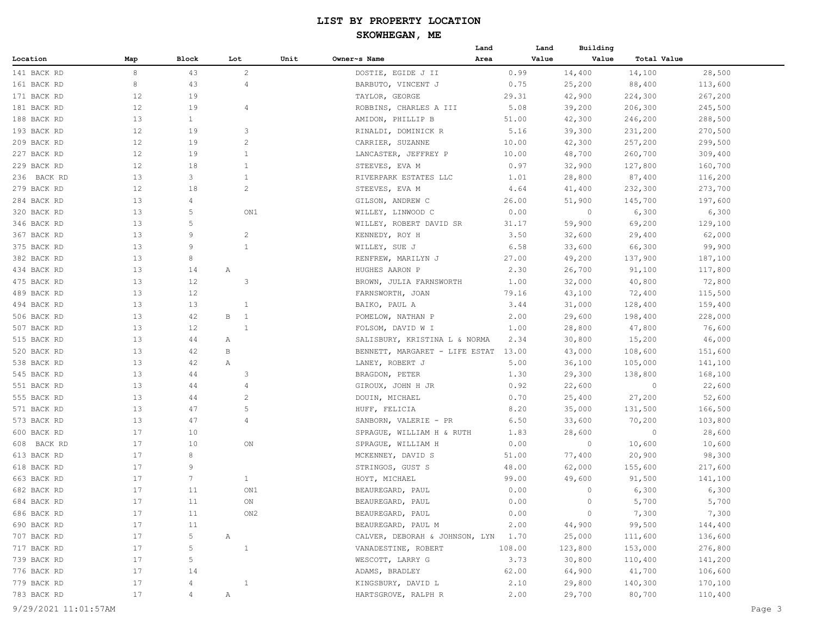## **SKOWHEGAN, ME**

|             |                   |                      |                     |      |                                     | Land   | Building<br>Land |             |         |
|-------------|-------------------|----------------------|---------------------|------|-------------------------------------|--------|------------------|-------------|---------|
| Location    | Map               | Block                | Lot                 | Unit | Owner~s Name                        | Area   | Value<br>Value   | Total Value |         |
| 141 BACK RD | 8                 | 43                   | 2                   |      | DOSTIE, EGIDE J II                  | 0.99   | 14,400           | 14,100      | 28,500  |
| 161 BACK RD | 8                 | 43                   | 4                   |      | BARBUTO, VINCENT J                  | 0.75   | 25,200           | 88,400      | 113,600 |
| 171 BACK RD | 12                | 19                   |                     |      | TAYLOR, GEORGE                      | 29.31  | 42,900           | 224,300     | 267,200 |
| 181 BACK RD | 12                | 19                   | $\overline{4}$      |      | ROBBINS, CHARLES A III              | 5.08   | 39,200           | 206,300     | 245,500 |
| 188 BACK RD | 13                | $\mathbf{1}$         |                     |      | AMIDON, PHILLIP B                   | 51.00  | 42,300           | 246,200     | 288,500 |
| 193 BACK RD | $12 \overline{ }$ | 19                   | 3                   |      | RINALDI, DOMINICK R                 | 5.16   | 39,300           | 231,200     | 270,500 |
| 209 BACK RD | 12                | 19                   | $\overline{2}$      |      | CARRIER, SUZANNE                    | 10.00  | 42,300           | 257,200     | 299,500 |
| 227 BACK RD | $12 \overline{ }$ | 19                   | $\mathbf{1}$        |      | LANCASTER, JEFFREY P                | 10.00  | 48,700           | 260,700     | 309,400 |
| 229 BACK RD | 12                | 18                   | $\mathbf{1}$        |      | STEEVES, EVA M                      | 0.97   | 32,900           | 127,800     | 160,700 |
| 236 BACK RD | 13                | 3                    | $\mathbf{1}$        |      | RIVERPARK ESTATES LLC               | 1.01   | 28,800           | 87,400      | 116,200 |
| 279 BACK RD | 12                | 18                   | $\overline{c}$      |      | STEEVES, EVA M                      | 4.64   | 41,400           | 232,300     | 273,700 |
| 284 BACK RD | 13                | 4                    |                     |      | GILSON, ANDREW C                    | 26.00  | 51,900           | 145,700     | 197,600 |
| 320 BACK RD | 13                | 5                    | ON1                 |      | WILLEY, LINWOOD C                   | 0.00   | $\circ$          | 6,300       | 6,300   |
| 346 BACK RD | 13                | 5                    |                     |      | WILLEY, ROBERT DAVID SR             | 31.17  | 59,900           | 69,200      | 129,100 |
| 367 BACK RD | 13                | 9                    | $\overline{c}$      |      | KENNEDY, ROY H                      | 3.50   | 32,600           | 29,400      | 62,000  |
| 375 BACK RD | 13                | 9                    | $\mathbf{1}$        |      | WILLEY, SUE J                       | 6.58   | 33,600           | 66,300      | 99,900  |
| 382 BACK RD | 13                | 8                    |                     |      | RENFREW, MARILYN J                  | 27.00  | 49,200           | 137,900     | 187,100 |
| 434 BACK RD | 13                | 14                   | Α                   |      | HUGHES AARON P                      | 2.30   | 26,700           | 91,100      | 117,800 |
| 475 BACK RD | 13                | 12                   | 3                   |      | BROWN, JULIA FARNSWORTH             | 1.00   | 32,000           | 40,800      | 72,800  |
| 489 BACK RD | 13                | 12                   |                     |      | FARNSWORTH, JOAN                    | 79.16  | 43,100           | 72,400      | 115,500 |
| 494 BACK RD | 13                | 13                   | $\mathbf{1}$        |      | BAIKO, PAUL A                       | 3.44   | 31,000           | 128,400     | 159,400 |
| 506 BACK RD | 13                | 42                   | $\overline{1}$<br>B |      | POMELOW, NATHAN P                   | 2.00   | 29,600           | 198,400     | 228,000 |
| 507 BACK RD | 13                | 12                   | $\mathbf{1}$        |      | FOLSOM, DAVID W I                   | 1.00   | 28,800           | 47,800      | 76,600  |
| 515 BACK RD | 13                | 44                   | Α                   |      | SALISBURY, KRISTINA L & NORMA       | 2.34   | 30,800           | 15,200      | 46,000  |
| 520 BACK RD | 13                | 42                   | B                   |      | BENNETT, MARGARET - LIFE ESTAT      | 13.00  | 43,000           | 108,600     | 151,600 |
| 538 BACK RD | 13                | 42                   | Α                   |      | LANEY, ROBERT J                     | 5.00   | 36,100           | 105,000     | 141,100 |
| 545 BACK RD | 13                | 44                   | 3                   |      | BRAGDON, PETER                      | 1.30   | 29,300           | 138,800     | 168,100 |
| 551 BACK RD | 13                | 44                   | $\overline{4}$      |      | GIROUX, JOHN H JR                   | 0.92   | 22,600           | $\circ$     | 22,600  |
| 555 BACK RD | 13                | 44                   | $\overline{2}$      |      | DOUIN, MICHAEL                      | 0.70   | 25,400           | 27,200      | 52,600  |
| 571 BACK RD | 13                | 47                   | 5                   |      |                                     | 8.20   |                  |             | 166,500 |
|             | 13                | 47                   | $\overline{4}$      |      | HUFF, FELICIA                       | 6.50   | 35,000           | 131,500     |         |
| 573 BACK RD | 17                | 10                   |                     |      | SANBORN, VALERIE - PR               |        | 33,600           | 70,200      | 103,800 |
| 600 BACK RD |                   | 10                   |                     |      | SPRAGUE, WILLIAM H & RUTH           | 1.83   | 28,600<br>0      | $\circ$     | 28,600  |
| 608 BACK RD | 17<br>17          | 8                    | ON                  |      | SPRAGUE, WILLIAM H                  | 0.00   |                  | 10,600      | 10,600  |
| 613 BACK RD | 17                |                      |                     |      | MCKENNEY, DAVID S                   | 51.00  | 77,400           | 20,900      | 98,300  |
| 618 BACK RD |                   | 9<br>$7\phantom{.0}$ |                     |      | STRINGOS, GUST S                    | 48.00  | 62,000           | 155,600     | 217,600 |
| 663 BACK RD | 17                |                      | $\mathbf{1}$        |      | HOYT, MICHAEL                       | 99.00  | 49,600           | 91,500      | 141,100 |
| 682 BACK RD | 17                | 11                   | ON1                 |      | BEAUREGARD, PAUL                    | 0.00   | 0                | 6,300       | 6,300   |
| 684 BACK RD | 17                | $11\,$               | ON                  |      | BEAUREGARD, PAUL                    | 0.00   | $\overline{0}$   | 5,700       | 5,700   |
| 686 BACK RD | 17                | 11                   | ON2                 |      | BEAUREGARD, PAUL                    | 0.00   | $\circ$          | 7,300       | 7,300   |
| 690 BACK RD | 17                | 11                   |                     |      | BEAUREGARD, PAUL M                  | 2.00   | 44,900           | 99,500      | 144,400 |
| 707 BACK RD | 17                | 5                    | A                   |      | CALVER, DEBORAH & JOHNSON, LYN 1.70 |        | 25,000           | 111,600     | 136,600 |
| 717 BACK RD | 17                | 5                    | $\overline{1}$      |      | VANADESTINE, ROBERT                 | 108.00 | 123,800          | 153,000     | 276,800 |
| 739 BACK RD | 17                | 5                    |                     |      | WESCOTT, LARRY G                    | 3.73   | 30,800           | 110,400     | 141,200 |
| 776 BACK RD | 17                | 14                   |                     |      | ADAMS, BRADLEY                      | 62.00  | 64,900           | 41,700      | 106,600 |
| 779 BACK RD | 17                | 4                    | $\overline{1}$      |      | KINGSBURY, DAVID L                  | 2.10   | 29,800           | 140,300     | 170,100 |
| 783 BACK RD | 17                | 4                    | A                   |      | HARTSGROVE, RALPH R                 | 2.00   | 29,700           | 80,700      | 110,400 |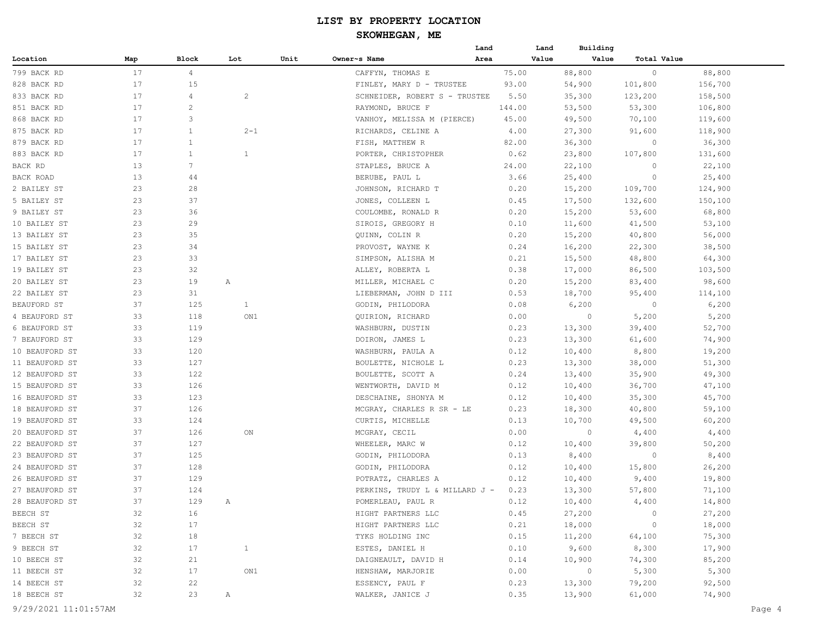|                |     |              |              |      |                                | Land   | Land  | Building       |             |         |
|----------------|-----|--------------|--------------|------|--------------------------------|--------|-------|----------------|-------------|---------|
| Location       | Map | Block        | Lot          | Unit | Owner~s Name                   | Area   | Value | Value          | Total Value |         |
| 799 BACK RD    | 17  | 4            |              |      | CAFFYN, THOMAS E               | 75.00  |       | 88,800         | $\circ$     | 88,800  |
| 828 BACK RD    | 17  | 15           |              |      | FINLEY, MARY D - TRUSTEE       | 93.00  |       | 54,900         | 101,800     | 156,700 |
| 833 BACK RD    | 17  | 4            | 2            |      | SCHNEIDER, ROBERT S - TRUSTEE  | 5.50   |       | 35,300         | 123,200     | 158,500 |
| 851 BACK RD    | 17  | $\mathbf{2}$ |              |      | RAYMOND, BRUCE F               | 144.00 |       | 53,500         | 53,300      | 106,800 |
| 868 BACK RD    | 17  | 3            |              |      | VANHOY, MELISSA M (PIERCE)     | 45.00  |       | 49,500         | 70,100      | 119,600 |
| 875 BACK RD    | 17  | 1            | $2 - 1$      |      | RICHARDS, CELINE A             | 4.00   |       | 27,300         | 91,600      | 118,900 |
| 879 BACK RD    | 17  | 1            |              |      | FISH, MATTHEW R                | 82.00  |       | 36,300         | 0           | 36,300  |
| 883 BACK RD    | 17  | $\mathbf{1}$ | $\mathbf{1}$ |      | PORTER, CHRISTOPHER            | 0.62   |       | 23,800         | 107,800     | 131,600 |
| BACK RD        | 13  | 7            |              |      | STAPLES, BRUCE A               | 24.00  |       | 22,100         | $\circ$     | 22,100  |
| BACK ROAD      | 13  | 44           |              |      | BERUBE, PAUL L                 | 3.66   |       | 25,400         | $\circ$     | 25,400  |
| 2 BAILEY ST    | 23  | 28           |              |      | JOHNSON, RICHARD T             | 0.20   |       | 15,200         | 109,700     | 124,900 |
| 5 BAILEY ST    | 23  | 37           |              |      | JONES, COLLEEN L               | 0.45   |       | 17,500         | 132,600     | 150,100 |
| 9 BAILEY ST    | 23  | 36           |              |      | COULOMBE, RONALD R             | 0.20   |       | 15,200         | 53,600      | 68,800  |
| 10 BAILEY ST   | 23  | 29           |              |      | SIROIS, GREGORY H              | 0.10   |       | 11,600         | 41,500      | 53,100  |
| 13 BAILEY ST   | 23  | 35           |              |      | QUINN, COLIN R                 | 0.20   |       | 15,200         | 40,800      | 56,000  |
| 15 BAILEY ST   | 23  | 34           |              |      | PROVOST, WAYNE K               | 0.24   |       | 16,200         | 22,300      | 38,500  |
| 17 BAILEY ST   | 23  | 33           |              |      | SIMPSON, ALISHA M              | 0.21   |       | 15,500         | 48,800      | 64,300  |
| 19 BAILEY ST   | 23  | 32           |              |      | ALLEY, ROBERTA L               | 0.38   |       | 17,000         | 86,500      | 103,500 |
| 20 BAILEY ST   | 23  | 19           | Α            |      | MILLER, MICHAEL C              | 0.20   |       | 15,200         | 83,400      | 98,600  |
| 22 BAILEY ST   | 23  | 31           |              |      | LIEBERMAN, JOHN D III          | 0.53   |       | 18,700         | 95,400      | 114,100 |
| BEAUFORD ST    | 37  | 125          | $\mathbf{1}$ |      | GODIN, PHILODORA               | 0.08   |       | 6,200          | $\circ$     | 6,200   |
| 4 BEAUFORD ST  | 33  | 118          | ON1          |      | QUIRION, RICHARD               | 0.00   |       | $\circ$        | 5,200       | 5,200   |
| 6 BEAUFORD ST  | 33  | 119          |              |      | WASHBURN, DUSTIN               | 0.23   |       | 13,300         | 39,400      | 52,700  |
| 7 BEAUFORD ST  | 33  | 129          |              |      | DOIRON, JAMES L                | 0.23   |       | 13,300         | 61,600      | 74,900  |
| 10 BEAUFORD ST | 33  | 120          |              |      | WASHBURN, PAULA A              | 0.12   |       | 10,400         | 8,800       | 19,200  |
| 11 BEAUFORD ST | 33  | 127          |              |      | BOULETTE, NICHOLE L            | 0.23   |       | 13,300         | 38,000      | 51,300  |
| 12 BEAUFORD ST | 33  | 122          |              |      | BOULETTE, SCOTT A              | 0.24   |       | 13,400         | 35,900      | 49,300  |
| 15 BEAUFORD ST | 33  | 126          |              |      | WENTWORTH, DAVID M             | 0.12   |       | 10,400         | 36,700      | 47,100  |
| 16 BEAUFORD ST | 33  | 123          |              |      | DESCHAINE, SHONYA M            | 0.12   |       | 10,400         | 35,300      | 45,700  |
| 18 BEAUFORD ST | 37  | 126          |              |      | MCGRAY, CHARLES R SR - LE      | 0.23   |       | 18,300         | 40,800      | 59,100  |
| 19 BEAUFORD ST | 33  | 124          |              |      | CURTIS, MICHELLE               | 0.13   |       | 10,700         | 49,500      | 60,200  |
| 20 BEAUFORD ST | 37  | 126          | ON           |      | MCGRAY, CECIL                  | 0.00   |       | $\circ$        | 4,400       | 4,400   |
| 22 BEAUFORD ST | 37  | 127          |              |      | WHEELER, MARC W                | 0.12   |       | 10,400         | 39,800      | 50,200  |
| 23 BEAUFORD ST | 37  | 125          |              |      | GODIN, PHILODORA               | 0.13   |       | 8,400          | $\circ$     | 8,400   |
| 24 BEAUFORD ST | 37  | 128          |              |      | GODIN, PHILODORA               | 0.12   |       | 10,400         | 15,800      | 26,200  |
| 26 BEAUFORD ST | 37  | 129          |              |      | POTRATZ, CHARLES A             | 0.12   |       | 10,400         | 9,400       | 19,800  |
| 27 BEAUFORD ST | 37  | 124          |              |      | PERKINS, TRUDY L & MILLARD J - | 0.23   |       | 13,300         | 57,800      | 71,100  |
| 28 BEAUFORD ST | 37  | 129          | Α            |      | POMERLEAU, PAUL R              | 0.12   |       | 10,400         | 4,400       | 14,800  |
| BEECH ST       | 32  | 16           |              |      | HIGHT PARTNERS LLC             | 0.45   |       | 27,200         | $\circ$     | 27,200  |
| BEECH ST       | 32  | 17           |              |      | HIGHT PARTNERS LLC             | 0.21   |       | 18,000         | $\circ$     | 18,000  |
| 7 BEECH ST     | 32  | 18           |              |      | TYKS HOLDING INC               | 0.15   |       | 11,200         | 64,100      | 75,300  |
| 9 BEECH ST     | 32  | 17           | $\mathbf{1}$ |      | ESTES, DANIEL H                | 0.10   |       | 9,600          | 8,300       | 17,900  |
| 10 BEECH ST    | 32  | 21           |              |      | DAIGNEAULT, DAVID H            | 0.14   |       | 10,900         | 74,300      | 85,200  |
| 11 BEECH ST    | 32  | 17           | ON1          |      | HENSHAW, MARJORIE              | 0.00   |       | $\overline{0}$ | 5,300       | 5,300   |
| 14 BEECH ST    | 32  | 22           |              |      | ESSENCY, PAUL F                | 0.23   |       | 13,300         | 79,200      | 92,500  |
| 18 BEECH ST    | 32  | 23           | A            |      | WALKER, JANICE J               | 0.35   |       | 13,900         | 61,000      | 74,900  |
|                |     |              |              |      |                                |        |       |                |             |         |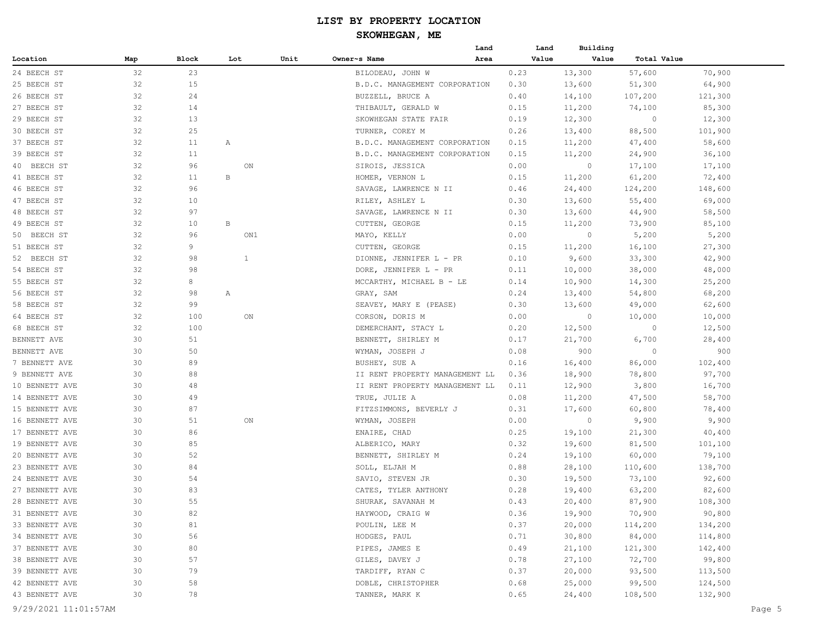|                      |     |       |              |      |                                | Land | Land  | Building |             |         |        |
|----------------------|-----|-------|--------------|------|--------------------------------|------|-------|----------|-------------|---------|--------|
| Location             | Map | Block | Lot          | Unit | Owner~s Name                   | Area | Value | Value    | Total Value |         |        |
| 24 BEECH ST          | 32  | 23    |              |      | BILODEAU, JOHN W               |      | 0.23  | 13,300   | 57,600      | 70,900  |        |
| 25 BEECH ST          | 32  | 15    |              |      | B.D.C. MANAGEMENT CORPORATION  |      | 0.30  | 13,600   | 51,300      | 64,900  |        |
| 26 BEECH ST          | 32  | 24    |              |      | BUZZELL, BRUCE A               |      | 0.40  | 14,100   | 107,200     | 121,300 |        |
| 27 BEECH ST          | 32  | 14    |              |      | THIBAULT, GERALD W             |      | 0.15  | 11,200   | 74,100      | 85,300  |        |
| 29 BEECH ST          | 32  | 13    |              |      | SKOWHEGAN STATE FAIR           |      | 0.19  | 12,300   | $\circ$     | 12,300  |        |
| 30 BEECH ST          | 32  | 25    |              |      | TURNER, COREY M                |      | 0.26  | 13,400   | 88,500      | 101,900 |        |
| 37 BEECH ST          | 32  | 11    | Α            |      | B.D.C. MANAGEMENT CORPORATION  |      | 0.15  | 11,200   | 47,400      | 58,600  |        |
| 39 BEECH ST          | 32  | 11    |              |      | B.D.C. MANAGEMENT CORPORATION  |      | 0.15  | 11,200   | 24,900      | 36,100  |        |
| 40 BEECH ST          | 32  | 96    | ON           |      | SIROIS, JESSICA                |      | 0.00  | $\circ$  | 17,100      | 17,100  |        |
| 41 BEECH ST          | 32  | 11    | $\, {\bf B}$ |      | HOMER, VERNON L                |      | 0.15  | 11,200   | 61,200      | 72,400  |        |
| 46 BEECH ST          | 32  | 96    |              |      | SAVAGE, LAWRENCE N II          |      | 0.46  | 24,400   | 124,200     | 148,600 |        |
| 47 BEECH ST          | 32  | 10    |              |      | RILEY, ASHLEY L                |      | 0.30  | 13,600   | 55,400      | 69,000  |        |
| 48 BEECH ST          | 32  | 97    |              |      | SAVAGE, LAWRENCE N II          |      | 0.30  | 13,600   | 44,900      | 58,500  |        |
| 49 BEECH ST          | 32  | 10    | $\, {\bf B}$ |      | CUTTEN, GEORGE                 |      | 0.15  | 11,200   | 73,900      | 85,100  |        |
| 50 BEECH ST          | 32  | 96    | ON1          |      | MAYO, KELLY                    |      | 0.00  | 0        | 5,200       | 5,200   |        |
| 51 BEECH ST          | 32  | 9     |              |      | CUTTEN, GEORGE                 |      | 0.15  | 11,200   | 16,100      | 27,300  |        |
| 52 BEECH ST          | 32  | 98    | $\mathbf{1}$ |      | DIONNE, JENNIFER L - PR        |      | 0.10  | 9,600    | 33,300      | 42,900  |        |
| 54 BEECH ST          | 32  | 98    |              |      | DORE, JENNIFER L - PR          |      | 0.11  | 10,000   | 38,000      | 48,000  |        |
| 55 BEECH ST          | 32  | 8     |              |      | MCCARTHY, MICHAEL B - LE       |      | 0.14  | 10,900   | 14,300      | 25,200  |        |
| 56 BEECH ST          | 32  | 98    | Α            |      | GRAY, SAM                      |      | 0.24  | 13,400   | 54,800      | 68,200  |        |
| 58 BEECH ST          | 32  | 99    |              |      | SEAVEY, MARY E (PEASE)         |      | 0.30  | 13,600   | 49,000      | 62,600  |        |
| 64 BEECH ST          | 32  | 100   | ON           |      | CORSON, DORIS M                |      | 0.00  | 0        | 10,000      | 10,000  |        |
| 68 BEECH ST          | 32  | 100   |              |      | DEMERCHANT, STACY L            |      | 0.20  | 12,500   | $\circ$     | 12,500  |        |
| BENNETT AVE          | 30  | 51    |              |      | BENNETT, SHIRLEY M             |      | 0.17  | 21,700   | 6,700       | 28,400  |        |
| BENNETT AVE          | 30  | 50    |              |      | WYMAN, JOSEPH J                |      | 0.08  | 900      | $\circ$     | 900     |        |
| 7 BENNETT AVE        | 30  | 89    |              |      | BUSHEY, SUE A                  |      | 0.16  | 16,400   | 86,000      | 102,400 |        |
| 9 BENNETT AVE        | 30  | 88    |              |      | II RENT PROPERTY MANAGEMENT LL |      | 0.36  | 18,900   | 78,800      | 97,700  |        |
| 10 BENNETT AVE       | 30  | 48    |              |      | II RENT PROPERTY MANAGEMENT LL |      | 0.11  | 12,900   | 3,800       | 16,700  |        |
| 14 BENNETT AVE       | 30  | 49    |              |      | TRUE, JULIE A                  |      | 0.08  | 11,200   | 47,500      | 58,700  |        |
| 15 BENNETT AVE       | 30  | 87    |              |      | FITZSIMMONS, BEVERLY J         |      | 0.31  | 17,600   | 60,800      | 78,400  |        |
| 16 BENNETT AVE       | 30  | 51    | ON           |      | WYMAN, JOSEPH                  |      | 0.00  | 0        | 9,900       | 9,900   |        |
| 17 BENNETT AVE       | 30  | 86    |              |      | ENAIRE, CHAD                   |      | 0.25  | 19,100   | 21,300      | 40,400  |        |
| 19 BENNETT AVE       | 30  | 85    |              |      | ALBERICO, MARY                 |      | 0.32  | 19,600   | 81,500      | 101,100 |        |
| 20 BENNETT AVE       | 30  | 52    |              |      | BENNETT, SHIRLEY M             |      | 0.24  | 19,100   | 60,000      | 79,100  |        |
| 23 BENNETT AVE       | 30  | 84    |              |      | SOLL, ELJAH M                  |      | 0.88  | 28,100   | 110,600     | 138,700 |        |
| 24 BENNETT AVE       | 30  | 54    |              |      | SAVIO, STEVEN JR               |      | 0.30  | 19,500   | 73,100      | 92,600  |        |
| 27 BENNETT AVE       | 30  | 83    |              |      | CATES, TYLER ANTHONY           |      | 0.28  | 19,400   | 63,200      | 82,600  |        |
| 28 BENNETT AVE       | 30  | 55    |              |      | SHURAK, SAVANAH M              |      | 0.43  | 20,400   | 87,900      | 108,300 |        |
| 31 BENNETT AVE       | 30  | 82    |              |      | HAYWOOD, CRAIG W               |      | 0.36  | 19,900   | 70,900      | 90,800  |        |
| 33 BENNETT AVE       | 30  | 81    |              |      | POULIN, LEE M                  |      | 0.37  | 20,000   | 114,200     | 134,200 |        |
| 34 BENNETT AVE       | 30  | 56    |              |      | HODGES, PAUL                   |      | 0.71  | 30,800   | 84,000      | 114,800 |        |
| 37 BENNETT AVE       | 30  | 80    |              |      | PIPES, JAMES E                 |      | 0.49  | 21,100   | 121,300     | 142,400 |        |
| 38 BENNETT AVE       | 30  | 57    |              |      | GILES, DAVEY J                 |      | 0.78  | 27,100   | 72,700      | 99,800  |        |
| 39 BENNETT AVE       | 30  | 79    |              |      | TARDIFF, RYAN C                |      | 0.37  | 20,000   | 93,500      | 113,500 |        |
| 42 BENNETT AVE       | 30  | 58    |              |      | DOBLE, CHRISTOPHER             |      | 0.68  | 25,000   | 99,500      | 124,500 |        |
| 43 BENNETT AVE       | 30  | 78    |              |      | TANNER, MARK K                 |      | 0.65  | 24,400   | 108,500     | 132,900 |        |
| 9/29/2021 11:01:57AM |     |       |              |      |                                |      |       |          |             |         | Page 5 |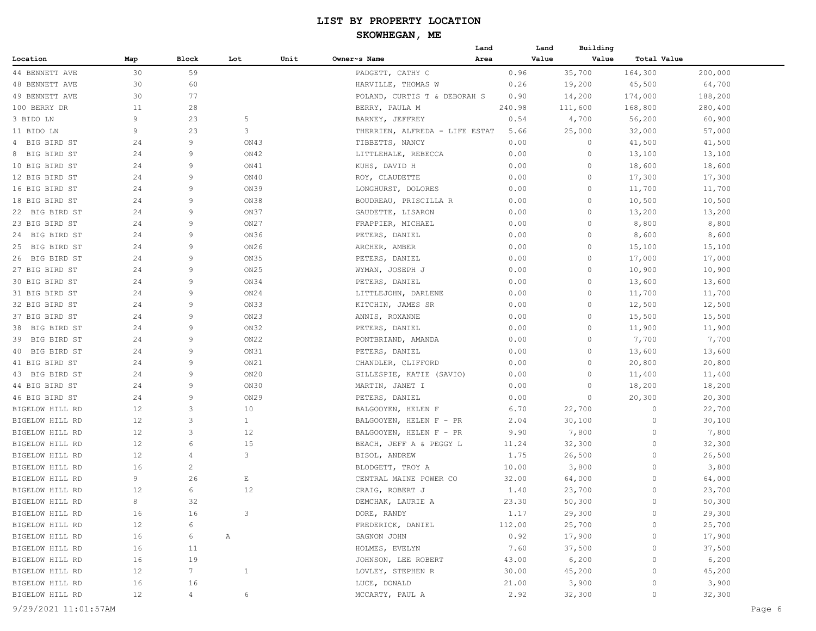|                       |     |                |              |      |                                | Land | Land   | Building |             |         |
|-----------------------|-----|----------------|--------------|------|--------------------------------|------|--------|----------|-------------|---------|
| Location              | Map | Block          | Lot          | Unit | Owner~s Name                   | Area | Value  | Value    | Total Value |         |
| 44 BENNETT AVE        | 30  | 59             |              |      | PADGETT, CATHY C               |      | 0.96   | 35,700   | 164,300     | 200,000 |
| <b>48 BENNETT AVE</b> | 30  | 60             |              |      | HARVILLE, THOMAS W             |      | 0.26   | 19,200   | 45,500      | 64,700  |
| 49 BENNETT AVE        | 30  | 77             |              |      | POLAND, CURTIS T & DEBORAH S   |      | 0.90   | 14,200   | 174,000     | 188,200 |
| 100 BERRY DR          | 11  | 28             |              |      | BERRY, PAULA M                 |      | 240.98 | 111,600  | 168,800     | 280,400 |
| 3 BIDO LN             | 9   | 23             | 5            |      | BARNEY, JEFFREY                |      | 0.54   | 4,700    | 56,200      | 60,900  |
| 11 BIDO LN            | 9   | 23             | 3            |      | THERRIEN, ALFREDA - LIFE ESTAT |      | 5.66   | 25,000   | 32,000      | 57,000  |
| 4 BIG BIRD ST         | 24  | 9              | ON43         |      | TIBBETTS, NANCY                |      | 0.00   | $\circ$  | 41,500      | 41,500  |
| 8 BIG BIRD ST         | 24  | 9              | ON42         |      | LITTLEHALE, REBECCA            |      | 0.00   | 0        | 13,100      | 13,100  |
| 10 BIG BIRD ST        | 24  | 9              | ON41         |      | KUHS, DAVID H                  |      | 0.00   | 0        | 18,600      | 18,600  |
| 12 BIG BIRD ST        | 24  | 9              | ON40         |      | ROY, CLAUDETTE                 |      | 0.00   | 0        | 17,300      | 17,300  |
| 16 BIG BIRD ST        | 24  | 9              | ON39         |      | LONGHURST, DOLORES             |      | 0.00   | 0        | 11,700      | 11,700  |
| 18 BIG BIRD ST        | 24  | 9              | ON38         |      | BOUDREAU, PRISCILLA R          |      | 0.00   | 0        | 10,500      | 10,500  |
| 22 BIG BIRD ST        | 24  | 9              | ON37         |      | GAUDETTE, LISARON              |      | 0.00   | 0        | 13,200      | 13,200  |
| 23 BIG BIRD ST        | 24  | 9              | ON27         |      | FRAPPIER, MICHAEL              |      | 0.00   | 0        | 8,800       | 8,800   |
| 24 BIG BIRD ST        | 24  | 9              | ON36         |      | PETERS, DANIEL                 |      | 0.00   | 0        | 8,600       | 8,600   |
| 25 BIG BIRD ST        | 24  | 9              | ON26         |      | ARCHER, AMBER                  |      | 0.00   | 0        | 15,100      | 15,100  |
| 26 BIG BIRD ST        | 24  | 9              | ON35         |      | PETERS, DANIEL                 |      | 0.00   | 0        | 17,000      | 17,000  |
| 27 BIG BIRD ST        | 24  | 9              | ON25         |      | WYMAN, JOSEPH J                |      | 0.00   | 0        | 10,900      | 10,900  |
| 30 BIG BIRD ST        | 24  | 9              | ON34         |      | PETERS, DANIEL                 |      | 0.00   | 0        | 13,600      | 13,600  |
| 31 BIG BIRD ST        | 24  | 9              | ON24         |      | LITTLEJOHN, DARLENE            |      | 0.00   | 0        | 11,700      | 11,700  |
| 32 BIG BIRD ST        | 24  | 9              | ON33         |      | KITCHIN, JAMES SR              |      | 0.00   | 0        | 12,500      | 12,500  |
| 37 BIG BIRD ST        | 24  | 9              | ON23         |      | ANNIS, ROXANNE                 |      | 0.00   | $\circ$  | 15,500      | 15,500  |
| 38 BIG BIRD ST        | 24  | 9              | ON32         |      | PETERS, DANIEL                 |      | 0.00   | 0        | 11,900      | 11,900  |
| 39 BIG BIRD ST        | 24  | 9              | ON22         |      | PONTBRIAND, AMANDA             |      | 0.00   | 0        | 7,700       | 7,700   |
| 40 BIG BIRD ST        | 24  | 9              | ON31         |      | PETERS, DANIEL                 |      | 0.00   | 0        | 13,600      | 13,600  |
| 41 BIG BIRD ST        | 24  | 9              | ON21         |      | CHANDLER, CLIFFORD             |      | 0.00   | 0        | 20,800      | 20,800  |
| 43 BIG BIRD ST        | 24  | 9              | ON20         |      | GILLESPIE, KATIE (SAVIO)       |      | 0.00   | 0        | 11,400      | 11,400  |
| 44 BIG BIRD ST        | 24  | 9              | ON30         |      | MARTIN, JANET I                |      | 0.00   | 0        | 18,200      | 18,200  |
| 46 BIG BIRD ST        | 24  | 9              | ON29         |      | PETERS, DANIEL                 |      | 0.00   | 0        | 20,300      | 20,300  |
| BIGELOW HILL RD       | 12  | 3              | 10           |      | BALGOOYEN, HELEN F             |      | 6.70   | 22,700   | 0           | 22,700  |
| BIGELOW HILL RD       | 12  | 3              | $\mathbf{1}$ |      | BALGOOYEN, HELEN F - PR        |      | 2.04   | 30,100   | 0           | 30,100  |
| BIGELOW HILL RD       | 12  | 3              | 12           |      | BALGOOYEN, HELEN F - PR        |      | 9.90   | 7,800    | 0           | 7,800   |
| BIGELOW HILL RD       | 12  | 6              | 15           |      | BEACH, JEFF A & PEGGY L        |      | 11.24  | 32,300   | 0           | 32,300  |
| BIGELOW HILL RD       | 12  | 4              | 3            |      | BISOL, ANDREW                  |      | 1.75   | 26,500   | 0           | 26,500  |
| BIGELOW HILL RD       | 16  | 2              |              |      | BLODGETT, TROY A               |      | 10.00  | 3,800    | 0           | 3,800   |
| BIGELOW HILL RD       | 9   | 26             | Е            |      | CENTRAL MAINE POWER CO         |      | 32.00  | 64,000   | 0           | 64,000  |
| BIGELOW HILL RD       | 12  | 6              | 12           |      | CRAIG, ROBERT J                |      | 1.40   | 23,700   | 0           | 23,700  |
| BIGELOW HILL RD       | 8   | 32             |              |      | DEMCHAK, LAURIE A              |      | 23.30  | 50,300   | 0           | 50,300  |
| BIGELOW HILL RD       | 16  | 16             | 3            |      | DORE, RANDY                    |      | 1.17   | 29,300   | 0           | 29,300  |
| BIGELOW HILL RD       | 12  | 6              |              |      | FREDERICK, DANIEL              |      | 112.00 | 25,700   | 0           | 25,700  |
| BIGELOW HILL RD       | 16  | 6              | Α            |      | GAGNON JOHN                    |      | 0.92   | 17,900   | 0           | 17,900  |
| BIGELOW HILL RD       | 16  | 11             |              |      | HOLMES, EVELYN                 |      | 7.60   | 37,500   |             | 37,500  |
| BIGELOW HILL RD       | 16  | 19             |              |      | JOHNSON, LEE ROBERT            |      | 43.00  | 6,200    | 0           | 6,200   |
| BIGELOW HILL RD       | 12  | 7              | $\mathbf{1}$ |      | LOVLEY, STEPHEN R              |      | 30.00  | 45,200   | 0           | 45,200  |
| BIGELOW HILL RD       | 16  | 16             |              |      | LUCE, DONALD                   |      | 21.00  | 3,900    | 0           | 3,900   |
| BIGELOW HILL RD       | 12  | $\overline{4}$ | 6            |      | MCCARTY, PAUL A                |      | 2.92   | 32,300   | 0           | 32,300  |
|                       |     |                |              |      |                                |      |        |          |             |         |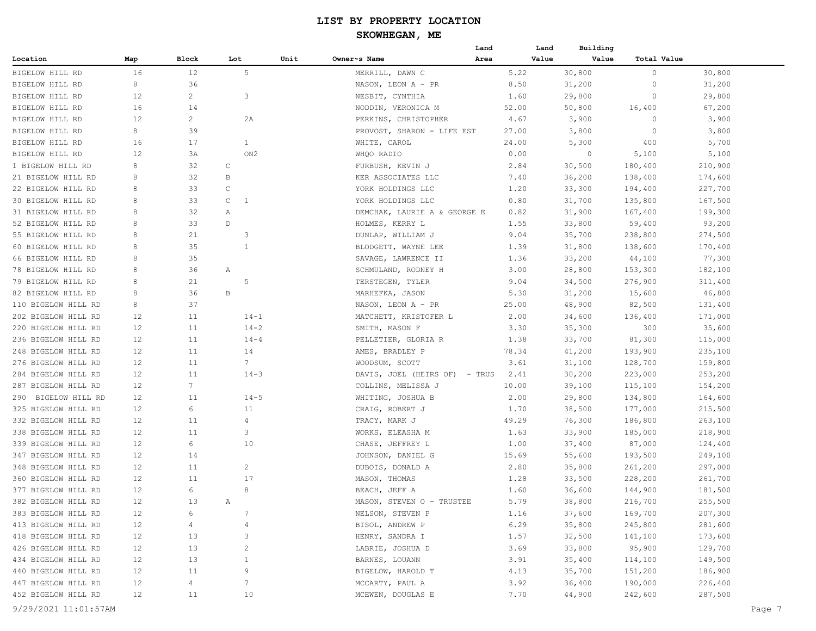| Block<br>Lot<br>Unit<br>Owner~s Name<br>Area<br>Value<br>Value<br>Total Value<br>Map<br>5<br>16<br>30,800<br>BIGELOW HILL RD<br>12<br>MERRILL, DAWN C<br>5.22<br>0<br>30,800<br>31,200<br>31,200<br>BIGELOW HILL RD<br>8<br>36<br>NASON, LEON A - PR<br>8.50<br>0<br>12<br>2<br>3<br>NESBIT, CYNTHIA<br>1.60<br>29,800<br>29,800<br>0<br>16<br>14<br>52.00<br>50,800<br>67,200<br>NODDIN, VERONICA M<br>16,400<br>12<br>2<br>PERKINS, CHRISTOPHER<br>4.67<br>3,900<br>0<br>3,900<br>2A<br>8<br>39<br>3,800<br>PROVOST, SHARON - LIFE EST<br>27.00<br>3,800<br>$\circ$<br>5,700<br>16<br>17<br>1<br>24.00<br>5,300<br>400<br>WHITE, CAROL<br>5,100<br>12<br>ON <sub>2</sub><br>WHQO RADIO<br>0.00<br>0<br>5,100<br>ЗA<br>8<br>32<br>C<br>FURBUSH, KEVIN J<br>2.84<br>30,500<br>180,400<br>210,900<br>8<br>32<br>B<br>KER ASSOCIATES LLC<br>7.40<br>36,200<br>138,400<br>174,600<br>8<br>33<br>C<br>YORK HOLDINGS LLC<br>1.20<br>33,300<br>194,400<br>227,700<br>33<br>8<br>$\mathsf{C}$<br>$\mathbf{1}$<br>0.80<br>31,700<br>135,800<br>167,500<br>YORK HOLDINGS LLC<br>8<br>32<br>0.82<br>31,900<br>167,400<br>199,300<br>Α<br>DEMCHAK, LAURIE A & GEORGE E<br>33<br>8<br>$\mathbb D$<br>HOLMES, KERRY L<br>1.55<br>33,800<br>59,400<br>93,200<br>55 BIGELOW HILL RD<br>8<br>21<br>3<br>9.04<br>35,700<br>238,800<br>274,500<br>DUNLAP, WILLIAM J<br>60 BIGELOW HILL RD<br>8<br>35<br>1<br>BLODGETT, WAYNE LEE<br>1.39<br>31,800<br>138,600<br>170,400<br>77,300<br>66 BIGELOW HILL RD<br>8<br>35<br>SAVAGE, LAWRENCE II<br>1.36<br>33,200<br>44,100<br>78 BIGELOW HILL RD<br>8<br>36<br>SCHMULAND, RODNEY H<br>3.00<br>28,800<br>153,300<br>182,100<br>Α<br>5<br>79 BIGELOW HILL RD<br>8<br>21<br>TERSTEGEN, TYLER<br>34,500<br>276,900<br>311,400<br>9.04<br>46,800<br>8<br>36<br>B<br>MARHEFKA, JASON<br>15,600<br>82 BIGELOW HILL RD<br>5.30<br>31,200<br>8<br>37<br>25.00<br>48,900<br>82,500<br>131,400<br>110 BIGELOW HILL RD<br>NASON, LEON A - PR<br>202 BIGELOW HILL RD<br>12<br>11<br>$14 - 1$<br>MATCHETT, KRISTOFER L<br>2.00<br>34,600<br>171,000<br>136,400<br>220 BIGELOW HILL RD<br>12<br>11<br>$14 - 2$<br>3.30<br>35,300<br>300<br>35,600<br>SMITH, MASON F<br>115,000<br>236 BIGELOW HILL RD<br>12<br>11<br>$14 - 4$<br>PELLETIER, GLORIA R<br>1.38<br>33,700<br>81,300<br>235,100<br>248 BIGELOW HILL RD<br>12<br>11<br>14<br>AMES, BRADLEY P<br>78.34<br>41,200<br>193,900<br>276 BIGELOW HILL RD<br>12<br>11<br>7<br>WOODSUM, SCOTT<br>3.61<br>31,100<br>128,700<br>159,800<br>284 BIGELOW HILL RD<br>12<br>11<br>$14 - 3$<br>DAVIS, JOEL (HEIRS OF) - TRUS<br>30,200<br>223,000<br>253,200<br>2.41<br>$7\phantom{.0}$<br>287 BIGELOW HILL RD<br>12<br>COLLINS, MELISSA J<br>39,100<br>115,100<br>154,200<br>10.00<br>290 BIGELOW HILL RD<br>12<br>11<br>$14 - 5$<br>WHITING, JOSHUA B<br>2.00<br>29,800<br>164,600<br>134,800<br>325 BIGELOW HILL RD<br>12<br>6<br>11<br>CRAIG, ROBERT J<br>1.70<br>38,500<br>215,500<br>177,000<br>332 BIGELOW HILL RD<br>12<br>11<br>4<br>TRACY, MARK J<br>49.29<br>76,300<br>263,100<br>186,800<br>338 BIGELOW HILL RD<br>12<br>3<br>WORKS, ELEASHA M<br>1.63<br>33,900<br>185,000<br>218,900<br>11<br>339 BIGELOW HILL RD<br>12<br>6<br>10<br>CHASE, JEFFREY L<br>1.00<br>37,400<br>87,000<br>124,400<br>347 BIGELOW HILL RD<br>12<br>JOHNSON, DANIEL G<br>15.69<br>55,600<br>193,500<br>249,100<br>14<br>348 BIGELOW HILL RD<br>12<br>11<br>2<br>DUBOIS, DONALD A<br>2.80<br>35,800<br>297,000<br>261,200<br>360 BIGELOW HILL RD<br>12<br>11<br>17<br>MASON, THOMAS<br>261,700<br>1.28<br>33,500<br>228,200<br>8<br>377 BIGELOW HILL RD<br>12<br>6<br>BEACH, JEFF A<br>181,500<br>1.60<br>36,600<br>144,900<br>12<br>13<br>255,500<br>382 BIGELOW HILL RD<br>MASON, STEVEN O - TRUSTEE<br>5.79<br>38,800<br>216,700<br>Α<br>383 BIGELOW HILL RD<br>12<br>7<br>NELSON, STEVEN P<br>1.16<br>37,600<br>169,700<br>207,300<br>6<br>413 BIGELOW HILL RD<br>BISOL, ANDREW P<br>35,800<br>245,800<br>281,600<br>12<br>4<br>$\overline{4}$<br>6.29<br>HENRY, SANDRA I<br>418 BIGELOW HILL RD<br>12<br>13<br>1.57<br>32,500<br>141,100<br>173,600<br>3<br>12<br>3.69<br>33,800<br>95,900<br>129,700<br>426 BIGELOW HILL RD<br>13<br>LABRIE, JOSHUA D<br>2<br>12<br>434 BIGELOW HILL RD<br>13<br>BARNES, LOUANN<br>3.91<br>35,400<br>114,100<br>149,500<br>-1<br>12<br>11<br>440 BIGELOW HILL RD<br>BIGELOW, HAROLD T<br>4.13<br>35,700<br>151,200<br>186,900<br>9<br>12<br>$\overline{4}$<br>447 BIGELOW HILL RD<br>7<br>MCCARTY, PAUL A<br>3.92<br>36,400<br>190,000<br>226,400<br>12<br>MCEWEN, DOUGLAS E<br>44,900<br>287,500<br>452 BIGELOW HILL RD<br>11<br>10<br>7.70<br>242,600<br>9/29/2021 11:01:57AM<br>Page 7 |                    |  |  | Land | Land | Building |  |
|------------------------------------------------------------------------------------------------------------------------------------------------------------------------------------------------------------------------------------------------------------------------------------------------------------------------------------------------------------------------------------------------------------------------------------------------------------------------------------------------------------------------------------------------------------------------------------------------------------------------------------------------------------------------------------------------------------------------------------------------------------------------------------------------------------------------------------------------------------------------------------------------------------------------------------------------------------------------------------------------------------------------------------------------------------------------------------------------------------------------------------------------------------------------------------------------------------------------------------------------------------------------------------------------------------------------------------------------------------------------------------------------------------------------------------------------------------------------------------------------------------------------------------------------------------------------------------------------------------------------------------------------------------------------------------------------------------------------------------------------------------------------------------------------------------------------------------------------------------------------------------------------------------------------------------------------------------------------------------------------------------------------------------------------------------------------------------------------------------------------------------------------------------------------------------------------------------------------------------------------------------------------------------------------------------------------------------------------------------------------------------------------------------------------------------------------------------------------------------------------------------------------------------------------------------------------------------------------------------------------------------------------------------------------------------------------------------------------------------------------------------------------------------------------------------------------------------------------------------------------------------------------------------------------------------------------------------------------------------------------------------------------------------------------------------------------------------------------------------------------------------------------------------------------------------------------------------------------------------------------------------------------------------------------------------------------------------------------------------------------------------------------------------------------------------------------------------------------------------------------------------------------------------------------------------------------------------------------------------------------------------------------------------------------------------------------------------------------------------------------------------------------------------------------------------------------------------------------------------------------------------------------------------------------------------------------------------------------------------------------------------------------------------------------------------------------------------------------------------------------------------------------------------------------------------------------------------------------------------------------------------------------------------------------------------------------------------------------------------------------------------------------------------------------------------------------------------------------------------------------------------------------------------------------------------------------------------------------------------------------------------------------------------------------------|--------------------|--|--|------|------|----------|--|
|                                                                                                                                                                                                                                                                                                                                                                                                                                                                                                                                                                                                                                                                                                                                                                                                                                                                                                                                                                                                                                                                                                                                                                                                                                                                                                                                                                                                                                                                                                                                                                                                                                                                                                                                                                                                                                                                                                                                                                                                                                                                                                                                                                                                                                                                                                                                                                                                                                                                                                                                                                                                                                                                                                                                                                                                                                                                                                                                                                                                                                                                                                                                                                                                                                                                                                                                                                                                                                                                                                                                                                                                                                                                                                                                                                                                                                                                                                                                                                                                                                                                                                                                                                                                                                                                                                                                                                                                                                                                                                                                                                                                                                                                              | Location           |  |  |      |      |          |  |
|                                                                                                                                                                                                                                                                                                                                                                                                                                                                                                                                                                                                                                                                                                                                                                                                                                                                                                                                                                                                                                                                                                                                                                                                                                                                                                                                                                                                                                                                                                                                                                                                                                                                                                                                                                                                                                                                                                                                                                                                                                                                                                                                                                                                                                                                                                                                                                                                                                                                                                                                                                                                                                                                                                                                                                                                                                                                                                                                                                                                                                                                                                                                                                                                                                                                                                                                                                                                                                                                                                                                                                                                                                                                                                                                                                                                                                                                                                                                                                                                                                                                                                                                                                                                                                                                                                                                                                                                                                                                                                                                                                                                                                                                              |                    |  |  |      |      |          |  |
|                                                                                                                                                                                                                                                                                                                                                                                                                                                                                                                                                                                                                                                                                                                                                                                                                                                                                                                                                                                                                                                                                                                                                                                                                                                                                                                                                                                                                                                                                                                                                                                                                                                                                                                                                                                                                                                                                                                                                                                                                                                                                                                                                                                                                                                                                                                                                                                                                                                                                                                                                                                                                                                                                                                                                                                                                                                                                                                                                                                                                                                                                                                                                                                                                                                                                                                                                                                                                                                                                                                                                                                                                                                                                                                                                                                                                                                                                                                                                                                                                                                                                                                                                                                                                                                                                                                                                                                                                                                                                                                                                                                                                                                                              |                    |  |  |      |      |          |  |
|                                                                                                                                                                                                                                                                                                                                                                                                                                                                                                                                                                                                                                                                                                                                                                                                                                                                                                                                                                                                                                                                                                                                                                                                                                                                                                                                                                                                                                                                                                                                                                                                                                                                                                                                                                                                                                                                                                                                                                                                                                                                                                                                                                                                                                                                                                                                                                                                                                                                                                                                                                                                                                                                                                                                                                                                                                                                                                                                                                                                                                                                                                                                                                                                                                                                                                                                                                                                                                                                                                                                                                                                                                                                                                                                                                                                                                                                                                                                                                                                                                                                                                                                                                                                                                                                                                                                                                                                                                                                                                                                                                                                                                                                              | BIGELOW HILL RD    |  |  |      |      |          |  |
|                                                                                                                                                                                                                                                                                                                                                                                                                                                                                                                                                                                                                                                                                                                                                                                                                                                                                                                                                                                                                                                                                                                                                                                                                                                                                                                                                                                                                                                                                                                                                                                                                                                                                                                                                                                                                                                                                                                                                                                                                                                                                                                                                                                                                                                                                                                                                                                                                                                                                                                                                                                                                                                                                                                                                                                                                                                                                                                                                                                                                                                                                                                                                                                                                                                                                                                                                                                                                                                                                                                                                                                                                                                                                                                                                                                                                                                                                                                                                                                                                                                                                                                                                                                                                                                                                                                                                                                                                                                                                                                                                                                                                                                                              | BIGELOW HILL RD    |  |  |      |      |          |  |
|                                                                                                                                                                                                                                                                                                                                                                                                                                                                                                                                                                                                                                                                                                                                                                                                                                                                                                                                                                                                                                                                                                                                                                                                                                                                                                                                                                                                                                                                                                                                                                                                                                                                                                                                                                                                                                                                                                                                                                                                                                                                                                                                                                                                                                                                                                                                                                                                                                                                                                                                                                                                                                                                                                                                                                                                                                                                                                                                                                                                                                                                                                                                                                                                                                                                                                                                                                                                                                                                                                                                                                                                                                                                                                                                                                                                                                                                                                                                                                                                                                                                                                                                                                                                                                                                                                                                                                                                                                                                                                                                                                                                                                                                              | BIGELOW HILL RD    |  |  |      |      |          |  |
|                                                                                                                                                                                                                                                                                                                                                                                                                                                                                                                                                                                                                                                                                                                                                                                                                                                                                                                                                                                                                                                                                                                                                                                                                                                                                                                                                                                                                                                                                                                                                                                                                                                                                                                                                                                                                                                                                                                                                                                                                                                                                                                                                                                                                                                                                                                                                                                                                                                                                                                                                                                                                                                                                                                                                                                                                                                                                                                                                                                                                                                                                                                                                                                                                                                                                                                                                                                                                                                                                                                                                                                                                                                                                                                                                                                                                                                                                                                                                                                                                                                                                                                                                                                                                                                                                                                                                                                                                                                                                                                                                                                                                                                                              | BIGELOW HILL RD    |  |  |      |      |          |  |
|                                                                                                                                                                                                                                                                                                                                                                                                                                                                                                                                                                                                                                                                                                                                                                                                                                                                                                                                                                                                                                                                                                                                                                                                                                                                                                                                                                                                                                                                                                                                                                                                                                                                                                                                                                                                                                                                                                                                                                                                                                                                                                                                                                                                                                                                                                                                                                                                                                                                                                                                                                                                                                                                                                                                                                                                                                                                                                                                                                                                                                                                                                                                                                                                                                                                                                                                                                                                                                                                                                                                                                                                                                                                                                                                                                                                                                                                                                                                                                                                                                                                                                                                                                                                                                                                                                                                                                                                                                                                                                                                                                                                                                                                              | BIGELOW HILL RD    |  |  |      |      |          |  |
|                                                                                                                                                                                                                                                                                                                                                                                                                                                                                                                                                                                                                                                                                                                                                                                                                                                                                                                                                                                                                                                                                                                                                                                                                                                                                                                                                                                                                                                                                                                                                                                                                                                                                                                                                                                                                                                                                                                                                                                                                                                                                                                                                                                                                                                                                                                                                                                                                                                                                                                                                                                                                                                                                                                                                                                                                                                                                                                                                                                                                                                                                                                                                                                                                                                                                                                                                                                                                                                                                                                                                                                                                                                                                                                                                                                                                                                                                                                                                                                                                                                                                                                                                                                                                                                                                                                                                                                                                                                                                                                                                                                                                                                                              | BIGELOW HILL RD    |  |  |      |      |          |  |
|                                                                                                                                                                                                                                                                                                                                                                                                                                                                                                                                                                                                                                                                                                                                                                                                                                                                                                                                                                                                                                                                                                                                                                                                                                                                                                                                                                                                                                                                                                                                                                                                                                                                                                                                                                                                                                                                                                                                                                                                                                                                                                                                                                                                                                                                                                                                                                                                                                                                                                                                                                                                                                                                                                                                                                                                                                                                                                                                                                                                                                                                                                                                                                                                                                                                                                                                                                                                                                                                                                                                                                                                                                                                                                                                                                                                                                                                                                                                                                                                                                                                                                                                                                                                                                                                                                                                                                                                                                                                                                                                                                                                                                                                              | 1 BIGELOW HILL RD  |  |  |      |      |          |  |
|                                                                                                                                                                                                                                                                                                                                                                                                                                                                                                                                                                                                                                                                                                                                                                                                                                                                                                                                                                                                                                                                                                                                                                                                                                                                                                                                                                                                                                                                                                                                                                                                                                                                                                                                                                                                                                                                                                                                                                                                                                                                                                                                                                                                                                                                                                                                                                                                                                                                                                                                                                                                                                                                                                                                                                                                                                                                                                                                                                                                                                                                                                                                                                                                                                                                                                                                                                                                                                                                                                                                                                                                                                                                                                                                                                                                                                                                                                                                                                                                                                                                                                                                                                                                                                                                                                                                                                                                                                                                                                                                                                                                                                                                              | 21 BIGELOW HILL RD |  |  |      |      |          |  |
|                                                                                                                                                                                                                                                                                                                                                                                                                                                                                                                                                                                                                                                                                                                                                                                                                                                                                                                                                                                                                                                                                                                                                                                                                                                                                                                                                                                                                                                                                                                                                                                                                                                                                                                                                                                                                                                                                                                                                                                                                                                                                                                                                                                                                                                                                                                                                                                                                                                                                                                                                                                                                                                                                                                                                                                                                                                                                                                                                                                                                                                                                                                                                                                                                                                                                                                                                                                                                                                                                                                                                                                                                                                                                                                                                                                                                                                                                                                                                                                                                                                                                                                                                                                                                                                                                                                                                                                                                                                                                                                                                                                                                                                                              | 22 BIGELOW HILL RD |  |  |      |      |          |  |
|                                                                                                                                                                                                                                                                                                                                                                                                                                                                                                                                                                                                                                                                                                                                                                                                                                                                                                                                                                                                                                                                                                                                                                                                                                                                                                                                                                                                                                                                                                                                                                                                                                                                                                                                                                                                                                                                                                                                                                                                                                                                                                                                                                                                                                                                                                                                                                                                                                                                                                                                                                                                                                                                                                                                                                                                                                                                                                                                                                                                                                                                                                                                                                                                                                                                                                                                                                                                                                                                                                                                                                                                                                                                                                                                                                                                                                                                                                                                                                                                                                                                                                                                                                                                                                                                                                                                                                                                                                                                                                                                                                                                                                                                              | 30 BIGELOW HILL RD |  |  |      |      |          |  |
|                                                                                                                                                                                                                                                                                                                                                                                                                                                                                                                                                                                                                                                                                                                                                                                                                                                                                                                                                                                                                                                                                                                                                                                                                                                                                                                                                                                                                                                                                                                                                                                                                                                                                                                                                                                                                                                                                                                                                                                                                                                                                                                                                                                                                                                                                                                                                                                                                                                                                                                                                                                                                                                                                                                                                                                                                                                                                                                                                                                                                                                                                                                                                                                                                                                                                                                                                                                                                                                                                                                                                                                                                                                                                                                                                                                                                                                                                                                                                                                                                                                                                                                                                                                                                                                                                                                                                                                                                                                                                                                                                                                                                                                                              | 31 BIGELOW HILL RD |  |  |      |      |          |  |
|                                                                                                                                                                                                                                                                                                                                                                                                                                                                                                                                                                                                                                                                                                                                                                                                                                                                                                                                                                                                                                                                                                                                                                                                                                                                                                                                                                                                                                                                                                                                                                                                                                                                                                                                                                                                                                                                                                                                                                                                                                                                                                                                                                                                                                                                                                                                                                                                                                                                                                                                                                                                                                                                                                                                                                                                                                                                                                                                                                                                                                                                                                                                                                                                                                                                                                                                                                                                                                                                                                                                                                                                                                                                                                                                                                                                                                                                                                                                                                                                                                                                                                                                                                                                                                                                                                                                                                                                                                                                                                                                                                                                                                                                              | 52 BIGELOW HILL RD |  |  |      |      |          |  |
|                                                                                                                                                                                                                                                                                                                                                                                                                                                                                                                                                                                                                                                                                                                                                                                                                                                                                                                                                                                                                                                                                                                                                                                                                                                                                                                                                                                                                                                                                                                                                                                                                                                                                                                                                                                                                                                                                                                                                                                                                                                                                                                                                                                                                                                                                                                                                                                                                                                                                                                                                                                                                                                                                                                                                                                                                                                                                                                                                                                                                                                                                                                                                                                                                                                                                                                                                                                                                                                                                                                                                                                                                                                                                                                                                                                                                                                                                                                                                                                                                                                                                                                                                                                                                                                                                                                                                                                                                                                                                                                                                                                                                                                                              |                    |  |  |      |      |          |  |
|                                                                                                                                                                                                                                                                                                                                                                                                                                                                                                                                                                                                                                                                                                                                                                                                                                                                                                                                                                                                                                                                                                                                                                                                                                                                                                                                                                                                                                                                                                                                                                                                                                                                                                                                                                                                                                                                                                                                                                                                                                                                                                                                                                                                                                                                                                                                                                                                                                                                                                                                                                                                                                                                                                                                                                                                                                                                                                                                                                                                                                                                                                                                                                                                                                                                                                                                                                                                                                                                                                                                                                                                                                                                                                                                                                                                                                                                                                                                                                                                                                                                                                                                                                                                                                                                                                                                                                                                                                                                                                                                                                                                                                                                              |                    |  |  |      |      |          |  |
|                                                                                                                                                                                                                                                                                                                                                                                                                                                                                                                                                                                                                                                                                                                                                                                                                                                                                                                                                                                                                                                                                                                                                                                                                                                                                                                                                                                                                                                                                                                                                                                                                                                                                                                                                                                                                                                                                                                                                                                                                                                                                                                                                                                                                                                                                                                                                                                                                                                                                                                                                                                                                                                                                                                                                                                                                                                                                                                                                                                                                                                                                                                                                                                                                                                                                                                                                                                                                                                                                                                                                                                                                                                                                                                                                                                                                                                                                                                                                                                                                                                                                                                                                                                                                                                                                                                                                                                                                                                                                                                                                                                                                                                                              |                    |  |  |      |      |          |  |
|                                                                                                                                                                                                                                                                                                                                                                                                                                                                                                                                                                                                                                                                                                                                                                                                                                                                                                                                                                                                                                                                                                                                                                                                                                                                                                                                                                                                                                                                                                                                                                                                                                                                                                                                                                                                                                                                                                                                                                                                                                                                                                                                                                                                                                                                                                                                                                                                                                                                                                                                                                                                                                                                                                                                                                                                                                                                                                                                                                                                                                                                                                                                                                                                                                                                                                                                                                                                                                                                                                                                                                                                                                                                                                                                                                                                                                                                                                                                                                                                                                                                                                                                                                                                                                                                                                                                                                                                                                                                                                                                                                                                                                                                              |                    |  |  |      |      |          |  |
|                                                                                                                                                                                                                                                                                                                                                                                                                                                                                                                                                                                                                                                                                                                                                                                                                                                                                                                                                                                                                                                                                                                                                                                                                                                                                                                                                                                                                                                                                                                                                                                                                                                                                                                                                                                                                                                                                                                                                                                                                                                                                                                                                                                                                                                                                                                                                                                                                                                                                                                                                                                                                                                                                                                                                                                                                                                                                                                                                                                                                                                                                                                                                                                                                                                                                                                                                                                                                                                                                                                                                                                                                                                                                                                                                                                                                                                                                                                                                                                                                                                                                                                                                                                                                                                                                                                                                                                                                                                                                                                                                                                                                                                                              |                    |  |  |      |      |          |  |
|                                                                                                                                                                                                                                                                                                                                                                                                                                                                                                                                                                                                                                                                                                                                                                                                                                                                                                                                                                                                                                                                                                                                                                                                                                                                                                                                                                                                                                                                                                                                                                                                                                                                                                                                                                                                                                                                                                                                                                                                                                                                                                                                                                                                                                                                                                                                                                                                                                                                                                                                                                                                                                                                                                                                                                                                                                                                                                                                                                                                                                                                                                                                                                                                                                                                                                                                                                                                                                                                                                                                                                                                                                                                                                                                                                                                                                                                                                                                                                                                                                                                                                                                                                                                                                                                                                                                                                                                                                                                                                                                                                                                                                                                              |                    |  |  |      |      |          |  |
|                                                                                                                                                                                                                                                                                                                                                                                                                                                                                                                                                                                                                                                                                                                                                                                                                                                                                                                                                                                                                                                                                                                                                                                                                                                                                                                                                                                                                                                                                                                                                                                                                                                                                                                                                                                                                                                                                                                                                                                                                                                                                                                                                                                                                                                                                                                                                                                                                                                                                                                                                                                                                                                                                                                                                                                                                                                                                                                                                                                                                                                                                                                                                                                                                                                                                                                                                                                                                                                                                                                                                                                                                                                                                                                                                                                                                                                                                                                                                                                                                                                                                                                                                                                                                                                                                                                                                                                                                                                                                                                                                                                                                                                                              |                    |  |  |      |      |          |  |
|                                                                                                                                                                                                                                                                                                                                                                                                                                                                                                                                                                                                                                                                                                                                                                                                                                                                                                                                                                                                                                                                                                                                                                                                                                                                                                                                                                                                                                                                                                                                                                                                                                                                                                                                                                                                                                                                                                                                                                                                                                                                                                                                                                                                                                                                                                                                                                                                                                                                                                                                                                                                                                                                                                                                                                                                                                                                                                                                                                                                                                                                                                                                                                                                                                                                                                                                                                                                                                                                                                                                                                                                                                                                                                                                                                                                                                                                                                                                                                                                                                                                                                                                                                                                                                                                                                                                                                                                                                                                                                                                                                                                                                                                              |                    |  |  |      |      |          |  |
|                                                                                                                                                                                                                                                                                                                                                                                                                                                                                                                                                                                                                                                                                                                                                                                                                                                                                                                                                                                                                                                                                                                                                                                                                                                                                                                                                                                                                                                                                                                                                                                                                                                                                                                                                                                                                                                                                                                                                                                                                                                                                                                                                                                                                                                                                                                                                                                                                                                                                                                                                                                                                                                                                                                                                                                                                                                                                                                                                                                                                                                                                                                                                                                                                                                                                                                                                                                                                                                                                                                                                                                                                                                                                                                                                                                                                                                                                                                                                                                                                                                                                                                                                                                                                                                                                                                                                                                                                                                                                                                                                                                                                                                                              |                    |  |  |      |      |          |  |
|                                                                                                                                                                                                                                                                                                                                                                                                                                                                                                                                                                                                                                                                                                                                                                                                                                                                                                                                                                                                                                                                                                                                                                                                                                                                                                                                                                                                                                                                                                                                                                                                                                                                                                                                                                                                                                                                                                                                                                                                                                                                                                                                                                                                                                                                                                                                                                                                                                                                                                                                                                                                                                                                                                                                                                                                                                                                                                                                                                                                                                                                                                                                                                                                                                                                                                                                                                                                                                                                                                                                                                                                                                                                                                                                                                                                                                                                                                                                                                                                                                                                                                                                                                                                                                                                                                                                                                                                                                                                                                                                                                                                                                                                              |                    |  |  |      |      |          |  |
|                                                                                                                                                                                                                                                                                                                                                                                                                                                                                                                                                                                                                                                                                                                                                                                                                                                                                                                                                                                                                                                                                                                                                                                                                                                                                                                                                                                                                                                                                                                                                                                                                                                                                                                                                                                                                                                                                                                                                                                                                                                                                                                                                                                                                                                                                                                                                                                                                                                                                                                                                                                                                                                                                                                                                                                                                                                                                                                                                                                                                                                                                                                                                                                                                                                                                                                                                                                                                                                                                                                                                                                                                                                                                                                                                                                                                                                                                                                                                                                                                                                                                                                                                                                                                                                                                                                                                                                                                                                                                                                                                                                                                                                                              |                    |  |  |      |      |          |  |
|                                                                                                                                                                                                                                                                                                                                                                                                                                                                                                                                                                                                                                                                                                                                                                                                                                                                                                                                                                                                                                                                                                                                                                                                                                                                                                                                                                                                                                                                                                                                                                                                                                                                                                                                                                                                                                                                                                                                                                                                                                                                                                                                                                                                                                                                                                                                                                                                                                                                                                                                                                                                                                                                                                                                                                                                                                                                                                                                                                                                                                                                                                                                                                                                                                                                                                                                                                                                                                                                                                                                                                                                                                                                                                                                                                                                                                                                                                                                                                                                                                                                                                                                                                                                                                                                                                                                                                                                                                                                                                                                                                                                                                                                              |                    |  |  |      |      |          |  |
|                                                                                                                                                                                                                                                                                                                                                                                                                                                                                                                                                                                                                                                                                                                                                                                                                                                                                                                                                                                                                                                                                                                                                                                                                                                                                                                                                                                                                                                                                                                                                                                                                                                                                                                                                                                                                                                                                                                                                                                                                                                                                                                                                                                                                                                                                                                                                                                                                                                                                                                                                                                                                                                                                                                                                                                                                                                                                                                                                                                                                                                                                                                                                                                                                                                                                                                                                                                                                                                                                                                                                                                                                                                                                                                                                                                                                                                                                                                                                                                                                                                                                                                                                                                                                                                                                                                                                                                                                                                                                                                                                                                                                                                                              |                    |  |  |      |      |          |  |
|                                                                                                                                                                                                                                                                                                                                                                                                                                                                                                                                                                                                                                                                                                                                                                                                                                                                                                                                                                                                                                                                                                                                                                                                                                                                                                                                                                                                                                                                                                                                                                                                                                                                                                                                                                                                                                                                                                                                                                                                                                                                                                                                                                                                                                                                                                                                                                                                                                                                                                                                                                                                                                                                                                                                                                                                                                                                                                                                                                                                                                                                                                                                                                                                                                                                                                                                                                                                                                                                                                                                                                                                                                                                                                                                                                                                                                                                                                                                                                                                                                                                                                                                                                                                                                                                                                                                                                                                                                                                                                                                                                                                                                                                              |                    |  |  |      |      |          |  |
|                                                                                                                                                                                                                                                                                                                                                                                                                                                                                                                                                                                                                                                                                                                                                                                                                                                                                                                                                                                                                                                                                                                                                                                                                                                                                                                                                                                                                                                                                                                                                                                                                                                                                                                                                                                                                                                                                                                                                                                                                                                                                                                                                                                                                                                                                                                                                                                                                                                                                                                                                                                                                                                                                                                                                                                                                                                                                                                                                                                                                                                                                                                                                                                                                                                                                                                                                                                                                                                                                                                                                                                                                                                                                                                                                                                                                                                                                                                                                                                                                                                                                                                                                                                                                                                                                                                                                                                                                                                                                                                                                                                                                                                                              |                    |  |  |      |      |          |  |
|                                                                                                                                                                                                                                                                                                                                                                                                                                                                                                                                                                                                                                                                                                                                                                                                                                                                                                                                                                                                                                                                                                                                                                                                                                                                                                                                                                                                                                                                                                                                                                                                                                                                                                                                                                                                                                                                                                                                                                                                                                                                                                                                                                                                                                                                                                                                                                                                                                                                                                                                                                                                                                                                                                                                                                                                                                                                                                                                                                                                                                                                                                                                                                                                                                                                                                                                                                                                                                                                                                                                                                                                                                                                                                                                                                                                                                                                                                                                                                                                                                                                                                                                                                                                                                                                                                                                                                                                                                                                                                                                                                                                                                                                              |                    |  |  |      |      |          |  |
|                                                                                                                                                                                                                                                                                                                                                                                                                                                                                                                                                                                                                                                                                                                                                                                                                                                                                                                                                                                                                                                                                                                                                                                                                                                                                                                                                                                                                                                                                                                                                                                                                                                                                                                                                                                                                                                                                                                                                                                                                                                                                                                                                                                                                                                                                                                                                                                                                                                                                                                                                                                                                                                                                                                                                                                                                                                                                                                                                                                                                                                                                                                                                                                                                                                                                                                                                                                                                                                                                                                                                                                                                                                                                                                                                                                                                                                                                                                                                                                                                                                                                                                                                                                                                                                                                                                                                                                                                                                                                                                                                                                                                                                                              |                    |  |  |      |      |          |  |
|                                                                                                                                                                                                                                                                                                                                                                                                                                                                                                                                                                                                                                                                                                                                                                                                                                                                                                                                                                                                                                                                                                                                                                                                                                                                                                                                                                                                                                                                                                                                                                                                                                                                                                                                                                                                                                                                                                                                                                                                                                                                                                                                                                                                                                                                                                                                                                                                                                                                                                                                                                                                                                                                                                                                                                                                                                                                                                                                                                                                                                                                                                                                                                                                                                                                                                                                                                                                                                                                                                                                                                                                                                                                                                                                                                                                                                                                                                                                                                                                                                                                                                                                                                                                                                                                                                                                                                                                                                                                                                                                                                                                                                                                              |                    |  |  |      |      |          |  |
|                                                                                                                                                                                                                                                                                                                                                                                                                                                                                                                                                                                                                                                                                                                                                                                                                                                                                                                                                                                                                                                                                                                                                                                                                                                                                                                                                                                                                                                                                                                                                                                                                                                                                                                                                                                                                                                                                                                                                                                                                                                                                                                                                                                                                                                                                                                                                                                                                                                                                                                                                                                                                                                                                                                                                                                                                                                                                                                                                                                                                                                                                                                                                                                                                                                                                                                                                                                                                                                                                                                                                                                                                                                                                                                                                                                                                                                                                                                                                                                                                                                                                                                                                                                                                                                                                                                                                                                                                                                                                                                                                                                                                                                                              |                    |  |  |      |      |          |  |
|                                                                                                                                                                                                                                                                                                                                                                                                                                                                                                                                                                                                                                                                                                                                                                                                                                                                                                                                                                                                                                                                                                                                                                                                                                                                                                                                                                                                                                                                                                                                                                                                                                                                                                                                                                                                                                                                                                                                                                                                                                                                                                                                                                                                                                                                                                                                                                                                                                                                                                                                                                                                                                                                                                                                                                                                                                                                                                                                                                                                                                                                                                                                                                                                                                                                                                                                                                                                                                                                                                                                                                                                                                                                                                                                                                                                                                                                                                                                                                                                                                                                                                                                                                                                                                                                                                                                                                                                                                                                                                                                                                                                                                                                              |                    |  |  |      |      |          |  |
|                                                                                                                                                                                                                                                                                                                                                                                                                                                                                                                                                                                                                                                                                                                                                                                                                                                                                                                                                                                                                                                                                                                                                                                                                                                                                                                                                                                                                                                                                                                                                                                                                                                                                                                                                                                                                                                                                                                                                                                                                                                                                                                                                                                                                                                                                                                                                                                                                                                                                                                                                                                                                                                                                                                                                                                                                                                                                                                                                                                                                                                                                                                                                                                                                                                                                                                                                                                                                                                                                                                                                                                                                                                                                                                                                                                                                                                                                                                                                                                                                                                                                                                                                                                                                                                                                                                                                                                                                                                                                                                                                                                                                                                                              |                    |  |  |      |      |          |  |
|                                                                                                                                                                                                                                                                                                                                                                                                                                                                                                                                                                                                                                                                                                                                                                                                                                                                                                                                                                                                                                                                                                                                                                                                                                                                                                                                                                                                                                                                                                                                                                                                                                                                                                                                                                                                                                                                                                                                                                                                                                                                                                                                                                                                                                                                                                                                                                                                                                                                                                                                                                                                                                                                                                                                                                                                                                                                                                                                                                                                                                                                                                                                                                                                                                                                                                                                                                                                                                                                                                                                                                                                                                                                                                                                                                                                                                                                                                                                                                                                                                                                                                                                                                                                                                                                                                                                                                                                                                                                                                                                                                                                                                                                              |                    |  |  |      |      |          |  |
|                                                                                                                                                                                                                                                                                                                                                                                                                                                                                                                                                                                                                                                                                                                                                                                                                                                                                                                                                                                                                                                                                                                                                                                                                                                                                                                                                                                                                                                                                                                                                                                                                                                                                                                                                                                                                                                                                                                                                                                                                                                                                                                                                                                                                                                                                                                                                                                                                                                                                                                                                                                                                                                                                                                                                                                                                                                                                                                                                                                                                                                                                                                                                                                                                                                                                                                                                                                                                                                                                                                                                                                                                                                                                                                                                                                                                                                                                                                                                                                                                                                                                                                                                                                                                                                                                                                                                                                                                                                                                                                                                                                                                                                                              |                    |  |  |      |      |          |  |
|                                                                                                                                                                                                                                                                                                                                                                                                                                                                                                                                                                                                                                                                                                                                                                                                                                                                                                                                                                                                                                                                                                                                                                                                                                                                                                                                                                                                                                                                                                                                                                                                                                                                                                                                                                                                                                                                                                                                                                                                                                                                                                                                                                                                                                                                                                                                                                                                                                                                                                                                                                                                                                                                                                                                                                                                                                                                                                                                                                                                                                                                                                                                                                                                                                                                                                                                                                                                                                                                                                                                                                                                                                                                                                                                                                                                                                                                                                                                                                                                                                                                                                                                                                                                                                                                                                                                                                                                                                                                                                                                                                                                                                                                              |                    |  |  |      |      |          |  |
|                                                                                                                                                                                                                                                                                                                                                                                                                                                                                                                                                                                                                                                                                                                                                                                                                                                                                                                                                                                                                                                                                                                                                                                                                                                                                                                                                                                                                                                                                                                                                                                                                                                                                                                                                                                                                                                                                                                                                                                                                                                                                                                                                                                                                                                                                                                                                                                                                                                                                                                                                                                                                                                                                                                                                                                                                                                                                                                                                                                                                                                                                                                                                                                                                                                                                                                                                                                                                                                                                                                                                                                                                                                                                                                                                                                                                                                                                                                                                                                                                                                                                                                                                                                                                                                                                                                                                                                                                                                                                                                                                                                                                                                                              |                    |  |  |      |      |          |  |
|                                                                                                                                                                                                                                                                                                                                                                                                                                                                                                                                                                                                                                                                                                                                                                                                                                                                                                                                                                                                                                                                                                                                                                                                                                                                                                                                                                                                                                                                                                                                                                                                                                                                                                                                                                                                                                                                                                                                                                                                                                                                                                                                                                                                                                                                                                                                                                                                                                                                                                                                                                                                                                                                                                                                                                                                                                                                                                                                                                                                                                                                                                                                                                                                                                                                                                                                                                                                                                                                                                                                                                                                                                                                                                                                                                                                                                                                                                                                                                                                                                                                                                                                                                                                                                                                                                                                                                                                                                                                                                                                                                                                                                                                              |                    |  |  |      |      |          |  |
|                                                                                                                                                                                                                                                                                                                                                                                                                                                                                                                                                                                                                                                                                                                                                                                                                                                                                                                                                                                                                                                                                                                                                                                                                                                                                                                                                                                                                                                                                                                                                                                                                                                                                                                                                                                                                                                                                                                                                                                                                                                                                                                                                                                                                                                                                                                                                                                                                                                                                                                                                                                                                                                                                                                                                                                                                                                                                                                                                                                                                                                                                                                                                                                                                                                                                                                                                                                                                                                                                                                                                                                                                                                                                                                                                                                                                                                                                                                                                                                                                                                                                                                                                                                                                                                                                                                                                                                                                                                                                                                                                                                                                                                                              |                    |  |  |      |      |          |  |
|                                                                                                                                                                                                                                                                                                                                                                                                                                                                                                                                                                                                                                                                                                                                                                                                                                                                                                                                                                                                                                                                                                                                                                                                                                                                                                                                                                                                                                                                                                                                                                                                                                                                                                                                                                                                                                                                                                                                                                                                                                                                                                                                                                                                                                                                                                                                                                                                                                                                                                                                                                                                                                                                                                                                                                                                                                                                                                                                                                                                                                                                                                                                                                                                                                                                                                                                                                                                                                                                                                                                                                                                                                                                                                                                                                                                                                                                                                                                                                                                                                                                                                                                                                                                                                                                                                                                                                                                                                                                                                                                                                                                                                                                              |                    |  |  |      |      |          |  |
|                                                                                                                                                                                                                                                                                                                                                                                                                                                                                                                                                                                                                                                                                                                                                                                                                                                                                                                                                                                                                                                                                                                                                                                                                                                                                                                                                                                                                                                                                                                                                                                                                                                                                                                                                                                                                                                                                                                                                                                                                                                                                                                                                                                                                                                                                                                                                                                                                                                                                                                                                                                                                                                                                                                                                                                                                                                                                                                                                                                                                                                                                                                                                                                                                                                                                                                                                                                                                                                                                                                                                                                                                                                                                                                                                                                                                                                                                                                                                                                                                                                                                                                                                                                                                                                                                                                                                                                                                                                                                                                                                                                                                                                                              |                    |  |  |      |      |          |  |
|                                                                                                                                                                                                                                                                                                                                                                                                                                                                                                                                                                                                                                                                                                                                                                                                                                                                                                                                                                                                                                                                                                                                                                                                                                                                                                                                                                                                                                                                                                                                                                                                                                                                                                                                                                                                                                                                                                                                                                                                                                                                                                                                                                                                                                                                                                                                                                                                                                                                                                                                                                                                                                                                                                                                                                                                                                                                                                                                                                                                                                                                                                                                                                                                                                                                                                                                                                                                                                                                                                                                                                                                                                                                                                                                                                                                                                                                                                                                                                                                                                                                                                                                                                                                                                                                                                                                                                                                                                                                                                                                                                                                                                                                              |                    |  |  |      |      |          |  |
|                                                                                                                                                                                                                                                                                                                                                                                                                                                                                                                                                                                                                                                                                                                                                                                                                                                                                                                                                                                                                                                                                                                                                                                                                                                                                                                                                                                                                                                                                                                                                                                                                                                                                                                                                                                                                                                                                                                                                                                                                                                                                                                                                                                                                                                                                                                                                                                                                                                                                                                                                                                                                                                                                                                                                                                                                                                                                                                                                                                                                                                                                                                                                                                                                                                                                                                                                                                                                                                                                                                                                                                                                                                                                                                                                                                                                                                                                                                                                                                                                                                                                                                                                                                                                                                                                                                                                                                                                                                                                                                                                                                                                                                                              |                    |  |  |      |      |          |  |
|                                                                                                                                                                                                                                                                                                                                                                                                                                                                                                                                                                                                                                                                                                                                                                                                                                                                                                                                                                                                                                                                                                                                                                                                                                                                                                                                                                                                                                                                                                                                                                                                                                                                                                                                                                                                                                                                                                                                                                                                                                                                                                                                                                                                                                                                                                                                                                                                                                                                                                                                                                                                                                                                                                                                                                                                                                                                                                                                                                                                                                                                                                                                                                                                                                                                                                                                                                                                                                                                                                                                                                                                                                                                                                                                                                                                                                                                                                                                                                                                                                                                                                                                                                                                                                                                                                                                                                                                                                                                                                                                                                                                                                                                              |                    |  |  |      |      |          |  |
|                                                                                                                                                                                                                                                                                                                                                                                                                                                                                                                                                                                                                                                                                                                                                                                                                                                                                                                                                                                                                                                                                                                                                                                                                                                                                                                                                                                                                                                                                                                                                                                                                                                                                                                                                                                                                                                                                                                                                                                                                                                                                                                                                                                                                                                                                                                                                                                                                                                                                                                                                                                                                                                                                                                                                                                                                                                                                                                                                                                                                                                                                                                                                                                                                                                                                                                                                                                                                                                                                                                                                                                                                                                                                                                                                                                                                                                                                                                                                                                                                                                                                                                                                                                                                                                                                                                                                                                                                                                                                                                                                                                                                                                                              |                    |  |  |      |      |          |  |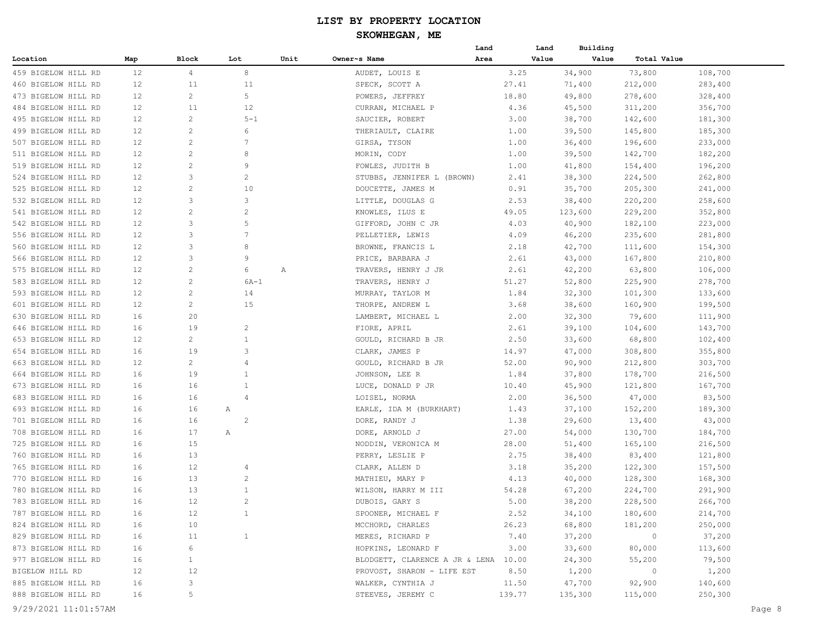|                     |     |                |                |      |                                      | Land   | Land  | Building |                |         |
|---------------------|-----|----------------|----------------|------|--------------------------------------|--------|-------|----------|----------------|---------|
| Location            | Map | Block          | Lot            | Unit | Owner~s Name                         | Area   | Value | Value    | Total Value    |         |
| 459 BIGELOW HILL RD | 12  | 4              | 8              |      | AUDET, LOUIS E                       | 3.25   |       | 34,900   | 73,800         | 108,700 |
| 460 BIGELOW HILL RD | 12  | 11             | 11             |      | SPECK, SCOTT A                       | 27.41  |       | 71,400   | 212,000        | 283,400 |
| 473 BIGELOW HILL RD | 12  | 2              | 5              |      | POWERS, JEFFREY                      | 18.80  |       | 49,800   | 278,600        | 328,400 |
| 484 BIGELOW HILL RD | 12  | 11             | 12             |      | CURRAN, MICHAEL P                    | 4.36   |       | 45,500   | 311,200        | 356,700 |
| 495 BIGELOW HILL RD | 12  | $\overline{c}$ | $5 - 1$        |      | SAUCIER, ROBERT                      | 3.00   |       | 38,700   | 142,600        | 181,300 |
| 499 BIGELOW HILL RD | 12  | 2              | 6              |      | THERIAULT, CLAIRE                    | 1.00   |       | 39,500   | 145,800        | 185,300 |
| 507 BIGELOW HILL RD | 12  | $\overline{c}$ | 7              |      | GIRSA, TYSON                         | 1.00   |       | 36,400   | 196,600        | 233,000 |
| 511 BIGELOW HILL RD | 12  | 2              | 8              |      | MORIN, CODY                          | 1.00   |       | 39,500   | 142,700        | 182,200 |
| 519 BIGELOW HILL RD | 12  | $\overline{c}$ | 9              |      | FOWLES, JUDITH B                     | 1.00   |       | 41,800   | 154,400        | 196,200 |
| 524 BIGELOW HILL RD | 12  | 3              | $\overline{c}$ |      | STUBBS, JENNIFER L (BROWN)           | 2.41   |       | 38,300   | 224,500        | 262,800 |
| 525 BIGELOW HILL RD | 12  | $\overline{c}$ | 10             |      | DOUCETTE, JAMES M                    | 0.91   |       | 35,700   | 205,300        | 241,000 |
| 532 BIGELOW HILL RD | 12  | 3              | 3              |      | LITTLE, DOUGLAS G                    | 2.53   |       | 38,400   | 220,200        | 258,600 |
| 541 BIGELOW HILL RD | 12  | $\overline{c}$ | $\overline{c}$ |      | KNOWLES, ILUS E                      | 49.05  |       | 123,600  | 229,200        | 352,800 |
| 542 BIGELOW HILL RD | 12  | 3              | 5              |      | GIFFORD, JOHN C JR                   | 4.03   |       | 40,900   | 182,100        | 223,000 |
| 556 BIGELOW HILL RD | 12  | 3              | 7              |      | PELLETIER, LEWIS                     | 4.09   |       | 46,200   | 235,600        | 281,800 |
| 560 BIGELOW HILL RD | 12  | 3              | 8              |      | BROWNE, FRANCIS L                    | 2.18   |       | 42,700   | 111,600        | 154,300 |
| 566 BIGELOW HILL RD | 12  | 3              | 9              |      | PRICE, BARBARA J                     | 2.61   |       | 43,000   | 167,800        | 210,800 |
| 575 BIGELOW HILL RD | 12  | 2              | 6              | Α    | TRAVERS, HENRY J JR                  | 2.61   |       | 42,200   | 63,800         | 106,000 |
| 583 BIGELOW HILL RD | 12  | $\overline{c}$ | $6A-1$         |      | TRAVERS, HENRY J                     | 51.27  |       | 52,800   | 225,900        | 278,700 |
| 593 BIGELOW HILL RD | 12  | $\overline{c}$ | 14             |      | MURRAY, TAYLOR M                     | 1.84   |       | 32,300   | 101,300        | 133,600 |
| 601 BIGELOW HILL RD | 12  | $\overline{c}$ | 15             |      | THORPE, ANDREW L                     | 3.68   |       | 38,600   | 160,900        | 199,500 |
| 630 BIGELOW HILL RD | 16  | 20             |                |      | LAMBERT, MICHAEL L                   | 2.00   |       | 32,300   | 79,600         | 111,900 |
| 646 BIGELOW HILL RD | 16  | 19             | $\overline{c}$ |      | FIORE, APRIL                         | 2.61   |       | 39,100   | 104,600        | 143,700 |
| 653 BIGELOW HILL RD | 12  | $\overline{c}$ | 1              |      | GOULD, RICHARD B JR                  | 2.50   |       | 33,600   | 68,800         | 102,400 |
| 654 BIGELOW HILL RD | 16  | 19             | 3              |      | CLARK, JAMES P                       | 14.97  |       | 47,000   | 308,800        | 355,800 |
| 663 BIGELOW HILL RD | 12  | 2              | 4              |      | GOULD, RICHARD B JR                  | 52.00  |       | 90,900   | 212,800        | 303,700 |
| 664 BIGELOW HILL RD | 16  | 19             | 1              |      | JOHNSON, LEE R                       | 1.84   |       | 37,800   | 178,700        | 216,500 |
| 673 BIGELOW HILL RD | 16  | 16             | 1              |      | LUCE, DONALD P JR                    | 10.40  |       | 45,900   | 121,800        | 167,700 |
| 683 BIGELOW HILL RD | 16  | 16             | $\overline{4}$ |      | LOISEL, NORMA                        | 2.00   |       | 36,500   | 47,000         | 83,500  |
| 693 BIGELOW HILL RD | 16  | 16             | Α              |      | EARLE, IDA M (BURKHART)              | 1.43   |       | 37,100   | 152,200        | 189,300 |
| 701 BIGELOW HILL RD | 16  | 16             | $\overline{c}$ |      | DORE, RANDY J                        | 1.38   |       | 29,600   | 13,400         | 43,000  |
| 708 BIGELOW HILL RD | 16  | 17             | Α              |      | DORE, ARNOLD J                       | 27.00  |       | 54,000   | 130,700        | 184,700 |
| 725 BIGELOW HILL RD | 16  | 15             |                |      | NODDIN, VERONICA M                   | 28.00  |       | 51,400   | 165,100        | 216,500 |
| 760 BIGELOW HILL RD | 16  | 13             |                |      | PERRY, LESLIE P                      | 2.75   |       | 38,400   | 83,400         | 121,800 |
| 765 BIGELOW HILL RD | 16  | 12             | 4              |      | CLARK, ALLEN D                       | 3.18   |       | 35,200   | 122,300        | 157,500 |
| 770 BIGELOW HILL RD | 16  | 13             | $\overline{c}$ |      | MATHIEU, MARY P                      | 4.13   |       | 40,000   | 128,300        | 168,300 |
| 780 BIGELOW HILL RD | 16  | 13             | $\mathbf{1}$   |      | WILSON, HARRY M III                  | 54.28  |       | 67,200   | 224,700        | 291,900 |
| 783 BIGELOW HILL RD | 16  | 12             | $\overline{c}$ |      | DUBOIS, GARY S                       | 5.00   |       | 38,200   | 228,500        | 266,700 |
| 787 BIGELOW HILL RD | 16  | 12             | $\mathbf{1}$   |      | SPOONER, MICHAEL F                   | 2.52   |       | 34,100   | 180,600        | 214,700 |
| 824 BIGELOW HILL RD | 16  | 10             |                |      | MCCHORD, CHARLES                     | 26.23  |       | 68,800   | 181,200        | 250,000 |
| 829 BIGELOW HILL RD | 16  | 11             | $\mathbf{1}$   |      | MERES, RICHARD P                     | 7.40   |       | 37,200   | $\overline{0}$ | 37,200  |
| 873 BIGELOW HILL RD | 16  | 6              |                |      | HOPKINS, LEONARD F                   | 3.00   |       | 33,600   | 80,000         | 113,600 |
| 977 BIGELOW HILL RD | 16  | $\mathbf{1}$   |                |      | BLODGETT, CLARENCE A JR & LENA 10.00 |        |       | 24,300   | 55,200         | 79,500  |
| BIGELOW HILL RD     | 12  | 12             |                |      | PROVOST, SHARON - LIFE EST           | 8.50   |       | 1,200    | $\sim$ 0       | 1,200   |
| 885 BIGELOW HILL RD | 16  | 3              |                |      | WALKER, CYNTHIA J                    | 11.50  |       | 47,700   | 92,900         | 140,600 |
| 888 BIGELOW HILL RD | 16  | 5              |                |      | STEEVES, JEREMY C                    | 139.77 |       | 135,300  | 115,000        | 250,300 |
|                     |     |                |                |      |                                      |        |       |          |                |         |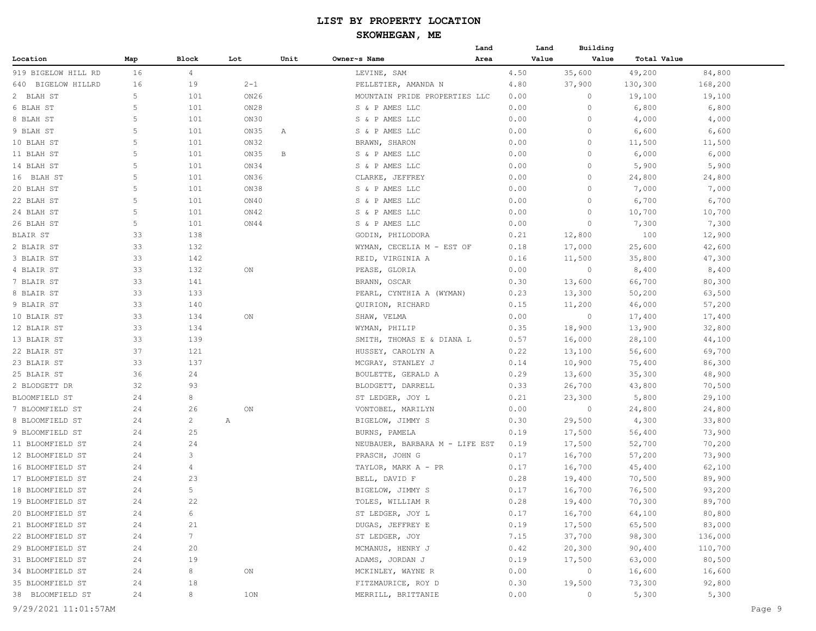## **SKOWHEGAN, ME**

| Location<br>Block<br>Lot<br>Unit<br>Owner~s Name<br>Area<br>Value<br>Value<br>Total Value<br>Map<br>16<br>35,600<br>49,200<br>919 BIGELOW HILL RD<br>$\overline{4}$<br>LEVINE, SAM<br>4.50<br>84,800<br>16<br>$2 - 1$<br>19<br>4.80<br>37,900<br>130,300<br>168,200<br>640 BIGELOW HILLRD<br>PELLETIER, AMANDA N<br>5<br>101<br>ON26<br>0.00<br>$\circ$<br>19,100<br>19,100<br>2 BLAH ST<br>MOUNTAIN PRIDE PROPERTIES LLC<br>5<br>ON28<br>6 BLAH ST<br>101<br>S & P AMES LLC<br>0.00<br>$\circ$<br>6,800<br>6,800<br>5<br>8 BLAH ST<br>101<br>ON30<br>S & P AMES LLC<br>0.00<br>$\circ$<br>4,000<br>4,000<br>5<br>6,600<br>9 BLAH ST<br>101<br>ON35<br>S & P AMES LLC<br>0.00<br>0<br>6,600<br>Α<br>5<br>10 BLAH ST<br>101<br>ON32<br>BRAWN, SHARON<br>0.00<br>$\circ$<br>11,500<br>11,500<br>5<br>ON35<br>11 BLAH ST<br>101<br>В<br>S & P AMES LLC<br>0.00<br>$\circ$<br>6,000<br>6,000<br>5<br>14 BLAH ST<br>101<br>ON34<br>S & P AMES LLC<br>0.00<br>$\circ$<br>5,900<br>5,900<br>5<br>ON36<br>101<br>0.00<br>24,800<br>16 BLAH ST<br>CLARKE, JEFFREY<br>0<br>24,800<br>5<br>20 BLAH ST<br>101<br>ON38<br>S & P AMES LLC<br>0.00<br>$\circ$<br>7,000<br>7,000<br>5<br>22 BLAH ST<br>101<br>ON40<br>S & P AMES LLC<br>0.00<br>$\circ$<br>6,700<br>6,700<br>5<br>24 BLAH ST<br>101<br>ON42<br>0.00<br>$\Omega$<br>10,700<br>10,700<br>S & P AMES LLC<br>5<br>26 BLAH ST<br>101<br>ON44<br>S & P AMES LLC<br>0.00<br>7,300<br>7,300<br>0<br>BLAIR ST<br>33<br>138<br>0.21<br>12,800<br>100<br>12,900<br>GODIN, PHILODORA<br>2 BLAIR ST<br>33<br>132<br>WYMAN, CECELIA M - EST OF<br>0.18<br>17,000<br>25,600<br>42,600<br>33<br>142<br>REID, VIRGINIA A<br>35,800<br>47,300<br>3 BLAIR ST<br>0.16<br>11,500<br>33<br>8,400<br>132<br>ON<br>PEASE, GLORIA<br>0.00<br>8,400<br>4 BLAIR ST<br>0<br>33<br>141<br>BRANN, OSCAR<br>0.30<br>13,600<br>66,700<br>80,300<br>7 BLAIR ST<br>33<br>133<br>8 BLAIR ST<br>PEARL, CYNTHIA A (WYMAN)<br>0.23<br>13,300<br>63,500<br>50,200<br>9 BLAIR ST<br>33<br>140<br>0.15<br>11,200<br>57,200<br>QUIRION, RICHARD<br>46,000<br>33<br>10 BLAIR ST<br>134<br>ON<br>SHAW, VELMA<br>0.00<br>$\circ$<br>17,400<br>17,400<br>12 BLAIR ST<br>33<br>134<br>0.35<br>18,900<br>13,900<br>32,800<br>WYMAN, PHILIP<br>33<br>13 BLAIR ST<br>139<br>SMITH, THOMAS E & DIANA L<br>0.57<br>16,000<br>28,100<br>44,100<br>22 BLAIR ST<br>37<br>121<br>0.22<br>13,100<br>56,600<br>69,700<br>HUSSEY, CAROLYN A<br>33<br>137<br>10,900<br>75,400<br>86,300<br>23 BLAIR ST<br>MCGRAY, STANLEY J<br>0.14<br>36<br>24<br>0.29<br>35,300<br>48,900<br>25 BLAIR ST<br>BOULETTE, GERALD A<br>13,600<br>32<br>93<br>2 BLODGETT DR<br>BLODGETT, DARRELL<br>0.33<br>26,700<br>43,800<br>70,500<br>24<br>8<br>0.21<br>23,300<br>5,800<br>29,100<br>BLOOMFIELD ST<br>ST LEDGER, JOY L<br>7 BLOOMFIELD ST<br>24<br>26<br>0.00<br>24,800<br>24,800<br>ON<br>VONTOBEL, MARILYN<br>0<br>8 BLOOMFIELD ST<br>2<br>0.30<br>29,500<br>4,300<br>33,800<br>24<br>Α<br>BIGELOW, JIMMY S<br>25<br>9 BLOOMFIELD ST<br>24<br>BURNS, PAMELA<br>0.19<br>17,500<br>56,400<br>73,900<br>24<br>24<br>17,500<br>52,700<br>70,200<br>11 BLOOMFIELD ST<br>NEUBAUER, BARBARA M - LIFE EST<br>0.19<br>3<br>PRASCH, JOHN G<br>16,700<br>57,200<br>73,900<br>12 BLOOMFIELD ST<br>24<br>0.17<br>24<br>4<br>TAYLOR, MARK A - PR<br>0.17<br>16,700<br>45,400<br>62,100<br>23<br>24<br>0.28<br>89,900<br>17 BLOOMFIELD ST<br>BELL, DAVID F<br>19,400<br>70,500<br>5<br>24<br>0.17<br>16,700<br>76,500<br>93,200<br>BIGELOW, JIMMY S<br>22<br>89,700<br>24<br>TOLES, WILLIAM R<br>0.28<br>19,400<br>70,300<br>20 BLOOMFIELD ST<br>ST LEDGER, JOY L<br>0.17<br>16,700<br>64,100<br>80,800<br>24<br>6<br>21 BLOOMFIELD ST<br>DUGAS, JEFFREY E<br>0.19<br>17,500<br>65,500<br>83,000<br>24<br>21<br>7<br>ST LEDGER, JOY<br>37,700<br>24<br>7.15<br>98,300<br>136,000<br>0.42<br>20,300<br>29 BLOOMFIELD ST<br>24<br>20<br>MCMANUS, HENRY J<br>90,400<br>110,700<br>0.19<br>17,500<br>80,500<br>31 BLOOMFIELD ST<br>24<br>19<br>ADAMS, JORDAN J<br>63,000<br>34 BLOOMFIELD ST<br>8<br>0.00<br>$\overline{0}$<br>16,600<br>24<br>MCKINLEY, WAYNE R<br>16,600<br>ON<br>92,800<br>35 BLOOMFIELD ST<br>24<br>18<br>FITZMAURICE, ROY D<br>0.30<br>19,500<br>73,300<br>38 BLOOMFIELD ST<br>24<br>8<br>0.00<br>5,300<br>5,300<br>10N<br>MERRILL, BRITTANIE<br>$\circ$ |                  |  |  | Land | Land | Building |  |
|-----------------------------------------------------------------------------------------------------------------------------------------------------------------------------------------------------------------------------------------------------------------------------------------------------------------------------------------------------------------------------------------------------------------------------------------------------------------------------------------------------------------------------------------------------------------------------------------------------------------------------------------------------------------------------------------------------------------------------------------------------------------------------------------------------------------------------------------------------------------------------------------------------------------------------------------------------------------------------------------------------------------------------------------------------------------------------------------------------------------------------------------------------------------------------------------------------------------------------------------------------------------------------------------------------------------------------------------------------------------------------------------------------------------------------------------------------------------------------------------------------------------------------------------------------------------------------------------------------------------------------------------------------------------------------------------------------------------------------------------------------------------------------------------------------------------------------------------------------------------------------------------------------------------------------------------------------------------------------------------------------------------------------------------------------------------------------------------------------------------------------------------------------------------------------------------------------------------------------------------------------------------------------------------------------------------------------------------------------------------------------------------------------------------------------------------------------------------------------------------------------------------------------------------------------------------------------------------------------------------------------------------------------------------------------------------------------------------------------------------------------------------------------------------------------------------------------------------------------------------------------------------------------------------------------------------------------------------------------------------------------------------------------------------------------------------------------------------------------------------------------------------------------------------------------------------------------------------------------------------------------------------------------------------------------------------------------------------------------------------------------------------------------------------------------------------------------------------------------------------------------------------------------------------------------------------------------------------------------------------------------------------------------------------------------------------------------------------------------------------------------------------------------------------------------------------------------------------------------------------------------------------------------------------------------------------------------------------------------------------------------------------------------------------------------------------------------------------------------------------------------------------------------------------------------------------------------------------------------------------------------------------------------------------------------------------------------------|------------------|--|--|------|------|----------|--|
|                                                                                                                                                                                                                                                                                                                                                                                                                                                                                                                                                                                                                                                                                                                                                                                                                                                                                                                                                                                                                                                                                                                                                                                                                                                                                                                                                                                                                                                                                                                                                                                                                                                                                                                                                                                                                                                                                                                                                                                                                                                                                                                                                                                                                                                                                                                                                                                                                                                                                                                                                                                                                                                                                                                                                                                                                                                                                                                                                                                                                                                                                                                                                                                                                                                                                                                                                                                                                                                                                                                                                                                                                                                                                                                                                                                                                                                                                                                                                                                                                                                                                                                                                                                                                                                                                                                                   |                  |  |  |      |      |          |  |
|                                                                                                                                                                                                                                                                                                                                                                                                                                                                                                                                                                                                                                                                                                                                                                                                                                                                                                                                                                                                                                                                                                                                                                                                                                                                                                                                                                                                                                                                                                                                                                                                                                                                                                                                                                                                                                                                                                                                                                                                                                                                                                                                                                                                                                                                                                                                                                                                                                                                                                                                                                                                                                                                                                                                                                                                                                                                                                                                                                                                                                                                                                                                                                                                                                                                                                                                                                                                                                                                                                                                                                                                                                                                                                                                                                                                                                                                                                                                                                                                                                                                                                                                                                                                                                                                                                                                   |                  |  |  |      |      |          |  |
|                                                                                                                                                                                                                                                                                                                                                                                                                                                                                                                                                                                                                                                                                                                                                                                                                                                                                                                                                                                                                                                                                                                                                                                                                                                                                                                                                                                                                                                                                                                                                                                                                                                                                                                                                                                                                                                                                                                                                                                                                                                                                                                                                                                                                                                                                                                                                                                                                                                                                                                                                                                                                                                                                                                                                                                                                                                                                                                                                                                                                                                                                                                                                                                                                                                                                                                                                                                                                                                                                                                                                                                                                                                                                                                                                                                                                                                                                                                                                                                                                                                                                                                                                                                                                                                                                                                                   |                  |  |  |      |      |          |  |
|                                                                                                                                                                                                                                                                                                                                                                                                                                                                                                                                                                                                                                                                                                                                                                                                                                                                                                                                                                                                                                                                                                                                                                                                                                                                                                                                                                                                                                                                                                                                                                                                                                                                                                                                                                                                                                                                                                                                                                                                                                                                                                                                                                                                                                                                                                                                                                                                                                                                                                                                                                                                                                                                                                                                                                                                                                                                                                                                                                                                                                                                                                                                                                                                                                                                                                                                                                                                                                                                                                                                                                                                                                                                                                                                                                                                                                                                                                                                                                                                                                                                                                                                                                                                                                                                                                                                   |                  |  |  |      |      |          |  |
|                                                                                                                                                                                                                                                                                                                                                                                                                                                                                                                                                                                                                                                                                                                                                                                                                                                                                                                                                                                                                                                                                                                                                                                                                                                                                                                                                                                                                                                                                                                                                                                                                                                                                                                                                                                                                                                                                                                                                                                                                                                                                                                                                                                                                                                                                                                                                                                                                                                                                                                                                                                                                                                                                                                                                                                                                                                                                                                                                                                                                                                                                                                                                                                                                                                                                                                                                                                                                                                                                                                                                                                                                                                                                                                                                                                                                                                                                                                                                                                                                                                                                                                                                                                                                                                                                                                                   |                  |  |  |      |      |          |  |
|                                                                                                                                                                                                                                                                                                                                                                                                                                                                                                                                                                                                                                                                                                                                                                                                                                                                                                                                                                                                                                                                                                                                                                                                                                                                                                                                                                                                                                                                                                                                                                                                                                                                                                                                                                                                                                                                                                                                                                                                                                                                                                                                                                                                                                                                                                                                                                                                                                                                                                                                                                                                                                                                                                                                                                                                                                                                                                                                                                                                                                                                                                                                                                                                                                                                                                                                                                                                                                                                                                                                                                                                                                                                                                                                                                                                                                                                                                                                                                                                                                                                                                                                                                                                                                                                                                                                   |                  |  |  |      |      |          |  |
|                                                                                                                                                                                                                                                                                                                                                                                                                                                                                                                                                                                                                                                                                                                                                                                                                                                                                                                                                                                                                                                                                                                                                                                                                                                                                                                                                                                                                                                                                                                                                                                                                                                                                                                                                                                                                                                                                                                                                                                                                                                                                                                                                                                                                                                                                                                                                                                                                                                                                                                                                                                                                                                                                                                                                                                                                                                                                                                                                                                                                                                                                                                                                                                                                                                                                                                                                                                                                                                                                                                                                                                                                                                                                                                                                                                                                                                                                                                                                                                                                                                                                                                                                                                                                                                                                                                                   |                  |  |  |      |      |          |  |
|                                                                                                                                                                                                                                                                                                                                                                                                                                                                                                                                                                                                                                                                                                                                                                                                                                                                                                                                                                                                                                                                                                                                                                                                                                                                                                                                                                                                                                                                                                                                                                                                                                                                                                                                                                                                                                                                                                                                                                                                                                                                                                                                                                                                                                                                                                                                                                                                                                                                                                                                                                                                                                                                                                                                                                                                                                                                                                                                                                                                                                                                                                                                                                                                                                                                                                                                                                                                                                                                                                                                                                                                                                                                                                                                                                                                                                                                                                                                                                                                                                                                                                                                                                                                                                                                                                                                   |                  |  |  |      |      |          |  |
|                                                                                                                                                                                                                                                                                                                                                                                                                                                                                                                                                                                                                                                                                                                                                                                                                                                                                                                                                                                                                                                                                                                                                                                                                                                                                                                                                                                                                                                                                                                                                                                                                                                                                                                                                                                                                                                                                                                                                                                                                                                                                                                                                                                                                                                                                                                                                                                                                                                                                                                                                                                                                                                                                                                                                                                                                                                                                                                                                                                                                                                                                                                                                                                                                                                                                                                                                                                                                                                                                                                                                                                                                                                                                                                                                                                                                                                                                                                                                                                                                                                                                                                                                                                                                                                                                                                                   |                  |  |  |      |      |          |  |
|                                                                                                                                                                                                                                                                                                                                                                                                                                                                                                                                                                                                                                                                                                                                                                                                                                                                                                                                                                                                                                                                                                                                                                                                                                                                                                                                                                                                                                                                                                                                                                                                                                                                                                                                                                                                                                                                                                                                                                                                                                                                                                                                                                                                                                                                                                                                                                                                                                                                                                                                                                                                                                                                                                                                                                                                                                                                                                                                                                                                                                                                                                                                                                                                                                                                                                                                                                                                                                                                                                                                                                                                                                                                                                                                                                                                                                                                                                                                                                                                                                                                                                                                                                                                                                                                                                                                   |                  |  |  |      |      |          |  |
|                                                                                                                                                                                                                                                                                                                                                                                                                                                                                                                                                                                                                                                                                                                                                                                                                                                                                                                                                                                                                                                                                                                                                                                                                                                                                                                                                                                                                                                                                                                                                                                                                                                                                                                                                                                                                                                                                                                                                                                                                                                                                                                                                                                                                                                                                                                                                                                                                                                                                                                                                                                                                                                                                                                                                                                                                                                                                                                                                                                                                                                                                                                                                                                                                                                                                                                                                                                                                                                                                                                                                                                                                                                                                                                                                                                                                                                                                                                                                                                                                                                                                                                                                                                                                                                                                                                                   |                  |  |  |      |      |          |  |
|                                                                                                                                                                                                                                                                                                                                                                                                                                                                                                                                                                                                                                                                                                                                                                                                                                                                                                                                                                                                                                                                                                                                                                                                                                                                                                                                                                                                                                                                                                                                                                                                                                                                                                                                                                                                                                                                                                                                                                                                                                                                                                                                                                                                                                                                                                                                                                                                                                                                                                                                                                                                                                                                                                                                                                                                                                                                                                                                                                                                                                                                                                                                                                                                                                                                                                                                                                                                                                                                                                                                                                                                                                                                                                                                                                                                                                                                                                                                                                                                                                                                                                                                                                                                                                                                                                                                   |                  |  |  |      |      |          |  |
|                                                                                                                                                                                                                                                                                                                                                                                                                                                                                                                                                                                                                                                                                                                                                                                                                                                                                                                                                                                                                                                                                                                                                                                                                                                                                                                                                                                                                                                                                                                                                                                                                                                                                                                                                                                                                                                                                                                                                                                                                                                                                                                                                                                                                                                                                                                                                                                                                                                                                                                                                                                                                                                                                                                                                                                                                                                                                                                                                                                                                                                                                                                                                                                                                                                                                                                                                                                                                                                                                                                                                                                                                                                                                                                                                                                                                                                                                                                                                                                                                                                                                                                                                                                                                                                                                                                                   |                  |  |  |      |      |          |  |
|                                                                                                                                                                                                                                                                                                                                                                                                                                                                                                                                                                                                                                                                                                                                                                                                                                                                                                                                                                                                                                                                                                                                                                                                                                                                                                                                                                                                                                                                                                                                                                                                                                                                                                                                                                                                                                                                                                                                                                                                                                                                                                                                                                                                                                                                                                                                                                                                                                                                                                                                                                                                                                                                                                                                                                                                                                                                                                                                                                                                                                                                                                                                                                                                                                                                                                                                                                                                                                                                                                                                                                                                                                                                                                                                                                                                                                                                                                                                                                                                                                                                                                                                                                                                                                                                                                                                   |                  |  |  |      |      |          |  |
|                                                                                                                                                                                                                                                                                                                                                                                                                                                                                                                                                                                                                                                                                                                                                                                                                                                                                                                                                                                                                                                                                                                                                                                                                                                                                                                                                                                                                                                                                                                                                                                                                                                                                                                                                                                                                                                                                                                                                                                                                                                                                                                                                                                                                                                                                                                                                                                                                                                                                                                                                                                                                                                                                                                                                                                                                                                                                                                                                                                                                                                                                                                                                                                                                                                                                                                                                                                                                                                                                                                                                                                                                                                                                                                                                                                                                                                                                                                                                                                                                                                                                                                                                                                                                                                                                                                                   |                  |  |  |      |      |          |  |
|                                                                                                                                                                                                                                                                                                                                                                                                                                                                                                                                                                                                                                                                                                                                                                                                                                                                                                                                                                                                                                                                                                                                                                                                                                                                                                                                                                                                                                                                                                                                                                                                                                                                                                                                                                                                                                                                                                                                                                                                                                                                                                                                                                                                                                                                                                                                                                                                                                                                                                                                                                                                                                                                                                                                                                                                                                                                                                                                                                                                                                                                                                                                                                                                                                                                                                                                                                                                                                                                                                                                                                                                                                                                                                                                                                                                                                                                                                                                                                                                                                                                                                                                                                                                                                                                                                                                   |                  |  |  |      |      |          |  |
|                                                                                                                                                                                                                                                                                                                                                                                                                                                                                                                                                                                                                                                                                                                                                                                                                                                                                                                                                                                                                                                                                                                                                                                                                                                                                                                                                                                                                                                                                                                                                                                                                                                                                                                                                                                                                                                                                                                                                                                                                                                                                                                                                                                                                                                                                                                                                                                                                                                                                                                                                                                                                                                                                                                                                                                                                                                                                                                                                                                                                                                                                                                                                                                                                                                                                                                                                                                                                                                                                                                                                                                                                                                                                                                                                                                                                                                                                                                                                                                                                                                                                                                                                                                                                                                                                                                                   |                  |  |  |      |      |          |  |
|                                                                                                                                                                                                                                                                                                                                                                                                                                                                                                                                                                                                                                                                                                                                                                                                                                                                                                                                                                                                                                                                                                                                                                                                                                                                                                                                                                                                                                                                                                                                                                                                                                                                                                                                                                                                                                                                                                                                                                                                                                                                                                                                                                                                                                                                                                                                                                                                                                                                                                                                                                                                                                                                                                                                                                                                                                                                                                                                                                                                                                                                                                                                                                                                                                                                                                                                                                                                                                                                                                                                                                                                                                                                                                                                                                                                                                                                                                                                                                                                                                                                                                                                                                                                                                                                                                                                   |                  |  |  |      |      |          |  |
|                                                                                                                                                                                                                                                                                                                                                                                                                                                                                                                                                                                                                                                                                                                                                                                                                                                                                                                                                                                                                                                                                                                                                                                                                                                                                                                                                                                                                                                                                                                                                                                                                                                                                                                                                                                                                                                                                                                                                                                                                                                                                                                                                                                                                                                                                                                                                                                                                                                                                                                                                                                                                                                                                                                                                                                                                                                                                                                                                                                                                                                                                                                                                                                                                                                                                                                                                                                                                                                                                                                                                                                                                                                                                                                                                                                                                                                                                                                                                                                                                                                                                                                                                                                                                                                                                                                                   |                  |  |  |      |      |          |  |
|                                                                                                                                                                                                                                                                                                                                                                                                                                                                                                                                                                                                                                                                                                                                                                                                                                                                                                                                                                                                                                                                                                                                                                                                                                                                                                                                                                                                                                                                                                                                                                                                                                                                                                                                                                                                                                                                                                                                                                                                                                                                                                                                                                                                                                                                                                                                                                                                                                                                                                                                                                                                                                                                                                                                                                                                                                                                                                                                                                                                                                                                                                                                                                                                                                                                                                                                                                                                                                                                                                                                                                                                                                                                                                                                                                                                                                                                                                                                                                                                                                                                                                                                                                                                                                                                                                                                   |                  |  |  |      |      |          |  |
|                                                                                                                                                                                                                                                                                                                                                                                                                                                                                                                                                                                                                                                                                                                                                                                                                                                                                                                                                                                                                                                                                                                                                                                                                                                                                                                                                                                                                                                                                                                                                                                                                                                                                                                                                                                                                                                                                                                                                                                                                                                                                                                                                                                                                                                                                                                                                                                                                                                                                                                                                                                                                                                                                                                                                                                                                                                                                                                                                                                                                                                                                                                                                                                                                                                                                                                                                                                                                                                                                                                                                                                                                                                                                                                                                                                                                                                                                                                                                                                                                                                                                                                                                                                                                                                                                                                                   |                  |  |  |      |      |          |  |
|                                                                                                                                                                                                                                                                                                                                                                                                                                                                                                                                                                                                                                                                                                                                                                                                                                                                                                                                                                                                                                                                                                                                                                                                                                                                                                                                                                                                                                                                                                                                                                                                                                                                                                                                                                                                                                                                                                                                                                                                                                                                                                                                                                                                                                                                                                                                                                                                                                                                                                                                                                                                                                                                                                                                                                                                                                                                                                                                                                                                                                                                                                                                                                                                                                                                                                                                                                                                                                                                                                                                                                                                                                                                                                                                                                                                                                                                                                                                                                                                                                                                                                                                                                                                                                                                                                                                   |                  |  |  |      |      |          |  |
|                                                                                                                                                                                                                                                                                                                                                                                                                                                                                                                                                                                                                                                                                                                                                                                                                                                                                                                                                                                                                                                                                                                                                                                                                                                                                                                                                                                                                                                                                                                                                                                                                                                                                                                                                                                                                                                                                                                                                                                                                                                                                                                                                                                                                                                                                                                                                                                                                                                                                                                                                                                                                                                                                                                                                                                                                                                                                                                                                                                                                                                                                                                                                                                                                                                                                                                                                                                                                                                                                                                                                                                                                                                                                                                                                                                                                                                                                                                                                                                                                                                                                                                                                                                                                                                                                                                                   |                  |  |  |      |      |          |  |
|                                                                                                                                                                                                                                                                                                                                                                                                                                                                                                                                                                                                                                                                                                                                                                                                                                                                                                                                                                                                                                                                                                                                                                                                                                                                                                                                                                                                                                                                                                                                                                                                                                                                                                                                                                                                                                                                                                                                                                                                                                                                                                                                                                                                                                                                                                                                                                                                                                                                                                                                                                                                                                                                                                                                                                                                                                                                                                                                                                                                                                                                                                                                                                                                                                                                                                                                                                                                                                                                                                                                                                                                                                                                                                                                                                                                                                                                                                                                                                                                                                                                                                                                                                                                                                                                                                                                   |                  |  |  |      |      |          |  |
|                                                                                                                                                                                                                                                                                                                                                                                                                                                                                                                                                                                                                                                                                                                                                                                                                                                                                                                                                                                                                                                                                                                                                                                                                                                                                                                                                                                                                                                                                                                                                                                                                                                                                                                                                                                                                                                                                                                                                                                                                                                                                                                                                                                                                                                                                                                                                                                                                                                                                                                                                                                                                                                                                                                                                                                                                                                                                                                                                                                                                                                                                                                                                                                                                                                                                                                                                                                                                                                                                                                                                                                                                                                                                                                                                                                                                                                                                                                                                                                                                                                                                                                                                                                                                                                                                                                                   |                  |  |  |      |      |          |  |
|                                                                                                                                                                                                                                                                                                                                                                                                                                                                                                                                                                                                                                                                                                                                                                                                                                                                                                                                                                                                                                                                                                                                                                                                                                                                                                                                                                                                                                                                                                                                                                                                                                                                                                                                                                                                                                                                                                                                                                                                                                                                                                                                                                                                                                                                                                                                                                                                                                                                                                                                                                                                                                                                                                                                                                                                                                                                                                                                                                                                                                                                                                                                                                                                                                                                                                                                                                                                                                                                                                                                                                                                                                                                                                                                                                                                                                                                                                                                                                                                                                                                                                                                                                                                                                                                                                                                   |                  |  |  |      |      |          |  |
|                                                                                                                                                                                                                                                                                                                                                                                                                                                                                                                                                                                                                                                                                                                                                                                                                                                                                                                                                                                                                                                                                                                                                                                                                                                                                                                                                                                                                                                                                                                                                                                                                                                                                                                                                                                                                                                                                                                                                                                                                                                                                                                                                                                                                                                                                                                                                                                                                                                                                                                                                                                                                                                                                                                                                                                                                                                                                                                                                                                                                                                                                                                                                                                                                                                                                                                                                                                                                                                                                                                                                                                                                                                                                                                                                                                                                                                                                                                                                                                                                                                                                                                                                                                                                                                                                                                                   |                  |  |  |      |      |          |  |
|                                                                                                                                                                                                                                                                                                                                                                                                                                                                                                                                                                                                                                                                                                                                                                                                                                                                                                                                                                                                                                                                                                                                                                                                                                                                                                                                                                                                                                                                                                                                                                                                                                                                                                                                                                                                                                                                                                                                                                                                                                                                                                                                                                                                                                                                                                                                                                                                                                                                                                                                                                                                                                                                                                                                                                                                                                                                                                                                                                                                                                                                                                                                                                                                                                                                                                                                                                                                                                                                                                                                                                                                                                                                                                                                                                                                                                                                                                                                                                                                                                                                                                                                                                                                                                                                                                                                   |                  |  |  |      |      |          |  |
|                                                                                                                                                                                                                                                                                                                                                                                                                                                                                                                                                                                                                                                                                                                                                                                                                                                                                                                                                                                                                                                                                                                                                                                                                                                                                                                                                                                                                                                                                                                                                                                                                                                                                                                                                                                                                                                                                                                                                                                                                                                                                                                                                                                                                                                                                                                                                                                                                                                                                                                                                                                                                                                                                                                                                                                                                                                                                                                                                                                                                                                                                                                                                                                                                                                                                                                                                                                                                                                                                                                                                                                                                                                                                                                                                                                                                                                                                                                                                                                                                                                                                                                                                                                                                                                                                                                                   |                  |  |  |      |      |          |  |
|                                                                                                                                                                                                                                                                                                                                                                                                                                                                                                                                                                                                                                                                                                                                                                                                                                                                                                                                                                                                                                                                                                                                                                                                                                                                                                                                                                                                                                                                                                                                                                                                                                                                                                                                                                                                                                                                                                                                                                                                                                                                                                                                                                                                                                                                                                                                                                                                                                                                                                                                                                                                                                                                                                                                                                                                                                                                                                                                                                                                                                                                                                                                                                                                                                                                                                                                                                                                                                                                                                                                                                                                                                                                                                                                                                                                                                                                                                                                                                                                                                                                                                                                                                                                                                                                                                                                   |                  |  |  |      |      |          |  |
|                                                                                                                                                                                                                                                                                                                                                                                                                                                                                                                                                                                                                                                                                                                                                                                                                                                                                                                                                                                                                                                                                                                                                                                                                                                                                                                                                                                                                                                                                                                                                                                                                                                                                                                                                                                                                                                                                                                                                                                                                                                                                                                                                                                                                                                                                                                                                                                                                                                                                                                                                                                                                                                                                                                                                                                                                                                                                                                                                                                                                                                                                                                                                                                                                                                                                                                                                                                                                                                                                                                                                                                                                                                                                                                                                                                                                                                                                                                                                                                                                                                                                                                                                                                                                                                                                                                                   |                  |  |  |      |      |          |  |
|                                                                                                                                                                                                                                                                                                                                                                                                                                                                                                                                                                                                                                                                                                                                                                                                                                                                                                                                                                                                                                                                                                                                                                                                                                                                                                                                                                                                                                                                                                                                                                                                                                                                                                                                                                                                                                                                                                                                                                                                                                                                                                                                                                                                                                                                                                                                                                                                                                                                                                                                                                                                                                                                                                                                                                                                                                                                                                                                                                                                                                                                                                                                                                                                                                                                                                                                                                                                                                                                                                                                                                                                                                                                                                                                                                                                                                                                                                                                                                                                                                                                                                                                                                                                                                                                                                                                   |                  |  |  |      |      |          |  |
|                                                                                                                                                                                                                                                                                                                                                                                                                                                                                                                                                                                                                                                                                                                                                                                                                                                                                                                                                                                                                                                                                                                                                                                                                                                                                                                                                                                                                                                                                                                                                                                                                                                                                                                                                                                                                                                                                                                                                                                                                                                                                                                                                                                                                                                                                                                                                                                                                                                                                                                                                                                                                                                                                                                                                                                                                                                                                                                                                                                                                                                                                                                                                                                                                                                                                                                                                                                                                                                                                                                                                                                                                                                                                                                                                                                                                                                                                                                                                                                                                                                                                                                                                                                                                                                                                                                                   |                  |  |  |      |      |          |  |
|                                                                                                                                                                                                                                                                                                                                                                                                                                                                                                                                                                                                                                                                                                                                                                                                                                                                                                                                                                                                                                                                                                                                                                                                                                                                                                                                                                                                                                                                                                                                                                                                                                                                                                                                                                                                                                                                                                                                                                                                                                                                                                                                                                                                                                                                                                                                                                                                                                                                                                                                                                                                                                                                                                                                                                                                                                                                                                                                                                                                                                                                                                                                                                                                                                                                                                                                                                                                                                                                                                                                                                                                                                                                                                                                                                                                                                                                                                                                                                                                                                                                                                                                                                                                                                                                                                                                   |                  |  |  |      |      |          |  |
|                                                                                                                                                                                                                                                                                                                                                                                                                                                                                                                                                                                                                                                                                                                                                                                                                                                                                                                                                                                                                                                                                                                                                                                                                                                                                                                                                                                                                                                                                                                                                                                                                                                                                                                                                                                                                                                                                                                                                                                                                                                                                                                                                                                                                                                                                                                                                                                                                                                                                                                                                                                                                                                                                                                                                                                                                                                                                                                                                                                                                                                                                                                                                                                                                                                                                                                                                                                                                                                                                                                                                                                                                                                                                                                                                                                                                                                                                                                                                                                                                                                                                                                                                                                                                                                                                                                                   |                  |  |  |      |      |          |  |
|                                                                                                                                                                                                                                                                                                                                                                                                                                                                                                                                                                                                                                                                                                                                                                                                                                                                                                                                                                                                                                                                                                                                                                                                                                                                                                                                                                                                                                                                                                                                                                                                                                                                                                                                                                                                                                                                                                                                                                                                                                                                                                                                                                                                                                                                                                                                                                                                                                                                                                                                                                                                                                                                                                                                                                                                                                                                                                                                                                                                                                                                                                                                                                                                                                                                                                                                                                                                                                                                                                                                                                                                                                                                                                                                                                                                                                                                                                                                                                                                                                                                                                                                                                                                                                                                                                                                   | 16 BLOOMFIELD ST |  |  |      |      |          |  |
|                                                                                                                                                                                                                                                                                                                                                                                                                                                                                                                                                                                                                                                                                                                                                                                                                                                                                                                                                                                                                                                                                                                                                                                                                                                                                                                                                                                                                                                                                                                                                                                                                                                                                                                                                                                                                                                                                                                                                                                                                                                                                                                                                                                                                                                                                                                                                                                                                                                                                                                                                                                                                                                                                                                                                                                                                                                                                                                                                                                                                                                                                                                                                                                                                                                                                                                                                                                                                                                                                                                                                                                                                                                                                                                                                                                                                                                                                                                                                                                                                                                                                                                                                                                                                                                                                                                                   |                  |  |  |      |      |          |  |
|                                                                                                                                                                                                                                                                                                                                                                                                                                                                                                                                                                                                                                                                                                                                                                                                                                                                                                                                                                                                                                                                                                                                                                                                                                                                                                                                                                                                                                                                                                                                                                                                                                                                                                                                                                                                                                                                                                                                                                                                                                                                                                                                                                                                                                                                                                                                                                                                                                                                                                                                                                                                                                                                                                                                                                                                                                                                                                                                                                                                                                                                                                                                                                                                                                                                                                                                                                                                                                                                                                                                                                                                                                                                                                                                                                                                                                                                                                                                                                                                                                                                                                                                                                                                                                                                                                                                   | 18 BLOOMFIELD ST |  |  |      |      |          |  |
|                                                                                                                                                                                                                                                                                                                                                                                                                                                                                                                                                                                                                                                                                                                                                                                                                                                                                                                                                                                                                                                                                                                                                                                                                                                                                                                                                                                                                                                                                                                                                                                                                                                                                                                                                                                                                                                                                                                                                                                                                                                                                                                                                                                                                                                                                                                                                                                                                                                                                                                                                                                                                                                                                                                                                                                                                                                                                                                                                                                                                                                                                                                                                                                                                                                                                                                                                                                                                                                                                                                                                                                                                                                                                                                                                                                                                                                                                                                                                                                                                                                                                                                                                                                                                                                                                                                                   | 19 BLOOMFIELD ST |  |  |      |      |          |  |
|                                                                                                                                                                                                                                                                                                                                                                                                                                                                                                                                                                                                                                                                                                                                                                                                                                                                                                                                                                                                                                                                                                                                                                                                                                                                                                                                                                                                                                                                                                                                                                                                                                                                                                                                                                                                                                                                                                                                                                                                                                                                                                                                                                                                                                                                                                                                                                                                                                                                                                                                                                                                                                                                                                                                                                                                                                                                                                                                                                                                                                                                                                                                                                                                                                                                                                                                                                                                                                                                                                                                                                                                                                                                                                                                                                                                                                                                                                                                                                                                                                                                                                                                                                                                                                                                                                                                   |                  |  |  |      |      |          |  |
|                                                                                                                                                                                                                                                                                                                                                                                                                                                                                                                                                                                                                                                                                                                                                                                                                                                                                                                                                                                                                                                                                                                                                                                                                                                                                                                                                                                                                                                                                                                                                                                                                                                                                                                                                                                                                                                                                                                                                                                                                                                                                                                                                                                                                                                                                                                                                                                                                                                                                                                                                                                                                                                                                                                                                                                                                                                                                                                                                                                                                                                                                                                                                                                                                                                                                                                                                                                                                                                                                                                                                                                                                                                                                                                                                                                                                                                                                                                                                                                                                                                                                                                                                                                                                                                                                                                                   |                  |  |  |      |      |          |  |
|                                                                                                                                                                                                                                                                                                                                                                                                                                                                                                                                                                                                                                                                                                                                                                                                                                                                                                                                                                                                                                                                                                                                                                                                                                                                                                                                                                                                                                                                                                                                                                                                                                                                                                                                                                                                                                                                                                                                                                                                                                                                                                                                                                                                                                                                                                                                                                                                                                                                                                                                                                                                                                                                                                                                                                                                                                                                                                                                                                                                                                                                                                                                                                                                                                                                                                                                                                                                                                                                                                                                                                                                                                                                                                                                                                                                                                                                                                                                                                                                                                                                                                                                                                                                                                                                                                                                   | 22 BLOOMFIELD ST |  |  |      |      |          |  |
|                                                                                                                                                                                                                                                                                                                                                                                                                                                                                                                                                                                                                                                                                                                                                                                                                                                                                                                                                                                                                                                                                                                                                                                                                                                                                                                                                                                                                                                                                                                                                                                                                                                                                                                                                                                                                                                                                                                                                                                                                                                                                                                                                                                                                                                                                                                                                                                                                                                                                                                                                                                                                                                                                                                                                                                                                                                                                                                                                                                                                                                                                                                                                                                                                                                                                                                                                                                                                                                                                                                                                                                                                                                                                                                                                                                                                                                                                                                                                                                                                                                                                                                                                                                                                                                                                                                                   |                  |  |  |      |      |          |  |
|                                                                                                                                                                                                                                                                                                                                                                                                                                                                                                                                                                                                                                                                                                                                                                                                                                                                                                                                                                                                                                                                                                                                                                                                                                                                                                                                                                                                                                                                                                                                                                                                                                                                                                                                                                                                                                                                                                                                                                                                                                                                                                                                                                                                                                                                                                                                                                                                                                                                                                                                                                                                                                                                                                                                                                                                                                                                                                                                                                                                                                                                                                                                                                                                                                                                                                                                                                                                                                                                                                                                                                                                                                                                                                                                                                                                                                                                                                                                                                                                                                                                                                                                                                                                                                                                                                                                   |                  |  |  |      |      |          |  |
|                                                                                                                                                                                                                                                                                                                                                                                                                                                                                                                                                                                                                                                                                                                                                                                                                                                                                                                                                                                                                                                                                                                                                                                                                                                                                                                                                                                                                                                                                                                                                                                                                                                                                                                                                                                                                                                                                                                                                                                                                                                                                                                                                                                                                                                                                                                                                                                                                                                                                                                                                                                                                                                                                                                                                                                                                                                                                                                                                                                                                                                                                                                                                                                                                                                                                                                                                                                                                                                                                                                                                                                                                                                                                                                                                                                                                                                                                                                                                                                                                                                                                                                                                                                                                                                                                                                                   |                  |  |  |      |      |          |  |
|                                                                                                                                                                                                                                                                                                                                                                                                                                                                                                                                                                                                                                                                                                                                                                                                                                                                                                                                                                                                                                                                                                                                                                                                                                                                                                                                                                                                                                                                                                                                                                                                                                                                                                                                                                                                                                                                                                                                                                                                                                                                                                                                                                                                                                                                                                                                                                                                                                                                                                                                                                                                                                                                                                                                                                                                                                                                                                                                                                                                                                                                                                                                                                                                                                                                                                                                                                                                                                                                                                                                                                                                                                                                                                                                                                                                                                                                                                                                                                                                                                                                                                                                                                                                                                                                                                                                   |                  |  |  |      |      |          |  |
|                                                                                                                                                                                                                                                                                                                                                                                                                                                                                                                                                                                                                                                                                                                                                                                                                                                                                                                                                                                                                                                                                                                                                                                                                                                                                                                                                                                                                                                                                                                                                                                                                                                                                                                                                                                                                                                                                                                                                                                                                                                                                                                                                                                                                                                                                                                                                                                                                                                                                                                                                                                                                                                                                                                                                                                                                                                                                                                                                                                                                                                                                                                                                                                                                                                                                                                                                                                                                                                                                                                                                                                                                                                                                                                                                                                                                                                                                                                                                                                                                                                                                                                                                                                                                                                                                                                                   |                  |  |  |      |      |          |  |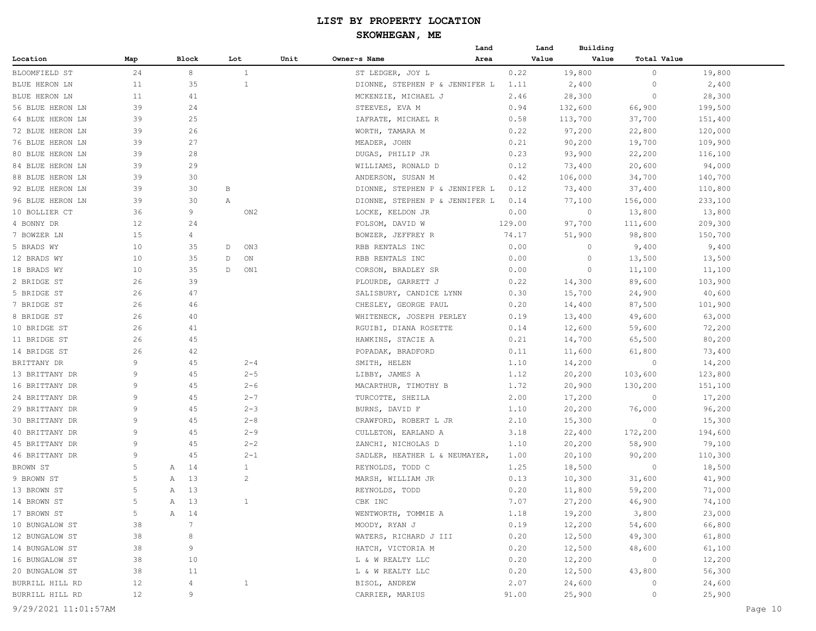|                      |     |   |       |     |                 |      | Land                           |        | Building<br>Land |                    |         |         |
|----------------------|-----|---|-------|-----|-----------------|------|--------------------------------|--------|------------------|--------------------|---------|---------|
| Location             | Map |   | Block | Lot |                 | Unit | Owner~s Name<br>Area           |        | Value<br>Value   | <b>Total Value</b> |         |         |
| BLOOMFIELD ST        | 24  |   | 8     |     | $\mathbf{1}$    |      | ST LEDGER, JOY L               | 0.22   | 19,800           | $\circ$            | 19,800  |         |
| BLUE HERON LN        | 11  |   | 35    |     | $\mathbf{1}$    |      | DIONNE, STEPHEN P & JENNIFER L | 1.11   | 2,400            | $\circ$            | 2,400   |         |
| BLUE HERON LN        | 11  |   | 41    |     |                 |      | MCKENZIE, MICHAEL J            | 2.46   | 28,300           | 0                  | 28,300  |         |
| 56 BLUE HERON LN     | 39  |   | 24    |     |                 |      | STEEVES, EVA M                 | 0.94   | 132,600          | 66,900             | 199,500 |         |
| 64 BLUE HERON LN     | 39  |   | 25    |     |                 |      | IAFRATE, MICHAEL R             | 0.58   | 113,700          | 37,700             | 151,400 |         |
| 72 BLUE HERON LN     | 39  |   | 26    |     |                 |      | WORTH, TAMARA M                | 0.22   | 97,200           | 22,800             | 120,000 |         |
| 76 BLUE HERON LN     | 39  |   | 27    |     |                 |      | MEADER, JOHN                   | 0.21   | 90,200           | 19,700             | 109,900 |         |
| 80 BLUE HERON LN     | 39  |   | 28    |     |                 |      | DUGAS, PHILIP JR               | 0.23   | 93,900           | 22,200             | 116,100 |         |
| 84 BLUE HERON LN     | 39  |   | 29    |     |                 |      | WILLIAMS, RONALD D             | 0.12   | 73,400           | 20,600             | 94,000  |         |
| 88 BLUE HERON LN     | 39  |   | 30    |     |                 |      | ANDERSON, SUSAN M              | 0.42   | 106,000          | 34,700             | 140,700 |         |
| 92 BLUE HERON LN     | 39  |   | 30    | В   |                 |      | DIONNE, STEPHEN P & JENNIFER L | 0.12   | 73,400           | 37,400             | 110,800 |         |
| 96 BLUE HERON LN     | 39  |   | 30    | Α   |                 |      | DIONNE, STEPHEN P & JENNIFER L | 0.14   | 77,100           | 156,000            | 233,100 |         |
| 10 BOLLIER CT        | 36  |   | 9     |     | ON <sub>2</sub> |      | LOCKE, KELDON JR               | 0.00   | $\circ$          | 13,800             | 13,800  |         |
| 4 BONNY DR           | 12  |   | 24    |     |                 |      | FOLSOM, DAVID W                | 129.00 | 97,700           | 111,600            | 209,300 |         |
| 7 BOWZER LN          | 15  |   | 4     |     |                 |      | BOWZER, JEFFREY R              | 74.17  | 51,900           | 98,800             | 150,700 |         |
| 5 BRADS WY           | 10  |   | 35    | D   | ON3             |      | RBB RENTALS INC                | 0.00   | 0                | 9,400              | 9,400   |         |
| 12 BRADS WY          | 10  |   | 35    | D   | ON              |      | RBB RENTALS INC                | 0.00   | 0                | 13,500             | 13,500  |         |
| 18 BRADS WY          | 10  |   | 35    | D   | ON1             |      | CORSON, BRADLEY SR             | 0.00   | $\circ$          | 11,100             | 11,100  |         |
| 2 BRIDGE ST          | 26  |   | 39    |     |                 |      | PLOURDE, GARRETT J             | 0.22   | 14,300           | 89,600             | 103,900 |         |
| 5 BRIDGE ST          | 26  |   | 47    |     |                 |      | SALISBURY, CANDICE LYNN        | 0.30   | 15,700           | 24,900             | 40,600  |         |
| 7 BRIDGE ST          | 26  |   | 46    |     |                 |      | CHESLEY, GEORGE PAUL           | 0.20   | 14,400           | 87,500             | 101,900 |         |
| 8 BRIDGE ST          | 26  |   | 40    |     |                 |      | WHITENECK, JOSEPH PERLEY       | 0.19   | 13,400           | 49,600             | 63,000  |         |
| 10 BRIDGE ST         | 26  |   | 41    |     |                 |      | RGUIBI, DIANA ROSETTE          | 0.14   | 12,600           | 59,600             | 72,200  |         |
| 11 BRIDGE ST         | 26  |   | 45    |     |                 |      | HAWKINS, STACIE A              | 0.21   | 14,700           | 65,500             | 80,200  |         |
| 14 BRIDGE ST         | 26  |   | 42    |     |                 |      | POPADAK, BRADFORD              | 0.11   | 11,600           | 61,800             | 73,400  |         |
| BRITTANY DR          | 9   |   | 45    |     | $2 - 4$         |      | SMITH, HELEN                   | 1.10   | 14,200           | $\circ$            | 14,200  |         |
| 13 BRITTANY DR       | 9   |   | 45    |     | $2 - 5$         |      | LIBBY, JAMES A                 | 1.12   | 20,200           | 103,600            | 123,800 |         |
| 16 BRITTANY DR       | 9   |   | 45    |     | $2 - 6$         |      | MACARTHUR, TIMOTHY B           | 1.72   | 20,900           | 130,200            | 151,100 |         |
| 24 BRITTANY DR       | 9   |   | 45    |     | $2 - 7$         |      | TURCOTTE, SHEILA               | 2.00   | 17,200           | 0                  | 17,200  |         |
| 29 BRITTANY DR       | 9   |   | 45    |     | $2 - 3$         |      | BURNS, DAVID F                 | 1.10   | 20,200           | 76,000             | 96,200  |         |
| 30 BRITTANY DR       | 9   |   | 45    |     | $2 - 8$         |      | CRAWFORD, ROBERT L JR          | 2.10   | 15,300           | 0                  | 15,300  |         |
| 40 BRITTANY DR       | 9   |   | 45    |     | $2 - 9$         |      | CULLETON, EARLAND A            | 3.18   | 22,400           | 172,200            | 194,600 |         |
| 45 BRITTANY DR       | 9   |   | 45    |     | $2 - 2$         |      | ZANCHI, NICHOLAS D             | 1.10   | 20,200           | 58,900             | 79,100  |         |
| 46 BRITTANY DR       | 9   |   | 45    |     | $2 - 1$         |      | SADLER, HEATHER L & NEUMAYER,  | 1.00   | 20,100           | 90,200             | 110,300 |         |
| BROWN ST             | 5   | Α | 14    |     | $\mathbf{1}$    |      | REYNOLDS, TODD C               | 1.25   | 18,500           | 0                  | 18,500  |         |
| 9 BROWN ST           | 5   | Α | 13    |     | $\overline{c}$  |      | MARSH, WILLIAM JR              | 0.13   | 10,300           | 31,600             | 41,900  |         |
| 13 BROWN ST          | 5   | Α | 13    |     |                 |      | REYNOLDS, TODD                 | 0.20   | 11,800           | 59,200             | 71,000  |         |
| 14 BROWN ST          | 5   | Α | $13$  |     | 1               |      | CBK INC                        | 7.07   | 27,200           | 46,900             | 74,100  |         |
| 17 BROWN ST          | 5   |   | A 14  |     |                 |      | WENTWORTH, TOMMIE A            | 1.18   | 19,200           | 3,800              | 23,000  |         |
| 10 BUNGALOW ST       | 38  |   | 7     |     |                 |      | MOODY, RYAN J                  | 0.19   | 12,200           | 54,600             | 66,800  |         |
| 12 BUNGALOW ST       | 38  |   | 8     |     |                 |      | WATERS, RICHARD J III          | 0.20   | 12,500           | 49,300             | 61,800  |         |
| 14 BUNGALOW ST       | 38  |   | 9     |     |                 |      | HATCH, VICTORIA M              | 0.20   | 12,500           | 48,600             | 61,100  |         |
| 16 BUNGALOW ST       | 38  |   | 10    |     |                 |      | L & W REALTY LLC               | 0.20   | 12,200           | $\circ$            | 12,200  |         |
| 20 BUNGALOW ST       | 38  |   | 11    |     |                 |      | L & W REALTY LLC               | 0.20   | 12,500           | 43,800             | 56,300  |         |
| BURRILL HILL RD      | 12  |   | 4     |     | $\mathbf{1}$    |      | BISOL, ANDREW                  | 2.07   | 24,600           | 0                  | 24,600  |         |
| BURRILL HILL RD      | 12  |   | 9     |     |                 |      | CARRIER, MARIUS                | 91.00  | 25,900           | 0                  | 25,900  |         |
| 9/29/2021 11:01:57AM |     |   |       |     |                 |      |                                |        |                  |                    |         | Page 10 |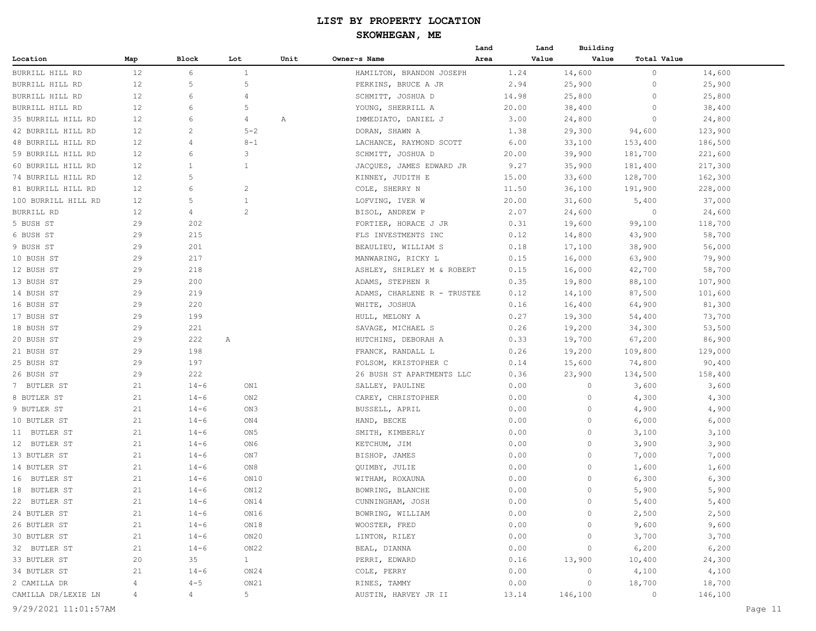|                          |          |                |                        |      |                             | Land  | Land  | Building         |                          |         |         |
|--------------------------|----------|----------------|------------------------|------|-----------------------------|-------|-------|------------------|--------------------------|---------|---------|
| Location                 | Map      | Block          | Lot                    | Unit | Owner~s Name                | Area  | Value | Value            | Total Value              |         |         |
| BURRILL HILL RD          | 12       | 6              | 1                      |      | HAMILTON, BRANDON JOSEPH    | 1.24  |       | 14,600           | 0                        | 14,600  |         |
| BURRILL HILL RD          | 12       | 5              | 5                      |      | PERKINS, BRUCE A JR         | 2.94  |       | 25,900           | 0                        | 25,900  |         |
| BURRILL HILL RD          | 12       | 6              | $\overline{4}$         |      | SCHMITT, JOSHUA D           | 14.98 |       | 25,800           | 0                        | 25,800  |         |
| BURRILL HILL RD          | 12       | 6              | 5                      |      | YOUNG, SHERRILL A           | 20.00 |       | 38,400           | $\circ$                  | 38,400  |         |
| 35 BURRILL HILL RD       | 12       | 6              | 4                      | Α    | IMMEDIATO, DANIEL J         | 3.00  |       | 24,800           | $\circ$                  | 24,800  |         |
| 42 BURRILL HILL RD       | 12       | 2              | $5 - 2$                |      | DORAN, SHAWN A              | 1.38  |       | 29,300           | 94,600                   | 123,900 |         |
| 48 BURRILL HILL RD       | 12       | 4              | $8 - 1$                |      | LACHANCE, RAYMOND SCOTT     | 6.00  |       | 33,100           | 153,400                  | 186,500 |         |
| 59 BURRILL HILL RD       | 12       | 6              | 3                      |      | SCHMITT, JOSHUA D           | 20.00 |       | 39,900           | 181,700                  | 221,600 |         |
| 60 BURRILL HILL RD       | 12       | $\overline{1}$ | $\mathbf{1}$           |      | JACQUES, JAMES EDWARD JR    | 9.27  |       | 35,900           | 181,400                  | 217,300 |         |
| 74 BURRILL HILL RD       | 12       | 5              |                        |      | KINNEY, JUDITH E            | 15.00 |       | 33,600           | 128,700                  | 162,300 |         |
| 81 BURRILL HILL RD       | 12       | 6              | 2                      |      | COLE, SHERRY N              | 11.50 |       | 36,100           | 191,900                  | 228,000 |         |
| 100 BURRILL HILL RD      | 12       | 5              | $\mathbf{1}$           |      | LOFVING, IVER W             | 20.00 |       | 31,600           | 5,400                    | 37,000  |         |
| BURRILL RD               | 12       | 4              | $\overline{c}$         |      | BISOL, ANDREW P             | 2.07  |       | 24,600           | $\circ$                  | 24,600  |         |
| 5 BUSH ST                | 29       | 202            |                        |      | FORTIER, HORACE J JR        | 0.31  |       | 19,600           | 99,100                   | 118,700 |         |
| 6 BUSH ST                | 29       | 215            |                        |      | FLS INVESTMENTS INC         | 0.12  |       | 14,800           | 43,900                   | 58,700  |         |
| 9 BUSH ST                | 29       | 201            |                        |      | BEAULIEU, WILLIAM S         | 0.18  |       | 17,100           | 38,900                   | 56,000  |         |
| 10 BUSH ST               | 29       | 217            |                        |      | MANWARING, RICKY L          | 0.15  |       | 16,000           | 63,900                   | 79,900  |         |
| 12 BUSH ST               | 29       | 218            |                        |      | ASHLEY, SHIRLEY M & ROBERT  | 0.15  |       | 16,000           | 42,700                   | 58,700  |         |
| 13 BUSH ST               | 29       | 200            |                        |      | ADAMS, STEPHEN R            | 0.35  |       | 19,800           | 88,100                   | 107,900 |         |
| 14 BUSH ST               | 29       | 219            |                        |      | ADAMS, CHARLENE R - TRUSTEE | 0.12  |       | 14,100           | 87,500                   | 101,600 |         |
| 16 BUSH ST               | 29       | 220            |                        |      | WHITE, JOSHUA               | 0.16  |       |                  | 64,900                   | 81,300  |         |
|                          | 29       | 199            |                        |      | HULL, MELONY A              | 0.27  |       | 16,400<br>19,300 |                          | 73,700  |         |
| 17 BUSH ST<br>18 BUSH ST | 29       | 221            |                        |      | SAVAGE, MICHAEL S           | 0.26  |       |                  | 54,400                   | 53,500  |         |
|                          | 29       | 222            |                        |      |                             | 0.33  |       | 19,200           | 34,300                   |         |         |
| 20 BUSH ST               | 29       | 198            | Α                      |      | HUTCHINS, DEBORAH A         |       |       | 19,700           | 67,200                   | 86,900  |         |
| 21 BUSH ST               |          |                |                        |      | FRANCK, RANDALL L           | 0.26  |       | 19,200           | 109,800                  | 129,000 |         |
| 25 BUSH ST               | 29<br>29 | 197<br>222     |                        |      | FOLSOM, KRISTOPHER C        | 0.14  |       | 15,600           | 74,800                   | 90,400  |         |
| 26 BUSH ST               |          |                |                        |      | 26 BUSH ST APARTMENTS LLC   | 0.36  |       | 23,900<br>0      | 134,500                  | 158,400 |         |
| 7 BUTLER ST              | 21       | $14 - 6$       | ON1                    |      | SALLEY, PAULINE             | 0.00  |       | $\circ$          | 3,600                    | 3,600   |         |
| 8 BUTLER ST              | 21       | $14 - 6$       | ON2                    |      | CAREY, CHRISTOPHER          | 0.00  |       |                  | 4,300                    | 4,300   |         |
| 9 BUTLER ST              | 21       | $14 - 6$       | ON3                    |      | BUSSELL, APRIL              | 0.00  |       | 0                | 4,900                    | 4,900   |         |
| 10 BUTLER ST             | 21       | $14 - 6$       | ON4                    |      | HAND, BECKE                 | 0.00  |       | 0                | 6,000                    | 6,000   |         |
| 11 BUTLER ST             | 21       | $14 - 6$       | ON 5                   |      | SMITH, KIMBERLY             | 0.00  |       | 0                | 3,100                    | 3,100   |         |
| 12 BUTLER ST             | 21       | $14 - 6$       | ON6                    |      | KETCHUM, JIM                | 0.00  |       | 0                | 3,900                    | 3,900   |         |
| 13 BUTLER ST             | 21       | $14 - 6$       | ON7                    |      | BISHOP, JAMES               | 0.00  |       | 0                | 7,000                    | 7,000   |         |
| 14 BUTLER ST             | 21       | $14 - 6$       | ON8                    |      | QUIMBY, JULIE               | 0.00  |       | 0                | 1,600                    | 1,600   |         |
| 16 BUTLER ST             | 21       | $14 - 6$       | ON10                   |      | WITHAM, ROXAUNA             | 0.00  |       | $\circ$          | 6,300                    | 6,300   |         |
| 18 BUTLER ST             | 21       | $14 - 6$       | ON12                   |      | BOWRING, BLANCHE            | 0.00  |       | 0                | 5,900                    | 5,900   |         |
| 22 BUTLER ST             | 21       | $14 - 6$       | ON14                   |      | CUNNINGHAM, JOSH            | 0.00  |       | 0                | 5,400                    | 5,400   |         |
| 24 BUTLER ST             | 21       | $14 - 6$       | ON16                   |      | BOWRING, WILLIAM            | 0.00  |       | 0                | 2,500                    | 2,500   |         |
| 26 BUTLER ST             | 21       | $14 - 6$       | ON18                   |      | WOOSTER, FRED               | 0.00  |       | 0                | 9,600                    | 9,600   |         |
| 30 BUTLER ST             | 21       | $14 - 6$       | ON20                   |      | LINTON, RILEY               | 0.00  |       | 0                | 3,700                    | 3,700   |         |
| 32 BUTLER ST             | 21       | $14 - 6$       | ON22                   |      | BEAL, DIANNA                | 0.00  |       | 0                | 6,200                    | 6,200   |         |
| 33 BUTLER ST             | 20       | 35             | $1 \quad \blacksquare$ |      | PERRI, EDWARD               | 0.16  |       | 13,900           | 10,400                   | 24,300  |         |
| 34 BUTLER ST             | 21       | $14 - 6$       | ON24                   |      | COLE, PERRY                 | 0.00  |       | $\circ$          | 4,100                    | 4,100   |         |
| 2 CAMILLA DR             | 4        | $4 - 5$        | ON21                   |      | RINES, TAMMY                | 0.00  |       | $\circ$          | 18,700                   | 18,700  |         |
| CAMILLA DR/LEXIE LN      | 4        | $4 -$          | 5 <sup>5</sup>         |      | AUSTIN, HARVEY JR II        | 13.14 |       | 146,100          | $\overline{\phantom{0}}$ | 146,100 |         |
| 9/29/2021 11:01:57AM     |          |                |                        |      |                             |       |       |                  |                          |         | Page 11 |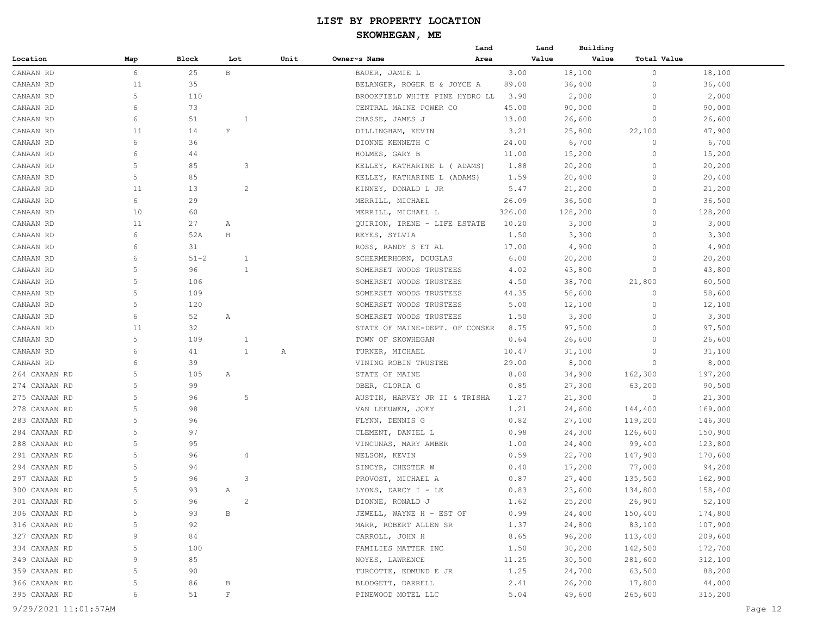|               |        |          |              |                |      | Land                           |        | Building<br>Land |                             |         |
|---------------|--------|----------|--------------|----------------|------|--------------------------------|--------|------------------|-----------------------------|---------|
| Location      | Map    | Block    | Lot          |                | Unit | Owner~s Name<br>Area           |        | Value            | Value<br><b>Total Value</b> |         |
| CANAAN RD     | 6      | 25       | $\mathbf{B}$ |                |      | BAUER, JAMIE L                 | 3.00   | 18,100           | 0                           | 18,100  |
| CANAAN RD     | 11     | 35       |              |                |      | BELANGER, ROGER E & JOYCE A    | 89.00  | 36,400           | 0                           | 36,400  |
| CANAAN RD     | 5      | 110      |              |                |      | BROOKFIELD WHITE PINE HYDRO LL | 3.90   | 2,000            | 0                           | 2,000   |
| CANAAN RD     | 6      | 73       |              |                |      | CENTRAL MAINE POWER CO         | 45.00  | 90,000           | $\circ$                     | 90,000  |
| CANAAN RD     | 6      | 51       |              | 1              |      | CHASSE, JAMES J                | 13.00  | 26,600           | 0                           | 26,600  |
| CANAAN RD     | 11     | 14       | $\mathbf{F}$ |                |      | DILLINGHAM, KEVIN              | 3.21   | 25,800           | 22,100                      | 47,900  |
| CANAAN RD     | 6      | 36       |              |                |      | DIONNE KENNETH C               | 24.00  | 6,700            | 0                           | 6,700   |
| CANAAN RD     | 6      | 44       |              |                |      | HOLMES, GARY B                 | 11.00  | 15,200           | 0                           | 15,200  |
| CANAAN RD     | 5      | 85       |              | 3              |      | KELLEY, KATHARINE L ( ADAMS)   | 1.88   | 20,200           | 0                           | 20,200  |
| CANAAN RD     | 5      | 85       |              |                |      | KELLEY, KATHARINE L (ADAMS)    | 1.59   | 20,400           | 0                           | 20,400  |
| CANAAN RD     | 11     | 13       |              | $\overline{c}$ |      | KINNEY, DONALD L JR            | 5.47   | 21,200           | 0                           | 21,200  |
| CANAAN RD     | 6      | 29       |              |                |      | MERRILL, MICHAEL               | 26.09  | 36,500           | $\circ$                     | 36,500  |
| CANAAN RD     | 10     | 60       |              |                |      | MERRILL, MICHAEL L             | 326.00 | 128,200          | 0                           | 128,200 |
| CANAAN RD     | 11     | 27       | Α            |                |      | QUIRION, IRENE - LIFE ESTATE   | 10.20  | 3,000            | 0                           | 3,000   |
| CANAAN RD     | 6      | 52A      | $\rm H$      |                |      | REYES, SYLVIA                  | 1.50   | 3,300            | $\Omega$                    | 3,300   |
| CANAAN RD     | 6      | 31       |              |                |      | ROSS, RANDY S ET AL            | 17.00  | 4,900            | 0                           | 4,900   |
| CANAAN RD     | 6      | $51 - 2$ |              | $\mathbf{1}$   |      | SCHERMERHORN, DOUGLAS          | 6.00   | 20,200           | 0                           | 20,200  |
| CANAAN RD     | 5      | 96       |              | 1              |      | SOMERSET WOODS TRUSTEES        | 4.02   | 43,800           | 0                           | 43,800  |
| CANAAN RD     | 5      | 106      |              |                |      | SOMERSET WOODS TRUSTEES        | 4.50   | 38,700           | 21,800                      | 60,500  |
| CANAAN RD     | 5      | 109      |              |                |      | SOMERSET WOODS TRUSTEES        | 44.35  | 58,600           | 0                           | 58,600  |
| CANAAN RD     | 5      | 120      |              |                |      | SOMERSET WOODS TRUSTEES        | 5.00   | 12,100           | 0                           | 12,100  |
| CANAAN RD     | 6      | 52       | Α            |                |      | SOMERSET WOODS TRUSTEES        | 1.50   | 3,300            | $\circ$                     | 3,300   |
| CANAAN RD     | 11     | 32       |              |                |      | STATE OF MAINE-DEPT. OF CONSER | 8.75   | 97,500           | 0                           | 97,500  |
| CANAAN RD     | 5      | 109      |              | $\mathbf{1}$   |      | TOWN OF SKOWHEGAN              | 0.64   | 26,600           | 0                           | 26,600  |
| CANAAN RD     | 6      | 41       |              | $\mathbf{1}$   | Α    | TURNER, MICHAEL                | 10.47  | 31,100           | 0                           | 31,100  |
| CANAAN RD     | 6      | 39       |              |                |      | VINING ROBIN TRUSTEE           | 29.00  | 8,000            | 0                           | 8,000   |
| 264 CANAAN RD | 5      | 105      | Α            |                |      | STATE OF MAINE                 | 8.00   | 34,900           | 162,300                     | 197,200 |
| 274 CANAAN RD | 5      | 99       |              |                |      | OBER, GLORIA G                 | 0.85   | 27,300           | 63,200                      | 90,500  |
| 275 CANAAN RD | 5      | 96       |              | 5              |      | AUSTIN, HARVEY JR II & TRISHA  | 1.27   | 21,300           | 0                           | 21,300  |
| 278 CANAAN RD | 5      | 98       |              |                |      | VAN LEEUWEN, JOEY              | 1.21   | 24,600           | 144,400                     | 169,000 |
| 283 CANAAN RD | 5      | 96       |              |                |      | FLYNN, DENNIS G                | 0.82   | 27,100           | 119,200                     | 146,300 |
| 284 CANAAN RD | 5      | 97       |              |                |      | CLEMENT, DANIEL L              | 0.98   | 24,300           | 126,600                     | 150,900 |
| 288 CANAAN RD | 5      | 95       |              |                |      | VINCUNAS, MARY AMBER           | 1.00   | 24,400           | 99,400                      | 123,800 |
| 291 CANAAN RD | 5      | 96       |              | 4              |      | NELSON, KEVIN                  | 0.59   | 22,700           | 147,900                     | 170,600 |
| 294 CANAAN RD | 5      | 94       |              |                |      | SINCYR, CHESTER W              | 0.40   | 17,200           | 77,000                      | 94,200  |
| 297 CANAAN RD | 5      | 96       |              | 3              |      | PROVOST, MICHAEL A             | 0.87   | 27,400           | 135,500                     | 162,900 |
| 300 CANAAN RD | 5      | 93       | Α            |                |      | LYONS, DARCY I - LE            | 0.83   | 23,600           | 134,800                     | 158,400 |
| 301 CANAAN RD |        | 96       |              | 2              |      | DIONNE, RONALD J               | 1.62   | 25,200           | 26,900                      | 52,100  |
| 306 CANAAN RD | 5      | 93       | В            |                |      | JEWELL, WAYNE H - EST OF       | 0.99   | 24,400           |                             | 174,800 |
|               |        |          |              |                |      |                                |        |                  | 150,400                     |         |
| 316 CANAAN RD | 5<br>9 | 92       |              |                |      | MARR, ROBERT ALLEN SR          | 1.37   | 24,800           | 83,100                      | 107,900 |
| 327 CANAAN RD |        | 84       |              |                |      | CARROLL, JOHN H                | 8.65   | 96,200           | 113,400                     | 209,600 |
| 334 CANAAN RD | 5      | 100      |              |                |      | FAMILIES MATTER INC            | 1.50   | 30,200           | 142,500                     | 172,700 |
| 349 CANAAN RD | 9      | 85       |              |                |      | NOYES, LAWRENCE                | 11.25  | 30,500           | 281,600                     | 312,100 |
| 359 CANAAN RD | 5      | 90       |              |                |      | TURCOTTE, EDMUND E JR          | 1.25   | 24,700           | 63,500                      | 88,200  |
| 366 CANAAN RD | 5      | 86       | B            |                |      | BLODGETT, DARRELL              | 2.41   | 26,200           | 17,800                      | 44,000  |
| 395 CANAAN RD | 6      | 51       | $\mathbf F$  |                |      | PINEWOOD MOTEL LLC             | 5.04   | 49,600           | 265,600                     | 315,200 |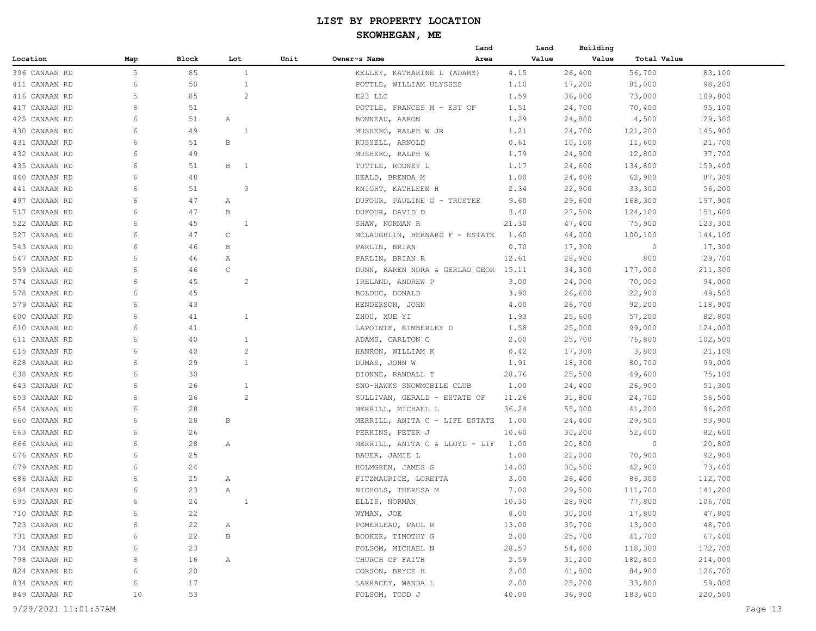## **SKOWHEGAN, ME**

|               |     |          |                |      |                                      | Land | Land  | Building         |             |         |
|---------------|-----|----------|----------------|------|--------------------------------------|------|-------|------------------|-------------|---------|
| Location      | Map | Block    | Lot            | Unit | Owner~s Name                         | Area | Value | Value            | Total Value |         |
| 396 CANAAN RD | 5   | 85       | $\mathbf{1}$   |      | KELLEY, KATHARINE L (ADAMS)          |      | 4.15  | 26,400           | 56,700      | 83,100  |
| 411 CANAAN RD | 6   | 50       | $\mathbf{1}$   |      | POTTLE, WILLIAM ULYSSES              |      | 1.10  | 17,200           | 81,000      | 98,200  |
| 416 CANAAN RD | 5   | 85       | $\overline{c}$ |      | E23 LLC                              |      | 1.59  | 36,800           | 73,000      | 109,800 |
| 417 CANAAN RD | 6   | 51       |                |      | POTTLE, FRANCES M - EST OF           |      | 1.51  | 24,700           | 70,400      | 95,100  |
| 425 CANAAN RD | 6   | 51       | Α              |      | BONNEAU, AARON                       |      | 1.29  | 24,800           | 4,500       | 29,300  |
| 430 CANAAN RD | 6   | 49       | 1              |      | MUSHERO, RALPH W JR                  |      | 1.21  | 24,700           | 121,200     | 145,900 |
| 431 CANAAN RD | 6   | 51       | В              |      | RUSSELL, ARNOLD                      |      | 0.61  | 10,100           | 11,600      | 21,700  |
| 432 CANAAN RD | 6   | 49       |                |      | MUSHERO, RALPH W                     |      | 1.79  | 24,900           | 12,800      | 37,700  |
| 435 CANAAN RD | 6   | 51       | B 1            |      | TUTTLE, RODNEY L                     |      | 1.17  | 24,600           | 134,800     | 159,400 |
| 440 CANAAN RD | 6   | 48       |                |      | HEALD, BRENDA M                      |      | 1.00  | 24,400           | 62,900      | 87,300  |
| 441 CANAAN RD | 6   | 51       | 3              |      | KNIGHT, KATHLEEN H                   |      | 2.34  | 22,900           | 33,300      | 56,200  |
| 497 CANAAN RD | 6   | 47       | Α              |      | DUFOUR, PAULINE G - TRUSTEE          |      | 9.60  | 29,600           | 168,300     | 197,900 |
| 517 CANAAN RD | 6   | 47       | В              |      | DUFOUR, DAVID D                      |      | 3.40  | 27,500           | 124,100     | 151,600 |
| 522 CANAAN RD | 6   | 45       | 1              |      | SHAW, NORMAN R                       |      | 21.30 | 47,400           | 75,900      | 123,300 |
| 527 CANAAN RD | 6   | 47       | C              |      | MCLAUGHLIN, BERNARD F - ESTATE       |      | 1.60  | 44,000           | 100,100     | 144,100 |
| 543 CANAAN RD | 6   | 46       | В              |      | PARLIN, BRIAN                        |      | 0.70  | 17,300           | $\circ$     | 17,300  |
| 547 CANAAN RD | 6   | 46       | Α              |      | PARLIN, BRIAN R                      |      | 12.61 | 28,900           | 800         | 29,700  |
| 559 CANAAN RD | 6   | 46       | C              |      | DUNN, KAREN NORA & GERLAD GEOR 15.11 |      |       | 34,300           | 177,000     | 211,300 |
| 574 CANAAN RD | 6   | 45       | 2              |      | IRELAND, ANDREW P                    |      | 3.00  | 24,000           | 70,000      | 94,000  |
| 578 CANAAN RD | 6   | 45       |                |      | BOLDUC, DONALD                       |      | 3.90  | 26,600           | 22,900      | 49,500  |
| 579 CANAAN RD | 6   | 43       |                |      | HENDERSON, JOHN                      |      | 4.00  | 26,700           | 92,200      | 118,900 |
| 600 CANAAN RD | 6   | 41       | 1              |      | ZHOU, XUE YI                         |      | 1.93  | 25,600           | 57,200      | 82,800  |
| 610 CANAAN RD | 6   | 41       |                |      | LAPOINTE, KIMBERLEY D                |      | 1.58  | 25,000           | 99,000      | 124,000 |
| 611 CANAAN RD | 6   | 40       | $\mathbf{1}$   |      | ADAMS, CARLTON C                     |      | 2.00  | 25,700           | 76,800      | 102,500 |
| 615 CANAAN RD | 6   | 40       | $\overline{c}$ |      | HANRON, WILLIAM K                    |      | 0.42  | 17,300           | 3,800       | 21,100  |
| 628 CANAAN RD | 6   | 29       | 1              |      | DUMAS, JOHN W                        |      | 1.91  | 18,300           | 80,700      | 99,000  |
| 638 CANAAN RD | 6   | 30       |                |      | DIONNE, RANDALL T                    |      | 28.76 | 25,500           | 49,600      | 75,100  |
| 643 CANAAN RD | 6   | 26       | $\mathbf{1}$   |      | SNO-HAWKS SNOWMOBILE CLUB            |      | 1.00  | 24,400           | 26,900      | 51,300  |
| 653 CANAAN RD | 6   | 26       | $\overline{c}$ |      | SULLIVAN, GERALD - ESTATE OF         |      | 11.26 | 31,800           | 24,700      | 56,500  |
| 654 CANAAN RD | 6   | 28       |                |      | MERRILL, MICHAEL L                   |      | 36.24 | 55,000           | 41,200      | 96,200  |
| 660 CANAAN RD | 6   | 28       | В              |      | MERRILL, ANITA C - LIFE ESTATE       |      | 1.00  | 24,400           | 29,500      | 53,900  |
| 663 CANAAN RD | 6   | 26       |                |      | PERKINS, PETER J                     |      | 10.60 | 30,200           | 52,400      | 82,600  |
| 666 CANAAN RD | 6   | 28       | Α              |      | MERRILL, ANITA C & LLOYD - LIF       |      | 1.00  | 20,800           | $\circ$     | 20,800  |
| 676 CANAAN RD | 6   | 25       |                |      | BAUER, JAMIE L                       |      | 1.00  | 22,000           | 70,900      | 92,900  |
| 679 CANAAN RD | 6   | 24       |                |      | HOLMGREN, JAMES S                    |      | 14.00 | 30,500           | 42,900      | 73,400  |
| 686 CANAAN RD | 6   | 25       | Α              |      | FITZMAURICE, LORETTA                 |      | 3.00  | 26,400           | 86,300      | 112,700 |
| 694 CANAAN RD | 6   | 23       | Α              |      | NICHOLS, THERESA M                   |      | 7.00  | 29,500           | 111,700     | 141,200 |
| 695 CANAAN RD | 6   | 24       |                |      | ELLIS, NORMAN                        |      | 10.30 | 28,900           | 77,800      | 106,700 |
| 710 CANAAN RD | 6   |          |                |      | WYMAN, JOE                           |      | 8.00  |                  | 17,800      | 47,800  |
| 723 CANAAN RD | 6   | 22<br>22 | Α              |      |                                      |      | 13.00 | 30,000<br>35,700 | 13,000      | 48,700  |
| 731 CANAAN RD | 6   | 22       | B              |      | POMERLEAU, PAUL R                    |      | 2.00  | 25,700           | 41,700      | 67,400  |
|               |     | 23       |                |      | BOOKER, TIMOTHY G                    |      |       |                  |             |         |
| 734 CANAAN RD | 6   |          |                |      | FOLSOM, MICHAEL N                    |      | 28.57 | 54,400           | 118,300     | 172,700 |
| 798 CANAAN RD |     | 16       | $\mathbb{A}$   |      | CHURCH OF FAITH                      |      | 2.59  | 31,200           | 182,800     | 214,000 |
| 824 CANAAN RD | 6   | 20       |                |      | CORSON, BRYCE H                      |      | 2.00  | 41,800           | 84,900      | 126,700 |
| 834 CANAAN RD | 6   | 17       |                |      | LARRACEY, WANDA L                    |      | 2.00  | 25,200           | 33,800      | 59,000  |
| 849 CANAAN RD | 10  | 53       |                |      | FOLSOM, TODD J                       |      | 40.00 | 36,900           | 183,600     | 220,500 |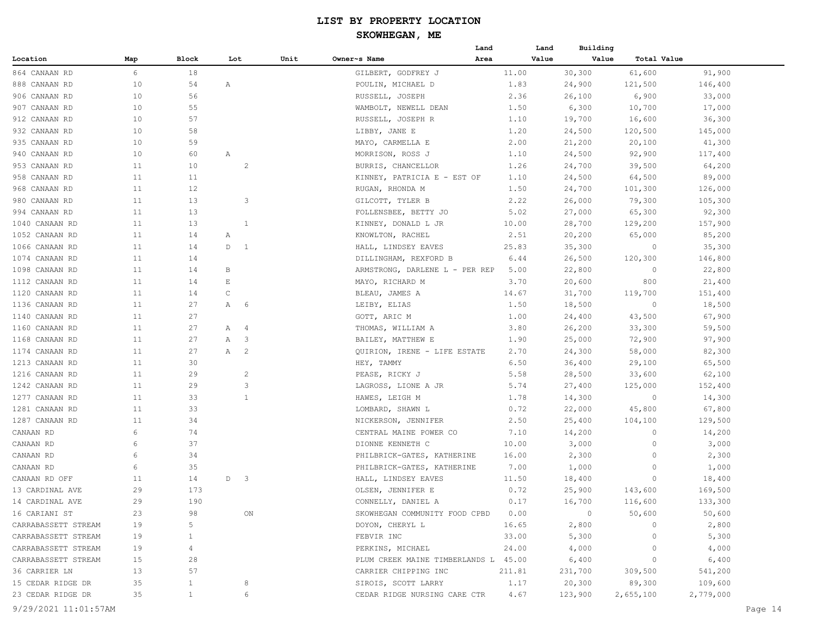## **SKOWHEGAN, ME**

| Value<br>Value<br>Block<br>Unit<br>Owner~s Name<br><b>Total Value</b><br>Location<br>Map<br>Lot<br>Area<br>6<br>30,300<br>61,600<br>91,900<br>864 CANAAN RD<br>18<br>GILBERT, GODFREY J<br>11.00<br>888 CANAAN RD<br>10<br>54<br>POULIN, MICHAEL D<br>1.83<br>24,900<br>121,500<br>146,400<br>Α<br>56<br>10<br>2.36<br>26,100<br>6,900<br>33,000<br>906 CANAAN RD<br>RUSSELL, JOSEPH<br>907 CANAAN RD<br>10<br>55<br>WAMBOLT, NEWELL DEAN<br>6,300<br>10,700<br>17,000<br>1.50<br>57<br>912 CANAAN RD<br>10<br>RUSSELL, JOSEPH R<br>1.10<br>19,700<br>16,600<br>36,300<br>932 CANAAN RD<br>10<br>58<br>LIBBY, JANE E<br>1.20<br>24,500<br>120,500<br>145,000<br>59<br>935 CANAAN RD<br>10<br>MAYO, CARMELLA E<br>2.00<br>21,200<br>20,100<br>41,300<br>940 CANAAN RD<br>10<br>60<br>MORRISON, ROSS J<br>1.10<br>24,500<br>92,900<br>117,400<br>Α<br>$\overline{c}$<br>953 CANAAN RD<br>11<br>10<br>BURRIS, CHANCELLOR<br>1.26<br>24,700<br>39,500<br>64,200<br>958 CANAAN RD<br>11<br>11<br>1.10<br>24,500<br>64,500<br>89,000<br>KINNEY, PATRICIA E - EST OF<br>11<br>12<br>1.50<br>126,000<br>968 CANAAN RD<br>RUGAN, RHONDA M<br>24,700<br>101,300<br>980 CANAAN RD<br>11<br>13<br>3<br>2.22<br>26,000<br>79,300<br>105,300<br>GILCOTT, TYLER B<br>13<br>994 CANAAN RD<br>11<br>FOLLENSBEE, BETTY JO<br>5.02<br>65,300<br>92,300<br>27,000<br>1040 CANAAN RD<br>11<br>13<br>$\mathbf{1}$<br>KINNEY, DONALD L JR<br>10.00<br>28,700<br>129,200<br>157,900<br>1052 CANAAN RD<br>11<br>14<br>KNOWLTON, RACHEL<br>2.51<br>20,200<br>65,000<br>85,200<br>Α<br>1066 CANAAN RD<br>11<br>14<br>D 1<br>25.83<br>35,300<br>35,300<br>HALL, LINDSEY EAVES<br>0<br>1074 CANAAN RD<br>11<br>DILLINGHAM, REXFORD B<br>26,500<br>146,800<br>14<br>6.44<br>120,300<br>1098 CANAAN RD<br>11<br>14<br>ARMSTRONG, DARLENE L - PER REP<br>22,800<br>22,800<br>В<br>5.00<br>$\circ$<br>11<br>14<br>$\mathop{}\mathopen{} E$<br>MAYO, RICHARD M<br>800<br>21,400<br>1112 CANAAN RD<br>3.70<br>20,600<br>$\mathsf C$<br>11<br>14<br>BLEAU, JAMES A<br>14.67<br>31,700<br>119,700<br>151,400<br>1120 CANAAN RD<br>27<br>1136 CANAAN RD<br>11<br>6<br>LEIBY, ELIAS<br>1.50<br>18,500<br>0<br>18,500<br>Α<br>1140 CANAAN RD<br>11<br>27<br>GOTT, ARIC M<br>1.00<br>24,400<br>43,500<br>67,900<br>1160 CANAAN RD<br>11<br>27<br>3.80<br>26,200<br>33,300<br>59,500<br>$\overline{4}$<br>THOMAS, WILLIAM A<br>Α<br>1168 CANAAN RD<br>11<br>27<br>$\overline{\phantom{a}}$<br>BAILEY, MATTHEW E<br>1.90<br>25,000<br>72,900<br>97,900<br>Α<br>27<br>$\overline{c}$<br>1174 CANAAN RD<br>11<br>2.70<br>24,300<br>58,000<br>82,300<br>A<br>QUIRION, IRENE - LIFE ESTATE<br>1213 CANAAN RD<br>11<br>30<br>6.50<br>36,400<br>29,100<br>65,500<br>HEY, TAMMY<br>11<br>29<br>$\overline{c}$<br>5.58<br>28,500<br>33,600<br>62,100<br>1216 CANAAN RD<br>PEASE, RICKY J<br>3<br>1242 CANAAN RD<br>11<br>29<br>5.74<br>27,400<br>125,000<br>152,400<br>LAGROSS, LIONE A JR<br>33<br>$\mathbf{1}$<br>1277 CANAAN RD<br>11<br>1.78<br>14,300<br>$\circ$<br>14,300<br>HAWES, LEIGH M<br>1281 CANAAN RD<br>11<br>33<br>0.72<br>22,000<br>45,800<br>67,800<br>LOMBARD, SHAWN L<br>1287 CANAAN RD<br>11<br>34<br>2.50<br>129,500<br>NICKERSON, JENNIFER<br>25,400<br>104,100<br>CANAAN RD<br>6<br>74<br>7.10<br>14,200<br>14,200<br>CENTRAL MAINE POWER CO<br>0<br>37<br>CANAAN RD<br>6<br>DIONNE KENNETH C<br>3,000<br>$\circ$<br>3,000<br>10.00<br>6<br>34<br>2,300<br>2,300<br>CANAAN RD<br>PHILBRICK-GATES, KATHERINE<br>16.00<br>0<br>6<br>35<br>PHILBRICK-GATES, KATHERINE<br>1,000<br>CANAAN RD<br>7.00<br>1,000<br>0<br>11<br>14<br>$\overline{\phantom{a}}$<br>HALL, LINDSEY EAVES<br>18,400<br>CANAAN RD OFF<br>D<br>11.50<br>18,400<br>0<br>29<br>173<br>169,500<br>OLSEN, JENNIFER E<br>0.72<br>25,900<br>143,600<br>13 CARDINAL AVE<br>29<br>190<br>0.17<br>16,700<br>116,600<br>133,300<br>14 CARDINAL AVE<br>CONNELLY, DANIEL A<br>16 CARIANI ST<br>SKOWHEGAN COMMUNITY FOOD CPBD<br>0.00<br>50,600<br>23<br>98<br>ON<br>$\overline{0}$<br>50,600<br>2,800<br>CARRABASSETT STREAM<br>19<br>5<br>DOYON, CHERYL L<br>16.65<br>2,800<br>$\circ$<br>FEBVIR INC<br>33.00<br>5,300<br>5,300<br>CARRABASSETT STREAM<br>19<br>1<br>$\circ$<br>24.00<br>CARRABASSETT STREAM<br>19<br>PERKINS, MICHAEL<br>4,000<br>4,000<br>4<br>$\circ$<br>15<br>6,400<br>CARRABASSETT STREAM<br>28<br>PLUM CREEK MAINE TIMBERLANDS L 45.00<br>6,400<br>$\circ$<br>36 CARRIER LN<br>13<br>57<br>CARRIER CHIPPING INC<br>211.81<br>231,700<br>309,500<br>541,200<br>1.17<br>89,300<br>109,600<br>15 CEDAR RIDGE DR<br>35<br>$\mathbf{1}$<br>8<br>SIROIS, SCOTT LARRY<br>20,300<br>35<br>$\mathbf{1}$<br>4.67<br>23 CEDAR RIDGE DR<br>6<br>CEDAR RIDGE NURSING CARE CTR<br>123,900<br>2,655,100<br>2,779,000 |  |  |  | Land | Land | Building |  |
|---------------------------------------------------------------------------------------------------------------------------------------------------------------------------------------------------------------------------------------------------------------------------------------------------------------------------------------------------------------------------------------------------------------------------------------------------------------------------------------------------------------------------------------------------------------------------------------------------------------------------------------------------------------------------------------------------------------------------------------------------------------------------------------------------------------------------------------------------------------------------------------------------------------------------------------------------------------------------------------------------------------------------------------------------------------------------------------------------------------------------------------------------------------------------------------------------------------------------------------------------------------------------------------------------------------------------------------------------------------------------------------------------------------------------------------------------------------------------------------------------------------------------------------------------------------------------------------------------------------------------------------------------------------------------------------------------------------------------------------------------------------------------------------------------------------------------------------------------------------------------------------------------------------------------------------------------------------------------------------------------------------------------------------------------------------------------------------------------------------------------------------------------------------------------------------------------------------------------------------------------------------------------------------------------------------------------------------------------------------------------------------------------------------------------------------------------------------------------------------------------------------------------------------------------------------------------------------------------------------------------------------------------------------------------------------------------------------------------------------------------------------------------------------------------------------------------------------------------------------------------------------------------------------------------------------------------------------------------------------------------------------------------------------------------------------------------------------------------------------------------------------------------------------------------------------------------------------------------------------------------------------------------------------------------------------------------------------------------------------------------------------------------------------------------------------------------------------------------------------------------------------------------------------------------------------------------------------------------------------------------------------------------------------------------------------------------------------------------------------------------------------------------------------------------------------------------------------------------------------------------------------------------------------------------------------------------------------------------------------------------------------------------------------------------------------------------------------------------------------------------------------------------------------------------------------------------------------------------------------------------------------------------------------------------------------------------------------------------------------------------------------------------------------------------------------------------------------------------------------------------------------------------------------------------------------------------------------------------------------------------------------------------------------------------------------------------------------------------------------------------------|--|--|--|------|------|----------|--|
|                                                                                                                                                                                                                                                                                                                                                                                                                                                                                                                                                                                                                                                                                                                                                                                                                                                                                                                                                                                                                                                                                                                                                                                                                                                                                                                                                                                                                                                                                                                                                                                                                                                                                                                                                                                                                                                                                                                                                                                                                                                                                                                                                                                                                                                                                                                                                                                                                                                                                                                                                                                                                                                                                                                                                                                                                                                                                                                                                                                                                                                                                                                                                                                                                                                                                                                                                                                                                                                                                                                                                                                                                                                                                                                                                                                                                                                                                                                                                                                                                                                                                                                                                                                                                                                                                                                                                                                                                                                                                                                                                                                                                                                                                                                                                         |  |  |  |      |      |          |  |
|                                                                                                                                                                                                                                                                                                                                                                                                                                                                                                                                                                                                                                                                                                                                                                                                                                                                                                                                                                                                                                                                                                                                                                                                                                                                                                                                                                                                                                                                                                                                                                                                                                                                                                                                                                                                                                                                                                                                                                                                                                                                                                                                                                                                                                                                                                                                                                                                                                                                                                                                                                                                                                                                                                                                                                                                                                                                                                                                                                                                                                                                                                                                                                                                                                                                                                                                                                                                                                                                                                                                                                                                                                                                                                                                                                                                                                                                                                                                                                                                                                                                                                                                                                                                                                                                                                                                                                                                                                                                                                                                                                                                                                                                                                                                                         |  |  |  |      |      |          |  |
|                                                                                                                                                                                                                                                                                                                                                                                                                                                                                                                                                                                                                                                                                                                                                                                                                                                                                                                                                                                                                                                                                                                                                                                                                                                                                                                                                                                                                                                                                                                                                                                                                                                                                                                                                                                                                                                                                                                                                                                                                                                                                                                                                                                                                                                                                                                                                                                                                                                                                                                                                                                                                                                                                                                                                                                                                                                                                                                                                                                                                                                                                                                                                                                                                                                                                                                                                                                                                                                                                                                                                                                                                                                                                                                                                                                                                                                                                                                                                                                                                                                                                                                                                                                                                                                                                                                                                                                                                                                                                                                                                                                                                                                                                                                                                         |  |  |  |      |      |          |  |
|                                                                                                                                                                                                                                                                                                                                                                                                                                                                                                                                                                                                                                                                                                                                                                                                                                                                                                                                                                                                                                                                                                                                                                                                                                                                                                                                                                                                                                                                                                                                                                                                                                                                                                                                                                                                                                                                                                                                                                                                                                                                                                                                                                                                                                                                                                                                                                                                                                                                                                                                                                                                                                                                                                                                                                                                                                                                                                                                                                                                                                                                                                                                                                                                                                                                                                                                                                                                                                                                                                                                                                                                                                                                                                                                                                                                                                                                                                                                                                                                                                                                                                                                                                                                                                                                                                                                                                                                                                                                                                                                                                                                                                                                                                                                                         |  |  |  |      |      |          |  |
|                                                                                                                                                                                                                                                                                                                                                                                                                                                                                                                                                                                                                                                                                                                                                                                                                                                                                                                                                                                                                                                                                                                                                                                                                                                                                                                                                                                                                                                                                                                                                                                                                                                                                                                                                                                                                                                                                                                                                                                                                                                                                                                                                                                                                                                                                                                                                                                                                                                                                                                                                                                                                                                                                                                                                                                                                                                                                                                                                                                                                                                                                                                                                                                                                                                                                                                                                                                                                                                                                                                                                                                                                                                                                                                                                                                                                                                                                                                                                                                                                                                                                                                                                                                                                                                                                                                                                                                                                                                                                                                                                                                                                                                                                                                                                         |  |  |  |      |      |          |  |
|                                                                                                                                                                                                                                                                                                                                                                                                                                                                                                                                                                                                                                                                                                                                                                                                                                                                                                                                                                                                                                                                                                                                                                                                                                                                                                                                                                                                                                                                                                                                                                                                                                                                                                                                                                                                                                                                                                                                                                                                                                                                                                                                                                                                                                                                                                                                                                                                                                                                                                                                                                                                                                                                                                                                                                                                                                                                                                                                                                                                                                                                                                                                                                                                                                                                                                                                                                                                                                                                                                                                                                                                                                                                                                                                                                                                                                                                                                                                                                                                                                                                                                                                                                                                                                                                                                                                                                                                                                                                                                                                                                                                                                                                                                                                                         |  |  |  |      |      |          |  |
|                                                                                                                                                                                                                                                                                                                                                                                                                                                                                                                                                                                                                                                                                                                                                                                                                                                                                                                                                                                                                                                                                                                                                                                                                                                                                                                                                                                                                                                                                                                                                                                                                                                                                                                                                                                                                                                                                                                                                                                                                                                                                                                                                                                                                                                                                                                                                                                                                                                                                                                                                                                                                                                                                                                                                                                                                                                                                                                                                                                                                                                                                                                                                                                                                                                                                                                                                                                                                                                                                                                                                                                                                                                                                                                                                                                                                                                                                                                                                                                                                                                                                                                                                                                                                                                                                                                                                                                                                                                                                                                                                                                                                                                                                                                                                         |  |  |  |      |      |          |  |
|                                                                                                                                                                                                                                                                                                                                                                                                                                                                                                                                                                                                                                                                                                                                                                                                                                                                                                                                                                                                                                                                                                                                                                                                                                                                                                                                                                                                                                                                                                                                                                                                                                                                                                                                                                                                                                                                                                                                                                                                                                                                                                                                                                                                                                                                                                                                                                                                                                                                                                                                                                                                                                                                                                                                                                                                                                                                                                                                                                                                                                                                                                                                                                                                                                                                                                                                                                                                                                                                                                                                                                                                                                                                                                                                                                                                                                                                                                                                                                                                                                                                                                                                                                                                                                                                                                                                                                                                                                                                                                                                                                                                                                                                                                                                                         |  |  |  |      |      |          |  |
|                                                                                                                                                                                                                                                                                                                                                                                                                                                                                                                                                                                                                                                                                                                                                                                                                                                                                                                                                                                                                                                                                                                                                                                                                                                                                                                                                                                                                                                                                                                                                                                                                                                                                                                                                                                                                                                                                                                                                                                                                                                                                                                                                                                                                                                                                                                                                                                                                                                                                                                                                                                                                                                                                                                                                                                                                                                                                                                                                                                                                                                                                                                                                                                                                                                                                                                                                                                                                                                                                                                                                                                                                                                                                                                                                                                                                                                                                                                                                                                                                                                                                                                                                                                                                                                                                                                                                                                                                                                                                                                                                                                                                                                                                                                                                         |  |  |  |      |      |          |  |
|                                                                                                                                                                                                                                                                                                                                                                                                                                                                                                                                                                                                                                                                                                                                                                                                                                                                                                                                                                                                                                                                                                                                                                                                                                                                                                                                                                                                                                                                                                                                                                                                                                                                                                                                                                                                                                                                                                                                                                                                                                                                                                                                                                                                                                                                                                                                                                                                                                                                                                                                                                                                                                                                                                                                                                                                                                                                                                                                                                                                                                                                                                                                                                                                                                                                                                                                                                                                                                                                                                                                                                                                                                                                                                                                                                                                                                                                                                                                                                                                                                                                                                                                                                                                                                                                                                                                                                                                                                                                                                                                                                                                                                                                                                                                                         |  |  |  |      |      |          |  |
|                                                                                                                                                                                                                                                                                                                                                                                                                                                                                                                                                                                                                                                                                                                                                                                                                                                                                                                                                                                                                                                                                                                                                                                                                                                                                                                                                                                                                                                                                                                                                                                                                                                                                                                                                                                                                                                                                                                                                                                                                                                                                                                                                                                                                                                                                                                                                                                                                                                                                                                                                                                                                                                                                                                                                                                                                                                                                                                                                                                                                                                                                                                                                                                                                                                                                                                                                                                                                                                                                                                                                                                                                                                                                                                                                                                                                                                                                                                                                                                                                                                                                                                                                                                                                                                                                                                                                                                                                                                                                                                                                                                                                                                                                                                                                         |  |  |  |      |      |          |  |
|                                                                                                                                                                                                                                                                                                                                                                                                                                                                                                                                                                                                                                                                                                                                                                                                                                                                                                                                                                                                                                                                                                                                                                                                                                                                                                                                                                                                                                                                                                                                                                                                                                                                                                                                                                                                                                                                                                                                                                                                                                                                                                                                                                                                                                                                                                                                                                                                                                                                                                                                                                                                                                                                                                                                                                                                                                                                                                                                                                                                                                                                                                                                                                                                                                                                                                                                                                                                                                                                                                                                                                                                                                                                                                                                                                                                                                                                                                                                                                                                                                                                                                                                                                                                                                                                                                                                                                                                                                                                                                                                                                                                                                                                                                                                                         |  |  |  |      |      |          |  |
|                                                                                                                                                                                                                                                                                                                                                                                                                                                                                                                                                                                                                                                                                                                                                                                                                                                                                                                                                                                                                                                                                                                                                                                                                                                                                                                                                                                                                                                                                                                                                                                                                                                                                                                                                                                                                                                                                                                                                                                                                                                                                                                                                                                                                                                                                                                                                                                                                                                                                                                                                                                                                                                                                                                                                                                                                                                                                                                                                                                                                                                                                                                                                                                                                                                                                                                                                                                                                                                                                                                                                                                                                                                                                                                                                                                                                                                                                                                                                                                                                                                                                                                                                                                                                                                                                                                                                                                                                                                                                                                                                                                                                                                                                                                                                         |  |  |  |      |      |          |  |
|                                                                                                                                                                                                                                                                                                                                                                                                                                                                                                                                                                                                                                                                                                                                                                                                                                                                                                                                                                                                                                                                                                                                                                                                                                                                                                                                                                                                                                                                                                                                                                                                                                                                                                                                                                                                                                                                                                                                                                                                                                                                                                                                                                                                                                                                                                                                                                                                                                                                                                                                                                                                                                                                                                                                                                                                                                                                                                                                                                                                                                                                                                                                                                                                                                                                                                                                                                                                                                                                                                                                                                                                                                                                                                                                                                                                                                                                                                                                                                                                                                                                                                                                                                                                                                                                                                                                                                                                                                                                                                                                                                                                                                                                                                                                                         |  |  |  |      |      |          |  |
|                                                                                                                                                                                                                                                                                                                                                                                                                                                                                                                                                                                                                                                                                                                                                                                                                                                                                                                                                                                                                                                                                                                                                                                                                                                                                                                                                                                                                                                                                                                                                                                                                                                                                                                                                                                                                                                                                                                                                                                                                                                                                                                                                                                                                                                                                                                                                                                                                                                                                                                                                                                                                                                                                                                                                                                                                                                                                                                                                                                                                                                                                                                                                                                                                                                                                                                                                                                                                                                                                                                                                                                                                                                                                                                                                                                                                                                                                                                                                                                                                                                                                                                                                                                                                                                                                                                                                                                                                                                                                                                                                                                                                                                                                                                                                         |  |  |  |      |      |          |  |
|                                                                                                                                                                                                                                                                                                                                                                                                                                                                                                                                                                                                                                                                                                                                                                                                                                                                                                                                                                                                                                                                                                                                                                                                                                                                                                                                                                                                                                                                                                                                                                                                                                                                                                                                                                                                                                                                                                                                                                                                                                                                                                                                                                                                                                                                                                                                                                                                                                                                                                                                                                                                                                                                                                                                                                                                                                                                                                                                                                                                                                                                                                                                                                                                                                                                                                                                                                                                                                                                                                                                                                                                                                                                                                                                                                                                                                                                                                                                                                                                                                                                                                                                                                                                                                                                                                                                                                                                                                                                                                                                                                                                                                                                                                                                                         |  |  |  |      |      |          |  |
|                                                                                                                                                                                                                                                                                                                                                                                                                                                                                                                                                                                                                                                                                                                                                                                                                                                                                                                                                                                                                                                                                                                                                                                                                                                                                                                                                                                                                                                                                                                                                                                                                                                                                                                                                                                                                                                                                                                                                                                                                                                                                                                                                                                                                                                                                                                                                                                                                                                                                                                                                                                                                                                                                                                                                                                                                                                                                                                                                                                                                                                                                                                                                                                                                                                                                                                                                                                                                                                                                                                                                                                                                                                                                                                                                                                                                                                                                                                                                                                                                                                                                                                                                                                                                                                                                                                                                                                                                                                                                                                                                                                                                                                                                                                                                         |  |  |  |      |      |          |  |
|                                                                                                                                                                                                                                                                                                                                                                                                                                                                                                                                                                                                                                                                                                                                                                                                                                                                                                                                                                                                                                                                                                                                                                                                                                                                                                                                                                                                                                                                                                                                                                                                                                                                                                                                                                                                                                                                                                                                                                                                                                                                                                                                                                                                                                                                                                                                                                                                                                                                                                                                                                                                                                                                                                                                                                                                                                                                                                                                                                                                                                                                                                                                                                                                                                                                                                                                                                                                                                                                                                                                                                                                                                                                                                                                                                                                                                                                                                                                                                                                                                                                                                                                                                                                                                                                                                                                                                                                                                                                                                                                                                                                                                                                                                                                                         |  |  |  |      |      |          |  |
|                                                                                                                                                                                                                                                                                                                                                                                                                                                                                                                                                                                                                                                                                                                                                                                                                                                                                                                                                                                                                                                                                                                                                                                                                                                                                                                                                                                                                                                                                                                                                                                                                                                                                                                                                                                                                                                                                                                                                                                                                                                                                                                                                                                                                                                                                                                                                                                                                                                                                                                                                                                                                                                                                                                                                                                                                                                                                                                                                                                                                                                                                                                                                                                                                                                                                                                                                                                                                                                                                                                                                                                                                                                                                                                                                                                                                                                                                                                                                                                                                                                                                                                                                                                                                                                                                                                                                                                                                                                                                                                                                                                                                                                                                                                                                         |  |  |  |      |      |          |  |
|                                                                                                                                                                                                                                                                                                                                                                                                                                                                                                                                                                                                                                                                                                                                                                                                                                                                                                                                                                                                                                                                                                                                                                                                                                                                                                                                                                                                                                                                                                                                                                                                                                                                                                                                                                                                                                                                                                                                                                                                                                                                                                                                                                                                                                                                                                                                                                                                                                                                                                                                                                                                                                                                                                                                                                                                                                                                                                                                                                                                                                                                                                                                                                                                                                                                                                                                                                                                                                                                                                                                                                                                                                                                                                                                                                                                                                                                                                                                                                                                                                                                                                                                                                                                                                                                                                                                                                                                                                                                                                                                                                                                                                                                                                                                                         |  |  |  |      |      |          |  |
|                                                                                                                                                                                                                                                                                                                                                                                                                                                                                                                                                                                                                                                                                                                                                                                                                                                                                                                                                                                                                                                                                                                                                                                                                                                                                                                                                                                                                                                                                                                                                                                                                                                                                                                                                                                                                                                                                                                                                                                                                                                                                                                                                                                                                                                                                                                                                                                                                                                                                                                                                                                                                                                                                                                                                                                                                                                                                                                                                                                                                                                                                                                                                                                                                                                                                                                                                                                                                                                                                                                                                                                                                                                                                                                                                                                                                                                                                                                                                                                                                                                                                                                                                                                                                                                                                                                                                                                                                                                                                                                                                                                                                                                                                                                                                         |  |  |  |      |      |          |  |
|                                                                                                                                                                                                                                                                                                                                                                                                                                                                                                                                                                                                                                                                                                                                                                                                                                                                                                                                                                                                                                                                                                                                                                                                                                                                                                                                                                                                                                                                                                                                                                                                                                                                                                                                                                                                                                                                                                                                                                                                                                                                                                                                                                                                                                                                                                                                                                                                                                                                                                                                                                                                                                                                                                                                                                                                                                                                                                                                                                                                                                                                                                                                                                                                                                                                                                                                                                                                                                                                                                                                                                                                                                                                                                                                                                                                                                                                                                                                                                                                                                                                                                                                                                                                                                                                                                                                                                                                                                                                                                                                                                                                                                                                                                                                                         |  |  |  |      |      |          |  |
|                                                                                                                                                                                                                                                                                                                                                                                                                                                                                                                                                                                                                                                                                                                                                                                                                                                                                                                                                                                                                                                                                                                                                                                                                                                                                                                                                                                                                                                                                                                                                                                                                                                                                                                                                                                                                                                                                                                                                                                                                                                                                                                                                                                                                                                                                                                                                                                                                                                                                                                                                                                                                                                                                                                                                                                                                                                                                                                                                                                                                                                                                                                                                                                                                                                                                                                                                                                                                                                                                                                                                                                                                                                                                                                                                                                                                                                                                                                                                                                                                                                                                                                                                                                                                                                                                                                                                                                                                                                                                                                                                                                                                                                                                                                                                         |  |  |  |      |      |          |  |
|                                                                                                                                                                                                                                                                                                                                                                                                                                                                                                                                                                                                                                                                                                                                                                                                                                                                                                                                                                                                                                                                                                                                                                                                                                                                                                                                                                                                                                                                                                                                                                                                                                                                                                                                                                                                                                                                                                                                                                                                                                                                                                                                                                                                                                                                                                                                                                                                                                                                                                                                                                                                                                                                                                                                                                                                                                                                                                                                                                                                                                                                                                                                                                                                                                                                                                                                                                                                                                                                                                                                                                                                                                                                                                                                                                                                                                                                                                                                                                                                                                                                                                                                                                                                                                                                                                                                                                                                                                                                                                                                                                                                                                                                                                                                                         |  |  |  |      |      |          |  |
|                                                                                                                                                                                                                                                                                                                                                                                                                                                                                                                                                                                                                                                                                                                                                                                                                                                                                                                                                                                                                                                                                                                                                                                                                                                                                                                                                                                                                                                                                                                                                                                                                                                                                                                                                                                                                                                                                                                                                                                                                                                                                                                                                                                                                                                                                                                                                                                                                                                                                                                                                                                                                                                                                                                                                                                                                                                                                                                                                                                                                                                                                                                                                                                                                                                                                                                                                                                                                                                                                                                                                                                                                                                                                                                                                                                                                                                                                                                                                                                                                                                                                                                                                                                                                                                                                                                                                                                                                                                                                                                                                                                                                                                                                                                                                         |  |  |  |      |      |          |  |
|                                                                                                                                                                                                                                                                                                                                                                                                                                                                                                                                                                                                                                                                                                                                                                                                                                                                                                                                                                                                                                                                                                                                                                                                                                                                                                                                                                                                                                                                                                                                                                                                                                                                                                                                                                                                                                                                                                                                                                                                                                                                                                                                                                                                                                                                                                                                                                                                                                                                                                                                                                                                                                                                                                                                                                                                                                                                                                                                                                                                                                                                                                                                                                                                                                                                                                                                                                                                                                                                                                                                                                                                                                                                                                                                                                                                                                                                                                                                                                                                                                                                                                                                                                                                                                                                                                                                                                                                                                                                                                                                                                                                                                                                                                                                                         |  |  |  |      |      |          |  |
|                                                                                                                                                                                                                                                                                                                                                                                                                                                                                                                                                                                                                                                                                                                                                                                                                                                                                                                                                                                                                                                                                                                                                                                                                                                                                                                                                                                                                                                                                                                                                                                                                                                                                                                                                                                                                                                                                                                                                                                                                                                                                                                                                                                                                                                                                                                                                                                                                                                                                                                                                                                                                                                                                                                                                                                                                                                                                                                                                                                                                                                                                                                                                                                                                                                                                                                                                                                                                                                                                                                                                                                                                                                                                                                                                                                                                                                                                                                                                                                                                                                                                                                                                                                                                                                                                                                                                                                                                                                                                                                                                                                                                                                                                                                                                         |  |  |  |      |      |          |  |
|                                                                                                                                                                                                                                                                                                                                                                                                                                                                                                                                                                                                                                                                                                                                                                                                                                                                                                                                                                                                                                                                                                                                                                                                                                                                                                                                                                                                                                                                                                                                                                                                                                                                                                                                                                                                                                                                                                                                                                                                                                                                                                                                                                                                                                                                                                                                                                                                                                                                                                                                                                                                                                                                                                                                                                                                                                                                                                                                                                                                                                                                                                                                                                                                                                                                                                                                                                                                                                                                                                                                                                                                                                                                                                                                                                                                                                                                                                                                                                                                                                                                                                                                                                                                                                                                                                                                                                                                                                                                                                                                                                                                                                                                                                                                                         |  |  |  |      |      |          |  |
|                                                                                                                                                                                                                                                                                                                                                                                                                                                                                                                                                                                                                                                                                                                                                                                                                                                                                                                                                                                                                                                                                                                                                                                                                                                                                                                                                                                                                                                                                                                                                                                                                                                                                                                                                                                                                                                                                                                                                                                                                                                                                                                                                                                                                                                                                                                                                                                                                                                                                                                                                                                                                                                                                                                                                                                                                                                                                                                                                                                                                                                                                                                                                                                                                                                                                                                                                                                                                                                                                                                                                                                                                                                                                                                                                                                                                                                                                                                                                                                                                                                                                                                                                                                                                                                                                                                                                                                                                                                                                                                                                                                                                                                                                                                                                         |  |  |  |      |      |          |  |
|                                                                                                                                                                                                                                                                                                                                                                                                                                                                                                                                                                                                                                                                                                                                                                                                                                                                                                                                                                                                                                                                                                                                                                                                                                                                                                                                                                                                                                                                                                                                                                                                                                                                                                                                                                                                                                                                                                                                                                                                                                                                                                                                                                                                                                                                                                                                                                                                                                                                                                                                                                                                                                                                                                                                                                                                                                                                                                                                                                                                                                                                                                                                                                                                                                                                                                                                                                                                                                                                                                                                                                                                                                                                                                                                                                                                                                                                                                                                                                                                                                                                                                                                                                                                                                                                                                                                                                                                                                                                                                                                                                                                                                                                                                                                                         |  |  |  |      |      |          |  |
|                                                                                                                                                                                                                                                                                                                                                                                                                                                                                                                                                                                                                                                                                                                                                                                                                                                                                                                                                                                                                                                                                                                                                                                                                                                                                                                                                                                                                                                                                                                                                                                                                                                                                                                                                                                                                                                                                                                                                                                                                                                                                                                                                                                                                                                                                                                                                                                                                                                                                                                                                                                                                                                                                                                                                                                                                                                                                                                                                                                                                                                                                                                                                                                                                                                                                                                                                                                                                                                                                                                                                                                                                                                                                                                                                                                                                                                                                                                                                                                                                                                                                                                                                                                                                                                                                                                                                                                                                                                                                                                                                                                                                                                                                                                                                         |  |  |  |      |      |          |  |
|                                                                                                                                                                                                                                                                                                                                                                                                                                                                                                                                                                                                                                                                                                                                                                                                                                                                                                                                                                                                                                                                                                                                                                                                                                                                                                                                                                                                                                                                                                                                                                                                                                                                                                                                                                                                                                                                                                                                                                                                                                                                                                                                                                                                                                                                                                                                                                                                                                                                                                                                                                                                                                                                                                                                                                                                                                                                                                                                                                                                                                                                                                                                                                                                                                                                                                                                                                                                                                                                                                                                                                                                                                                                                                                                                                                                                                                                                                                                                                                                                                                                                                                                                                                                                                                                                                                                                                                                                                                                                                                                                                                                                                                                                                                                                         |  |  |  |      |      |          |  |
|                                                                                                                                                                                                                                                                                                                                                                                                                                                                                                                                                                                                                                                                                                                                                                                                                                                                                                                                                                                                                                                                                                                                                                                                                                                                                                                                                                                                                                                                                                                                                                                                                                                                                                                                                                                                                                                                                                                                                                                                                                                                                                                                                                                                                                                                                                                                                                                                                                                                                                                                                                                                                                                                                                                                                                                                                                                                                                                                                                                                                                                                                                                                                                                                                                                                                                                                                                                                                                                                                                                                                                                                                                                                                                                                                                                                                                                                                                                                                                                                                                                                                                                                                                                                                                                                                                                                                                                                                                                                                                                                                                                                                                                                                                                                                         |  |  |  |      |      |          |  |
|                                                                                                                                                                                                                                                                                                                                                                                                                                                                                                                                                                                                                                                                                                                                                                                                                                                                                                                                                                                                                                                                                                                                                                                                                                                                                                                                                                                                                                                                                                                                                                                                                                                                                                                                                                                                                                                                                                                                                                                                                                                                                                                                                                                                                                                                                                                                                                                                                                                                                                                                                                                                                                                                                                                                                                                                                                                                                                                                                                                                                                                                                                                                                                                                                                                                                                                                                                                                                                                                                                                                                                                                                                                                                                                                                                                                                                                                                                                                                                                                                                                                                                                                                                                                                                                                                                                                                                                                                                                                                                                                                                                                                                                                                                                                                         |  |  |  |      |      |          |  |
|                                                                                                                                                                                                                                                                                                                                                                                                                                                                                                                                                                                                                                                                                                                                                                                                                                                                                                                                                                                                                                                                                                                                                                                                                                                                                                                                                                                                                                                                                                                                                                                                                                                                                                                                                                                                                                                                                                                                                                                                                                                                                                                                                                                                                                                                                                                                                                                                                                                                                                                                                                                                                                                                                                                                                                                                                                                                                                                                                                                                                                                                                                                                                                                                                                                                                                                                                                                                                                                                                                                                                                                                                                                                                                                                                                                                                                                                                                                                                                                                                                                                                                                                                                                                                                                                                                                                                                                                                                                                                                                                                                                                                                                                                                                                                         |  |  |  |      |      |          |  |
|                                                                                                                                                                                                                                                                                                                                                                                                                                                                                                                                                                                                                                                                                                                                                                                                                                                                                                                                                                                                                                                                                                                                                                                                                                                                                                                                                                                                                                                                                                                                                                                                                                                                                                                                                                                                                                                                                                                                                                                                                                                                                                                                                                                                                                                                                                                                                                                                                                                                                                                                                                                                                                                                                                                                                                                                                                                                                                                                                                                                                                                                                                                                                                                                                                                                                                                                                                                                                                                                                                                                                                                                                                                                                                                                                                                                                                                                                                                                                                                                                                                                                                                                                                                                                                                                                                                                                                                                                                                                                                                                                                                                                                                                                                                                                         |  |  |  |      |      |          |  |
|                                                                                                                                                                                                                                                                                                                                                                                                                                                                                                                                                                                                                                                                                                                                                                                                                                                                                                                                                                                                                                                                                                                                                                                                                                                                                                                                                                                                                                                                                                                                                                                                                                                                                                                                                                                                                                                                                                                                                                                                                                                                                                                                                                                                                                                                                                                                                                                                                                                                                                                                                                                                                                                                                                                                                                                                                                                                                                                                                                                                                                                                                                                                                                                                                                                                                                                                                                                                                                                                                                                                                                                                                                                                                                                                                                                                                                                                                                                                                                                                                                                                                                                                                                                                                                                                                                                                                                                                                                                                                                                                                                                                                                                                                                                                                         |  |  |  |      |      |          |  |
|                                                                                                                                                                                                                                                                                                                                                                                                                                                                                                                                                                                                                                                                                                                                                                                                                                                                                                                                                                                                                                                                                                                                                                                                                                                                                                                                                                                                                                                                                                                                                                                                                                                                                                                                                                                                                                                                                                                                                                                                                                                                                                                                                                                                                                                                                                                                                                                                                                                                                                                                                                                                                                                                                                                                                                                                                                                                                                                                                                                                                                                                                                                                                                                                                                                                                                                                                                                                                                                                                                                                                                                                                                                                                                                                                                                                                                                                                                                                                                                                                                                                                                                                                                                                                                                                                                                                                                                                                                                                                                                                                                                                                                                                                                                                                         |  |  |  |      |      |          |  |
|                                                                                                                                                                                                                                                                                                                                                                                                                                                                                                                                                                                                                                                                                                                                                                                                                                                                                                                                                                                                                                                                                                                                                                                                                                                                                                                                                                                                                                                                                                                                                                                                                                                                                                                                                                                                                                                                                                                                                                                                                                                                                                                                                                                                                                                                                                                                                                                                                                                                                                                                                                                                                                                                                                                                                                                                                                                                                                                                                                                                                                                                                                                                                                                                                                                                                                                                                                                                                                                                                                                                                                                                                                                                                                                                                                                                                                                                                                                                                                                                                                                                                                                                                                                                                                                                                                                                                                                                                                                                                                                                                                                                                                                                                                                                                         |  |  |  |      |      |          |  |
|                                                                                                                                                                                                                                                                                                                                                                                                                                                                                                                                                                                                                                                                                                                                                                                                                                                                                                                                                                                                                                                                                                                                                                                                                                                                                                                                                                                                                                                                                                                                                                                                                                                                                                                                                                                                                                                                                                                                                                                                                                                                                                                                                                                                                                                                                                                                                                                                                                                                                                                                                                                                                                                                                                                                                                                                                                                                                                                                                                                                                                                                                                                                                                                                                                                                                                                                                                                                                                                                                                                                                                                                                                                                                                                                                                                                                                                                                                                                                                                                                                                                                                                                                                                                                                                                                                                                                                                                                                                                                                                                                                                                                                                                                                                                                         |  |  |  |      |      |          |  |
|                                                                                                                                                                                                                                                                                                                                                                                                                                                                                                                                                                                                                                                                                                                                                                                                                                                                                                                                                                                                                                                                                                                                                                                                                                                                                                                                                                                                                                                                                                                                                                                                                                                                                                                                                                                                                                                                                                                                                                                                                                                                                                                                                                                                                                                                                                                                                                                                                                                                                                                                                                                                                                                                                                                                                                                                                                                                                                                                                                                                                                                                                                                                                                                                                                                                                                                                                                                                                                                                                                                                                                                                                                                                                                                                                                                                                                                                                                                                                                                                                                                                                                                                                                                                                                                                                                                                                                                                                                                                                                                                                                                                                                                                                                                                                         |  |  |  |      |      |          |  |
|                                                                                                                                                                                                                                                                                                                                                                                                                                                                                                                                                                                                                                                                                                                                                                                                                                                                                                                                                                                                                                                                                                                                                                                                                                                                                                                                                                                                                                                                                                                                                                                                                                                                                                                                                                                                                                                                                                                                                                                                                                                                                                                                                                                                                                                                                                                                                                                                                                                                                                                                                                                                                                                                                                                                                                                                                                                                                                                                                                                                                                                                                                                                                                                                                                                                                                                                                                                                                                                                                                                                                                                                                                                                                                                                                                                                                                                                                                                                                                                                                                                                                                                                                                                                                                                                                                                                                                                                                                                                                                                                                                                                                                                                                                                                                         |  |  |  |      |      |          |  |
|                                                                                                                                                                                                                                                                                                                                                                                                                                                                                                                                                                                                                                                                                                                                                                                                                                                                                                                                                                                                                                                                                                                                                                                                                                                                                                                                                                                                                                                                                                                                                                                                                                                                                                                                                                                                                                                                                                                                                                                                                                                                                                                                                                                                                                                                                                                                                                                                                                                                                                                                                                                                                                                                                                                                                                                                                                                                                                                                                                                                                                                                                                                                                                                                                                                                                                                                                                                                                                                                                                                                                                                                                                                                                                                                                                                                                                                                                                                                                                                                                                                                                                                                                                                                                                                                                                                                                                                                                                                                                                                                                                                                                                                                                                                                                         |  |  |  |      |      |          |  |
|                                                                                                                                                                                                                                                                                                                                                                                                                                                                                                                                                                                                                                                                                                                                                                                                                                                                                                                                                                                                                                                                                                                                                                                                                                                                                                                                                                                                                                                                                                                                                                                                                                                                                                                                                                                                                                                                                                                                                                                                                                                                                                                                                                                                                                                                                                                                                                                                                                                                                                                                                                                                                                                                                                                                                                                                                                                                                                                                                                                                                                                                                                                                                                                                                                                                                                                                                                                                                                                                                                                                                                                                                                                                                                                                                                                                                                                                                                                                                                                                                                                                                                                                                                                                                                                                                                                                                                                                                                                                                                                                                                                                                                                                                                                                                         |  |  |  |      |      |          |  |
|                                                                                                                                                                                                                                                                                                                                                                                                                                                                                                                                                                                                                                                                                                                                                                                                                                                                                                                                                                                                                                                                                                                                                                                                                                                                                                                                                                                                                                                                                                                                                                                                                                                                                                                                                                                                                                                                                                                                                                                                                                                                                                                                                                                                                                                                                                                                                                                                                                                                                                                                                                                                                                                                                                                                                                                                                                                                                                                                                                                                                                                                                                                                                                                                                                                                                                                                                                                                                                                                                                                                                                                                                                                                                                                                                                                                                                                                                                                                                                                                                                                                                                                                                                                                                                                                                                                                                                                                                                                                                                                                                                                                                                                                                                                                                         |  |  |  |      |      |          |  |
|                                                                                                                                                                                                                                                                                                                                                                                                                                                                                                                                                                                                                                                                                                                                                                                                                                                                                                                                                                                                                                                                                                                                                                                                                                                                                                                                                                                                                                                                                                                                                                                                                                                                                                                                                                                                                                                                                                                                                                                                                                                                                                                                                                                                                                                                                                                                                                                                                                                                                                                                                                                                                                                                                                                                                                                                                                                                                                                                                                                                                                                                                                                                                                                                                                                                                                                                                                                                                                                                                                                                                                                                                                                                                                                                                                                                                                                                                                                                                                                                                                                                                                                                                                                                                                                                                                                                                                                                                                                                                                                                                                                                                                                                                                                                                         |  |  |  |      |      |          |  |
|                                                                                                                                                                                                                                                                                                                                                                                                                                                                                                                                                                                                                                                                                                                                                                                                                                                                                                                                                                                                                                                                                                                                                                                                                                                                                                                                                                                                                                                                                                                                                                                                                                                                                                                                                                                                                                                                                                                                                                                                                                                                                                                                                                                                                                                                                                                                                                                                                                                                                                                                                                                                                                                                                                                                                                                                                                                                                                                                                                                                                                                                                                                                                                                                                                                                                                                                                                                                                                                                                                                                                                                                                                                                                                                                                                                                                                                                                                                                                                                                                                                                                                                                                                                                                                                                                                                                                                                                                                                                                                                                                                                                                                                                                                                                                         |  |  |  |      |      |          |  |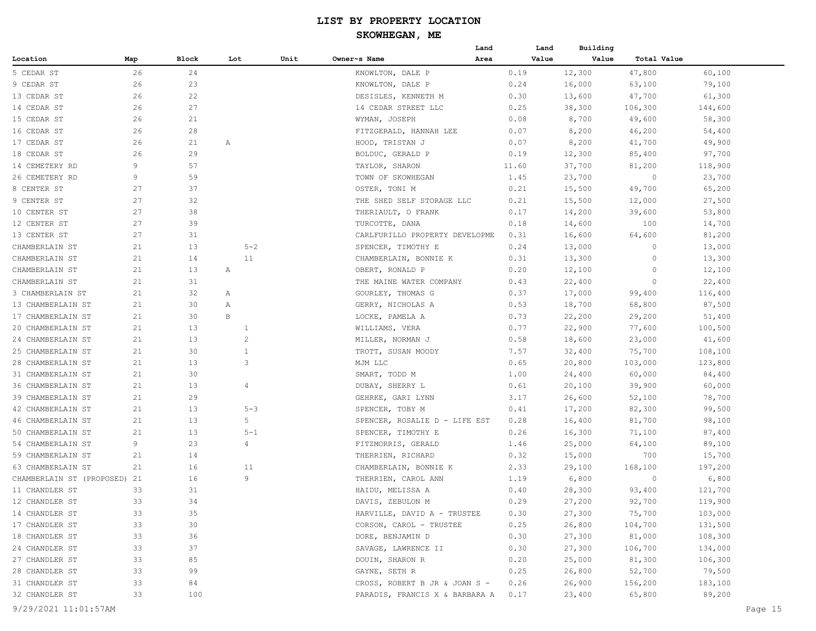|                                  |     |       |     |                |      |                                | Land |       | Land  | Building |             |         |
|----------------------------------|-----|-------|-----|----------------|------|--------------------------------|------|-------|-------|----------|-------------|---------|
| Location                         | Map | Block | Lot |                | Unit | Owner~s Name                   | Area |       | Value | Value    | Total Value |         |
| 5 CEDAR ST                       | 26  | 24    |     |                |      | KNOWLTON, DALE P               |      | 0.19  |       | 12,300   | 47,800      | 60,100  |
| 9 CEDAR ST                       | 26  | 23    |     |                |      | KNOWLTON, DALE P               |      | 0.24  |       | 16,000   | 63,100      | 79,100  |
| 13 CEDAR ST                      | 26  | 22    |     |                |      | DESISLES, KENNETH M            |      | 0.30  |       | 13,600   | 47,700      | 61,300  |
| 14 CEDAR ST                      | 26  | 27    |     |                |      | 14 CEDAR STREET LLC            |      | 0.25  |       | 38,300   | 106,300     | 144,600 |
| 15 CEDAR ST                      | 26  | 21    |     |                |      | WYMAN, JOSEPH                  |      | 0.08  |       | 8,700    | 49,600      | 58,300  |
| 16 CEDAR ST                      | 26  | 28    |     |                |      | FITZGERALD, HANNAH LEE         |      | 0.07  |       | 8,200    | 46,200      | 54,400  |
| 17 CEDAR ST                      | 26  | 21    | Α   |                |      | HOOD, TRISTAN J                |      | 0.07  |       | 8,200    | 41,700      | 49,900  |
| 18 CEDAR ST                      | 26  | 29    |     |                |      | BOLDUC, GERALD P               |      | 0.19  |       | 12,300   | 85,400      | 97,700  |
| 14 CEMETERY RD                   | 9   | 57    |     |                |      | TAYLOR, SHARON                 |      | 11.60 |       | 37,700   | 81,200      | 118,900 |
| 26 CEMETERY RD                   | 9   | 59    |     |                |      | TOWN OF SKOWHEGAN              |      | 1.45  |       | 23,700   | $\circ$     | 23,700  |
| 8 CENTER ST                      | 27  | 37    |     |                |      | OSTER, TONI M                  |      | 0.21  |       | 15,500   | 49,700      | 65,200  |
| 9 CENTER ST                      | 27  | 32    |     |                |      | THE SHED SELF STORAGE LLC      |      | 0.21  |       | 15,500   | 12,000      | 27,500  |
| 10 CENTER ST                     | 27  | 38    |     |                |      | THERIAULT, O FRANK             |      | 0.17  |       | 14,200   | 39,600      | 53,800  |
| 12 CENTER ST                     | 27  | 39    |     |                |      | TURCOTTE, DANA                 |      | 0.18  |       | 14,600   | 100         | 14,700  |
| 13 CENTER ST                     | 27  | 31    |     |                |      | CARLFURILLO PROPERTY DEVELOPME |      | 0.31  |       | 16,600   | 64,600      | 81,200  |
| CHAMBERLAIN ST                   | 21  | 13    |     | $5 - 2$        |      | SPENCER, TIMOTHY E             |      | 0.24  |       | 13,000   | $\circ$     | 13,000  |
| CHAMBERLAIN ST                   | 21  | 14    |     | 11             |      | CHAMBERLAIN, BONNIE K          |      | 0.31  |       | 13,300   | 0           | 13,300  |
| CHAMBERLAIN ST                   | 21  | 13    | Α   |                |      | OBERT, RONALD P                |      | 0.20  |       | 12,100   | 0           | 12,100  |
| CHAMBERLAIN ST                   | 21  | 31    |     |                |      | THE MAINE WATER COMPANY        |      | 0.43  |       | 22,400   | $\circ$     | 22,400  |
| 3 CHAMBERLAIN ST                 | 21  | 32    | Α   |                |      | GOURLEY, THOMAS G              |      | 0.37  |       | 17,000   | 99,400      | 116,400 |
| 13 CHAMBERLAIN ST                | 21  | 30    | Α   |                |      | GERRY, NICHOLAS A              |      | 0.53  |       | 18,700   | 68,800      | 87,500  |
| 17 CHAMBERLAIN ST                | 21  | 30    | B   |                |      | LOCKE, PAMELA A                |      | 0.73  |       | 22,200   | 29,200      | 51,400  |
| 20 CHAMBERLAIN ST                | 21  | 13    |     | 1              |      | WILLIAMS, VERA                 |      | 0.77  |       | 22,900   | 77,600      | 100,500 |
| 24 CHAMBERLAIN ST                | 21  | 13    |     | $\overline{2}$ |      | MILLER, NORMAN J               |      | 0.58  |       | 18,600   | 23,000      | 41,600  |
| 25 CHAMBERLAIN ST                | 21  | 30    |     | $\mathbf{1}$   |      | TROTT, SUSAN MOODY             |      | 7.57  |       | 32,400   | 75,700      | 108,100 |
| 28 CHAMBERLAIN ST                | 21  | 13    |     | 3              |      | MJM LLC                        |      | 0.65  |       | 20,800   | 103,000     | 123,800 |
| 31 CHAMBERLAIN ST                | 21  | 30    |     |                |      | SMART, TODD M                  |      | 1.00  |       | 24,400   | 60,000      | 84,400  |
| 36 CHAMBERLAIN ST                | 21  | 13    |     | $\overline{4}$ |      | DUBAY, SHERRY L                |      | 0.61  |       | 20,100   | 39,900      | 60,000  |
| 39 CHAMBERLAIN ST                | 21  | 29    |     |                |      | GEHRKE, GARI LYNN              |      | 3.17  |       | 26,600   | 52,100      | 78,700  |
| 42 CHAMBERLAIN ST                | 21  | 13    |     | $5 - 3$        |      | SPENCER, TOBY M                |      | 0.41  |       | 17,200   | 82,300      | 99,500  |
| 46 CHAMBERLAIN ST                | 21  | 13    |     | 5              |      | SPENCER, ROSALIE D - LIFE EST  |      | 0.28  |       | 16,400   | 81,700      | 98,100  |
| 50 CHAMBERLAIN ST                | 21  | 13    |     | $5 - 1$        |      | SPENCER, TIMOTHY E             |      | 0.26  |       | 16,300   | 71,100      | 87,400  |
| 54 CHAMBERLAIN ST                | 9   | 23    |     | $\overline{4}$ |      | FITZMORRIS, GERALD             |      | 1.46  |       | 25,000   | 64,100      | 89,100  |
| 59 CHAMBERLAIN ST                | 21  | 14    |     |                |      | THERRIEN, RICHARD              |      | 0.32  |       | 15,000   | 700         | 15,700  |
| 63 CHAMBERLAIN ST                | 21  | 16    |     | 11             |      | CHAMBERLAIN, BONNIE K          |      | 2.33  |       | 29,100   | 168,100     | 197,200 |
| CHAMBERLAIN ST (PROPOSED)        | 21  | 16    |     | 9              |      | THERRIEN, CAROL ANN            |      | 1.19  |       | 6,800    | $\circ$     | 6,800   |
| 11 CHANDLER ST                   | 33  | 31    |     |                |      | HAIDU, MELISSA A               |      | 0.40  |       | 28,300   | 93,400      | 121,700 |
|                                  |     |       |     |                |      | DAVIS, ZEBULON M               |      |       |       |          |             |         |
| 12 CHANDLER ST                   | 33  | 34    |     |                |      |                                |      | 0.29  |       | 27,200   | 92,700      | 119,900 |
| 14 CHANDLER ST<br>17 CHANDLER ST | 33  | 35    |     |                |      | HARVILLE, DAVID A - TRUSTEE    |      | 0.30  |       | 27,300   | 75,700      | 103,000 |
|                                  | 33  | 30    |     |                |      | CORSON, CAROL - TRUSTEE        |      | 0.25  |       | 26,800   | 104,700     | 131,500 |
| 18 CHANDLER ST                   | 33  | 36    |     |                |      | DORE, BENJAMIN D               |      | 0.30  |       | 27,300   | 81,000      | 108,300 |
| 24 CHANDLER ST                   | 33  | 37    |     |                |      | SAVAGE, LAWRENCE II            |      | 0.30  |       | 27,300   | 106,700     | 134,000 |
| 27 CHANDLER ST                   | 33  | 85    |     |                |      | DOUIN, SHARON R                |      | 0.20  |       | 25,000   | 81,300      | 106,300 |
| 28 CHANDLER ST                   | 33  | 99    |     |                |      | GAYNE, SETH R                  |      | 0.25  |       | 26,800   | 52,700      | 79,500  |
| 31 CHANDLER ST                   | 33  | 84    |     |                |      | CROSS, ROBERT B JR & JOAN S -  |      | 0.26  |       | 26,900   | 156,200     | 183,100 |
| 32 CHANDLER ST                   | 33  | 100   |     |                |      | PARADIS, FRANCIS X & BARBARA A |      | 0.17  |       | 23,400   | 65,800      | 89,200  |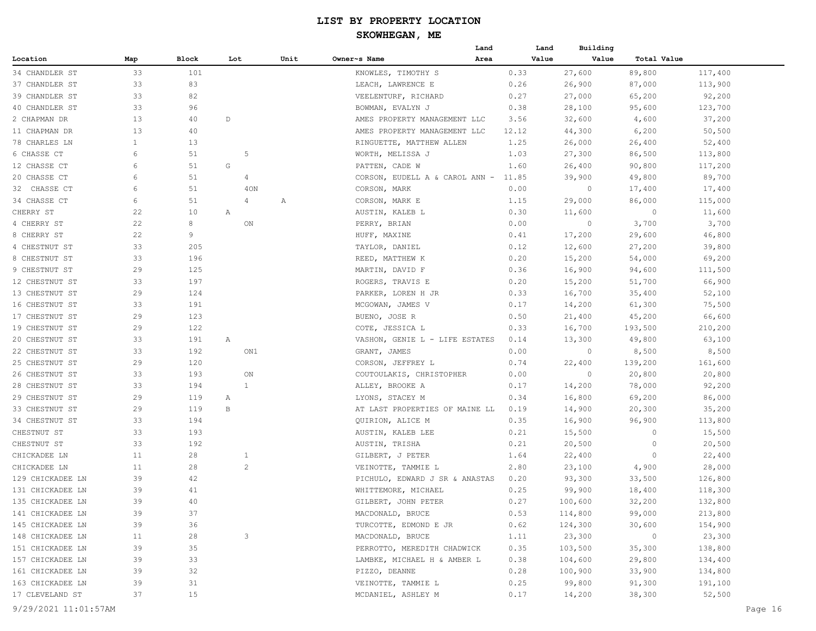|                  |              |       |     |                |      |                                | Land |       | Building<br>Land |             |         |
|------------------|--------------|-------|-----|----------------|------|--------------------------------|------|-------|------------------|-------------|---------|
| Location         | Map          | Block | Lot |                | Unit | Owner~s Name                   | Area |       | Value<br>Value   | Total Value |         |
| 34 CHANDLER ST   | 33           | 101   |     |                |      | KNOWLES, TIMOTHY S             |      | 0.33  | 27,600           | 89,800      | 117,400 |
| 37 CHANDLER ST   | 33           | 83    |     |                |      | LEACH, LAWRENCE E              |      | 0.26  | 26,900           | 87,000      | 113,900 |
| 39 CHANDLER ST   | 33           | 82    |     |                |      | VEELENTURF, RICHARD            |      | 0.27  | 27,000           | 65,200      | 92,200  |
| 40 CHANDLER ST   | 33           | 96    |     |                |      | BOWMAN, EVALYN J               |      | 0.38  | 28,100           | 95,600      | 123,700 |
| 2 CHAPMAN DR     | 13           | 40    | D   |                |      | AMES PROPERTY MANAGEMENT LLC   |      | 3.56  | 32,600           | 4,600       | 37,200  |
| 11 CHAPMAN DR    | 13           | 40    |     |                |      | AMES PROPERTY MANAGEMENT LLC   |      | 12.12 | 44,300           | 6,200       | 50,500  |
| 78 CHARLES LN    | $\mathbf{1}$ | 13    |     |                |      | RINGUETTE, MATTHEW ALLEN       |      | 1.25  | 26,000           | 26,400      | 52,400  |
| 6 CHASSE CT      | 6            | 51    |     | 5              |      | WORTH, MELISSA J               |      | 1.03  | 27,300           | 86,500      | 113,800 |
| 12 CHASSE CT     | 6            | 51    | G   |                |      | PATTEN, CADE W                 |      | 1.60  | 26,400           | 90,800      | 117,200 |
| 20 CHASSE CT     | 6            | 51    |     | $\overline{4}$ |      | CORSON, EUDELL A & CAROL ANN - |      | 11.85 | 39,900           | 49,800      | 89,700  |
| 32 CHASSE CT     | 6            | 51    |     | 40N            |      | CORSON, MARK                   |      | 0.00  | $\circ$          | 17,400      | 17,400  |
| 34 CHASSE CT     | 6            | 51    |     | 4              | Α    | CORSON, MARK E                 |      | 1.15  | 29,000           | 86,000      | 115,000 |
| CHERRY ST        | 22           | 10    | Α   |                |      | AUSTIN, KALEB L                |      | 0.30  | 11,600           | $\circ$     | 11,600  |
| 4 CHERRY ST      | 22           | 8     |     | ON             |      | PERRY, BRIAN                   |      | 0.00  | $\circ$          | 3,700       | 3,700   |
| 8 CHERRY ST      | 22           | 9     |     |                |      | HUFF, MAXINE                   |      | 0.41  | 17,200           | 29,600      | 46,800  |
| 4 CHESTNUT ST    | 33           | 205   |     |                |      | TAYLOR, DANIEL                 |      | 0.12  | 12,600           | 27,200      | 39,800  |
| 8 CHESTNUT ST    | 33           | 196   |     |                |      | REED, MATTHEW K                |      | 0.20  | 15,200           | 54,000      | 69,200  |
| 9 CHESTNUT ST    | 29           | 125   |     |                |      | MARTIN, DAVID F                |      | 0.36  | 16,900           | 94,600      | 111,500 |
| 12 CHESTNUT ST   | 33           | 197   |     |                |      | ROGERS, TRAVIS E               |      | 0.20  | 15,200           | 51,700      | 66,900  |
| 13 CHESTNUT ST   | 29           | 124   |     |                |      | PARKER, LOREN H JR             |      | 0.33  | 16,700           | 35,400      | 52,100  |
| 16 CHESTNUT ST   | 33           | 191   |     |                |      | MCGOWAN, JAMES V               |      | 0.17  | 14,200           | 61,300      | 75,500  |
| 17 CHESTNUT ST   | 29           | 123   |     |                |      | BUENO, JOSE R                  |      | 0.50  | 21,400           | 45,200      | 66,600  |
| 19 CHESTNUT ST   | 29           | 122   |     |                |      | COTE, JESSICA L                |      | 0.33  | 16,700           | 193,500     | 210,200 |
| 20 CHESTNUT ST   | 33           | 191   | Α   |                |      | VASHON, GENIE L - LIFE ESTATES |      | 0.14  | 13,300           | 49,800      | 63,100  |
| 22 CHESTNUT ST   | 33           | 192   |     | ON1            |      | GRANT, JAMES                   |      | 0.00  | $\circ$          | 8,500       | 8,500   |
| 25 CHESTNUT ST   | 29           | 120   |     |                |      | CORSON, JEFFREY L              |      | 0.74  | 22,400           | 139,200     | 161,600 |
| 26 CHESTNUT ST   | 33           | 193   |     | ON             |      | COUTOULAKIS, CHRISTOPHER       |      | 0.00  | $\circ$          | 20,800      | 20,800  |
| 28 CHESTNUT ST   | 33           | 194   |     | 1              |      | ALLEY, BROOKE A                |      | 0.17  | 14,200           | 78,000      | 92,200  |
| 29 CHESTNUT ST   | 29           | 119   | Α   |                |      | LYONS, STACEY M                |      | 0.34  | 16,800           | 69,200      | 86,000  |
| 33 CHESTNUT ST   | 29           | 119   | B   |                |      | AT LAST PROPERTIES OF MAINE LL |      | 0.19  | 14,900           | 20,300      | 35,200  |
| 34 CHESTNUT ST   | 33           | 194   |     |                |      | QUIRION, ALICE M               |      | 0.35  | 16,900           | 96,900      | 113,800 |
| CHESTNUT ST      | 33           | 193   |     |                |      | AUSTIN, KALEB LEE              |      | 0.21  | 15,500           | 0           | 15,500  |
| CHESTNUT ST      | 33           | 192   |     |                |      | AUSTIN, TRISHA                 |      | 0.21  | 20,500           | $\circ$     | 20,500  |
| CHICKADEE LN     | 11           | 28    |     | $\mathbf{1}$   |      | GILBERT, J PETER               |      | 1.64  | 22,400           | $\circ$     | 22,400  |
| CHICKADEE LN     | 11           | 28    |     | $\overline{c}$ |      | VEINOTTE, TAMMIE L             |      | 2.80  | 23,100           | 4,900       | 28,000  |
| 129 CHICKADEE LN | 39           | 42    |     |                |      | PICHULO, EDWARD J SR & ANASTAS |      | 0.20  | 93,300           | 33,500      | 126,800 |
| 131 CHICKADEE LN | 39           | 41    |     |                |      | WHITTEMORE, MICHAEL            |      | 0.25  | 99,900           | 18,400      | 118,300 |
| 135 CHICKADEE LN | 39           | 40    |     |                |      | GILBERT, JOHN PETER            |      | 0.27  | 100,600          | 32,200      | 132,800 |
| 141 CHICKADEE LN | 39           | 37    |     |                |      | MACDONALD, BRUCE               |      | 0.53  | 114,800          | 99,000      | 213,800 |
| 145 CHICKADEE LN | 39           | 36    |     |                |      | TURCOTTE, EDMOND E JR          |      | 0.62  | 124,300          | 30,600      | 154,900 |
| 148 CHICKADEE LN | 11           | 28    |     | 3              |      | MACDONALD, BRUCE               |      | 1.11  | 23,300           | $\circ$     | 23,300  |
| 151 CHICKADEE LN | 39           | 35    |     |                |      | PERROTTO, MEREDITH CHADWICK    |      | 0.35  | 103,500          | 35,300      | 138,800 |
| 157 CHICKADEE LN | 39           | 33    |     |                |      | LAMBKE, MICHAEL H & AMBER L    |      | 0.38  | 104,600          | 29,800      | 134,400 |
| 161 CHICKADEE LN | 39           | 32    |     |                |      | PIZZO, DEANNE                  |      | 0.28  | 100,900          | 33,900      | 134,800 |
| 163 CHICKADEE LN | 39           | 31    |     |                |      | VEINOTTE, TAMMIE L             |      | 0.25  | 99,800           | 91,300      | 191,100 |
| 17 CLEVELAND ST  | 37           | 15    |     |                |      | MCDANIEL, ASHLEY M             |      | 0.17  | 14,200           | 38,300      | 52,500  |
|                  |              |       |     |                |      |                                |      |       |                  |             |         |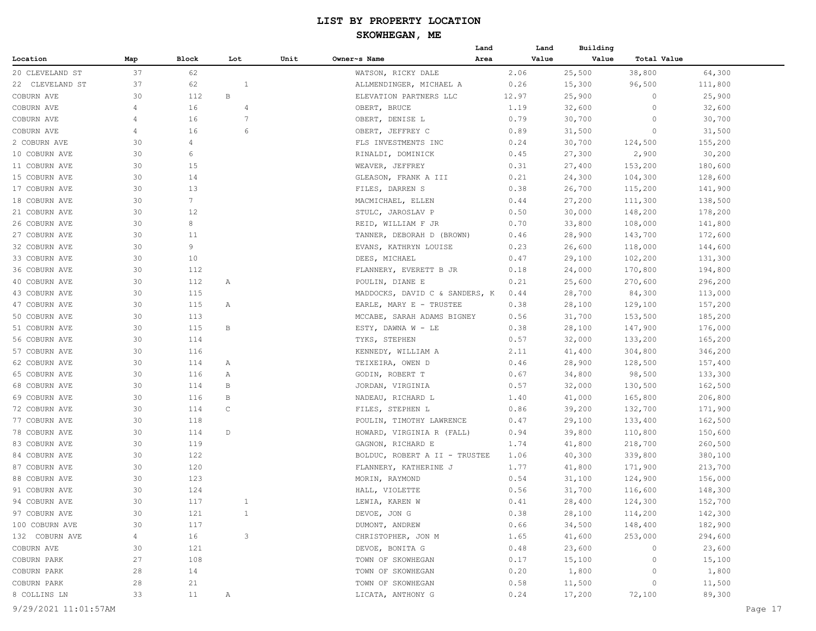|                      |     |       |                |      |                                | Land | Land  | Building |             |         |
|----------------------|-----|-------|----------------|------|--------------------------------|------|-------|----------|-------------|---------|
| Location             | Map | Block | Lot            | Unit | Owner~s Name                   | Area | Value | Value    | Total Value |         |
| 20 CLEVELAND ST      | 37  | 62    |                |      | WATSON, RICKY DALE             |      | 2.06  | 25,500   | 38,800      | 64,300  |
| 22 CLEVELAND ST      | 37  | 62    | $\mathbf{1}$   |      | ALLMENDINGER, MICHAEL A        |      | 0.26  | 15,300   | 96,500      | 111,800 |
| COBURN AVE           | 30  | 112   | В              |      | ELEVATION PARTNERS LLC         |      | 12.97 | 25,900   | $\circ$     | 25,900  |
| COBURN AVE           | 4   | 16    | $\overline{4}$ |      | OBERT, BRUCE                   |      | 1.19  | 32,600   | 0           | 32,600  |
| COBURN AVE           | 4   | 16    | 7              |      | OBERT, DENISE L                |      | 0.79  | 30,700   | 0           | 30,700  |
| COBURN AVE           | 4   | 16    | 6              |      | OBERT, JEFFREY C               |      | 0.89  | 31,500   | 0           | 31,500  |
| 2 COBURN AVE         | 30  | 4     |                |      | FLS INVESTMENTS INC            |      | 0.24  | 30,700   | 124,500     | 155,200 |
| 10 COBURN AVE        | 30  | 6     |                |      | RINALDI, DOMINICK              |      | 0.45  | 27,300   | 2,900       | 30,200  |
| 11 COBURN AVE        | 30  | 15    |                |      | WEAVER, JEFFREY                |      | 0.31  | 27,400   | 153,200     | 180,600 |
| 15 COBURN AVE        | 30  | 14    |                |      | GLEASON, FRANK A III           |      | 0.21  | 24,300   | 104,300     | 128,600 |
| 17 COBURN AVE        | 30  | 13    |                |      | FILES, DARREN S                |      | 0.38  | 26,700   | 115,200     | 141,900 |
| 18 COBURN AVE        | 30  | 7     |                |      | MACMICHAEL, ELLEN              |      | 0.44  | 27,200   | 111,300     | 138,500 |
| 21 COBURN AVE        | 30  | 12    |                |      | STULC, JAROSLAV P              |      | 0.50  | 30,000   | 148,200     | 178,200 |
| 26 COBURN AVE        | 30  | 8     |                |      | REID, WILLIAM F JR             |      | 0.70  | 33,800   | 108,000     | 141,800 |
| 27 COBURN AVE        | 30  | 11    |                |      | TANNER, DEBORAH D (BROWN)      |      | 0.46  | 28,900   | 143,700     | 172,600 |
| 32 COBURN AVE        | 30  | 9     |                |      | EVANS, KATHRYN LOUISE          |      | 0.23  | 26,600   | 118,000     | 144,600 |
| 33 COBURN AVE        | 30  | 10    |                |      | DEES, MICHAEL                  |      | 0.47  | 29,100   | 102,200     | 131,300 |
| 36 COBURN AVE        | 30  | 112   |                |      | FLANNERY, EVERETT B JR         |      | 0.18  | 24,000   | 170,800     | 194,800 |
| 40 COBURN AVE        | 30  | 112   | Α              |      | POULIN, DIANE E                |      | 0.21  | 25,600   | 270,600     | 296,200 |
| 43 COBURN AVE        | 30  | 115   |                |      | MADDOCKS, DAVID C & SANDERS, K |      | 0.44  | 28,700   | 84,300      | 113,000 |
| 47 COBURN AVE        | 30  | 115   | Α              |      | EARLE, MARY E - TRUSTEE        |      | 0.38  | 28,100   | 129,100     | 157,200 |
| 50 COBURN AVE        | 30  | 113   |                |      | MCCABE, SARAH ADAMS BIGNEY     |      | 0.56  | 31,700   | 153,500     | 185,200 |
| 51 COBURN AVE        | 30  | 115   | В              |      | ESTY, DAWNA W - LE             |      | 0.38  | 28,100   | 147,900     | 176,000 |
| 56 COBURN AVE        | 30  | 114   |                |      | TYKS, STEPHEN                  |      | 0.57  | 32,000   | 133,200     | 165,200 |
| 57 COBURN AVE        | 30  | 116   |                |      | KENNEDY, WILLIAM A             |      | 2.11  | 41,400   | 304,800     | 346,200 |
| 62 COBURN AVE        | 30  | 114   | Α              |      | TEIXEIRA, OWEN D               |      | 0.46  | 28,900   | 128,500     | 157,400 |
| 65 COBURN AVE        | 30  | 116   | Α              |      | GODIN, ROBERT T                |      | 0.67  | 34,800   | 98,500      | 133,300 |
| 68 COBURN AVE        | 30  | 114   | В              |      | JORDAN, VIRGINIA               |      | 0.57  | 32,000   | 130,500     | 162,500 |
| 69 COBURN AVE        | 30  | 116   | В              |      | NADEAU, RICHARD L              |      | 1.40  | 41,000   | 165,800     | 206,800 |
| 72 COBURN AVE        | 30  | 114   | C              |      | FILES, STEPHEN L               |      | 0.86  | 39,200   | 132,700     | 171,900 |
| 77 COBURN AVE        | 30  | 118   |                |      | POULIN, TIMOTHY LAWRENCE       |      | 0.47  | 29,100   | 133,400     | 162,500 |
| 78 COBURN AVE        | 30  | 114   | D              |      | HOWARD, VIRGINIA R (FALL)      |      | 0.94  | 39,800   | 110,800     | 150,600 |
| 83 COBURN AVE        | 30  | 119   |                |      | GAGNON, RICHARD E              |      | 1.74  | 41,800   | 218,700     | 260,500 |
| 84 COBURN AVE        | 30  | 122   |                |      | BOLDUC, ROBERT A II - TRUSTEE  |      | 1.06  | 40,300   | 339,800     | 380,100 |
| 87 COBURN AVE        | 30  | 120   |                |      | FLANNERY, KATHERINE J          |      | 1.77  | 41,800   | 171,900     | 213,700 |
| 88 COBURN AVE        | 30  | 123   |                |      | MORIN, RAYMOND                 |      | 0.54  | 31,100   | 124,900     | 156,000 |
| 91 COBURN AVE        | 30  | 124   |                |      | HALL, VIOLETTE                 |      | 0.56  | 31,700   | 116,600     | 148,300 |
| 94 COBURN AVE        | 30  | 117   | $\mathbf{1}$   |      | LEWIA, KAREN W                 |      | 0.41  | 28,400   | 124,300     | 152,700 |
| 97 COBURN AVE        | 30  | 121   | $\mathbf{1}$   |      | DEVOE, JON G                   |      | 0.38  | 28,100   | 114,200     | 142,300 |
| 100 COBURN AVE       | 30  | 117   |                |      | DUMONT, ANDREW                 |      | 0.66  | 34,500   | 148,400     | 182,900 |
| 132 COBURN AVE       | 4   | 16    | 3              |      | CHRISTOPHER, JON M             |      | 1.65  | 41,600   | 253,000     | 294,600 |
| COBURN AVE           | 30  | 121   |                |      | DEVOE, BONITA G                |      | 0.48  | 23,600   | $\circ$     | 23,600  |
| COBURN PARK          | 27  | 108   |                |      | TOWN OF SKOWHEGAN              |      | 0.17  | 15,100   | 0           | 15,100  |
| COBURN PARK          | 28  | 14    |                |      | TOWN OF SKOWHEGAN              |      | 0.20  | 1,800    | 0           | 1,800   |
| COBURN PARK          | 28  | 21    |                |      | TOWN OF SKOWHEGAN              |      | 0.58  | 11,500   | $\circ$     | 11,500  |
| 8 COLLINS LN         | 33  | 11    | Α              |      | LICATA, ANTHONY G              |      | 0.24  | 17,200   | 72,100      | 89,300  |
| 9/29/2021 11:01:57AM |     |       |                |      |                                |      |       |          |             | Page 17 |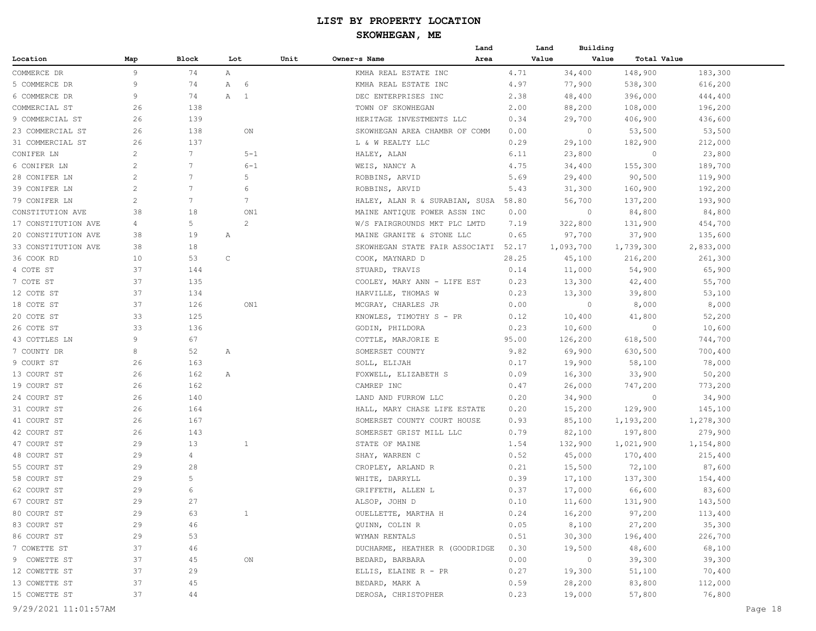|                     |                       |                 |                 |      | Land                           |       | Building<br>Land         |             |           |
|---------------------|-----------------------|-----------------|-----------------|------|--------------------------------|-------|--------------------------|-------------|-----------|
| Location            | Map                   | Block           | Lot             | Unit | Owner~s Name<br>Area           |       | Value<br>Value           | Total Value |           |
| COMMERCE DR         | 9                     | 74              | Α               |      | KMHA REAL ESTATE INC           | 4.71  | 34,400                   | 148,900     | 183,300   |
| 5 COMMERCE DR       | 9                     | 74              | A 6             |      | KMHA REAL ESTATE INC           | 4.97  | 77,900                   | 538,300     | 616,200   |
| 6 COMMERCE DR       | 9                     | 74              | A 1             |      | DEC ENTERPRISES INC            | 2.38  | 48,400                   | 396,000     | 444,400   |
| COMMERCIAL ST       | 26                    | 138             |                 |      | TOWN OF SKOWHEGAN              | 2.00  | 88,200                   | 108,000     | 196,200   |
| 9 COMMERCIAL ST     | 26                    | 139             |                 |      | HERITAGE INVESTMENTS LLC       | 0.34  | 29,700                   | 406,900     | 436,600   |
| 23 COMMERCIAL ST    | 26                    | 138             | ON              |      | SKOWHEGAN AREA CHAMBR OF COMM  | 0.00  | 0                        | 53,500      | 53,500    |
| 31 COMMERCIAL ST    | 26                    | 137             |                 |      | L & W REALTY LLC               | 0.29  | 29,100                   | 182,900     | 212,000   |
| CONIFER LN          | $\overline{c}$        | 7               | $5 - 1$         |      | HALEY, ALAN                    | 6.11  | 23,800                   | 0           | 23,800    |
| 6 CONIFER LN        | $\mathbf{2}^{\prime}$ | 7               | $6 - 1$         |      | WEIS, NANCY A                  | 4.75  | 34,400                   | 155,300     | 189,700   |
| 28 CONIFER LN       | $\overline{c}$        | 7               | 5               |      | ROBBINS, ARVID                 | 5.69  | 29,400                   | 90,500      | 119,900   |
| 39 CONIFER LN       | $\mathbf{2}^{\prime}$ | 7               | 6               |      | ROBBINS, ARVID                 | 5.43  | 31,300                   | 160,900     | 192,200   |
| 79 CONIFER LN       | $\overline{c}$        | $7\phantom{.0}$ | $7\phantom{.0}$ |      | HALEY, ALAN R & SURABIAN, SUSA | 58.80 | 56,700                   | 137,200     | 193,900   |
| CONSTITUTION AVE    | 38                    | 18              | ON1             |      | MAINE ANTIQUE POWER ASSN INC   | 0.00  | $\circ$                  | 84,800      | 84,800    |
| 17 CONSTITUTION AVE | 4                     | 5               | 2               |      | W/S FAIRGROUNDS MKT PLC LMTD   | 7.19  | 322,800                  | 131,900     | 454,700   |
| 20 CONSTITUTION AVE | 38                    | 19              | Α               |      | MAINE GRANITE & STONE LLC      | 0.65  | 97,700                   | 37,900      | 135,600   |
| 33 CONSTITUTION AVE | 38                    | 18              |                 |      | SKOWHEGAN STATE FAIR ASSOCIATI | 52.17 | 1,093,700                | 1,739,300   | 2,833,000 |
| 36 COOK RD          | 10                    | 53              | $\mathsf C$     |      | COOK, MAYNARD D                | 28.25 | 45,100                   | 216,200     | 261,300   |
| 4 COTE ST           | 37                    | 144             |                 |      | STUARD, TRAVIS                 | 0.14  | 11,000                   | 54,900      | 65,900    |
| 7 COTE ST           | 37                    | 135             |                 |      | COOLEY, MARY ANN - LIFE EST    | 0.23  | 13,300                   | 42,400      | 55,700    |
| 12 COTE ST          | 37                    | 134             |                 |      | HARVILLE, THOMAS W             | 0.23  | 13,300                   | 39,800      | 53,100    |
| 18 COTE ST          | 37                    | 126             | ON1             |      | MCGRAY, CHARLES JR             | 0.00  | $\circ$                  | 8,000       | 8,000     |
| 20 COTE ST          | 33                    | 125             |                 |      | KNOWLES, TIMOTHY S - PR        | 0.12  | 10,400                   | 41,800      | 52,200    |
| 26 COTE ST          | 33                    | 136             |                 |      | GODIN, PHILDORA                | 0.23  | 10,600                   | 0           | 10,600    |
| 43 COTTLES LN       | 9                     | 67              |                 |      | COTTLE, MARJORIE E             | 95.00 | 126,200                  | 618,500     | 744,700   |
| 7 COUNTY DR         | 8                     | 52              | Α               |      | SOMERSET COUNTY                | 9.82  | 69,900                   | 630,500     | 700,400   |
| 9 COURT ST          | 26                    | 163             |                 |      | SOLL, ELIJAH                   | 0.17  | 19,900                   | 58,100      | 78,000    |
| 13 COURT ST         | 26                    | 162             | А               |      | FOXWELL, ELIZABETH S           | 0.09  | 16,300                   | 33,900      | 50,200    |
| 19 COURT ST         | 26                    | 162             |                 |      | CAMREP INC                     | 0.47  | 26,000                   | 747,200     | 773,200   |
| 24 COURT ST         | 26                    | 140             |                 |      | LAND AND FURROW LLC            | 0.20  | 34,900                   | 0           | 34,900    |
| 31 COURT ST         | 26                    | 164             |                 |      | HALL, MARY CHASE LIFE ESTATE   | 0.20  | 15,200                   | 129,900     | 145,100   |
| 41 COURT ST         | 26                    | 167             |                 |      | SOMERSET COUNTY COURT HOUSE    | 0.93  | 85,100                   | 1,193,200   | 1,278,300 |
| 42 COURT ST         | 26                    | 143             |                 |      | SOMERSET GRIST MILL LLC        | 0.79  | 82,100                   | 197,800     | 279,900   |
| 47 COURT ST         | 29                    | 13              | $\mathbf{1}$    |      | STATE OF MAINE                 | 1.54  | 132,900                  | 1,021,900   | 1,154,800 |
| 48 COURT ST         | 29                    | 4               |                 |      | SHAY, WARREN C                 | 0.52  | 45,000                   | 170,400     | 215,400   |
| 55 COURT ST         | 29                    | 28              |                 |      | CROPLEY, ARLAND R              | 0.21  | 15,500                   | 72,100      | 87,600    |
| 58 COURT ST         | 29                    | 5               |                 |      | WHITE, DARRYLL                 | 0.39  | 17,100                   | 137,300     | 154,400   |
| 62 COURT ST         | 29                    | 6               |                 |      | GRIFFETH, ALLEN L              | 0.37  | 17,000                   | 66,600      | 83,600    |
| 67 COURT ST         | 29                    | 27              |                 |      | ALSOP, JOHN D                  | 0.10  | 11,600                   | 131,900     | 143,500   |
| 80 COURT ST         | 29                    | 63              | $\mathbf{1}$    |      | OUELLETTE, MARTHA H            | 0.24  | 16,200                   | 97,200      | 113,400   |
| 83 COURT ST         | 29                    | 46              |                 |      | QUINN, COLIN R                 | 0.05  | 8,100                    | 27,200      | 35,300    |
| 86 COURT ST         | 29                    | 53              |                 |      | WYMAN RENTALS                  | 0.51  | 30,300                   | 196,400     | 226,700   |
| 7 COWETTE ST        | 37                    | 46              |                 |      | DUCHARME, HEATHER R (GOODRIDGE | 0.30  | 19,500                   | 48,600      | 68,100    |
| 9 COWETTE ST        | 37                    | 45              | ON              |      | BEDARD, BARBARA                | 0.00  | $\overline{\phantom{0}}$ |             | 39,300    |
| 12 COWETTE ST       |                       |                 |                 |      |                                |       |                          | 39,300      |           |
|                     | 37                    | 29              |                 |      | ELLIS, ELAINE R - PR           | 0.27  | 19,300                   | 51,100      | 70,400    |
| 13 COWETTE ST       | 37                    | 45              |                 |      | BEDARD, MARK A                 | 0.59  | 28,200                   | 83,800      | 112,000   |
| 15 COWETTE ST       | 37                    | 44              |                 |      | DEROSA, CHRISTOPHER            | 0.23  | 19,000                   | 57,800      | 76,800    |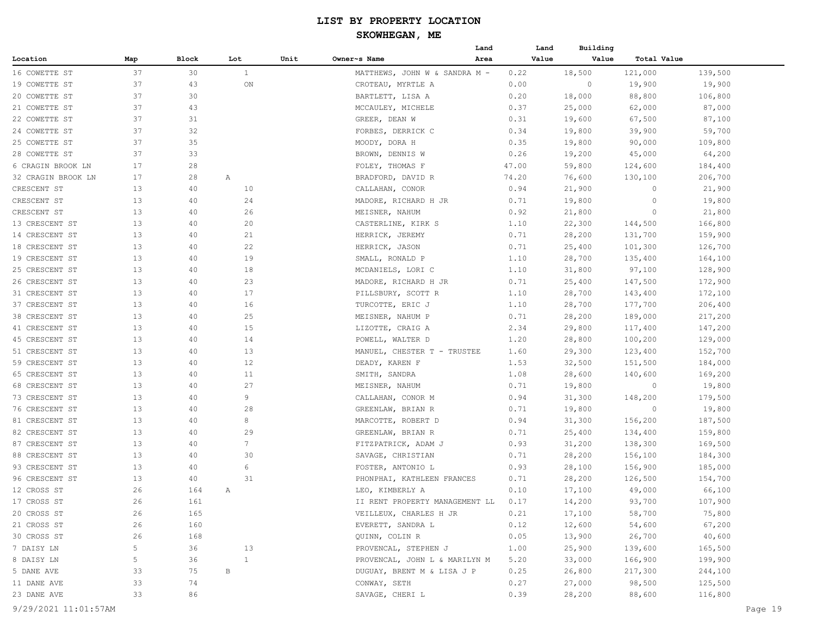|                    |     |       |                 |      |                                | Land | Land  | Building |                    |         |
|--------------------|-----|-------|-----------------|------|--------------------------------|------|-------|----------|--------------------|---------|
| Location           | Map | Block | Lot             | Unit | Owner~s Name                   | Area | Value | Value    | <b>Total Value</b> |         |
| 16 COWETTE ST      | 37  | 30    | $\mathbf{1}$    |      | MATTHEWS, JOHN W & SANDRA M -  |      | 0.22  | 18,500   | 121,000            | 139,500 |
| 19 COWETTE ST      | 37  | 43    | ON              |      | CROTEAU, MYRTLE A              |      | 0.00  | 0        | 19,900             | 19,900  |
| 20 COWETTE ST      | 37  | 30    |                 |      | BARTLETT, LISA A               |      | 0.20  | 18,000   | 88,800             | 106,800 |
| 21 COWETTE ST      | 37  | 43    |                 |      | MCCAULEY, MICHELE              |      | 0.37  | 25,000   | 62,000             | 87,000  |
| 22 COWETTE ST      | 37  | 31    |                 |      | GREER, DEAN W                  |      | 0.31  | 19,600   | 67,500             | 87,100  |
| 24 COWETTE ST      | 37  | 32    |                 |      | FORBES, DERRICK C              |      | 0.34  | 19,800   | 39,900             | 59,700  |
| 25 COWETTE ST      | 37  | 35    |                 |      | MOODY, DORA H                  |      | 0.35  | 19,800   | 90,000             | 109,800 |
| 28 COWETTE ST      | 37  | 33    |                 |      | BROWN, DENNIS W                |      | 0.26  | 19,200   | 45,000             | 64,200  |
| 6 CRAGIN BROOK LN  | 17  | 28    |                 |      | FOLEY, THOMAS F                |      | 47.00 | 59,800   | 124,600            | 184,400 |
| 32 CRAGIN BROOK LN | 17  | 28    | Α               |      | BRADFORD, DAVID R              |      | 74.20 | 76,600   | 130,100            | 206,700 |
| CRESCENT ST        | 13  | 40    | 10              |      | CALLAHAN, CONOR                |      | 0.94  | 21,900   | 0                  | 21,900  |
| CRESCENT ST        | 13  | 40    | 24              |      | MADORE, RICHARD H JR           |      | 0.71  | 19,800   | 0                  | 19,800  |
| CRESCENT ST        | 13  | 40    | 26              |      | MEISNER, NAHUM                 |      | 0.92  | 21,800   | 0                  | 21,800  |
| 13 CRESCENT ST     | 13  | 40    | 20              |      | CASTERLINE, KIRK S             |      | 1.10  | 22,300   | 144,500            | 166,800 |
| 14 CRESCENT ST     | 13  | 40    | 21              |      | HERRICK, JEREMY                |      | 0.71  | 28,200   | 131,700            | 159,900 |
| 18 CRESCENT ST     | 13  | 40    | 22              |      | HERRICK, JASON                 |      | 0.71  | 25,400   | 101,300            | 126,700 |
| 19 CRESCENT ST     | 13  | 40    | 19              |      | SMALL, RONALD P                |      | 1.10  | 28,700   | 135,400            | 164,100 |
| 25 CRESCENT ST     | 13  | 40    | 18              |      | MCDANIELS, LORI C              |      | 1.10  | 31,800   | 97,100             | 128,900 |
| 26 CRESCENT ST     | 13  | 40    | 23              |      | MADORE, RICHARD H JR           |      | 0.71  | 25,400   | 147,500            | 172,900 |
| 31 CRESCENT ST     | 13  | 40    | 17              |      | PILLSBURY, SCOTT R             |      | 1.10  | 28,700   | 143,400            | 172,100 |
| 37 CRESCENT ST     | 13  | 40    | 16              |      | TURCOTTE, ERIC J               |      | 1.10  | 28,700   | 177,700            | 206,400 |
| 38 CRESCENT ST     | 13  | 40    | 25              |      | MEISNER, NAHUM P               |      | 0.71  | 28,200   | 189,000            | 217,200 |
| 41 CRESCENT ST     | 13  | 40    | 15              |      | LIZOTTE, CRAIG A               |      | 2.34  | 29,800   | 117,400            | 147,200 |
| 45 CRESCENT ST     | 13  | 40    | 14              |      | POWELL, WALTER D               |      | 1.20  | 28,800   | 100,200            | 129,000 |
| 51 CRESCENT ST     | 13  | 40    | 13              |      | MANUEL, CHESTER T - TRUSTEE    |      | 1.60  | 29,300   | 123,400            | 152,700 |
| 59 CRESCENT ST     | 13  | 40    | 12              |      | DEADY, KAREN F                 |      | 1.53  | 32,500   | 151,500            | 184,000 |
| 65 CRESCENT ST     | 13  | 40    | 11              |      | SMITH, SANDRA                  |      | 1.08  | 28,600   | 140,600            | 169,200 |
| 68 CRESCENT ST     | 13  | 40    | 27              |      | MEISNER, NAHUM                 |      | 0.71  | 19,800   | 0                  | 19,800  |
| 73 CRESCENT ST     | 13  | 40    | 9               |      | CALLAHAN, CONOR M              |      | 0.94  | 31,300   | 148,200            | 179,500 |
| 76 CRESCENT ST     | 13  | 40    | 28              |      | GREENLAW, BRIAN R              |      | 0.71  | 19,800   | $\circ$            | 19,800  |
| 81 CRESCENT ST     | 13  | 40    | 8               |      | MARCOTTE, ROBERT D             |      | 0.94  | 31,300   | 156,200            | 187,500 |
| 82 CRESCENT ST     | 13  | 40    | 29              |      | GREENLAW, BRIAN R              |      | 0.71  | 25,400   | 134,400            | 159,800 |
| 87 CRESCENT ST     | 13  | 40    | $7\phantom{.0}$ |      | FITZPATRICK, ADAM J            |      | 0.93  | 31,200   | 138,300            | 169,500 |
| 88 CRESCENT ST     | 13  | 40    | 30              |      | SAVAGE, CHRISTIAN              |      | 0.71  | 28,200   | 156,100            | 184,300 |
| 93 CRESCENT ST     | 13  | 40    | 6               |      | FOSTER, ANTONIO L              |      | 0.93  | 28,100   | 156,900            | 185,000 |
| 96 CRESCENT ST     | 13  | 40    | 31              |      | PHONPHAI, KATHLEEN FRANCES     |      | 0.71  | 28,200   | 126,500            | 154,700 |
| 12 CROSS ST        | 26  | 164   | Α               |      | LEO, KIMBERLY A                |      | 0.10  | 17,100   | 49,000             | 66,100  |
| 17 CROSS ST        | 26  | 161   |                 |      | II RENT PROPERTY MANAGEMENT LL |      | 0.17  | 14,200   | 93,700             | 107,900 |
| 20 CROSS ST        | 26  | 165   |                 |      | VEILLEUX, CHARLES H JR         |      | 0.21  | 17,100   | 58,700             | 75,800  |
| 21 CROSS ST        | 26  | 160   |                 |      | EVERETT, SANDRA L              |      | 0.12  | 12,600   | 54,600             | 67,200  |
| 30 CROSS ST        | 26  | 168   |                 |      | QUINN, COLIN R                 |      | 0.05  | 13,900   | 26,700             | 40,600  |
| 7 DAISY LN         | 5   | 36    | 13              |      | PROVENCAL, STEPHEN J           |      | 1.00  | 25,900   | 139,600            | 165,500 |
| 8 DAISY LN         | 5   | 36    | $\mathbf{1}$    |      | PROVENCAL, JOHN L & MARILYN M  |      | 5.20  | 33,000   | 166,900            | 199,900 |
| 5 DANE AVE         | 33  | 75    | В               |      | DUGUAY, BRENT M & LISA J P     |      | 0.25  | 26,800   | 217,300            | 244,100 |
| 11 DANE AVE        | 33  | 74    |                 |      | CONWAY, SETH                   |      | 0.27  | 27,000   | 98,500             | 125,500 |
|                    | 33  | 86    |                 |      |                                |      | 0.39  | 28,200   |                    | 116,800 |
| 23 DANE AVE        |     |       |                 |      | SAVAGE, CHERI L                |      |       |          | 88,600             |         |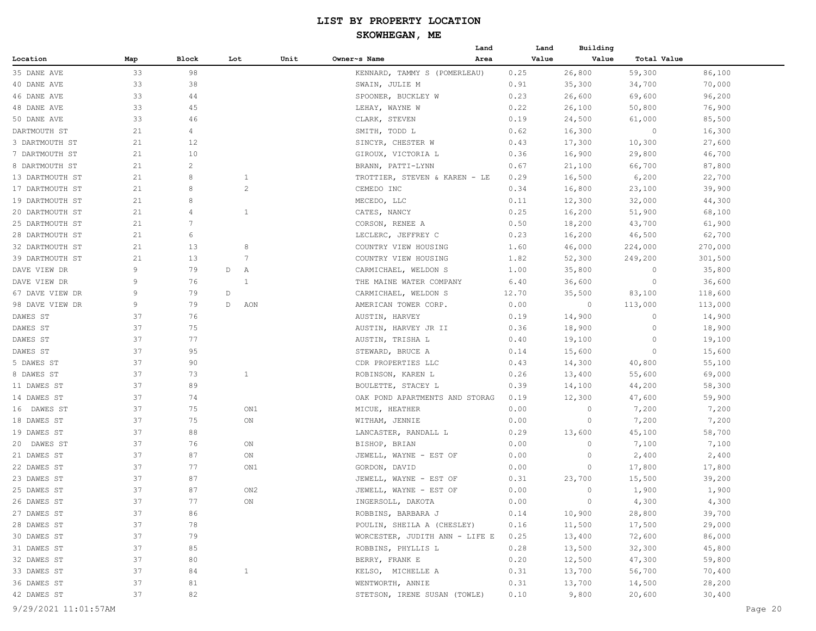|                 |     |       |     |              |      |                                     | Land | Land  | Building |             |         |
|-----------------|-----|-------|-----|--------------|------|-------------------------------------|------|-------|----------|-------------|---------|
| Location        | Map | Block | Lot |              | Unit | Owner~s Name                        | Area | Value | Value    | Total Value |         |
| 35 DANE AVE     | 33  | 98    |     |              |      | KENNARD, TAMMY S (POMERLEAU)        |      | 0.25  | 26,800   | 59,300      | 86,100  |
| 40 DANE AVE     | 33  | 38    |     |              |      | SWAIN, JULIE M                      |      | 0.91  | 35,300   | 34,700      | 70,000  |
| 46 DANE AVE     | 33  | 44    |     |              |      | SPOONER, BUCKLEY W                  |      | 0.23  | 26,600   | 69,600      | 96,200  |
| 48 DANE AVE     | 33  | 45    |     |              |      | LEHAY, WAYNE W                      |      | 0.22  | 26,100   | 50,800      | 76,900  |
| 50 DANE AVE     | 33  | 46    |     |              |      | CLARK, STEVEN                       |      | 0.19  | 24,500   | 61,000      | 85,500  |
| DARTMOUTH ST    | 21  | 4     |     |              |      | SMITH, TODD L                       |      | 0.62  | 16,300   | 0           | 16,300  |
| 3 DARTMOUTH ST  | 21  | 12    |     |              |      | SINCYR, CHESTER W                   |      | 0.43  | 17,300   | 10,300      | 27,600  |
| 7 DARTMOUTH ST  | 21  | 10    |     |              |      | GIROUX, VICTORIA L                  |      | 0.36  | 16,900   | 29,800      | 46,700  |
| 8 DARTMOUTH ST  | 21  | 2     |     |              |      | BRANN, PATTI-LYNN                   |      | 0.67  | 21,100   | 66,700      | 87,800  |
| 13 DARTMOUTH ST | 21  | 8     |     | $\mathbf{1}$ |      | TROTTIER, STEVEN & KAREN - LE       |      | 0.29  | 16,500   | 6,200       | 22,700  |
| 17 DARTMOUTH ST | 21  | 8     |     | $\mathbf{2}$ |      | CEMEDO INC                          |      | 0.34  | 16,800   | 23,100      | 39,900  |
| 19 DARTMOUTH ST | 21  | 8     |     |              |      | MECEDO, LLC                         |      | 0.11  | 12,300   | 32,000      | 44,300  |
| 20 DARTMOUTH ST | 21  | 4     |     | $\mathbf{1}$ |      | CATES, NANCY                        |      | 0.25  | 16,200   | 51,900      | 68,100  |
| 25 DARTMOUTH ST | 21  | 7     |     |              |      | CORSON, RENEE A                     |      | 0.50  | 18,200   | 43,700      | 61,900  |
| 28 DARTMOUTH ST | 21  | 6     |     |              |      | LECLERC, JEFFREY C                  |      | 0.23  | 16,200   | 46,500      | 62,700  |
| 32 DARTMOUTH ST | 21  | 13    |     | 8            |      | COUNTRY VIEW HOUSING                |      | 1.60  | 46,000   | 224,000     | 270,000 |
| 39 DARTMOUTH ST | 21  | 13    |     | 7            |      | COUNTRY VIEW HOUSING                |      | 1.82  | 52,300   | 249,200     | 301,500 |
| DAVE VIEW DR    | 9   | 79    | D   | Α            |      | CARMICHAEL, WELDON S                |      | 1.00  | 35,800   | 0           | 35,800  |
| DAVE VIEW DR    | 9   | 76    |     | $\mathbf{1}$ |      | THE MAINE WATER COMPANY             |      | 6.40  | 36,600   | $\circ$     | 36,600  |
| 67 DAVE VIEW DR | 9   | 79    | D   |              |      | CARMICHAEL, WELDON S                |      | 12.70 | 35,500   | 83,100      | 118,600 |
| 98 DAVE VIEW DR | 9   | 79    | D   | AON          |      | AMERICAN TOWER CORP.                |      | 0.00  | $\circ$  | 113,000     | 113,000 |
| DAWES ST        | 37  | 76    |     |              |      | AUSTIN, HARVEY                      |      | 0.19  | 14,900   | $\circ$     | 14,900  |
| DAWES ST        | 37  | 75    |     |              |      | AUSTIN, HARVEY JR II                |      | 0.36  | 18,900   | $\circ$     | 18,900  |
| DAWES ST        | 37  | 77    |     |              |      | AUSTIN, TRISHA L                    |      | 0.40  | 19,100   | 0           | 19,100  |
| DAWES ST        | 37  | 95    |     |              |      | STEWARD, BRUCE A                    |      | 0.14  | 15,600   | 0           | 15,600  |
| 5 DAWES ST      | 37  | 90    |     |              |      | CDR PROPERTIES LLC                  |      | 0.43  | 14,300   | 40,800      | 55,100  |
| 8 DAWES ST      | 37  | 73    |     | 1            |      | ROBINSON, KAREN L                   |      | 0.26  | 13,400   | 55,600      | 69,000  |
| 11 DAWES ST     | 37  | 89    |     |              |      | BOULETTE, STACEY L                  |      | 0.39  | 14,100   | 44,200      | 58,300  |
| 14 DAWES ST     | 37  | 74    |     |              |      | OAK POND APARTMENTS AND STORAG      |      | 0.19  | 12,300   | 47,600      | 59,900  |
| 16 DAWES ST     | 37  | 75    |     | ON1          |      | MICUE, HEATHER                      |      | 0.00  | 0        | 7,200       | 7,200   |
| 18 DAWES ST     | 37  | 75    |     | ON           |      | WITHAM, JENNIE                      |      | 0.00  | 0        | 7,200       | 7,200   |
| 19 DAWES ST     | 37  | 88    |     |              |      | LANCASTER, RANDALL L                |      | 0.29  | 13,600   | 45,100      | 58,700  |
| 20 DAWES ST     | 37  | 76    |     | ON           |      | BISHOP, BRIAN                       |      | 0.00  | 0        | 7,100       | 7,100   |
| 21 DAWES ST     | 37  | 87    |     | ON           |      | JEWELL, WAYNE - EST OF              |      | 0.00  | 0        | 2,400       | 2,400   |
| 22 DAWES ST     | 37  | 77    |     | ON1          |      | GORDON, DAVID                       |      | 0.00  | 0        | 17,800      | 17,800  |
| 23 DAWES ST     | 37  | 87    |     |              |      | JEWELL, WAYNE - EST OF              |      | 0.31  | 23,700   | 15,500      | 39,200  |
| 25 DAWES ST     | 37  | 87    |     | ON2          |      | JEWELL, WAYNE - EST OF              |      | 0.00  | 0        | 1,900       | 1,900   |
| 26 DAWES ST     | 37  | 77    |     | ON           |      | INGERSOLL, DAKOTA                   |      | 0.00  | $\circ$  | 4,300       | 4,300   |
| 27 DAWES ST     | 37  | 86    |     |              |      | ROBBINS, BARBARA J                  |      | 0.14  | 10,900   | 28,800      | 39,700  |
| 28 DAWES ST     | 37  | 78    |     |              |      | POULIN, SHEILA A (CHESLEY)          |      | 0.16  | 11,500   | 17,500      | 29,000  |
| 30 DAWES ST     | 37  | 79    |     |              |      | WORCESTER, JUDITH ANN - LIFE E 0.25 |      |       | 13,400   | 72,600      | 86,000  |
| 31 DAWES ST     | 37  | 85    |     |              |      | ROBBINS, PHYLLIS L                  |      | 0.28  | 13,500   | 32,300      | 45,800  |
| 32 DAWES ST     | 37  | 80    |     |              |      | BERRY, FRANK E                      |      | 0.20  | 12,500   | 47,300      | 59,800  |
| 33 DAWES ST     | 37  | 84    |     | $\mathbf{1}$ |      | KELSO, MICHELLE A                   |      | 0.31  | 13,700   | 56,700      | 70,400  |
| 36 DAWES ST     | 37  | 81    |     |              |      | WENTWORTH, ANNIE                    |      | 0.31  | 13,700   | 14,500      | 28,200  |
| 42 DAWES ST     | 37  | 82    |     |              |      | STETSON, IRENE SUSAN (TOWLE)        |      | 0.10  | 9,800    | 20,600      | 30,400  |
|                 |     |       |     |              |      |                                     |      |       |          |             |         |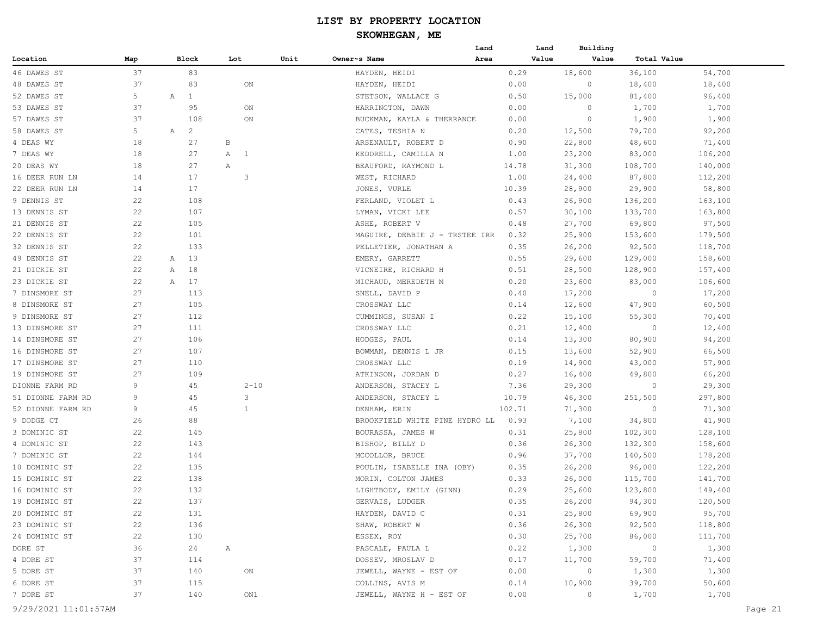|                   |     |                     |              |              |      |                                | Land |                 | Land           | Building |                |         |  |
|-------------------|-----|---------------------|--------------|--------------|------|--------------------------------|------|-----------------|----------------|----------|----------------|---------|--|
| Location          | Map | Block               |              | Lot          | Unit | Owner~s Name                   | Area |                 | Value          | Value    | Total Value    |         |  |
| 46 DAWES ST       | 37  | 83                  |              |              |      | HAYDEN, HEIDI                  |      | 0.29            | 18,600         |          | 36,100         | 54,700  |  |
| 48 DAWES ST       | 37  | 83                  |              | ON           |      | HAYDEN, HEIDI                  |      | 0.00            |                | $\circ$  | 18,400         | 18,400  |  |
| 52 DAWES ST       | 5   | $\mathbf{1}$<br>Α   |              |              |      | STETSON, WALLACE G             |      | 0.50            | 15,000         |          | 81,400         | 96,400  |  |
| 53 DAWES ST       | 37  | 95                  |              | ON           |      | HARRINGTON, DAWN               |      | 0.00            |                | $\circ$  | 1,700          | 1,700   |  |
| 57 DAWES ST       | 37  | 108                 |              | ON           |      | BUCKMAN, KAYLA & THERRANCE     |      | 0.00            |                | $\circ$  | 1,900          | 1,900   |  |
| 58 DAWES ST       | 5   | Α<br>$\overline{c}$ |              |              |      | CATES, TESHIA N                |      | 0.20            | 12,500         |          | 79,700         | 92,200  |  |
| 4 DEAS WY         | 18  | 27                  | В            |              |      | ARSENAULT, ROBERT D            |      | 0.90            | 22,800         |          | 48,600         | 71,400  |  |
| 7 DEAS WY         | 18  | 27                  |              | A 1          |      | KEDDRELL, CAMILLA N            |      | 1.00            | 23,200         |          | 83,000         | 106,200 |  |
| 20 DEAS WY        | 18  | 27                  | Α            |              |      | BEAUFORD, RAYMOND L            |      | 14.78           | 31,300         |          | 108,700        | 140,000 |  |
| 16 DEER RUN LN    | 14  | 17                  |              | 3            |      | WEST, RICHARD                  |      | 1.00            | 24,400         |          | 87,800         | 112,200 |  |
| 22 DEER RUN LN    | 14  | 17                  |              |              |      | JONES, VURLE                   |      | 10.39           | 28,900         |          | 29,900         | 58,800  |  |
| 9 DENNIS ST       | 22  | 108                 |              |              |      | FERLAND, VIOLET L              |      | 0.43            | 26,900         |          | 136,200        | 163,100 |  |
| 13 DENNIS ST      | 22  | 107                 |              |              |      | LYMAN, VICKI LEE               |      | 0.57            | 30,100         |          | 133,700        | 163,800 |  |
| 21 DENNIS ST      | 22  | 105                 |              |              |      | ASHE, ROBERT V                 |      | 0.48            | 27,700         |          | 69,800         | 97,500  |  |
| 22 DENNIS ST      | 22  | 101                 |              |              |      | MAGUIRE, DEBBIE J - TRSTEE IRR |      | 0.32            | 25,900         |          | 153,600        | 179,500 |  |
| 32 DENNIS ST      | 22  | 133                 |              |              |      | PELLETIER, JONATHAN A          |      | 0.35            | 26,200         |          | 92,500         | 118,700 |  |
| 49 DENNIS ST      | 22  | 13<br>A             |              |              |      | EMERY, GARRETT                 |      | 0.55            | 29,600         |          | 129,000        | 158,600 |  |
| 21 DICKIE ST      | 22  | 18<br>A             |              |              |      | VICNEIRE, RICHARD H            |      | 0.51            | 28,500         |          | 128,900        | 157,400 |  |
| 23 DICKIE ST      | 22  | 17<br>Α             |              |              |      | MICHAUD, MEREDETH M            |      | 0.20            | 23,600         |          | 83,000         | 106,600 |  |
| 7 DINSMORE ST     | 27  | 113                 |              |              |      | SNELL, DAVID P                 |      | 0.40            | 17,200         |          | $\circ$        | 17,200  |  |
| 8 DINSMORE ST     | 27  | 105                 |              |              |      | CROSSWAY LLC                   |      | 0.14            | 12,600         |          | 47,900         | 60,500  |  |
| 9 DINSMORE ST     | 27  | 112                 |              |              |      | CUMMINGS, SUSAN I              |      | 0.22            | 15,100         |          | 55,300         | 70,400  |  |
| 13 DINSMORE ST    | 27  | 111                 |              |              |      | CROSSWAY LLC                   |      | 0.21            | 12,400         |          | $\circ$        | 12,400  |  |
| 14 DINSMORE ST    | 27  | 106                 |              |              |      | HODGES, PAUL                   |      | 0.14            | 13,300         |          | 80,900         | 94,200  |  |
| 16 DINSMORE ST    | 27  | 107                 |              |              |      | BOWMAN, DENNIS L JR            |      | 0.15            | 13,600         |          | 52,900         | 66,500  |  |
| 17 DINSMORE ST    | 27  | 110                 |              |              |      | CROSSWAY LLC                   |      | 0.19            | 14,900         |          | 43,000         | 57,900  |  |
| 19 DINSMORE ST    | 27  | 109                 |              |              |      | ATKINSON, JORDAN D             |      | 0.27            | 16,400         |          | 49,800         | 66,200  |  |
| DIONNE FARM RD    | 9   | 45                  |              | $2 - 10$     |      | ANDERSON, STACEY L             |      | 7.36            | 29,300         |          | $\circ$        | 29,300  |  |
| 51 DIONNE FARM RD | 9   | 45                  |              | 3            |      | ANDERSON, STACEY L             |      |                 |                |          | 251,500        | 297,800 |  |
|                   | 9   | 45                  |              | $\mathbf{1}$ |      |                                |      | 10.79<br>102.71 | 46,300         |          |                |         |  |
| 52 DIONNE FARM RD |     |                     |              |              |      | DENHAM, ERIN                   |      |                 | 71,300         |          | 0              | 71,300  |  |
| 9 DODGE CT        | 26  | 88                  |              |              |      | BROOKFIELD WHITE PINE HYDRO LL |      | 0.93            | 7,100          |          | 34,800         | 41,900  |  |
| 3 DOMINIC ST      | 22  | 145                 |              |              |      | BOURASSA, JAMES W              |      | 0.31            | 25,800         |          | 102,300        | 128,100 |  |
| 4 DOMINIC ST      | 22  | 143                 |              |              |      | BISHOP, BILLY D                |      | 0.36            | 26,300         |          | 132,300        | 158,600 |  |
| 7 DOMINIC ST      | 22  | 144                 |              |              |      | MCCOLLOR, BRUCE                |      | 0.96            | 37,700         |          | 140,500        | 178,200 |  |
| 10 DOMINIC ST     | 22  | 135                 |              |              |      | POULIN, ISABELLE INA (OBY)     |      | 0.35            | 26,200         |          | 96,000         | 122,200 |  |
| 15 DOMINIC ST     | 22  | 138                 |              |              |      | MORIN, COLTON JAMES            |      | 0.33            | 26,000         |          | 115,700        | 141,700 |  |
| 16 DOMINIC ST     | 22  | 132                 |              |              |      | LIGHTBODY, EMILY (GINN)        |      | 0.29            | 25,600         |          | 123,800        | 149,400 |  |
| 19 DOMINIC ST     | 22  | 137                 |              |              |      | GERVAIS, LUDGER                |      | 0.35            | 26,200         |          | 94,300         | 120,500 |  |
| 20 DOMINIC ST     | 22  | 131                 |              |              |      | HAYDEN, DAVID C                |      | 0.31            | 25,800         |          | 69,900         | 95,700  |  |
| 23 DOMINIC ST     | 22  | 136                 |              |              |      | SHAW, ROBERT W                 |      | 0.36            | 26,300         |          | 92,500         | 118,800 |  |
| 24 DOMINIC ST     | 22  | 130                 |              |              |      | ESSEX, ROY                     |      | 0.30            | 25,700         |          | 86,000         | 111,700 |  |
| DORE ST           | 36  | 24                  | $\mathbb{A}$ |              |      | PASCALE, PAULA L               |      | 0.22            | 1,300          |          | $\overline{0}$ | 1,300   |  |
| 4 DORE ST         | 37  | 114                 |              |              |      | DOSSEV, MROSLAV D              |      | 0.17            | 11,700         |          | 59,700         | 71,400  |  |
| 5 DORE ST         | 37  | 140                 |              | ON           |      | JEWELL, WAYNE - EST OF         |      | 0.00            | $\overline{0}$ |          | 1,300          | 1,300   |  |
| 6 DORE ST         | 37  | 115                 |              |              |      | COLLINS, AVIS M                |      | 0.14            | 10,900         |          | 39,700         | 50,600  |  |
| 7 DORE ST         | 37  | 140                 |              | ON1          |      | JEWELL, WAYNE H - EST OF       |      | 0.00            |                | 0        | 1,700          | 1,700   |  |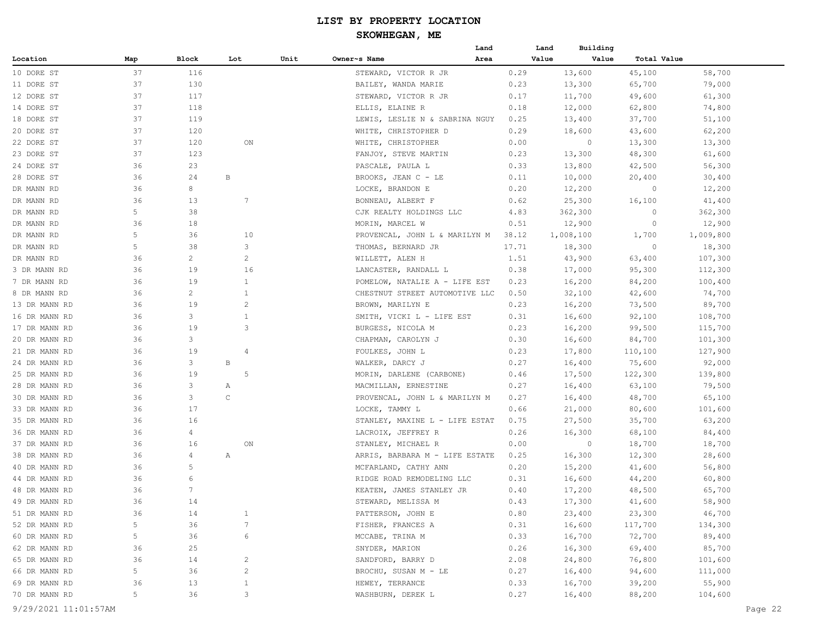|                                |     |                 |                |      |                                | Land | Land  | Building  |             |                   |
|--------------------------------|-----|-----------------|----------------|------|--------------------------------|------|-------|-----------|-------------|-------------------|
| Location                       | Map | Block           | Lot            | Unit | Owner~s Name                   | Area | Value | Value     | Total Value |                   |
| 10 DORE ST                     | 37  | 116             |                |      | STEWARD, VICTOR R JR           |      | 0.29  | 13,600    | 45,100      | 58,700            |
| 11 DORE ST                     | 37  | 130             |                |      | BAILEY, WANDA MARIE            |      | 0.23  | 13,300    | 65,700      | 79,000            |
| 12 DORE ST                     | 37  | 117             |                |      | STEWARD, VICTOR R JR           |      | 0.17  | 11,700    | 49,600      | 61,300            |
| 14 DORE ST                     | 37  | 118             |                |      | ELLIS, ELAINE R                |      | 0.18  | 12,000    | 62,800      | 74,800            |
| 18 DORE ST                     | 37  | 119             |                |      | LEWIS, LESLIE N & SABRINA NGUY |      | 0.25  | 13,400    | 37,700      | 51,100            |
| 20 DORE ST                     | 37  | 120             |                |      | WHITE, CHRISTOPHER D           |      | 0.29  | 18,600    | 43,600      | 62,200            |
| 22 DORE ST                     | 37  | 120             | ON             |      | WHITE, CHRISTOPHER             |      | 0.00  | $\circ$   | 13,300      | 13,300            |
| 23 DORE ST                     | 37  | 123             |                |      | FANJOY, STEVE MARTIN           |      | 0.23  | 13,300    | 48,300      | 61,600            |
| 24 DORE ST                     | 36  | 23              |                |      | PASCALE, PAULA L               |      | 0.33  | 13,800    | 42,500      | 56,300            |
| 28 DORE ST                     | 36  | 24              | В              |      | BROOKS, JEAN C - LE            |      | 0.11  | 10,000    | 20,400      | 30,400            |
| DR MANN RD                     | 36  | 8               |                |      | LOCKE, BRANDON E               |      | 0.20  | 12,200    | 0           | 12,200            |
| DR MANN RD                     | 36  | 13              | 7              |      | BONNEAU, ALBERT F              |      | 0.62  | 25,300    | 16,100      | 41,400            |
| DR MANN RD                     | 5   | 38              |                |      | CJK REALTY HOLDINGS LLC        |      | 4.83  | 362,300   | 0           | 362,300           |
| DR MANN RD                     | 36  | 18              |                |      | MORIN, MARCEL W                |      | 0.51  | 12,900    | 0           | 12,900            |
| DR MANN RD                     | 5   | 36              | 10             |      | PROVENCAL, JOHN L & MARILYN M  |      | 38.12 | 1,008,100 | 1,700       | 1,009,800         |
| DR MANN RD                     | 5   | 38              | 3              |      | THOMAS, BERNARD JR             |      | 17.71 | 18,300    | 0           | 18,300            |
| DR MANN RD                     | 36  | $\overline{c}$  | $\overline{c}$ |      | WILLETT, ALEN H                |      | 1.51  | 43,900    | 63,400      | 107,300           |
| 3 DR MANN RD                   | 36  | 19              | 16             |      | LANCASTER, RANDALL L           |      | 0.38  | 17,000    | 95,300      | 112,300           |
| 7 DR MANN RD                   | 36  | 19              | $\mathbf{1}$   |      | POMELOW, NATALIE A - LIFE EST  |      | 0.23  | 16,200    | 84,200      | 100,400           |
| 8 DR MANN RD                   | 36  | 2               | $\mathbf{1}$   |      | CHESTNUT STREET AUTOMOTIVE LLC |      | 0.50  | 32,100    | 42,600      | 74,700            |
| 13 DR MANN RD                  | 36  | 19              | $\overline{c}$ |      | BROWN, MARILYN E               |      | 0.23  | 16,200    | 73,500      | 89,700            |
| 16 DR MANN RD                  | 36  | 3               | $\mathbf{1}$   |      | SMITH, VICKI L - LIFE EST      |      | 0.31  | 16,600    | 92,100      | 108,700           |
| 17 DR MANN RD                  | 36  | 19              | 3              |      | BURGESS, NICOLA M              |      | 0.23  | 16,200    | 99,500      | 115,700           |
| 20 DR MANN RD                  | 36  | 3               |                |      | CHAPMAN, CAROLYN J             |      | 0.30  | 16,600    | 84,700      | 101,300           |
| 21 DR MANN RD                  | 36  | 19              | 4              |      | FOULKES, JOHN L                |      | 0.23  | 17,800    | 110,100     | 127,900           |
|                                | 36  | 3               | В              |      |                                |      | 0.27  |           | 75,600      | 92,000            |
| 24 DR MANN RD<br>25 DR MANN RD | 36  | 19              | 5              |      | WALKER, DARCY J                |      |       | 16,400    |             |                   |
|                                | 36  | 3               |                |      | MORIN, DARLENE (CARBONE)       |      | 0.46  | 17,500    | 122,300     | 139,800<br>79,500 |
| 28 DR MANN RD                  | 36  | 3               | Α<br>C         |      | MACMILLAN, ERNESTINE           |      | 0.27  | 16,400    | 63,100      |                   |
| 30 DR MANN RD                  |     |                 |                |      | PROVENCAL, JOHN L & MARILYN M  |      | 0.27  | 16,400    | 48,700      | 65,100            |
| 33 DR MANN RD                  | 36  | 17              |                |      | LOCKE, TAMMY L                 |      | 0.66  | 21,000    | 80,600      | 101,600           |
| 35 DR MANN RD                  | 36  | 16              |                |      | STANLEY, MAXINE L - LIFE ESTAT |      | 0.75  | 27,500    | 35,700      | 63,200            |
| 36 DR MANN RD                  | 36  | 4               |                |      | LACROIX, JEFFREY R             |      | 0.26  | 16,300    | 68,100      | 84,400            |
| 37 DR MANN RD                  | 36  | 16              | ON             |      | STANLEY, MICHAEL R             |      | 0.00  | 0         | 18,700      | 18,700            |
| 38 DR MANN RD                  | 36  | 4               | Α              |      | ARRIS, BARBARA M - LIFE ESTATE |      | 0.25  | 16,300    | 12,300      | 28,600            |
| 40 DR MANN RD                  | 36  | 5               |                |      | MCFARLAND, CATHY ANN           |      | 0.20  | 15,200    | 41,600      | 56,800            |
| 44 DR MANN RD                  | 36  | 6               |                |      | RIDGE ROAD REMODELING LLC      |      | 0.31  | 16,600    | 44,200      | 60,800            |
| 48 DR MANN RD                  | 36  | $7\phantom{.0}$ |                |      | KEATEN, JAMES STANLEY JR       |      | 0.40  | 17,200    | 48,500      | 65,700            |
| 49 DR MANN RD                  | 36  | 14              |                |      | STEWARD, MELISSA M             |      | 0.43  | 17,300    | 41,600      | 58,900            |
| 51 DR MANN RD                  | 36  | 14              | $\mathbf{1}$   |      | PATTERSON, JOHN E              |      | 0.80  | 23,400    | 23,300      | 46,700            |
| 52 DR MANN RD                  | 5   | 36              | 7              |      | FISHER, FRANCES A              |      | 0.31  | 16,600    | 117,700     | 134,300           |
| 60 DR MANN RD                  | 5   | 36              | 6              |      | MCCABE, TRINA M                |      | 0.33  | 16,700    | 72,700      | 89,400            |
| 62 DR MANN RD                  | 36  | 25              |                |      | SNYDER, MARION                 |      | 0.26  | 16,300    | 69,400      | 85,700            |
| 65 DR MANN RD                  | 36  | 14              | $\overline{c}$ |      | SANDFORD, BARRY D              |      | 2.08  | 24,800    | 76,800      | 101,600           |
| 66 DR MANN RD                  | 5   | 36              | $\sqrt{2}$     |      | BROCHU, SUSAN M - LE           |      | 0.27  | 16,400    | 94,600      | 111,000           |
| 69 DR MANN RD                  | 36  | 13              | $\mathbf{1}$   |      | HEWEY, TERRANCE                |      | 0.33  | 16,700    | 39,200      | 55,900            |
| 70 DR MANN RD                  | 5   | 36              | 3              |      | WASHBURN, DEREK L              |      | 0.27  | 16,400    | 88,200      | 104,600           |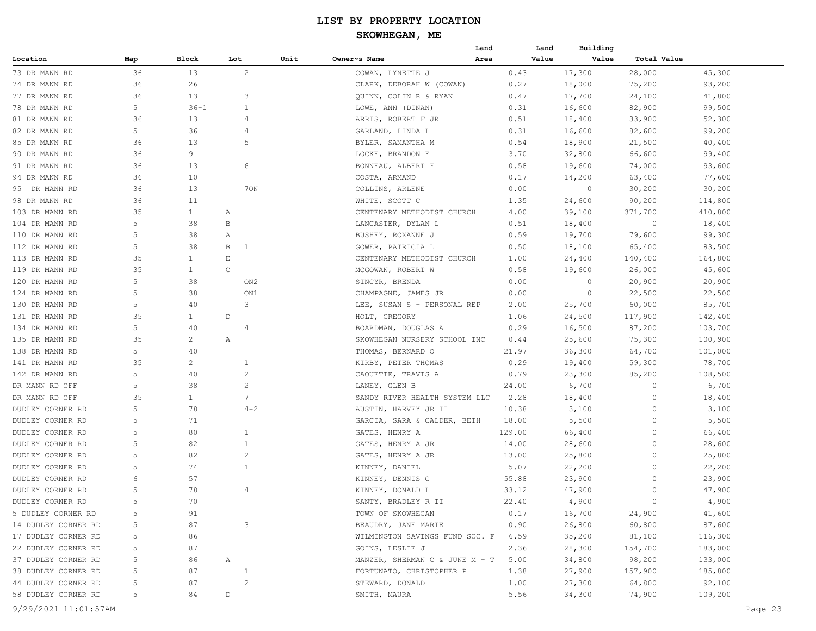|                     |     |                |                   |      | Land                           |        | Building<br>Land |             |         |
|---------------------|-----|----------------|-------------------|------|--------------------------------|--------|------------------|-------------|---------|
| Location            | Map | Block          | Lot               | Unit | Owner~s Name<br>Area           |        | Value<br>Value   | Total Value |         |
| 73 DR MANN RD       | 36  | 13             | $\mathbf{2}$      |      | COWAN, LYNETTE J               | 0.43   | 17,300           | 28,000      | 45,300  |
| 74 DR MANN RD       | 36  | 26             |                   |      | CLARK, DEBORAH W (COWAN)       | 0.27   | 18,000           | 75,200      | 93,200  |
| 77 DR MANN RD       | 36  | 13             | 3                 |      | QUINN, COLIN R & RYAN          | 0.47   | 17,700           | 24,100      | 41,800  |
| 78 DR MANN RD       | 5   | $36 - 1$       | $\mathbf{1}$      |      | LOWE, ANN (DINAN)              | 0.31   | 16,600           | 82,900      | 99,500  |
| 81 DR MANN RD       | 36  | 13             | 4                 |      | ARRIS, ROBERT F JR             | 0.51   | 18,400           | 33,900      | 52,300  |
| 82 DR MANN RD       | 5   | 36             | 4                 |      | GARLAND, LINDA L               | 0.31   | 16,600           | 82,600      | 99,200  |
| 85 DR MANN RD       | 36  | 13             | 5                 |      | BYLER, SAMANTHA M              | 0.54   | 18,900           | 21,500      | 40,400  |
| 90 DR MANN RD       | 36  | 9              |                   |      | LOCKE, BRANDON E               | 3.70   | 32,800           | 66,600      | 99,400  |
| 91 DR MANN RD       | 36  | 13             | 6                 |      | BONNEAU, ALBERT F              | 0.58   | 19,600           | 74,000      | 93,600  |
| 94 DR MANN RD       | 36  | 10             |                   |      | COSTA, ARMAND                  | 0.17   | 14,200           | 63,400      | 77,600  |
| 95 DR MANN RD       | 36  | 13             | 70N               |      | COLLINS, ARLENE                | 0.00   | $\circ$          | 30,200      | 30,200  |
| 98 DR MANN RD       | 36  | 11             |                   |      | WHITE, SCOTT C                 | 1.35   | 24,600           | 90,200      | 114,800 |
| 103 DR MANN RD      | 35  | $\mathbf{1}$   | A                 |      | CENTENARY METHODIST CHURCH     | 4.00   | 39,100           | 371,700     | 410,800 |
| 104 DR MANN RD      | 5   | 38             | В                 |      | LANCASTER, DYLAN L             | 0.51   | 18,400           | $\circ$     | 18,400  |
| 110 DR MANN RD      | 5   | 38             | Α                 |      | BUSHEY, ROXANNE J              | 0.59   | 19,700           | 79,600      | 99,300  |
| 112 DR MANN RD      | 5   | 38             | B<br>$\mathbf{1}$ |      | GOWER, PATRICIA L              | 0.50   | 18,100           | 65,400      | 83,500  |
| 113 DR MANN RD      | 35  | 1              | E                 |      | CENTENARY METHODIST CHURCH     | 1.00   | 24,400           | 140,400     | 164,800 |
| 119 DR MANN RD      | 35  | $\mathbf{1}$   | $\mathsf C$       |      | MCGOWAN, ROBERT W              | 0.58   | 19,600           | 26,000      | 45,600  |
| 120 DR MANN RD      | 5   | 38             | ON <sub>2</sub>   |      | SINCYR, BRENDA                 | 0.00   | 0                | 20,900      | 20,900  |
| 124 DR MANN RD      | 5   | 38             | ON1               |      | CHAMPAGNE, JAMES JR            | 0.00   | 0                | 22,500      | 22,500  |
| 130 DR MANN RD      | 5   | 40             | 3                 |      | LEE, SUSAN S - PERSONAL REP    | 2.00   | 25,700           | 60,000      | 85,700  |
| 131 DR MANN RD      | 35  | $\mathbf{1}$   | $\mathbb D$       |      | HOLT, GREGORY                  | 1.06   | 24,500           | 117,900     | 142,400 |
| 134 DR MANN RD      | 5   | 40             | 4                 |      | BOARDMAN, DOUGLAS A            | 0.29   | 16,500           | 87,200      | 103,700 |
| 135 DR MANN RD      | 35  | $\mathbf{2}$   | Α                 |      | SKOWHEGAN NURSERY SCHOOL INC   | 0.44   | 25,600           | 75,300      | 100,900 |
| 138 DR MANN RD      | 5   | 40             |                   |      | THOMAS, BERNARD O              | 21.97  | 36,300           | 64,700      | 101,000 |
| 141 DR MANN RD      | 35  | $\overline{c}$ | 1                 |      | KIRBY, PETER THOMAS            | 0.29   | 19,400           | 59,300      | 78,700  |
| 142 DR MANN RD      | 5   | 40             | 2                 |      | CAOUETTE, TRAVIS A             | 0.79   | 23,300           | 85,200      | 108,500 |
| DR MANN RD OFF      | 5   | 38             | $\overline{c}$    |      | LANEY, GLEN B                  | 24.00  | 6,700            | $\circ$     | 6,700   |
| DR MANN RD OFF      | 35  | 1              | 7                 |      | SANDY RIVER HEALTH SYSTEM LLC  | 2.28   | 18,400           | $\circ$     | 18,400  |
| DUDLEY CORNER RD    | 5   | 78             | $4 - 2$           |      | AUSTIN, HARVEY JR II           | 10.38  | 3,100            | $\circ$     | 3,100   |
| DUDLEY CORNER RD    | 5   | 71             |                   |      | GARCIA, SARA & CALDER, BETH    | 18.00  | 5,500            | $\circ$     | 5,500   |
| DUDLEY CORNER RD    | 5   | 80             | $\mathbf{1}$      |      | GATES, HENRY A                 | 129.00 | 66,400           | $\circ$     | 66,400  |
| DUDLEY CORNER RD    | 5   | 82             | $\mathbf{1}$      |      | GATES, HENRY A JR              | 14.00  | 28,600           | $\circ$     | 28,600  |
| DUDLEY CORNER RD    | 5   | 82             | $\overline{c}$    |      | GATES, HENRY A JR              | 13.00  | 25,800           | $\circ$     | 25,800  |
| DUDLEY CORNER RD    | 5   | 74             | $\mathbf{1}$      |      | KINNEY, DANIEL                 | 5.07   | 22,200           | $\circ$     | 22,200  |
| DUDLEY CORNER RD    | 6   | 57             |                   |      | KINNEY, DENNIS G               | 55.88  | 23,900           | $\circ$     | 23,900  |
| DUDLEY CORNER RD    | 5   | 78             | 4                 |      | KINNEY, DONALD L               | 33.12  | 47,900           | $\circ$     | 47,900  |
| DUDLEY CORNER RD    | 5   | 70             |                   |      | SANTY, BRADLEY R II            | 22.40  | 4,900            | $\circ$     | 4,900   |
| 5 DUDLEY CORNER RD  | 5   | 91             |                   |      | TOWN OF SKOWHEGAN              | 0.17   | 16,700           | 24,900      | 41,600  |
| 14 DUDLEY CORNER RD | 5   | 87             | 3                 |      | BEAUDRY, JANE MARIE            | 0.90   | 26,800           | 60,800      | 87,600  |
| 17 DUDLEY CORNER RD | 5   | 86             |                   |      | WILMINGTON SAVINGS FUND SOC. F | 6.59   | 35,200           | 81,100      | 116,300 |
| 22 DUDLEY CORNER RD | 5   | 87             |                   |      | GOINS, LESLIE J                | 2.36   | 28,300           | 154,700     | 183,000 |
| 37 DUDLEY CORNER RD | 5   | 86             | Α                 |      | MANZER, SHERMAN C & JUNE M - T | 5.00   | 34,800           | 98,200      | 133,000 |
| 38 DUDLEY CORNER RD | 5   | 87             | $\mathbf{1}$      |      | FORTUNATO, CHRISTOPHER P       | 1.38   | 27,900           | 157,900     | 185,800 |
| 44 DUDLEY CORNER RD | 5   | 87             | $\sqrt{2}$        |      | STEWARD, DONALD                | 1.00   | 27,300           | 64,800      | 92,100  |
| 58 DUDLEY CORNER RD | 5   | 84             | $\mathbb D$       |      | SMITH, MAURA                   | 5.56   | 34,300           | 74,900      | 109,200 |
|                     |     |                |                   |      |                                |        |                  |             |         |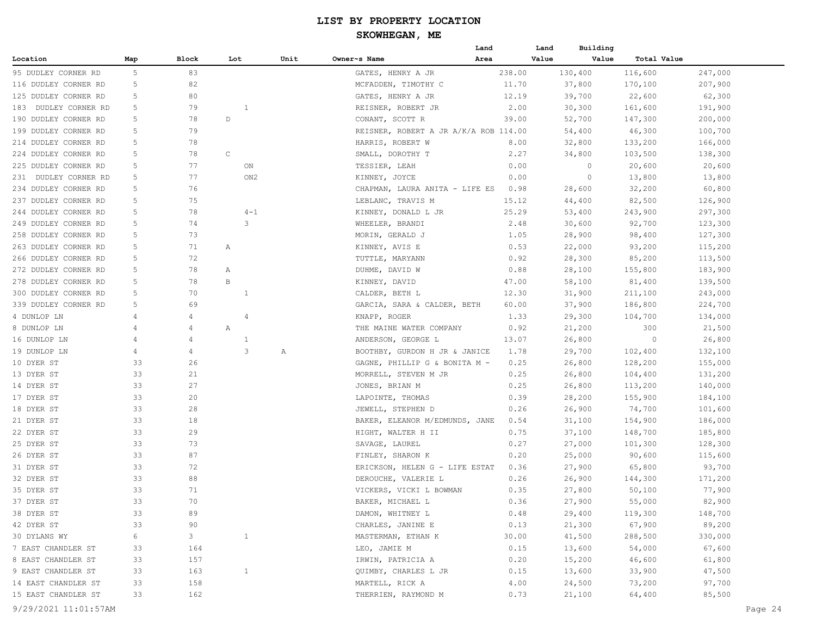|                      |                |                |             |                 |      |                                       | Land   | Land  | Building |             |         |
|----------------------|----------------|----------------|-------------|-----------------|------|---------------------------------------|--------|-------|----------|-------------|---------|
| Location             | Map            | Block          | Lot         |                 | Unit | Owner~s Name                          | Area   | Value | Value    | Total Value |         |
| 95 DUDLEY CORNER RD  | 5              | 83             |             |                 |      | GATES, HENRY A JR                     | 238.00 |       | 130,400  | 116,600     | 247,000 |
| 116 DUDLEY CORNER RD | 5              | 82             |             |                 |      | MCFADDEN, TIMOTHY C                   | 11.70  |       | 37,800   | 170,100     | 207,900 |
| 125 DUDLEY CORNER RD | 5              | 80             |             |                 |      | GATES, HENRY A JR                     | 12.19  |       | 39,700   | 22,600      | 62,300  |
| 183 DUDLEY CORNER RD | 5              | 79             |             | $\mathbf{1}$    |      | REISNER, ROBERT JR                    | 2.00   |       | 30,300   | 161,600     | 191,900 |
| 190 DUDLEY CORNER RD | 5              | 78             | D           |                 |      | CONANT, SCOTT R                       | 39.00  |       | 52,700   | 147,300     | 200,000 |
| 199 DUDLEY CORNER RD | 5              | 79             |             |                 |      | REISNER, ROBERT A JR A/K/A ROB 114.00 |        |       | 54,400   | 46,300      | 100,700 |
| 214 DUDLEY CORNER RD | 5              | 78             |             |                 |      | HARRIS, ROBERT W                      | 8.00   |       | 32,800   | 133,200     | 166,000 |
| 224 DUDLEY CORNER RD | 5              | 78             | $\mathsf C$ |                 |      | SMALL, DOROTHY T                      | 2.27   |       | 34,800   | 103,500     | 138,300 |
| 225 DUDLEY CORNER RD | 5              | 77             |             | ON              |      | TESSIER, LEAH                         | 0.00   |       | 0        | 20,600      | 20,600  |
| 231 DUDLEY CORNER RD | 5              | 77             |             | ON <sub>2</sub> |      | KINNEY, JOYCE                         | 0.00   |       | 0        | 13,800      | 13,800  |
| 234 DUDLEY CORNER RD | 5              | 76             |             |                 |      | CHAPMAN, LAURA ANITA - LIFE ES        | 0.98   |       | 28,600   | 32,200      | 60,800  |
| 237 DUDLEY CORNER RD | 5              | 75             |             |                 |      | LEBLANC, TRAVIS M                     | 15.12  |       | 44,400   | 82,500      | 126,900 |
| 244 DUDLEY CORNER RD | 5              | 78             |             | $4 - 1$         |      | KINNEY, DONALD L JR                   | 25.29  |       | 53,400   | 243,900     | 297,300 |
| 249 DUDLEY CORNER RD | 5              | 74             |             | 3               |      | WHEELER, BRANDI                       | 2.48   |       | 30,600   | 92,700      | 123,300 |
| 258 DUDLEY CORNER RD | 5              | 73             |             |                 |      | MORIN, GERALD J                       | 1.05   |       | 28,900   | 98,400      | 127,300 |
| 263 DUDLEY CORNER RD | 5              | 71             | Α           |                 |      | KINNEY, AVIS E                        | 0.53   |       | 22,000   | 93,200      | 115,200 |
| 266 DUDLEY CORNER RD | 5              | 72             |             |                 |      | TUTTLE, MARYANN                       | 0.92   |       | 28,300   | 85,200      | 113,500 |
| 272 DUDLEY CORNER RD | 5              | 78             | Α           |                 |      | DUHME, DAVID W                        | 0.88   |       | 28,100   | 155,800     | 183,900 |
| 278 DUDLEY CORNER RD | 5              | 78             | B           |                 |      | KINNEY, DAVID                         | 47.00  |       | 58,100   | 81,400      | 139,500 |
| 300 DUDLEY CORNER RD | 5              | 70             |             | $\mathbf{1}$    |      | CALDER, BETH L                        | 12.30  |       | 31,900   | 211,100     | 243,000 |
| 339 DUDLEY CORNER RD | 5              | 69             |             |                 |      | GARCIA, SARA & CALDER, BETH           | 60.00  |       | 37,900   | 186,800     | 224,700 |
| 4 DUNLOP LN          | 4              | 4              |             | 4               |      | KNAPP, ROGER                          | 1.33   |       | 29,300   | 104,700     | 134,000 |
| 8 DUNLOP LN          | $\overline{4}$ | 4              | Α           |                 |      | THE MAINE WATER COMPANY               | 0.92   |       | 21,200   | 300         | 21,500  |
| 16 DUNLOP LN         | $\overline{4}$ | 4              |             | 1               |      | ANDERSON, GEORGE L                    | 13.07  |       | 26,800   | $\circ$     | 26,800  |
| 19 DUNLOP LN         | $\overline{4}$ | 4              |             | 3               | Α    | BOOTHBY, GURDON H JR & JANICE         | 1.78   |       | 29,700   | 102,400     | 132,100 |
| 10 DYER ST           | 33             | 26             |             |                 |      | GAGNE, PHILLIP G & BONITA M -         | 0.25   |       | 26,800   | 128,200     | 155,000 |
| 13 DYER ST           | 33             | 21             |             |                 |      | MORRELL, STEVEN M JR                  | 0.25   |       | 26,800   | 104,400     | 131,200 |
| 14 DYER ST           | 33             | 27             |             |                 |      | JONES, BRIAN M                        | 0.25   |       | 26,800   | 113,200     | 140,000 |
| 17 DYER ST           | 33             | 20             |             |                 |      | LAPOINTE, THOMAS                      | 0.39   |       | 28,200   | 155,900     | 184,100 |
| 18 DYER ST           | 33             | 28             |             |                 |      | JEWELL, STEPHEN D                     | 0.26   |       | 26,900   | 74,700      | 101,600 |
| 21 DYER ST           | 33             | 18             |             |                 |      | BAKER, ELEANOR M/EDMUNDS, JANE        | 0.54   |       | 31,100   | 154,900     | 186,000 |
| 22 DYER ST           | 33             | 29             |             |                 |      | HIGHT, WALTER H II                    | 0.75   |       | 37,100   | 148,700     | 185,800 |
| 25 DYER ST           | 33             | 73             |             |                 |      | SAVAGE, LAUREL                        | 0.27   |       | 27,000   | 101,300     | 128,300 |
| 26 DYER ST           | 33             | 87             |             |                 |      | FINLEY, SHARON K                      | 0.20   |       | 25,000   | 90,600      | 115,600 |
| 31 DYER ST           | 33             | 72             |             |                 |      | ERICKSON, HELEN G - LIFE ESTAT        | 0.36   |       | 27,900   | 65,800      | 93,700  |
| 32 DYER ST           | 33             | 88             |             |                 |      | DEROUCHE, VALERIE L                   | 0.26   |       | 26,900   | 144,300     | 171,200 |
| 35 DYER ST           | 33             | 71             |             |                 |      | VICKERS, VICKI L BOWMAN               | 0.35   |       | 27,800   | 50,100      | 77,900  |
| 37 DYER ST           | 33             | 70             |             |                 |      | BAKER, MICHAEL L                      | 0.36   |       | 27,900   | 55,000      | 82,900  |
| 38 DYER ST           | 33             | 89             |             |                 |      | DAMON, WHITNEY L                      | 0.48   |       | 29,400   | 119,300     | 148,700 |
| 42 DYER ST           | 33             | 90             |             |                 |      | CHARLES, JANINE E                     | 0.13   |       | 21,300   | 67,900      | 89,200  |
| 30 DYLANS WY         | 6              | 3 <sup>7</sup> |             | $\mathbf{1}$    |      | MASTERMAN, ETHAN K                    | 30.00  |       | 41,500   | 288,500     | 330,000 |
| 7 EAST CHANDLER ST   | 33             | 164            |             |                 |      | LEO, JAMIE M                          | 0.15   |       | 13,600   | 54,000      | 67,600  |
| 8 EAST CHANDLER ST   | 33             | 157            |             |                 |      | IRWIN, PATRICIA A                     | 0.20   |       | 15,200   | 46,600      | 61,800  |
| 9 EAST CHANDLER ST   | 33             | 163            |             | $\mathbf{1}$    |      | QUIMBY, CHARLES L JR                  | 0.15   |       | 13,600   | 33,900      | 47,500  |
| 14 EAST CHANDLER ST  | 33             | 158            |             |                 |      | MARTELL, RICK A                       | 4.00   |       | 24,500   | 73,200      | 97,700  |
| 15 EAST CHANDLER ST  | 33             | 162            |             |                 |      | THERRIEN, RAYMOND M                   | 0.73   |       | 21,100   | 64,400      | 85,500  |
|                      |                |                |             |                 |      |                                       |        |       |          |             |         |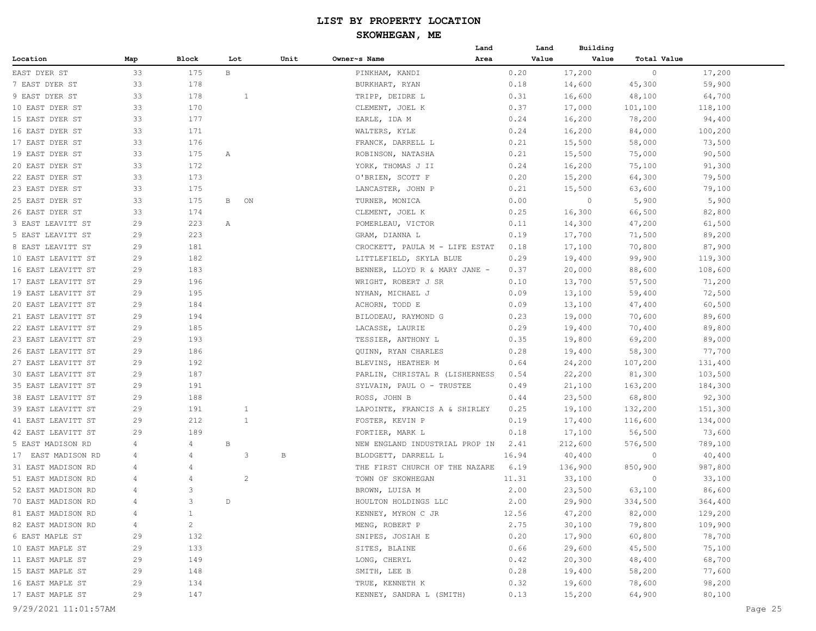|                      |                |                |              |                |      | Land                           | Land  | Building |             |         |         |
|----------------------|----------------|----------------|--------------|----------------|------|--------------------------------|-------|----------|-------------|---------|---------|
| Location             | Map            | Block          | Lot          |                | Unit | Owner~s Name<br>Area           | Value | Value    | Total Value |         |         |
| EAST DYER ST         | 33             | 175            | $\mathbf{B}$ |                |      | PINKHAM, KANDI                 | 0.20  | 17,200   | $\circ$     | 17,200  |         |
| 7 EAST DYER ST       | 33             | 178            |              |                |      | BURKHART, RYAN                 | 0.18  | 14,600   | 45,300      | 59,900  |         |
| 9 EAST DYER ST       | 33             | 178            |              | 1              |      | TRIPP, DEIDRE L                | 0.31  | 16,600   | 48,100      | 64,700  |         |
| 10 EAST DYER ST      | 33             | 170            |              |                |      | CLEMENT, JOEL K                | 0.37  | 17,000   | 101,100     | 118,100 |         |
| 15 EAST DYER ST      | 33             | 177            |              |                |      | EARLE, IDA M                   | 0.24  | 16,200   | 78,200      | 94,400  |         |
| 16 EAST DYER ST      | 33             | 171            |              |                |      | WALTERS, KYLE                  | 0.24  | 16,200   | 84,000      | 100,200 |         |
| 17 EAST DYER ST      | 33             | 176            |              |                |      | FRANCK, DARRELL L              | 0.21  | 15,500   | 58,000      | 73,500  |         |
| 19 EAST DYER ST      | 33             | 175            | Α            |                |      | ROBINSON, NATASHA              | 0.21  | 15,500   | 75,000      | 90,500  |         |
| 20 EAST DYER ST      | 33             | 172            |              |                |      | YORK, THOMAS J II              | 0.24  | 16,200   | 75,100      | 91,300  |         |
| 22 EAST DYER ST      | 33             | 173            |              |                |      | O'BRIEN, SCOTT F               | 0.20  | 15,200   | 64,300      | 79,500  |         |
| 23 EAST DYER ST      | 33             | 175            |              |                |      | LANCASTER, JOHN P              | 0.21  | 15,500   | 63,600      | 79,100  |         |
| 25 EAST DYER ST      | 33             | 175            | B            | ON             |      | TURNER, MONICA                 | 0.00  | $\circ$  | 5,900       | 5,900   |         |
| 26 EAST DYER ST      | 33             | 174            |              |                |      | CLEMENT, JOEL K                | 0.25  | 16,300   | 66,500      | 82,800  |         |
| 3 EAST LEAVITT ST    | 29             | 223            | Α            |                |      | POMERLEAU, VICTOR              | 0.11  | 14,300   | 47,200      | 61,500  |         |
| 5 EAST LEAVITT ST    | 29             | 223            |              |                |      | GRAM, DIANNA L                 | 0.19  | 17,700   | 71,500      | 89,200  |         |
| 8 EAST LEAVITT ST    | 29             | 181            |              |                |      | CROCKETT, PAULA M - LIFE ESTAT | 0.18  | 17,100   | 70,800      | 87,900  |         |
| 10 EAST LEAVITT ST   | 29             | 182            |              |                |      | LITTLEFIELD, SKYLA BLUE        | 0.29  | 19,400   | 99,900      | 119,300 |         |
| 16 EAST LEAVITT ST   | 29             | 183            |              |                |      | BENNER, LLOYD R & MARY JANE -  | 0.37  | 20,000   | 88,600      | 108,600 |         |
| 17 EAST LEAVITT ST   | 29             | 196            |              |                |      | WRIGHT, ROBERT J SR            | 0.10  | 13,700   | 57,500      | 71,200  |         |
| 19 EAST LEAVITT ST   | 29             | 195            |              |                |      | NYHAN, MICHAEL J               | 0.09  | 13,100   | 59,400      | 72,500  |         |
| 20 EAST LEAVITT ST   | 29             | 184            |              |                |      | ACHORN, TODD E                 | 0.09  | 13,100   | 47,400      | 60,500  |         |
| 21 EAST LEAVITT ST   | 29             | 194            |              |                |      | BILODEAU, RAYMOND G            | 0.23  | 19,000   | 70,600      | 89,600  |         |
| 22 EAST LEAVITT ST   | 29             | 185            |              |                |      | LACASSE, LAURIE                | 0.29  | 19,400   | 70,400      | 89,800  |         |
| 23 EAST LEAVITT ST   | 29             | 193            |              |                |      | TESSIER, ANTHONY L             | 0.35  | 19,800   | 69,200      | 89,000  |         |
| 26 EAST LEAVITT ST   | 29             | 186            |              |                |      |                                | 0.28  | 19,400   | 58,300      | 77,700  |         |
| 27 EAST LEAVITT ST   | 29             | 192            |              |                |      | QUINN, RYAN CHARLES            |       |          |             |         |         |
|                      | 29             | 187            |              |                |      | BLEVINS, HEATHER M             | 0.64  | 24,200   | 107,200     | 131,400 |         |
| 30 EAST LEAVITT ST   |                |                |              |                |      | PARLIN, CHRISTAL R (LISHERNESS | 0.54  | 22,200   | 81,300      | 103,500 |         |
| 35 EAST LEAVITT ST   | 29             | 191            |              |                |      | SYLVAIN, PAUL O - TRUSTEE      | 0.49  | 21,100   | 163,200     | 184,300 |         |
| 38 EAST LEAVITT ST   | 29             | 188            |              |                |      | ROSS, JOHN B                   | 0.44  | 23,500   | 68,800      | 92,300  |         |
| 39 EAST LEAVITT ST   | 29             | 191            |              | 1              |      | LAPOINTE, FRANCIS A & SHIRLEY  | 0.25  | 19,100   | 132,200     | 151,300 |         |
| 41 EAST LEAVITT ST   | 29             | 212            |              | $\mathbf{1}$   |      | FOSTER, KEVIN P                | 0.19  | 17,400   | 116,600     | 134,000 |         |
| 42 EAST LEAVITT ST   | 29             | 189            |              |                |      | FORTIER, MARK L                | 0.18  | 17,100   | 56,500      | 73,600  |         |
| 5 EAST MADISON RD    | 4              | 4              | B            |                |      | NEW ENGLAND INDUSTRIAL PROP IN | 2.41  | 212,600  | 576,500     | 789,100 |         |
| 17 EAST MADISON RD   | 4              | 4              |              | 3              | В    | BLODGETT, DARRELL L            | 16.94 | 40,400   | $\circ$     | 40,400  |         |
| 31 EAST MADISON RD   | 4              | 4              |              |                |      | THE FIRST CHURCH OF THE NAZARE | 6.19  | 136,900  | 850,900     | 987,800 |         |
| 51 EAST MADISON RD   | 4              |                |              | $\overline{c}$ |      | TOWN OF SKOWHEGAN              | 11.31 | 33,100   | $\circ$     | 33,100  |         |
| 52 EAST MADISON RD   | $\overline{4}$ | 3              |              |                |      | BROWN, LUISA M                 | 2.00  | 23,500   | 63,100      | 86,600  |         |
| 70 EAST MADISON RD   | $\Delta$       | 3              | D            |                |      | HOULTON HOLDINGS LLC           | 2.00  | 29,900   | 334,500     | 364,400 |         |
| 81 EAST MADISON RD   | 4              | $\mathbf{1}$   |              |                |      | KENNEY, MYRON C JR             | 12.56 | 47,200   | 82,000      | 129,200 |         |
| 82 EAST MADISON RD   | $\overline{4}$ | $\overline{c}$ |              |                |      | MENG, ROBERT P                 | 2.75  | 30,100   | 79,800      | 109,900 |         |
| 6 EAST MAPLE ST      | 29             | 132            |              |                |      | SNIPES, JOSIAH E               | 0.20  | 17,900   | 60,800      | 78,700  |         |
| 10 EAST MAPLE ST     | 29             | 133            |              |                |      | SITES, BLAINE                  | 0.66  | 29,600   | 45,500      | 75,100  |         |
| 11 EAST MAPLE ST     | 29             | 149            |              |                |      | LONG, CHERYL                   | 0.42  | 20,300   | 48,400      | 68,700  |         |
| 15 EAST MAPLE ST     | 29             | 148            |              |                |      | SMITH, LEE B                   | 0.28  | 19,400   | 58,200      | 77,600  |         |
| 16 EAST MAPLE ST     | 29             | 134            |              |                |      | TRUE, KENNETH K                | 0.32  | 19,600   | 78,600      | 98,200  |         |
| 17 EAST MAPLE ST     | 29             | 147            |              |                |      | KENNEY, SANDRA L (SMITH)       | 0.13  | 15,200   | 64,900      | 80,100  |         |
| 9/29/2021 11:01:57AM |                |                |              |                |      |                                |       |          |             |         | Page 25 |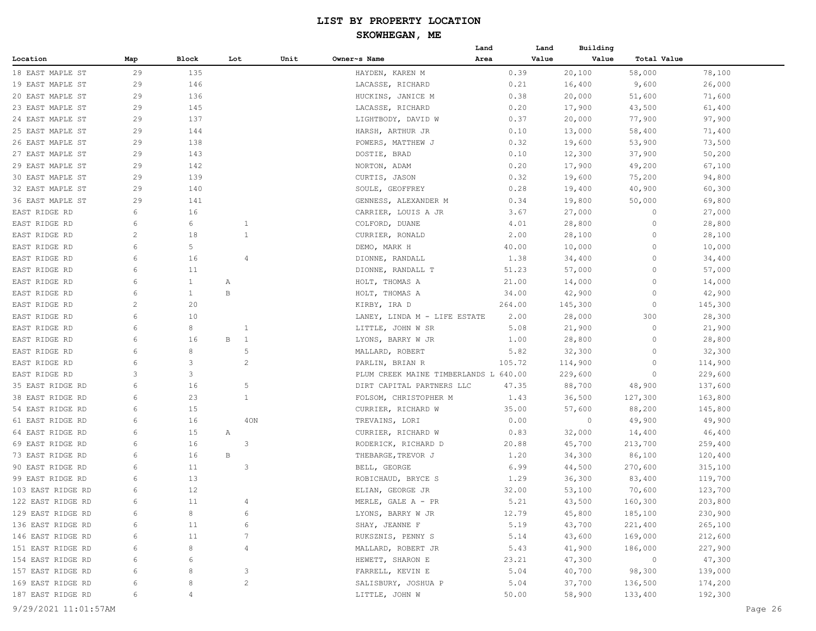|                   |     |              |     |                         |      |                                       | Land | Land   | Building |                |         |
|-------------------|-----|--------------|-----|-------------------------|------|---------------------------------------|------|--------|----------|----------------|---------|
| Location          | Map | Block        | Lot |                         | Unit | Owner~s Name                          | Area | Value  | Value    | Total Value    |         |
| 18 EAST MAPLE ST  | 29  | 135          |     |                         |      | HAYDEN, KAREN M                       |      | 0.39   | 20,100   | 58,000         | 78,100  |
| 19 EAST MAPLE ST  | 29  | 146          |     |                         |      | LACASSE, RICHARD                      |      | 0.21   | 16,400   | 9,600          | 26,000  |
| 20 EAST MAPLE ST  | 29  | 136          |     |                         |      | HUCKINS, JANICE M                     |      | 0.38   | 20,000   | 51,600         | 71,600  |
| 23 EAST MAPLE ST  | 29  | 145          |     |                         |      | LACASSE, RICHARD                      |      | 0.20   | 17,900   | 43,500         | 61,400  |
| 24 EAST MAPLE ST  | 29  | 137          |     |                         |      | LIGHTBODY, DAVID W                    |      | 0.37   | 20,000   | 77,900         | 97,900  |
| 25 EAST MAPLE ST  | 29  | 144          |     |                         |      | HARSH, ARTHUR JR                      |      | 0.10   | 13,000   | 58,400         | 71,400  |
| 26 EAST MAPLE ST  | 29  | 138          |     |                         |      | POWERS, MATTHEW J                     |      | 0.32   | 19,600   | 53,900         | 73,500  |
| 27 EAST MAPLE ST  | 29  | 143          |     |                         |      | DOSTIE, BRAD                          |      | 0.10   | 12,300   | 37,900         | 50,200  |
| 29 EAST MAPLE ST  | 29  | 142          |     |                         |      | NORTON, ADAM                          |      | 0.20   | 17,900   | 49,200         | 67,100  |
| 30 EAST MAPLE ST  | 29  | 139          |     |                         |      | CURTIS, JASON                         |      | 0.32   | 19,600   | 75,200         | 94,800  |
| 32 EAST MAPLE ST  | 29  | 140          |     |                         |      | SOULE, GEOFFREY                       |      | 0.28   | 19,400   | 40,900         | 60,300  |
| 36 EAST MAPLE ST  | 29  | 141          |     |                         |      | GENNESS, ALEXANDER M                  |      | 0.34   | 19,800   | 50,000         | 69,800  |
| EAST RIDGE RD     | 6   | 16           |     |                         |      | CARRIER, LOUIS A JR                   |      | 3.67   | 27,000   | $\circ$        | 27,000  |
| EAST RIDGE RD     | 6   | 6            |     | $\mathbf{1}$            |      | COLFORD, DUANE                        |      | 4.01   | 28,800   | $\circ$        | 28,800  |
| EAST RIDGE RD     | 2   | 18           |     | $\mathbf{1}$            |      | CURRIER, RONALD                       |      | 2.00   | 28,100   | 0              | 28,100  |
| EAST RIDGE RD     | 6   | 5            |     |                         |      | DEMO, MARK H                          |      | 40.00  | 10,000   | 0              | 10,000  |
| EAST RIDGE RD     | 6   | 16           |     | $\overline{4}$          |      | DIONNE, RANDALL                       |      | 1.38   | 34,400   | 0              | 34,400  |
| EAST RIDGE RD     | 6   | 11           |     |                         |      | DIONNE, RANDALL T                     |      | 51.23  | 57,000   | 0              | 57,000  |
| EAST RIDGE RD     | 6   | $\mathbf{1}$ | Α   |                         |      | HOLT, THOMAS A                        |      | 21.00  | 14,000   | 0              | 14,000  |
| EAST RIDGE RD     | 6   | $\mathbf{1}$ | В   |                         |      | HOLT, THOMAS A                        |      | 34.00  | 42,900   | 0              | 42,900  |
| EAST RIDGE RD     | 2   | 20           |     |                         |      | KIRBY, IRA D                          |      | 264.00 | 145,300  | $\circ$        | 145,300 |
| EAST RIDGE RD     | 6   | 10           |     |                         |      | LANEY, LINDA M - LIFE ESTATE          |      | 2.00   | 28,000   | 300            | 28,300  |
| EAST RIDGE RD     | 6   | 8            |     | -1                      |      | LITTLE, JOHN W SR                     |      | 5.08   | 21,900   | 0              | 21,900  |
| EAST RIDGE RD     | 6   | 16           | В   | $\mathbf{1}$            |      | LYONS, BARRY W JR                     |      | 1.00   | 28,800   | $\circ$        | 28,800  |
| EAST RIDGE RD     | 6   | 8            |     | 5                       |      | MALLARD, ROBERT                       |      | 5.82   | 32,300   | 0              | 32,300  |
| EAST RIDGE RD     | 6   | 3            |     | $\overline{2}$          |      | PARLIN, BRIAN R                       |      | 105.72 | 114,900  | 0              | 114,900 |
| EAST RIDGE RD     | 3   | 3            |     |                         |      | PLUM CREEK MAINE TIMBERLANDS L 640.00 |      |        | 229,600  | 0              | 229,600 |
| 35 EAST RIDGE RD  | 6   | 16           |     | 5                       |      | DIRT CAPITAL PARTNERS LLC             |      | 47.35  | 88,700   | 48,900         | 137,600 |
| 38 EAST RIDGE RD  | 6   | 23           |     | $\mathbf{1}$            |      | FOLSOM, CHRISTOPHER M                 |      | 1.43   | 36,500   | 127,300        | 163,800 |
| 54 EAST RIDGE RD  | 6   | 15           |     |                         |      | CURRIER, RICHARD W                    |      | 35.00  | 57,600   | 88,200         | 145,800 |
| 61 EAST RIDGE RD  | 6   | 16           |     | 4ON                     |      | TREVAINS, LORI                        |      | 0.00   | 0        | 49,900         | 49,900  |
| 64 EAST RIDGE RD  | 6   | 15           | Α   |                         |      | CURRIER, RICHARD W                    |      | 0.83   | 32,000   | 14,400         | 46,400  |
| 69 EAST RIDGE RD  | 6   | 16           |     | $\overline{\mathbf{3}}$ |      | RODERICK, RICHARD D                   |      | 20.88  | 45,700   | 213,700        | 259,400 |
| 73 EAST RIDGE RD  | 6   | 16           | В   |                         |      | THEBARGE, TREVOR J                    |      | 1.20   | 34,300   | 86,100         | 120,400 |
| 90 EAST RIDGE RD  | 6   | 11           |     | $\overline{\mathbf{3}}$ |      | BELL, GEORGE                          |      | 6.99   | 44,500   | 270,600        | 315,100 |
| 99 EAST RIDGE RD  | 6   | 13           |     |                         |      | ROBICHAUD, BRYCE S                    |      | 1.29   | 36,300   | 83,400         | 119,700 |
| 103 EAST RIDGE RD | 6   | 12           |     |                         |      | ELIAN, GEORGE JR                      |      | 32.00  | 53,100   | 70,600         | 123,700 |
| 122 EAST RIDGE RD | 6   | 11           |     | 4                       |      | MERLE, GALE $A - PR$                  |      | 5.21   | 43,500   | 160,300        | 203,800 |
| 129 EAST RIDGE RD | 6   | 8            |     | 6                       |      | LYONS, BARRY W JR                     |      | 12.79  | 45,800   | 185,100        | 230,900 |
| 136 EAST RIDGE RD | 6   | 11           |     | 6                       |      | SHAY, JEANNE F                        |      | 5.19   | 43,700   | 221,400        | 265,100 |
| 146 EAST RIDGE RD | 6   | 11           |     |                         |      | RUKSZNIS, PENNY S                     |      | 5.14   | 43,600   | 169,000        | 212,600 |
| 151 EAST RIDGE RD |     | 8            |     | 4                       |      | MALLARD, ROBERT JR                    |      | 5.43   | 41,900   | 186,000        | 227,900 |
| 154 EAST RIDGE RD |     | 6            |     |                         |      | HEWETT, SHARON E                      |      | 23.21  | 47,300   | $\overline{0}$ | 47,300  |
| 157 EAST RIDGE RD | 6   | 8            |     | 3                       |      | FARRELL, KEVIN E                      |      | 5.04   | 40,700   | 98,300         | 139,000 |
| 169 EAST RIDGE RD | 6   | 8            |     | 2                       |      | SALISBURY, JOSHUA P                   |      | 5.04   | 37,700   | 136,500        | 174,200 |
| 187 EAST RIDGE RD | 6   | 4            |     |                         |      |                                       |      | 50.00  | 58,900   | 133,400        | 192,300 |
|                   |     |              |     |                         |      | LITTLE, JOHN W                        |      |        |          |                |         |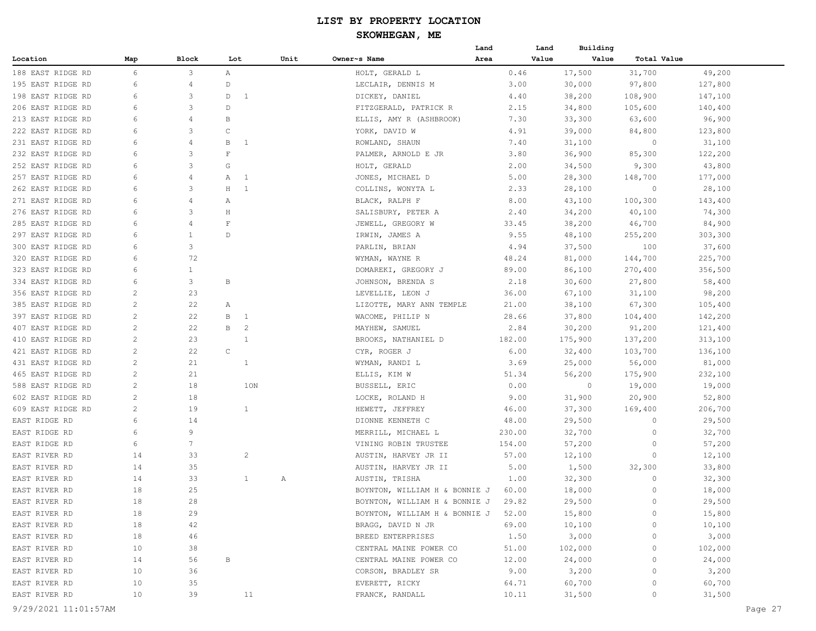## **SKOWHEGAN, ME**

|                   |                 |                 |                         |                |      |                                              | Land   | Land  | Building |             |         |
|-------------------|-----------------|-----------------|-------------------------|----------------|------|----------------------------------------------|--------|-------|----------|-------------|---------|
| Location          | Map             | Block           | Lot                     |                | Unit | Owner~s Name                                 | Area   | Value | Value    | Total Value |         |
| 188 EAST RIDGE RD | 6               | 3               | $\mathbb{A}$            |                |      | HOLT, GERALD L                               |        | 0.46  | 17,500   | 31,700      | 49,200  |
| 195 EAST RIDGE RD | 6               | 4               | D                       |                |      | LECLAIR, DENNIS M                            |        | 3.00  | 30,000   | 97,800      | 127,800 |
| 198 EAST RIDGE RD | 6               | 3               | D                       | $\mathbf{1}$   |      | DICKEY, DANIEL                               |        | 4.40  | 38,200   | 108,900     | 147,100 |
| 206 EAST RIDGE RD | 6               | 3               | D                       |                |      | FITZGERALD, PATRICK R                        |        | 2.15  | 34,800   | 105,600     | 140,400 |
| 213 EAST RIDGE RD | 6               | 4               | В                       |                |      | ELLIS, AMY R (ASHBROOK)                      |        | 7.30  | 33,300   | 63,600      | 96,900  |
| 222 EAST RIDGE RD | 6               | 3               | $\mathsf{C}$            |                |      | YORK, DAVID W                                |        | 4.91  | 39,000   | 84,800      | 123,800 |
| 231 EAST RIDGE RD | 6               | 4               | В                       | -1             |      | ROWLAND, SHAUN                               |        | 7.40  | 31,100   | 0           | 31,100  |
| 232 EAST RIDGE RD | 6               | 3               | $\overline{\mathrm{F}}$ |                |      | PALMER, ARNOLD E JR                          |        | 3.80  | 36,900   | 85,300      | 122,200 |
| 252 EAST RIDGE RD | 6               | 3               | G                       |                |      | HOLT, GERALD                                 |        | 2.00  | 34,500   | 9,300       | 43,800  |
| 257 EAST RIDGE RD | 6               | 4               | А                       | -1             |      | JONES, MICHAEL D                             |        | 5.00  | 28,300   | 148,700     | 177,000 |
| 262 EAST RIDGE RD | 6               | 3               | $\rm H$                 | <sup>1</sup>   |      | COLLINS, WONYTA L                            |        | 2.33  | 28,100   | 0           | 28,100  |
| 271 EAST RIDGE RD | 6               | 4               | Α                       |                |      | BLACK, RALPH F                               |        | 8.00  | 43,100   | 100,300     | 143,400 |
| 276 EAST RIDGE RD | 6               | 3               | $\rm H$                 |                |      | SALISBURY, PETER A                           |        | 2.40  | 34,200   | 40,100      | 74,300  |
| 285 EAST RIDGE RD | 6               | 4               | $\mathbf F$             |                |      | JEWELL, GREGORY W                            | 33.45  |       | 38,200   | 46,700      | 84,900  |
| 297 EAST RIDGE RD | 6               | 1               | $\mathbb{D}$            |                |      | IRWIN, JAMES A                               |        | 9.55  | 48,100   | 255,200     | 303,300 |
| 300 EAST RIDGE RD | 6               | 3               |                         |                |      | PARLIN, BRIAN                                |        | 4.94  | 37,500   | 100         | 37,600  |
| 320 EAST RIDGE RD | 6               | 72              |                         |                |      | WYMAN, WAYNE R                               | 48.24  |       | 81,000   | 144,700     | 225,700 |
| 323 EAST RIDGE RD | 6               | $\mathbf{1}$    |                         |                |      | DOMAREKI, GREGORY J                          | 89.00  |       | 86,100   | 270,400     | 356,500 |
| 334 EAST RIDGE RD | 6               | 3               | B                       |                |      | JOHNSON, BRENDA S                            |        | 2.18  | 30,600   | 27,800      | 58,400  |
| 356 EAST RIDGE RD | $\mathbf{2}$    | 23              |                         |                |      |                                              | 36.00  |       |          |             | 98,200  |
|                   | 2               |                 |                         |                |      | LEVELLIE, LEON J<br>LIZOTTE, MARY ANN TEMPLE |        |       | 67,100   | 31,100      |         |
| 385 EAST RIDGE RD |                 | 22              | Α                       |                |      |                                              | 21.00  |       | 38,100   | 67,300      | 105,400 |
| 397 EAST RIDGE RD | $\mathbf{2}$    | 22              | B                       | $\mathbf{1}$   |      | WACOME, PHILIP N                             | 28.66  |       | 37,800   | 104,400     | 142,200 |
| 407 EAST RIDGE RD | 2               | 22              | B                       | $\overline{c}$ |      | MAYHEW, SAMUEL                               |        | 2.84  | 30,200   | 91,200      | 121,400 |
| 410 EAST RIDGE RD | $\overline{c}$  | 23              |                         | $\mathbf{1}$   |      | BROOKS, NATHANIEL D                          | 182.00 |       | 175,900  | 137,200     | 313,100 |
| 421 EAST RIDGE RD | 2               | 22              | $\mathsf{C}$            |                |      | CYR, ROGER J                                 |        | 6.00  | 32,400   | 103,700     | 136,100 |
| 431 EAST RIDGE RD | $\mathbf{2}$    | 21              |                         | 1              |      | WYMAN, RANDI L                               |        | 3.69  | 25,000   | 56,000      | 81,000  |
| 465 EAST RIDGE RD | $\mathbf{2}$    | 21              |                         |                |      | ELLIS, KIM W                                 | 51.34  |       | 56,200   | 175,900     | 232,100 |
| 588 EAST RIDGE RD | $\mathbf{2}$    | 18              |                         | 1ON            |      | BUSSELL, ERIC                                |        | 0.00  | $\circ$  | 19,000      | 19,000  |
| 602 EAST RIDGE RD | 2               | 18              |                         |                |      | LOCKE, ROLAND H                              |        | 9.00  | 31,900   | 20,900      | 52,800  |
| 609 EAST RIDGE RD | $\mathbf{2}$    | 19              |                         | $\mathbf{1}$   |      | HEWETT, JEFFREY                              | 46.00  |       | 37,300   | 169,400     | 206,700 |
| EAST RIDGE RD     | 6               | 14              |                         |                |      | DIONNE KENNETH C                             | 48.00  |       | 29,500   | $\circ$     | 29,500  |
| EAST RIDGE RD     | 6               | 9               |                         |                |      | MERRILL, MICHAEL L                           | 230.00 |       | 32,700   | 0           | 32,700  |
| EAST RIDGE RD     | 6               | $7\phantom{.0}$ |                         |                |      | VINING ROBIN TRUSTEE                         | 154.00 |       | 57,200   | 0           | 57,200  |
| EAST RIVER RD     | 14              | 33              |                         | 2              |      | AUSTIN, HARVEY JR II                         | 57.00  |       | 12,100   | 0           | 12,100  |
| EAST RIVER RD     | 14              | 35              |                         |                |      | AUSTIN, HARVEY JR II                         |        | 5.00  | 1,500    | 32,300      | 33,800  |
| EAST RIVER RD     | 14              | 33              |                         | $\mathbf{1}$   | Α    | AUSTIN, TRISHA                               |        | 1.00  | 32,300   | 0           | 32,300  |
| EAST RIVER RD     | 18              | 25              |                         |                |      | BOYNTON, WILLIAM H & BONNIE J                | 60.00  |       | 18,000   | $\circ$     | 18,000  |
| EAST RIVER RD     | 18              | 28              |                         |                |      | BOYNTON, WILLIAM H & BONNIE J                | 29.82  |       | 29,500   | $\circ$     | 29,500  |
| EAST RIVER RD     | 18              | 29              |                         |                |      | BOYNTON, WILLIAM H & BONNIE J 52.00          |        |       | 15,800   | 0           | 15,800  |
| EAST RIVER RD     | 18              | 42              |                         |                |      | BRAGG, DAVID N JR                            | 69.00  |       | 10,100   | $\Omega$    | 10,100  |
| EAST RIVER RD     | 18              | 46              |                         |                |      | BREED ENTERPRISES                            | 1.50   |       | 3,000    | 0           | 3,000   |
| EAST RIVER RD     | 10              | 38              |                         |                |      | CENTRAL MAINE POWER CO                       | 51.00  |       | 102,000  | 0           | 102,000 |
| EAST RIVER RD     | 14              | 56              | В                       |                |      | CENTRAL MAINE POWER CO                       | 12.00  |       | 24,000   | 0           | 24,000  |
| EAST RIVER RD     | 10              | 36              |                         |                |      | CORSON, BRADLEY SR                           |        | 9.00  | 3,200    | 0           | 3,200   |
| EAST RIVER RD     | 10              | 35              |                         |                |      | EVERETT, RICKY                               | 64.71  |       | 60,700   | $\circ$     | 60,700  |
| EAST RIVER RD     | 10 <sub>o</sub> | 39              |                         | 11             |      | FRANCK, RANDALL                              | 10.11  |       | 31,500   | 0           | 31,500  |
|                   |                 |                 |                         |                |      |                                              |        |       |          |             |         |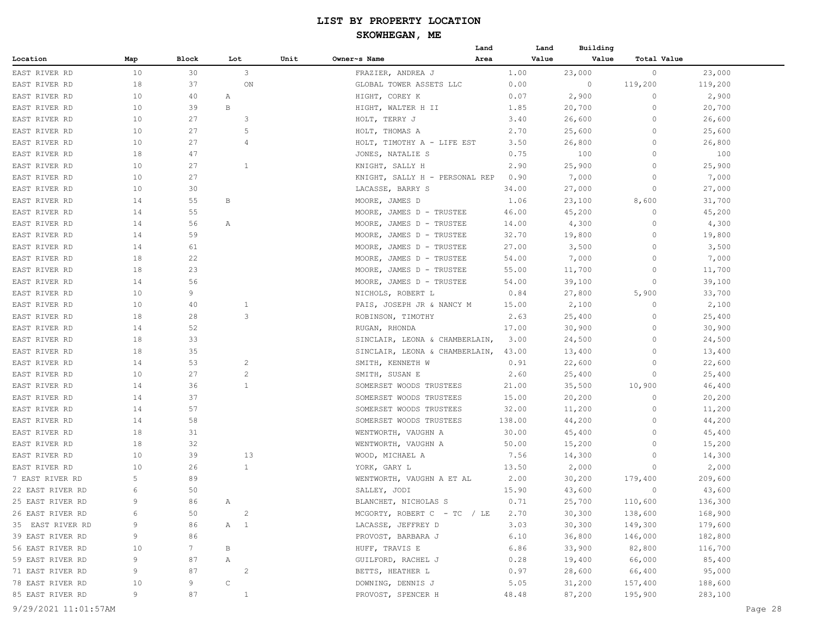|                  |     |       |                |      |                                | Land | Land   | Building |             |         |
|------------------|-----|-------|----------------|------|--------------------------------|------|--------|----------|-------------|---------|
| Location         | Map | Block | Lot            | Unit | Owner~s Name                   | Area | Value  | Value    | Total Value |         |
| EAST RIVER RD    | 10  | 30    | 3              |      | FRAZIER, ANDREA J              |      | 1.00   | 23,000   | $\circ$     | 23,000  |
| EAST RIVER RD    | 18  | 37    | ON             |      | GLOBAL TOWER ASSETS LLC        |      | 0.00   | 0        | 119,200     | 119,200 |
| EAST RIVER RD    | 10  | 40    | Α              |      | HIGHT, COREY K                 |      | 0.07   | 2,900    | 0           | 2,900   |
| EAST RIVER RD    | 10  | 39    | B              |      | HIGHT, WALTER H II             |      | 1.85   | 20,700   | 0           | 20,700  |
| EAST RIVER RD    | 10  | 27    | 3              |      | HOLT, TERRY J                  |      | 3.40   | 26,600   | $\circ$     | 26,600  |
| EAST RIVER RD    | 10  | 27    | 5              |      | HOLT, THOMAS A                 |      | 2.70   | 25,600   | $\Omega$    | 25,600  |
| EAST RIVER RD    | 10  | 27    | 4              |      | HOLT, TIMOTHY A - LIFE EST     |      | 3.50   | 26,800   | $\circ$     | 26,800  |
| EAST RIVER RD    | 18  | 47    |                |      | JONES, NATALIE S               |      | 0.75   | 100      | $\circ$     | 100     |
| EAST RIVER RD    | 10  | 27    | 1              |      | KNIGHT, SALLY H                |      | 2.90   | 25,900   | $\circ$     | 25,900  |
| EAST RIVER RD    | 10  | 27    |                |      | KNIGHT, SALLY H - PERSONAL REP |      | 0.90   | 7,000    | 0           | 7,000   |
| EAST RIVER RD    | 10  | 30    |                |      | LACASSE, BARRY S               |      | 34.00  | 27,000   | 0           | 27,000  |
| EAST RIVER RD    | 14  | 55    | В              |      | MOORE, JAMES D                 |      | 1.06   | 23,100   | 8,600       | 31,700  |
| EAST RIVER RD    | 14  | 55    |                |      | MOORE, JAMES D - TRUSTEE       |      | 46.00  | 45,200   | $\circ$     | 45,200  |
| EAST RIVER RD    | 14  | 56    | Α              |      | MOORE, JAMES D - TRUSTEE       |      | 14.00  | 4,300    | $\Omega$    | 4,300   |
| EAST RIVER RD    | 14  | 59    |                |      | MOORE, JAMES D - TRUSTEE       |      | 32.70  | 19,800   | $\circ$     | 19,800  |
| EAST RIVER RD    | 14  | 61    |                |      | MOORE, JAMES D - TRUSTEE       |      | 27.00  | 3,500    | $\Omega$    | 3,500   |
| EAST RIVER RD    | 18  | 22    |                |      | MOORE, JAMES D - TRUSTEE       |      | 54.00  | 7,000    | $\Omega$    | 7,000   |
| EAST RIVER RD    | 18  | 23    |                |      | MOORE, JAMES D - TRUSTEE       |      | 55.00  | 11,700   | $\Omega$    | 11,700  |
| EAST RIVER RD    | 14  | 56    |                |      | MOORE, JAMES D - TRUSTEE       |      | 54.00  | 39,100   | $\Omega$    | 39,100  |
| EAST RIVER RD    | 10  | 9     |                |      | NICHOLS, ROBERT L              |      | 0.84   | 27,800   | 5,900       | 33,700  |
| EAST RIVER RD    | 10  | 40    | $\mathbf{1}$   |      | PAIS, JOSEPH JR & NANCY M      |      | 15.00  | 2,100    | $\circ$     | 2,100   |
| EAST RIVER RD    | 18  | 28    | 3              |      | ROBINSON, TIMOTHY              |      | 2.63   | 25,400   | $\Omega$    | 25,400  |
| EAST RIVER RD    | 14  | 52    |                |      | RUGAN, RHONDA                  |      | 17.00  | 30,900   | $\Omega$    | 30,900  |
| EAST RIVER RD    | 18  | 33    |                |      | SINCLAIR, LEONA & CHAMBERLAIN, |      | 3.00   | 24,500   | $\circ$     | 24,500  |
| EAST RIVER RD    | 18  | 35    |                |      | SINCLAIR, LEONA & CHAMBERLAIN, |      | 43.00  | 13,400   | $\circ$     | 13,400  |
| EAST RIVER RD    | 14  | 53    | 2              |      | SMITH, KENNETH W               |      | 0.91   | 22,600   | $\Omega$    | 22,600  |
| EAST RIVER RD    | 10  | 27    | $\overline{c}$ |      | SMITH, SUSAN E                 |      | 2.60   | 25,400   | 0           | 25,400  |
| EAST RIVER RD    | 14  | 36    | $\mathbf{1}$   |      | SOMERSET WOODS TRUSTEES        |      | 21.00  | 35,500   | 10,900      | 46,400  |
| EAST RIVER RD    | 14  | 37    |                |      | SOMERSET WOODS TRUSTEES        |      | 15.00  | 20,200   | $\circ$     | 20,200  |
| EAST RIVER RD    | 14  | 57    |                |      | SOMERSET WOODS TRUSTEES        |      | 32.00  | 11,200   | $\Omega$    | 11,200  |
| EAST RIVER RD    | 14  | 58    |                |      | SOMERSET WOODS TRUSTEES        |      | 138.00 | 44,200   | 0           | 44,200  |
| EAST RIVER RD    | 18  | 31    |                |      | WENTWORTH, VAUGHN A            |      | 30.00  | 45,400   | 0           | 45,400  |
| EAST RIVER RD    | 18  | 32    |                |      | WENTWORTH, VAUGHN A            |      | 50.00  | 15,200   | $\Omega$    | 15,200  |
| EAST RIVER RD    | 10  | 39    | 13             |      | WOOD, MICHAEL A                |      | 7.56   | 14,300   | 0           | 14,300  |
| EAST RIVER RD    | 10  | 26    | 1              |      | YORK, GARY L                   |      | 13.50  | 2,000    | 0           | 2,000   |
| 7 EAST RIVER RD  | 5   | 89    |                |      | WENTWORTH, VAUGHN A ET AL      |      | 2.00   | 30,200   | 179,400     | 209,600 |
| 22 EAST RIVER RD | 6   | 50    |                |      | SALLEY, JODI                   |      | 15.90  | 43,600   | $\circ$     | 43,600  |
| 25 EAST RIVER RD | 9   | 86    | $\mathbb{A}$   |      | BLANCHET, NICHOLAS S           |      | 0.71   | 25,700   | 110,600     | 136,300 |
| 26 EAST RIVER RD | 6   | 50    | $\overline{2}$ |      | MCGORTY, ROBERT $C - TC$ / LE  |      | 2.70   | 30,300   | 138,600     | 168,900 |
| 35 EAST RIVER RD | 9   | 86    | A 1            |      | LACASSE, JEFFREY D             |      | 3.03   | 30,300   | 149,300     | 179,600 |
| 39 EAST RIVER RD | 9   | 86    |                |      | PROVOST, BARBARA J             |      | 6.10   | 36,800   | 146,000     | 182,800 |
| 56 EAST RIVER RD | 10  | 7     | B              |      | HUFF, TRAVIS E                 |      | 6.86   | 33,900   | 82,800      | 116,700 |
| 59 EAST RIVER RD | 9   | 87    | A              |      | GUILFORD, RACHEL J             |      | 0.28   | 19,400   | 66,000      | 85,400  |
| 71 EAST RIVER RD | 9   | 87    | 2              |      | BETTS, HEATHER L               |      | 0.97   | 28,600   | 66,400      | 95,000  |
| 78 EAST RIVER RD | 10  | 9     | $\mathsf C$    |      | DOWNING, DENNIS J              |      | 5.05   | 31,200   | 157,400     | 188,600 |
| 85 EAST RIVER RD | 9   | 87    | $\mathbf{1}$   |      | PROVOST, SPENCER H             |      | 48.48  | 87,200   | 195,900     | 283,100 |
|                  |     |       |                |      |                                |      |        |          |             |         |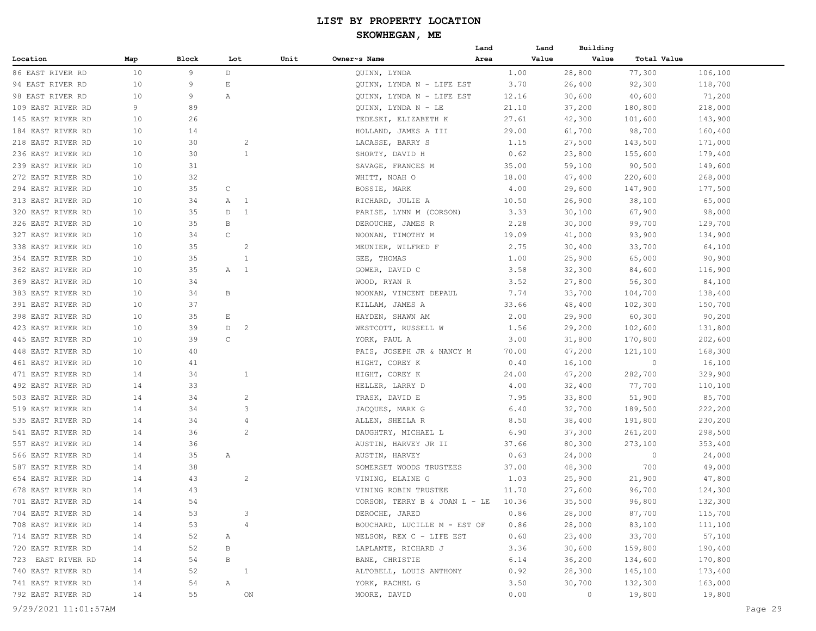## **SKOWHEGAN, ME**

|                   |     |       |                     |      |                                       | Land  | Land  | Building |                |         |
|-------------------|-----|-------|---------------------|------|---------------------------------------|-------|-------|----------|----------------|---------|
| Location          | Map | Block | Lot                 | Unit | Owner~s Name                          | Area  | Value | Value    | Total Value    |         |
| 86 EAST RIVER RD  | 10  | 9     | D                   |      | QUINN, LYNDA                          | 1.00  |       | 28,800   | 77,300         | 106,100 |
| 94 EAST RIVER RD  | 10  | 9     | Ε                   |      | QUINN, LYNDA N - LIFE EST             | 3.70  |       | 26,400   | 92,300         | 118,700 |
| 98 EAST RIVER RD  | 10  | 9     | Α                   |      | QUINN, LYNDA N - LIFE EST             | 12.16 |       | 30,600   | 40,600         | 71,200  |
| 109 EAST RIVER RD | 9   | 89    |                     |      | OUINN, LYNDA N - LE                   | 21.10 |       | 37,200   | 180,800        | 218,000 |
| 145 EAST RIVER RD | 10  | 26    |                     |      | TEDESKI, ELIZABETH K                  | 27.61 |       | 42,300   | 101,600        | 143,900 |
| 184 EAST RIVER RD | 10  | 14    |                     |      | HOLLAND, JAMES A III                  | 29.00 |       | 61,700   | 98,700         | 160,400 |
| 218 EAST RIVER RD | 10  | 30    | $\overline{c}$      |      | LACASSE, BARRY S                      | 1.15  |       | 27,500   | 143,500        | 171,000 |
| 236 EAST RIVER RD | 10  | 30    | $\mathbf{1}$        |      | SHORTY, DAVID H                       | 0.62  |       | 23,800   | 155,600        | 179,400 |
| 239 EAST RIVER RD | 10  | 31    |                     |      | SAVAGE, FRANCES M                     | 35.00 |       | 59,100   | 90,500         | 149,600 |
| 272 EAST RIVER RD | 10  | 32    |                     |      | WHITT, NOAH O                         | 18.00 |       | 47,400   | 220,600        | 268,000 |
| 294 EAST RIVER RD | 10  | 35    | C                   |      | BOSSIE, MARK                          | 4.00  |       | 29,600   | 147,900        | 177,500 |
| 313 EAST RIVER RD | 10  | 34    | $\overline{1}$<br>А |      | RICHARD, JULIE A                      | 10.50 |       | 26,900   | 38,100         | 65,000  |
| 320 EAST RIVER RD | 10  | 35    | $\mathbf{1}$<br>D   |      | PARISE, LYNN M (CORSON)               | 3.33  |       | 30,100   | 67,900         | 98,000  |
| 326 EAST RIVER RD | 10  | 35    | В                   |      | DEROUCHE, JAMES R                     | 2.28  |       | 30,000   | 99,700         | 129,700 |
| 327 EAST RIVER RD | 10  | 34    | $\mathsf C$         |      | NOONAN, TIMOTHY M                     | 19.09 |       | 41,000   | 93,900         | 134,900 |
| 338 EAST RIVER RD | 10  | 35    | $\overline{c}$      |      | MEUNIER, WILFRED F                    | 2.75  |       | 30,400   | 33,700         | 64,100  |
| 354 EAST RIVER RD | 10  | 35    | 1                   |      | GEE, THOMAS                           | 1.00  |       | 25,900   | 65,000         | 90,900  |
| 362 EAST RIVER RD | 10  | 35    | Α<br>$\overline{1}$ |      | GOWER, DAVID C                        | 3.58  |       | 32,300   | 84,600         | 116,900 |
| 369 EAST RIVER RD | 10  | 34    |                     |      | WOOD, RYAN R                          | 3.52  |       | 27,800   | 56,300         | 84,100  |
| 383 EAST RIVER RD | 10  | 34    | B                   |      | NOONAN, VINCENT DEPAUL                | 7.74  |       | 33,700   | 104,700        | 138,400 |
| 391 EAST RIVER RD | 10  | 37    |                     |      | KILLAM, JAMES A                       | 33.66 |       | 48,400   | 102,300        | 150,700 |
| 398 EAST RIVER RD | 10  | 35    | $\mathbb E$         |      | HAYDEN, SHAWN AM                      | 2.00  |       | 29,900   | 60,300         | 90,200  |
| 423 EAST RIVER RD | 10  | 39    | $\overline{c}$<br>D |      | WESTCOTT, RUSSELL W                   | 1.56  |       | 29,200   | 102,600        | 131,800 |
| 445 EAST RIVER RD | 10  | 39    | $\mathsf C$         |      | YORK, PAUL A                          | 3.00  |       | 31,800   | 170,800        | 202,600 |
| 448 EAST RIVER RD | 10  | 40    |                     |      | PAIS, JOSEPH JR & NANCY M             | 70.00 |       | 47,200   | 121,100        | 168,300 |
| 461 EAST RIVER RD | 10  | 41    |                     |      | HIGHT, COREY K                        | 0.40  |       | 16,100   | $\overline{0}$ | 16,100  |
| 471 EAST RIVER RD | 14  | 34    | $\mathbf{1}$        |      | HIGHT, COREY K                        | 24.00 |       | 47,200   | 282,700        | 329,900 |
| 492 EAST RIVER RD | 14  | 33    |                     |      | HELLER, LARRY D                       | 4.00  |       | 32,400   | 77,700         | 110,100 |
| 503 EAST RIVER RD | 14  | 34    | 2                   |      | TRASK, DAVID E                        | 7.95  |       | 33,800   | 51,900         | 85,700  |
| 519 EAST RIVER RD | 14  | 34    | 3                   |      | JACQUES, MARK G                       | 6.40  |       | 32,700   | 189,500        | 222,200 |
| 535 EAST RIVER RD | 14  | 34    | $\overline{4}$      |      | ALLEN, SHEILA R                       | 8.50  |       | 38,400   | 191,800        | 230,200 |
| 541 EAST RIVER RD | 14  | 36    | $\overline{2}$      |      | DAUGHTRY, MICHAEL L                   | 6.90  |       | 37,300   | 261,200        | 298,500 |
| 557 EAST RIVER RD | 14  | 36    |                     |      | AUSTIN, HARVEY JR II                  | 37.66 |       | 80,300   | 273,100        | 353,400 |
| 566 EAST RIVER RD | 14  | 35    | Α                   |      | AUSTIN, HARVEY                        | 0.63  |       | 24,000   | $\circ$        | 24,000  |
| 587 EAST RIVER RD | 14  | 38    |                     |      | SOMERSET WOODS TRUSTEES               | 37.00 |       | 48,300   | 700            | 49,000  |
| 654 EAST RIVER RD | 14  | 43    | $\overline{c}$      |      | VINING, ELAINE G                      | 1.03  |       | 25,900   | 21,900         | 47,800  |
| 678 EAST RIVER RD | 14  | 43    |                     |      | VINING ROBIN TRUSTEE                  | 11.70 |       | 27,600   | 96,700         | 124,300 |
| 701 EAST RIVER RD | 14  | 54    |                     |      | CORSON, TERRY B & JOAN $L$ - LE 10.36 |       |       | 35,500   | 96,800         | 132,300 |
| 704 EAST RIVER RD | 14  | 53    | 3                   |      | DEROCHE, JARED                        | 0.86  |       | 28,000   | 87,700         | 115,700 |
| 708 EAST RIVER RD | 14  | 53    | $\overline{4}$      |      | BOUCHARD, LUCILLE M - EST OF          | 0.86  |       | 28,000   | 83,100         | 111,100 |
| 714 EAST RIVER RD | 14  | 52    | $\mathbb{A}$        |      | NELSON, REX C - LIFE EST              | 0.60  |       | 23,400   | 33,700         | 57,100  |
| 720 EAST RIVER RD | 14  | 52    | B                   |      | LAPLANTE, RICHARD J                   | 3.36  |       | 30,600   | 159,800        | 190,400 |
| 723 EAST RIVER RD | 14  | 54    | В                   |      | BANE, CHRISTIE                        | 6.14  |       | 36,200   | 134,600        | 170,800 |
| 740 EAST RIVER RD | 14  | 52    | $\overline{1}$      |      | ALTOBELL, LOUIS ANTHONY               | 0.92  |       | 28,300   | 145,100        | 173,400 |
| 741 EAST RIVER RD | 14  | 54    | A                   |      | YORK, RACHEL G                        | 3.50  |       | 30,700   | 132,300        | 163,000 |
| 792 EAST RIVER RD | 14  | 55    | ON                  |      | MOORE, DAVID                          | 0.00  |       | $\circ$  | 19,800         | 19,800  |
|                   |     |       |                     |      |                                       |       |       |          |                |         |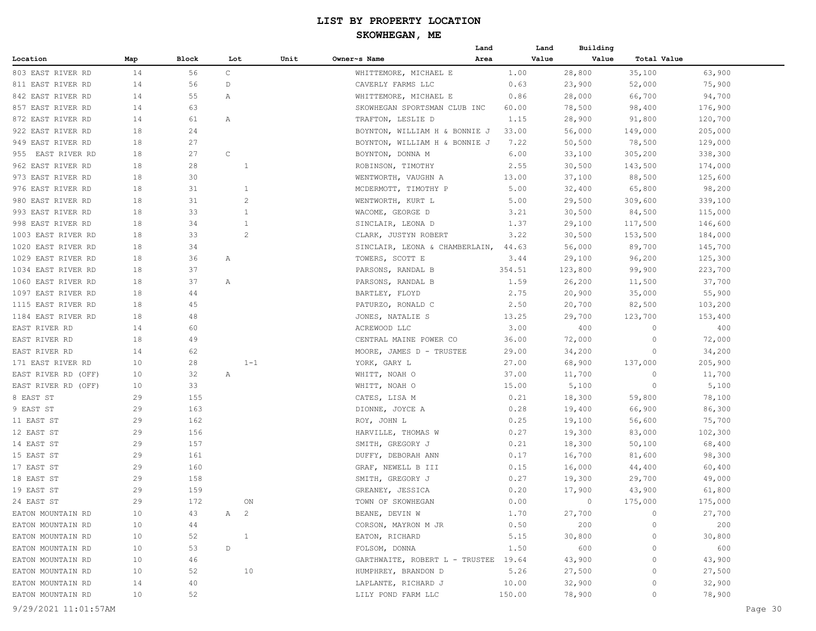| Value<br>Location<br>Map<br>Block<br>Lot<br>Unit<br>Owner~s Name<br>Area<br>Value<br>Total Value<br>$\mathsf{C}$<br>14<br>28,800<br>35,100<br>803 EAST RIVER RD<br>56<br>WHITTEMORE, MICHAEL E<br>1.00<br>63,900<br>75,900<br>14<br>56<br>CAVERLY FARMS LLC<br>0.63<br>23,900<br>52,000<br>811 EAST RIVER RD<br>D<br>94,700<br>842 EAST RIVER RD<br>14<br>55<br>WHITTEMORE, MICHAEL E<br>0.86<br>28,000<br>66,700<br>Α<br>63<br>857 EAST RIVER RD<br>14<br>SKOWHEGAN SPORTSMAN CLUB INC<br>60.00<br>78,500<br>98,400<br>176,900<br>872 EAST RIVER RD<br>14<br>61<br>TRAFTON, LESLIE D<br>1.15<br>28,900<br>91,800<br>120,700<br>Α<br>24<br>205,000<br>922 EAST RIVER RD<br>18<br>33.00<br>56,000<br>149,000<br>BOYNTON, WILLIAM H & BONNIE J<br>129,000<br>949 EAST RIVER RD<br>18<br>27<br>BOYNTON, WILLIAM H & BONNIE J<br>7.22<br>50,500<br>78,500<br>27<br>$\mathsf C$<br>338,300<br>955 EAST RIVER RD<br>18<br>BOYNTON, DONNA M<br>6.00<br>33,100<br>305,200<br>962 EAST RIVER RD<br>18<br>28<br>ROBINSON, TIMOTHY<br>2.55<br>30,500<br>143,500<br>174,000<br>1<br>18<br>973 EAST RIVER RD<br>30<br>13.00<br>37,100<br>88,500<br>125,600<br>WENTWORTH, VAUGHN A<br>976 EAST RIVER RD<br>18<br>31<br>MCDERMOTT, TIMOTHY P<br>5.00<br>32,400<br>65,800<br>98,200<br>1<br>31<br>$\overline{c}$<br>980 EAST RIVER RD<br>18<br>WENTWORTH, KURT L<br>5.00<br>29,500<br>309,600<br>339,100<br>993 EAST RIVER RD<br>18<br>33<br>$\mathbf{1}$<br>WACOME, GEORGE D<br>3.21<br>30,500<br>84,500<br>115,000<br>998 EAST RIVER RD<br>18<br>34<br>SINCLAIR, LEONA D<br>1.37<br>29,100<br>117,500<br>146,600<br>1<br>$\overline{c}$<br>1003 EAST RIVER RD<br>18<br>33<br>CLARK, JUSTYN ROBERT<br>3.22<br>30,500<br>153,500<br>184,000<br>89,700<br>145,700<br>1020 EAST RIVER RD<br>18<br>34<br>SINCLAIR, LEONA & CHAMBERLAIN,<br>56,000<br>44.63<br>1029 EAST RIVER RD<br>18<br>36<br>TOWERS, SCOTT E<br>3.44<br>29,100<br>96,200<br>125,300<br>Α<br>18<br>37<br>PARSONS, RANDAL B<br>354.51<br>123,800<br>99,900<br>223,700<br>1034 EAST RIVER RD<br>1060 EAST RIVER RD<br>18<br>37<br>PARSONS, RANDAL B<br>1.59<br>26,200<br>11,500<br>37,700<br>Α<br>1097 EAST RIVER RD<br>18<br>44<br>BARTLEY, FLOYD<br>2.75<br>20,900<br>35,000<br>55,900<br>1115 EAST RIVER RD<br>18<br>45<br>PATURZO, RONALD C<br>2.50<br>20,700<br>82,500<br>103,200<br>48<br>1184 EAST RIVER RD<br>18<br>JONES, NATALIE S<br>13.25<br>29,700<br>123,700<br>153,400<br>3.00<br>EAST RIVER RD<br>14<br>60<br>ACREWOOD LLC<br>400<br>$\circ$<br>400<br>36.00<br>72,000<br>EAST RIVER RD<br>18<br>49<br>CENTRAL MAINE POWER CO<br>72,000<br>0<br>EAST RIVER RD<br>14<br>62<br>MOORE, JAMES D - TRUSTEE<br>29.00<br>34,200<br>34,200<br>0<br>10<br>28<br>$1 - 1$<br>YORK, GARY L<br>27.00<br>68,900<br>137,000<br>205,900<br>171 EAST RIVER RD<br>11,700<br>10<br>32<br>WHITT, NOAH O<br>37.00<br>11,700<br>0<br>EAST RIVER RD (OFF)<br>Α<br>33<br>5,100<br>EAST RIVER RD (OFF)<br>10<br>WHITT, NOAH O<br>15.00<br>5,100<br>0<br>8 EAST ST<br>29<br>155<br>CATES, LISA M<br>0.21<br>18,300<br>59,800<br>78,100<br>29<br>9 EAST ST<br>163<br>DIONNE, JOYCE A<br>0.28<br>19,400<br>66,900<br>86,300<br>75,700<br>11 EAST ST<br>29<br>162<br>ROY, JOHN L<br>0.25<br>19,100<br>56,600<br>29<br>156<br>12 EAST ST<br>HARVILLE, THOMAS W<br>0.27<br>19,300<br>83,000<br>102,300<br>14 EAST ST<br>29<br>157<br>SMITH, GREGORY J<br>0.21<br>18,300<br>50,100<br>68,400<br>29<br>15 EAST ST<br>161<br>DUFFY, DEBORAH ANN<br>16,700<br>98,300<br>0.17<br>81,600<br>17 EAST ST<br>29<br>160<br>GRAF, NEWELL B III<br>0.15<br>16,000<br>60,400<br>44,400<br>29<br>158<br>18 EAST ST<br>SMITH, GREGORY J<br>0.27<br>19,300<br>29,700<br>49,000<br>29<br>159<br>19 EAST ST<br>GREANEY, JESSICA<br>0.20<br>17,900<br>43,900<br>61,800<br>24 EAST ST<br>29<br>172<br>TOWN OF SKOWHEGAN<br>175,000<br>0.00<br>175,000<br>ON<br>$\overline{0}$<br>EATON MOUNTAIN RD<br>BEANE, DEVIN W<br>1.70<br>27,700<br>10<br>43<br>A 2<br>27,700<br>$\circ$<br>EATON MOUNTAIN RD<br>0.50<br>200<br>200<br>10<br>CORSON, MAYRON M JR<br>44<br>0<br>EATON MOUNTAIN RD<br>10<br>$\frac{1}{2}$<br>EATON, RICHARD<br>5.15<br>30,800<br>30,800<br>52<br>0<br>600<br>1.50<br>600<br>EATON MOUNTAIN RD<br>10<br>53<br>FOLSOM, DONNA<br>D<br>0<br>EATON MOUNTAIN RD<br>10<br>46<br>GARTHWAITE, ROBERT L - TRUSTEE 19.64<br>43,900<br>43,900<br>0<br>5.26<br>27,500<br>EATON MOUNTAIN RD<br>10<br>52<br>10<br>HUMPHREY, BRANDON D<br>0<br>27,500<br>10.00<br>32,900<br>32,900<br>EATON MOUNTAIN RD<br>14<br>40<br>LAPLANTE, RICHARD J<br>0<br>10 <sub>o</sub><br>52<br>150.00<br>78,900<br>78,900<br>EATON MOUNTAIN RD<br>LILY POND FARM LLC<br>0 |  |  | Land | Land | Building |  |
|----------------------------------------------------------------------------------------------------------------------------------------------------------------------------------------------------------------------------------------------------------------------------------------------------------------------------------------------------------------------------------------------------------------------------------------------------------------------------------------------------------------------------------------------------------------------------------------------------------------------------------------------------------------------------------------------------------------------------------------------------------------------------------------------------------------------------------------------------------------------------------------------------------------------------------------------------------------------------------------------------------------------------------------------------------------------------------------------------------------------------------------------------------------------------------------------------------------------------------------------------------------------------------------------------------------------------------------------------------------------------------------------------------------------------------------------------------------------------------------------------------------------------------------------------------------------------------------------------------------------------------------------------------------------------------------------------------------------------------------------------------------------------------------------------------------------------------------------------------------------------------------------------------------------------------------------------------------------------------------------------------------------------------------------------------------------------------------------------------------------------------------------------------------------------------------------------------------------------------------------------------------------------------------------------------------------------------------------------------------------------------------------------------------------------------------------------------------------------------------------------------------------------------------------------------------------------------------------------------------------------------------------------------------------------------------------------------------------------------------------------------------------------------------------------------------------------------------------------------------------------------------------------------------------------------------------------------------------------------------------------------------------------------------------------------------------------------------------------------------------------------------------------------------------------------------------------------------------------------------------------------------------------------------------------------------------------------------------------------------------------------------------------------------------------------------------------------------------------------------------------------------------------------------------------------------------------------------------------------------------------------------------------------------------------------------------------------------------------------------------------------------------------------------------------------------------------------------------------------------------------------------------------------------------------------------------------------------------------------------------------------------------------------------------------------------------------------------------------------------------------------------------------------------------------------------------------------------------------------------------------------------------------------------------------------------------------------------------------------------------------------------------------------------------------------------------------------------------------------------------------------------------------------------------------------------------------------------------------------------------------------------------------------------------|--|--|------|------|----------|--|
|                                                                                                                                                                                                                                                                                                                                                                                                                                                                                                                                                                                                                                                                                                                                                                                                                                                                                                                                                                                                                                                                                                                                                                                                                                                                                                                                                                                                                                                                                                                                                                                                                                                                                                                                                                                                                                                                                                                                                                                                                                                                                                                                                                                                                                                                                                                                                                                                                                                                                                                                                                                                                                                                                                                                                                                                                                                                                                                                                                                                                                                                                                                                                                                                                                                                                                                                                                                                                                                                                                                                                                                                                                                                                                                                                                                                                                                                                                                                                                                                                                                                                                                                                                                                                                                                                                                                                                                                                                                                                                                                                                                                                                                                      |  |  |      |      |          |  |
|                                                                                                                                                                                                                                                                                                                                                                                                                                                                                                                                                                                                                                                                                                                                                                                                                                                                                                                                                                                                                                                                                                                                                                                                                                                                                                                                                                                                                                                                                                                                                                                                                                                                                                                                                                                                                                                                                                                                                                                                                                                                                                                                                                                                                                                                                                                                                                                                                                                                                                                                                                                                                                                                                                                                                                                                                                                                                                                                                                                                                                                                                                                                                                                                                                                                                                                                                                                                                                                                                                                                                                                                                                                                                                                                                                                                                                                                                                                                                                                                                                                                                                                                                                                                                                                                                                                                                                                                                                                                                                                                                                                                                                                                      |  |  |      |      |          |  |
|                                                                                                                                                                                                                                                                                                                                                                                                                                                                                                                                                                                                                                                                                                                                                                                                                                                                                                                                                                                                                                                                                                                                                                                                                                                                                                                                                                                                                                                                                                                                                                                                                                                                                                                                                                                                                                                                                                                                                                                                                                                                                                                                                                                                                                                                                                                                                                                                                                                                                                                                                                                                                                                                                                                                                                                                                                                                                                                                                                                                                                                                                                                                                                                                                                                                                                                                                                                                                                                                                                                                                                                                                                                                                                                                                                                                                                                                                                                                                                                                                                                                                                                                                                                                                                                                                                                                                                                                                                                                                                                                                                                                                                                                      |  |  |      |      |          |  |
|                                                                                                                                                                                                                                                                                                                                                                                                                                                                                                                                                                                                                                                                                                                                                                                                                                                                                                                                                                                                                                                                                                                                                                                                                                                                                                                                                                                                                                                                                                                                                                                                                                                                                                                                                                                                                                                                                                                                                                                                                                                                                                                                                                                                                                                                                                                                                                                                                                                                                                                                                                                                                                                                                                                                                                                                                                                                                                                                                                                                                                                                                                                                                                                                                                                                                                                                                                                                                                                                                                                                                                                                                                                                                                                                                                                                                                                                                                                                                                                                                                                                                                                                                                                                                                                                                                                                                                                                                                                                                                                                                                                                                                                                      |  |  |      |      |          |  |
|                                                                                                                                                                                                                                                                                                                                                                                                                                                                                                                                                                                                                                                                                                                                                                                                                                                                                                                                                                                                                                                                                                                                                                                                                                                                                                                                                                                                                                                                                                                                                                                                                                                                                                                                                                                                                                                                                                                                                                                                                                                                                                                                                                                                                                                                                                                                                                                                                                                                                                                                                                                                                                                                                                                                                                                                                                                                                                                                                                                                                                                                                                                                                                                                                                                                                                                                                                                                                                                                                                                                                                                                                                                                                                                                                                                                                                                                                                                                                                                                                                                                                                                                                                                                                                                                                                                                                                                                                                                                                                                                                                                                                                                                      |  |  |      |      |          |  |
|                                                                                                                                                                                                                                                                                                                                                                                                                                                                                                                                                                                                                                                                                                                                                                                                                                                                                                                                                                                                                                                                                                                                                                                                                                                                                                                                                                                                                                                                                                                                                                                                                                                                                                                                                                                                                                                                                                                                                                                                                                                                                                                                                                                                                                                                                                                                                                                                                                                                                                                                                                                                                                                                                                                                                                                                                                                                                                                                                                                                                                                                                                                                                                                                                                                                                                                                                                                                                                                                                                                                                                                                                                                                                                                                                                                                                                                                                                                                                                                                                                                                                                                                                                                                                                                                                                                                                                                                                                                                                                                                                                                                                                                                      |  |  |      |      |          |  |
|                                                                                                                                                                                                                                                                                                                                                                                                                                                                                                                                                                                                                                                                                                                                                                                                                                                                                                                                                                                                                                                                                                                                                                                                                                                                                                                                                                                                                                                                                                                                                                                                                                                                                                                                                                                                                                                                                                                                                                                                                                                                                                                                                                                                                                                                                                                                                                                                                                                                                                                                                                                                                                                                                                                                                                                                                                                                                                                                                                                                                                                                                                                                                                                                                                                                                                                                                                                                                                                                                                                                                                                                                                                                                                                                                                                                                                                                                                                                                                                                                                                                                                                                                                                                                                                                                                                                                                                                                                                                                                                                                                                                                                                                      |  |  |      |      |          |  |
|                                                                                                                                                                                                                                                                                                                                                                                                                                                                                                                                                                                                                                                                                                                                                                                                                                                                                                                                                                                                                                                                                                                                                                                                                                                                                                                                                                                                                                                                                                                                                                                                                                                                                                                                                                                                                                                                                                                                                                                                                                                                                                                                                                                                                                                                                                                                                                                                                                                                                                                                                                                                                                                                                                                                                                                                                                                                                                                                                                                                                                                                                                                                                                                                                                                                                                                                                                                                                                                                                                                                                                                                                                                                                                                                                                                                                                                                                                                                                                                                                                                                                                                                                                                                                                                                                                                                                                                                                                                                                                                                                                                                                                                                      |  |  |      |      |          |  |
|                                                                                                                                                                                                                                                                                                                                                                                                                                                                                                                                                                                                                                                                                                                                                                                                                                                                                                                                                                                                                                                                                                                                                                                                                                                                                                                                                                                                                                                                                                                                                                                                                                                                                                                                                                                                                                                                                                                                                                                                                                                                                                                                                                                                                                                                                                                                                                                                                                                                                                                                                                                                                                                                                                                                                                                                                                                                                                                                                                                                                                                                                                                                                                                                                                                                                                                                                                                                                                                                                                                                                                                                                                                                                                                                                                                                                                                                                                                                                                                                                                                                                                                                                                                                                                                                                                                                                                                                                                                                                                                                                                                                                                                                      |  |  |      |      |          |  |
|                                                                                                                                                                                                                                                                                                                                                                                                                                                                                                                                                                                                                                                                                                                                                                                                                                                                                                                                                                                                                                                                                                                                                                                                                                                                                                                                                                                                                                                                                                                                                                                                                                                                                                                                                                                                                                                                                                                                                                                                                                                                                                                                                                                                                                                                                                                                                                                                                                                                                                                                                                                                                                                                                                                                                                                                                                                                                                                                                                                                                                                                                                                                                                                                                                                                                                                                                                                                                                                                                                                                                                                                                                                                                                                                                                                                                                                                                                                                                                                                                                                                                                                                                                                                                                                                                                                                                                                                                                                                                                                                                                                                                                                                      |  |  |      |      |          |  |
|                                                                                                                                                                                                                                                                                                                                                                                                                                                                                                                                                                                                                                                                                                                                                                                                                                                                                                                                                                                                                                                                                                                                                                                                                                                                                                                                                                                                                                                                                                                                                                                                                                                                                                                                                                                                                                                                                                                                                                                                                                                                                                                                                                                                                                                                                                                                                                                                                                                                                                                                                                                                                                                                                                                                                                                                                                                                                                                                                                                                                                                                                                                                                                                                                                                                                                                                                                                                                                                                                                                                                                                                                                                                                                                                                                                                                                                                                                                                                                                                                                                                                                                                                                                                                                                                                                                                                                                                                                                                                                                                                                                                                                                                      |  |  |      |      |          |  |
|                                                                                                                                                                                                                                                                                                                                                                                                                                                                                                                                                                                                                                                                                                                                                                                                                                                                                                                                                                                                                                                                                                                                                                                                                                                                                                                                                                                                                                                                                                                                                                                                                                                                                                                                                                                                                                                                                                                                                                                                                                                                                                                                                                                                                                                                                                                                                                                                                                                                                                                                                                                                                                                                                                                                                                                                                                                                                                                                                                                                                                                                                                                                                                                                                                                                                                                                                                                                                                                                                                                                                                                                                                                                                                                                                                                                                                                                                                                                                                                                                                                                                                                                                                                                                                                                                                                                                                                                                                                                                                                                                                                                                                                                      |  |  |      |      |          |  |
|                                                                                                                                                                                                                                                                                                                                                                                                                                                                                                                                                                                                                                                                                                                                                                                                                                                                                                                                                                                                                                                                                                                                                                                                                                                                                                                                                                                                                                                                                                                                                                                                                                                                                                                                                                                                                                                                                                                                                                                                                                                                                                                                                                                                                                                                                                                                                                                                                                                                                                                                                                                                                                                                                                                                                                                                                                                                                                                                                                                                                                                                                                                                                                                                                                                                                                                                                                                                                                                                                                                                                                                                                                                                                                                                                                                                                                                                                                                                                                                                                                                                                                                                                                                                                                                                                                                                                                                                                                                                                                                                                                                                                                                                      |  |  |      |      |          |  |
|                                                                                                                                                                                                                                                                                                                                                                                                                                                                                                                                                                                                                                                                                                                                                                                                                                                                                                                                                                                                                                                                                                                                                                                                                                                                                                                                                                                                                                                                                                                                                                                                                                                                                                                                                                                                                                                                                                                                                                                                                                                                                                                                                                                                                                                                                                                                                                                                                                                                                                                                                                                                                                                                                                                                                                                                                                                                                                                                                                                                                                                                                                                                                                                                                                                                                                                                                                                                                                                                                                                                                                                                                                                                                                                                                                                                                                                                                                                                                                                                                                                                                                                                                                                                                                                                                                                                                                                                                                                                                                                                                                                                                                                                      |  |  |      |      |          |  |
|                                                                                                                                                                                                                                                                                                                                                                                                                                                                                                                                                                                                                                                                                                                                                                                                                                                                                                                                                                                                                                                                                                                                                                                                                                                                                                                                                                                                                                                                                                                                                                                                                                                                                                                                                                                                                                                                                                                                                                                                                                                                                                                                                                                                                                                                                                                                                                                                                                                                                                                                                                                                                                                                                                                                                                                                                                                                                                                                                                                                                                                                                                                                                                                                                                                                                                                                                                                                                                                                                                                                                                                                                                                                                                                                                                                                                                                                                                                                                                                                                                                                                                                                                                                                                                                                                                                                                                                                                                                                                                                                                                                                                                                                      |  |  |      |      |          |  |
|                                                                                                                                                                                                                                                                                                                                                                                                                                                                                                                                                                                                                                                                                                                                                                                                                                                                                                                                                                                                                                                                                                                                                                                                                                                                                                                                                                                                                                                                                                                                                                                                                                                                                                                                                                                                                                                                                                                                                                                                                                                                                                                                                                                                                                                                                                                                                                                                                                                                                                                                                                                                                                                                                                                                                                                                                                                                                                                                                                                                                                                                                                                                                                                                                                                                                                                                                                                                                                                                                                                                                                                                                                                                                                                                                                                                                                                                                                                                                                                                                                                                                                                                                                                                                                                                                                                                                                                                                                                                                                                                                                                                                                                                      |  |  |      |      |          |  |
|                                                                                                                                                                                                                                                                                                                                                                                                                                                                                                                                                                                                                                                                                                                                                                                                                                                                                                                                                                                                                                                                                                                                                                                                                                                                                                                                                                                                                                                                                                                                                                                                                                                                                                                                                                                                                                                                                                                                                                                                                                                                                                                                                                                                                                                                                                                                                                                                                                                                                                                                                                                                                                                                                                                                                                                                                                                                                                                                                                                                                                                                                                                                                                                                                                                                                                                                                                                                                                                                                                                                                                                                                                                                                                                                                                                                                                                                                                                                                                                                                                                                                                                                                                                                                                                                                                                                                                                                                                                                                                                                                                                                                                                                      |  |  |      |      |          |  |
|                                                                                                                                                                                                                                                                                                                                                                                                                                                                                                                                                                                                                                                                                                                                                                                                                                                                                                                                                                                                                                                                                                                                                                                                                                                                                                                                                                                                                                                                                                                                                                                                                                                                                                                                                                                                                                                                                                                                                                                                                                                                                                                                                                                                                                                                                                                                                                                                                                                                                                                                                                                                                                                                                                                                                                                                                                                                                                                                                                                                                                                                                                                                                                                                                                                                                                                                                                                                                                                                                                                                                                                                                                                                                                                                                                                                                                                                                                                                                                                                                                                                                                                                                                                                                                                                                                                                                                                                                                                                                                                                                                                                                                                                      |  |  |      |      |          |  |
|                                                                                                                                                                                                                                                                                                                                                                                                                                                                                                                                                                                                                                                                                                                                                                                                                                                                                                                                                                                                                                                                                                                                                                                                                                                                                                                                                                                                                                                                                                                                                                                                                                                                                                                                                                                                                                                                                                                                                                                                                                                                                                                                                                                                                                                                                                                                                                                                                                                                                                                                                                                                                                                                                                                                                                                                                                                                                                                                                                                                                                                                                                                                                                                                                                                                                                                                                                                                                                                                                                                                                                                                                                                                                                                                                                                                                                                                                                                                                                                                                                                                                                                                                                                                                                                                                                                                                                                                                                                                                                                                                                                                                                                                      |  |  |      |      |          |  |
|                                                                                                                                                                                                                                                                                                                                                                                                                                                                                                                                                                                                                                                                                                                                                                                                                                                                                                                                                                                                                                                                                                                                                                                                                                                                                                                                                                                                                                                                                                                                                                                                                                                                                                                                                                                                                                                                                                                                                                                                                                                                                                                                                                                                                                                                                                                                                                                                                                                                                                                                                                                                                                                                                                                                                                                                                                                                                                                                                                                                                                                                                                                                                                                                                                                                                                                                                                                                                                                                                                                                                                                                                                                                                                                                                                                                                                                                                                                                                                                                                                                                                                                                                                                                                                                                                                                                                                                                                                                                                                                                                                                                                                                                      |  |  |      |      |          |  |
|                                                                                                                                                                                                                                                                                                                                                                                                                                                                                                                                                                                                                                                                                                                                                                                                                                                                                                                                                                                                                                                                                                                                                                                                                                                                                                                                                                                                                                                                                                                                                                                                                                                                                                                                                                                                                                                                                                                                                                                                                                                                                                                                                                                                                                                                                                                                                                                                                                                                                                                                                                                                                                                                                                                                                                                                                                                                                                                                                                                                                                                                                                                                                                                                                                                                                                                                                                                                                                                                                                                                                                                                                                                                                                                                                                                                                                                                                                                                                                                                                                                                                                                                                                                                                                                                                                                                                                                                                                                                                                                                                                                                                                                                      |  |  |      |      |          |  |
|                                                                                                                                                                                                                                                                                                                                                                                                                                                                                                                                                                                                                                                                                                                                                                                                                                                                                                                                                                                                                                                                                                                                                                                                                                                                                                                                                                                                                                                                                                                                                                                                                                                                                                                                                                                                                                                                                                                                                                                                                                                                                                                                                                                                                                                                                                                                                                                                                                                                                                                                                                                                                                                                                                                                                                                                                                                                                                                                                                                                                                                                                                                                                                                                                                                                                                                                                                                                                                                                                                                                                                                                                                                                                                                                                                                                                                                                                                                                                                                                                                                                                                                                                                                                                                                                                                                                                                                                                                                                                                                                                                                                                                                                      |  |  |      |      |          |  |
|                                                                                                                                                                                                                                                                                                                                                                                                                                                                                                                                                                                                                                                                                                                                                                                                                                                                                                                                                                                                                                                                                                                                                                                                                                                                                                                                                                                                                                                                                                                                                                                                                                                                                                                                                                                                                                                                                                                                                                                                                                                                                                                                                                                                                                                                                                                                                                                                                                                                                                                                                                                                                                                                                                                                                                                                                                                                                                                                                                                                                                                                                                                                                                                                                                                                                                                                                                                                                                                                                                                                                                                                                                                                                                                                                                                                                                                                                                                                                                                                                                                                                                                                                                                                                                                                                                                                                                                                                                                                                                                                                                                                                                                                      |  |  |      |      |          |  |
|                                                                                                                                                                                                                                                                                                                                                                                                                                                                                                                                                                                                                                                                                                                                                                                                                                                                                                                                                                                                                                                                                                                                                                                                                                                                                                                                                                                                                                                                                                                                                                                                                                                                                                                                                                                                                                                                                                                                                                                                                                                                                                                                                                                                                                                                                                                                                                                                                                                                                                                                                                                                                                                                                                                                                                                                                                                                                                                                                                                                                                                                                                                                                                                                                                                                                                                                                                                                                                                                                                                                                                                                                                                                                                                                                                                                                                                                                                                                                                                                                                                                                                                                                                                                                                                                                                                                                                                                                                                                                                                                                                                                                                                                      |  |  |      |      |          |  |
|                                                                                                                                                                                                                                                                                                                                                                                                                                                                                                                                                                                                                                                                                                                                                                                                                                                                                                                                                                                                                                                                                                                                                                                                                                                                                                                                                                                                                                                                                                                                                                                                                                                                                                                                                                                                                                                                                                                                                                                                                                                                                                                                                                                                                                                                                                                                                                                                                                                                                                                                                                                                                                                                                                                                                                                                                                                                                                                                                                                                                                                                                                                                                                                                                                                                                                                                                                                                                                                                                                                                                                                                                                                                                                                                                                                                                                                                                                                                                                                                                                                                                                                                                                                                                                                                                                                                                                                                                                                                                                                                                                                                                                                                      |  |  |      |      |          |  |
|                                                                                                                                                                                                                                                                                                                                                                                                                                                                                                                                                                                                                                                                                                                                                                                                                                                                                                                                                                                                                                                                                                                                                                                                                                                                                                                                                                                                                                                                                                                                                                                                                                                                                                                                                                                                                                                                                                                                                                                                                                                                                                                                                                                                                                                                                                                                                                                                                                                                                                                                                                                                                                                                                                                                                                                                                                                                                                                                                                                                                                                                                                                                                                                                                                                                                                                                                                                                                                                                                                                                                                                                                                                                                                                                                                                                                                                                                                                                                                                                                                                                                                                                                                                                                                                                                                                                                                                                                                                                                                                                                                                                                                                                      |  |  |      |      |          |  |
|                                                                                                                                                                                                                                                                                                                                                                                                                                                                                                                                                                                                                                                                                                                                                                                                                                                                                                                                                                                                                                                                                                                                                                                                                                                                                                                                                                                                                                                                                                                                                                                                                                                                                                                                                                                                                                                                                                                                                                                                                                                                                                                                                                                                                                                                                                                                                                                                                                                                                                                                                                                                                                                                                                                                                                                                                                                                                                                                                                                                                                                                                                                                                                                                                                                                                                                                                                                                                                                                                                                                                                                                                                                                                                                                                                                                                                                                                                                                                                                                                                                                                                                                                                                                                                                                                                                                                                                                                                                                                                                                                                                                                                                                      |  |  |      |      |          |  |
|                                                                                                                                                                                                                                                                                                                                                                                                                                                                                                                                                                                                                                                                                                                                                                                                                                                                                                                                                                                                                                                                                                                                                                                                                                                                                                                                                                                                                                                                                                                                                                                                                                                                                                                                                                                                                                                                                                                                                                                                                                                                                                                                                                                                                                                                                                                                                                                                                                                                                                                                                                                                                                                                                                                                                                                                                                                                                                                                                                                                                                                                                                                                                                                                                                                                                                                                                                                                                                                                                                                                                                                                                                                                                                                                                                                                                                                                                                                                                                                                                                                                                                                                                                                                                                                                                                                                                                                                                                                                                                                                                                                                                                                                      |  |  |      |      |          |  |
|                                                                                                                                                                                                                                                                                                                                                                                                                                                                                                                                                                                                                                                                                                                                                                                                                                                                                                                                                                                                                                                                                                                                                                                                                                                                                                                                                                                                                                                                                                                                                                                                                                                                                                                                                                                                                                                                                                                                                                                                                                                                                                                                                                                                                                                                                                                                                                                                                                                                                                                                                                                                                                                                                                                                                                                                                                                                                                                                                                                                                                                                                                                                                                                                                                                                                                                                                                                                                                                                                                                                                                                                                                                                                                                                                                                                                                                                                                                                                                                                                                                                                                                                                                                                                                                                                                                                                                                                                                                                                                                                                                                                                                                                      |  |  |      |      |          |  |
|                                                                                                                                                                                                                                                                                                                                                                                                                                                                                                                                                                                                                                                                                                                                                                                                                                                                                                                                                                                                                                                                                                                                                                                                                                                                                                                                                                                                                                                                                                                                                                                                                                                                                                                                                                                                                                                                                                                                                                                                                                                                                                                                                                                                                                                                                                                                                                                                                                                                                                                                                                                                                                                                                                                                                                                                                                                                                                                                                                                                                                                                                                                                                                                                                                                                                                                                                                                                                                                                                                                                                                                                                                                                                                                                                                                                                                                                                                                                                                                                                                                                                                                                                                                                                                                                                                                                                                                                                                                                                                                                                                                                                                                                      |  |  |      |      |          |  |
|                                                                                                                                                                                                                                                                                                                                                                                                                                                                                                                                                                                                                                                                                                                                                                                                                                                                                                                                                                                                                                                                                                                                                                                                                                                                                                                                                                                                                                                                                                                                                                                                                                                                                                                                                                                                                                                                                                                                                                                                                                                                                                                                                                                                                                                                                                                                                                                                                                                                                                                                                                                                                                                                                                                                                                                                                                                                                                                                                                                                                                                                                                                                                                                                                                                                                                                                                                                                                                                                                                                                                                                                                                                                                                                                                                                                                                                                                                                                                                                                                                                                                                                                                                                                                                                                                                                                                                                                                                                                                                                                                                                                                                                                      |  |  |      |      |          |  |
|                                                                                                                                                                                                                                                                                                                                                                                                                                                                                                                                                                                                                                                                                                                                                                                                                                                                                                                                                                                                                                                                                                                                                                                                                                                                                                                                                                                                                                                                                                                                                                                                                                                                                                                                                                                                                                                                                                                                                                                                                                                                                                                                                                                                                                                                                                                                                                                                                                                                                                                                                                                                                                                                                                                                                                                                                                                                                                                                                                                                                                                                                                                                                                                                                                                                                                                                                                                                                                                                                                                                                                                                                                                                                                                                                                                                                                                                                                                                                                                                                                                                                                                                                                                                                                                                                                                                                                                                                                                                                                                                                                                                                                                                      |  |  |      |      |          |  |
|                                                                                                                                                                                                                                                                                                                                                                                                                                                                                                                                                                                                                                                                                                                                                                                                                                                                                                                                                                                                                                                                                                                                                                                                                                                                                                                                                                                                                                                                                                                                                                                                                                                                                                                                                                                                                                                                                                                                                                                                                                                                                                                                                                                                                                                                                                                                                                                                                                                                                                                                                                                                                                                                                                                                                                                                                                                                                                                                                                                                                                                                                                                                                                                                                                                                                                                                                                                                                                                                                                                                                                                                                                                                                                                                                                                                                                                                                                                                                                                                                                                                                                                                                                                                                                                                                                                                                                                                                                                                                                                                                                                                                                                                      |  |  |      |      |          |  |
|                                                                                                                                                                                                                                                                                                                                                                                                                                                                                                                                                                                                                                                                                                                                                                                                                                                                                                                                                                                                                                                                                                                                                                                                                                                                                                                                                                                                                                                                                                                                                                                                                                                                                                                                                                                                                                                                                                                                                                                                                                                                                                                                                                                                                                                                                                                                                                                                                                                                                                                                                                                                                                                                                                                                                                                                                                                                                                                                                                                                                                                                                                                                                                                                                                                                                                                                                                                                                                                                                                                                                                                                                                                                                                                                                                                                                                                                                                                                                                                                                                                                                                                                                                                                                                                                                                                                                                                                                                                                                                                                                                                                                                                                      |  |  |      |      |          |  |
|                                                                                                                                                                                                                                                                                                                                                                                                                                                                                                                                                                                                                                                                                                                                                                                                                                                                                                                                                                                                                                                                                                                                                                                                                                                                                                                                                                                                                                                                                                                                                                                                                                                                                                                                                                                                                                                                                                                                                                                                                                                                                                                                                                                                                                                                                                                                                                                                                                                                                                                                                                                                                                                                                                                                                                                                                                                                                                                                                                                                                                                                                                                                                                                                                                                                                                                                                                                                                                                                                                                                                                                                                                                                                                                                                                                                                                                                                                                                                                                                                                                                                                                                                                                                                                                                                                                                                                                                                                                                                                                                                                                                                                                                      |  |  |      |      |          |  |
|                                                                                                                                                                                                                                                                                                                                                                                                                                                                                                                                                                                                                                                                                                                                                                                                                                                                                                                                                                                                                                                                                                                                                                                                                                                                                                                                                                                                                                                                                                                                                                                                                                                                                                                                                                                                                                                                                                                                                                                                                                                                                                                                                                                                                                                                                                                                                                                                                                                                                                                                                                                                                                                                                                                                                                                                                                                                                                                                                                                                                                                                                                                                                                                                                                                                                                                                                                                                                                                                                                                                                                                                                                                                                                                                                                                                                                                                                                                                                                                                                                                                                                                                                                                                                                                                                                                                                                                                                                                                                                                                                                                                                                                                      |  |  |      |      |          |  |
|                                                                                                                                                                                                                                                                                                                                                                                                                                                                                                                                                                                                                                                                                                                                                                                                                                                                                                                                                                                                                                                                                                                                                                                                                                                                                                                                                                                                                                                                                                                                                                                                                                                                                                                                                                                                                                                                                                                                                                                                                                                                                                                                                                                                                                                                                                                                                                                                                                                                                                                                                                                                                                                                                                                                                                                                                                                                                                                                                                                                                                                                                                                                                                                                                                                                                                                                                                                                                                                                                                                                                                                                                                                                                                                                                                                                                                                                                                                                                                                                                                                                                                                                                                                                                                                                                                                                                                                                                                                                                                                                                                                                                                                                      |  |  |      |      |          |  |
|                                                                                                                                                                                                                                                                                                                                                                                                                                                                                                                                                                                                                                                                                                                                                                                                                                                                                                                                                                                                                                                                                                                                                                                                                                                                                                                                                                                                                                                                                                                                                                                                                                                                                                                                                                                                                                                                                                                                                                                                                                                                                                                                                                                                                                                                                                                                                                                                                                                                                                                                                                                                                                                                                                                                                                                                                                                                                                                                                                                                                                                                                                                                                                                                                                                                                                                                                                                                                                                                                                                                                                                                                                                                                                                                                                                                                                                                                                                                                                                                                                                                                                                                                                                                                                                                                                                                                                                                                                                                                                                                                                                                                                                                      |  |  |      |      |          |  |
|                                                                                                                                                                                                                                                                                                                                                                                                                                                                                                                                                                                                                                                                                                                                                                                                                                                                                                                                                                                                                                                                                                                                                                                                                                                                                                                                                                                                                                                                                                                                                                                                                                                                                                                                                                                                                                                                                                                                                                                                                                                                                                                                                                                                                                                                                                                                                                                                                                                                                                                                                                                                                                                                                                                                                                                                                                                                                                                                                                                                                                                                                                                                                                                                                                                                                                                                                                                                                                                                                                                                                                                                                                                                                                                                                                                                                                                                                                                                                                                                                                                                                                                                                                                                                                                                                                                                                                                                                                                                                                                                                                                                                                                                      |  |  |      |      |          |  |
|                                                                                                                                                                                                                                                                                                                                                                                                                                                                                                                                                                                                                                                                                                                                                                                                                                                                                                                                                                                                                                                                                                                                                                                                                                                                                                                                                                                                                                                                                                                                                                                                                                                                                                                                                                                                                                                                                                                                                                                                                                                                                                                                                                                                                                                                                                                                                                                                                                                                                                                                                                                                                                                                                                                                                                                                                                                                                                                                                                                                                                                                                                                                                                                                                                                                                                                                                                                                                                                                                                                                                                                                                                                                                                                                                                                                                                                                                                                                                                                                                                                                                                                                                                                                                                                                                                                                                                                                                                                                                                                                                                                                                                                                      |  |  |      |      |          |  |
|                                                                                                                                                                                                                                                                                                                                                                                                                                                                                                                                                                                                                                                                                                                                                                                                                                                                                                                                                                                                                                                                                                                                                                                                                                                                                                                                                                                                                                                                                                                                                                                                                                                                                                                                                                                                                                                                                                                                                                                                                                                                                                                                                                                                                                                                                                                                                                                                                                                                                                                                                                                                                                                                                                                                                                                                                                                                                                                                                                                                                                                                                                                                                                                                                                                                                                                                                                                                                                                                                                                                                                                                                                                                                                                                                                                                                                                                                                                                                                                                                                                                                                                                                                                                                                                                                                                                                                                                                                                                                                                                                                                                                                                                      |  |  |      |      |          |  |
|                                                                                                                                                                                                                                                                                                                                                                                                                                                                                                                                                                                                                                                                                                                                                                                                                                                                                                                                                                                                                                                                                                                                                                                                                                                                                                                                                                                                                                                                                                                                                                                                                                                                                                                                                                                                                                                                                                                                                                                                                                                                                                                                                                                                                                                                                                                                                                                                                                                                                                                                                                                                                                                                                                                                                                                                                                                                                                                                                                                                                                                                                                                                                                                                                                                                                                                                                                                                                                                                                                                                                                                                                                                                                                                                                                                                                                                                                                                                                                                                                                                                                                                                                                                                                                                                                                                                                                                                                                                                                                                                                                                                                                                                      |  |  |      |      |          |  |
|                                                                                                                                                                                                                                                                                                                                                                                                                                                                                                                                                                                                                                                                                                                                                                                                                                                                                                                                                                                                                                                                                                                                                                                                                                                                                                                                                                                                                                                                                                                                                                                                                                                                                                                                                                                                                                                                                                                                                                                                                                                                                                                                                                                                                                                                                                                                                                                                                                                                                                                                                                                                                                                                                                                                                                                                                                                                                                                                                                                                                                                                                                                                                                                                                                                                                                                                                                                                                                                                                                                                                                                                                                                                                                                                                                                                                                                                                                                                                                                                                                                                                                                                                                                                                                                                                                                                                                                                                                                                                                                                                                                                                                                                      |  |  |      |      |          |  |
|                                                                                                                                                                                                                                                                                                                                                                                                                                                                                                                                                                                                                                                                                                                                                                                                                                                                                                                                                                                                                                                                                                                                                                                                                                                                                                                                                                                                                                                                                                                                                                                                                                                                                                                                                                                                                                                                                                                                                                                                                                                                                                                                                                                                                                                                                                                                                                                                                                                                                                                                                                                                                                                                                                                                                                                                                                                                                                                                                                                                                                                                                                                                                                                                                                                                                                                                                                                                                                                                                                                                                                                                                                                                                                                                                                                                                                                                                                                                                                                                                                                                                                                                                                                                                                                                                                                                                                                                                                                                                                                                                                                                                                                                      |  |  |      |      |          |  |
|                                                                                                                                                                                                                                                                                                                                                                                                                                                                                                                                                                                                                                                                                                                                                                                                                                                                                                                                                                                                                                                                                                                                                                                                                                                                                                                                                                                                                                                                                                                                                                                                                                                                                                                                                                                                                                                                                                                                                                                                                                                                                                                                                                                                                                                                                                                                                                                                                                                                                                                                                                                                                                                                                                                                                                                                                                                                                                                                                                                                                                                                                                                                                                                                                                                                                                                                                                                                                                                                                                                                                                                                                                                                                                                                                                                                                                                                                                                                                                                                                                                                                                                                                                                                                                                                                                                                                                                                                                                                                                                                                                                                                                                                      |  |  |      |      |          |  |
|                                                                                                                                                                                                                                                                                                                                                                                                                                                                                                                                                                                                                                                                                                                                                                                                                                                                                                                                                                                                                                                                                                                                                                                                                                                                                                                                                                                                                                                                                                                                                                                                                                                                                                                                                                                                                                                                                                                                                                                                                                                                                                                                                                                                                                                                                                                                                                                                                                                                                                                                                                                                                                                                                                                                                                                                                                                                                                                                                                                                                                                                                                                                                                                                                                                                                                                                                                                                                                                                                                                                                                                                                                                                                                                                                                                                                                                                                                                                                                                                                                                                                                                                                                                                                                                                                                                                                                                                                                                                                                                                                                                                                                                                      |  |  |      |      |          |  |
|                                                                                                                                                                                                                                                                                                                                                                                                                                                                                                                                                                                                                                                                                                                                                                                                                                                                                                                                                                                                                                                                                                                                                                                                                                                                                                                                                                                                                                                                                                                                                                                                                                                                                                                                                                                                                                                                                                                                                                                                                                                                                                                                                                                                                                                                                                                                                                                                                                                                                                                                                                                                                                                                                                                                                                                                                                                                                                                                                                                                                                                                                                                                                                                                                                                                                                                                                                                                                                                                                                                                                                                                                                                                                                                                                                                                                                                                                                                                                                                                                                                                                                                                                                                                                                                                                                                                                                                                                                                                                                                                                                                                                                                                      |  |  |      |      |          |  |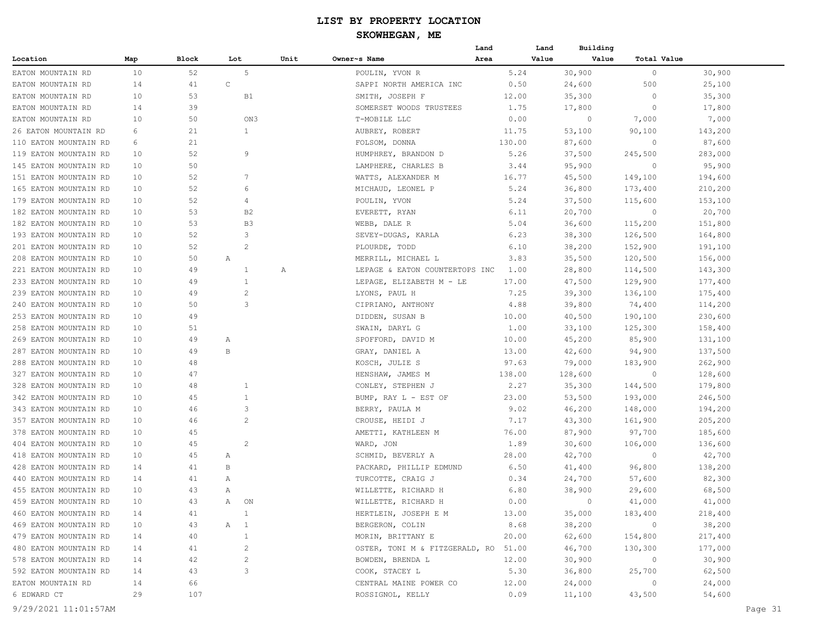## **SKOWHEGAN, ME**

|                       |     |       |                |      |                                           | Land   | Land  | Building |                |         |  |
|-----------------------|-----|-------|----------------|------|-------------------------------------------|--------|-------|----------|----------------|---------|--|
| Location              | Map | Block | Lot            | Unit | Owner~s Name                              | Area   | Value | Value    | Total Value    |         |  |
| EATON MOUNTAIN RD     | 10  | 52    | 5              |      | POULIN, YVON R                            | 5.24   |       | 30,900   | $\circ$        | 30,900  |  |
| EATON MOUNTAIN RD     | 14  | 41    | $\mathsf C$    |      | SAPPI NORTH AMERICA INC                   | 0.50   |       | 24,600   | 500            | 25,100  |  |
| EATON MOUNTAIN RD     | 10  | 53    | B1             |      | SMITH, JOSEPH F                           | 12.00  |       | 35,300   | $\circ$        | 35,300  |  |
| EATON MOUNTAIN RD     | 14  | 39    |                |      | SOMERSET WOODS TRUSTEES                   | 1.75   |       | 17,800   | $\circ$        | 17,800  |  |
| EATON MOUNTAIN RD     | 10  | 50    | ON3            |      | T-MOBILE LLC                              | 0.00   |       | $\circ$  | 7,000          | 7,000   |  |
| 26 EATON MOUNTAIN RD  | 6   | 21    | $\mathbf{1}$   |      | AUBREY, ROBERT                            | 11.75  |       | 53,100   | 90,100         | 143,200 |  |
| 110 EATON MOUNTAIN RD | 6   | 21    |                |      | FOLSOM, DONNA                             | 130.00 |       | 87,600   | 0              | 87,600  |  |
| 119 EATON MOUNTAIN RD | 10  | 52    | 9              |      | HUMPHREY, BRANDON D                       | 5.26   |       | 37,500   | 245,500        | 283,000 |  |
| 145 EATON MOUNTAIN RD | 10  | 50    |                |      | LAMPHERE, CHARLES B                       | 3.44   |       | 95,900   | -0             | 95,900  |  |
| 151 EATON MOUNTAIN RD | 10  | 52    | 7              |      | WATTS, ALEXANDER M                        | 16.77  |       | 45,500   | 149,100        | 194,600 |  |
| 165 EATON MOUNTAIN RD | 10  | 52    | 6              |      | MICHAUD, LEONEL P                         | 5.24   |       | 36,800   | 173,400        | 210,200 |  |
| 179 EATON MOUNTAIN RD | 10  | 52    | 4              |      | POULIN, YVON                              | 5.24   |       | 37,500   | 115,600        | 153,100 |  |
| 182 EATON MOUNTAIN RD | 10  | 53    | B2             |      | EVERETT, RYAN                             | 6.11   |       | 20,700   | $\circ$        | 20,700  |  |
| 182 EATON MOUNTAIN RD | 10  | 53    | B3             |      | WEBB, DALE R                              | 5.04   |       | 36,600   | 115,200        | 151,800 |  |
| 193 EATON MOUNTAIN RD | 10  | 52    | 3              |      | SEVEY-DUGAS, KARLA                        | 6.23   |       | 38,300   | 126,500        | 164,800 |  |
| 201 EATON MOUNTAIN RD | 10  | 52    | 2              |      | PLOURDE, TODD                             | 6.10   |       | 38,200   | 152,900        | 191,100 |  |
| 208 EATON MOUNTAIN RD | 10  | 50    | Α              |      | MERRILL, MICHAEL L                        | 3.83   |       | 35,500   | 120,500        | 156,000 |  |
| 221 EATON MOUNTAIN RD | 10  | 49    | 1              | Α    | LEPAGE & EATON COUNTERTOPS INC            | 1.00   |       | 28,800   | 114,500        | 143,300 |  |
| 233 EATON MOUNTAIN RD | 10  | 49    | $\mathbf{1}$   |      | LEPAGE, ELIZABETH M - LE                  | 17.00  |       | 47,500   | 129,900        | 177,400 |  |
| 239 EATON MOUNTAIN RD | 10  | 49    | 2              |      | LYONS, PAUL H                             | 7.25   |       | 39,300   | 136,100        | 175,400 |  |
| 240 EATON MOUNTAIN RD | 10  | 50    | 3              |      | CIPRIANO, ANTHONY                         | 4.88   |       | 39,800   | 74,400         | 114,200 |  |
| 253 EATON MOUNTAIN RD | 10  | 49    |                |      | DIDDEN, SUSAN B                           | 10.00  |       | 40,500   | 190,100        | 230,600 |  |
| 258 EATON MOUNTAIN RD | 10  | 51    |                |      | SWAIN, DARYL G                            | 1.00   |       | 33,100   | 125,300        | 158,400 |  |
| 269 EATON MOUNTAIN RD | 10  | 49    | Α              |      | SPOFFORD, DAVID M                         | 10.00  |       | 45,200   | 85,900         | 131,100 |  |
| 287 EATON MOUNTAIN RD | 10  | 49    | B              |      | GRAY, DANIEL A                            | 13.00  |       | 42,600   | 94,900         | 137,500 |  |
| 288 EATON MOUNTAIN RD | 10  | 48    |                |      | KOSCH, JULIE S                            | 97.63  |       | 79,000   | 183,900        | 262,900 |  |
| 327 EATON MOUNTAIN RD | 10  | 47    |                |      |                                           | 138.00 |       | 128,600  | $\overline{0}$ | 128,600 |  |
| 328 EATON MOUNTAIN RD | 10  | 48    | 1              |      | HENSHAW, JAMES M                          | 2.27   |       | 35,300   | 144,500        | 179,800 |  |
|                       | 10  | 45    | 1              |      | CONLEY, STEPHEN J<br>BUMP, RAY L - EST OF | 23.00  |       |          |                |         |  |
| 342 EATON MOUNTAIN RD |     | 46    |                |      |                                           | 9.02   |       | 53,500   | 193,000        | 246,500 |  |
| 343 EATON MOUNTAIN RD | 10  |       | 3              |      | BERRY, PAULA M                            |        |       | 46,200   | 148,000        | 194,200 |  |
| 357 EATON MOUNTAIN RD | 10  | 46    | 2              |      | CROUSE, HEIDI J                           | 7.17   |       | 43,300   | 161,900        | 205,200 |  |
| 378 EATON MOUNTAIN RD | 10  | 45    |                |      | AMETTI, KATHLEEN M                        | 76.00  |       | 87,900   | 97,700         | 185,600 |  |
| 404 EATON MOUNTAIN RD | 10  | 45    | 2              |      | WARD, JON                                 | 1.89   |       | 30,600   | 106,000        | 136,600 |  |
| 418 EATON MOUNTAIN RD | 10  | 45    | Α              |      | SCHMID, BEVERLY A                         | 28.00  |       | 42,700   | $\circ$        | 42,700  |  |
| 428 EATON MOUNTAIN RD | 14  | 41    | В              |      | PACKARD, PHILLIP EDMUND                   | 6.50   |       | 41,400   | 96,800         | 138,200 |  |
| 440 EATON MOUNTAIN RD | 14  | 41    | Α              |      | TURCOTTE, CRAIG J                         | 0.34   |       | 24,700   | 57,600         | 82,300  |  |
| 455 EATON MOUNTAIN RD | 10  | 43    | Α              |      | WILLETTE, RICHARD H                       | 6.80   |       | 38,900   | 29,600         | 68,500  |  |
| 459 EATON MOUNTAIN RD | 10  | 43    | ON<br>A        |      | WILLETTE, RICHARD H                       | 0.00   |       | $\circ$  | 41,000         | 41,000  |  |
| 460 EATON MOUNTAIN RD | 14  | 41    | $\overline{1}$ |      | HERTLEIN, JOSEPH E M                      | 13.00  |       | 35,000   | 183,400        | 218,400 |  |
| 469 EATON MOUNTAIN RD | 10  | 43    | A 1            |      | BERGERON, COLIN                           | 8.68   |       | 38,200   | $\sim$ 0       | 38,200  |  |
| 479 EATON MOUNTAIN RD | 14  | 40    | $\mathbf{1}$   |      | MORIN, BRITTANY E                         | 20.00  |       | 62,600   | 154,800        | 217,400 |  |
| 480 EATON MOUNTAIN RD | 14  | 41    | 2              |      | OSTER, TONI M & FITZGERALD, RO 51.00      |        |       | 46,700   | 130,300        | 177,000 |  |
| 578 EATON MOUNTAIN RD | 14  | 42    | $\overline{c}$ |      | BOWDEN, BRENDA L                          | 12.00  |       | 30,900   | $\sim$ 0       | 30,900  |  |
| 592 EATON MOUNTAIN RD | 14  | 43    | 3              |      | COOK, STACEY L                            | 5.30   |       | 36,800   | 25,700         | 62,500  |  |
| EATON MOUNTAIN RD     | 14  | 66    |                |      | CENTRAL MAINE POWER CO                    | 12.00  |       | 24,000   | $\circ$        | 24,000  |  |
| 6 EDWARD CT           | 29  | 107   |                |      | ROSSIGNOL, KELLY                          | 0.09   |       | 11,100   | 43,500         | 54,600  |  |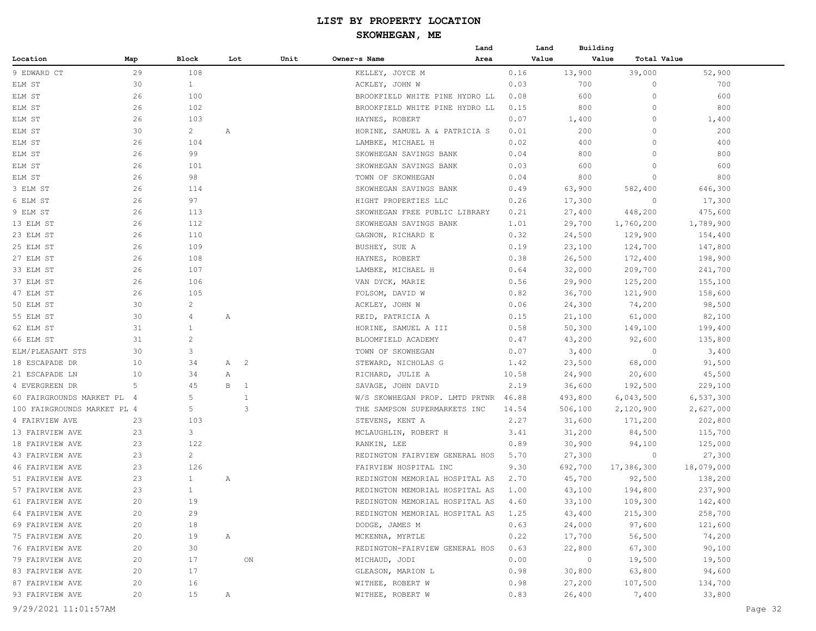|                             |     |                |              |                |      |                                | Land |       | Land  | Building |             |            |
|-----------------------------|-----|----------------|--------------|----------------|------|--------------------------------|------|-------|-------|----------|-------------|------------|
| Location                    | Map | Block          | Lot          |                | Unit | Owner~s Name                   | Area |       | Value | Value    | Total Value |            |
| 9 EDWARD CT                 | 29  | 108            |              |                |      | KELLEY, JOYCE M                |      | 0.16  |       | 13,900   | 39,000      | 52,900     |
| ELM ST                      | 30  | $\mathbf{1}$   |              |                |      | ACKLEY, JOHN W                 |      | 0.03  |       | 700      | $\circ$     | 700        |
| ELM ST                      | 26  | 100            |              |                |      | BROOKFIELD WHITE PINE HYDRO LL |      | 0.08  |       | 600      | $\circ$     | 600        |
| ELM ST                      | 26  | 102            |              |                |      | BROOKFIELD WHITE PINE HYDRO LL |      | 0.15  |       | 800      | $\circ$     | 800        |
| ELM ST                      | 26  | 103            |              |                |      | HAYNES, ROBERT                 |      | 0.07  |       | 1,400    | $\circ$     | 1,400      |
| ELM ST                      | 30  | $\overline{2}$ | Α            |                |      | HORINE, SAMUEL A & PATRICIA S  |      | 0.01  |       | 200      | $\circ$     | 200        |
| ELM ST                      | 26  | 104            |              |                |      | LAMBKE, MICHAEL H              |      | 0.02  |       | 400      | $\circ$     | 400        |
| ELM ST                      | 26  | 99             |              |                |      | SKOWHEGAN SAVINGS BANK         |      | 0.04  |       | 800      | $\circ$     | 800        |
| ELM ST                      | 26  | 101            |              |                |      | SKOWHEGAN SAVINGS BANK         |      | 0.03  |       | 600      | $\circ$     | 600        |
| ELM ST                      | 26  | 98             |              |                |      | TOWN OF SKOWHEGAN              |      | 0.04  |       | 800      | $\circ$     | 800        |
| 3 ELM ST                    | 26  | 114            |              |                |      | SKOWHEGAN SAVINGS BANK         |      | 0.49  |       | 63,900   | 582,400     | 646,300    |
| 6 ELM ST                    | 26  | 97             |              |                |      | HIGHT PROPERTIES LLC           |      | 0.26  |       | 17,300   | 0           | 17,300     |
| 9 ELM ST                    | 26  | 113            |              |                |      | SKOWHEGAN FREE PUBLIC LIBRARY  |      | 0.21  |       | 27,400   | 448,200     | 475,600    |
| 13 ELM ST                   | 26  | 112            |              |                |      | SKOWHEGAN SAVINGS BANK         |      | 1.01  |       | 29,700   | 1,760,200   | 1,789,900  |
| 23 ELM ST                   | 26  | 110            |              |                |      | GAGNON, RICHARD E              |      | 0.32  |       | 24,500   | 129,900     | 154,400    |
| 25 ELM ST                   | 26  | 109            |              |                |      | BUSHEY, SUE A                  |      | 0.19  |       | 23,100   | 124,700     | 147,800    |
| 27 ELM ST                   | 26  | 108            |              |                |      | HAYNES, ROBERT                 |      | 0.38  |       | 26,500   | 172,400     | 198,900    |
| 33 ELM ST                   | 26  | 107            |              |                |      | LAMBKE, MICHAEL H              |      | 0.64  |       | 32,000   | 209,700     | 241,700    |
| 37 ELM ST                   | 26  | 106            |              |                |      | VAN DYCK, MARIE                |      | 0.56  |       | 29,900   | 125,200     | 155,100    |
| 47 ELM ST                   | 26  | 105            |              |                |      | FOLSOM, DAVID W                |      | 0.82  |       | 36,700   | 121,900     | 158,600    |
| 50 ELM ST                   | 30  | $\overline{c}$ |              |                |      | ACKLEY, JOHN W                 |      | 0.06  |       | 24,300   | 74,200      | 98,500     |
| 55 ELM ST                   | 30  | 4              | Α            |                |      | REID, PATRICIA A               |      | 0.15  |       | 21,100   | 61,000      | 82,100     |
| 62 ELM ST                   | 31  | $\mathbf{1}$   |              |                |      | HORINE, SAMUEL A III           |      | 0.58  |       | 50,300   | 149,100     | 199,400    |
| 66 ELM ST                   | 31  | $\overline{c}$ |              |                |      | BLOOMFIELD ACADEMY             |      | 0.47  |       | 43,200   | 92,600      | 135,800    |
| ELM/PLEASANT STS            | 30  | 3              |              |                |      | TOWN OF SKOWHEGAN              |      | 0.07  |       | 3,400    | $\circ$     | 3,400      |
| 18 ESCAPADE DR              | 10  | 34             | A 2          |                |      | STEWARD, NICHOLAS G            |      | 1.42  |       | 23,500   | 68,000      | 91,500     |
| 21 ESCAPADE LN              | 10  | 34             | Α            |                |      | RICHARD, JULIE A               |      | 10.58 |       | 24,900   | 20,600      | 45,500     |
| 4 EVERGREEN DR              | 5   | 45             | В            | $\overline{1}$ |      | SAVAGE, JOHN DAVID             |      | 2.19  |       | 36,600   | 192,500     | 229,100    |
| 60 FAIRGROUNDS MARKET PL 4  |     | 5              |              | 1              |      | W/S SKOWHEGAN PROP. LMTD PRTNR |      | 46.88 |       | 493,800  | 6,043,500   | 6,537,300  |
| 100 FAIRGROUNDS MARKET PL 4 |     | 5              |              | 3              |      | THE SAMPSON SUPERMARKETS INC   |      | 14.54 |       | 506,100  | 2,120,900   | 2,627,000  |
| 4 FAIRVIEW AVE              | 23  | 103            |              |                |      | STEVENS, KENT A                |      | 2.27  |       | 31,600   | 171,200     | 202,800    |
| 13 FAIRVIEW AVE             | 23  | 3              |              |                |      | MCLAUGHLIN, ROBERT H           |      | 3.41  |       | 31,200   | 84,500      | 115,700    |
| 18 FAIRVIEW AVE             | 23  | 122            |              |                |      | RANKIN, LEE                    |      | 0.89  |       | 30,900   | 94,100      | 125,000    |
| 43 FAIRVIEW AVE             | 23  | $\mathbf{2}$   |              |                |      | REDINGTON FAIRVIEW GENERAL HOS |      | 5.70  |       | 27,300   | $\circ$     | 27,300     |
| 46 FAIRVIEW AVE             | 23  | 126            |              |                |      | FAIRVIEW HOSPITAL INC          |      | 9.30  |       | 692,700  | 17,386,300  | 18,079,000 |
| 51 FAIRVIEW AVE             | 23  | $\mathbf{1}$   | Α            |                |      | REDINGTON MEMORIAL HOSPITAL AS |      | 2.70  |       | 45,700   | 92,500      | 138,200    |
| 57 FAIRVIEW AVE             | 23  | $\mathbf{1}$   |              |                |      | REDINGTON MEMORIAL HOSPITAL AS |      | 1.00  |       | 43,100   | 194,800     | 237,900    |
| 61 FAIRVIEW AVE             | 20  | 19             |              |                |      | REDINGTON MEMORIAL HOSPITAL AS |      | 4.60  |       | 33,100   | 109,300     | 142,400    |
| 64 FAIRVIEW AVE             | 20  | 29             |              |                |      | REDINGTON MEMORIAL HOSPITAL AS |      | 1.25  |       | 43,400   | 215,300     | 258,700    |
| 69 FAIRVIEW AVE             | 20  | 18             |              |                |      | DODGE, JAMES M                 |      | 0.63  |       | 24,000   | 97,600      | 121,600    |
| 75 FAIRVIEW AVE             | 20  | 19             | $\mathbb{A}$ |                |      | MCKENNA, MYRTLE                |      | 0.22  |       | 17,700   | 56,500      | 74,200     |
| 76 FAIRVIEW AVE             | 20  | 30             |              |                |      | REDINGTON-FAIRVIEW GENERAL HOS |      | 0.63  |       | 22,800   | 67,300      | 90,100     |
| 79 FAIRVIEW AVE             | 20  | 17             |              | ON             |      | MICHAUD, JODI                  |      | 0.00  |       | $\circ$  | 19,500      | 19,500     |
| 83 FAIRVIEW AVE             | 20  | 17             |              |                |      | GLEASON, MARION L              |      | 0.98  |       | 30,800   | 63,800      | 94,600     |
| 87 FAIRVIEW AVE             | 20  | 16             |              |                |      | WITHEE, ROBERT W               |      | 0.98  |       | 27,200   | 107,500     | 134,700    |
| 93 FAIRVIEW AVE             | 20  | 15             | Α            |                |      | WITHEE, ROBERT W               |      | 0.83  |       | 26,400   | 7,400       | 33,800     |
|                             |     |                |              |                |      |                                |      |       |       |          |             |            |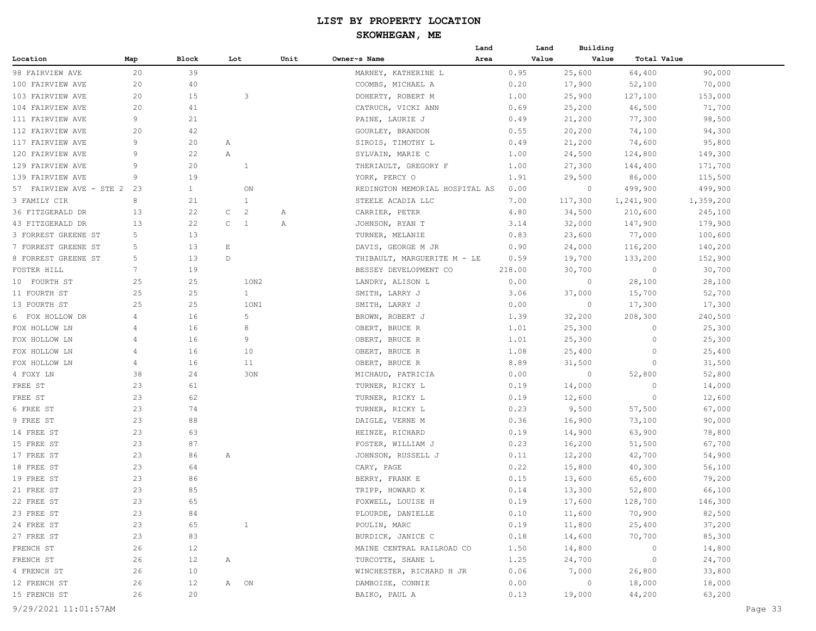| Value<br>Value<br>Total Value<br>Block<br>Unit<br>Owner~s Name<br>Location<br>Map<br>Lot<br>Area<br>20<br>39<br>25,600<br>64,400<br>90,000<br>98 FAIRVIEW AVE<br>MARNEY, KATHERINE L<br>0.95<br>70,000<br>20<br>40<br>COOMBS, MICHAEL A<br>0.20<br>17,900<br>52,100<br>100 FAIRVIEW AVE<br>15<br>3<br>20<br>DOHERTY, ROBERT M<br>1.00<br>25,900<br>127,100<br>153,000<br>103 FAIRVIEW AVE<br>41<br>20<br>CATRUCH, VICKI ANN<br>0.69<br>25,200<br>46,500<br>71,700<br>104 FAIRVIEW AVE<br>9<br>21<br>PAINE, LAURIE J<br>0.49<br>21,200<br>77,300<br>98,500<br>111 FAIRVIEW AVE<br>20<br>42<br>GOURLEY, BRANDON<br>0.55<br>20,200<br>74,100<br>94,300<br>112 FAIRVIEW AVE<br>9<br>95,800<br>117 FAIRVIEW AVE<br>20<br>SIROIS, TIMOTHY L<br>0.49<br>21,200<br>74,600<br>Α<br>120 FAIRVIEW AVE<br>9<br>22<br>$\mathbb{A}$<br>SYLVAIN, MARIE C<br>1.00<br>24,500<br>124,800<br>149,300<br>20<br>129 FAIRVIEW AVE<br>9<br>1<br>THERIAULT, GREGORY F<br>1.00<br>27,300<br>144,400<br>171,700<br>19<br>139 FAIRVIEW AVE<br>9<br>YORK, PERCY O<br>1.91<br>29,500<br>115,500<br>86,000<br>57 FAIRVIEW AVE - STE 2<br>23<br>$\mathbf{1}$<br>0.00<br>499,900<br>499,900<br>ON<br>REDINGTON MEMORIAL HOSPITAL AS<br>0<br>8<br>$\mathbf{1}$<br>3 FAMILY CIR<br>21<br>STEELE ACADIA LLC<br>7.00<br>117,300<br>1,241,900<br>1,359,200<br>22<br>$\overline{c}$<br>36 FITZGERALD DR<br>13<br>C<br>CARRIER, PETER<br>4.80<br>34,500<br>210,600<br>245,100<br>Α<br>13<br>22<br>$\mathsf{C}$<br>$\mathbf{1}$<br>3.14<br>32,000<br>147,900<br>179,900<br>43 FITZGERALD DR<br>Α<br>JOHNSON, RYAN T<br>5<br>13<br>3 FORREST GREENE ST<br>0.83<br>77,000<br>100,600<br>TURNER, MELANIE<br>23,600<br>7 FORREST GREENE ST<br>5<br>13<br>E<br>0.90<br>24,000<br>116,200<br>140,200<br>DAVIS, GEORGE M JR<br>13<br>8 FORREST GREENE ST<br>5<br>D<br>THIBAULT, MARGUERITE M - LE<br>19,700<br>133,200<br>152,900<br>0.59<br>FOSTER HILL<br>7<br>19<br>BESSEY DEVELOPMENT CO<br>218.00<br>30,700<br>30,700<br>0<br>25<br>10 FOURTH ST<br>25<br>10N2<br>LANDRY, ALISON L<br>0.00<br>0<br>28,100<br>28,100<br>$\mathbf{1}$<br>25<br>25<br>SMITH, LARRY J<br>3.06<br>37,000<br>15,700<br>52,700<br>11 FOURTH ST<br>25<br>25<br>10N1<br>$\circ$<br>13 FOURTH ST<br>SMITH, LARRY J<br>0.00<br>17,300<br>17,300<br>5<br>6 FOX HOLLOW DR<br>4<br>16<br>BROWN, ROBERT J<br>1.39<br>32,200<br>208,300<br>240,500<br>FOX HOLLOW LN<br>16<br>8<br>OBERT, BRUCE R<br>1.01<br>25,300<br>0<br>25,300<br>4<br>FOX HOLLOW LN<br>16<br>9<br>OBERT, BRUCE R<br>1.01<br>25,300<br>$\circ$<br>25,300<br>4<br>FOX HOLLOW LN<br>4<br>16<br>10<br>OBERT, BRUCE R<br>1.08<br>25,400<br>$\circ$<br>25,400<br>16<br>4<br>11<br>8.89<br>31,500<br>$\circ$<br>31,500<br>FOX HOLLOW LN<br>OBERT, BRUCE R<br>38<br>24<br>30N<br>0.00<br>52,800<br>52,800<br>4 FOXY LN<br>MICHAUD, PATRICIA<br>0<br>23<br>61<br>0.19<br>14,000<br>$\circ$<br>14,000<br>FREE ST<br>TURNER, RICKY L<br>23<br>62<br>FREE ST<br>0.19<br>0<br>12,600<br>TURNER, RICKY L<br>12,600<br>6 FREE ST<br>23<br>74<br>0.23<br>9,500<br>57,500<br>67,000<br>TURNER, RICKY L<br>23<br>9 FREE ST<br>88<br>DAIGLE, VERNE M<br>0.36<br>16,900<br>73,100<br>90,000<br>14 FREE ST<br>23<br>63<br>HEINZE, RICHARD<br>0.19<br>14,900<br>63,900<br>78,800<br>23<br>87<br>15 FREE ST<br>FOSTER, WILLIAM J<br>0.23<br>16,200<br>51,500<br>67,700<br>17 FREE ST<br>23<br>86<br>JOHNSON, RUSSELL J<br>0.11<br>12,200<br>42,700<br>54,900<br>Α<br>23<br>18 FREE ST<br>64<br>CARY, PAGE<br>0.22<br>15,800<br>40,300<br>56,100<br>23<br>19 FREE ST<br>86<br>BERRY, FRANK E<br>0.15<br>79,200<br>13,600<br>65,600<br>23<br>85<br>21 FREE ST<br>TRIPP, HOWARD K<br>0.14<br>13,300<br>52,800<br>66,100<br>22 FREE ST<br>23<br>65<br>0.19<br>17,600<br>128,700<br>146,300<br>FOXWELL, LOUISE H<br>82,500<br>23 FREE ST<br>23<br>PLOURDE, DANIELLE<br>0.10<br>11,600<br>70,900<br>84<br>24 FREE ST<br>POULIN, MARC<br>0.19<br>11,800<br>25,400<br>37,200<br>23<br>65<br>$\mathbf{1}$<br>27 FREE ST<br>23<br>BURDICK, JANICE C<br>0.18<br>14,600<br>70,700<br>85,300<br>83<br>14,800<br>FRENCH ST<br>26<br>12<br>MAINE CENTRAL RAILROAD CO<br>1.50<br>$\circ$<br>14,800<br>FRENCH ST<br>26<br>12<br>1.25<br>24,700<br>24,700<br>A<br>TURCOTTE, SHANE L<br>$\circ$<br>10<br>7,000<br>4 FRENCH ST<br>26<br>WINCHESTER, RICHARD H JR<br>0.06<br>26,800<br>33,800<br>12 FRENCH ST<br>26<br>DAMBOISE, CONNIE<br>0.00<br>$\overline{0}$<br>18,000<br>18,000<br>12<br>A ON<br>15 FRENCH ST<br>26<br>20<br>0.13<br>44,200<br>63,200<br>BAIKO, PAUL A<br>19,000 |  |  |  | Land | Land | Building |  |
|--------------------------------------------------------------------------------------------------------------------------------------------------------------------------------------------------------------------------------------------------------------------------------------------------------------------------------------------------------------------------------------------------------------------------------------------------------------------------------------------------------------------------------------------------------------------------------------------------------------------------------------------------------------------------------------------------------------------------------------------------------------------------------------------------------------------------------------------------------------------------------------------------------------------------------------------------------------------------------------------------------------------------------------------------------------------------------------------------------------------------------------------------------------------------------------------------------------------------------------------------------------------------------------------------------------------------------------------------------------------------------------------------------------------------------------------------------------------------------------------------------------------------------------------------------------------------------------------------------------------------------------------------------------------------------------------------------------------------------------------------------------------------------------------------------------------------------------------------------------------------------------------------------------------------------------------------------------------------------------------------------------------------------------------------------------------------------------------------------------------------------------------------------------------------------------------------------------------------------------------------------------------------------------------------------------------------------------------------------------------------------------------------------------------------------------------------------------------------------------------------------------------------------------------------------------------------------------------------------------------------------------------------------------------------------------------------------------------------------------------------------------------------------------------------------------------------------------------------------------------------------------------------------------------------------------------------------------------------------------------------------------------------------------------------------------------------------------------------------------------------------------------------------------------------------------------------------------------------------------------------------------------------------------------------------------------------------------------------------------------------------------------------------------------------------------------------------------------------------------------------------------------------------------------------------------------------------------------------------------------------------------------------------------------------------------------------------------------------------------------------------------------------------------------------------------------------------------------------------------------------------------------------------------------------------------------------------------------------------------------------------------------------------------------------------------------------------------------------------------------------------------------------------------------------------------------------------------------------------------------------------------------------------------------------------------------------------------------------------------------------------------------------------------------------------------------------------------------------------------------------------------------------------------|--|--|--|------|------|----------|--|
|                                                                                                                                                                                                                                                                                                                                                                                                                                                                                                                                                                                                                                                                                                                                                                                                                                                                                                                                                                                                                                                                                                                                                                                                                                                                                                                                                                                                                                                                                                                                                                                                                                                                                                                                                                                                                                                                                                                                                                                                                                                                                                                                                                                                                                                                                                                                                                                                                                                                                                                                                                                                                                                                                                                                                                                                                                                                                                                                                                                                                                                                                                                                                                                                                                                                                                                                                                                                                                                                                                                                                                                                                                                                                                                                                                                                                                                                                                                                                                                                                                                                                                                                                                                                                                                                                                                                                                                                                                                                                                                                      |  |  |  |      |      |          |  |
|                                                                                                                                                                                                                                                                                                                                                                                                                                                                                                                                                                                                                                                                                                                                                                                                                                                                                                                                                                                                                                                                                                                                                                                                                                                                                                                                                                                                                                                                                                                                                                                                                                                                                                                                                                                                                                                                                                                                                                                                                                                                                                                                                                                                                                                                                                                                                                                                                                                                                                                                                                                                                                                                                                                                                                                                                                                                                                                                                                                                                                                                                                                                                                                                                                                                                                                                                                                                                                                                                                                                                                                                                                                                                                                                                                                                                                                                                                                                                                                                                                                                                                                                                                                                                                                                                                                                                                                                                                                                                                                                      |  |  |  |      |      |          |  |
|                                                                                                                                                                                                                                                                                                                                                                                                                                                                                                                                                                                                                                                                                                                                                                                                                                                                                                                                                                                                                                                                                                                                                                                                                                                                                                                                                                                                                                                                                                                                                                                                                                                                                                                                                                                                                                                                                                                                                                                                                                                                                                                                                                                                                                                                                                                                                                                                                                                                                                                                                                                                                                                                                                                                                                                                                                                                                                                                                                                                                                                                                                                                                                                                                                                                                                                                                                                                                                                                                                                                                                                                                                                                                                                                                                                                                                                                                                                                                                                                                                                                                                                                                                                                                                                                                                                                                                                                                                                                                                                                      |  |  |  |      |      |          |  |
|                                                                                                                                                                                                                                                                                                                                                                                                                                                                                                                                                                                                                                                                                                                                                                                                                                                                                                                                                                                                                                                                                                                                                                                                                                                                                                                                                                                                                                                                                                                                                                                                                                                                                                                                                                                                                                                                                                                                                                                                                                                                                                                                                                                                                                                                                                                                                                                                                                                                                                                                                                                                                                                                                                                                                                                                                                                                                                                                                                                                                                                                                                                                                                                                                                                                                                                                                                                                                                                                                                                                                                                                                                                                                                                                                                                                                                                                                                                                                                                                                                                                                                                                                                                                                                                                                                                                                                                                                                                                                                                                      |  |  |  |      |      |          |  |
|                                                                                                                                                                                                                                                                                                                                                                                                                                                                                                                                                                                                                                                                                                                                                                                                                                                                                                                                                                                                                                                                                                                                                                                                                                                                                                                                                                                                                                                                                                                                                                                                                                                                                                                                                                                                                                                                                                                                                                                                                                                                                                                                                                                                                                                                                                                                                                                                                                                                                                                                                                                                                                                                                                                                                                                                                                                                                                                                                                                                                                                                                                                                                                                                                                                                                                                                                                                                                                                                                                                                                                                                                                                                                                                                                                                                                                                                                                                                                                                                                                                                                                                                                                                                                                                                                                                                                                                                                                                                                                                                      |  |  |  |      |      |          |  |
|                                                                                                                                                                                                                                                                                                                                                                                                                                                                                                                                                                                                                                                                                                                                                                                                                                                                                                                                                                                                                                                                                                                                                                                                                                                                                                                                                                                                                                                                                                                                                                                                                                                                                                                                                                                                                                                                                                                                                                                                                                                                                                                                                                                                                                                                                                                                                                                                                                                                                                                                                                                                                                                                                                                                                                                                                                                                                                                                                                                                                                                                                                                                                                                                                                                                                                                                                                                                                                                                                                                                                                                                                                                                                                                                                                                                                                                                                                                                                                                                                                                                                                                                                                                                                                                                                                                                                                                                                                                                                                                                      |  |  |  |      |      |          |  |
|                                                                                                                                                                                                                                                                                                                                                                                                                                                                                                                                                                                                                                                                                                                                                                                                                                                                                                                                                                                                                                                                                                                                                                                                                                                                                                                                                                                                                                                                                                                                                                                                                                                                                                                                                                                                                                                                                                                                                                                                                                                                                                                                                                                                                                                                                                                                                                                                                                                                                                                                                                                                                                                                                                                                                                                                                                                                                                                                                                                                                                                                                                                                                                                                                                                                                                                                                                                                                                                                                                                                                                                                                                                                                                                                                                                                                                                                                                                                                                                                                                                                                                                                                                                                                                                                                                                                                                                                                                                                                                                                      |  |  |  |      |      |          |  |
|                                                                                                                                                                                                                                                                                                                                                                                                                                                                                                                                                                                                                                                                                                                                                                                                                                                                                                                                                                                                                                                                                                                                                                                                                                                                                                                                                                                                                                                                                                                                                                                                                                                                                                                                                                                                                                                                                                                                                                                                                                                                                                                                                                                                                                                                                                                                                                                                                                                                                                                                                                                                                                                                                                                                                                                                                                                                                                                                                                                                                                                                                                                                                                                                                                                                                                                                                                                                                                                                                                                                                                                                                                                                                                                                                                                                                                                                                                                                                                                                                                                                                                                                                                                                                                                                                                                                                                                                                                                                                                                                      |  |  |  |      |      |          |  |
|                                                                                                                                                                                                                                                                                                                                                                                                                                                                                                                                                                                                                                                                                                                                                                                                                                                                                                                                                                                                                                                                                                                                                                                                                                                                                                                                                                                                                                                                                                                                                                                                                                                                                                                                                                                                                                                                                                                                                                                                                                                                                                                                                                                                                                                                                                                                                                                                                                                                                                                                                                                                                                                                                                                                                                                                                                                                                                                                                                                                                                                                                                                                                                                                                                                                                                                                                                                                                                                                                                                                                                                                                                                                                                                                                                                                                                                                                                                                                                                                                                                                                                                                                                                                                                                                                                                                                                                                                                                                                                                                      |  |  |  |      |      |          |  |
|                                                                                                                                                                                                                                                                                                                                                                                                                                                                                                                                                                                                                                                                                                                                                                                                                                                                                                                                                                                                                                                                                                                                                                                                                                                                                                                                                                                                                                                                                                                                                                                                                                                                                                                                                                                                                                                                                                                                                                                                                                                                                                                                                                                                                                                                                                                                                                                                                                                                                                                                                                                                                                                                                                                                                                                                                                                                                                                                                                                                                                                                                                                                                                                                                                                                                                                                                                                                                                                                                                                                                                                                                                                                                                                                                                                                                                                                                                                                                                                                                                                                                                                                                                                                                                                                                                                                                                                                                                                                                                                                      |  |  |  |      |      |          |  |
|                                                                                                                                                                                                                                                                                                                                                                                                                                                                                                                                                                                                                                                                                                                                                                                                                                                                                                                                                                                                                                                                                                                                                                                                                                                                                                                                                                                                                                                                                                                                                                                                                                                                                                                                                                                                                                                                                                                                                                                                                                                                                                                                                                                                                                                                                                                                                                                                                                                                                                                                                                                                                                                                                                                                                                                                                                                                                                                                                                                                                                                                                                                                                                                                                                                                                                                                                                                                                                                                                                                                                                                                                                                                                                                                                                                                                                                                                                                                                                                                                                                                                                                                                                                                                                                                                                                                                                                                                                                                                                                                      |  |  |  |      |      |          |  |
|                                                                                                                                                                                                                                                                                                                                                                                                                                                                                                                                                                                                                                                                                                                                                                                                                                                                                                                                                                                                                                                                                                                                                                                                                                                                                                                                                                                                                                                                                                                                                                                                                                                                                                                                                                                                                                                                                                                                                                                                                                                                                                                                                                                                                                                                                                                                                                                                                                                                                                                                                                                                                                                                                                                                                                                                                                                                                                                                                                                                                                                                                                                                                                                                                                                                                                                                                                                                                                                                                                                                                                                                                                                                                                                                                                                                                                                                                                                                                                                                                                                                                                                                                                                                                                                                                                                                                                                                                                                                                                                                      |  |  |  |      |      |          |  |
|                                                                                                                                                                                                                                                                                                                                                                                                                                                                                                                                                                                                                                                                                                                                                                                                                                                                                                                                                                                                                                                                                                                                                                                                                                                                                                                                                                                                                                                                                                                                                                                                                                                                                                                                                                                                                                                                                                                                                                                                                                                                                                                                                                                                                                                                                                                                                                                                                                                                                                                                                                                                                                                                                                                                                                                                                                                                                                                                                                                                                                                                                                                                                                                                                                                                                                                                                                                                                                                                                                                                                                                                                                                                                                                                                                                                                                                                                                                                                                                                                                                                                                                                                                                                                                                                                                                                                                                                                                                                                                                                      |  |  |  |      |      |          |  |
|                                                                                                                                                                                                                                                                                                                                                                                                                                                                                                                                                                                                                                                                                                                                                                                                                                                                                                                                                                                                                                                                                                                                                                                                                                                                                                                                                                                                                                                                                                                                                                                                                                                                                                                                                                                                                                                                                                                                                                                                                                                                                                                                                                                                                                                                                                                                                                                                                                                                                                                                                                                                                                                                                                                                                                                                                                                                                                                                                                                                                                                                                                                                                                                                                                                                                                                                                                                                                                                                                                                                                                                                                                                                                                                                                                                                                                                                                                                                                                                                                                                                                                                                                                                                                                                                                                                                                                                                                                                                                                                                      |  |  |  |      |      |          |  |
|                                                                                                                                                                                                                                                                                                                                                                                                                                                                                                                                                                                                                                                                                                                                                                                                                                                                                                                                                                                                                                                                                                                                                                                                                                                                                                                                                                                                                                                                                                                                                                                                                                                                                                                                                                                                                                                                                                                                                                                                                                                                                                                                                                                                                                                                                                                                                                                                                                                                                                                                                                                                                                                                                                                                                                                                                                                                                                                                                                                                                                                                                                                                                                                                                                                                                                                                                                                                                                                                                                                                                                                                                                                                                                                                                                                                                                                                                                                                                                                                                                                                                                                                                                                                                                                                                                                                                                                                                                                                                                                                      |  |  |  |      |      |          |  |
|                                                                                                                                                                                                                                                                                                                                                                                                                                                                                                                                                                                                                                                                                                                                                                                                                                                                                                                                                                                                                                                                                                                                                                                                                                                                                                                                                                                                                                                                                                                                                                                                                                                                                                                                                                                                                                                                                                                                                                                                                                                                                                                                                                                                                                                                                                                                                                                                                                                                                                                                                                                                                                                                                                                                                                                                                                                                                                                                                                                                                                                                                                                                                                                                                                                                                                                                                                                                                                                                                                                                                                                                                                                                                                                                                                                                                                                                                                                                                                                                                                                                                                                                                                                                                                                                                                                                                                                                                                                                                                                                      |  |  |  |      |      |          |  |
|                                                                                                                                                                                                                                                                                                                                                                                                                                                                                                                                                                                                                                                                                                                                                                                                                                                                                                                                                                                                                                                                                                                                                                                                                                                                                                                                                                                                                                                                                                                                                                                                                                                                                                                                                                                                                                                                                                                                                                                                                                                                                                                                                                                                                                                                                                                                                                                                                                                                                                                                                                                                                                                                                                                                                                                                                                                                                                                                                                                                                                                                                                                                                                                                                                                                                                                                                                                                                                                                                                                                                                                                                                                                                                                                                                                                                                                                                                                                                                                                                                                                                                                                                                                                                                                                                                                                                                                                                                                                                                                                      |  |  |  |      |      |          |  |
|                                                                                                                                                                                                                                                                                                                                                                                                                                                                                                                                                                                                                                                                                                                                                                                                                                                                                                                                                                                                                                                                                                                                                                                                                                                                                                                                                                                                                                                                                                                                                                                                                                                                                                                                                                                                                                                                                                                                                                                                                                                                                                                                                                                                                                                                                                                                                                                                                                                                                                                                                                                                                                                                                                                                                                                                                                                                                                                                                                                                                                                                                                                                                                                                                                                                                                                                                                                                                                                                                                                                                                                                                                                                                                                                                                                                                                                                                                                                                                                                                                                                                                                                                                                                                                                                                                                                                                                                                                                                                                                                      |  |  |  |      |      |          |  |
|                                                                                                                                                                                                                                                                                                                                                                                                                                                                                                                                                                                                                                                                                                                                                                                                                                                                                                                                                                                                                                                                                                                                                                                                                                                                                                                                                                                                                                                                                                                                                                                                                                                                                                                                                                                                                                                                                                                                                                                                                                                                                                                                                                                                                                                                                                                                                                                                                                                                                                                                                                                                                                                                                                                                                                                                                                                                                                                                                                                                                                                                                                                                                                                                                                                                                                                                                                                                                                                                                                                                                                                                                                                                                                                                                                                                                                                                                                                                                                                                                                                                                                                                                                                                                                                                                                                                                                                                                                                                                                                                      |  |  |  |      |      |          |  |
|                                                                                                                                                                                                                                                                                                                                                                                                                                                                                                                                                                                                                                                                                                                                                                                                                                                                                                                                                                                                                                                                                                                                                                                                                                                                                                                                                                                                                                                                                                                                                                                                                                                                                                                                                                                                                                                                                                                                                                                                                                                                                                                                                                                                                                                                                                                                                                                                                                                                                                                                                                                                                                                                                                                                                                                                                                                                                                                                                                                                                                                                                                                                                                                                                                                                                                                                                                                                                                                                                                                                                                                                                                                                                                                                                                                                                                                                                                                                                                                                                                                                                                                                                                                                                                                                                                                                                                                                                                                                                                                                      |  |  |  |      |      |          |  |
|                                                                                                                                                                                                                                                                                                                                                                                                                                                                                                                                                                                                                                                                                                                                                                                                                                                                                                                                                                                                                                                                                                                                                                                                                                                                                                                                                                                                                                                                                                                                                                                                                                                                                                                                                                                                                                                                                                                                                                                                                                                                                                                                                                                                                                                                                                                                                                                                                                                                                                                                                                                                                                                                                                                                                                                                                                                                                                                                                                                                                                                                                                                                                                                                                                                                                                                                                                                                                                                                                                                                                                                                                                                                                                                                                                                                                                                                                                                                                                                                                                                                                                                                                                                                                                                                                                                                                                                                                                                                                                                                      |  |  |  |      |      |          |  |
|                                                                                                                                                                                                                                                                                                                                                                                                                                                                                                                                                                                                                                                                                                                                                                                                                                                                                                                                                                                                                                                                                                                                                                                                                                                                                                                                                                                                                                                                                                                                                                                                                                                                                                                                                                                                                                                                                                                                                                                                                                                                                                                                                                                                                                                                                                                                                                                                                                                                                                                                                                                                                                                                                                                                                                                                                                                                                                                                                                                                                                                                                                                                                                                                                                                                                                                                                                                                                                                                                                                                                                                                                                                                                                                                                                                                                                                                                                                                                                                                                                                                                                                                                                                                                                                                                                                                                                                                                                                                                                                                      |  |  |  |      |      |          |  |
|                                                                                                                                                                                                                                                                                                                                                                                                                                                                                                                                                                                                                                                                                                                                                                                                                                                                                                                                                                                                                                                                                                                                                                                                                                                                                                                                                                                                                                                                                                                                                                                                                                                                                                                                                                                                                                                                                                                                                                                                                                                                                                                                                                                                                                                                                                                                                                                                                                                                                                                                                                                                                                                                                                                                                                                                                                                                                                                                                                                                                                                                                                                                                                                                                                                                                                                                                                                                                                                                                                                                                                                                                                                                                                                                                                                                                                                                                                                                                                                                                                                                                                                                                                                                                                                                                                                                                                                                                                                                                                                                      |  |  |  |      |      |          |  |
|                                                                                                                                                                                                                                                                                                                                                                                                                                                                                                                                                                                                                                                                                                                                                                                                                                                                                                                                                                                                                                                                                                                                                                                                                                                                                                                                                                                                                                                                                                                                                                                                                                                                                                                                                                                                                                                                                                                                                                                                                                                                                                                                                                                                                                                                                                                                                                                                                                                                                                                                                                                                                                                                                                                                                                                                                                                                                                                                                                                                                                                                                                                                                                                                                                                                                                                                                                                                                                                                                                                                                                                                                                                                                                                                                                                                                                                                                                                                                                                                                                                                                                                                                                                                                                                                                                                                                                                                                                                                                                                                      |  |  |  |      |      |          |  |
|                                                                                                                                                                                                                                                                                                                                                                                                                                                                                                                                                                                                                                                                                                                                                                                                                                                                                                                                                                                                                                                                                                                                                                                                                                                                                                                                                                                                                                                                                                                                                                                                                                                                                                                                                                                                                                                                                                                                                                                                                                                                                                                                                                                                                                                                                                                                                                                                                                                                                                                                                                                                                                                                                                                                                                                                                                                                                                                                                                                                                                                                                                                                                                                                                                                                                                                                                                                                                                                                                                                                                                                                                                                                                                                                                                                                                                                                                                                                                                                                                                                                                                                                                                                                                                                                                                                                                                                                                                                                                                                                      |  |  |  |      |      |          |  |
|                                                                                                                                                                                                                                                                                                                                                                                                                                                                                                                                                                                                                                                                                                                                                                                                                                                                                                                                                                                                                                                                                                                                                                                                                                                                                                                                                                                                                                                                                                                                                                                                                                                                                                                                                                                                                                                                                                                                                                                                                                                                                                                                                                                                                                                                                                                                                                                                                                                                                                                                                                                                                                                                                                                                                                                                                                                                                                                                                                                                                                                                                                                                                                                                                                                                                                                                                                                                                                                                                                                                                                                                                                                                                                                                                                                                                                                                                                                                                                                                                                                                                                                                                                                                                                                                                                                                                                                                                                                                                                                                      |  |  |  |      |      |          |  |
|                                                                                                                                                                                                                                                                                                                                                                                                                                                                                                                                                                                                                                                                                                                                                                                                                                                                                                                                                                                                                                                                                                                                                                                                                                                                                                                                                                                                                                                                                                                                                                                                                                                                                                                                                                                                                                                                                                                                                                                                                                                                                                                                                                                                                                                                                                                                                                                                                                                                                                                                                                                                                                                                                                                                                                                                                                                                                                                                                                                                                                                                                                                                                                                                                                                                                                                                                                                                                                                                                                                                                                                                                                                                                                                                                                                                                                                                                                                                                                                                                                                                                                                                                                                                                                                                                                                                                                                                                                                                                                                                      |  |  |  |      |      |          |  |
|                                                                                                                                                                                                                                                                                                                                                                                                                                                                                                                                                                                                                                                                                                                                                                                                                                                                                                                                                                                                                                                                                                                                                                                                                                                                                                                                                                                                                                                                                                                                                                                                                                                                                                                                                                                                                                                                                                                                                                                                                                                                                                                                                                                                                                                                                                                                                                                                                                                                                                                                                                                                                                                                                                                                                                                                                                                                                                                                                                                                                                                                                                                                                                                                                                                                                                                                                                                                                                                                                                                                                                                                                                                                                                                                                                                                                                                                                                                                                                                                                                                                                                                                                                                                                                                                                                                                                                                                                                                                                                                                      |  |  |  |      |      |          |  |
|                                                                                                                                                                                                                                                                                                                                                                                                                                                                                                                                                                                                                                                                                                                                                                                                                                                                                                                                                                                                                                                                                                                                                                                                                                                                                                                                                                                                                                                                                                                                                                                                                                                                                                                                                                                                                                                                                                                                                                                                                                                                                                                                                                                                                                                                                                                                                                                                                                                                                                                                                                                                                                                                                                                                                                                                                                                                                                                                                                                                                                                                                                                                                                                                                                                                                                                                                                                                                                                                                                                                                                                                                                                                                                                                                                                                                                                                                                                                                                                                                                                                                                                                                                                                                                                                                                                                                                                                                                                                                                                                      |  |  |  |      |      |          |  |
|                                                                                                                                                                                                                                                                                                                                                                                                                                                                                                                                                                                                                                                                                                                                                                                                                                                                                                                                                                                                                                                                                                                                                                                                                                                                                                                                                                                                                                                                                                                                                                                                                                                                                                                                                                                                                                                                                                                                                                                                                                                                                                                                                                                                                                                                                                                                                                                                                                                                                                                                                                                                                                                                                                                                                                                                                                                                                                                                                                                                                                                                                                                                                                                                                                                                                                                                                                                                                                                                                                                                                                                                                                                                                                                                                                                                                                                                                                                                                                                                                                                                                                                                                                                                                                                                                                                                                                                                                                                                                                                                      |  |  |  |      |      |          |  |
|                                                                                                                                                                                                                                                                                                                                                                                                                                                                                                                                                                                                                                                                                                                                                                                                                                                                                                                                                                                                                                                                                                                                                                                                                                                                                                                                                                                                                                                                                                                                                                                                                                                                                                                                                                                                                                                                                                                                                                                                                                                                                                                                                                                                                                                                                                                                                                                                                                                                                                                                                                                                                                                                                                                                                                                                                                                                                                                                                                                                                                                                                                                                                                                                                                                                                                                                                                                                                                                                                                                                                                                                                                                                                                                                                                                                                                                                                                                                                                                                                                                                                                                                                                                                                                                                                                                                                                                                                                                                                                                                      |  |  |  |      |      |          |  |
|                                                                                                                                                                                                                                                                                                                                                                                                                                                                                                                                                                                                                                                                                                                                                                                                                                                                                                                                                                                                                                                                                                                                                                                                                                                                                                                                                                                                                                                                                                                                                                                                                                                                                                                                                                                                                                                                                                                                                                                                                                                                                                                                                                                                                                                                                                                                                                                                                                                                                                                                                                                                                                                                                                                                                                                                                                                                                                                                                                                                                                                                                                                                                                                                                                                                                                                                                                                                                                                                                                                                                                                                                                                                                                                                                                                                                                                                                                                                                                                                                                                                                                                                                                                                                                                                                                                                                                                                                                                                                                                                      |  |  |  |      |      |          |  |
|                                                                                                                                                                                                                                                                                                                                                                                                                                                                                                                                                                                                                                                                                                                                                                                                                                                                                                                                                                                                                                                                                                                                                                                                                                                                                                                                                                                                                                                                                                                                                                                                                                                                                                                                                                                                                                                                                                                                                                                                                                                                                                                                                                                                                                                                                                                                                                                                                                                                                                                                                                                                                                                                                                                                                                                                                                                                                                                                                                                                                                                                                                                                                                                                                                                                                                                                                                                                                                                                                                                                                                                                                                                                                                                                                                                                                                                                                                                                                                                                                                                                                                                                                                                                                                                                                                                                                                                                                                                                                                                                      |  |  |  |      |      |          |  |
|                                                                                                                                                                                                                                                                                                                                                                                                                                                                                                                                                                                                                                                                                                                                                                                                                                                                                                                                                                                                                                                                                                                                                                                                                                                                                                                                                                                                                                                                                                                                                                                                                                                                                                                                                                                                                                                                                                                                                                                                                                                                                                                                                                                                                                                                                                                                                                                                                                                                                                                                                                                                                                                                                                                                                                                                                                                                                                                                                                                                                                                                                                                                                                                                                                                                                                                                                                                                                                                                                                                                                                                                                                                                                                                                                                                                                                                                                                                                                                                                                                                                                                                                                                                                                                                                                                                                                                                                                                                                                                                                      |  |  |  |      |      |          |  |
|                                                                                                                                                                                                                                                                                                                                                                                                                                                                                                                                                                                                                                                                                                                                                                                                                                                                                                                                                                                                                                                                                                                                                                                                                                                                                                                                                                                                                                                                                                                                                                                                                                                                                                                                                                                                                                                                                                                                                                                                                                                                                                                                                                                                                                                                                                                                                                                                                                                                                                                                                                                                                                                                                                                                                                                                                                                                                                                                                                                                                                                                                                                                                                                                                                                                                                                                                                                                                                                                                                                                                                                                                                                                                                                                                                                                                                                                                                                                                                                                                                                                                                                                                                                                                                                                                                                                                                                                                                                                                                                                      |  |  |  |      |      |          |  |
|                                                                                                                                                                                                                                                                                                                                                                                                                                                                                                                                                                                                                                                                                                                                                                                                                                                                                                                                                                                                                                                                                                                                                                                                                                                                                                                                                                                                                                                                                                                                                                                                                                                                                                                                                                                                                                                                                                                                                                                                                                                                                                                                                                                                                                                                                                                                                                                                                                                                                                                                                                                                                                                                                                                                                                                                                                                                                                                                                                                                                                                                                                                                                                                                                                                                                                                                                                                                                                                                                                                                                                                                                                                                                                                                                                                                                                                                                                                                                                                                                                                                                                                                                                                                                                                                                                                                                                                                                                                                                                                                      |  |  |  |      |      |          |  |
|                                                                                                                                                                                                                                                                                                                                                                                                                                                                                                                                                                                                                                                                                                                                                                                                                                                                                                                                                                                                                                                                                                                                                                                                                                                                                                                                                                                                                                                                                                                                                                                                                                                                                                                                                                                                                                                                                                                                                                                                                                                                                                                                                                                                                                                                                                                                                                                                                                                                                                                                                                                                                                                                                                                                                                                                                                                                                                                                                                                                                                                                                                                                                                                                                                                                                                                                                                                                                                                                                                                                                                                                                                                                                                                                                                                                                                                                                                                                                                                                                                                                                                                                                                                                                                                                                                                                                                                                                                                                                                                                      |  |  |  |      |      |          |  |
|                                                                                                                                                                                                                                                                                                                                                                                                                                                                                                                                                                                                                                                                                                                                                                                                                                                                                                                                                                                                                                                                                                                                                                                                                                                                                                                                                                                                                                                                                                                                                                                                                                                                                                                                                                                                                                                                                                                                                                                                                                                                                                                                                                                                                                                                                                                                                                                                                                                                                                                                                                                                                                                                                                                                                                                                                                                                                                                                                                                                                                                                                                                                                                                                                                                                                                                                                                                                                                                                                                                                                                                                                                                                                                                                                                                                                                                                                                                                                                                                                                                                                                                                                                                                                                                                                                                                                                                                                                                                                                                                      |  |  |  |      |      |          |  |
|                                                                                                                                                                                                                                                                                                                                                                                                                                                                                                                                                                                                                                                                                                                                                                                                                                                                                                                                                                                                                                                                                                                                                                                                                                                                                                                                                                                                                                                                                                                                                                                                                                                                                                                                                                                                                                                                                                                                                                                                                                                                                                                                                                                                                                                                                                                                                                                                                                                                                                                                                                                                                                                                                                                                                                                                                                                                                                                                                                                                                                                                                                                                                                                                                                                                                                                                                                                                                                                                                                                                                                                                                                                                                                                                                                                                                                                                                                                                                                                                                                                                                                                                                                                                                                                                                                                                                                                                                                                                                                                                      |  |  |  |      |      |          |  |
|                                                                                                                                                                                                                                                                                                                                                                                                                                                                                                                                                                                                                                                                                                                                                                                                                                                                                                                                                                                                                                                                                                                                                                                                                                                                                                                                                                                                                                                                                                                                                                                                                                                                                                                                                                                                                                                                                                                                                                                                                                                                                                                                                                                                                                                                                                                                                                                                                                                                                                                                                                                                                                                                                                                                                                                                                                                                                                                                                                                                                                                                                                                                                                                                                                                                                                                                                                                                                                                                                                                                                                                                                                                                                                                                                                                                                                                                                                                                                                                                                                                                                                                                                                                                                                                                                                                                                                                                                                                                                                                                      |  |  |  |      |      |          |  |
|                                                                                                                                                                                                                                                                                                                                                                                                                                                                                                                                                                                                                                                                                                                                                                                                                                                                                                                                                                                                                                                                                                                                                                                                                                                                                                                                                                                                                                                                                                                                                                                                                                                                                                                                                                                                                                                                                                                                                                                                                                                                                                                                                                                                                                                                                                                                                                                                                                                                                                                                                                                                                                                                                                                                                                                                                                                                                                                                                                                                                                                                                                                                                                                                                                                                                                                                                                                                                                                                                                                                                                                                                                                                                                                                                                                                                                                                                                                                                                                                                                                                                                                                                                                                                                                                                                                                                                                                                                                                                                                                      |  |  |  |      |      |          |  |
|                                                                                                                                                                                                                                                                                                                                                                                                                                                                                                                                                                                                                                                                                                                                                                                                                                                                                                                                                                                                                                                                                                                                                                                                                                                                                                                                                                                                                                                                                                                                                                                                                                                                                                                                                                                                                                                                                                                                                                                                                                                                                                                                                                                                                                                                                                                                                                                                                                                                                                                                                                                                                                                                                                                                                                                                                                                                                                                                                                                                                                                                                                                                                                                                                                                                                                                                                                                                                                                                                                                                                                                                                                                                                                                                                                                                                                                                                                                                                                                                                                                                                                                                                                                                                                                                                                                                                                                                                                                                                                                                      |  |  |  |      |      |          |  |
|                                                                                                                                                                                                                                                                                                                                                                                                                                                                                                                                                                                                                                                                                                                                                                                                                                                                                                                                                                                                                                                                                                                                                                                                                                                                                                                                                                                                                                                                                                                                                                                                                                                                                                                                                                                                                                                                                                                                                                                                                                                                                                                                                                                                                                                                                                                                                                                                                                                                                                                                                                                                                                                                                                                                                                                                                                                                                                                                                                                                                                                                                                                                                                                                                                                                                                                                                                                                                                                                                                                                                                                                                                                                                                                                                                                                                                                                                                                                                                                                                                                                                                                                                                                                                                                                                                                                                                                                                                                                                                                                      |  |  |  |      |      |          |  |
|                                                                                                                                                                                                                                                                                                                                                                                                                                                                                                                                                                                                                                                                                                                                                                                                                                                                                                                                                                                                                                                                                                                                                                                                                                                                                                                                                                                                                                                                                                                                                                                                                                                                                                                                                                                                                                                                                                                                                                                                                                                                                                                                                                                                                                                                                                                                                                                                                                                                                                                                                                                                                                                                                                                                                                                                                                                                                                                                                                                                                                                                                                                                                                                                                                                                                                                                                                                                                                                                                                                                                                                                                                                                                                                                                                                                                                                                                                                                                                                                                                                                                                                                                                                                                                                                                                                                                                                                                                                                                                                                      |  |  |  |      |      |          |  |
|                                                                                                                                                                                                                                                                                                                                                                                                                                                                                                                                                                                                                                                                                                                                                                                                                                                                                                                                                                                                                                                                                                                                                                                                                                                                                                                                                                                                                                                                                                                                                                                                                                                                                                                                                                                                                                                                                                                                                                                                                                                                                                                                                                                                                                                                                                                                                                                                                                                                                                                                                                                                                                                                                                                                                                                                                                                                                                                                                                                                                                                                                                                                                                                                                                                                                                                                                                                                                                                                                                                                                                                                                                                                                                                                                                                                                                                                                                                                                                                                                                                                                                                                                                                                                                                                                                                                                                                                                                                                                                                                      |  |  |  |      |      |          |  |
|                                                                                                                                                                                                                                                                                                                                                                                                                                                                                                                                                                                                                                                                                                                                                                                                                                                                                                                                                                                                                                                                                                                                                                                                                                                                                                                                                                                                                                                                                                                                                                                                                                                                                                                                                                                                                                                                                                                                                                                                                                                                                                                                                                                                                                                                                                                                                                                                                                                                                                                                                                                                                                                                                                                                                                                                                                                                                                                                                                                                                                                                                                                                                                                                                                                                                                                                                                                                                                                                                                                                                                                                                                                                                                                                                                                                                                                                                                                                                                                                                                                                                                                                                                                                                                                                                                                                                                                                                                                                                                                                      |  |  |  |      |      |          |  |
|                                                                                                                                                                                                                                                                                                                                                                                                                                                                                                                                                                                                                                                                                                                                                                                                                                                                                                                                                                                                                                                                                                                                                                                                                                                                                                                                                                                                                                                                                                                                                                                                                                                                                                                                                                                                                                                                                                                                                                                                                                                                                                                                                                                                                                                                                                                                                                                                                                                                                                                                                                                                                                                                                                                                                                                                                                                                                                                                                                                                                                                                                                                                                                                                                                                                                                                                                                                                                                                                                                                                                                                                                                                                                                                                                                                                                                                                                                                                                                                                                                                                                                                                                                                                                                                                                                                                                                                                                                                                                                                                      |  |  |  |      |      |          |  |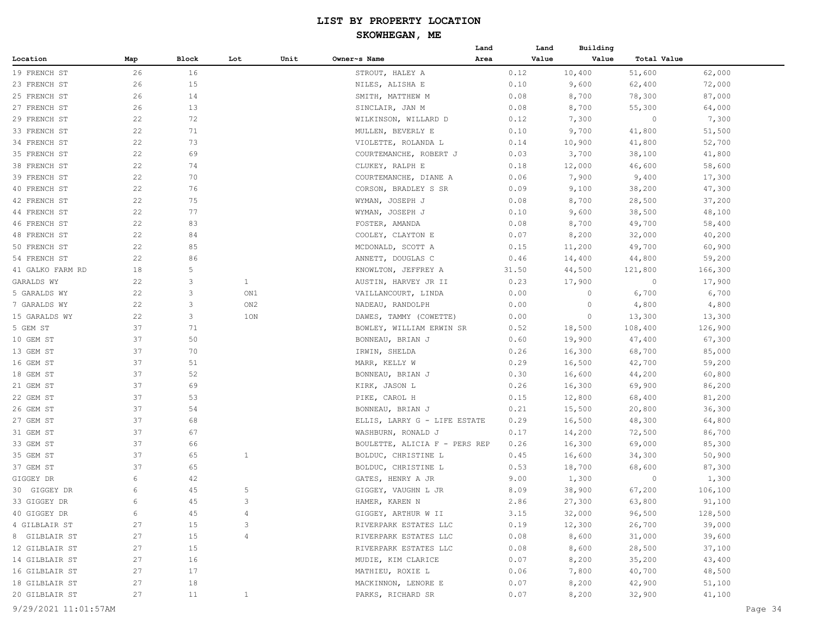| Value<br>Total Value<br>Block<br>Lot<br>Unit<br>Owner~s Name<br>Area<br>Value<br>Map<br>26<br>16<br>51,600<br>STROUT, HALEY A<br>0.12<br>10,400<br>62,000<br>15<br>26<br>NILES, ALISHA E<br>0.10<br>9,600<br>62,400<br>72,000<br>26<br>14<br>SMITH, MATTHEW M<br>0.08<br>8,700<br>78,300<br>87,000<br>26<br>13<br>SINCLAIR, JAN M<br>0.08<br>8,700<br>55,300<br>64,000<br>72<br>22<br>0.12<br>7,300<br>$\circ$<br>7,300<br>WILKINSON, WILLARD D<br>22<br>51,500<br>71<br>0.10<br>9,700<br>41,800<br>MULLEN, BEVERLY E<br>22<br>73<br>0.14<br>10,900<br>41,800<br>52,700<br>VIOLETTE, ROLANDA L<br>22<br>69<br>COURTEMANCHE, ROBERT J<br>0.03<br>3,700<br>38,100<br>41,800<br>22<br>74<br>CLUKEY, RALPH E<br>0.18<br>12,000<br>46,600<br>58,600<br>22<br>70<br>7,900<br>9,400<br>17,300<br>COURTEMANCHE, DIANE A<br>0.06<br>22<br>76<br>CORSON, BRADLEY S SR<br>9,100<br>38,200<br>47,300<br>0.09<br>22<br>75<br>WYMAN, JOSEPH J<br>0.08<br>8,700<br>28,500<br>37,200<br>77<br>22<br>WYMAN, JOSEPH J<br>0.10<br>38,500<br>48,100<br>9,600<br>22<br>83<br>0.08<br>8,700<br>49,700<br>58,400<br>FOSTER, AMANDA<br>22<br>84<br>COOLEY, CLAYTON E<br>0.07<br>8,200<br>32,000<br>40,200<br>22<br>85<br>MCDONALD, SCOTT A<br>0.15<br>11,200<br>49,700<br>60,900<br>54 FRENCH ST<br>22<br>86<br>ANNETT, DOUGLAS C<br>14,400<br>44,800<br>59,200<br>0.46<br>5<br>18<br>44,500<br>166,300<br>KNOWLTON, JEFFREY A<br>31.50<br>121,800<br>3<br>$\mathbf{1}$<br>22<br>AUSTIN, HARVEY JR II<br>0.23<br>17,900<br>$\circ$<br>17,900<br>3<br>22<br>6,700<br>ON1<br>VAILLANCOURT, LINDA<br>0.00<br>$\circ$<br>6,700<br>3<br>4,800<br>22<br>ON2<br>NADEAU, RANDOLPH<br>0.00<br>0<br>4,800<br>22<br>3<br>1ON<br>0.00<br>0<br>13,300<br>13,300<br>DAWES, TAMMY (COWETTE)<br>37<br>71<br>BOWLEY, WILLIAM ERWIN SR<br>0.52<br>18,500<br>108,400<br>126,900<br>37<br>50<br>BONNEAU, BRIAN J<br>0.60<br>19,900<br>47,400<br>67,300<br>37<br>70<br>IRWIN, SHELDA<br>0.26<br>16,300<br>68,700<br>85,000<br>37<br>51<br>42,700<br>59,200<br>MARR, KELLY W<br>0.29<br>16,500<br>37<br>52<br>0.30<br>16,600<br>44,200<br>60,800<br>BONNEAU, BRIAN J<br>37<br>69<br>0.26<br>16,300<br>69,900<br>86,200<br>KIRK, JASON L<br>37<br>53<br>0.15<br>12,800<br>81,200<br>PIKE, CAROL H<br>68,400<br>37<br>54<br>15,500<br>20,800<br>36,300<br>BONNEAU, BRIAN J<br>0.21<br>37<br>68<br>0.29<br>16,500<br>48,300<br>64,800<br>ELLIS, LARRY G - LIFE ESTATE<br>37<br>67<br>0.17<br>14,200<br>72,500<br>86,700<br>WASHBURN, RONALD J<br>37<br>66<br>16,300<br>69,000<br>85,300<br>BOULETTE, ALICIA F - PERS REP<br>0.26<br>37<br>65<br>$\mathbf{1}$<br>BOLDUC, CHRISTINE L<br>0.45<br>16,600<br>34,300<br>50,900<br>37<br>65<br>BOLDUC, CHRISTINE L<br>18,700<br>87,300<br>0.53<br>68,600<br>6<br>42<br>GATES, HENRY A JR<br>9.00<br>1,300<br>$\circ$<br>1,300<br>45<br>5<br>6<br>8.09<br>38,900<br>67,200<br>106,100<br>GIGGEY, VAUGHN L JR<br>45<br>HAMER, KAREN N<br>63,800<br>91,100<br>3<br>2.86<br>27,300<br>6<br>GIGGEY, ARTHUR W II<br>3.15<br>32,000<br>96,500<br>128,500<br>6<br>45<br>4<br>39,000<br>RIVERPARK ESTATES LLC<br>0.19<br>12,300<br>26,700<br>27<br>15<br>3<br>0.08<br>8,600<br>31,000<br>39,600<br>27<br>15<br>4<br>RIVERPARK ESTATES LLC<br>15<br>0.08<br>8,600<br>28,500<br>37,100<br>27<br>RIVERPARK ESTATES LLC<br>8,200<br>43,400<br>27<br>16<br>MUDIE, KIM CLARICE<br>0.07<br>35,200<br>27<br>17<br>MATHIEU, ROXIE L<br>0.06<br>7,800<br>40,700<br>48,500<br>27<br>18<br>MACKINNON, LENORE E<br>0.07<br>8,200<br>42,900<br>51,100<br>32,900<br>41,100<br>27<br>11<br>PARKS, RICHARD SR<br>0.07<br>8,200<br>$\mathbf{1}$ |                  |  |  | Land | Land | Building |  |
|---------------------------------------------------------------------------------------------------------------------------------------------------------------------------------------------------------------------------------------------------------------------------------------------------------------------------------------------------------------------------------------------------------------------------------------------------------------------------------------------------------------------------------------------------------------------------------------------------------------------------------------------------------------------------------------------------------------------------------------------------------------------------------------------------------------------------------------------------------------------------------------------------------------------------------------------------------------------------------------------------------------------------------------------------------------------------------------------------------------------------------------------------------------------------------------------------------------------------------------------------------------------------------------------------------------------------------------------------------------------------------------------------------------------------------------------------------------------------------------------------------------------------------------------------------------------------------------------------------------------------------------------------------------------------------------------------------------------------------------------------------------------------------------------------------------------------------------------------------------------------------------------------------------------------------------------------------------------------------------------------------------------------------------------------------------------------------------------------------------------------------------------------------------------------------------------------------------------------------------------------------------------------------------------------------------------------------------------------------------------------------------------------------------------------------------------------------------------------------------------------------------------------------------------------------------------------------------------------------------------------------------------------------------------------------------------------------------------------------------------------------------------------------------------------------------------------------------------------------------------------------------------------------------------------------------------------------------------------------------------------------------------------------------------------------------------------------------------------------------------------------------------------------------------------------------------------------------------------------------------------------------------------------------------------------------------------------------------------------------------------------------------------------------------------------------------------------------------------------------------------------------------------------------------------------------------------------------------------------------|------------------|--|--|------|------|----------|--|
|                                                                                                                                                                                                                                                                                                                                                                                                                                                                                                                                                                                                                                                                                                                                                                                                                                                                                                                                                                                                                                                                                                                                                                                                                                                                                                                                                                                                                                                                                                                                                                                                                                                                                                                                                                                                                                                                                                                                                                                                                                                                                                                                                                                                                                                                                                                                                                                                                                                                                                                                                                                                                                                                                                                                                                                                                                                                                                                                                                                                                                                                                                                                                                                                                                                                                                                                                                                                                                                                                                                                                                                                               | Location         |  |  |      |      |          |  |
|                                                                                                                                                                                                                                                                                                                                                                                                                                                                                                                                                                                                                                                                                                                                                                                                                                                                                                                                                                                                                                                                                                                                                                                                                                                                                                                                                                                                                                                                                                                                                                                                                                                                                                                                                                                                                                                                                                                                                                                                                                                                                                                                                                                                                                                                                                                                                                                                                                                                                                                                                                                                                                                                                                                                                                                                                                                                                                                                                                                                                                                                                                                                                                                                                                                                                                                                                                                                                                                                                                                                                                                                               | 19 FRENCH ST     |  |  |      |      |          |  |
|                                                                                                                                                                                                                                                                                                                                                                                                                                                                                                                                                                                                                                                                                                                                                                                                                                                                                                                                                                                                                                                                                                                                                                                                                                                                                                                                                                                                                                                                                                                                                                                                                                                                                                                                                                                                                                                                                                                                                                                                                                                                                                                                                                                                                                                                                                                                                                                                                                                                                                                                                                                                                                                                                                                                                                                                                                                                                                                                                                                                                                                                                                                                                                                                                                                                                                                                                                                                                                                                                                                                                                                                               | 23 FRENCH ST     |  |  |      |      |          |  |
|                                                                                                                                                                                                                                                                                                                                                                                                                                                                                                                                                                                                                                                                                                                                                                                                                                                                                                                                                                                                                                                                                                                                                                                                                                                                                                                                                                                                                                                                                                                                                                                                                                                                                                                                                                                                                                                                                                                                                                                                                                                                                                                                                                                                                                                                                                                                                                                                                                                                                                                                                                                                                                                                                                                                                                                                                                                                                                                                                                                                                                                                                                                                                                                                                                                                                                                                                                                                                                                                                                                                                                                                               | 25 FRENCH ST     |  |  |      |      |          |  |
|                                                                                                                                                                                                                                                                                                                                                                                                                                                                                                                                                                                                                                                                                                                                                                                                                                                                                                                                                                                                                                                                                                                                                                                                                                                                                                                                                                                                                                                                                                                                                                                                                                                                                                                                                                                                                                                                                                                                                                                                                                                                                                                                                                                                                                                                                                                                                                                                                                                                                                                                                                                                                                                                                                                                                                                                                                                                                                                                                                                                                                                                                                                                                                                                                                                                                                                                                                                                                                                                                                                                                                                                               | 27 FRENCH ST     |  |  |      |      |          |  |
|                                                                                                                                                                                                                                                                                                                                                                                                                                                                                                                                                                                                                                                                                                                                                                                                                                                                                                                                                                                                                                                                                                                                                                                                                                                                                                                                                                                                                                                                                                                                                                                                                                                                                                                                                                                                                                                                                                                                                                                                                                                                                                                                                                                                                                                                                                                                                                                                                                                                                                                                                                                                                                                                                                                                                                                                                                                                                                                                                                                                                                                                                                                                                                                                                                                                                                                                                                                                                                                                                                                                                                                                               | 29 FRENCH ST     |  |  |      |      |          |  |
|                                                                                                                                                                                                                                                                                                                                                                                                                                                                                                                                                                                                                                                                                                                                                                                                                                                                                                                                                                                                                                                                                                                                                                                                                                                                                                                                                                                                                                                                                                                                                                                                                                                                                                                                                                                                                                                                                                                                                                                                                                                                                                                                                                                                                                                                                                                                                                                                                                                                                                                                                                                                                                                                                                                                                                                                                                                                                                                                                                                                                                                                                                                                                                                                                                                                                                                                                                                                                                                                                                                                                                                                               | 33 FRENCH ST     |  |  |      |      |          |  |
|                                                                                                                                                                                                                                                                                                                                                                                                                                                                                                                                                                                                                                                                                                                                                                                                                                                                                                                                                                                                                                                                                                                                                                                                                                                                                                                                                                                                                                                                                                                                                                                                                                                                                                                                                                                                                                                                                                                                                                                                                                                                                                                                                                                                                                                                                                                                                                                                                                                                                                                                                                                                                                                                                                                                                                                                                                                                                                                                                                                                                                                                                                                                                                                                                                                                                                                                                                                                                                                                                                                                                                                                               | 34 FRENCH ST     |  |  |      |      |          |  |
|                                                                                                                                                                                                                                                                                                                                                                                                                                                                                                                                                                                                                                                                                                                                                                                                                                                                                                                                                                                                                                                                                                                                                                                                                                                                                                                                                                                                                                                                                                                                                                                                                                                                                                                                                                                                                                                                                                                                                                                                                                                                                                                                                                                                                                                                                                                                                                                                                                                                                                                                                                                                                                                                                                                                                                                                                                                                                                                                                                                                                                                                                                                                                                                                                                                                                                                                                                                                                                                                                                                                                                                                               | 35 FRENCH ST     |  |  |      |      |          |  |
|                                                                                                                                                                                                                                                                                                                                                                                                                                                                                                                                                                                                                                                                                                                                                                                                                                                                                                                                                                                                                                                                                                                                                                                                                                                                                                                                                                                                                                                                                                                                                                                                                                                                                                                                                                                                                                                                                                                                                                                                                                                                                                                                                                                                                                                                                                                                                                                                                                                                                                                                                                                                                                                                                                                                                                                                                                                                                                                                                                                                                                                                                                                                                                                                                                                                                                                                                                                                                                                                                                                                                                                                               | 38 FRENCH ST     |  |  |      |      |          |  |
|                                                                                                                                                                                                                                                                                                                                                                                                                                                                                                                                                                                                                                                                                                                                                                                                                                                                                                                                                                                                                                                                                                                                                                                                                                                                                                                                                                                                                                                                                                                                                                                                                                                                                                                                                                                                                                                                                                                                                                                                                                                                                                                                                                                                                                                                                                                                                                                                                                                                                                                                                                                                                                                                                                                                                                                                                                                                                                                                                                                                                                                                                                                                                                                                                                                                                                                                                                                                                                                                                                                                                                                                               | 39 FRENCH ST     |  |  |      |      |          |  |
|                                                                                                                                                                                                                                                                                                                                                                                                                                                                                                                                                                                                                                                                                                                                                                                                                                                                                                                                                                                                                                                                                                                                                                                                                                                                                                                                                                                                                                                                                                                                                                                                                                                                                                                                                                                                                                                                                                                                                                                                                                                                                                                                                                                                                                                                                                                                                                                                                                                                                                                                                                                                                                                                                                                                                                                                                                                                                                                                                                                                                                                                                                                                                                                                                                                                                                                                                                                                                                                                                                                                                                                                               | 40 FRENCH ST     |  |  |      |      |          |  |
|                                                                                                                                                                                                                                                                                                                                                                                                                                                                                                                                                                                                                                                                                                                                                                                                                                                                                                                                                                                                                                                                                                                                                                                                                                                                                                                                                                                                                                                                                                                                                                                                                                                                                                                                                                                                                                                                                                                                                                                                                                                                                                                                                                                                                                                                                                                                                                                                                                                                                                                                                                                                                                                                                                                                                                                                                                                                                                                                                                                                                                                                                                                                                                                                                                                                                                                                                                                                                                                                                                                                                                                                               | 42 FRENCH ST     |  |  |      |      |          |  |
|                                                                                                                                                                                                                                                                                                                                                                                                                                                                                                                                                                                                                                                                                                                                                                                                                                                                                                                                                                                                                                                                                                                                                                                                                                                                                                                                                                                                                                                                                                                                                                                                                                                                                                                                                                                                                                                                                                                                                                                                                                                                                                                                                                                                                                                                                                                                                                                                                                                                                                                                                                                                                                                                                                                                                                                                                                                                                                                                                                                                                                                                                                                                                                                                                                                                                                                                                                                                                                                                                                                                                                                                               | 44 FRENCH ST     |  |  |      |      |          |  |
|                                                                                                                                                                                                                                                                                                                                                                                                                                                                                                                                                                                                                                                                                                                                                                                                                                                                                                                                                                                                                                                                                                                                                                                                                                                                                                                                                                                                                                                                                                                                                                                                                                                                                                                                                                                                                                                                                                                                                                                                                                                                                                                                                                                                                                                                                                                                                                                                                                                                                                                                                                                                                                                                                                                                                                                                                                                                                                                                                                                                                                                                                                                                                                                                                                                                                                                                                                                                                                                                                                                                                                                                               | 46 FRENCH ST     |  |  |      |      |          |  |
|                                                                                                                                                                                                                                                                                                                                                                                                                                                                                                                                                                                                                                                                                                                                                                                                                                                                                                                                                                                                                                                                                                                                                                                                                                                                                                                                                                                                                                                                                                                                                                                                                                                                                                                                                                                                                                                                                                                                                                                                                                                                                                                                                                                                                                                                                                                                                                                                                                                                                                                                                                                                                                                                                                                                                                                                                                                                                                                                                                                                                                                                                                                                                                                                                                                                                                                                                                                                                                                                                                                                                                                                               | 48 FRENCH ST     |  |  |      |      |          |  |
|                                                                                                                                                                                                                                                                                                                                                                                                                                                                                                                                                                                                                                                                                                                                                                                                                                                                                                                                                                                                                                                                                                                                                                                                                                                                                                                                                                                                                                                                                                                                                                                                                                                                                                                                                                                                                                                                                                                                                                                                                                                                                                                                                                                                                                                                                                                                                                                                                                                                                                                                                                                                                                                                                                                                                                                                                                                                                                                                                                                                                                                                                                                                                                                                                                                                                                                                                                                                                                                                                                                                                                                                               | 50 FRENCH ST     |  |  |      |      |          |  |
|                                                                                                                                                                                                                                                                                                                                                                                                                                                                                                                                                                                                                                                                                                                                                                                                                                                                                                                                                                                                                                                                                                                                                                                                                                                                                                                                                                                                                                                                                                                                                                                                                                                                                                                                                                                                                                                                                                                                                                                                                                                                                                                                                                                                                                                                                                                                                                                                                                                                                                                                                                                                                                                                                                                                                                                                                                                                                                                                                                                                                                                                                                                                                                                                                                                                                                                                                                                                                                                                                                                                                                                                               |                  |  |  |      |      |          |  |
|                                                                                                                                                                                                                                                                                                                                                                                                                                                                                                                                                                                                                                                                                                                                                                                                                                                                                                                                                                                                                                                                                                                                                                                                                                                                                                                                                                                                                                                                                                                                                                                                                                                                                                                                                                                                                                                                                                                                                                                                                                                                                                                                                                                                                                                                                                                                                                                                                                                                                                                                                                                                                                                                                                                                                                                                                                                                                                                                                                                                                                                                                                                                                                                                                                                                                                                                                                                                                                                                                                                                                                                                               | 41 GALKO FARM RD |  |  |      |      |          |  |
|                                                                                                                                                                                                                                                                                                                                                                                                                                                                                                                                                                                                                                                                                                                                                                                                                                                                                                                                                                                                                                                                                                                                                                                                                                                                                                                                                                                                                                                                                                                                                                                                                                                                                                                                                                                                                                                                                                                                                                                                                                                                                                                                                                                                                                                                                                                                                                                                                                                                                                                                                                                                                                                                                                                                                                                                                                                                                                                                                                                                                                                                                                                                                                                                                                                                                                                                                                                                                                                                                                                                                                                                               | GARALDS WY       |  |  |      |      |          |  |
|                                                                                                                                                                                                                                                                                                                                                                                                                                                                                                                                                                                                                                                                                                                                                                                                                                                                                                                                                                                                                                                                                                                                                                                                                                                                                                                                                                                                                                                                                                                                                                                                                                                                                                                                                                                                                                                                                                                                                                                                                                                                                                                                                                                                                                                                                                                                                                                                                                                                                                                                                                                                                                                                                                                                                                                                                                                                                                                                                                                                                                                                                                                                                                                                                                                                                                                                                                                                                                                                                                                                                                                                               | 5 GARALDS WY     |  |  |      |      |          |  |
|                                                                                                                                                                                                                                                                                                                                                                                                                                                                                                                                                                                                                                                                                                                                                                                                                                                                                                                                                                                                                                                                                                                                                                                                                                                                                                                                                                                                                                                                                                                                                                                                                                                                                                                                                                                                                                                                                                                                                                                                                                                                                                                                                                                                                                                                                                                                                                                                                                                                                                                                                                                                                                                                                                                                                                                                                                                                                                                                                                                                                                                                                                                                                                                                                                                                                                                                                                                                                                                                                                                                                                                                               | 7 GARALDS WY     |  |  |      |      |          |  |
|                                                                                                                                                                                                                                                                                                                                                                                                                                                                                                                                                                                                                                                                                                                                                                                                                                                                                                                                                                                                                                                                                                                                                                                                                                                                                                                                                                                                                                                                                                                                                                                                                                                                                                                                                                                                                                                                                                                                                                                                                                                                                                                                                                                                                                                                                                                                                                                                                                                                                                                                                                                                                                                                                                                                                                                                                                                                                                                                                                                                                                                                                                                                                                                                                                                                                                                                                                                                                                                                                                                                                                                                               | 15 GARALDS WY    |  |  |      |      |          |  |
|                                                                                                                                                                                                                                                                                                                                                                                                                                                                                                                                                                                                                                                                                                                                                                                                                                                                                                                                                                                                                                                                                                                                                                                                                                                                                                                                                                                                                                                                                                                                                                                                                                                                                                                                                                                                                                                                                                                                                                                                                                                                                                                                                                                                                                                                                                                                                                                                                                                                                                                                                                                                                                                                                                                                                                                                                                                                                                                                                                                                                                                                                                                                                                                                                                                                                                                                                                                                                                                                                                                                                                                                               | 5 GEM ST         |  |  |      |      |          |  |
|                                                                                                                                                                                                                                                                                                                                                                                                                                                                                                                                                                                                                                                                                                                                                                                                                                                                                                                                                                                                                                                                                                                                                                                                                                                                                                                                                                                                                                                                                                                                                                                                                                                                                                                                                                                                                                                                                                                                                                                                                                                                                                                                                                                                                                                                                                                                                                                                                                                                                                                                                                                                                                                                                                                                                                                                                                                                                                                                                                                                                                                                                                                                                                                                                                                                                                                                                                                                                                                                                                                                                                                                               | 10 GEM ST        |  |  |      |      |          |  |
|                                                                                                                                                                                                                                                                                                                                                                                                                                                                                                                                                                                                                                                                                                                                                                                                                                                                                                                                                                                                                                                                                                                                                                                                                                                                                                                                                                                                                                                                                                                                                                                                                                                                                                                                                                                                                                                                                                                                                                                                                                                                                                                                                                                                                                                                                                                                                                                                                                                                                                                                                                                                                                                                                                                                                                                                                                                                                                                                                                                                                                                                                                                                                                                                                                                                                                                                                                                                                                                                                                                                                                                                               | 13 GEM ST        |  |  |      |      |          |  |
|                                                                                                                                                                                                                                                                                                                                                                                                                                                                                                                                                                                                                                                                                                                                                                                                                                                                                                                                                                                                                                                                                                                                                                                                                                                                                                                                                                                                                                                                                                                                                                                                                                                                                                                                                                                                                                                                                                                                                                                                                                                                                                                                                                                                                                                                                                                                                                                                                                                                                                                                                                                                                                                                                                                                                                                                                                                                                                                                                                                                                                                                                                                                                                                                                                                                                                                                                                                                                                                                                                                                                                                                               | 16 GEM ST        |  |  |      |      |          |  |
|                                                                                                                                                                                                                                                                                                                                                                                                                                                                                                                                                                                                                                                                                                                                                                                                                                                                                                                                                                                                                                                                                                                                                                                                                                                                                                                                                                                                                                                                                                                                                                                                                                                                                                                                                                                                                                                                                                                                                                                                                                                                                                                                                                                                                                                                                                                                                                                                                                                                                                                                                                                                                                                                                                                                                                                                                                                                                                                                                                                                                                                                                                                                                                                                                                                                                                                                                                                                                                                                                                                                                                                                               | 18 GEM ST        |  |  |      |      |          |  |
|                                                                                                                                                                                                                                                                                                                                                                                                                                                                                                                                                                                                                                                                                                                                                                                                                                                                                                                                                                                                                                                                                                                                                                                                                                                                                                                                                                                                                                                                                                                                                                                                                                                                                                                                                                                                                                                                                                                                                                                                                                                                                                                                                                                                                                                                                                                                                                                                                                                                                                                                                                                                                                                                                                                                                                                                                                                                                                                                                                                                                                                                                                                                                                                                                                                                                                                                                                                                                                                                                                                                                                                                               | 21 GEM ST        |  |  |      |      |          |  |
|                                                                                                                                                                                                                                                                                                                                                                                                                                                                                                                                                                                                                                                                                                                                                                                                                                                                                                                                                                                                                                                                                                                                                                                                                                                                                                                                                                                                                                                                                                                                                                                                                                                                                                                                                                                                                                                                                                                                                                                                                                                                                                                                                                                                                                                                                                                                                                                                                                                                                                                                                                                                                                                                                                                                                                                                                                                                                                                                                                                                                                                                                                                                                                                                                                                                                                                                                                                                                                                                                                                                                                                                               | 22 GEM ST        |  |  |      |      |          |  |
|                                                                                                                                                                                                                                                                                                                                                                                                                                                                                                                                                                                                                                                                                                                                                                                                                                                                                                                                                                                                                                                                                                                                                                                                                                                                                                                                                                                                                                                                                                                                                                                                                                                                                                                                                                                                                                                                                                                                                                                                                                                                                                                                                                                                                                                                                                                                                                                                                                                                                                                                                                                                                                                                                                                                                                                                                                                                                                                                                                                                                                                                                                                                                                                                                                                                                                                                                                                                                                                                                                                                                                                                               | 26 GEM ST        |  |  |      |      |          |  |
|                                                                                                                                                                                                                                                                                                                                                                                                                                                                                                                                                                                                                                                                                                                                                                                                                                                                                                                                                                                                                                                                                                                                                                                                                                                                                                                                                                                                                                                                                                                                                                                                                                                                                                                                                                                                                                                                                                                                                                                                                                                                                                                                                                                                                                                                                                                                                                                                                                                                                                                                                                                                                                                                                                                                                                                                                                                                                                                                                                                                                                                                                                                                                                                                                                                                                                                                                                                                                                                                                                                                                                                                               | 27 GEM ST        |  |  |      |      |          |  |
|                                                                                                                                                                                                                                                                                                                                                                                                                                                                                                                                                                                                                                                                                                                                                                                                                                                                                                                                                                                                                                                                                                                                                                                                                                                                                                                                                                                                                                                                                                                                                                                                                                                                                                                                                                                                                                                                                                                                                                                                                                                                                                                                                                                                                                                                                                                                                                                                                                                                                                                                                                                                                                                                                                                                                                                                                                                                                                                                                                                                                                                                                                                                                                                                                                                                                                                                                                                                                                                                                                                                                                                                               | 31 GEM ST        |  |  |      |      |          |  |
|                                                                                                                                                                                                                                                                                                                                                                                                                                                                                                                                                                                                                                                                                                                                                                                                                                                                                                                                                                                                                                                                                                                                                                                                                                                                                                                                                                                                                                                                                                                                                                                                                                                                                                                                                                                                                                                                                                                                                                                                                                                                                                                                                                                                                                                                                                                                                                                                                                                                                                                                                                                                                                                                                                                                                                                                                                                                                                                                                                                                                                                                                                                                                                                                                                                                                                                                                                                                                                                                                                                                                                                                               | 33 GEM ST        |  |  |      |      |          |  |
|                                                                                                                                                                                                                                                                                                                                                                                                                                                                                                                                                                                                                                                                                                                                                                                                                                                                                                                                                                                                                                                                                                                                                                                                                                                                                                                                                                                                                                                                                                                                                                                                                                                                                                                                                                                                                                                                                                                                                                                                                                                                                                                                                                                                                                                                                                                                                                                                                                                                                                                                                                                                                                                                                                                                                                                                                                                                                                                                                                                                                                                                                                                                                                                                                                                                                                                                                                                                                                                                                                                                                                                                               | 35 GEM ST        |  |  |      |      |          |  |
|                                                                                                                                                                                                                                                                                                                                                                                                                                                                                                                                                                                                                                                                                                                                                                                                                                                                                                                                                                                                                                                                                                                                                                                                                                                                                                                                                                                                                                                                                                                                                                                                                                                                                                                                                                                                                                                                                                                                                                                                                                                                                                                                                                                                                                                                                                                                                                                                                                                                                                                                                                                                                                                                                                                                                                                                                                                                                                                                                                                                                                                                                                                                                                                                                                                                                                                                                                                                                                                                                                                                                                                                               | 37 GEM ST        |  |  |      |      |          |  |
|                                                                                                                                                                                                                                                                                                                                                                                                                                                                                                                                                                                                                                                                                                                                                                                                                                                                                                                                                                                                                                                                                                                                                                                                                                                                                                                                                                                                                                                                                                                                                                                                                                                                                                                                                                                                                                                                                                                                                                                                                                                                                                                                                                                                                                                                                                                                                                                                                                                                                                                                                                                                                                                                                                                                                                                                                                                                                                                                                                                                                                                                                                                                                                                                                                                                                                                                                                                                                                                                                                                                                                                                               | GIGGEY DR        |  |  |      |      |          |  |
|                                                                                                                                                                                                                                                                                                                                                                                                                                                                                                                                                                                                                                                                                                                                                                                                                                                                                                                                                                                                                                                                                                                                                                                                                                                                                                                                                                                                                                                                                                                                                                                                                                                                                                                                                                                                                                                                                                                                                                                                                                                                                                                                                                                                                                                                                                                                                                                                                                                                                                                                                                                                                                                                                                                                                                                                                                                                                                                                                                                                                                                                                                                                                                                                                                                                                                                                                                                                                                                                                                                                                                                                               | 30 GIGGEY DR     |  |  |      |      |          |  |
|                                                                                                                                                                                                                                                                                                                                                                                                                                                                                                                                                                                                                                                                                                                                                                                                                                                                                                                                                                                                                                                                                                                                                                                                                                                                                                                                                                                                                                                                                                                                                                                                                                                                                                                                                                                                                                                                                                                                                                                                                                                                                                                                                                                                                                                                                                                                                                                                                                                                                                                                                                                                                                                                                                                                                                                                                                                                                                                                                                                                                                                                                                                                                                                                                                                                                                                                                                                                                                                                                                                                                                                                               | 33 GIGGEY DR     |  |  |      |      |          |  |
|                                                                                                                                                                                                                                                                                                                                                                                                                                                                                                                                                                                                                                                                                                                                                                                                                                                                                                                                                                                                                                                                                                                                                                                                                                                                                                                                                                                                                                                                                                                                                                                                                                                                                                                                                                                                                                                                                                                                                                                                                                                                                                                                                                                                                                                                                                                                                                                                                                                                                                                                                                                                                                                                                                                                                                                                                                                                                                                                                                                                                                                                                                                                                                                                                                                                                                                                                                                                                                                                                                                                                                                                               | 40 GIGGEY DR     |  |  |      |      |          |  |
|                                                                                                                                                                                                                                                                                                                                                                                                                                                                                                                                                                                                                                                                                                                                                                                                                                                                                                                                                                                                                                                                                                                                                                                                                                                                                                                                                                                                                                                                                                                                                                                                                                                                                                                                                                                                                                                                                                                                                                                                                                                                                                                                                                                                                                                                                                                                                                                                                                                                                                                                                                                                                                                                                                                                                                                                                                                                                                                                                                                                                                                                                                                                                                                                                                                                                                                                                                                                                                                                                                                                                                                                               | 4 GILBLAIR ST    |  |  |      |      |          |  |
|                                                                                                                                                                                                                                                                                                                                                                                                                                                                                                                                                                                                                                                                                                                                                                                                                                                                                                                                                                                                                                                                                                                                                                                                                                                                                                                                                                                                                                                                                                                                                                                                                                                                                                                                                                                                                                                                                                                                                                                                                                                                                                                                                                                                                                                                                                                                                                                                                                                                                                                                                                                                                                                                                                                                                                                                                                                                                                                                                                                                                                                                                                                                                                                                                                                                                                                                                                                                                                                                                                                                                                                                               | 8 GILBLAIR ST    |  |  |      |      |          |  |
|                                                                                                                                                                                                                                                                                                                                                                                                                                                                                                                                                                                                                                                                                                                                                                                                                                                                                                                                                                                                                                                                                                                                                                                                                                                                                                                                                                                                                                                                                                                                                                                                                                                                                                                                                                                                                                                                                                                                                                                                                                                                                                                                                                                                                                                                                                                                                                                                                                                                                                                                                                                                                                                                                                                                                                                                                                                                                                                                                                                                                                                                                                                                                                                                                                                                                                                                                                                                                                                                                                                                                                                                               | 12 GILBLAIR ST   |  |  |      |      |          |  |
|                                                                                                                                                                                                                                                                                                                                                                                                                                                                                                                                                                                                                                                                                                                                                                                                                                                                                                                                                                                                                                                                                                                                                                                                                                                                                                                                                                                                                                                                                                                                                                                                                                                                                                                                                                                                                                                                                                                                                                                                                                                                                                                                                                                                                                                                                                                                                                                                                                                                                                                                                                                                                                                                                                                                                                                                                                                                                                                                                                                                                                                                                                                                                                                                                                                                                                                                                                                                                                                                                                                                                                                                               | 14 GILBLAIR ST   |  |  |      |      |          |  |
|                                                                                                                                                                                                                                                                                                                                                                                                                                                                                                                                                                                                                                                                                                                                                                                                                                                                                                                                                                                                                                                                                                                                                                                                                                                                                                                                                                                                                                                                                                                                                                                                                                                                                                                                                                                                                                                                                                                                                                                                                                                                                                                                                                                                                                                                                                                                                                                                                                                                                                                                                                                                                                                                                                                                                                                                                                                                                                                                                                                                                                                                                                                                                                                                                                                                                                                                                                                                                                                                                                                                                                                                               | 16 GILBLAIR ST   |  |  |      |      |          |  |
|                                                                                                                                                                                                                                                                                                                                                                                                                                                                                                                                                                                                                                                                                                                                                                                                                                                                                                                                                                                                                                                                                                                                                                                                                                                                                                                                                                                                                                                                                                                                                                                                                                                                                                                                                                                                                                                                                                                                                                                                                                                                                                                                                                                                                                                                                                                                                                                                                                                                                                                                                                                                                                                                                                                                                                                                                                                                                                                                                                                                                                                                                                                                                                                                                                                                                                                                                                                                                                                                                                                                                                                                               | 18 GILBLAIR ST   |  |  |      |      |          |  |
|                                                                                                                                                                                                                                                                                                                                                                                                                                                                                                                                                                                                                                                                                                                                                                                                                                                                                                                                                                                                                                                                                                                                                                                                                                                                                                                                                                                                                                                                                                                                                                                                                                                                                                                                                                                                                                                                                                                                                                                                                                                                                                                                                                                                                                                                                                                                                                                                                                                                                                                                                                                                                                                                                                                                                                                                                                                                                                                                                                                                                                                                                                                                                                                                                                                                                                                                                                                                                                                                                                                                                                                                               | 20 GILBLAIR ST   |  |  |      |      |          |  |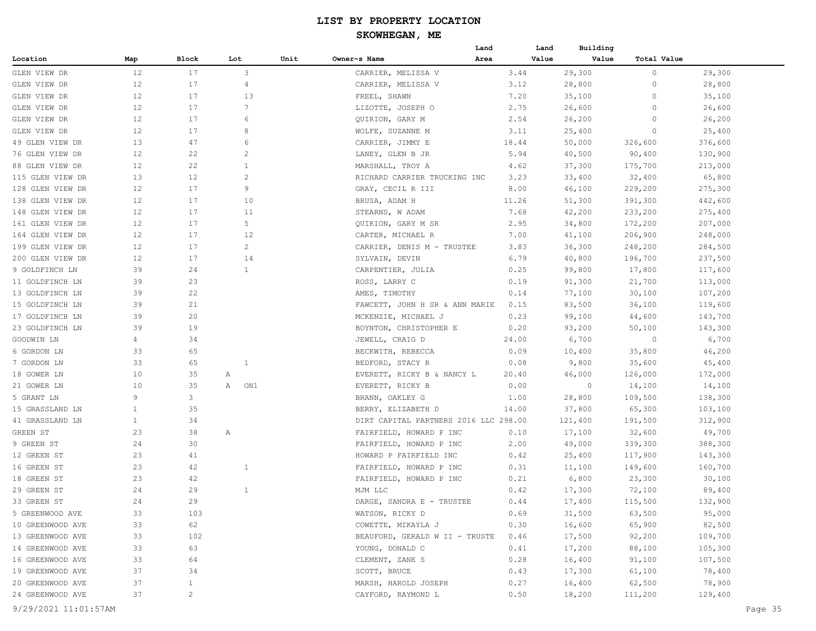| Block<br>Lot<br>Unit<br>Owner~s Name<br>Area<br>Value<br>Value<br><b>Total Value</b><br>Map<br>12<br>3<br>17<br>29,300<br>CARRIER, MELISSA V<br>3.44<br>0<br>29,300<br>12<br>17<br>4<br>CARRIER, MELISSA V<br>3.12<br>28,800<br>0<br>28,800<br>12<br>17<br>13<br>FREEL, SHAWN<br>7.20<br>35,100<br>0<br>35,100<br>12<br>17<br>$7\phantom{.0}$<br>LIZOTTE, JOSEPH O<br>2.75<br>26,600<br>0<br>26,600<br>12<br>17<br>6<br>2.54<br>26,200<br>26,200<br>QUIRION, GARY M<br>0<br>12<br>17<br>25,400<br>8<br>WOLFE, SUZANNE M<br>3.11<br>25,400<br>0<br>13<br>47<br>6<br>CARRIER, JIMMY E<br>18.44<br>50,000<br>326,600<br>376,600<br>12<br>$\overline{c}$<br>22<br>LANEY, GLEN B JR<br>5.94<br>40,500<br>90,400<br>130,900<br>12<br>22<br>$\mathbf{1}$<br>37,300<br>175,700<br>213,000<br>88 GLEN VIEW DR<br>MARSHALL, TROY A<br>4.62<br>13<br>12<br>$\overline{c}$<br>32,400<br>65,800<br>RICHARD CARRIER TRUCKING INC<br>3.23<br>33,400<br>9<br>12<br>17<br>GRAY, CECIL R III<br>8.00<br>46,100<br>229,200<br>275,300<br>12<br>17<br>10<br>11.26<br>391,300<br>442,600<br>BRUSA, ADAM H<br>51,300<br>12<br>17<br>11<br>7.68<br>42,200<br>233,200<br>275,400<br>STEARNS, W ADAM<br>5<br>207,000<br>12<br>17<br>2.95<br>34,800<br>172,200<br>QUIRION, GARY M SR<br>12<br>17<br>12<br>7.00<br>41,100<br>206,900<br>248,000<br>CARTER, MICHAEL R<br>2<br>12<br>17<br>CARRIER, DENIS M - TRUSTEE<br>3.83<br>36,300<br>248,200<br>284,500<br>200 GLEN VIEW DR<br>12<br>17<br>14<br>SYLVAIN, DEVIN<br>6.79<br>40,800<br>196,700<br>237,500<br>39<br>24<br>1<br>CARPENTIER, JULIA<br>99,800<br>17,800<br>117,600<br>9 GOLDFINCH LN<br>0.25<br>39<br>23<br>ROSS, LARRY C<br>0.19<br>91,300<br>21,700<br>113,000<br>11 GOLDFINCH LN<br>39<br>22<br>AMES, TIMOTHY<br>0.14<br>77,100<br>30,100<br>107,200<br>39<br>21<br>FAWCETT, JOHN H SR & ANN MARIE<br>0.15<br>83,500<br>36,100<br>119,600<br>15 GOLDFINCH LN<br>39<br>20<br>17 GOLDFINCH LN<br>0.23<br>99,100<br>143,700<br>MCKENZIE, MICHAEL J<br>44,600<br>23 GOLDFINCH LN<br>39<br>19<br>BOYNTON, CHRISTOPHER E<br>0.20<br>93,200<br>50,100<br>143,300<br>6,700<br>GOODWIN LN<br>4<br>34<br>JEWELL, CRAIG D<br>24.00<br>6,700<br>0<br>33<br>65<br>0.09<br>10,400<br>35,800<br>46,200<br>6 GORDON LN<br>BECKWITH, REBECCA<br>33<br>65<br>0.08<br>9,800<br>45,400<br>7 GORDON LN<br>1<br>BEDFORD, STACY R<br>35,600<br>10<br>35<br>20.40<br>46,000<br>126,000<br>172,000<br>18 GOWER LN<br>Α<br>EVERETT, RICKY B & NANCY L<br>10<br>35<br>$\circ$<br>ON1<br>EVERETT, RICKY B<br>0.00<br>14,100<br>21 GOWER LN<br>Α<br>14,100<br>9<br>3<br>1.00<br>28,800<br>109,500<br>138,300<br>5 GRANT LN<br>BRANN, OAKLEY G<br>35<br>37,800<br>65,300<br>103,100<br>$\mathbf{1}$<br>BERRY, ELIZABETH D<br>14.00<br>41 GRASSLAND LN<br>34<br>DIRT CAPITAL PARTNERS 2016 LLC 298.00<br>121,400<br>191,500<br>312,900<br>$\mathbf{1}$<br>49,700<br>23<br>38<br>FAIRFIELD, HOWARD P INC<br>17,100<br>32,600<br>Α<br>0.10<br>9 GREEN ST<br>24<br>30<br>FAIRFIELD, HOWARD P INC<br>49,000<br>339,300<br>388,300<br>2.00<br>23<br>41<br>HOWARD P FAIRFIELD INC<br>143,300<br>0.42<br>25,400<br>117,900<br>16 GREEN ST<br>23<br>42<br>0.31<br>11,100<br>149,600<br>160,700<br>1<br>FAIRFIELD, HOWARD P INC<br>23<br>42<br>FAIRFIELD, HOWARD P INC<br>0.21<br>6,800<br>23,300<br>30,100<br>29<br>24<br>1<br>MJM LLC<br>0.42<br>17,300<br>72,100<br>89,400<br>24<br>29<br>132,900<br>33 GREEN ST<br>DARGE, SANDRA E - TRUSTEE<br>0.44<br>17,400<br>115,500<br>5 GREENWOOD AVE<br>WATSON, RICKY D<br>0.69<br>31,500<br>63,500<br>95,000<br>33<br>103<br>10 GREENWOOD AVE<br>0.30<br>16,600<br>65,900<br>82,500<br>33<br>62<br>COWETTE, MIKAYLA J<br>92,200<br>109,700<br>33<br>102<br>BEAUFORD, GERALD W II - TRUSTE<br>0.46<br>17,500<br>63<br>105,300<br>33<br>YOUNG, DONALD C<br>0.41<br>17,200<br>88,100<br>16 GREENWOOD AVE<br>33<br>64<br>CLEMENT, ZANE S<br>0.28<br>16,400<br>91,100<br>107,500<br>19 GREENWOOD AVE<br>SCOTT, BRUCE<br>0.43<br>17,300<br>61,100<br>78,400<br>37<br>34<br>0.27<br>16,400<br>62,500<br>78,900<br>20 GREENWOOD AVE<br>37<br>$\mathbf{1}$<br>MARSH, HAROLD JOSEPH<br>24 GREENWOOD AVE<br>37<br>$\overline{c}$<br>0.50<br>18,200<br>111,200<br>129,400<br>CAYFORD, RAYMOND L<br>9/29/2021 11:01:57AM |                  |  |  | Land | Land | Building |  |
|--------------------------------------------------------------------------------------------------------------------------------------------------------------------------------------------------------------------------------------------------------------------------------------------------------------------------------------------------------------------------------------------------------------------------------------------------------------------------------------------------------------------------------------------------------------------------------------------------------------------------------------------------------------------------------------------------------------------------------------------------------------------------------------------------------------------------------------------------------------------------------------------------------------------------------------------------------------------------------------------------------------------------------------------------------------------------------------------------------------------------------------------------------------------------------------------------------------------------------------------------------------------------------------------------------------------------------------------------------------------------------------------------------------------------------------------------------------------------------------------------------------------------------------------------------------------------------------------------------------------------------------------------------------------------------------------------------------------------------------------------------------------------------------------------------------------------------------------------------------------------------------------------------------------------------------------------------------------------------------------------------------------------------------------------------------------------------------------------------------------------------------------------------------------------------------------------------------------------------------------------------------------------------------------------------------------------------------------------------------------------------------------------------------------------------------------------------------------------------------------------------------------------------------------------------------------------------------------------------------------------------------------------------------------------------------------------------------------------------------------------------------------------------------------------------------------------------------------------------------------------------------------------------------------------------------------------------------------------------------------------------------------------------------------------------------------------------------------------------------------------------------------------------------------------------------------------------------------------------------------------------------------------------------------------------------------------------------------------------------------------------------------------------------------------------------------------------------------------------------------------------------------------------------------------------------------------------------------------------------------------------------------------------------------------------------------------------------------------------------------------------------------------------------------------------------------------------------------------------------------------------------------------------------------------------------------------------------------------------------------------------------------------------------------------------------------------------------------------------------------------------------------------------------------------------------------------------------------------------------------------------|------------------|--|--|------|------|----------|--|
|                                                                                                                                                                                                                                                                                                                                                                                                                                                                                                                                                                                                                                                                                                                                                                                                                                                                                                                                                                                                                                                                                                                                                                                                                                                                                                                                                                                                                                                                                                                                                                                                                                                                                                                                                                                                                                                                                                                                                                                                                                                                                                                                                                                                                                                                                                                                                                                                                                                                                                                                                                                                                                                                                                                                                                                                                                                                                                                                                                                                                                                                                                                                                                                                                                                                                                                                                                                                                                                                                                                                                                                                                                                                                                                                                                                                                                                                                                                                                                                                                                                                                                                                                                                                                                                        | Location         |  |  |      |      |          |  |
| Page 35                                                                                                                                                                                                                                                                                                                                                                                                                                                                                                                                                                                                                                                                                                                                                                                                                                                                                                                                                                                                                                                                                                                                                                                                                                                                                                                                                                                                                                                                                                                                                                                                                                                                                                                                                                                                                                                                                                                                                                                                                                                                                                                                                                                                                                                                                                                                                                                                                                                                                                                                                                                                                                                                                                                                                                                                                                                                                                                                                                                                                                                                                                                                                                                                                                                                                                                                                                                                                                                                                                                                                                                                                                                                                                                                                                                                                                                                                                                                                                                                                                                                                                                                                                                                                                                | GLEN VIEW DR     |  |  |      |      |          |  |
|                                                                                                                                                                                                                                                                                                                                                                                                                                                                                                                                                                                                                                                                                                                                                                                                                                                                                                                                                                                                                                                                                                                                                                                                                                                                                                                                                                                                                                                                                                                                                                                                                                                                                                                                                                                                                                                                                                                                                                                                                                                                                                                                                                                                                                                                                                                                                                                                                                                                                                                                                                                                                                                                                                                                                                                                                                                                                                                                                                                                                                                                                                                                                                                                                                                                                                                                                                                                                                                                                                                                                                                                                                                                                                                                                                                                                                                                                                                                                                                                                                                                                                                                                                                                                                                        | GLEN VIEW DR     |  |  |      |      |          |  |
|                                                                                                                                                                                                                                                                                                                                                                                                                                                                                                                                                                                                                                                                                                                                                                                                                                                                                                                                                                                                                                                                                                                                                                                                                                                                                                                                                                                                                                                                                                                                                                                                                                                                                                                                                                                                                                                                                                                                                                                                                                                                                                                                                                                                                                                                                                                                                                                                                                                                                                                                                                                                                                                                                                                                                                                                                                                                                                                                                                                                                                                                                                                                                                                                                                                                                                                                                                                                                                                                                                                                                                                                                                                                                                                                                                                                                                                                                                                                                                                                                                                                                                                                                                                                                                                        | GLEN VIEW DR     |  |  |      |      |          |  |
|                                                                                                                                                                                                                                                                                                                                                                                                                                                                                                                                                                                                                                                                                                                                                                                                                                                                                                                                                                                                                                                                                                                                                                                                                                                                                                                                                                                                                                                                                                                                                                                                                                                                                                                                                                                                                                                                                                                                                                                                                                                                                                                                                                                                                                                                                                                                                                                                                                                                                                                                                                                                                                                                                                                                                                                                                                                                                                                                                                                                                                                                                                                                                                                                                                                                                                                                                                                                                                                                                                                                                                                                                                                                                                                                                                                                                                                                                                                                                                                                                                                                                                                                                                                                                                                        | GLEN VIEW DR     |  |  |      |      |          |  |
|                                                                                                                                                                                                                                                                                                                                                                                                                                                                                                                                                                                                                                                                                                                                                                                                                                                                                                                                                                                                                                                                                                                                                                                                                                                                                                                                                                                                                                                                                                                                                                                                                                                                                                                                                                                                                                                                                                                                                                                                                                                                                                                                                                                                                                                                                                                                                                                                                                                                                                                                                                                                                                                                                                                                                                                                                                                                                                                                                                                                                                                                                                                                                                                                                                                                                                                                                                                                                                                                                                                                                                                                                                                                                                                                                                                                                                                                                                                                                                                                                                                                                                                                                                                                                                                        | GLEN VIEW DR     |  |  |      |      |          |  |
|                                                                                                                                                                                                                                                                                                                                                                                                                                                                                                                                                                                                                                                                                                                                                                                                                                                                                                                                                                                                                                                                                                                                                                                                                                                                                                                                                                                                                                                                                                                                                                                                                                                                                                                                                                                                                                                                                                                                                                                                                                                                                                                                                                                                                                                                                                                                                                                                                                                                                                                                                                                                                                                                                                                                                                                                                                                                                                                                                                                                                                                                                                                                                                                                                                                                                                                                                                                                                                                                                                                                                                                                                                                                                                                                                                                                                                                                                                                                                                                                                                                                                                                                                                                                                                                        | GLEN VIEW DR     |  |  |      |      |          |  |
|                                                                                                                                                                                                                                                                                                                                                                                                                                                                                                                                                                                                                                                                                                                                                                                                                                                                                                                                                                                                                                                                                                                                                                                                                                                                                                                                                                                                                                                                                                                                                                                                                                                                                                                                                                                                                                                                                                                                                                                                                                                                                                                                                                                                                                                                                                                                                                                                                                                                                                                                                                                                                                                                                                                                                                                                                                                                                                                                                                                                                                                                                                                                                                                                                                                                                                                                                                                                                                                                                                                                                                                                                                                                                                                                                                                                                                                                                                                                                                                                                                                                                                                                                                                                                                                        | 49 GLEN VIEW DR  |  |  |      |      |          |  |
|                                                                                                                                                                                                                                                                                                                                                                                                                                                                                                                                                                                                                                                                                                                                                                                                                                                                                                                                                                                                                                                                                                                                                                                                                                                                                                                                                                                                                                                                                                                                                                                                                                                                                                                                                                                                                                                                                                                                                                                                                                                                                                                                                                                                                                                                                                                                                                                                                                                                                                                                                                                                                                                                                                                                                                                                                                                                                                                                                                                                                                                                                                                                                                                                                                                                                                                                                                                                                                                                                                                                                                                                                                                                                                                                                                                                                                                                                                                                                                                                                                                                                                                                                                                                                                                        | 76 GLEN VIEW DR  |  |  |      |      |          |  |
|                                                                                                                                                                                                                                                                                                                                                                                                                                                                                                                                                                                                                                                                                                                                                                                                                                                                                                                                                                                                                                                                                                                                                                                                                                                                                                                                                                                                                                                                                                                                                                                                                                                                                                                                                                                                                                                                                                                                                                                                                                                                                                                                                                                                                                                                                                                                                                                                                                                                                                                                                                                                                                                                                                                                                                                                                                                                                                                                                                                                                                                                                                                                                                                                                                                                                                                                                                                                                                                                                                                                                                                                                                                                                                                                                                                                                                                                                                                                                                                                                                                                                                                                                                                                                                                        |                  |  |  |      |      |          |  |
|                                                                                                                                                                                                                                                                                                                                                                                                                                                                                                                                                                                                                                                                                                                                                                                                                                                                                                                                                                                                                                                                                                                                                                                                                                                                                                                                                                                                                                                                                                                                                                                                                                                                                                                                                                                                                                                                                                                                                                                                                                                                                                                                                                                                                                                                                                                                                                                                                                                                                                                                                                                                                                                                                                                                                                                                                                                                                                                                                                                                                                                                                                                                                                                                                                                                                                                                                                                                                                                                                                                                                                                                                                                                                                                                                                                                                                                                                                                                                                                                                                                                                                                                                                                                                                                        | 115 GLEN VIEW DR |  |  |      |      |          |  |
|                                                                                                                                                                                                                                                                                                                                                                                                                                                                                                                                                                                                                                                                                                                                                                                                                                                                                                                                                                                                                                                                                                                                                                                                                                                                                                                                                                                                                                                                                                                                                                                                                                                                                                                                                                                                                                                                                                                                                                                                                                                                                                                                                                                                                                                                                                                                                                                                                                                                                                                                                                                                                                                                                                                                                                                                                                                                                                                                                                                                                                                                                                                                                                                                                                                                                                                                                                                                                                                                                                                                                                                                                                                                                                                                                                                                                                                                                                                                                                                                                                                                                                                                                                                                                                                        | 128 GLEN VIEW DR |  |  |      |      |          |  |
|                                                                                                                                                                                                                                                                                                                                                                                                                                                                                                                                                                                                                                                                                                                                                                                                                                                                                                                                                                                                                                                                                                                                                                                                                                                                                                                                                                                                                                                                                                                                                                                                                                                                                                                                                                                                                                                                                                                                                                                                                                                                                                                                                                                                                                                                                                                                                                                                                                                                                                                                                                                                                                                                                                                                                                                                                                                                                                                                                                                                                                                                                                                                                                                                                                                                                                                                                                                                                                                                                                                                                                                                                                                                                                                                                                                                                                                                                                                                                                                                                                                                                                                                                                                                                                                        | 138 GLEN VIEW DR |  |  |      |      |          |  |
|                                                                                                                                                                                                                                                                                                                                                                                                                                                                                                                                                                                                                                                                                                                                                                                                                                                                                                                                                                                                                                                                                                                                                                                                                                                                                                                                                                                                                                                                                                                                                                                                                                                                                                                                                                                                                                                                                                                                                                                                                                                                                                                                                                                                                                                                                                                                                                                                                                                                                                                                                                                                                                                                                                                                                                                                                                                                                                                                                                                                                                                                                                                                                                                                                                                                                                                                                                                                                                                                                                                                                                                                                                                                                                                                                                                                                                                                                                                                                                                                                                                                                                                                                                                                                                                        | 148 GLEN VIEW DR |  |  |      |      |          |  |
|                                                                                                                                                                                                                                                                                                                                                                                                                                                                                                                                                                                                                                                                                                                                                                                                                                                                                                                                                                                                                                                                                                                                                                                                                                                                                                                                                                                                                                                                                                                                                                                                                                                                                                                                                                                                                                                                                                                                                                                                                                                                                                                                                                                                                                                                                                                                                                                                                                                                                                                                                                                                                                                                                                                                                                                                                                                                                                                                                                                                                                                                                                                                                                                                                                                                                                                                                                                                                                                                                                                                                                                                                                                                                                                                                                                                                                                                                                                                                                                                                                                                                                                                                                                                                                                        | 161 GLEN VIEW DR |  |  |      |      |          |  |
|                                                                                                                                                                                                                                                                                                                                                                                                                                                                                                                                                                                                                                                                                                                                                                                                                                                                                                                                                                                                                                                                                                                                                                                                                                                                                                                                                                                                                                                                                                                                                                                                                                                                                                                                                                                                                                                                                                                                                                                                                                                                                                                                                                                                                                                                                                                                                                                                                                                                                                                                                                                                                                                                                                                                                                                                                                                                                                                                                                                                                                                                                                                                                                                                                                                                                                                                                                                                                                                                                                                                                                                                                                                                                                                                                                                                                                                                                                                                                                                                                                                                                                                                                                                                                                                        | 164 GLEN VIEW DR |  |  |      |      |          |  |
|                                                                                                                                                                                                                                                                                                                                                                                                                                                                                                                                                                                                                                                                                                                                                                                                                                                                                                                                                                                                                                                                                                                                                                                                                                                                                                                                                                                                                                                                                                                                                                                                                                                                                                                                                                                                                                                                                                                                                                                                                                                                                                                                                                                                                                                                                                                                                                                                                                                                                                                                                                                                                                                                                                                                                                                                                                                                                                                                                                                                                                                                                                                                                                                                                                                                                                                                                                                                                                                                                                                                                                                                                                                                                                                                                                                                                                                                                                                                                                                                                                                                                                                                                                                                                                                        | 199 GLEN VIEW DR |  |  |      |      |          |  |
|                                                                                                                                                                                                                                                                                                                                                                                                                                                                                                                                                                                                                                                                                                                                                                                                                                                                                                                                                                                                                                                                                                                                                                                                                                                                                                                                                                                                                                                                                                                                                                                                                                                                                                                                                                                                                                                                                                                                                                                                                                                                                                                                                                                                                                                                                                                                                                                                                                                                                                                                                                                                                                                                                                                                                                                                                                                                                                                                                                                                                                                                                                                                                                                                                                                                                                                                                                                                                                                                                                                                                                                                                                                                                                                                                                                                                                                                                                                                                                                                                                                                                                                                                                                                                                                        |                  |  |  |      |      |          |  |
|                                                                                                                                                                                                                                                                                                                                                                                                                                                                                                                                                                                                                                                                                                                                                                                                                                                                                                                                                                                                                                                                                                                                                                                                                                                                                                                                                                                                                                                                                                                                                                                                                                                                                                                                                                                                                                                                                                                                                                                                                                                                                                                                                                                                                                                                                                                                                                                                                                                                                                                                                                                                                                                                                                                                                                                                                                                                                                                                                                                                                                                                                                                                                                                                                                                                                                                                                                                                                                                                                                                                                                                                                                                                                                                                                                                                                                                                                                                                                                                                                                                                                                                                                                                                                                                        |                  |  |  |      |      |          |  |
|                                                                                                                                                                                                                                                                                                                                                                                                                                                                                                                                                                                                                                                                                                                                                                                                                                                                                                                                                                                                                                                                                                                                                                                                                                                                                                                                                                                                                                                                                                                                                                                                                                                                                                                                                                                                                                                                                                                                                                                                                                                                                                                                                                                                                                                                                                                                                                                                                                                                                                                                                                                                                                                                                                                                                                                                                                                                                                                                                                                                                                                                                                                                                                                                                                                                                                                                                                                                                                                                                                                                                                                                                                                                                                                                                                                                                                                                                                                                                                                                                                                                                                                                                                                                                                                        |                  |  |  |      |      |          |  |
|                                                                                                                                                                                                                                                                                                                                                                                                                                                                                                                                                                                                                                                                                                                                                                                                                                                                                                                                                                                                                                                                                                                                                                                                                                                                                                                                                                                                                                                                                                                                                                                                                                                                                                                                                                                                                                                                                                                                                                                                                                                                                                                                                                                                                                                                                                                                                                                                                                                                                                                                                                                                                                                                                                                                                                                                                                                                                                                                                                                                                                                                                                                                                                                                                                                                                                                                                                                                                                                                                                                                                                                                                                                                                                                                                                                                                                                                                                                                                                                                                                                                                                                                                                                                                                                        | 13 GOLDFINCH LN  |  |  |      |      |          |  |
|                                                                                                                                                                                                                                                                                                                                                                                                                                                                                                                                                                                                                                                                                                                                                                                                                                                                                                                                                                                                                                                                                                                                                                                                                                                                                                                                                                                                                                                                                                                                                                                                                                                                                                                                                                                                                                                                                                                                                                                                                                                                                                                                                                                                                                                                                                                                                                                                                                                                                                                                                                                                                                                                                                                                                                                                                                                                                                                                                                                                                                                                                                                                                                                                                                                                                                                                                                                                                                                                                                                                                                                                                                                                                                                                                                                                                                                                                                                                                                                                                                                                                                                                                                                                                                                        |                  |  |  |      |      |          |  |
|                                                                                                                                                                                                                                                                                                                                                                                                                                                                                                                                                                                                                                                                                                                                                                                                                                                                                                                                                                                                                                                                                                                                                                                                                                                                                                                                                                                                                                                                                                                                                                                                                                                                                                                                                                                                                                                                                                                                                                                                                                                                                                                                                                                                                                                                                                                                                                                                                                                                                                                                                                                                                                                                                                                                                                                                                                                                                                                                                                                                                                                                                                                                                                                                                                                                                                                                                                                                                                                                                                                                                                                                                                                                                                                                                                                                                                                                                                                                                                                                                                                                                                                                                                                                                                                        |                  |  |  |      |      |          |  |
|                                                                                                                                                                                                                                                                                                                                                                                                                                                                                                                                                                                                                                                                                                                                                                                                                                                                                                                                                                                                                                                                                                                                                                                                                                                                                                                                                                                                                                                                                                                                                                                                                                                                                                                                                                                                                                                                                                                                                                                                                                                                                                                                                                                                                                                                                                                                                                                                                                                                                                                                                                                                                                                                                                                                                                                                                                                                                                                                                                                                                                                                                                                                                                                                                                                                                                                                                                                                                                                                                                                                                                                                                                                                                                                                                                                                                                                                                                                                                                                                                                                                                                                                                                                                                                                        |                  |  |  |      |      |          |  |
|                                                                                                                                                                                                                                                                                                                                                                                                                                                                                                                                                                                                                                                                                                                                                                                                                                                                                                                                                                                                                                                                                                                                                                                                                                                                                                                                                                                                                                                                                                                                                                                                                                                                                                                                                                                                                                                                                                                                                                                                                                                                                                                                                                                                                                                                                                                                                                                                                                                                                                                                                                                                                                                                                                                                                                                                                                                                                                                                                                                                                                                                                                                                                                                                                                                                                                                                                                                                                                                                                                                                                                                                                                                                                                                                                                                                                                                                                                                                                                                                                                                                                                                                                                                                                                                        |                  |  |  |      |      |          |  |
|                                                                                                                                                                                                                                                                                                                                                                                                                                                                                                                                                                                                                                                                                                                                                                                                                                                                                                                                                                                                                                                                                                                                                                                                                                                                                                                                                                                                                                                                                                                                                                                                                                                                                                                                                                                                                                                                                                                                                                                                                                                                                                                                                                                                                                                                                                                                                                                                                                                                                                                                                                                                                                                                                                                                                                                                                                                                                                                                                                                                                                                                                                                                                                                                                                                                                                                                                                                                                                                                                                                                                                                                                                                                                                                                                                                                                                                                                                                                                                                                                                                                                                                                                                                                                                                        |                  |  |  |      |      |          |  |
|                                                                                                                                                                                                                                                                                                                                                                                                                                                                                                                                                                                                                                                                                                                                                                                                                                                                                                                                                                                                                                                                                                                                                                                                                                                                                                                                                                                                                                                                                                                                                                                                                                                                                                                                                                                                                                                                                                                                                                                                                                                                                                                                                                                                                                                                                                                                                                                                                                                                                                                                                                                                                                                                                                                                                                                                                                                                                                                                                                                                                                                                                                                                                                                                                                                                                                                                                                                                                                                                                                                                                                                                                                                                                                                                                                                                                                                                                                                                                                                                                                                                                                                                                                                                                                                        |                  |  |  |      |      |          |  |
|                                                                                                                                                                                                                                                                                                                                                                                                                                                                                                                                                                                                                                                                                                                                                                                                                                                                                                                                                                                                                                                                                                                                                                                                                                                                                                                                                                                                                                                                                                                                                                                                                                                                                                                                                                                                                                                                                                                                                                                                                                                                                                                                                                                                                                                                                                                                                                                                                                                                                                                                                                                                                                                                                                                                                                                                                                                                                                                                                                                                                                                                                                                                                                                                                                                                                                                                                                                                                                                                                                                                                                                                                                                                                                                                                                                                                                                                                                                                                                                                                                                                                                                                                                                                                                                        |                  |  |  |      |      |          |  |
|                                                                                                                                                                                                                                                                                                                                                                                                                                                                                                                                                                                                                                                                                                                                                                                                                                                                                                                                                                                                                                                                                                                                                                                                                                                                                                                                                                                                                                                                                                                                                                                                                                                                                                                                                                                                                                                                                                                                                                                                                                                                                                                                                                                                                                                                                                                                                                                                                                                                                                                                                                                                                                                                                                                                                                                                                                                                                                                                                                                                                                                                                                                                                                                                                                                                                                                                                                                                                                                                                                                                                                                                                                                                                                                                                                                                                                                                                                                                                                                                                                                                                                                                                                                                                                                        |                  |  |  |      |      |          |  |
|                                                                                                                                                                                                                                                                                                                                                                                                                                                                                                                                                                                                                                                                                                                                                                                                                                                                                                                                                                                                                                                                                                                                                                                                                                                                                                                                                                                                                                                                                                                                                                                                                                                                                                                                                                                                                                                                                                                                                                                                                                                                                                                                                                                                                                                                                                                                                                                                                                                                                                                                                                                                                                                                                                                                                                                                                                                                                                                                                                                                                                                                                                                                                                                                                                                                                                                                                                                                                                                                                                                                                                                                                                                                                                                                                                                                                                                                                                                                                                                                                                                                                                                                                                                                                                                        |                  |  |  |      |      |          |  |
|                                                                                                                                                                                                                                                                                                                                                                                                                                                                                                                                                                                                                                                                                                                                                                                                                                                                                                                                                                                                                                                                                                                                                                                                                                                                                                                                                                                                                                                                                                                                                                                                                                                                                                                                                                                                                                                                                                                                                                                                                                                                                                                                                                                                                                                                                                                                                                                                                                                                                                                                                                                                                                                                                                                                                                                                                                                                                                                                                                                                                                                                                                                                                                                                                                                                                                                                                                                                                                                                                                                                                                                                                                                                                                                                                                                                                                                                                                                                                                                                                                                                                                                                                                                                                                                        | 15 GRASSLAND LN  |  |  |      |      |          |  |
|                                                                                                                                                                                                                                                                                                                                                                                                                                                                                                                                                                                                                                                                                                                                                                                                                                                                                                                                                                                                                                                                                                                                                                                                                                                                                                                                                                                                                                                                                                                                                                                                                                                                                                                                                                                                                                                                                                                                                                                                                                                                                                                                                                                                                                                                                                                                                                                                                                                                                                                                                                                                                                                                                                                                                                                                                                                                                                                                                                                                                                                                                                                                                                                                                                                                                                                                                                                                                                                                                                                                                                                                                                                                                                                                                                                                                                                                                                                                                                                                                                                                                                                                                                                                                                                        |                  |  |  |      |      |          |  |
|                                                                                                                                                                                                                                                                                                                                                                                                                                                                                                                                                                                                                                                                                                                                                                                                                                                                                                                                                                                                                                                                                                                                                                                                                                                                                                                                                                                                                                                                                                                                                                                                                                                                                                                                                                                                                                                                                                                                                                                                                                                                                                                                                                                                                                                                                                                                                                                                                                                                                                                                                                                                                                                                                                                                                                                                                                                                                                                                                                                                                                                                                                                                                                                                                                                                                                                                                                                                                                                                                                                                                                                                                                                                                                                                                                                                                                                                                                                                                                                                                                                                                                                                                                                                                                                        | GREEN ST         |  |  |      |      |          |  |
|                                                                                                                                                                                                                                                                                                                                                                                                                                                                                                                                                                                                                                                                                                                                                                                                                                                                                                                                                                                                                                                                                                                                                                                                                                                                                                                                                                                                                                                                                                                                                                                                                                                                                                                                                                                                                                                                                                                                                                                                                                                                                                                                                                                                                                                                                                                                                                                                                                                                                                                                                                                                                                                                                                                                                                                                                                                                                                                                                                                                                                                                                                                                                                                                                                                                                                                                                                                                                                                                                                                                                                                                                                                                                                                                                                                                                                                                                                                                                                                                                                                                                                                                                                                                                                                        |                  |  |  |      |      |          |  |
|                                                                                                                                                                                                                                                                                                                                                                                                                                                                                                                                                                                                                                                                                                                                                                                                                                                                                                                                                                                                                                                                                                                                                                                                                                                                                                                                                                                                                                                                                                                                                                                                                                                                                                                                                                                                                                                                                                                                                                                                                                                                                                                                                                                                                                                                                                                                                                                                                                                                                                                                                                                                                                                                                                                                                                                                                                                                                                                                                                                                                                                                                                                                                                                                                                                                                                                                                                                                                                                                                                                                                                                                                                                                                                                                                                                                                                                                                                                                                                                                                                                                                                                                                                                                                                                        | 12 GREEN ST      |  |  |      |      |          |  |
|                                                                                                                                                                                                                                                                                                                                                                                                                                                                                                                                                                                                                                                                                                                                                                                                                                                                                                                                                                                                                                                                                                                                                                                                                                                                                                                                                                                                                                                                                                                                                                                                                                                                                                                                                                                                                                                                                                                                                                                                                                                                                                                                                                                                                                                                                                                                                                                                                                                                                                                                                                                                                                                                                                                                                                                                                                                                                                                                                                                                                                                                                                                                                                                                                                                                                                                                                                                                                                                                                                                                                                                                                                                                                                                                                                                                                                                                                                                                                                                                                                                                                                                                                                                                                                                        |                  |  |  |      |      |          |  |
|                                                                                                                                                                                                                                                                                                                                                                                                                                                                                                                                                                                                                                                                                                                                                                                                                                                                                                                                                                                                                                                                                                                                                                                                                                                                                                                                                                                                                                                                                                                                                                                                                                                                                                                                                                                                                                                                                                                                                                                                                                                                                                                                                                                                                                                                                                                                                                                                                                                                                                                                                                                                                                                                                                                                                                                                                                                                                                                                                                                                                                                                                                                                                                                                                                                                                                                                                                                                                                                                                                                                                                                                                                                                                                                                                                                                                                                                                                                                                                                                                                                                                                                                                                                                                                                        | 18 GREEN ST      |  |  |      |      |          |  |
|                                                                                                                                                                                                                                                                                                                                                                                                                                                                                                                                                                                                                                                                                                                                                                                                                                                                                                                                                                                                                                                                                                                                                                                                                                                                                                                                                                                                                                                                                                                                                                                                                                                                                                                                                                                                                                                                                                                                                                                                                                                                                                                                                                                                                                                                                                                                                                                                                                                                                                                                                                                                                                                                                                                                                                                                                                                                                                                                                                                                                                                                                                                                                                                                                                                                                                                                                                                                                                                                                                                                                                                                                                                                                                                                                                                                                                                                                                                                                                                                                                                                                                                                                                                                                                                        | 29 GREEN ST      |  |  |      |      |          |  |
|                                                                                                                                                                                                                                                                                                                                                                                                                                                                                                                                                                                                                                                                                                                                                                                                                                                                                                                                                                                                                                                                                                                                                                                                                                                                                                                                                                                                                                                                                                                                                                                                                                                                                                                                                                                                                                                                                                                                                                                                                                                                                                                                                                                                                                                                                                                                                                                                                                                                                                                                                                                                                                                                                                                                                                                                                                                                                                                                                                                                                                                                                                                                                                                                                                                                                                                                                                                                                                                                                                                                                                                                                                                                                                                                                                                                                                                                                                                                                                                                                                                                                                                                                                                                                                                        |                  |  |  |      |      |          |  |
|                                                                                                                                                                                                                                                                                                                                                                                                                                                                                                                                                                                                                                                                                                                                                                                                                                                                                                                                                                                                                                                                                                                                                                                                                                                                                                                                                                                                                                                                                                                                                                                                                                                                                                                                                                                                                                                                                                                                                                                                                                                                                                                                                                                                                                                                                                                                                                                                                                                                                                                                                                                                                                                                                                                                                                                                                                                                                                                                                                                                                                                                                                                                                                                                                                                                                                                                                                                                                                                                                                                                                                                                                                                                                                                                                                                                                                                                                                                                                                                                                                                                                                                                                                                                                                                        |                  |  |  |      |      |          |  |
|                                                                                                                                                                                                                                                                                                                                                                                                                                                                                                                                                                                                                                                                                                                                                                                                                                                                                                                                                                                                                                                                                                                                                                                                                                                                                                                                                                                                                                                                                                                                                                                                                                                                                                                                                                                                                                                                                                                                                                                                                                                                                                                                                                                                                                                                                                                                                                                                                                                                                                                                                                                                                                                                                                                                                                                                                                                                                                                                                                                                                                                                                                                                                                                                                                                                                                                                                                                                                                                                                                                                                                                                                                                                                                                                                                                                                                                                                                                                                                                                                                                                                                                                                                                                                                                        |                  |  |  |      |      |          |  |
|                                                                                                                                                                                                                                                                                                                                                                                                                                                                                                                                                                                                                                                                                                                                                                                                                                                                                                                                                                                                                                                                                                                                                                                                                                                                                                                                                                                                                                                                                                                                                                                                                                                                                                                                                                                                                                                                                                                                                                                                                                                                                                                                                                                                                                                                                                                                                                                                                                                                                                                                                                                                                                                                                                                                                                                                                                                                                                                                                                                                                                                                                                                                                                                                                                                                                                                                                                                                                                                                                                                                                                                                                                                                                                                                                                                                                                                                                                                                                                                                                                                                                                                                                                                                                                                        | 13 GREENWOOD AVE |  |  |      |      |          |  |
|                                                                                                                                                                                                                                                                                                                                                                                                                                                                                                                                                                                                                                                                                                                                                                                                                                                                                                                                                                                                                                                                                                                                                                                                                                                                                                                                                                                                                                                                                                                                                                                                                                                                                                                                                                                                                                                                                                                                                                                                                                                                                                                                                                                                                                                                                                                                                                                                                                                                                                                                                                                                                                                                                                                                                                                                                                                                                                                                                                                                                                                                                                                                                                                                                                                                                                                                                                                                                                                                                                                                                                                                                                                                                                                                                                                                                                                                                                                                                                                                                                                                                                                                                                                                                                                        | 14 GREENWOOD AVE |  |  |      |      |          |  |
|                                                                                                                                                                                                                                                                                                                                                                                                                                                                                                                                                                                                                                                                                                                                                                                                                                                                                                                                                                                                                                                                                                                                                                                                                                                                                                                                                                                                                                                                                                                                                                                                                                                                                                                                                                                                                                                                                                                                                                                                                                                                                                                                                                                                                                                                                                                                                                                                                                                                                                                                                                                                                                                                                                                                                                                                                                                                                                                                                                                                                                                                                                                                                                                                                                                                                                                                                                                                                                                                                                                                                                                                                                                                                                                                                                                                                                                                                                                                                                                                                                                                                                                                                                                                                                                        |                  |  |  |      |      |          |  |
|                                                                                                                                                                                                                                                                                                                                                                                                                                                                                                                                                                                                                                                                                                                                                                                                                                                                                                                                                                                                                                                                                                                                                                                                                                                                                                                                                                                                                                                                                                                                                                                                                                                                                                                                                                                                                                                                                                                                                                                                                                                                                                                                                                                                                                                                                                                                                                                                                                                                                                                                                                                                                                                                                                                                                                                                                                                                                                                                                                                                                                                                                                                                                                                                                                                                                                                                                                                                                                                                                                                                                                                                                                                                                                                                                                                                                                                                                                                                                                                                                                                                                                                                                                                                                                                        |                  |  |  |      |      |          |  |
|                                                                                                                                                                                                                                                                                                                                                                                                                                                                                                                                                                                                                                                                                                                                                                                                                                                                                                                                                                                                                                                                                                                                                                                                                                                                                                                                                                                                                                                                                                                                                                                                                                                                                                                                                                                                                                                                                                                                                                                                                                                                                                                                                                                                                                                                                                                                                                                                                                                                                                                                                                                                                                                                                                                                                                                                                                                                                                                                                                                                                                                                                                                                                                                                                                                                                                                                                                                                                                                                                                                                                                                                                                                                                                                                                                                                                                                                                                                                                                                                                                                                                                                                                                                                                                                        |                  |  |  |      |      |          |  |
|                                                                                                                                                                                                                                                                                                                                                                                                                                                                                                                                                                                                                                                                                                                                                                                                                                                                                                                                                                                                                                                                                                                                                                                                                                                                                                                                                                                                                                                                                                                                                                                                                                                                                                                                                                                                                                                                                                                                                                                                                                                                                                                                                                                                                                                                                                                                                                                                                                                                                                                                                                                                                                                                                                                                                                                                                                                                                                                                                                                                                                                                                                                                                                                                                                                                                                                                                                                                                                                                                                                                                                                                                                                                                                                                                                                                                                                                                                                                                                                                                                                                                                                                                                                                                                                        |                  |  |  |      |      |          |  |
|                                                                                                                                                                                                                                                                                                                                                                                                                                                                                                                                                                                                                                                                                                                                                                                                                                                                                                                                                                                                                                                                                                                                                                                                                                                                                                                                                                                                                                                                                                                                                                                                                                                                                                                                                                                                                                                                                                                                                                                                                                                                                                                                                                                                                                                                                                                                                                                                                                                                                                                                                                                                                                                                                                                                                                                                                                                                                                                                                                                                                                                                                                                                                                                                                                                                                                                                                                                                                                                                                                                                                                                                                                                                                                                                                                                                                                                                                                                                                                                                                                                                                                                                                                                                                                                        |                  |  |  |      |      |          |  |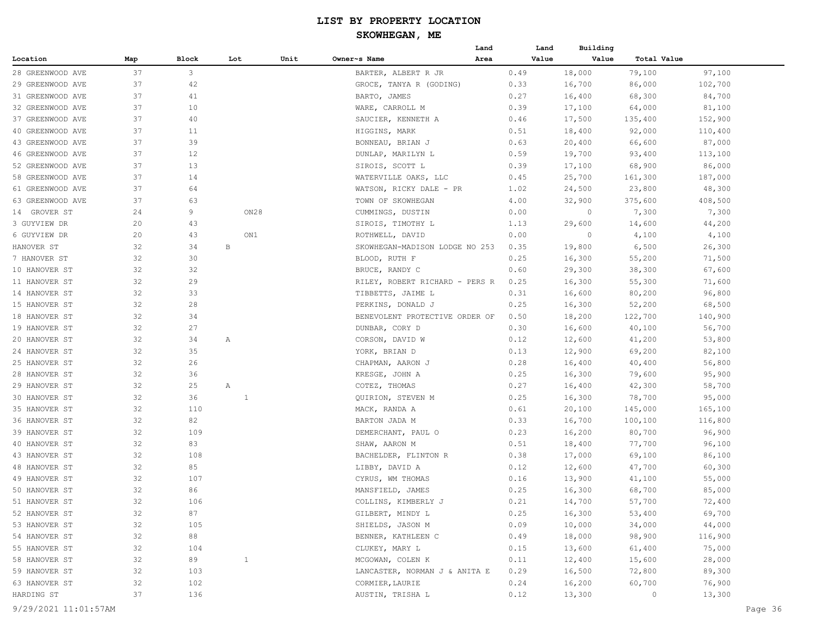|                  |     |           |              |      |                                                   | Land | Land         | Building |                  |         |
|------------------|-----|-----------|--------------|------|---------------------------------------------------|------|--------------|----------|------------------|---------|
| Location         | Map | Block     | Lot          | Unit | Owner~s Name                                      | Area | Value        | Value    | Total Value      |         |
| 28 GREENWOOD AVE | 37  | 3         |              |      | BARTER, ALBERT R JR                               |      | 0.49         | 18,000   | 79,100           | 97,100  |
| 29 GREENWOOD AVE | 37  | 42        |              |      | GROCE, TANYA R (GODING)                           |      | 0.33         | 16,700   | 86,000           | 102,700 |
| 31 GREENWOOD AVE | 37  | 41        |              |      | BARTO, JAMES                                      |      | 0.27         | 16,400   | 68,300           | 84,700  |
| 32 GREENWOOD AVE | 37  | 10        |              |      | WARE, CARROLL M                                   |      | 0.39         | 17,100   | 64,000           | 81,100  |
| 37 GREENWOOD AVE | 37  | 40        |              |      | SAUCIER, KENNETH A                                |      | 0.46         | 17,500   | 135,400          | 152,900 |
| 40 GREENWOOD AVE | 37  | 11        |              |      | HIGGINS, MARK                                     |      | 0.51         | 18,400   | 92,000           | 110,400 |
| 43 GREENWOOD AVE | 37  | 39        |              |      | BONNEAU, BRIAN J                                  |      | 0.63         | 20,400   | 66,600           | 87,000  |
| 46 GREENWOOD AVE | 37  | 12        |              |      | DUNLAP, MARILYN L                                 |      | 0.59         | 19,700   | 93,400           | 113,100 |
| 52 GREENWOOD AVE | 37  | 13        |              |      | SIROIS, SCOTT L                                   |      | 0.39         | 17,100   | 68,900           | 86,000  |
| 58 GREENWOOD AVE | 37  | 14        |              |      | WATERVILLE OAKS, LLC                              |      | 0.45         | 25,700   | 161,300          | 187,000 |
| 61 GREENWOOD AVE | 37  | 64        |              |      | WATSON, RICKY DALE - PR                           |      | 1.02         | 24,500   | 23,800           | 48,300  |
| 63 GREENWOOD AVE | 37  | 63        |              |      | TOWN OF SKOWHEGAN                                 |      | 4.00         | 32,900   | 375,600          | 408,500 |
| 14 GROVER ST     | 24  | 9         | ON28         |      | CUMMINGS, DUSTIN                                  |      | 0.00         | $\circ$  | 7,300            | 7,300   |
| 3 GUYVIEW DR     | 20  | 43        |              |      | SIROIS, TIMOTHY L                                 |      | 1.13         | 29,600   | 14,600           | 44,200  |
| 6 GUYVIEW DR     | 20  | 43        | ON1          |      | ROTHWELL, DAVID                                   |      | 0.00         | 0        | 4,100            | 4,100   |
| HANOVER ST       | 32  | 34        | $\, {\bf B}$ |      | SKOWHEGAN-MADISON LODGE NO 253                    |      | 0.35         | 19,800   | 6,500            | 26,300  |
| 7 HANOVER ST     | 32  | 30        |              |      | BLOOD, RUTH F                                     |      | 0.25         | 16,300   | 55,200           | 71,500  |
| 10 HANOVER ST    | 32  | 32        |              |      | BRUCE, RANDY C                                    |      | 0.60         | 29,300   | 38,300           | 67,600  |
| 11 HANOVER ST    | 32  | 29        |              |      | RILEY, ROBERT RICHARD - PERS R                    |      | 0.25         | 16,300   | 55,300           | 71,600  |
| 14 HANOVER ST    | 32  | 33        |              |      | TIBBETTS, JAIME L                                 |      | 0.31         | 16,600   | 80,200           | 96,800  |
| 15 HANOVER ST    | 32  | 28        |              |      | PERKINS, DONALD J                                 |      | 0.25         | 16,300   | 52,200           | 68,500  |
| 18 HANOVER ST    | 32  | 34        |              |      | BENEVOLENT PROTECTIVE ORDER OF                    |      | 0.50         | 18,200   | 122,700          | 140,900 |
| 19 HANOVER ST    | 32  | 27        |              |      | DUNBAR, CORY D                                    |      | 0.30         | 16,600   | 40,100           | 56,700  |
| 20 HANOVER ST    | 32  | 34        | Α            |      | CORSON, DAVID W                                   |      | 0.12         | 12,600   | 41,200           | 53,800  |
| 24 HANOVER ST    | 32  | 35        |              |      | YORK, BRIAN D                                     |      | 0.13         | 12,900   | 69,200           | 82,100  |
| 25 HANOVER ST    | 32  | 26        |              |      | CHAPMAN, AARON J                                  |      | 0.28         | 16,400   | 40,400           | 56,800  |
| 28 HANOVER ST    | 32  | 36        |              |      | KRESGE, JOHN A                                    |      | 0.25         | 16,300   | 79,600           | 95,900  |
| 29 HANOVER ST    | 32  | 25        | Α            |      | COTEZ, THOMAS                                     |      | 0.27         | 16,400   | 42,300           | 58,700  |
| 30 HANOVER ST    | 32  | 36        | $\mathbf{1}$ |      | QUIRION, STEVEN M                                 |      | 0.25         | 16,300   | 78,700           | 95,000  |
| 35 HANOVER ST    | 32  | 110       |              |      | MACK, RANDA A                                     |      | 0.61         | 20,100   | 145,000          | 165,100 |
| 36 HANOVER ST    | 32  | 82        |              |      | BARTON JADA M                                     |      | 0.33         | 16,700   | 100,100          | 116,800 |
| 39 HANOVER ST    | 32  | 109       |              |      | DEMERCHANT, PAUL O                                |      | 0.23         | 16,200   | 80,700           | 96,900  |
| 40 HANOVER ST    | 32  | 83        |              |      | SHAW, AARON M                                     |      | 0.51         | 18,400   | 77,700           | 96,100  |
| 43 HANOVER ST    | 32  | 108       |              |      | BACHELDER, FLINTON R                              |      | 0.38         | 17,000   | 69,100           | 86,100  |
| 48 HANOVER ST    | 32  | 85        |              |      | LIBBY, DAVID A                                    |      | 0.12         | 12,600   | 47,700           | 60,300  |
| 49 HANOVER ST    | 32  | 107       |              |      | CYRUS, WM THOMAS                                  |      | 0.16         | 13,900   | 41,100           | 55,000  |
| 50 HANOVER ST    | 32  | 86        |              |      | MANSFIELD, JAMES                                  |      | 0.25         | 16,300   | 68,700           | 85,000  |
| 51 HANOVER ST    | 32  | 106       |              |      | COLLINS, KIMBERLY J                               |      | 0.21         | 14,700   | 57,700           | 72,400  |
| 52 HANOVER ST    | 32  | 87        |              |      | GILBERT, MINDY L                                  |      | 0.25         | 16,300   | 53,400           | 69,700  |
| 53 HANOVER ST    | 32  | 105       |              |      | SHIELDS, JASON M                                  |      | 0.09         | 10,000   | 34,000           | 44,000  |
| 54 HANOVER ST    | 32  | 88        |              |      | BENNER, KATHLEEN C                                |      | 0.49         | 18,000   | 98,900           | 116,900 |
| 55 HANOVER ST    | 32  | 104       |              |      | CLUKEY, MARY L                                    |      | 0.15         | 13,600   |                  | 75,000  |
| 58 HANOVER ST    | 32  |           |              |      |                                                   |      |              | 12,400   | 61,400           | 28,000  |
| 59 HANOVER ST    | 32  | 89<br>103 | $\mathbf{1}$ |      | MCGOWAN, COLEN K<br>LANCASTER, NORMAN J & ANITA E |      | 0.11<br>0.29 | 16,500   | 15,600<br>72,800 | 89,300  |
|                  |     |           |              |      |                                                   |      |              |          |                  | 76,900  |
| 63 HANOVER ST    | 32  | 102       |              |      | CORMIER, LAURIE                                   |      | 0.24         | 16,200   | 60,700           |         |
| HARDING ST       | 37  | 136       |              |      | AUSTIN, TRISHA L                                  |      | 0.12         | 13,300   | $\circ$          | 13,300  |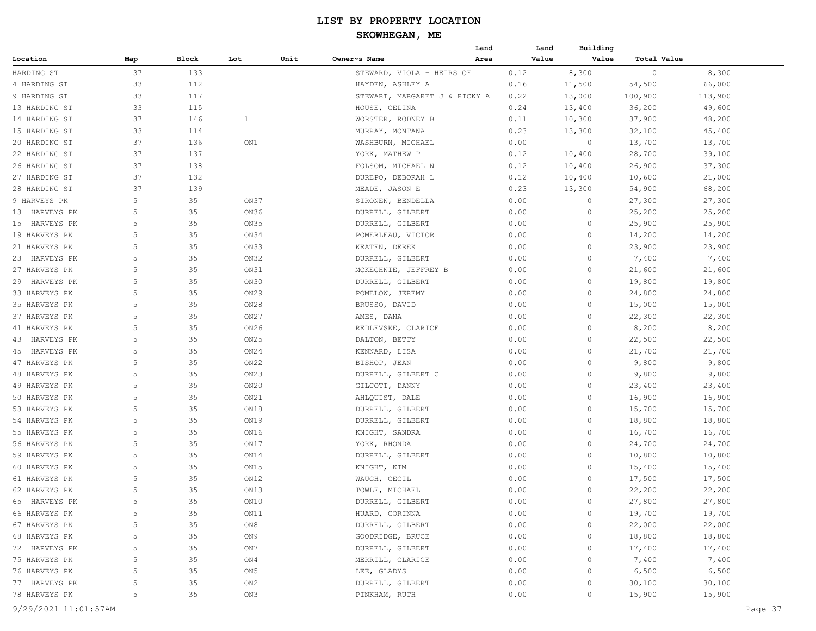|               |     |       |                  |      |                               | Land | Land  | Building |             |         |
|---------------|-----|-------|------------------|------|-------------------------------|------|-------|----------|-------------|---------|
| Location      | Map | Block | Lot              | Unit | Owner~s Name                  | Area | Value | Value    | Total Value |         |
| HARDING ST    | 37  | 133   |                  |      | STEWARD, VIOLA - HEIRS OF     |      | 0.12  | 8,300    | $\circ$     | 8,300   |
| 4 HARDING ST  | 33  | 112   |                  |      | HAYDEN, ASHLEY A              |      | 0.16  | 11,500   | 54,500      | 66,000  |
| 9 HARDING ST  | 33  | 117   |                  |      | STEWART, MARGARET J & RICKY A |      | 0.22  | 13,000   | 100,900     | 113,900 |
| 13 HARDING ST | 33  | 115   |                  |      | HOUSE, CELINA                 |      | 0.24  | 13,400   | 36,200      | 49,600  |
| 14 HARDING ST | 37  | 146   | $\mathbf{1}$     |      | WORSTER, RODNEY B             |      | 0.11  | 10,300   | 37,900      | 48,200  |
| 15 HARDING ST | 33  | 114   |                  |      | MURRAY, MONTANA               |      | 0.23  | 13,300   | 32,100      | 45,400  |
| 20 HARDING ST | 37  | 136   | ON1              |      | WASHBURN, MICHAEL             |      | 0.00  | 0        | 13,700      | 13,700  |
| 22 HARDING ST | 37  | 137   |                  |      | YORK, MATHEW P                |      | 0.12  | 10,400   | 28,700      | 39,100  |
| 26 HARDING ST | 37  | 138   |                  |      | FOLSOM, MICHAEL N             |      | 0.12  | 10,400   | 26,900      | 37,300  |
| 27 HARDING ST | 37  | 132   |                  |      | DUREPO, DEBORAH L             |      | 0.12  | 10,400   | 10,600      | 21,000  |
| 28 HARDING ST | 37  | 139   |                  |      | MEADE, JASON E                |      | 0.23  | 13,300   | 54,900      | 68,200  |
| 9 HARVEYS PK  | 5   | 35    | ON37             |      | SIRONEN, BENDELLA             |      | 0.00  | $\circ$  | 27,300      | 27,300  |
| 13 HARVEYS PK | 5   | 35    | ON36             |      | DURRELL, GILBERT              |      | 0.00  | $\circ$  | 25,200      | 25,200  |
| 15 HARVEYS PK | 5   | 35    | ON35             |      | DURRELL, GILBERT              |      | 0.00  | $\circ$  | 25,900      | 25,900  |
| 19 HARVEYS PK | 5   | 35    | ON34             |      | POMERLEAU, VICTOR             |      | 0.00  | 0        | 14,200      | 14,200  |
| 21 HARVEYS PK | 5   | 35    | ON33             |      | KEATEN, DEREK                 |      | 0.00  | 0        | 23,900      | 23,900  |
| 23 HARVEYS PK | 5   | 35    | ON32             |      | DURRELL, GILBERT              |      | 0.00  | 0        | 7,400       | 7,400   |
| 27 HARVEYS PK | 5   | 35    |                  |      |                               |      |       | 0        |             |         |
|               | 5   | 35    | ON31<br>ON30     |      | MCKECHNIE, JEFFREY B          |      | 0.00  | 0        | 21,600      | 21,600  |
| 29 HARVEYS PK | 5   |       |                  |      | DURRELL, GILBERT              |      | 0.00  | 0        | 19,800      | 19,800  |
| 33 HARVEYS PK |     | 35    | ON <sub>29</sub> |      | POMELOW, JEREMY               |      | 0.00  |          | 24,800      | 24,800  |
| 35 HARVEYS PK | 5   | 35    | ON28             |      | BRUSSO, DAVID                 |      | 0.00  | $\circ$  | 15,000      | 15,000  |
| 37 HARVEYS PK | 5   | 35    | ON <sub>27</sub> |      | AMES, DANA                    |      | 0.00  | 0        | 22,300      | 22,300  |
| 41 HARVEYS PK | 5   | 35    | ON26             |      | REDLEVSKE, CLARICE            |      | 0.00  | $\circ$  | 8,200       | 8,200   |
| 43 HARVEYS PK | 5   | 35    | ON <sub>25</sub> |      | DALTON, BETTY                 |      | 0.00  | 0        | 22,500      | 22,500  |
| 45 HARVEYS PK | 5   | 35    | ON24             |      | KENNARD, LISA                 |      | 0.00  | 0        | 21,700      | 21,700  |
| 47 HARVEYS PK | 5   | 35    | ON <sub>22</sub> |      | BISHOP, JEAN                  |      | 0.00  | 0        | 9,800       | 9,800   |
| 48 HARVEYS PK | 5   | 35    | ON23             |      | DURRELL, GILBERT C            |      | 0.00  | 0        | 9,800       | 9,800   |
| 49 HARVEYS PK | 5   | 35    | ON20             |      | GILCOTT, DANNY                |      | 0.00  | 0        | 23,400      | 23,400  |
| 50 HARVEYS PK | 5   | 35    | ON21             |      | AHLQUIST, DALE                |      | 0.00  | $\circ$  | 16,900      | 16,900  |
| 53 HARVEYS PK | 5   | 35    | ON18             |      | DURRELL, GILBERT              |      | 0.00  | $\circ$  | 15,700      | 15,700  |
| 54 HARVEYS PK | 5   | 35    | ON19             |      | DURRELL, GILBERT              |      | 0.00  | $\circ$  | 18,800      | 18,800  |
| 55 HARVEYS PK | 5   | 35    | ON16             |      | KNIGHT, SANDRA                |      | 0.00  | 0        | 16,700      | 16,700  |
| 56 HARVEYS PK | 5   | 35    | ON17             |      | YORK, RHONDA                  |      | 0.00  | 0        | 24,700      | 24,700  |
| 59 HARVEYS PK | 5   | 35    | ON14             |      | DURRELL, GILBERT              |      | 0.00  | 0        | 10,800      | 10,800  |
| 60 HARVEYS PK | 5   | 35    | ON15             |      | KNIGHT, KIM                   |      | 0.00  | 0        | 15,400      | 15,400  |
| 61 HARVEYS PK | 5   | 35    | ON12             |      | WAUGH, CECIL                  |      | 0.00  | 0        | 17,500      | 17,500  |
| 62 HARVEYS PK | 5   | 35    | ON13             |      | TOWLE, MICHAEL                |      | 0.00  | $\circ$  | 22,200      | 22,200  |
| 65 HARVEYS PK | 5   | 35    | $ON10$           |      | DURRELL, GILBERT              |      | 0.00  | 0        | 27,800      | 27,800  |
| 66 HARVEYS PK | 5   | 35    | ON11             |      | HUARD, CORINNA                |      | 0.00  | $\circ$  | 19,700      | 19,700  |
| 67 HARVEYS PK | 5   | 35    | ON8              |      | DURRELL, GILBERT              |      | 0.00  | 0        | 22,000      | 22,000  |
| 68 HARVEYS PK | 5   | 35    | ON9              |      | GOODRIDGE, BRUCE              |      | 0.00  | 0        | 18,800      | 18,800  |
| 72 HARVEYS PK | 5   | 35    | ON 7             |      | DURRELL, GILBERT              |      | 0.00  | $\Omega$ | 17,400      | 17,400  |
| 75 HARVEYS PK | 5   | 35    | ON4              |      | MERRILL, CLARICE              |      | 0.00  | 0        | 7,400       | 7,400   |
| 76 HARVEYS PK | 5   | 35    | ON 5             |      | LEE, GLADYS                   |      | 0.00  | $\Omega$ | 6,500       | 6,500   |
| 77 HARVEYS PK | 5   | 35    | ON <sub>2</sub>  |      | DURRELL, GILBERT              |      | 0.00  | 0        | 30,100      | 30,100  |
| 78 HARVEYS PK | 5   | 35    | ON3              |      | PINKHAM, RUTH                 |      | 0.00  | $\circ$  | 15,900      | 15,900  |
|               |     |       |                  |      |                               |      |       |          |             |         |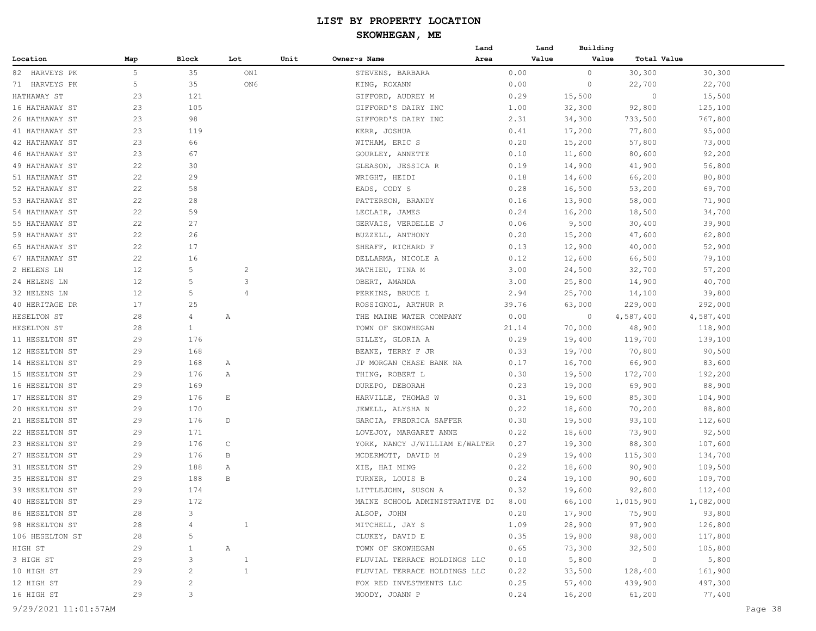#### **SKOWHEGAN, ME**

|                       |     |                |                |      |                                                       | Land  | Land  | Building         |                   |           |
|-----------------------|-----|----------------|----------------|------|-------------------------------------------------------|-------|-------|------------------|-------------------|-----------|
| Location              | Map | Block          | Lot            | Unit | Owner~s Name                                          | Area  | Value | Value            | Total Value       |           |
| 82 HARVEYS PK         | 5   | 35             | ON1            |      | STEVENS, BARBARA                                      | 0.00  |       | $\circ$          | 30,300            | 30,300    |
| 71 HARVEYS PK         | 5   | 35             | ON6            |      | KING, ROXANN                                          | 0.00  |       | 0                | 22,700            | 22,700    |
| HATHAWAY ST           | 23  | 121            |                |      | GIFFORD, AUDREY M                                     | 0.29  |       | 15,500           | $\circ$           | 15,500    |
| 16 HATHAWAY ST        | 23  | 105            |                |      | GIFFORD'S DAIRY INC                                   | 1.00  |       | 32,300           | 92,800            | 125,100   |
| 26 HATHAWAY ST        | 23  | 98             |                |      | GIFFORD'S DAIRY INC                                   | 2.31  |       | 34,300           | 733,500           | 767,800   |
| 41 HATHAWAY ST        | 23  | 119            |                |      | KERR, JOSHUA                                          | 0.41  |       | 17,200           | 77,800            | 95,000    |
| 42 HATHAWAY ST        | 23  | 66             |                |      | WITHAM, ERIC S                                        | 0.20  |       | 15,200           | 57,800            | 73,000    |
| <b>46 HATHAWAY ST</b> | 23  | 67             |                |      | GOURLEY, ANNETTE                                      | 0.10  |       | 11,600           | 80,600            | 92,200    |
| 49 HATHAWAY ST        | 22  | 30             |                |      | GLEASON, JESSICA R                                    | 0.19  |       | 14,900           | 41,900            | 56,800    |
| 51 HATHAWAY ST        | 22  | 29             |                |      | WRIGHT, HEIDI                                         | 0.18  |       | 14,600           | 66,200            | 80,800    |
| 52 HATHAWAY ST        | 22  | 58             |                |      | EADS, CODY S                                          | 0.28  |       | 16,500           | 53,200            | 69,700    |
| 53 HATHAWAY ST        | 22  | 28             |                |      | PATTERSON, BRANDY                                     | 0.16  |       | 13,900           | 58,000            | 71,900    |
| 54 HATHAWAY ST        | 22  | 59             |                |      | LECLAIR, JAMES                                        | 0.24  |       | 16,200           | 18,500            | 34,700    |
| 55 HATHAWAY ST        | 22  | 27             |                |      | GERVAIS, VERDELLE J                                   | 0.06  |       | 9,500            | 30,400            | 39,900    |
| 59 HATHAWAY ST        | 22  | 26             |                |      | BUZZELL, ANTHONY                                      | 0.20  |       | 15,200           | 47,600            | 62,800    |
| 65 HATHAWAY ST        | 22  | 17             |                |      | SHEAFF, RICHARD F                                     | 0.13  |       | 12,900           | 40,000            | 52,900    |
| 67 HATHAWAY ST        | 22  | 16             |                |      | DELLARMA, NICOLE A                                    | 0.12  |       | 12,600           | 66,500            | 79,100    |
| 2 HELENS LN           | 12  | 5              | $\overline{c}$ |      | MATHIEU, TINA M                                       | 3.00  |       | 24,500           | 32,700            | 57,200    |
| 24 HELENS LN          | 12  | 5              | 3              |      | OBERT, AMANDA                                         | 3.00  |       | 25,800           | 14,900            | 40,700    |
| 32 HELENS LN          | 12  | 5              | $\overline{4}$ |      | PERKINS, BRUCE L                                      | 2.94  |       | 25,700           | 14,100            | 39,800    |
| 40 HERITAGE DR        | 17  | 25             |                |      | ROSSIGNOL, ARTHUR R                                   | 39.76 |       | 63,000           | 229,000           | 292,000   |
| HESELTON ST           | 28  | 4              | Α              |      | THE MAINE WATER COMPANY                               | 0.00  |       | $\circ$          | 4,587,400         | 4,587,400 |
| HESELTON ST           | 28  | $\mathbf{1}$   |                |      | TOWN OF SKOWHEGAN                                     | 21.14 |       | 70,000           | 48,900            | 118,900   |
| 11 HESELTON ST        | 29  | 176            |                |      | GILLEY, GLORIA A                                      | 0.29  |       | 19,400           | 119,700           | 139,100   |
| 12 HESELTON ST        | 29  | 168            |                |      | BEANE, TERRY F JR                                     | 0.33  |       | 19,700           | 70,800            | 90,500    |
| 14 HESELTON ST        | 29  | 168            | Α              |      | JP MORGAN CHASE BANK NA                               | 0.17  |       | 16,700           | 66,900            | 83,600    |
| 15 HESELTON ST        | 29  | 176            | Α              |      | THING, ROBERT L                                       | 0.30  |       | 19,500           | 172,700           | 192,200   |
| 16 HESELTON ST        | 29  | 169            |                |      | DUREPO, DEBORAH                                       | 0.23  |       | 19,000           | 69,900            | 88,900    |
| 17 HESELTON ST        | 29  | 176            | E              |      | HARVILLE, THOMAS W                                    | 0.31  |       | 19,600           | 85,300            | 104,900   |
| 20 HESELTON ST        | 29  | 170            |                |      | JEWELL, ALYSHA N                                      | 0.22  |       | 18,600           | 70,200            | 88,800    |
| 21 HESELTON ST        | 29  | 176            | D              |      | GARCIA, FREDRICA SAFFER                               | 0.30  |       | 19,500           | 93,100            | 112,600   |
| 22 HESELTON ST        | 29  | 171            |                |      | LOVEJOY, MARGARET ANNE                                | 0.22  |       |                  |                   | 92,500    |
| 23 HESELTON ST        | 29  | 176            | C              |      | YORK, NANCY J/WILLIAM E/WALTER                        | 0.27  |       | 18,600<br>19,300 | 73,900<br>88,300  | 107,600   |
| 27 HESELTON ST        | 29  | 176            | В              |      | MCDERMOTT, DAVID M                                    | 0.29  |       |                  |                   |           |
| 31 HESELTON ST        | 29  | 188            | Α              |      |                                                       | 0.22  |       | 19,400<br>18,600 | 115,300<br>90,900 | 134,700   |
| 35 HESELTON ST        | 29  | 188            | B              |      | XIE, HAI MING                                         | 0.24  |       |                  |                   | 109,500   |
| 39 HESELTON ST        | 29  | 174            |                |      | TURNER, LOUIS B                                       | 0.32  |       | 19,100           | 90,600            | 109,700   |
|                       |     |                |                |      | LITTLEJOHN, SUSON A<br>MAINE SCHOOL ADMINISTRATIVE DI |       |       | 19,600           | 92,800            | 112,400   |
| 40 HESELTON ST        | 29  | 172            |                |      |                                                       | 8.00  |       | 66,100           | 1,015,900         | 1,082,000 |
| 86 HESELTON ST        | 28  | 3              |                |      | ALSOP, JOHN                                           | 0.20  |       | 17,900           | 75,900            | 93,800    |
| 98 HESELTON ST        | 28  |                | $\overline{1}$ |      | MITCHELL, JAY S                                       | 1.09  |       | 28,900           | 97,900            | 126,800   |
| 106 HESELTON ST       | 28  | 5              |                |      | CLUKEY, DAVID E                                       | 0.35  |       | 19,800           | 98,000            | 117,800   |
| HIGH ST               | 29  | 1              | A              |      | TOWN OF SKOWHEGAN                                     | 0.65  |       | 73,300           | 32,500            | 105,800   |
| 3 HIGH ST             | 29  | 3              | $\mathbf{1}$   |      | FLUVIAL TERRACE HOLDINGS LLC                          | 0.10  |       | 5,800            | $\sim$ 0          | 5,800     |
| 10 HIGH ST            | 29  | $\overline{c}$ | $\mathbf{1}$   |      | FLUVIAL TERRACE HOLDINGS LLC                          | 0.22  |       | 33,500           | 128,400           | 161,900   |
| 12 HIGH ST            | 29  | 2              |                |      | FOX RED INVESTMENTS LLC                               | 0.25  |       | 57,400           | 439,900           | 497,300   |
| 16 HIGH ST            | 29  | 3              |                |      | MOODY, JOANN P                                        | 0.24  |       | 16,200           | 61,200            | 77,400    |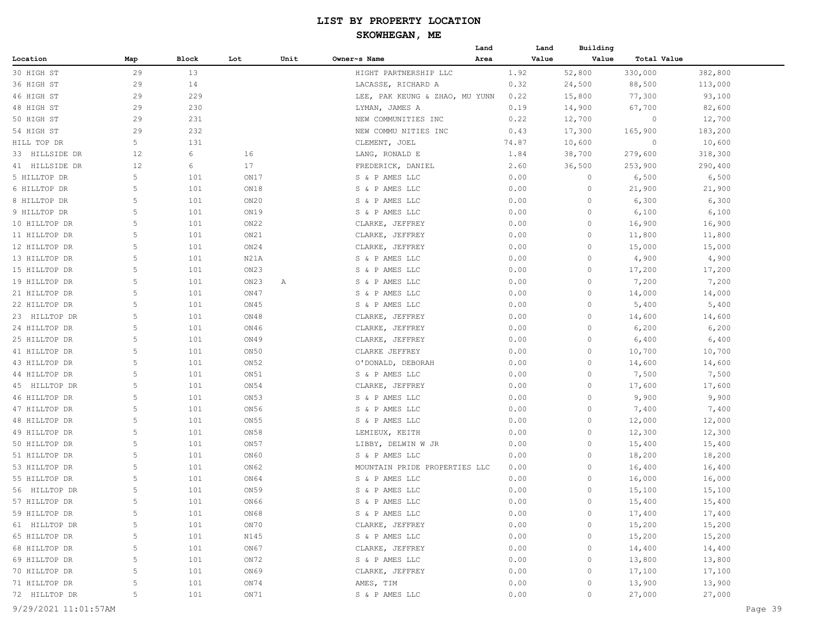#### **SKOWHEGAN, ME**

|                |     |       |      |      |                                | Land |       | Land  | Building |             |         |
|----------------|-----|-------|------|------|--------------------------------|------|-------|-------|----------|-------------|---------|
| Location       | Map | Block | Lot  | Unit | Owner~s Name                   | Area |       | Value | Value    | Total Value |         |
| 30 HIGH ST     | 29  | 13    |      |      | HIGHT PARTNERSHIP LLC          |      | 1.92  |       | 52,800   | 330,000     | 382,800 |
| 36 HIGH ST     | 29  | 14    |      |      | LACASSE, RICHARD A             |      | 0.32  |       | 24,500   | 88,500      | 113,000 |
| 46 HIGH ST     | 29  | 229   |      |      | LEE, PAK KEUNG & ZHAO, MU YUNN |      | 0.22  |       | 15,800   | 77,300      | 93,100  |
| 48 HIGH ST     | 29  | 230   |      |      | LYMAN, JAMES A                 |      | 0.19  |       | 14,900   | 67,700      | 82,600  |
| 50 HIGH ST     | 29  | 231   |      |      | NEW COMMUNITIES INC            |      | 0.22  |       | 12,700   | $\circ$     | 12,700  |
| 54 HIGH ST     | 29  | 232   |      |      | NEW COMMU NITIES INC           |      | 0.43  |       | 17,300   | 165,900     | 183,200 |
| HILL TOP DR    | 5   | 131   |      |      | CLEMENT, JOEL                  |      | 74.87 |       | 10,600   | 0           | 10,600  |
| 33 HILLSIDE DR | 12  | 6     | 16   |      | LANG, RONALD E                 |      | 1.84  |       | 38,700   | 279,600     | 318,300 |
| 41 HILLSIDE DR | 12  | 6     | 17   |      | FREDERICK, DANIEL              |      | 2.60  |       | 36,500   | 253,900     | 290,400 |
| 5 HILLTOP DR   | 5   | 101   | ON17 |      | S & P AMES LLC                 |      | 0.00  |       | 0        | 6,500       | 6,500   |
| 6 HILLTOP DR   | 5   | 101   | ON18 |      | S & P AMES LLC                 |      | 0.00  |       | 0        | 21,900      | 21,900  |
| 8 HILLTOP DR   | 5   | 101   | ON20 |      | S & P AMES LLC                 |      | 0.00  |       | 0        | 6,300       | 6,300   |
| 9 HILLTOP DR   | 5   | 101   | ON19 |      | S & P AMES LLC                 |      | 0.00  |       | 0        | 6,100       | 6,100   |
| 10 HILLTOP DR  | 5   | 101   | ON22 |      | CLARKE, JEFFREY                |      | 0.00  |       | $\circ$  | 16,900      | 16,900  |
| 11 HILLTOP DR  | 5   | 101   | ON21 |      | CLARKE, JEFFREY                |      | 0.00  |       | 0        | 11,800      | 11,800  |
| 12 HILLTOP DR  | 5   | 101   | ON24 |      | CLARKE, JEFFREY                |      | 0.00  |       | 0        | 15,000      | 15,000  |
| 13 HILLTOP DR  | 5   | 101   | N21A |      | S & P AMES LLC                 |      | 0.00  |       | 0        | 4,900       | 4,900   |
| 15 HILLTOP DR  | 5   | 101   | ON23 |      | S & P AMES LLC                 |      | 0.00  |       | 0        | 17,200      | 17,200  |
| 19 HILLTOP DR  | 5   | 101   | ON23 | Α    | S & P AMES LLC                 |      | 0.00  |       | $\circ$  | 7,200       | 7,200   |
| 21 HILLTOP DR  | 5   | 101   | ON47 |      | S & P AMES LLC                 |      | 0.00  |       | $\circ$  | 14,000      | 14,000  |
| 22 HILLTOP DR  | 5   | 101   | ON45 |      | S & P AMES LLC                 |      | 0.00  |       | 0        | 5,400       | 5,400   |
| 23 HILLTOP DR  | 5   | 101   | ON48 |      | CLARKE, JEFFREY                |      | 0.00  |       | $\circ$  | 14,600      | 14,600  |
| 24 HILLTOP DR  | 5   | 101   | ON46 |      | CLARKE, JEFFREY                |      | 0.00  |       | 0        | 6,200       | 6,200   |
| 25 HILLTOP DR  | 5   | 101   | ON49 |      | CLARKE, JEFFREY                |      | 0.00  |       | 0        | 6,400       | 6,400   |
| 41 HILLTOP DR  | 5   | 101   | ON50 |      | CLARKE JEFFREY                 |      | 0.00  |       | 0        | 10,700      | 10,700  |
| 43 HILLTOP DR  | 5   | 101   | ON52 |      | O'DONALD, DEBORAH              |      | 0.00  |       | 0        | 14,600      | 14,600  |
| 44 HILLTOP DR  | 5   | 101   | ON51 |      | S & P AMES LLC                 |      | 0.00  |       | $\circ$  | 7,500       | 7,500   |
| 45 HILLTOP DR  | 5   | 101   | ON54 |      | CLARKE, JEFFREY                |      | 0.00  |       | $\circ$  | 17,600      | 17,600  |
| 46 HILLTOP DR  | 5   | 101   | ON53 |      | S & P AMES LLC                 |      | 0.00  |       | 0        | 9,900       | 9,900   |
| 47 HILLTOP DR  | 5   | 101   | ON56 |      | S & P AMES LLC                 |      | 0.00  |       | 0        | 7,400       | 7,400   |
| 48 HILLTOP DR  | 5   | 101   | ON55 |      | S & P AMES LLC                 |      | 0.00  |       | 0        | 12,000      | 12,000  |
| 49 HILLTOP DR  | 5   | 101   | ON58 |      | LEMIEUX, KEITH                 |      | 0.00  |       | 0        | 12,300      | 12,300  |
| 50 HILLTOP DR  | 5   | 101   | ON57 |      | LIBBY, DELWIN W JR             |      | 0.00  |       | 0        | 15,400      | 15,400  |
| 51 HILLTOP DR  | 5   | 101   | ON60 |      | S & P AMES LLC                 |      | 0.00  |       | 0        | 18,200      | 18,200  |
| 53 HILLTOP DR  | 5   | 101   | ON62 |      | MOUNTAIN PRIDE PROPERTIES LLC  |      | 0.00  |       | $\circ$  | 16,400      | 16,400  |
| 55 HILLTOP DR  | 5   | 101   | ON64 |      | S & P AMES LLC                 |      | 0.00  |       | 0        | 16,000      | 16,000  |
| 56 HILLTOP DR  | 5   | 101   | ON59 |      | S & P AMES LLC                 |      | 0.00  |       | 0        | 15,100      | 15,100  |
| 57 HILLTOP DR  | 5   | 101   | ON66 |      | S & P AMES LLC                 |      | 0.00  |       | 0        | 15,400      | 15,400  |
| 59 HILLTOP DR  | 5   | 101   | ON68 |      | S & P AMES LLC                 |      | 0.00  |       | $\circ$  | 17,400      | 17,400  |
| 61 HILLTOP DR  | 5   | 101   | ON70 |      | CLARKE, JEFFREY                |      | 0.00  |       | $\circ$  | 15,200      | 15,200  |
| 65 HILLTOP DR  | 5   | 101   | N145 |      | S & P AMES LLC                 |      | 0.00  |       | 0        | 15,200      | 15,200  |
| 68 HILLTOP DR  | 5   | 101   | ON67 |      | CLARKE, JEFFREY                |      | 0.00  |       | $\circ$  | 14,400      | 14,400  |
| 69 HILLTOP DR  | 5   | 101   | ON72 |      | S & P AMES LLC                 |      | 0.00  |       | 0        | 13,800      | 13,800  |
| 70 HILLTOP DR  | 5   | 101   | ON69 |      | CLARKE, JEFFREY                |      | 0.00  |       | 0        | 17,100      | 17,100  |
| 71 HILLTOP DR  | 5   | 101   | ON74 |      | AMES, TIM                      |      | 0.00  |       | 0        | 13,900      | 13,900  |
| 72 HILLTOP DR  | 5   | 101   | ON71 |      | S & P AMES LLC                 |      | 0.00  |       | $\circ$  | 27,000      | 27,000  |
|                |     |       |      |      |                                |      |       |       |          |             |         |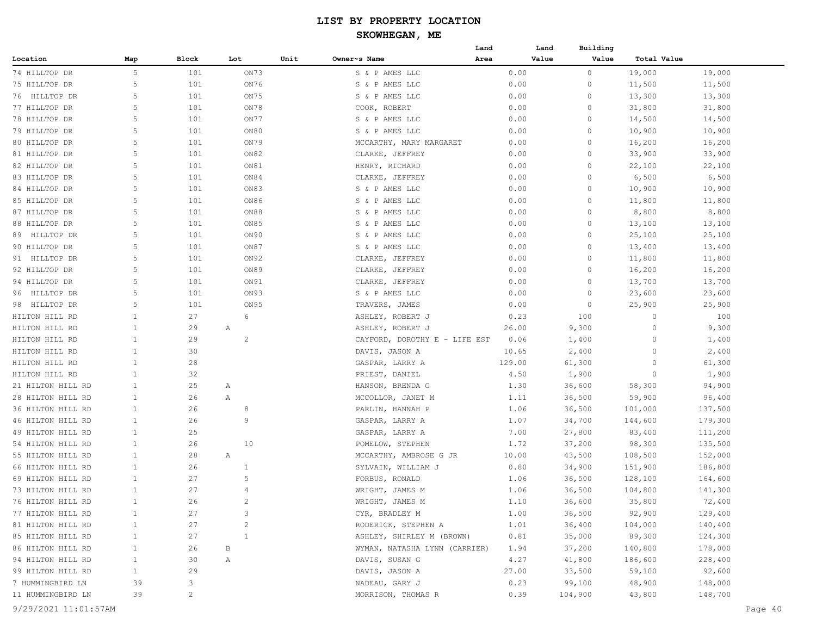|                      |              |                |                |                               | Land | Land   | Building |             |         |
|----------------------|--------------|----------------|----------------|-------------------------------|------|--------|----------|-------------|---------|
| Location             | Map          | Block          | Lot            | Unit<br>Owner~s Name          | Area | Value  | Value    | Total Value |         |
| 74 HILLTOP DR        | 5            | 101            | ON73           | S & P AMES LLC                |      | 0.00   | $\circ$  | 19,000      | 19,000  |
| 75 HILLTOP DR        | 5            | 101            | ON76           | S & P AMES LLC                |      | 0.00   | 0        | 11,500      | 11,500  |
| 76 HILLTOP DR        | 5            | 101            | ON75           | S & P AMES LLC                |      | 0.00   | $\circ$  | 13,300      | 13,300  |
| 77 HILLTOP DR        | 5            | 101            | ON78           | COOK, ROBERT                  |      | 0.00   | 0        | 31,800      | 31,800  |
| 78 HILLTOP DR        | 5            | 101            | ON77           | S & P AMES LLC                |      | 0.00   | $\circ$  | 14,500      | 14,500  |
| 79 HILLTOP DR        | 5            | 101            | ON80           | S & P AMES LLC                |      | 0.00   | $\circ$  | 10,900      | 10,900  |
| 80 HILLTOP DR        | 5            | 101            | ON79           | MCCARTHY, MARY MARGARET       |      | 0.00   | 0        | 16,200      | 16,200  |
| 81 HILLTOP DR        | 5            | 101            | ON82           | CLARKE, JEFFREY               |      | 0.00   | 0        | 33,900      | 33,900  |
| 82 HILLTOP DR        | 5            | 101            | ON81           | HENRY, RICHARD                |      | 0.00   | $\circ$  | 22,100      | 22,100  |
| 83 HILLTOP DR        | 5            | 101            | ON84           | CLARKE, JEFFREY               |      | 0.00   | 0        | 6,500       | 6,500   |
| 84 HILLTOP DR        | 5            | 101            | ON83           | S & P AMES LLC                |      | 0.00   | 0        | 10,900      | 10,900  |
| 85 HILLTOP DR        | 5            | 101            | ON86           | S & P AMES LLC                |      | 0.00   | 0        | 11,800      | 11,800  |
| 87 HILLTOP DR        | 5            | 101            | ON88           | P AMES LLC<br>Sδ              |      | 0.00   | $\circ$  | 8,800       | 8,800   |
| 88 HILLTOP DR        | 5            | 101            | ON85           | P AMES LLC<br>Sδ              |      | 0.00   | $\circ$  | 13,100      | 13,100  |
| 89 HILLTOP DR        | 5            | 101            | ON90           | P AMES LLC<br>Sδ              |      | 0.00   | $\circ$  | 25,100      | 25,100  |
| 90 HILLTOP DR        | 5            | 101            | ON87           | S & P AMES LLC                |      | 0.00   | $\circ$  | 13,400      | 13,400  |
| 91 HILLTOP DR        | 5            | 101            | ON92           | CLARKE, JEFFREY               |      | 0.00   | $\circ$  | 11,800      | 11,800  |
| 92 HILLTOP DR        | 5            | 101            | ON89           | CLARKE, JEFFREY               |      | 0.00   | $\circ$  | 16,200      | 16,200  |
| 94 HILLTOP DR        | 5            | 101            | ON91           |                               |      | 0.00   | $\circ$  | 13,700      | 13,700  |
|                      | 5            | 101            | ON93           | CLARKE, JEFFREY               |      |        |          |             |         |
| HILLTOP DR<br>96     | 5            |                |                | S & P AMES LLC                |      | 0.00   | $\circ$  | 23,600      | 23,600  |
| 98 HILLTOP DR        |              | 101            | ON 95<br>6     | TRAVERS, JAMES                |      | 0.00   | $\circ$  | 25,900      | 25,900  |
| HILTON HILL RD       | $\mathbf{1}$ | 27             |                | ASHLEY, ROBERT J              |      | 0.23   | 100      | $\circ$     | 100     |
| HILTON HILL RD       | $\mathbf{1}$ | 29             | Α              | ASHLEY, ROBERT J              |      | 26.00  | 9,300    | $\circ$     | 9,300   |
| HILTON HILL RD       | 1            | 29             | $\overline{c}$ | CAYFORD, DOROTHY E - LIFE EST |      | 0.06   | 1,400    | $\circ$     | 1,400   |
| HILTON HILL RD       | 1            | 30             |                | DAVIS, JASON A                |      | 10.65  | 2,400    | $\circ$     | 2,400   |
| HILTON HILL RD       | 1            | 28             |                | GASPAR, LARRY A               |      | 129.00 | 61,300   | $\circ$     | 61,300  |
| HILTON HILL RD       | 1            | 32             |                | PRIEST, DANIEL                |      | 4.50   | 1,900    | $\circ$     | 1,900   |
| 21 HILTON HILL RD    | 1            | 25             | Α              | HANSON, BRENDA G              |      | 1.30   | 36,600   | 58,300      | 94,900  |
| 28 HILTON HILL RD    | 1            | 26             | Α              | MCCOLLOR, JANET M             |      | 1.11   | 36,500   | 59,900      | 96,400  |
| 36 HILTON HILL RD    | 1            | 26             | 8              | PARLIN, HANNAH P              |      | 1.06   | 36,500   | 101,000     | 137,500 |
| 46 HILTON HILL RD    | 1            | 26             | 9              | GASPAR, LARRY A               |      | 1.07   | 34,700   | 144,600     | 179,300 |
| 49 HILTON HILL RD    | $\mathbf{1}$ | 25             |                | GASPAR, LARRY A               |      | 7.00   | 27,800   | 83,400      | 111,200 |
| 54 HILTON HILL RD    | $\mathbf{1}$ | 26             | 10             | POMELOW, STEPHEN              |      | 1.72   | 37,200   | 98,300      | 135,500 |
| 55 HILTON HILL RD    | 1            | 28             | Α              | MCCARTHY, AMBROSE G JR        |      | 10.00  | 43,500   | 108,500     | 152,000 |
| 66 HILTON HILL RD    | $\mathbf{1}$ | 26             | $\mathbf{1}$   | SYLVAIN, WILLIAM J            |      | 0.80   | 34,900   | 151,900     | 186,800 |
| 69 HILTON HILL RD    | 1            | 27             | 5              | FORBUS, RONALD                |      | 1.06   | 36,500   | 128,100     | 164,600 |
| 73 HILTON HILL RD    | 1            | 27             | 4              | WRIGHT, JAMES M               |      | 1.06   | 36,500   | 104,800     | 141,300 |
| 76 HILTON HILL RD    | $\mathbf{1}$ | 26             | $\mathbf{2}$   | WRIGHT, JAMES M               |      | 1.10   | 36,600   | 35,800      | 72,400  |
| 77 HILTON HILL RD    | $\mathbf{1}$ | 27             | 3              | CYR, BRADLEY M                |      | 1.00   | 36,500   | 92,900      | 129,400 |
| 81 HILTON HILL RD    | 1            | 27             | $\sqrt{2}$     | RODERICK, STEPHEN A           |      | 1.01   | 36,400   | 104,000     | 140,400 |
| 85 HILTON HILL RD    | 1            | 27             | $\mathbf{1}$   | ASHLEY, SHIRLEY M (BROWN)     |      | 0.81   | 35,000   | 89,300      | 124,300 |
| 86 HILTON HILL RD    | 1            | 26             | В              | WYMAN, NATASHA LYNN (CARRIER) |      | 1.94   | 37,200   | 140,800     | 178,000 |
| 94 HILTON HILL RD    | 1            | 30             | Α              | DAVIS, SUSAN G                |      | 4.27   | 41,800   | 186,600     | 228,400 |
| 99 HILTON HILL RD    | $\mathbf{1}$ | 29             |                | DAVIS, JASON A                |      | 27.00  | 33,500   | 59,100      | 92,600  |
| 7 HUMMINGBIRD LN     | 39           | 3              |                | NADEAU, GARY J                |      | 0.23   | 99,100   | 48,900      | 148,000 |
| 11 HUMMINGBIRD LN    | 39           | $\overline{c}$ |                | MORRISON, THOMAS R            |      | 0.39   | 104,900  | 43,800      | 148,700 |
| 9/29/2021 11:01:57AM |              |                |                |                               |      |        |          |             | Page 40 |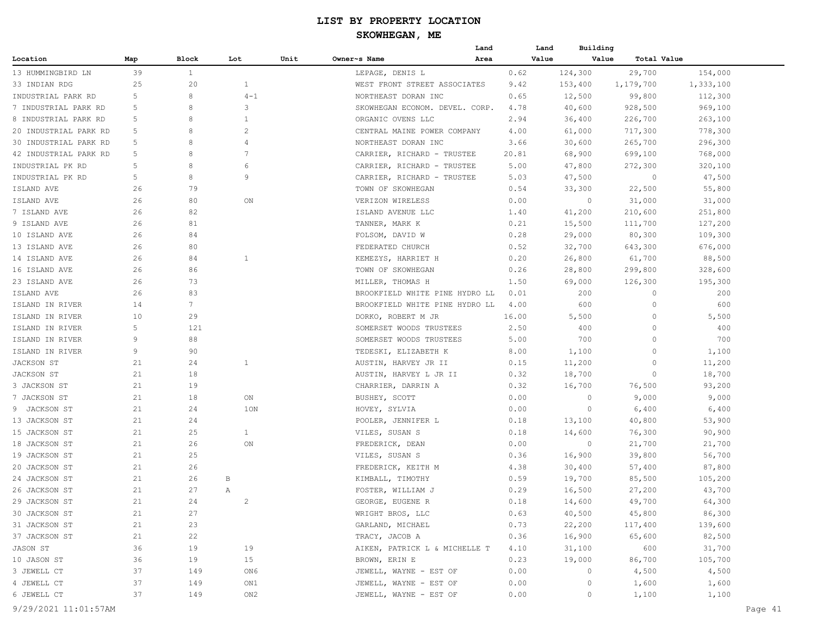|                       |     |                 |                |      |                                | Land |       | Building<br>Land |                      |           |         |
|-----------------------|-----|-----------------|----------------|------|--------------------------------|------|-------|------------------|----------------------|-----------|---------|
| Location              | Map | Block           | Lot            | Unit | Owner~s Name                   | Area |       | Value            | Value<br>Total Value |           |         |
| 13 HUMMINGBIRD LN     | 39  | $\mathbf{1}$    |                |      | LEPAGE, DENIS L                |      | 0.62  | 124,300          | 29,700               | 154,000   |         |
| 33 INDIAN RDG         | 25  | 20              | $\mathbf{1}$   |      | WEST FRONT STREET ASSOCIATES   |      | 9.42  | 153,400          | 1,179,700            | 1,333,100 |         |
| INDUSTRIAL PARK RD    | 5   | 8               | $4 - 1$        |      | NORTHEAST DORAN INC            |      | 0.65  | 12,500           | 99,800               | 112,300   |         |
| 7 INDUSTRIAL PARK RD  | 5   | 8               | 3              |      | SKOWHEGAN ECONOM. DEVEL. CORP. |      | 4.78  | 40,600           | 928,500              | 969,100   |         |
| 8 INDUSTRIAL PARK RD  | 5   | 8               | 1              |      | ORGANIC OVENS LLC              |      | 2.94  | 36,400           | 226,700              | 263,100   |         |
| 20 INDUSTRIAL PARK RD | 5   | 8               | 2              |      | CENTRAL MAINE POWER COMPANY    |      | 4.00  | 61,000           | 717,300              | 778,300   |         |
| 30 INDUSTRIAL PARK RD | 5   | 8               | $\overline{4}$ |      | NORTHEAST DORAN INC            |      | 3.66  | 30,600           | 265,700              | 296,300   |         |
| 42 INDUSTRIAL PARK RD | 5   | 8               | 7              |      | CARRIER, RICHARD - TRUSTEE     |      | 20.81 | 68,900           | 699,100              | 768,000   |         |
| INDUSTRIAL PK RD      | 5   | 8               | 6              |      | CARRIER, RICHARD - TRUSTEE     |      | 5.00  | 47,800           | 272,300              | 320,100   |         |
| INDUSTRIAL PK RD      | 5   | 8               | 9              |      | CARRIER, RICHARD - TRUSTEE     |      | 5.03  | 47,500           | $\circ$              | 47,500    |         |
| ISLAND AVE            | 26  | 79              |                |      | TOWN OF SKOWHEGAN              |      | 0.54  | 33,300           | 22,500               | 55,800    |         |
| ISLAND AVE            | 26  | 80              | ON             |      | VERIZON WIRELESS               |      | 0.00  | $\circ$          | 31,000               | 31,000    |         |
| 7 ISLAND AVE          | 26  | 82              |                |      | ISLAND AVENUE LLC              |      | 1.40  | 41,200           | 210,600              | 251,800   |         |
| 9 ISLAND AVE          | 26  | 81              |                |      | TANNER, MARK K                 |      | 0.21  | 15,500           | 111,700              | 127,200   |         |
| 10 ISLAND AVE         | 26  | 84              |                |      | FOLSOM, DAVID W                |      | 0.28  | 29,000           | 80,300               | 109,300   |         |
| 13 ISLAND AVE         | 26  | 80              |                |      | FEDERATED CHURCH               |      | 0.52  | 32,700           | 643,300              | 676,000   |         |
| 14 ISLAND AVE         | 26  | 84              | $\mathbf{1}$   |      | KEMEZYS, HARRIET H             |      | 0.20  | 26,800           | 61,700               | 88,500    |         |
| 16 ISLAND AVE         | 26  | 86              |                |      | TOWN OF SKOWHEGAN              |      | 0.26  | 28,800           | 299,800              | 328,600   |         |
| 23 ISLAND AVE         | 26  | 73              |                |      | MILLER, THOMAS H               |      | 1.50  | 69,000           | 126,300              | 195,300   |         |
| ISLAND AVE            | 26  | 83              |                |      | BROOKFIELD WHITE PINE HYDRO LL |      | 0.01  | 200              | 0                    | 200       |         |
| ISLAND IN RIVER       | 14  | $7\phantom{.0}$ |                |      | BROOKFIELD WHITE PINE HYDRO LL |      | 4.00  | 600              | 0                    | 600       |         |
| ISLAND IN RIVER       | 10  | 29              |                |      | DORKO, ROBERT M JR             |      | 16.00 | 5,500            | 0                    | 5,500     |         |
| ISLAND IN RIVER       | 5   | 121             |                |      | SOMERSET WOODS TRUSTEES        |      | 2.50  | 400              | 0                    | 400       |         |
| ISLAND IN RIVER       | 9   | 88              |                |      | SOMERSET WOODS TRUSTEES        |      | 5.00  | 700              | 0                    | 700       |         |
| ISLAND IN RIVER       | 9   | 90              |                |      | TEDESKI, ELIZABETH K           |      | 8.00  | 1,100            | 0                    | 1,100     |         |
| JACKSON ST            | 21  | 24              | $\mathbf{1}$   |      | AUSTIN, HARVEY JR II           |      | 0.15  | 11,200           | 0                    | 11,200    |         |
| JACKSON ST            | 21  | 18              |                |      | AUSTIN, HARVEY L JR II         |      | 0.32  | 18,700           | 0                    | 18,700    |         |
| 3 JACKSON ST          | 21  | 19              |                |      | CHARRIER, DARRIN A             |      | 0.32  | 16,700           | 76,500               | 93,200    |         |
| 7 JACKSON ST          | 21  | 18              | ON             |      | BUSHEY, SCOTT                  |      | 0.00  | 0                | 9,000                | 9,000     |         |
| 9 JACKSON ST          | 21  | 24              | 1ON            |      | HOVEY, SYLVIA                  |      | 0.00  | 0                | 6,400                | 6,400     |         |
| 13 JACKSON ST         | 21  | 24              |                |      | POOLER, JENNIFER L             |      | 0.18  | 13,100           | 40,800               | 53,900    |         |
| 15 JACKSON ST         | 21  | 25              | $\mathbf{1}$   |      | VILES, SUSAN S                 |      | 0.18  | 14,600           | 76,300               | 90,900    |         |
| 18 JACKSON ST         | 21  | 26              | ON             |      | FREDERICK, DEAN                |      | 0.00  | $\circ$          | 21,700               | 21,700    |         |
| 19 JACKSON ST         | 21  | 25              |                |      | VILES, SUSAN S                 |      | 0.36  | 16,900           | 39,800               | 56,700    |         |
| 20 JACKSON ST         | 21  | 26              |                |      | FREDERICK, KEITH M             |      | 4.38  | 30,400           | 57,400               | 87,800    |         |
| 24 JACKSON ST         | 21  | 26              | В              |      | KIMBALL, TIMOTHY               |      | 0.59  | 19,700           | 85,500               | 105,200   |         |
| 26 JACKSON ST         | 21  | 27              | Α              |      | FOSTER, WILLIAM J              |      | 0.29  | 16,500           | 27,200               | 43,700    |         |
| 29 JACKSON ST         | 21  | 24              | $\overline{c}$ |      | GEORGE, EUGENE R               |      | 0.18  | 14,600           | 49,700               | 64,300    |         |
| 30 JACKSON ST         | 21  | 27              |                |      | WRIGHT BROS, LLC               |      | 0.63  | 40,500           | 45,800               | 86,300    |         |
| 31 JACKSON ST         | 21  | 23              |                |      | GARLAND, MICHAEL               |      | 0.73  | 22,200           | 117,400              | 139,600   |         |
| 37 JACKSON ST         | 21  | 22              |                |      | TRACY, JACOB A                 |      | 0.36  | 16,900           | 65,600               | 82,500    |         |
| JASON ST              | 36  | 19              | 19             |      | AIKEN, PATRICK L & MICHELLE T  |      | 4.10  | 31,100           | 600                  | 31,700    |         |
| 10 JASON ST           | 36  | 19              | 15             |      | BROWN, ERIN E                  |      | 0.23  | 19,000           | 86,700               | 105,700   |         |
| 3 JEWELL CT           | 37  | 149             | ON 6           |      | JEWELL, WAYNE - EST OF         |      | 0.00  | 0                | 4,500                | 4,500     |         |
| 4 JEWELL CT           | 37  | 149             | ON1            |      | JEWELL, WAYNE - EST OF         |      | 0.00  | 0                | 1,600                | 1,600     |         |
| 6 JEWELL CT           | 37  | 149             | ON2            |      | JEWELL, WAYNE - EST OF         |      | 0.00  | 0                | 1,100                | 1,100     |         |
| 9/29/2021 11:01:57AM  |     |                 |                |      |                                |      |       |                  |                      |           | Page 41 |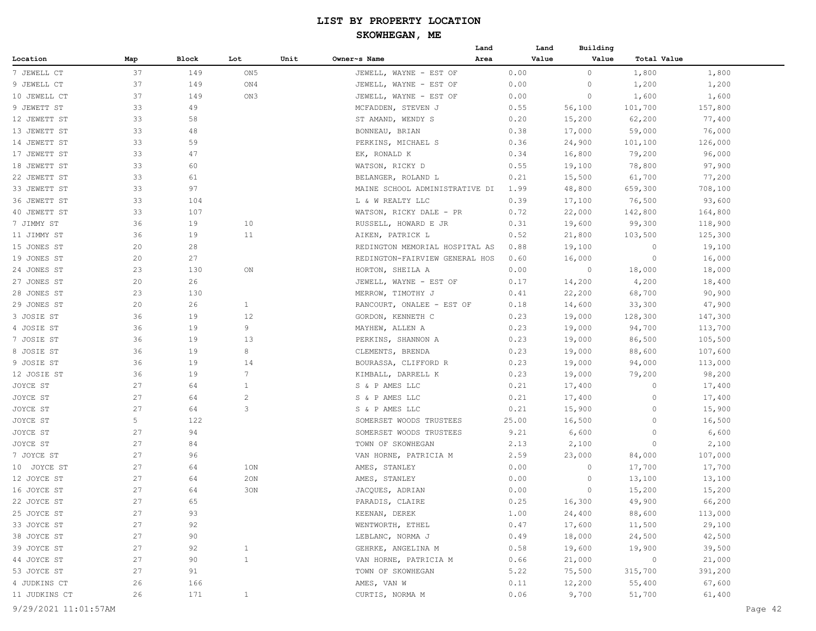|               |     |       |                 |      |                                | Land | Land  | Building |             |         |
|---------------|-----|-------|-----------------|------|--------------------------------|------|-------|----------|-------------|---------|
| Location      | Map | Block | Lot             | Unit | Owner~s Name                   | Area | Value | Value    | Total Value |         |
| 7 JEWELL CT   | 37  | 149   | ON <sub>5</sub> |      | JEWELL, WAYNE - EST OF         |      | 0.00  | $\circ$  | 1,800       | 1,800   |
| 9 JEWELL CT   | 37  | 149   | ON4             |      | JEWELL, WAYNE - EST OF         |      | 0.00  | 0        | 1,200       | 1,200   |
| 10 JEWELL CT  | 37  | 149   | ON3             |      | JEWELL, WAYNE - EST OF         |      | 0.00  | $\circ$  | 1,600       | 1,600   |
| 9 JEWETT ST   | 33  | 49    |                 |      | MCFADDEN, STEVEN J             |      | 0.55  | 56,100   | 101,700     | 157,800 |
| 12 JEWETT ST  | 33  | 58    |                 |      | ST AMAND, WENDY S              |      | 0.20  | 15,200   | 62,200      | 77,400  |
| 13 JEWETT ST  | 33  | 48    |                 |      | BONNEAU, BRIAN                 |      | 0.38  | 17,000   | 59,000      | 76,000  |
| 14 JEWETT ST  | 33  | 59    |                 |      | PERKINS, MICHAEL S             |      | 0.36  | 24,900   | 101,100     | 126,000 |
| 17 JEWETT ST  | 33  | 47    |                 |      | EK, RONALD K                   |      | 0.34  | 16,800   | 79,200      | 96,000  |
| 18 JEWETT ST  | 33  | 60    |                 |      | WATSON, RICKY D                |      | 0.55  | 19,100   | 78,800      | 97,900  |
| 22 JEWETT ST  | 33  | 61    |                 |      | BELANGER, ROLAND L             |      | 0.21  | 15,500   | 61,700      | 77,200  |
| 33 JEWETT ST  | 33  | 97    |                 |      | MAINE SCHOOL ADMINISTRATIVE DI |      | 1.99  | 48,800   | 659,300     | 708,100 |
| 36 JEWETT ST  | 33  | 104   |                 |      | L & W REALTY LLC               |      | 0.39  | 17,100   | 76,500      | 93,600  |
| 40 JEWETT ST  | 33  | 107   |                 |      | WATSON, RICKY DALE - PR        |      | 0.72  | 22,000   | 142,800     | 164,800 |
| 7 JIMMY ST    | 36  | 19    | 10              |      | RUSSELL, HOWARD E JR           |      | 0.31  | 19,600   | 99,300      | 118,900 |
| 11 JIMMY ST   | 36  | 19    | 11              |      | AIKEN, PATRICK L               |      | 0.52  | 21,800   | 103,500     | 125,300 |
| 15 JONES ST   | 20  | 28    |                 |      | REDINGTON MEMORIAL HOSPITAL AS |      | 0.88  | 19,100   | 0           | 19,100  |
| 19 JONES ST   | 20  | 27    |                 |      | REDINGTON-FAIRVIEW GENERAL HOS |      | 0.60  | 16,000   | -0          | 16,000  |
| 24 JONES ST   | 23  | 130   | ON              |      | HORTON, SHEILA A               |      | 0.00  | $\circ$  | 18,000      | 18,000  |
| 27 JONES ST   | 20  | 26    |                 |      | JEWELL, WAYNE - EST OF         |      | 0.17  | 14,200   | 4,200       | 18,400  |
| 28 JONES ST   | 23  | 130   |                 |      | MERROW, TIMOTHY J              |      | 0.41  | 22,200   | 68,700      | 90,900  |
| 29 JONES ST   | 20  | 26    | $\mathbf{1}$    |      | RANCOURT, ONALEE - EST OF      |      | 0.18  | 14,600   | 33,300      | 47,900  |
| 3 JOSIE ST    | 36  | 19    | 12              |      | GORDON, KENNETH C              |      | 0.23  | 19,000   | 128,300     | 147,300 |
| 4 JOSIE ST    | 36  | 19    | 9               |      | MAYHEW, ALLEN A                |      | 0.23  | 19,000   | 94,700      | 113,700 |
| 7 JOSIE ST    | 36  | 19    | 13              |      | PERKINS, SHANNON A             |      | 0.23  | 19,000   | 86,500      | 105,500 |
| 8 JOSIE ST    | 36  | 19    | 8               |      | CLEMENTS, BRENDA               |      | 0.23  | 19,000   | 88,600      | 107,600 |
| 9 JOSIE ST    | 36  | 19    | 14              |      | BOURASSA, CLIFFORD R           |      | 0.23  | 19,000   | 94,000      | 113,000 |
| 12 JOSIE ST   | 36  | 19    | $7\phantom{.0}$ |      | KIMBALL, DARRELL K             |      | 0.23  | 19,000   | 79,200      | 98,200  |
| JOYCE ST      | 27  | 64    | $\mathbf{1}$    |      | S & P AMES LLC                 |      | 0.21  | 17,400   | $\circ$     | 17,400  |
| JOYCE ST      | 27  | 64    | $\overline{c}$  |      | S & P AMES LLC                 |      | 0.21  | 17,400   | $\circ$     | 17,400  |
| JOYCE ST      | 27  | 64    | 3               |      | S & P AMES LLC                 |      | 0.21  | 15,900   | $\circ$     | 15,900  |
| JOYCE ST      | 5   | 122   |                 |      | SOMERSET WOODS TRUSTEES        |      | 25.00 | 16,500   | $\circ$     | 16,500  |
| JOYCE ST      | 27  | 94    |                 |      | SOMERSET WOODS TRUSTEES        |      | 9.21  | 6,600    | $\Omega$    | 6,600   |
| JOYCE ST      | 27  | 84    |                 |      | TOWN OF SKOWHEGAN              |      | 2.13  | 2,100    | -0          | 2,100   |
| 7 JOYCE ST    | 27  | 96    |                 |      | VAN HORNE, PATRICIA M          |      | 2.59  | 23,000   | 84,000      | 107,000 |
| 10 JOYCE ST   | 27  | 64    | 10N             |      | AMES, STANLEY                  |      | 0.00  | $\circ$  | 17,700      | 17,700  |
| 12 JOYCE ST   | 27  | 64    | 20N             |      | AMES, STANLEY                  |      | 0.00  | 0        | 13,100      | 13,100  |
| 16 JOYCE ST   | 27  | 64    | 30N             |      | JACQUES, ADRIAN                |      | 0.00  | $\circ$  | 15,200      | 15,200  |
| 22 JOYCE ST   | 27  | 65    |                 |      | PARADIS, CLAIRE                |      | 0.25  | 16,300   | 49,900      | 66,200  |
| 25 JOYCE ST   | 27  | 93    |                 |      | KEENAN, DEREK                  |      | 1.00  | 24,400   | 88,600      | 113,000 |
| 33 JOYCE ST   | 27  | 92    |                 |      | WENTWORTH, ETHEL               |      | 0.47  | 17,600   | 11,500      | 29,100  |
| 38 JOYCE ST   | 27  | 90    |                 |      | LEBLANC, NORMA J               |      | 0.49  | 18,000   | 24,500      | 42,500  |
| 39 JOYCE ST   | 27  | 92    | $\mathbf{1}$    |      | GEHRKE, ANGELINA M             |      | 0.58  | 19,600   | 19,900      | 39,500  |
| 44 JOYCE ST   | 27  | 90    | $\mathbf{1}$    |      | VAN HORNE, PATRICIA M          |      | 0.66  | 21,000   | $\circ$     | 21,000  |
| 53 JOYCE ST   | 27  | 91    |                 |      | TOWN OF SKOWHEGAN              |      | 5.22  | 75,500   | 315,700     | 391,200 |
| 4 JUDKINS CT  | 26  | 166   |                 |      | AMES, VAN W                    |      | 0.11  | 12,200   | 55,400      | 67,600  |
| 11 JUDKINS CT | 26  | 171   | $\mathbf{1}$    |      | CURTIS, NORMA M                |      | 0.06  | 9,700    | 51,700      | 61,400  |
|               |     |       |                 |      |                                |      |       |          |             |         |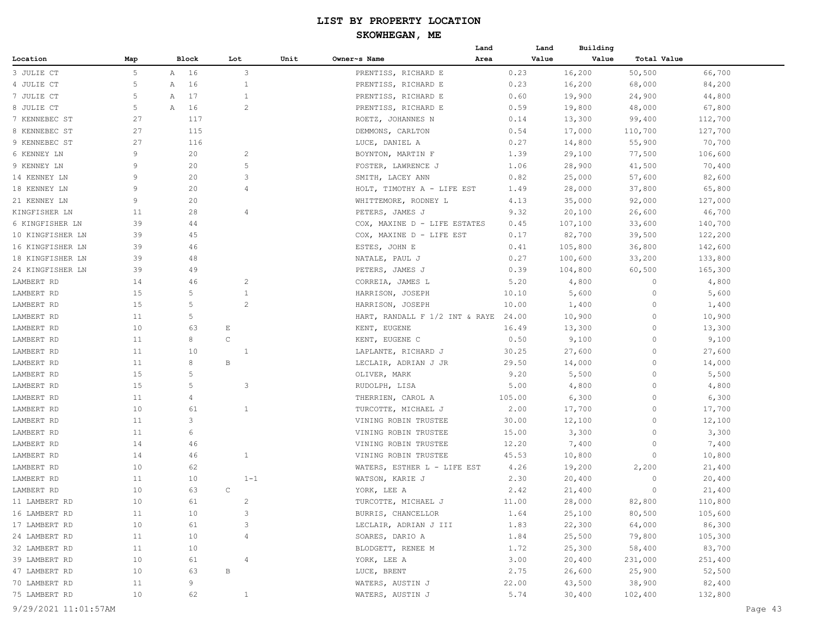|                  |     |   |       |              |                | Land                           |        | Land  | Building |             |         |
|------------------|-----|---|-------|--------------|----------------|--------------------------------|--------|-------|----------|-------------|---------|
| Location         | Map |   | Block | Lot          | Unit           | Owner~s Name<br>Area           |        | Value | Value    | Total Value |         |
| 3 JULIE CT       | 5   | Α | 16    |              | 3              | PRENTISS, RICHARD E            | 0.23   |       | 16,200   | 50,500      | 66,700  |
| 4 JULIE CT       | 5   | Α | 16    |              | 1              | PRENTISS, RICHARD E            | 0.23   |       | 16,200   | 68,000      | 84,200  |
| 7 JULIE CT       | 5   | Α | 17    |              | 1              | PRENTISS, RICHARD E            | 0.60   |       | 19,900   | 24,900      | 44,800  |
| 8 JULIE CT       | 5   | А | 16    |              | 2              | PRENTISS, RICHARD E            | 0.59   |       | 19,800   | 48,000      | 67,800  |
| 7 KENNEBEC ST    | 27  |   | 117   |              |                | ROETZ, JOHANNES N              | 0.14   |       | 13,300   | 99,400      | 112,700 |
| 8 KENNEBEC ST    | 27  |   | 115   |              |                | DEMMONS, CARLTON               | 0.54   |       | 17,000   | 110,700     | 127,700 |
| 9 KENNEBEC ST    | 27  |   | 116   |              |                | LUCE, DANIEL A                 | 0.27   |       | 14,800   | 55,900      | 70,700  |
| 6 KENNEY LN      | 9   |   | 20    |              | 2              | BOYNTON, MARTIN F              | 1.39   |       | 29,100   | 77,500      | 106,600 |
| 9 KENNEY LN      | 9   |   | 20    |              | 5              | FOSTER, LAWRENCE J             | 1.06   |       | 28,900   | 41,500      | 70,400  |
| 14 KENNEY LN     | 9   |   | 20    |              | 3              | SMITH, LACEY ANN               | 0.82   |       | 25,000   | 57,600      | 82,600  |
| 18 KENNEY LN     | 9   |   | 20    |              | $\overline{4}$ | HOLT, TIMOTHY A - LIFE EST     | 1.49   |       | 28,000   | 37,800      | 65,800  |
| 21 KENNEY LN     | 9   |   | 20    |              |                | WHITTEMORE, RODNEY L           | 4.13   |       | 35,000   | 92,000      | 127,000 |
| KINGFISHER LN    | 11  |   | 28    |              | $\overline{4}$ | PETERS, JAMES J                | 9.32   |       | 20,100   | 26,600      | 46,700  |
| 6 KINGFISHER LN  | 39  |   | 44    |              |                | COX, MAXINE D - LIFE ESTATES   | 0.45   |       | 107,100  | 33,600      | 140,700 |
| 10 KINGFISHER LN | 39  |   | 45    |              |                | COX, MAXINE D - LIFE EST       | 0.17   |       | 82,700   | 39,500      | 122,200 |
| 16 KINGFISHER LN | 39  |   | 46    |              |                | ESTES, JOHN E                  | 0.41   |       | 105,800  | 36,800      | 142,600 |
| 18 KINGFISHER LN | 39  |   | 48    |              |                | NATALE, PAUL J                 | 0.27   |       | 100,600  | 33,200      | 133,800 |
| 24 KINGFISHER LN | 39  |   | 49    |              |                | PETERS, JAMES J                | 0.39   |       | 104,800  | 60,500      | 165,300 |
| LAMBERT RD       | 14  |   | 46    |              | 2              | CORREIA, JAMES L               | 5.20   |       | 4,800    | 0           | 4,800   |
| LAMBERT RD       | 15  |   | 5     |              | $\mathbf{1}$   | HARRISON, JOSEPH               | 10.10  |       | 5,600    | 0           | 5,600   |
| LAMBERT RD       | 15  |   | 5     |              | 2              | HARRISON, JOSEPH               | 10.00  |       | 1,400    | 0           | 1,400   |
| LAMBERT RD       | 11  |   | 5     |              |                | HART, RANDALL F 1/2 INT & RAYE | 24.00  |       | 10,900   | 0           | 10,900  |
| LAMBERT RD       | 10  |   | 63    | E            |                | KENT, EUGENE                   | 16.49  |       | 13,300   | 0           | 13,300  |
| LAMBERT RD       | 11  |   | 8     | $\mathsf C$  |                | KENT, EUGENE C                 | 0.50   |       | 9,100    | 0           | 9,100   |
| LAMBERT RD       | 11  |   | 10    |              | $\mathbf{1}$   | LAPLANTE, RICHARD J            | 30.25  |       | 27,600   | 0           | 27,600  |
| LAMBERT RD       | 11  |   | 8     | В            |                | LECLAIR, ADRIAN J JR           | 29.50  |       | 14,000   | 0           | 14,000  |
| LAMBERT RD       | 15  |   | 5     |              |                | OLIVER, MARK                   | 9.20   |       | 5,500    | 0           | 5,500   |
| LAMBERT RD       | 15  |   | 5     |              | 3              | RUDOLPH, LISA                  | 5.00   |       | 4,800    | 0           | 4,800   |
| LAMBERT RD       | 11  |   | 4     |              |                | THERRIEN, CAROL A              | 105.00 |       | 6,300    | 0           | 6,300   |
| LAMBERT RD       | 10  |   | 61    |              | $\mathbf{1}$   | TURCOTTE, MICHAEL J            | 2.00   |       | 17,700   | 0           | 17,700  |
| LAMBERT RD       | 11  |   | 3     |              |                | VINING ROBIN TRUSTEE           | 30.00  |       | 12,100   | 0           | 12,100  |
| LAMBERT RD       | 11  |   | 6     |              |                | VINING ROBIN TRUSTEE           | 15.00  |       | 3,300    | 0           | 3,300   |
| LAMBERT RD       | 14  |   | 46    |              |                | VINING ROBIN TRUSTEE           | 12.20  |       | 7,400    | 0           | 7,400   |
| LAMBERT RD       | 14  |   | 46    |              | 1              | VINING ROBIN TRUSTEE           | 45.53  |       | 10,800   | 0           | 10,800  |
| LAMBERT RD       | 10  |   | 62    |              |                | WATERS, ESTHER L - LIFE EST    | 4.26   |       | 19,200   | 2,200       | 21,400  |
| LAMBERT RD       | 11  |   | 10    |              | $1 - 1$        | WATSON, KARIE J                | 2.30   |       | 20,400   | 0           | 20,400  |
| LAMBERT RD       | 10  |   | 63    | $\mathsf{C}$ |                | YORK, LEE A                    | 2.42   |       | 21,400   | $\circ$     | 21,400  |
| 11 LAMBERT RD    | 10  |   | 61    |              | $\mathcal{P}$  | TURCOTTE, MICHAEL J            | 11.00  |       | 28,000   | 82,800      | 110,800 |
| 16 LAMBERT RD    | 11  |   | 10    |              | 3              | BURRIS, CHANCELLOR             | 1.64   |       | 25,100   | 80,500      | 105,600 |
| 17 LAMBERT RD    | 10  |   | 61    |              | 3              | LECLAIR, ADRIAN J III          | 1.83   |       | 22,300   | 64,000      | 86,300  |
| 24 LAMBERT RD    | 11  |   | 10    |              | 4              | SOARES, DARIO A                | 1.84   |       | 25,500   | 79,800      | 105,300 |
| 32 LAMBERT RD    | 11  |   | 10    |              |                | BLODGETT, RENEE M              | 1.72   |       | 25,300   | 58,400      | 83,700  |
| 39 LAMBERT RD    | 10  |   | 61    |              | $\overline{4}$ | YORK, LEE A                    | 3.00   |       | 20,400   | 231,000     | 251,400 |
| 47 LAMBERT RD    | 10  |   | 63    | В            |                | LUCE, BRENT                    | 2.75   |       | 26,600   | 25,900      | 52,500  |
| 70 LAMBERT RD    | 11  |   | 9     |              |                | WATERS, AUSTIN J               | 22.00  |       | 43,500   | 38,900      | 82,400  |
| 75 LAMBERT RD    | 10  |   | 62    |              | $\mathbf{1}$   | WATERS, AUSTIN J               | 5.74   |       | 30,400   | 102,400     | 132,800 |
|                  |     |   |       |              |                |                                |        |       |          |             |         |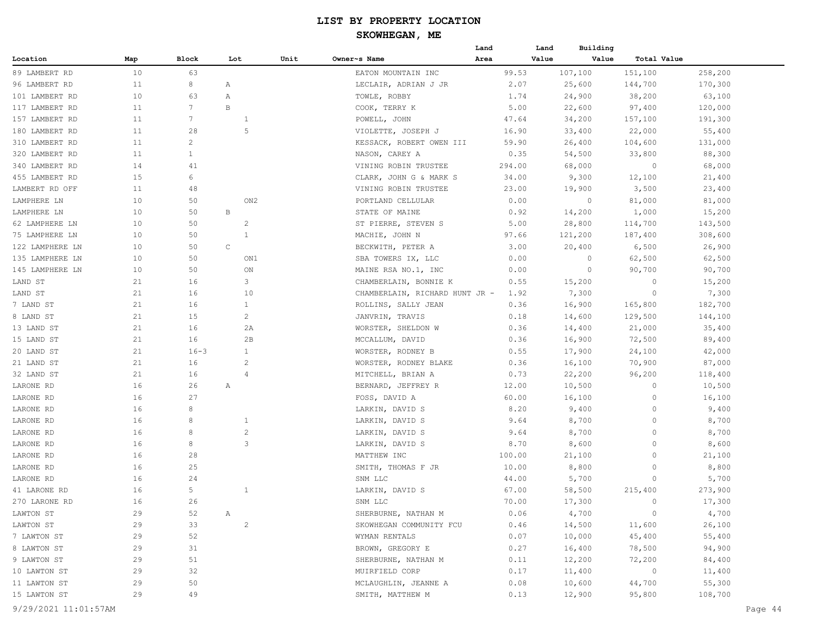#### **SKOWHEGAN, ME**

|                 |     |                |                |      |                                | Land   | Land    | Building             |         |  |
|-----------------|-----|----------------|----------------|------|--------------------------------|--------|---------|----------------------|---------|--|
| Location        | Map | Block          | Lot            | Unit | Owner~s Name                   | Area   | Value   | Value<br>Total Value |         |  |
| 89 LAMBERT RD   | 10  | 63             |                |      | EATON MOUNTAIN INC             | 99.53  | 107,100 | 151,100              | 258,200 |  |
| 96 LAMBERT RD   | 11  | 8              | Α              |      | LECLAIR, ADRIAN J JR           | 2.07   | 25,600  | 144,700              | 170,300 |  |
| 101 LAMBERT RD  | 10  | 63             | Α              |      | TOWLE, ROBBY                   | 1.74   | 24,900  | 38,200               | 63,100  |  |
| 117 LAMBERT RD  | 11  | 7              | B              |      | COOK, TERRY K                  | 5.00   | 22,600  | 97,400               | 120,000 |  |
| 157 LAMBERT RD  | 11  | 7              | $\mathbf{1}$   |      | POWELL, JOHN                   | 47.64  | 34,200  | 157,100              | 191,300 |  |
| 180 LAMBERT RD  | 11  | 28             | 5              |      | VIOLETTE, JOSEPH J             | 16.90  | 33,400  | 22,000               | 55,400  |  |
| 310 LAMBERT RD  | 11  | $\overline{c}$ |                |      | KESSACK, ROBERT OWEN III       | 59.90  | 26,400  | 104,600              | 131,000 |  |
| 320 LAMBERT RD  | 11  | $\mathbf{1}$   |                |      | NASON, CAREY A                 | 0.35   | 54,500  | 33,800               | 88,300  |  |
| 340 LAMBERT RD  | 14  | 41             |                |      | VINING ROBIN TRUSTEE           | 294.00 | 68,000  | $\circ$              | 68,000  |  |
| 455 LAMBERT RD  | 15  | 6              |                |      | CLARK, JOHN G & MARK S         | 34.00  | 9,300   | 12,100               | 21,400  |  |
| LAMBERT RD OFF  | 11  | 48             |                |      | VINING ROBIN TRUSTEE           | 23.00  | 19,900  | 3,500                | 23,400  |  |
| LAMPHERE LN     | 10  | 50             | ON2            |      | PORTLAND CELLULAR              | 0.00   | $\circ$ | 81,000               | 81,000  |  |
| LAMPHERE LN     | 10  | 50             | В              |      | STATE OF MAINE                 | 0.92   | 14,200  | 1,000                | 15,200  |  |
| 62 LAMPHERE LN  | 10  | 50             | $\overline{c}$ |      | ST PIERRE, STEVEN S            | 5.00   | 28,800  | 114,700              | 143,500 |  |
| 75 LAMPHERE LN  | 10  | 50             | -1             |      | MACHIE, JOHN N                 | 97.66  | 121,200 | 187,400              | 308,600 |  |
| 122 LAMPHERE LN | 10  | 50             | $\mathsf C$    |      | BECKWITH, PETER A              | 3.00   | 20,400  | 6,500                | 26,900  |  |
| 135 LAMPHERE LN | 10  | 50             | ON1            |      | SBA TOWERS IX, LLC             | 0.00   | $\circ$ | 62,500               | 62,500  |  |
| 145 LAMPHERE LN | 10  | 50             | ON             |      | MAINE RSA NO.1, INC            | 0.00   | $\circ$ | 90,700               | 90,700  |  |
| LAND ST         | 21  | 16             | 3              |      | CHAMBERLAIN, BONNIE K          | 0.55   | 15,200  | 0                    | 15,200  |  |
| LAND ST         | 21  | 16             | 10             |      | CHAMBERLAIN, RICHARD HUNT JR - | 1.92   | 7,300   | $\circ$              | 7,300   |  |
| 7 LAND ST       | 21  | 16             | $\mathbf{1}$   |      | ROLLINS, SALLY JEAN            | 0.36   | 16,900  | 165,800              | 182,700 |  |
| 8 LAND ST       | 21  | 15             | $\overline{c}$ |      | JANVRIN, TRAVIS                | 0.18   | 14,600  | 129,500              | 144,100 |  |
| 13 LAND ST      | 21  | 16             | 2A             |      | WORSTER, SHELDON W             | 0.36   | 14,400  | 21,000               | 35,400  |  |
| 15 LAND ST      | 21  | 16             | 2B             |      | MCCALLUM, DAVID                | 0.36   | 16,900  | 72,500               | 89,400  |  |
| 20 LAND ST      | 21  | $16 - 3$       | 1              |      | WORSTER, RODNEY B              | 0.55   | 17,900  | 24,100               | 42,000  |  |
| 21 LAND ST      | 21  | 16             | $\overline{c}$ |      | WORSTER, RODNEY BLAKE          | 0.36   | 16,100  | 70,900               | 87,000  |  |
| 32 LAND ST      | 21  | 16             | $\overline{4}$ |      | MITCHELL, BRIAN A              | 0.73   | 22,200  | 96,200               | 118,400 |  |
| LARONE RD       | 16  | 26             | Α              |      | BERNARD, JEFFREY R             | 12.00  | 10,500  | $\circ$              | 10,500  |  |
| LARONE RD       | 16  | 27             |                |      | FOSS, DAVID A                  | 60.00  | 16,100  | $\circ$              | 16,100  |  |
| LARONE RD       | 16  | 8              |                |      | LARKIN, DAVID S                | 8.20   | 9,400   | 0                    | 9,400   |  |
| LARONE RD       | 16  | 8              | 1              |      | LARKIN, DAVID S                | 9.64   | 8,700   | 0                    | 8,700   |  |
| LARONE RD       | 16  | 8              | $\overline{c}$ |      | LARKIN, DAVID S                | 9.64   | 8,700   | $\circ$              | 8,700   |  |
| LARONE RD       | 16  | 8              | 3              |      | LARKIN, DAVID S                | 8.70   | 8,600   | 0                    | 8,600   |  |
| LARONE RD       | 16  | 28             |                |      | MATTHEW INC                    | 100.00 | 21,100  | 0                    | 21,100  |  |
| LARONE RD       | 16  | 25             |                |      | SMITH, THOMAS F JR             | 10.00  | 8,800   | 0                    | 8,800   |  |
| LARONE RD       | 16  | 24             |                |      | SNM LLC                        | 44.00  | 5,700   | $\circ$              | 5,700   |  |
| 41 LARONE RD    | 16  | 5              | 1              |      | LARKIN, DAVID S                | 67.00  | 58,500  | 215,400              | 273,900 |  |
| 270 LARONE RD   | 16  | 26             |                |      | SNM LLC                        | 70.00  | 17,300  | $\circ$              | 17,300  |  |
| LAWTON ST       | 29  | 52             | A              |      | SHERBURNE, NATHAN M            | 0.06   | 4,700   | $\sim$ 0             | 4,700   |  |
| LAWTON ST       | 29  | 33             | $\overline{2}$ |      | SKOWHEGAN COMMUNITY FCU        | 0.46   | 14,500  | 11,600               | 26,100  |  |
| 7 LAWTON ST     | 29  | 52             |                |      | WYMAN RENTALS                  | 0.07   | 10,000  | 45,400               | 55,400  |  |
| 8 LAWTON ST     | 29  | 31             |                |      | BROWN, GREGORY E               | 0.27   | 16,400  | 78,500               | 94,900  |  |
| 9 LAWTON ST     | 29  | 51             |                |      | SHERBURNE, NATHAN M            | 0.11   | 12,200  | 72,200               | 84,400  |  |
| 10 LAWTON ST    | 29  | 32             |                |      | MUIRFIELD CORP                 | 0.17   | 11,400  | $\overline{0}$       | 11,400  |  |
| 11 LAWTON ST    | 29  | 50             |                |      | MCLAUGHLIN, JEANNE A           | 0.08   | 10,600  | 44,700               | 55,300  |  |
| 15 LAWTON ST    | 29  | 49             |                |      | SMITH, MATTHEW M               | 0.13   | 12,900  | 95,800               | 108,700 |  |
|                 |     |                |                |      |                                |        |         |                      |         |  |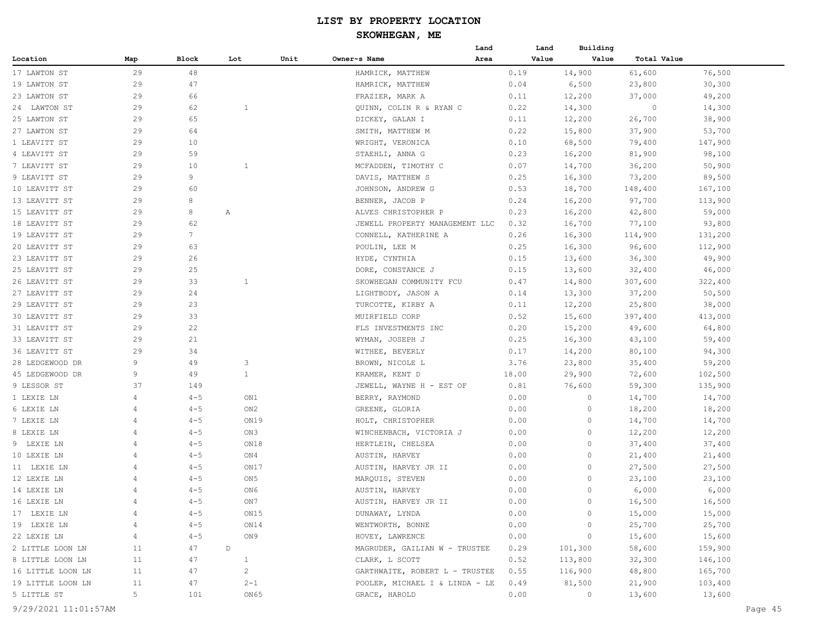#### **SKOWHEGAN, ME**

|                   |                |         |                |      |                                | Land | Land  | Building |             |         |
|-------------------|----------------|---------|----------------|------|--------------------------------|------|-------|----------|-------------|---------|
| Location          | Map            | Block   | Lot            | Unit | Owner~s Name                   | Area | Value | Value    | Total Value |         |
| 17 LAWTON ST      | 29             | 48      |                |      | HAMRICK, MATTHEW               |      | 0.19  | 14,900   | 61,600      | 76,500  |
| 19 LAWTON ST      | 29             | 47      |                |      | HAMRICK, MATTHEW               |      | 0.04  | 6,500    | 23,800      | 30,300  |
| 23 LAWTON ST      | 29             | 66      |                |      | FRAZIER, MARK A                |      | 0.11  | 12,200   | 37,000      | 49,200  |
| 24 LAWTON ST      | 29             | 62      | $\mathbf{1}$   |      | QUINN, COLIN R & RYAN C        |      | 0.22  | 14,300   | $\circ$     | 14,300  |
| 25 LAWTON ST      | 29             | 65      |                |      | DICKEY, GALAN I                |      | 0.11  | 12,200   | 26,700      | 38,900  |
| 27 LAWTON ST      | 29             | 64      |                |      | SMITH, MATTHEW M               |      | 0.22  | 15,800   | 37,900      | 53,700  |
| 1 LEAVITT ST      | 29             | 10      |                |      | WRIGHT, VERONICA               |      | 0.10  | 68,500   | 79,400      | 147,900 |
| 4 LEAVITT ST      | 29             | 59      |                |      | STAEHLI, ANNA G                |      | 0.23  | 16,200   | 81,900      | 98,100  |
| 7 LEAVITT ST      | 29             | 10      | 1              |      | MCFADDEN, TIMOTHY C            |      | 0.07  | 14,700   | 36,200      | 50,900  |
| 9 LEAVITT ST      | 29             | 9       |                |      | DAVIS, MATTHEW S               |      | 0.25  | 16,300   | 73,200      | 89,500  |
| 10 LEAVITT ST     | 29             | 60      |                |      | JOHNSON, ANDREW G              |      | 0.53  | 18,700   | 148,400     | 167,100 |
| 13 LEAVITT ST     | 29             | 8       |                |      | BENNER, JACOB P                |      | 0.24  | 16,200   | 97,700      | 113,900 |
| 15 LEAVITT ST     | 29             | 8       | Α              |      | ALVES CHRISTOPHER P            |      | 0.23  | 16,200   | 42,800      | 59,000  |
| 18 LEAVITT ST     | 29             | 62      |                |      | JEWELL PROPERTY MANAGEMENT LLC |      | 0.32  | 16,700   | 77,100      | 93,800  |
| 19 LEAVITT ST     | 29             | 7       |                |      | CONNELL, KATHERINE A           |      | 0.26  | 16,300   | 114,900     | 131,200 |
| 20 LEAVITT ST     | 29             | 63      |                |      | POULIN, LEE M                  |      | 0.25  | 16,300   | 96,600      | 112,900 |
| 23 LEAVITT ST     | 29             | 26      |                |      | HYDE, CYNTHIA                  |      | 0.15  | 13,600   | 36,300      | 49,900  |
| 25 LEAVITT ST     | 29             | 25      |                |      | DORE, CONSTANCE J              |      | 0.15  | 13,600   | 32,400      | 46,000  |
| 26 LEAVITT ST     | 29             | 33      | 1              |      | SKOWHEGAN COMMUNITY FCU        |      | 0.47  | 14,800   | 307,600     | 322,400 |
| 27 LEAVITT ST     | 29             | 24      |                |      | LIGHTBODY, JASON A             |      | 0.14  | 13,300   | 37,200      | 50,500  |
| 29 LEAVITT ST     | 29             | 23      |                |      | TURCOTTE, KIRBY A              |      | 0.11  | 12,200   | 25,800      | 38,000  |
| 30 LEAVITT ST     | 29             | 33      |                |      | MUIRFIELD CORP                 |      | 0.52  | 15,600   | 397,400     | 413,000 |
| 31 LEAVITT ST     | 29             | 22      |                |      | FLS INVESTMENTS INC            |      | 0.20  | 15,200   | 49,600      | 64,800  |
| 33 LEAVITT ST     | 29             | 21      |                |      | WYMAN, JOSEPH J                |      | 0.25  | 16,300   | 43,100      | 59,400  |
| 36 LEAVITT ST     | 29             | 34      |                |      | WITHEE, BEVERLY                |      | 0.17  | 14,200   | 80,100      | 94,300  |
| 28 LEDGEWOOD DR   | 9              | 49      | 3              |      | BROWN, NICOLE L                |      | 3.76  | 23,800   | 35,400      | 59,200  |
| 45 LEDGEWOOD DR   | 9              | 49      | $\mathbf{1}$   |      | KRAMER, KENT D                 |      | 18.00 | 29,900   | 72,600      | 102,500 |
| 9 LESSOR ST       | 37             | 149     |                |      | JEWELL, WAYNE H - EST OF       |      | 0.81  | 76,600   | 59,300      | 135,900 |
| 1 LEXIE LN        | 4              | $4 - 5$ | ON1            |      | BERRY, RAYMOND                 |      | 0.00  | 0        | 14,700      | 14,700  |
| 6 LEXIE LN        | 4              | $4 - 5$ | ON2            |      | GREENE, GLORIA                 |      | 0.00  | 0        | 18,200      | 18,200  |
| 7 LEXIE LN        | 4              | $4 - 5$ | ON19           |      | HOLT, CHRISTOPHER              |      | 0.00  | $\Omega$ | 14,700      | 14,700  |
| 8 LEXIE LN        | 4              | $4 - 5$ | ON3            |      | WINCHENBACH, VICTORIA J        |      | 0.00  | 0        | 12,200      | 12,200  |
| 9 LEXIE LN        | 4              | $4 - 5$ | ON18           |      | HERTLEIN, CHELSEA              |      | 0.00  | 0        | 37,400      | 37,400  |
| 10 LEXIE LN       | 4              | $4 - 5$ | ON4            |      | AUSTIN, HARVEY                 |      | 0.00  | 0        | 21,400      | 21,400  |
| 11 LEXIE LN       | 4              | $4 - 5$ | ON17           |      | AUSTIN, HARVEY JR II           |      | 0.00  | 0        | 27,500      | 27,500  |
| 12 LEXIE LN       | 4              | $4 - 5$ | ON5            |      | MARQUIS, STEVEN                |      | 0.00  | 0        | 23,100      | 23,100  |
| 14 LEXIE LN       | 4              | $4 - 5$ | ON6            |      | AUSTIN, HARVEY                 |      | 0.00  | 0        | 6,000       | 6,000   |
| 16 LEXIE LN       |                | $4 - 5$ | ON7            |      | AUSTIN, HARVEY JR II           |      | 0.00  | 0        | 16,500      | 16,500  |
| 17 LEXIE LN       | $\overline{4}$ | $4 - 5$ | ON15           |      | DUNAWAY, LYNDA                 |      | 0.00  | $\circ$  | 15,000      | 15,000  |
| 19 LEXIE LN       | 4              | $4 - 5$ | ON14           |      | WENTWORTH, BONNE               |      | 0.00  | $\circ$  | 25,700      | 25,700  |
| 22 LEXIE LN       | 4              | $4 - 5$ | ON 9           |      | HOVEY, LAWRENCE                |      | 0.00  | $\circ$  | 15,600      | 15,600  |
| 2 LITTLE LOON LN  | 11             | 47      | D              |      | MAGRUDER, GAILIAN W - TRUSTEE  |      | 0.29  | 101,300  | 58,600      | 159,900 |
| 8 LITTLE LOON LN  | 11             | 47      | $\mathbf{1}$   |      | CLARK, L SCOTT                 |      | 0.52  | 113,800  | 32,300      | 146,100 |
| 16 LITTLE LOON LN | 11             | 47      | $\overline{2}$ |      | GARTHWAITE, ROBERT L - TRUSTEE |      | 0.55  | 116,900  | 48,800      | 165,700 |
| 19 LITTLE LOON LN | 11             | 47      | $2 - 1$        |      | POOLER, MICHAEL I & LINDA - LE |      | 0.49  | 81,500   | 21,900      | 103,400 |
| 5 LITTLE ST       | 5 <sup>1</sup> | 101     | ON65           |      | GRACE, HAROLD                  |      | 0.00  | $\circ$  | 13,600      | 13,600  |
|                   |                |         |                |      |                                |      |       |          |             |         |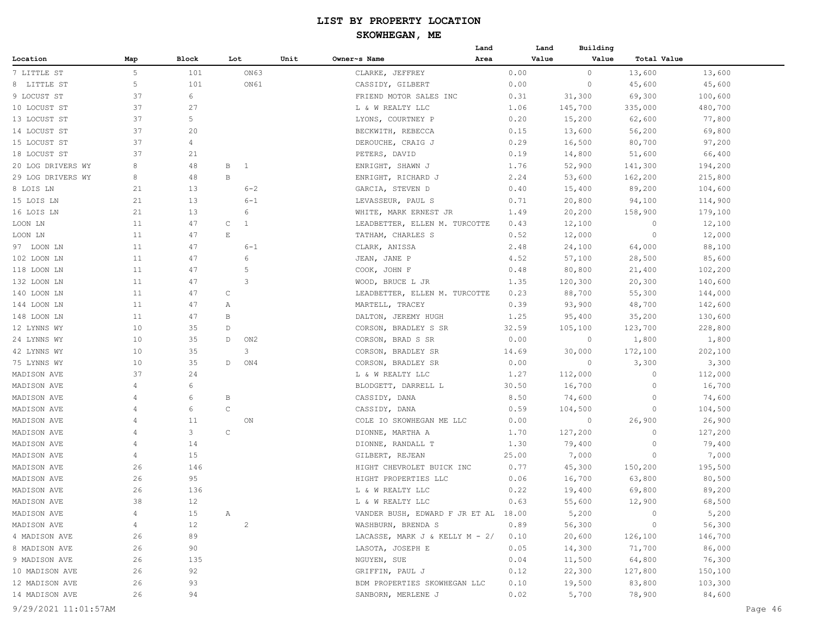|                   |     |       |              |                 |      |                                      | Land |       | Building<br>Land |             |         |
|-------------------|-----|-------|--------------|-----------------|------|--------------------------------------|------|-------|------------------|-------------|---------|
| Location          | Map | Block | Lot          |                 | Unit | Owner~s Name                         | Area |       | Value<br>Value   | Total Value |         |
| 7 LITTLE ST       | 5   | 101   |              | ON63            |      | CLARKE, JEFFREY                      |      | 0.00  | $\circ$          | 13,600      | 13,600  |
| 8 LITTLE ST       | 5   | 101   |              | ON61            |      | CASSIDY, GILBERT                     |      | 0.00  | $\circ$          | 45,600      | 45,600  |
| 9 LOCUST ST       | 37  | 6     |              |                 |      | FRIEND MOTOR SALES INC               |      | 0.31  | 31,300           | 69,300      | 100,600 |
| 10 LOCUST ST      | 37  | 27    |              |                 |      | L & W REALTY LLC                     |      | 1.06  | 145,700          | 335,000     | 480,700 |
| 13 LOCUST ST      | 37  | 5     |              |                 |      | LYONS, COURTNEY P                    |      | 0.20  | 15,200           | 62,600      | 77,800  |
| 14 LOCUST ST      | 37  | 20    |              |                 |      | BECKWITH, REBECCA                    |      | 0.15  | 13,600           | 56,200      | 69,800  |
| 15 LOCUST ST      | 37  | 4     |              |                 |      | DEROUCHE, CRAIG J                    |      | 0.29  | 16,500           | 80,700      | 97,200  |
| 18 LOCUST ST      | 37  | 21    |              |                 |      | PETERS, DAVID                        |      | 0.19  | 14,800           | 51,600      | 66,400  |
| 20 LOG DRIVERS WY | 8   | 48    | В            | $\mathbf{1}$    |      | ENRIGHT, SHAWN J                     |      | 1.76  | 52,900           | 141,300     | 194,200 |
| 29 LOG DRIVERS WY | 8   | 48    | $\, {\bf B}$ |                 |      | ENRIGHT, RICHARD J                   |      | 2.24  | 53,600           | 162,200     | 215,800 |
| 8 LOIS LN         | 21  | 13    |              | $6 - 2$         |      | GARCIA, STEVEN D                     |      | 0.40  | 15,400           | 89,200      | 104,600 |
| 15 LOIS LN        | 21  | 13    |              | $6 - 1$         |      | LEVASSEUR, PAUL S                    |      | 0.71  | 20,800           | 94,100      | 114,900 |
| 16 LOIS LN        | 21  | 13    |              | 6               |      | WHITE, MARK ERNEST JR                |      | 1.49  | 20,200           | 158,900     | 179,100 |
| LOON LN           | 11  | 47    | $\mathsf{C}$ | $\mathbf{1}$    |      | LEADBETTER, ELLEN M. TURCOTTE        |      | 0.43  | 12,100           | 0           | 12,100  |
| LOON LN           | 11  | 47    | E            |                 |      | TATHAM, CHARLES S                    |      | 0.52  | 12,000           | $\circ$     | 12,000  |
| 97 LOON LN        | 11  | 47    |              | $6 - 1$         |      | CLARK, ANISSA                        |      | 2.48  | 24,100           | 64,000      | 88,100  |
| 102 LOON LN       | 11  | 47    |              | 6               |      | JEAN, JANE P                         |      | 4.52  | 57,100           | 28,500      | 85,600  |
| 118 LOON LN       | 11  | 47    |              | 5               |      | COOK, JOHN F                         |      | 0.48  | 80,800           | 21,400      | 102,200 |
| 132 LOON LN       | 11  | 47    |              | 3               |      | WOOD, BRUCE L JR                     |      | 1.35  | 120,300          | 20,300      | 140,600 |
| 140 LOON LN       | 11  | 47    | C            |                 |      | LEADBETTER, ELLEN M. TURCOTTE        |      | 0.23  | 88,700           | 55,300      | 144,000 |
| 144 LOON LN       | 11  | 47    | Α            |                 |      | MARTELL, TRACEY                      |      | 0.39  | 93,900           | 48,700      | 142,600 |
| 148 LOON LN       | 11  | 47    | B            |                 |      | DALTON, JEREMY HUGH                  |      | 1.25  | 95,400           | 35,200      | 130,600 |
| 12 LYNNS WY       | 10  | 35    | D            |                 |      | CORSON, BRADLEY S SR                 |      | 32.59 | 105,100          | 123,700     | 228,800 |
| 24 LYNNS WY       | 10  | 35    | D            | ON <sub>2</sub> |      | CORSON, BRAD S SR                    |      | 0.00  | $\circ$          | 1,800       | 1,800   |
| 42 LYNNS WY       | 10  | 35    |              | 3               |      | CORSON, BRADLEY SR                   |      | 14.69 | 30,000           | 172,100     | 202,100 |
| 75 LYNNS WY       | 10  | 35    | D            | ON4             |      | CORSON, BRADLEY SR                   |      | 0.00  | $\circ$          | 3,300       | 3,300   |
| MADISON AVE       | 37  | 24    |              |                 |      | L & W REALTY LLC                     |      | 1.27  | 112,000          | $\circ$     | 112,000 |
| MADISON AVE       | 4   | 6     |              |                 |      | BLODGETT, DARRELL L                  |      | 30.50 | 16,700           | $\circ$     | 16,700  |
| MADISON AVE       | 4   | 6     | B            |                 |      | CASSIDY, DANA                        |      | 8.50  | 74,600           | 0           | 74,600  |
| MADISON AVE       | 4   | 6     | $\mathsf C$  |                 |      | CASSIDY, DANA                        |      | 0.59  | 104,500          | 0           | 104,500 |
| MADISON AVE       | 4   | 11    |              | ON              |      | COLE IO SKOWHEGAN ME LLC             |      | 0.00  | 0                | 26,900      | 26,900  |
| MADISON AVE       | 4   | 3     | $\mathsf C$  |                 |      | DIONNE, MARTHA A                     |      | 1.70  | 127,200          | 0           | 127,200 |
| MADISON AVE       | 4   | 14    |              |                 |      | DIONNE, RANDALL T                    |      | 1.30  | 79,400           | 0           | 79,400  |
| MADISON AVE       | 4   | 15    |              |                 |      | GILBERT, REJEAN                      |      | 25.00 | 7,000            | $\circ$     | 7,000   |
| MADISON AVE       | 26  | 146   |              |                 |      | HIGHT CHEVROLET BUICK INC            |      | 0.77  | 45,300           | 150,200     | 195,500 |
| MADISON AVE       | 26  | 95    |              |                 |      | HIGHT PROPERTIES LLC                 |      | 0.06  | 16,700           | 63,800      | 80,500  |
| MADISON AVE       | 26  | 136   |              |                 |      | L & W REALTY LLC                     |      | 0.22  | 19,400           | 69,800      | 89,200  |
| MADISON AVE       | 38  | $12$  |              |                 |      | L & W REALTY LLC                     |      | 0.63  | 55,600           | 12,900      | 68,500  |
| MADISON AVE       | 4   | 15    | $\mathbb{A}$ |                 |      | VANDER BUSH, EDWARD F JR ET AL 18.00 |      |       | 5,200            | 0           | 5,200   |
| MADISON AVE       | 4   | 12    |              | $\overline{c}$  |      | WASHBURN, BRENDA S                   |      | 0.89  | 56,300           | 0           | 56,300  |
| 4 MADISON AVE     | 26  | 89    |              |                 |      | LACASSE, MARK J & KELLY M - 2/       |      | 0.10  | 20,600           | 126,100     | 146,700 |
| 8 MADISON AVE     | 26  | 90    |              |                 |      | LASOTA, JOSEPH E                     |      | 0.05  | 14,300           | 71,700      | 86,000  |
| 9 MADISON AVE     | 26  | 135   |              |                 |      | NGUYEN, SUE                          |      | 0.04  | 11,500           | 64,800      | 76,300  |
| 10 MADISON AVE    | 26  | 92    |              |                 |      | GRIFFIN, PAUL J                      |      | 0.12  | 22,300           | 127,800     | 150,100 |
| 12 MADISON AVE    | 26  | 93    |              |                 |      | BDM PROPERTIES SKOWHEGAN LLC         |      | 0.10  | 19,500           | 83,800      | 103,300 |
| 14 MADISON AVE    | 26  | 94    |              |                 |      | SANBORN, MERLENE J                   |      | 0.02  | 5,700            | 78,900      | 84,600  |
|                   |     |       |              |                 |      |                                      |      |       |                  |             |         |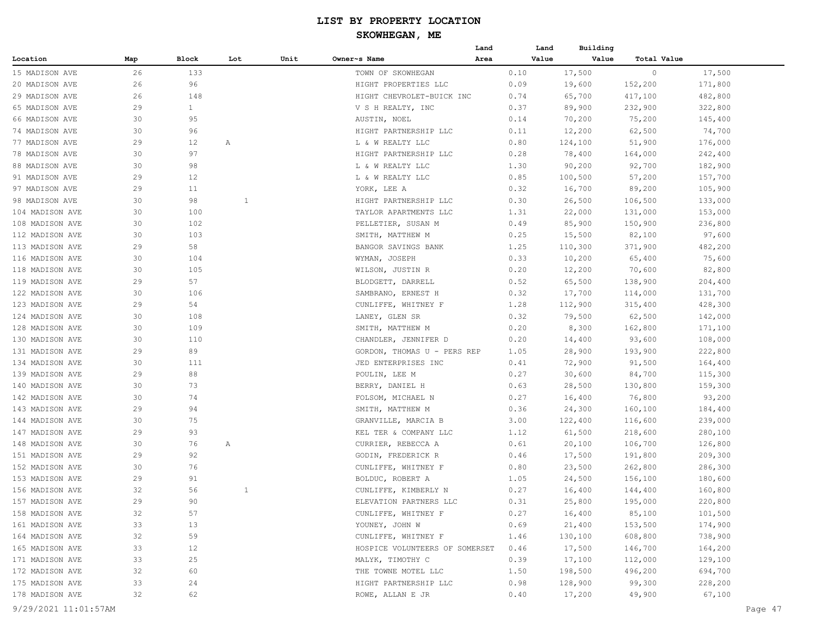|                 |     |              |     |      |                                | Land | Land  | Building |             |         |
|-----------------|-----|--------------|-----|------|--------------------------------|------|-------|----------|-------------|---------|
| Location        | Map | Block        | Lot | Unit | Owner~s Name                   | Area | Value | Value    | Total Value |         |
| 15 MADISON AVE  | 26  | 133          |     |      | TOWN OF SKOWHEGAN              |      | 0.10  | 17,500   | $\circ$     | 17,500  |
| 20 MADISON AVE  | 26  | 96           |     |      | HIGHT PROPERTIES LLC           |      | 0.09  | 19,600   | 152,200     | 171,800 |
| 29 MADISON AVE  | 26  | 148          |     |      | HIGHT CHEVROLET-BUICK INC      |      | 0.74  | 65,700   | 417,100     | 482,800 |
| 65 MADISON AVE  | 29  | $\mathbf{1}$ |     |      | V S H REALTY, INC              |      | 0.37  | 89,900   | 232,900     | 322,800 |
| 66 MADISON AVE  | 30  | 95           |     |      | AUSTIN, NOEL                   |      | 0.14  | 70,200   | 75,200      | 145,400 |
| 74 MADISON AVE  | 30  | 96           |     |      | HIGHT PARTNERSHIP LLC          |      | 0.11  | 12,200   | 62,500      | 74,700  |
| 77 MADISON AVE  | 29  | 12           | Α   |      | L & W REALTY LLC               |      | 0.80  | 124,100  | 51,900      | 176,000 |
| 78 MADISON AVE  | 30  | 97           |     |      | HIGHT PARTNERSHIP LLC          |      | 0.28  | 78,400   | 164,000     | 242,400 |
| 88 MADISON AVE  | 30  | 98           |     |      | L & W REALTY LLC               |      | 1.30  | 90,200   | 92,700      | 182,900 |
| 91 MADISON AVE  | 29  | 12           |     |      | L & W REALTY LLC               |      | 0.85  | 100,500  | 57,200      | 157,700 |
| 97 MADISON AVE  | 29  | 11           |     |      | YORK, LEE A                    |      | 0.32  | 16,700   | 89,200      | 105,900 |
| 98 MADISON AVE  | 30  | 98           | 1   |      | HIGHT PARTNERSHIP LLC          |      | 0.30  | 26,500   | 106,500     | 133,000 |
| 104 MADISON AVE | 30  | 100          |     |      | TAYLOR APARTMENTS LLC          |      | 1.31  | 22,000   | 131,000     | 153,000 |
| 108 MADISON AVE | 30  | 102          |     |      | PELLETIER, SUSAN M             |      | 0.49  | 85,900   | 150,900     | 236,800 |
| 112 MADISON AVE | 30  | 103          |     |      | SMITH, MATTHEW M               |      | 0.25  | 15,500   | 82,100      | 97,600  |
| 113 MADISON AVE | 29  | 58           |     |      | BANGOR SAVINGS BANK            |      | 1.25  | 110,300  | 371,900     | 482,200 |
| 116 MADISON AVE | 30  | 104          |     |      | WYMAN, JOSEPH                  |      | 0.33  | 10,200   | 65,400      | 75,600  |
| 118 MADISON AVE | 30  | 105          |     |      | WILSON, JUSTIN R               |      | 0.20  | 12,200   | 70,600      | 82,800  |
| 119 MADISON AVE | 29  | 57           |     |      | BLODGETT, DARRELL              |      | 0.52  | 65,500   | 138,900     | 204,400 |
| 122 MADISON AVE | 30  | 106          |     |      | SAMBRANO, ERNEST H             |      | 0.32  | 17,700   | 114,000     | 131,700 |
| 123 MADISON AVE | 29  | 54           |     |      | CUNLIFFE, WHITNEY F            |      | 1.28  | 112,900  | 315,400     | 428,300 |
| 124 MADISON AVE | 30  | 108          |     |      | LANEY, GLEN SR                 |      | 0.32  | 79,500   | 62,500      | 142,000 |
| 128 MADISON AVE | 30  | 109          |     |      | SMITH, MATTHEW M               |      | 0.20  | 8,300    | 162,800     | 171,100 |
| 130 MADISON AVE | 30  | 110          |     |      | CHANDLER, JENNIFER D           |      | 0.20  | 14,400   | 93,600      | 108,000 |
| 131 MADISON AVE | 29  | 89           |     |      | GORDON, THOMAS U - PERS REP    |      | 1.05  | 28,900   | 193,900     | 222,800 |
| 134 MADISON AVE | 30  | 111          |     |      | JED ENTERPRISES INC            |      | 0.41  | 72,900   | 91,500      | 164,400 |
| 139 MADISON AVE | 29  | 88           |     |      | POULIN, LEE M                  |      | 0.27  | 30,600   | 84,700      | 115,300 |
| 140 MADISON AVE | 30  | 73           |     |      | BERRY, DANIEL H                |      | 0.63  | 28,500   | 130,800     | 159,300 |
| 142 MADISON AVE | 30  | 74           |     |      | FOLSOM, MICHAEL N              |      | 0.27  | 16,400   | 76,800      | 93,200  |
| 143 MADISON AVE | 29  | 94           |     |      | SMITH, MATTHEW M               |      | 0.36  | 24,300   | 160,100     | 184,400 |
| 144 MADISON AVE | 30  | 75           |     |      | GRANVILLE, MARCIA B            |      | 3.00  | 122,400  | 116,600     | 239,000 |
| 147 MADISON AVE | 29  | 93           |     |      | KEL TER & COMPANY LLC          |      | 1.12  | 61,500   | 218,600     | 280,100 |
| 148 MADISON AVE | 30  | 76           | Α   |      | CURRIER, REBECCA A             |      | 0.61  | 20,100   | 106,700     | 126,800 |
| 151 MADISON AVE | 29  | 92           |     |      | GODIN, FREDERICK R             |      | 0.46  | 17,500   | 191,800     | 209,300 |
| 152 MADISON AVE | 30  | 76           |     |      | CUNLIFFE, WHITNEY F            |      | 0.80  | 23,500   | 262,800     | 286,300 |
| 153 MADISON AVE | 29  | 91           |     |      | BOLDUC, ROBERT A               |      | 1.05  | 24,500   | 156,100     | 180,600 |
| 156 MADISON AVE | 32  | 56           | 1   |      | CUNLIFFE, KIMBERLY N           |      | 0.27  | 16,400   | 144,400     | 160,800 |
| 157 MADISON AVE | 29  | 90           |     |      | ELEVATION PARTNERS LLC         |      | 0.31  | 25,800   | 195,000     | 220,800 |
| 158 MADISON AVE | 32  | 57           |     |      | CUNLIFFE, WHITNEY F            |      | 0.27  | 16,400   | 85,100      | 101,500 |
| 161 MADISON AVE | 33  | 13           |     |      | YOUNEY, JOHN W                 |      | 0.69  | 21,400   | 153,500     | 174,900 |
| 164 MADISON AVE | 32  | 59           |     |      | CUNLIFFE, WHITNEY F            |      | 1.46  | 130,100  | 608,800     | 738,900 |
| 165 MADISON AVE | 33  | 12           |     |      | HOSPICE VOLUNTEERS OF SOMERSET |      | 0.46  | 17,500   | 146,700     | 164,200 |
| 171 MADISON AVE | 33  | 25           |     |      | MALYK, TIMOTHY C               |      | 0.39  | 17,100   | 112,000     | 129,100 |
| 172 MADISON AVE | 32  | 60           |     |      | THE TOWNE MOTEL LLC            |      | 1.50  | 198,500  | 496,200     | 694,700 |
| 175 MADISON AVE | 33  | 24           |     |      | HIGHT PARTNERSHIP LLC          |      | 0.98  | 128,900  | 99,300      | 228,200 |
| 178 MADISON AVE | 32  | 62           |     |      | ROWE, ALLAN E JR               |      | 0.40  | 17,200   | 49,900      | 67,100  |
|                 |     |              |     |      |                                |      |       |          |             |         |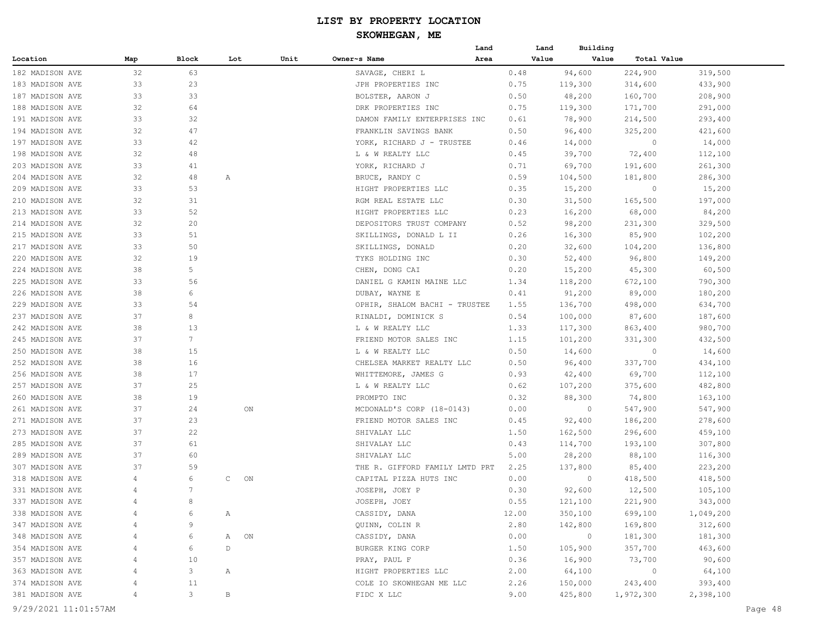|                      |     |                 |              |    |                                | Land |       | Building<br>Land |                |           |         |
|----------------------|-----|-----------------|--------------|----|--------------------------------|------|-------|------------------|----------------|-----------|---------|
| Location             | Map | Block           | Lot          |    | Unit<br>Owner~s Name           | Area |       | Value<br>Value   | Total Value    |           |         |
| 182 MADISON AVE      | 32  | 63              |              |    | SAVAGE, CHERI L                |      | 0.48  | 94,600           | 224,900        | 319,500   |         |
| 183 MADISON AVE      | 33  | 23              |              |    | JPH PROPERTIES INC             |      | 0.75  | 119,300          | 314,600        | 433,900   |         |
| 187 MADISON AVE      | 33  | 33              |              |    | BOLSTER, AARON J               |      | 0.50  | 48,200           | 160,700        | 208,900   |         |
| 188 MADISON AVE      | 32  | 64              |              |    | DRK PROPERTIES INC             |      | 0.75  | 119,300          | 171,700        | 291,000   |         |
| 191 MADISON AVE      | 33  | 32              |              |    | DAMON FAMILY ENTERPRISES INC   |      | 0.61  | 78,900           | 214,500        | 293,400   |         |
| 194 MADISON AVE      | 32  | 47              |              |    | FRANKLIN SAVINGS BANK          |      | 0.50  | 96,400           | 325,200        | 421,600   |         |
| 197 MADISON AVE      | 33  | 42              |              |    | YORK, RICHARD J - TRUSTEE      |      | 0.46  | 14,000           | $\overline{0}$ | 14,000    |         |
| 198 MADISON AVE      | 32  | 48              |              |    | L & W REALTY LLC               |      | 0.45  | 39,700           | 72,400         | 112,100   |         |
| 203 MADISON AVE      | 33  | 41              |              |    | YORK, RICHARD J                |      | 0.71  | 69,700           | 191,600        | 261,300   |         |
| 204 MADISON AVE      | 32  | 48              | Α            |    | BRUCE, RANDY C                 |      | 0.59  | 104,500          | 181,800        | 286,300   |         |
| 209 MADISON AVE      | 33  | 53              |              |    | HIGHT PROPERTIES LLC           |      | 0.35  | 15,200           | $\overline{0}$ | 15,200    |         |
| 210 MADISON AVE      | 32  | 31              |              |    | RGM REAL ESTATE LLC            |      | 0.30  | 31,500           | 165,500        | 197,000   |         |
| 213 MADISON AVE      | 33  | 52              |              |    | HIGHT PROPERTIES LLC           |      | 0.23  | 16,200           | 68,000         | 84,200    |         |
| 214 MADISON AVE      | 32  | 20              |              |    | DEPOSITORS TRUST COMPANY       |      | 0.52  | 98,200           | 231,300        | 329,500   |         |
| 215 MADISON AVE      | 33  | 51              |              |    | SKILLINGS, DONALD L II         |      | 0.26  | 16,300           | 85,900         | 102,200   |         |
| 217 MADISON AVE      | 33  | 50              |              |    | SKILLINGS, DONALD              |      | 0.20  | 32,600           | 104,200        | 136,800   |         |
| 220 MADISON AVE      | 32  | 19              |              |    | TYKS HOLDING INC               |      | 0.30  | 52,400           | 96,800         | 149,200   |         |
| 224 MADISON AVE      | 38  | 5               |              |    | CHEN, DONG CAI                 |      | 0.20  | 15,200           | 45,300         | 60,500    |         |
| 225 MADISON AVE      | 33  | 56              |              |    | DANIEL G KAMIN MAINE LLC       |      | 1.34  | 118,200          | 672,100        | 790,300   |         |
| 226 MADISON AVE      | 38  | 6               |              |    | DUBAY, WAYNE E                 |      | 0.41  | 91,200           | 89,000         | 180,200   |         |
| 229 MADISON AVE      | 33  | 54              |              |    | OPHIR, SHALOM BACHI - TRUSTEE  |      | 1.55  | 136,700          | 498,000        | 634,700   |         |
| 237 MADISON AVE      | 37  | 8               |              |    | RINALDI, DOMINICK S            |      | 0.54  | 100,000          | 87,600         | 187,600   |         |
| 242 MADISON AVE      | 38  | 13              |              |    | L & W REALTY LLC               |      | 1.33  | 117,300          | 863,400        | 980,700   |         |
| 245 MADISON AVE      | 37  | $7\phantom{.0}$ |              |    | FRIEND MOTOR SALES INC         |      | 1.15  | 101,200          | 331,300        | 432,500   |         |
| 250 MADISON AVE      | 38  | 15              |              |    | L & W REALTY LLC               |      | 0.50  | 14,600           | $\circ$        | 14,600    |         |
| 252 MADISON AVE      | 38  | 16              |              |    | CHELSEA MARKET REALTY LLC      |      | 0.50  | 96,400           | 337,700        | 434,100   |         |
| 256 MADISON AVE      | 38  | 17              |              |    | WHITTEMORE, JAMES G            |      | 0.93  | 42,400           | 69,700         | 112,100   |         |
| 257 MADISON AVE      | 37  | 25              |              |    | L & W REALTY LLC               |      | 0.62  | 107,200          | 375,600        | 482,800   |         |
| 260 MADISON AVE      | 38  | 19              |              |    | PROMPTO INC                    |      | 0.32  | 88,300           | 74,800         | 163,100   |         |
| 261 MADISON AVE      | 37  | 24              |              | ON | MCDONALD'S CORP (18-0143)      |      | 0.00  | $\circ$          | 547,900        | 547,900   |         |
| 271 MADISON AVE      | 37  | 23              |              |    | FRIEND MOTOR SALES INC         |      | 0.45  | 92,400           | 186,200        | 278,600   |         |
| 273 MADISON AVE      | 37  | 22              |              |    | SHIVALAY LLC                   |      | 1.50  | 162,500          | 296,600        | 459,100   |         |
| 285 MADISON AVE      | 37  | 61              |              |    | SHIVALAY LLC                   |      | 0.43  | 114,700          | 193,100        | 307,800   |         |
| 289 MADISON AVE      | 37  | 60              |              |    | SHIVALAY LLC                   |      | 5.00  | 28,200           | 88,100         | 116,300   |         |
| 307 MADISON AVE      | 37  | 59              |              |    | THE R. GIFFORD FAMILY LMTD PRT |      | 2.25  | 137,800          | 85,400         | 223,200   |         |
| 318 MADISON AVE      | 4   | 6               | $\mathsf{C}$ | ON | CAPITAL PIZZA HUTS INC         |      | 0.00  | $\circ$          | 418,500        | 418,500   |         |
| 331 MADISON AVE      | 4   | 7               |              |    | JOSEPH, JOEY P                 |      | 0.30  | 92,600           | 12,500         | 105,100   |         |
| 337 MADISON AVE      | 4   | 8               |              |    | JOSEPH, JOEY                   |      | 0.55  | 121,100          | 221,900        | 343,000   |         |
| 338 MADISON AVE      |     | 6               | Α            |    | CASSIDY, DANA                  |      | 12.00 | 350,100          | 699,100        | 1,049,200 |         |
| 347 MADISON AVE      |     | 9               |              |    | QUINN, COLIN R                 |      | 2.80  | 142,800          | 169,800        | 312,600   |         |
| 348 MADISON AVE      | 4   | 6               | Α            | ON | CASSIDY, DANA                  |      | 0.00  | $\circ$          | 181,300        | 181,300   |         |
| 354 MADISON AVE      | 4   | 6               | $\mathbb D$  |    | BURGER KING CORP               |      | 1.50  | 105,900          | 357,700        | 463,600   |         |
| 357 MADISON AVE      | 4   | 10              |              |    | PRAY, PAUL F                   |      | 0.36  | 16,900           | 73,700         | 90,600    |         |
| 363 MADISON AVE      |     | 3               | Α            |    | HIGHT PROPERTIES LLC           |      | 2.00  | 64,100           | $\circ$        | 64,100    |         |
| 374 MADISON AVE      |     | 11              |              |    | COLE IO SKOWHEGAN ME LLC       |      | 2.26  | 150,000          | 243,400        | 393,400   |         |
| 381 MADISON AVE      | 4   | 3               | $\, {\bf B}$ |    | FIDC X LLC                     |      | 9.00  | 425,800          | 1,972,300      | 2,398,100 |         |
| 9/29/2021 11:01:57AM |     |                 |              |    |                                |      |       |                  |                |           | Page 48 |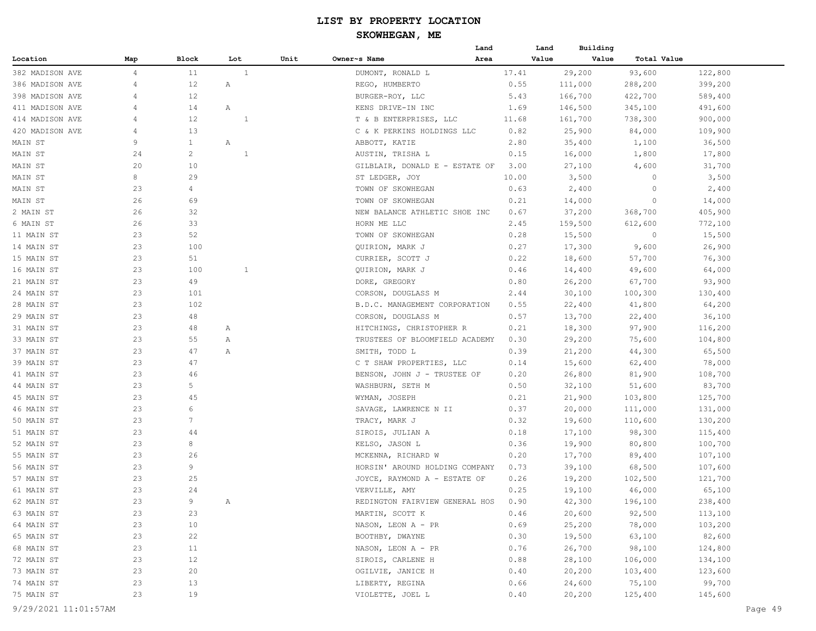#### **SKOWHEGAN, ME**

|                 |                |                |              |      |                                | Land | Land  | Building |             |         |
|-----------------|----------------|----------------|--------------|------|--------------------------------|------|-------|----------|-------------|---------|
| Location        | Map            | Block          | Lot          | Unit | Owner~s Name                   | Area | Value | Value    | Total Value |         |
| 382 MADISON AVE | $\overline{4}$ | 11             | 1            |      | DUMONT, RONALD L               |      | 17.41 | 29,200   | 93,600      | 122,800 |
| 386 MADISON AVE | 4              | 12             | Α            |      | REGO, HUMBERTO                 |      | 0.55  | 111,000  | 288,200     | 399,200 |
| 398 MADISON AVE | 4              | 12             |              |      | BURGER-ROY, LLC                |      | 5.43  | 166,700  | 422,700     | 589,400 |
| 411 MADISON AVE | $\overline{4}$ | 14             | Α            |      | KENS DRIVE-IN INC              |      | 1.69  | 146,500  | 345,100     | 491,600 |
| 414 MADISON AVE | 4              | 12             | 1            |      | T & B ENTERPRISES, LLC         |      | 11.68 | 161,700  | 738,300     | 900,000 |
| 420 MADISON AVE | $\overline{4}$ | 13             |              |      | C & K PERKINS HOLDINGS LLC     |      | 0.82  | 25,900   | 84,000      | 109,900 |
| MAIN ST         | 9              | $\mathbf{1}$   | Α            |      | ABBOTT, KATIE                  |      | 2.80  | 35,400   | 1,100       | 36,500  |
| MAIN ST         | 24             | 2              | 1            |      | AUSTIN, TRISHA L               |      | 0.15  | 16,000   | 1,800       | 17,800  |
| MAIN ST         | 20             | 10             |              |      | GILBLAIR, DONALD E - ESTATE OF |      | 3.00  | 27,100   | 4,600       | 31,700  |
| MAIN ST         | 8              | 29             |              |      | ST LEDGER, JOY                 |      | 10.00 | 3,500    | 0           | 3,500   |
| MAIN ST         | 23             | $\overline{4}$ |              |      | TOWN OF SKOWHEGAN              |      | 0.63  | 2,400    | 0           | 2,400   |
| MAIN ST         | 26             | 69             |              |      | TOWN OF SKOWHEGAN              |      | 0.21  | 14,000   | $\circ$     | 14,000  |
| 2 MAIN ST       | 26             | 32             |              |      | NEW BALANCE ATHLETIC SHOE INC  |      | 0.67  | 37,200   | 368,700     | 405,900 |
| 6 MAIN ST       | 26             | 33             |              |      | HORN ME LLC                    |      | 2.45  | 159,500  | 612,600     | 772,100 |
| 11 MAIN ST      | 23             | 52             |              |      | TOWN OF SKOWHEGAN              |      | 0.28  | 15,500   | 0           | 15,500  |
| 14 MAIN ST      | 23             | 100            |              |      | QUIRION, MARK J                |      | 0.27  | 17,300   | 9,600       | 26,900  |
| 15 MAIN ST      | 23             | 51             |              |      | CURRIER, SCOTT J               |      | 0.22  | 18,600   | 57,700      | 76,300  |
| 16 MAIN ST      | 23             | 100            | $\mathbf{1}$ |      | QUIRION, MARK J                |      | 0.46  | 14,400   | 49,600      | 64,000  |
| 21 MAIN ST      | 23             | 49             |              |      | DORE, GREGORY                  |      | 0.80  | 26,200   | 67,700      | 93,900  |
| 24 MAIN ST      | 23             | 101            |              |      | CORSON, DOUGLASS M             |      | 2.44  | 30,100   | 100,300     | 130,400 |
| 28 MAIN ST      | 23             | 102            |              |      | B.D.C. MANAGEMENT CORPORATION  |      | 0.55  | 22,400   | 41,800      | 64,200  |
| 29 MAIN ST      | 23             | 48             |              |      | CORSON, DOUGLASS M             |      | 0.57  | 13,700   | 22,400      | 36,100  |
| 31 MAIN ST      | 23             | 48             | Α            |      | HITCHINGS, CHRISTOPHER R       |      | 0.21  | 18,300   | 97,900      | 116,200 |
| 33 MAIN ST      | 23             | 55             | Α            |      | TRUSTEES OF BLOOMFIELD ACADEMY |      | 0.30  | 29,200   | 75,600      | 104,800 |
| 37 MAIN ST      | 23             | 47             | Α            |      | SMITH, TODD L                  |      | 0.39  | 21,200   | 44,300      | 65,500  |
| 39 MAIN ST      | 23             | 47             |              |      | C T SHAW PROPERTIES, LLC       |      | 0.14  | 15,600   | 62,400      | 78,000  |
| 41 MAIN ST      | 23             | 46             |              |      | BENSON, JOHN J - TRUSTEE OF    |      | 0.20  | 26,800   | 81,900      | 108,700 |
| 44 MAIN ST      | 23             | 5              |              |      | WASHBURN, SETH M               |      | 0.50  | 32,100   | 51,600      | 83,700  |
| 45 MAIN ST      | 23             | 45             |              |      | WYMAN, JOSEPH                  |      | 0.21  | 21,900   | 103,800     | 125,700 |
| 46 MAIN ST      | 23             | 6              |              |      | SAVAGE, LAWRENCE N II          |      | 0.37  | 20,000   | 111,000     | 131,000 |
| 50 MAIN ST      | 23             | 7              |              |      | TRACY, MARK J                  |      | 0.32  | 19,600   | 110,600     | 130,200 |
| 51 MAIN ST      | 23             | 44             |              |      | SIROIS, JULIAN A               |      | 0.18  | 17,100   | 98,300      | 115,400 |
| 52 MAIN ST      | 23             | 8              |              |      | KELSO, JASON L                 |      | 0.36  | 19,900   | 80,800      | 100,700 |
| 55 MAIN ST      | 23             | 26             |              |      | MCKENNA, RICHARD W             |      | 0.20  | 17,700   | 89,400      | 107,100 |
| 56 MAIN ST      | 23             | 9              |              |      | HORSIN' AROUND HOLDING COMPANY |      | 0.73  | 39,100   | 68,500      | 107,600 |
| 57 MAIN ST      | 23             | 25             |              |      | JOYCE, RAYMOND A - ESTATE OF   |      | 0.26  | 19,200   | 102,500     | 121,700 |
| 61 MAIN ST      | 23             | 24             |              |      | VERVILLE, AMY                  |      | 0.25  | 19,100   | 46,000      | 65,100  |
| 62 MAIN ST      | 23             | 9              |              |      | REDINGTON FAIRVIEW GENERAL HOS |      | 0.90  | 42,300   | 196,100     | 238,400 |
| 63 MAIN ST      | 23             | 23             |              |      | MARTIN, SCOTT K                |      | 0.46  | 20,600   | 92,500      | 113,100 |
| 64 MAIN ST      | 23             | 10             |              |      | NASON, LEON A - PR             |      | 0.69  | 25,200   | 78,000      | 103,200 |
| 65 MAIN ST      | 23             | 22             |              |      | BOOTHBY, DWAYNE                |      | 0.30  | 19,500   | 63,100      | 82,600  |
| 68 MAIN ST      | 23             | 11             |              |      | NASON, LEON A - PR             |      | 0.76  | 26,700   | 98,100      | 124,800 |
| 72 MAIN ST      | 23             | 12             |              |      | SIROIS, CARLENE H              |      | 0.88  | 28,100   | 106,000     | 134,100 |
| 73 MAIN ST      | 23             | 20             |              |      | OGILVIE, JANICE H              |      | 0.40  | 20,200   | 103,400     | 123,600 |
| 74 MAIN ST      | 23             | 13             |              |      | LIBERTY, REGINA                |      | 0.66  | 24,600   | 75,100      | 99,700  |
| 75 MAIN ST      | 23             | 19             |              |      | VIOLETTE, JOEL L               |      | 0.40  | 20,200   | 125,400     | 145,600 |
|                 |                |                |              |      |                                |      |       |          |             |         |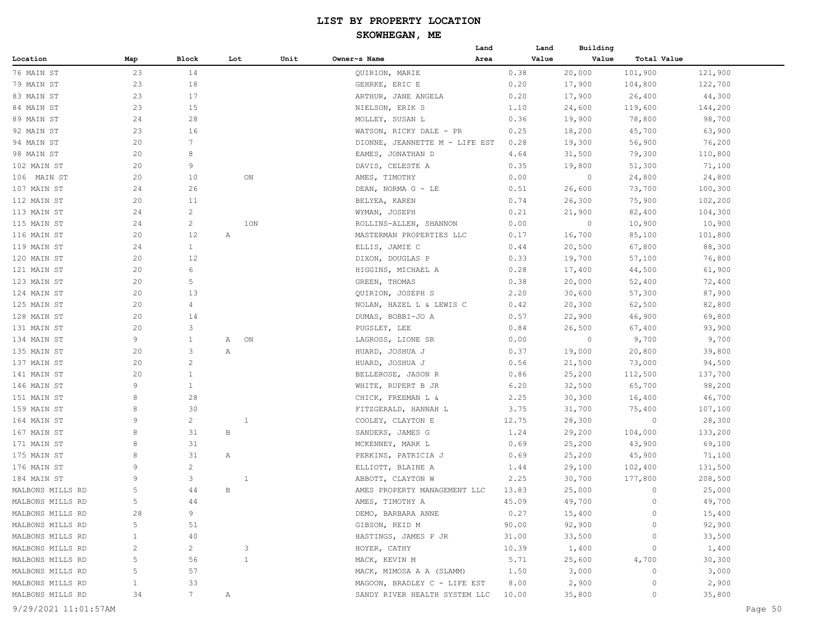|                  |              |                 |              |      |                                                   | Land | Land  | Building |                    |                   |
|------------------|--------------|-----------------|--------------|------|---------------------------------------------------|------|-------|----------|--------------------|-------------------|
| Location         | Map          | Block           | Lot          | Unit | Owner~s Name                                      | Area | Value | Value    | Total Value        |                   |
| 76 MAIN ST       | 23           | 14              |              |      | QUIRION, MARIE                                    |      | 0.38  | 20,000   | 101,900            | 121,900           |
| 79 MAIN ST       | 23           | 18              |              |      | GEHRKE, ERIC E                                    |      | 0.20  | 17,900   | 104,800            | 122,700           |
| 83 MAIN ST       | 23           | 17              |              |      | ARTHUR, JANE ANGELA                               |      | 0.20  | 17,900   | 26,400             | 44,300            |
| 84 MAIN ST       | 23           | 15              |              |      | NIELSON, ERIK S                                   |      | 1.10  | 24,600   | 119,600            | 144,200           |
| 89 MAIN ST       | 24           | 28              |              |      | MOLLEY, SUSAN L                                   |      | 0.36  | 19,900   | 78,800             | 98,700            |
| 92 MAIN ST       | 23           | 16              |              |      | WATSON, RICKY DALE - PR                           |      | 0.25  | 18,200   | 45,700             | 63,900            |
| 94 MAIN ST       | 20           | $7\phantom{.0}$ |              |      | DIONNE, JEANNETTE M - LIFE EST                    |      | 0.28  | 19,300   | 56,900             | 76,200            |
| 98 MAIN ST       | 20           | 8               |              |      | EAMES, JONATHAN D                                 |      | 4.64  | 31,500   | 79,300             | 110,800           |
| 102 MAIN ST      | 20           | 9               |              |      | DAVIS, CELESTE A                                  |      | 0.35  | 19,800   | 51,300             | 71,100            |
| 106 MAIN ST      | 20           | 10              | ON           |      | AMES, TIMOTHY                                     |      | 0.00  | $\circ$  | 24,800             | 24,800            |
| 107 MAIN ST      | 24           | 26              |              |      | DEAN, NORMA G - LE                                |      | 0.51  | 26,600   | 73,700             | 100,300           |
| 112 MAIN ST      | 20           | 11              |              |      | BELYEA, KAREN                                     |      | 0.74  | 26,300   | 75,900             | 102,200           |
| 113 MAIN ST      | 24           | $\mathbf{2}$    |              |      | WYMAN, JOSEPH                                     |      | 0.21  | 21,900   | 82,400             | 104,300           |
| 115 MAIN ST      | 24           | $\overline{c}$  | 1ON          |      | ROLLINS-ALLEN, SHANNON                            |      | 0.00  | $\circ$  | 10,900             | 10,900            |
| 116 MAIN ST      | 20           | 12              | Α            |      | MASTERMAN PROPERTIES LLC                          |      | 0.17  | 16,700   | 85,100             | 101,800           |
| 119 MAIN ST      | 24           | $\mathbf{1}$    |              |      | ELLIS, JAMIE C                                    |      | 0.44  | 20,500   | 67,800             | 88,300            |
| 120 MAIN ST      | 20           | 12              |              |      | DIXON, DOUGLAS P                                  |      | 0.33  | 19,700   | 57,100             | 76,800            |
| 121 MAIN ST      | 20           | 6               |              |      | HIGGINS, MICHAEL A                                |      | 0.28  | 17,400   | 44,500             | 61,900            |
| 123 MAIN ST      | 20           | 5               |              |      | GREEN, THOMAS                                     |      | 0.38  | 20,000   | 52,400             | 72,400            |
| 124 MAIN ST      | 20           | 13              |              |      | QUIRION, JOSEPH S                                 |      | 2.20  | 30,600   | 57,300             | 87,900            |
| 125 MAIN ST      | 20           | $\overline{4}$  |              |      | NOLAN, HAZEL L & LEWIS C                          |      | 0.42  | 20,300   | 62,500             | 82,800            |
| 128 MAIN ST      | 20           | 14              |              |      | DUMAS, BOBBI-JO A                                 |      | 0.57  | 22,900   | 46,900             | 69,800            |
| 131 MAIN ST      | 20           | 3               |              |      | PUGSLEY, LEE                                      |      | 0.84  | 26,500   | 67,400             | 93,900            |
| 134 MAIN ST      | 9            | $\mathbf{1}$    | ON<br>Α      |      | LAGROSS, LIONE SR                                 |      | 0.00  | 0        | 9,700              | 9,700             |
| 135 MAIN ST      | 20           | 3               | Α            |      | HUARD, JOSHUA J                                   |      | 0.37  | 19,000   | 20,800             | 39,800            |
| 137 MAIN ST      | 20           | 2               |              |      | HUARD, JOSHUA J                                   |      | 0.56  | 21,500   | 73,000             | 94,500            |
| 141 MAIN ST      | 20           | 1               |              |      | BELLEROSE, JASON R                                |      | 0.86  | 25,200   | 112,500            | 137,700           |
| 146 MAIN ST      | 9            | $\mathbf{1}$    |              |      | WHITE, RUPERT B JR                                |      | 6.20  | 32,500   | 65,700             | 98,200            |
| 151 MAIN ST      | 8            | 28              |              |      | CHICK, FREEMAN L &                                |      | 2.25  | 30,300   | 16,400             | 46,700            |
| 159 MAIN ST      | 8            | 30              |              |      |                                                   |      | 3.75  | 31,700   | 75,400             |                   |
|                  | 9            | $\overline{c}$  | $\mathbf{1}$ |      | FITZGERALD, HANNAH L                              |      | 12.75 |          | 0                  | 107,100           |
| 164 MAIN ST      | 8            | 31              | В            |      | COOLEY, CLAYTON E                                 |      | 1.24  | 28,300   |                    | 28,300            |
| 167 MAIN ST      | 8            | 31              |              |      | SANDERS, JAMES G                                  |      | 0.69  | 29,200   | 104,000            | 133,200<br>69,100 |
| 171 MAIN ST      | 8            | 31              | Α            |      | MCKENNEY, MARK L                                  |      |       | 25,200   | 43,900             |                   |
| 175 MAIN ST      | 9            | $\overline{c}$  |              |      | PERKINS, PATRICIA J                               |      | 0.69  | 25,200   | 45,900             | 71,100            |
| 176 MAIN ST      | 9            | 3               |              |      | ELLIOTT, BLAINE A                                 |      | 1.44  | 29,100   | 102,400            | 131,500           |
| 184 MAIN ST      | 5            | 44              | 1<br>B       |      | ABBOTT, CLAYTON W<br>AMES PROPERTY MANAGEMENT LLC |      | 2.25  | 30,700   | 177,800<br>$\circ$ | 208,500           |
| MALBONS MILLS RD |              |                 |              |      |                                                   |      | 13.83 | 25,000   | $\circ$            | 25,000            |
| MALBONS MILLS RD |              | 44              |              |      | AMES, TIMOTHY A                                   |      | 45.09 | 49,700   |                    | 49,700            |
| MALBONS MILLS RD | 28           | 9               |              |      | DEMO, BARBARA ANNE                                |      | 0.27  | 15,400   | $\circ$            | 15,400            |
| MALBONS MILLS RD | 5            | 51              |              |      | GIBSON, REID M                                    |      | 90.00 | 92,900   | 0                  | 92,900            |
| MALBONS MILLS RD | $\mathbf{1}$ | 40              |              |      | HASTINGS, JAMES P JR                              |      | 31.00 | 33,500   | 0                  | 33,500            |
| MALBONS MILLS RD | 2            | $\overline{2}$  | 3            |      | HOYER, CATHY                                      |      | 10.39 | 1,400    | 0                  | 1,400             |
| MALBONS MILLS RD | 5            | 56              | $\mathbf{1}$ |      | MACK, KEVIN M                                     |      | 5.71  | 25,600   | 4,700              | 30,300            |
| MALBONS MILLS RD | 5            | 57              |              |      | MACK, MIMOSA A A (SLAMM)                          |      | 1.50  | 3,000    | 0                  | 3,000             |
| MALBONS MILLS RD | $\mathbf{1}$ | 33              |              |      | MAGOON, BRADLEY C - LIFE EST                      |      | 8.00  | 2,900    | $\circ$            | 2,900             |
| MALBONS MILLS RD | 34           | 7               | Α            |      | SANDY RIVER HEALTH SYSTEM LLC                     |      | 10.00 | 35,800   | 0                  | 35,800            |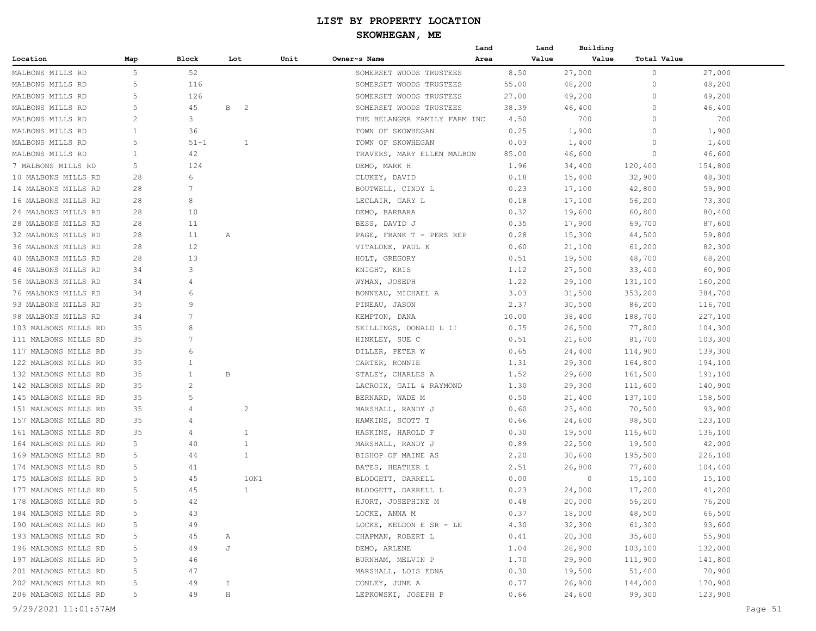|                      |                |                |                                |      |                              | Land | Land  | Building         |                   |         |
|----------------------|----------------|----------------|--------------------------------|------|------------------------------|------|-------|------------------|-------------------|---------|
| Location             | Map            | Block          | Lot                            | Unit | Owner~s Name                 | Area | Value | Value            | Total Value       |         |
| MALBONS MILLS RD     | 5              | 52             |                                |      | SOMERSET WOODS TRUSTEES      |      | 8.50  | 27,000           | 0                 | 27,000  |
| MALBONS MILLS RD     | 5              | 116            |                                |      | SOMERSET WOODS TRUSTEES      |      | 55.00 | 48,200           | 0                 | 48,200  |
| MALBONS MILLS RD     | 5              | 126            |                                |      | SOMERSET WOODS TRUSTEES      |      | 27.00 | 49,200           | 0                 | 49,200  |
| MALBONS MILLS RD     | 5              | 45             | $\mathbf{B}$<br>$\overline{2}$ |      | SOMERSET WOODS TRUSTEES      |      | 38.39 | 46,400           | 0                 | 46,400  |
| MALBONS MILLS RD     | 2              | 3              |                                |      | THE BELANGER FAMILY FARM INC |      | 4.50  | 700              | 0                 | 700     |
| MALBONS MILLS RD     | $\mathbf{1}$   | 36             |                                |      | TOWN OF SKOWHEGAN            |      | 0.25  | 1,900            | $\Omega$          | 1,900   |
| MALBONS MILLS RD     | 5              | $51 - 1$       | $\mathbf{1}$                   |      | TOWN OF SKOWHEGAN            |      | 0.03  | 1,400            | $\Omega$          | 1,400   |
| MALBONS MILLS RD     | 1              | 42             |                                |      | TRAVERS, MARY ELLEN MALBON   |      | 85.00 | 46,600           | 0                 | 46,600  |
| 7 MALBONS MILLS RD   | 5              | 124            |                                |      | DEMO, MARK H                 |      | 1.96  | 34,400           | 120,400           | 154,800 |
| 10 MALBONS MILLS RD  | 28             | 6              |                                |      | CLUKEY, DAVID                |      | 0.18  | 15,400           | 32,900            | 48,300  |
| 14 MALBONS MILLS RD  | 28             | 7              |                                |      | BOUTWELL, CINDY L            |      | 0.23  | 17,100           | 42,800            | 59,900  |
| 16 MALBONS MILLS RD  | 28             | 8              |                                |      | LECLAIR, GARY L              |      | 0.18  | 17,100           | 56,200            | 73,300  |
| 24 MALBONS MILLS RD  | 28             | 10             |                                |      | DEMO, BARBARA                |      | 0.32  | 19,600           | 60,800            | 80,400  |
| 28 MALBONS MILLS RD  | 28             | 11             |                                |      | BESS, DAVID J                |      | 0.35  | 17,900           | 69,700            | 87,600  |
| 32 MALBONS MILLS RD  | 28             | 11             | Α                              |      | PAGE, FRANK T - PERS REP     |      | 0.28  | 15,300           | 44,500            | 59,800  |
| 36 MALBONS MILLS RD  | 28             | 12             |                                |      | VITALONE, PAUL K             |      | 0.60  | 21,100           | 61,200            | 82,300  |
| 40 MALBONS MILLS RD  | 28             | 13             |                                |      | HOLT, GREGORY                |      | 0.51  | 19,500           | 48,700            | 68,200  |
| 46 MALBONS MILLS RD  | 34             | 3              |                                |      | KNIGHT, KRIS                 |      | 1.12  | 27,500           | 33,400            | 60,900  |
| 56 MALBONS MILLS RD  | 34             | $\overline{4}$ |                                |      | WYMAN, JOSEPH                |      | 1.22  | 29,100           | 131,100           | 160,200 |
| 76 MALBONS MILLS RD  | 34             | 6              |                                |      | BONNEAU, MICHAEL A           |      | 3.03  | 31,500           | 353,200           | 384,700 |
| 93 MALBONS MILLS RD  | 35             | 9              |                                |      | PINEAU, JASON                |      | 2.37  | 30,500           | 86,200            | 116,700 |
| 98 MALBONS MILLS RD  | 34             | 7              |                                |      | KEMPTON, DANA                |      | 10.00 | 38,400           | 188,700           | 227,100 |
| 103 MALBONS MILLS RD | 35             | 8              |                                |      | SKILLINGS, DONALD L II       |      | 0.75  | 26,500           | 77,800            | 104,300 |
| 111 MALBONS MILLS RD | 35             | $\overline{7}$ |                                |      | HINKLEY, SUE C               |      | 0.51  | 21,600           | 81,700            | 103,300 |
| 117 MALBONS MILLS RD | 35             | 6              |                                |      | DILLER, PETER W              |      | 0.65  | 24,400           | 114,900           | 139,300 |
| 122 MALBONS MILLS RD | 35             | 1              |                                |      | CARTER, RONNIE               |      | 1.31  | 29,300           | 164,800           | 194,100 |
| 132 MALBONS MILLS RD | 35             | 1              | В                              |      | STALEY, CHARLES A            |      | 1.52  | 29,600           | 161,500           | 191,100 |
| 142 MALBONS MILLS RD | 35             | 2              |                                |      | LACROIX, GAIL & RAYMOND      |      | 1.30  | 29,300           | 111,600           | 140,900 |
| 145 MALBONS MILLS RD | 35             | 5              |                                |      | BERNARD, WADE M              |      | 0.50  |                  |                   | 158,500 |
| 151 MALBONS MILLS RD | 35             | 4              | 2                              |      |                              |      | 0.60  | 21,400<br>23,400 | 137,100<br>70,500 | 93,900  |
| 157 MALBONS MILLS RD | 35             | 4              |                                |      | MARSHALL, RANDY J            |      | 0.66  |                  |                   |         |
|                      |                |                |                                |      | HAWKINS, SCOTT T             |      |       | 24,600           | 98,500            | 123,100 |
| 161 MALBONS MILLS RD | 35<br>5        | 4<br>40        | $\mathbf{1}$<br>$\mathbf{1}$   |      | HASKINS, HAROLD F            |      | 0.30  | 19,500           | 116,600           | 136,100 |
| 164 MALBONS MILLS RD | 5              |                | $\mathbf{1}$                   |      | MARSHALL, RANDY J            |      | 0.89  | 22,500           | 19,500            | 42,000  |
| 169 MALBONS MILLS RD | 5              | 44             |                                |      | BISHOP OF MAINE AS           |      | 2.20  | 30,600           | 195,500           | 226,100 |
| 174 MALBONS MILLS RD | 5              | 41             |                                |      | BATES, HEATHER L             |      | 2.51  | 26,800           | 77,600            | 104,400 |
| 175 MALBONS MILLS RD | 5              | 45<br>45       | 10N1<br>$\mathbf{1}$           |      | BLODGETT, DARRELL            |      | 0.00  | $\circ$          | 15,100            | 15,100  |
| 177 MALBONS MILLS RD | $\overline{a}$ |                |                                |      | BLODGETT, DARRELL L          |      | 0.23  | 24,000           | 17,200            | 41,200  |
| 178 MALBONS MILLS RD |                | 42             |                                |      | HJORT, JOSEPHINE M           |      | 0.48  | 20,000           | 56,200            | 76,200  |
| 184 MALBONS MILLS RD | 5              | 43             |                                |      | LOCKE, ANNA M                |      | 0.37  | 18,000           | 48,500            | 66,500  |
| 190 MALBONS MILLS RD | 5              | 49             |                                |      | LOCKE, KELDON E SR - LE      |      | 4.30  | 32,300           | 61,300            | 93,600  |
| 193 MALBONS MILLS RD | 5              | 45             | Α                              |      | CHAPMAN, ROBERT L            |      | 0.41  | 20,300           | 35,600            | 55,900  |
| 196 MALBONS MILLS RD | 5              | 49             | J                              |      | DEMO, ARLENE                 |      | 1.04  | 28,900           | 103,100           | 132,000 |
| 197 MALBONS MILLS RD | 5              | 46             |                                |      | BURNHAM, MELVIN P            |      | 1.70  | 29,900           | 111,900           | 141,800 |
| 201 MALBONS MILLS RD | 5              | 47             |                                |      | MARSHALL, LOIS EDNA          |      | 0.30  | 19,500           | 51,400            | 70,900  |
| 202 MALBONS MILLS RD | 5              | 49             | $\mathbbm{1}$                  |      | CONLEY, JUNE A               |      | 0.77  | 26,900           | 144,000           | 170,900 |
| 206 MALBONS MILLS RD | 5              | 49             | H                              |      | LEPKOWSKI, JOSEPH P          |      | 0.66  | 24,600           | 99,300            | 123,900 |
| 9/29/2021 11:01:57AM |                |                |                                |      |                              |      |       |                  |                   | Page 51 |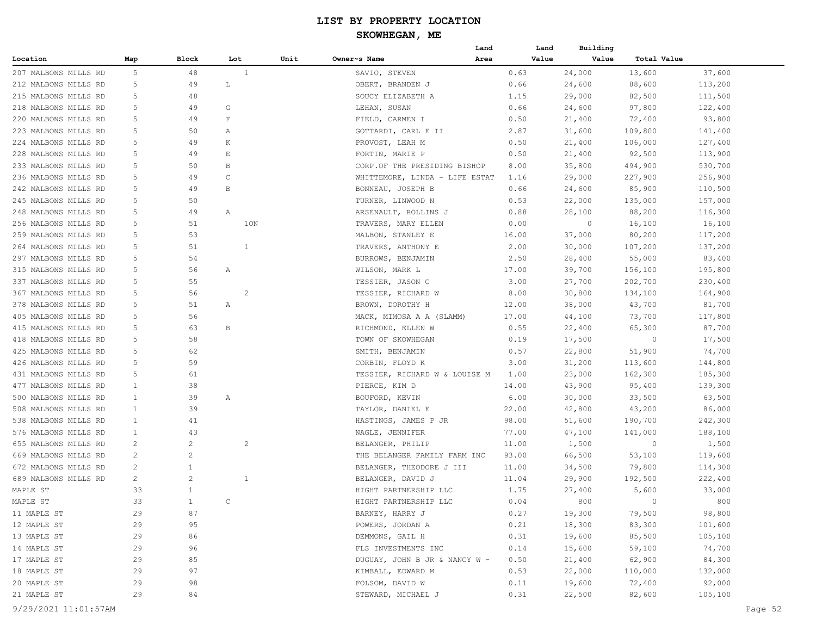|                            |                |                |                          |      | Land                                 |              | Land  | Building         |                |                   |
|----------------------------|----------------|----------------|--------------------------|------|--------------------------------------|--------------|-------|------------------|----------------|-------------------|
| Location                   | Map            | Block          | Lot                      | Unit | Owner~s Name<br>Area                 |              | Value | Value            | Total Value    |                   |
| 207 MALBONS MILLS RD       | 5              | 48             | $\mathbf{1}$             |      | SAVIO, STEVEN                        | 0.63         |       | 24,000           | 13,600         | 37,600            |
| 212 MALBONS MILLS RD       | 5              | 49             | L                        |      | OBERT, BRANDEN J                     | 0.66         |       | 24,600           | 88,600         | 113,200           |
| 215 MALBONS MILLS RD       | 5              | 48             |                          |      | SOUCY ELIZABETH A                    | 1.15         |       | 29,000           | 82,500         | 111,500           |
| 218 MALBONS MILLS RD       | 5              | 49             | G                        |      | LEHAN, SUSAN                         | 0.66         |       | 24,600           | 97,800         | 122,400           |
| 220 MALBONS MILLS RD       | 5              | 49             | F                        |      | FIELD, CARMEN I                      | 0.50         |       | 21,400           | 72,400         | 93,800            |
| 223 MALBONS MILLS RD       | 5              | 50             | Α                        |      | GOTTARDI, CARL E II                  | 2.87         |       | 31,600           | 109,800        | 141,400           |
| 224 MALBONS MILLS RD       | 5              | 49             | Κ                        |      | PROVOST, LEAH M                      | 0.50         |       | 21,400           | 106,000        | 127,400           |
| 228 MALBONS MILLS RD       | 5              | 49             | $\mathop{}\mathopen{} E$ |      | FORTIN, MARIE P                      | 0.50         |       | 21,400           | 92,500         | 113,900           |
| 233 MALBONS MILLS RD       | 5              | 50             | B                        |      | CORP.OF THE PRESIDING BISHOP         | 8.00         |       | 35,800           | 494,900        | 530,700           |
| 236 MALBONS MILLS RD       | 5              | 49             | $\mathsf{C}$             |      | WHITTEMORE, LINDA - LIFE ESTAT       | 1.16         |       | 29,000           | 227,900        | 256,900           |
| 242 MALBONS MILLS RD       | 5              | 49             | B                        |      | BONNEAU, JOSEPH B                    | 0.66         |       | 24,600           | 85,900         | 110,500           |
| 245 MALBONS MILLS RD       | 5              | 50             |                          |      | TURNER, LINWOOD N                    | 0.53         |       | 22,000           | 135,000        | 157,000           |
| 248 MALBONS MILLS RD       | 5              | 49             | Α                        |      | ARSENAULT, ROLLINS J                 | 0.88         |       | 28,100           | 88,200         | 116,300           |
| 256 MALBONS MILLS RD       | 5              | 51             | 10N                      |      | TRAVERS, MARY ELLEN                  | 0.00         |       | $\circ$          | 16,100         | 16,100            |
| 259 MALBONS MILLS RD       | 5              | 53             |                          |      | MALBON, STANLEY E                    | 16.00        |       | 37,000           | 80,200         | 117,200           |
| 264 MALBONS MILLS RD       | 5              | 51             | 1                        |      | TRAVERS, ANTHONY E                   | 2.00         |       | 30,000           | 107,200        | 137,200           |
| 297 MALBONS MILLS RD       | 5              | 54             |                          |      | BURROWS, BENJAMIN                    | 2.50         |       | 28,400           | 55,000         | 83,400            |
| 315 MALBONS MILLS RD       | 5              | 56             | Α                        |      | WILSON, MARK L                       | 17.00        |       | 39,700           | 156,100        | 195,800           |
| 337 MALBONS MILLS RD       | 5              | 55             |                          |      | TESSIER, JASON C                     | 3.00         |       | 27,700           | 202,700        | 230,400           |
| 367 MALBONS MILLS RD       | 5              | 56             | $\overline{c}$           |      | TESSIER, RICHARD W                   | 8.00         |       | 30,800           | 134,100        | 164,900           |
| 378 MALBONS MILLS RD       | 5              | 51             | Α                        |      | BROWN, DOROTHY H                     | 12.00        |       | 38,000           | 43,700         | 81,700            |
| 405 MALBONS MILLS RD       | 5              | 56             |                          |      | MACK, MIMOSA A A (SLAMM)             | 17.00        |       | 44,100           | 73,700         | 117,800           |
| 415 MALBONS MILLS RD       | 5              | 63             | В                        |      | RICHMOND, ELLEN W                    | 0.55         |       | 22,400           | 65,300         | 87,700            |
| 418 MALBONS MILLS RD       | 5              | 58             |                          |      | TOWN OF SKOWHEGAN                    | 0.19         |       | 17,500           | 0              | 17,500            |
| 425 MALBONS MILLS RD       | 5              | 62             |                          |      | SMITH, BENJAMIN                      | 0.57         |       | 22,800           | 51,900         | 74,700            |
| 426 MALBONS MILLS RD       | 5              | 59             |                          |      | CORBIN, FLOYD K                      | 3.00         |       | 31,200           | 113,600        | 144,800           |
| 431 MALBONS MILLS RD       | 5              | 61             |                          |      | TESSIER, RICHARD W & LOUISE M        | 1.00         |       | 23,000           | 162,300        | 185,300           |
| 477 MALBONS MILLS RD       | $\mathbf{1}$   | 38             |                          |      | PIERCE, KIM D                        | 14.00        |       | 43,900           | 95,400         | 139,300           |
| 500 MALBONS MILLS RD       | $\mathbf{1}$   | 39             | Α                        |      | BOUFORD, KEVIN                       | 6.00         |       | 30,000           | 33,500         | 63,500            |
| 508 MALBONS MILLS RD       | $\mathbf{1}$   | 39             |                          |      | TAYLOR, DANIEL E                     | 22.00        |       | 42,800           | 43,200         | 86,000            |
| 538 MALBONS MILLS RD       | 1              | 41             |                          |      | HASTINGS, JAMES P JR                 | 98.00        |       | 51,600           | 190,700        | 242,300           |
| 576 MALBONS MILLS RD       | 1              | 43             |                          |      | NAGLE, JENNIFER                      | 77.00        |       | 47,100           | 141,000        | 188,100           |
| 655 MALBONS MILLS RD       | 2              | 2              | 2                        |      | BELANGER, PHILIP                     | 11.00        |       | 1,500            | $\circ$        | 1,500             |
| 669 MALBONS MILLS RD       | 2              | 2              |                          |      | THE BELANGER FAMILY FARM INC         | 93.00        |       | 66,500           | 53,100         | 119,600           |
| 672 MALBONS MILLS RD       | $\overline{c}$ | 1              |                          |      | BELANGER, THEODORE J III             | 11.00        |       | 34,500           | 79,800         | 114,300           |
| 689 MALBONS MILLS RD       | $\overline{c}$ | $\overline{2}$ | 1                        |      | BELANGER, DAVID J                    | 11.04        |       | 29,900           | 192,500        | 222,400           |
| MAPLE ST                   | 33             | $\mathbf{1}$   |                          |      | HIGHT PARTNERSHIP LLC                | 1.75         |       | 27,400           | 5,600          | 33,000            |
| MAPLE ST                   | 33             | $\mathbf{1}$   | $\cap$                   |      | HIGHT PARTNERSHIP LLC                | 0.04         |       | 800              | $\overline{0}$ | 800               |
| 11 MAPLE ST                | 29             | 87             |                          |      | BARNEY, HARRY J                      | 0.27         |       |                  | 79,500         | 98,800            |
| 12 MAPLE ST                | 29             | 95             |                          |      | POWERS, JORDAN A                     | 0.21         |       | 19,300<br>18,300 | 83,300         | 101,600           |
| 13 MAPLE ST                | 29             | 86             |                          |      | DEMMONS, GAIL H                      | 0.31         |       | 19,600           | 85,500         | 105,100           |
| 14 MAPLE ST                | 29             | 96             |                          |      | FLS INVESTMENTS INC                  | 0.14         |       | 15,600           | 59,100         | 74,700            |
| 17 MAPLE ST                | 29             | 85             |                          |      |                                      | 0.50         |       |                  |                | 84,300            |
|                            | 29             | 97             |                          |      | DUGUAY, JOHN B JR & NANCY W -        |              |       | 21,400           | 62,900         |                   |
| 18 MAPLE ST<br>20 MAPLE ST | 29             | 98             |                          |      | KIMBALL, EDWARD M<br>FOLSOM, DAVID W | 0.53<br>0.11 |       | 22,000<br>19,600 | 110,000        | 132,000<br>92,000 |
| 21 MAPLE ST                | 29             | 84             |                          |      |                                      |              |       |                  | 72,400         |                   |
|                            |                |                |                          |      | STEWARD, MICHAEL J                   | 0.31         |       | 22,500           | 82,600         | 105,100           |
| 9/29/2021 11:01:57AM       |                |                |                          |      |                                      |              |       |                  |                | Page 52           |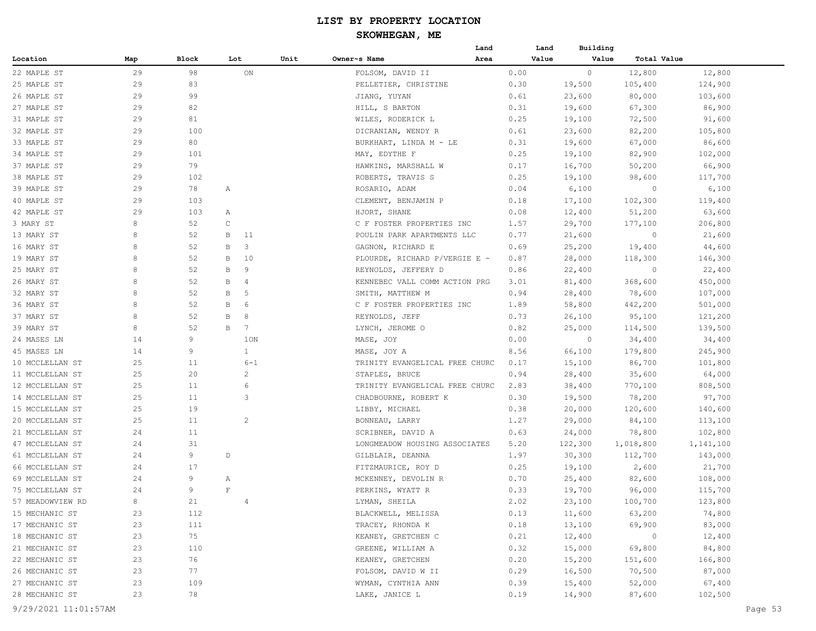| Map<br>Block<br>Lot<br>Unit<br>Owner~s Name<br>Area<br>Value<br>Value<br>Total Value<br>Location<br>29<br>98<br>$_{\rm ON}$<br>$\circ$<br>12,800<br>12,800<br>22 MAPLE ST<br>FOLSOM, DAVID II<br>0.00<br>29<br>83<br>25 MAPLE ST<br>PELLETIER, CHRISTINE<br>0.30<br>19,500<br>105,400<br>124,900<br>26 MAPLE ST<br>29<br>99<br>JIANG, YUYAN<br>0.61<br>23,600<br>80,000<br>103,600<br>29<br>82<br>86,900<br>27 MAPLE ST<br>HILL, S BARTON<br>0.31<br>19,600<br>67,300<br>31 MAPLE ST<br>29<br>81<br>0.25<br>19,100<br>72,500<br>91,600<br>WILES, RODERICK L<br>29<br>100<br>105,800<br>32 MAPLE ST<br>0.61<br>23,600<br>82,200<br>DICRANIAN, WENDY R<br>86,600<br>33 MAPLE ST<br>29<br>80<br>BURKHART, LINDA M - LE<br>0.31<br>19,600<br>67,000<br>29<br>101<br>102,000<br>34 MAPLE ST<br>MAY, EDYTHE F<br>0.25<br>19,100<br>82,900<br>79<br>37 MAPLE ST<br>29<br>0.17<br>16,700<br>50,200<br>66,900<br>HAWKINS, MARSHALL W<br>29<br>102<br>ROBERTS, TRAVIS S<br>0.25<br>19,100<br>117,700<br>38 MAPLE ST<br>98,600<br>39 MAPLE ST<br>29<br>78<br>0.04<br>6,100<br>6,100<br>Α<br>ROSARIO, ADAM<br>$\circ$<br>29<br>103<br>102,300<br>40 MAPLE ST<br>CLEMENT, BENJAMIN P<br>0.18<br>17,100<br>119,400<br>42 MAPLE ST<br>29<br>103<br>0.08<br>12,400<br>51,200<br>63,600<br>HJORT, SHANE<br>Α<br>8<br>3 MARY ST<br>52<br>$\mathsf{C}$<br>1.57<br>29,700<br>177,100<br>206,800<br>C F FOSTER PROPERTIES INC<br>13 MARY ST<br>8<br>52<br>POULIN PARK APARTMENTS LLC<br>0.77<br>21,600<br>21,600<br>В<br>11<br>0<br>8<br>3<br>44,600<br>16 MARY ST<br>52<br>B<br>GAGNON, RICHARD E<br>0.69<br>25,200<br>19,400<br>8<br>52<br>10<br>PLOURDE, RICHARD P/VERGIE E -<br>28,000<br>118,300<br>146,300<br>19 MARY ST<br>В<br>0.87<br>8<br>52<br>9<br>22,400<br>22,400<br>25 MARY ST<br>В<br>REYNOLDS, JEFFERY D<br>0.86<br>0<br>8<br>26 MARY ST<br>52<br>$\overline{4}$<br>KENNEBEC VALL COMM ACTION PRG<br>368,600<br>450,000<br>В<br>3.01<br>81,400<br>8<br>52<br>5<br>32 MARY ST<br>B<br>SMITH, MATTHEW M<br>0.94<br>78,600<br>107,000<br>28,400<br>36 MARY ST<br>8<br>52<br>6<br>C F FOSTER PROPERTIES INC<br>1.89<br>58,800<br>442,200<br>501,000<br>В<br>8<br>52<br>37 MARY ST<br>8<br>REYNOLDS, JEFF<br>0.73<br>26,100<br>95,100<br>121,200<br>В<br>39 MARY ST<br>8<br>52<br>7<br>LYNCH, JEROME O<br>0.82<br>25,000<br>114,500<br>139,500<br>В<br>9<br>24 MASES LN<br>14<br>1ON<br>MASE, JOY<br>0.00<br>$\circ$<br>34,400<br>34,400<br>45 MASES LN<br>14<br>9<br>$\mathbf{1}$<br>8.56<br>66,100<br>179,800<br>245,900<br>MASE, JOY A<br>25<br>10 MCCLELLAN ST<br>11<br>$6 - 1$<br>15,100<br>86,700<br>101,800<br>TRINITY EVANGELICAL FREE CHURC<br>0.17<br>$\overline{c}$<br>11 MCCLELLAN ST<br>25<br>20<br>0.94<br>64,000<br>STAPLES, BRUCE<br>28,400<br>35,600<br>25<br>6<br>12 MCCLELLAN ST<br>11<br>TRINITY EVANGELICAL FREE CHURC<br>2.83<br>770,100<br>808,500<br>38,400<br>3<br>14 MCCLELLAN ST<br>25<br>11<br>0.30<br>19,500<br>78,200<br>97,700<br>CHADBOURNE, ROBERT K<br>15 MCCLELLAN ST<br>25<br>19<br>0.38<br>20,000<br>120,600<br>140,600<br>LIBBY, MICHAEL<br>$\overline{c}$<br>20 MCCLELLAN ST<br>25<br>11<br>1.27<br>29,000<br>84,100<br>113,100<br>BONNEAU, LARRY<br>21 MCCLELLAN ST<br>24<br>11<br>0.63<br>24,000<br>78,800<br>102,800<br>SCRIBNER, DAVID A<br>47 MCCLELLAN ST<br>24<br>31<br>5.20<br>122,300<br>1,018,800<br>1,141,100<br>LONGMEADOW HOUSING ASSOCIATES<br>9<br>61 MCCLELLAN ST<br>24<br>D<br>1.97<br>30,300<br>112,700<br>GILBLAIR, DEANNA<br>143,000<br>17<br>66 MCCLELLAN ST<br>24<br>FITZMAURICE, ROY D<br>19,100<br>2,600<br>21,700<br>0.25<br>9<br>69 MCCLELLAN ST<br>24<br>0.70<br>82,600<br>108,000<br>Α<br>MCKENNEY, DEVOLIN R<br>25,400<br>9<br>$\mathbf F$<br>75 MCCLELLAN ST<br>24<br>PERKINS, WYATT R<br>0.33<br>19,700<br>96,000<br>115,700<br>LYMAN, SHEILA<br>2.02<br>123,800<br>57 MEADOWVIEW RD<br>8<br>21<br>23,100<br>100,700<br>$\overline{4}$<br>74,800<br>15 MECHANIC ST<br>BLACKWELL, MELISSA<br>0.13<br>11,600<br>63,200<br>23<br>112<br>83,000<br>17 MECHANIC ST<br>TRACEY, RHONDA K<br>13,100<br>69,900<br>23<br>111<br>0.18<br>18 MECHANIC ST<br>75<br>12,400<br>$\overline{0}$<br>12,400<br>23<br>KEANEY, GRETCHEN C<br>0.21<br>21 MECHANIC ST<br>23<br>0.32<br>84,800<br>110<br>GREENE, WILLIAM A<br>15,000<br>69,800<br>22 MECHANIC ST<br>0.20<br>23<br>76<br>KEANEY, GRETCHEN<br>15,200<br>151,600<br>166,800<br>26 MECHANIC ST<br>23<br>77<br>0.29<br>16,500<br>70,500<br>87,000<br>FOLSOM, DAVID W II<br>23<br>109<br>0.39<br>15,400<br>52,000<br>67,400<br>27 MECHANIC ST<br>WYMAN, CYNTHIA ANN<br>28 MECHANIC ST<br>23<br>78<br>0.19<br>14,900<br>87,600<br>102,500<br>LAKE, JANICE L<br>9/29/2021 11:01:57AM |  |  |  | Land | Land | Building |  |  |
|-----------------------------------------------------------------------------------------------------------------------------------------------------------------------------------------------------------------------------------------------------------------------------------------------------------------------------------------------------------------------------------------------------------------------------------------------------------------------------------------------------------------------------------------------------------------------------------------------------------------------------------------------------------------------------------------------------------------------------------------------------------------------------------------------------------------------------------------------------------------------------------------------------------------------------------------------------------------------------------------------------------------------------------------------------------------------------------------------------------------------------------------------------------------------------------------------------------------------------------------------------------------------------------------------------------------------------------------------------------------------------------------------------------------------------------------------------------------------------------------------------------------------------------------------------------------------------------------------------------------------------------------------------------------------------------------------------------------------------------------------------------------------------------------------------------------------------------------------------------------------------------------------------------------------------------------------------------------------------------------------------------------------------------------------------------------------------------------------------------------------------------------------------------------------------------------------------------------------------------------------------------------------------------------------------------------------------------------------------------------------------------------------------------------------------------------------------------------------------------------------------------------------------------------------------------------------------------------------------------------------------------------------------------------------------------------------------------------------------------------------------------------------------------------------------------------------------------------------------------------------------------------------------------------------------------------------------------------------------------------------------------------------------------------------------------------------------------------------------------------------------------------------------------------------------------------------------------------------------------------------------------------------------------------------------------------------------------------------------------------------------------------------------------------------------------------------------------------------------------------------------------------------------------------------------------------------------------------------------------------------------------------------------------------------------------------------------------------------------------------------------------------------------------------------------------------------------------------------------------------------------------------------------------------------------------------------------------------------------------------------------------------------------------------------------------------------------------------------------------------------------------------------------------------------------------------------------------------------------------------------------------------------------------------------------------------------------------------------------------------------------------------------------------------------------------------------------------------------------------------------------------------------------------------------------------------------------------------------------------------------------------------------------------------------------------|--|--|--|------|------|----------|--|--|
|                                                                                                                                                                                                                                                                                                                                                                                                                                                                                                                                                                                                                                                                                                                                                                                                                                                                                                                                                                                                                                                                                                                                                                                                                                                                                                                                                                                                                                                                                                                                                                                                                                                                                                                                                                                                                                                                                                                                                                                                                                                                                                                                                                                                                                                                                                                                                                                                                                                                                                                                                                                                                                                                                                                                                                                                                                                                                                                                                                                                                                                                                                                                                                                                                                                                                                                                                                                                                                                                                                                                                                                                                                                                                                                                                                                                                                                                                                                                                                                                                                                                                                                                                                                                                                                                                                                                                                                                                                                                                                                                                                                                                                                                                   |  |  |  |      |      |          |  |  |
|                                                                                                                                                                                                                                                                                                                                                                                                                                                                                                                                                                                                                                                                                                                                                                                                                                                                                                                                                                                                                                                                                                                                                                                                                                                                                                                                                                                                                                                                                                                                                                                                                                                                                                                                                                                                                                                                                                                                                                                                                                                                                                                                                                                                                                                                                                                                                                                                                                                                                                                                                                                                                                                                                                                                                                                                                                                                                                                                                                                                                                                                                                                                                                                                                                                                                                                                                                                                                                                                                                                                                                                                                                                                                                                                                                                                                                                                                                                                                                                                                                                                                                                                                                                                                                                                                                                                                                                                                                                                                                                                                                                                                                                                                   |  |  |  |      |      |          |  |  |
|                                                                                                                                                                                                                                                                                                                                                                                                                                                                                                                                                                                                                                                                                                                                                                                                                                                                                                                                                                                                                                                                                                                                                                                                                                                                                                                                                                                                                                                                                                                                                                                                                                                                                                                                                                                                                                                                                                                                                                                                                                                                                                                                                                                                                                                                                                                                                                                                                                                                                                                                                                                                                                                                                                                                                                                                                                                                                                                                                                                                                                                                                                                                                                                                                                                                                                                                                                                                                                                                                                                                                                                                                                                                                                                                                                                                                                                                                                                                                                                                                                                                                                                                                                                                                                                                                                                                                                                                                                                                                                                                                                                                                                                                                   |  |  |  |      |      |          |  |  |
|                                                                                                                                                                                                                                                                                                                                                                                                                                                                                                                                                                                                                                                                                                                                                                                                                                                                                                                                                                                                                                                                                                                                                                                                                                                                                                                                                                                                                                                                                                                                                                                                                                                                                                                                                                                                                                                                                                                                                                                                                                                                                                                                                                                                                                                                                                                                                                                                                                                                                                                                                                                                                                                                                                                                                                                                                                                                                                                                                                                                                                                                                                                                                                                                                                                                                                                                                                                                                                                                                                                                                                                                                                                                                                                                                                                                                                                                                                                                                                                                                                                                                                                                                                                                                                                                                                                                                                                                                                                                                                                                                                                                                                                                                   |  |  |  |      |      |          |  |  |
|                                                                                                                                                                                                                                                                                                                                                                                                                                                                                                                                                                                                                                                                                                                                                                                                                                                                                                                                                                                                                                                                                                                                                                                                                                                                                                                                                                                                                                                                                                                                                                                                                                                                                                                                                                                                                                                                                                                                                                                                                                                                                                                                                                                                                                                                                                                                                                                                                                                                                                                                                                                                                                                                                                                                                                                                                                                                                                                                                                                                                                                                                                                                                                                                                                                                                                                                                                                                                                                                                                                                                                                                                                                                                                                                                                                                                                                                                                                                                                                                                                                                                                                                                                                                                                                                                                                                                                                                                                                                                                                                                                                                                                                                                   |  |  |  |      |      |          |  |  |
|                                                                                                                                                                                                                                                                                                                                                                                                                                                                                                                                                                                                                                                                                                                                                                                                                                                                                                                                                                                                                                                                                                                                                                                                                                                                                                                                                                                                                                                                                                                                                                                                                                                                                                                                                                                                                                                                                                                                                                                                                                                                                                                                                                                                                                                                                                                                                                                                                                                                                                                                                                                                                                                                                                                                                                                                                                                                                                                                                                                                                                                                                                                                                                                                                                                                                                                                                                                                                                                                                                                                                                                                                                                                                                                                                                                                                                                                                                                                                                                                                                                                                                                                                                                                                                                                                                                                                                                                                                                                                                                                                                                                                                                                                   |  |  |  |      |      |          |  |  |
|                                                                                                                                                                                                                                                                                                                                                                                                                                                                                                                                                                                                                                                                                                                                                                                                                                                                                                                                                                                                                                                                                                                                                                                                                                                                                                                                                                                                                                                                                                                                                                                                                                                                                                                                                                                                                                                                                                                                                                                                                                                                                                                                                                                                                                                                                                                                                                                                                                                                                                                                                                                                                                                                                                                                                                                                                                                                                                                                                                                                                                                                                                                                                                                                                                                                                                                                                                                                                                                                                                                                                                                                                                                                                                                                                                                                                                                                                                                                                                                                                                                                                                                                                                                                                                                                                                                                                                                                                                                                                                                                                                                                                                                                                   |  |  |  |      |      |          |  |  |
|                                                                                                                                                                                                                                                                                                                                                                                                                                                                                                                                                                                                                                                                                                                                                                                                                                                                                                                                                                                                                                                                                                                                                                                                                                                                                                                                                                                                                                                                                                                                                                                                                                                                                                                                                                                                                                                                                                                                                                                                                                                                                                                                                                                                                                                                                                                                                                                                                                                                                                                                                                                                                                                                                                                                                                                                                                                                                                                                                                                                                                                                                                                                                                                                                                                                                                                                                                                                                                                                                                                                                                                                                                                                                                                                                                                                                                                                                                                                                                                                                                                                                                                                                                                                                                                                                                                                                                                                                                                                                                                                                                                                                                                                                   |  |  |  |      |      |          |  |  |
|                                                                                                                                                                                                                                                                                                                                                                                                                                                                                                                                                                                                                                                                                                                                                                                                                                                                                                                                                                                                                                                                                                                                                                                                                                                                                                                                                                                                                                                                                                                                                                                                                                                                                                                                                                                                                                                                                                                                                                                                                                                                                                                                                                                                                                                                                                                                                                                                                                                                                                                                                                                                                                                                                                                                                                                                                                                                                                                                                                                                                                                                                                                                                                                                                                                                                                                                                                                                                                                                                                                                                                                                                                                                                                                                                                                                                                                                                                                                                                                                                                                                                                                                                                                                                                                                                                                                                                                                                                                                                                                                                                                                                                                                                   |  |  |  |      |      |          |  |  |
|                                                                                                                                                                                                                                                                                                                                                                                                                                                                                                                                                                                                                                                                                                                                                                                                                                                                                                                                                                                                                                                                                                                                                                                                                                                                                                                                                                                                                                                                                                                                                                                                                                                                                                                                                                                                                                                                                                                                                                                                                                                                                                                                                                                                                                                                                                                                                                                                                                                                                                                                                                                                                                                                                                                                                                                                                                                                                                                                                                                                                                                                                                                                                                                                                                                                                                                                                                                                                                                                                                                                                                                                                                                                                                                                                                                                                                                                                                                                                                                                                                                                                                                                                                                                                                                                                                                                                                                                                                                                                                                                                                                                                                                                                   |  |  |  |      |      |          |  |  |
|                                                                                                                                                                                                                                                                                                                                                                                                                                                                                                                                                                                                                                                                                                                                                                                                                                                                                                                                                                                                                                                                                                                                                                                                                                                                                                                                                                                                                                                                                                                                                                                                                                                                                                                                                                                                                                                                                                                                                                                                                                                                                                                                                                                                                                                                                                                                                                                                                                                                                                                                                                                                                                                                                                                                                                                                                                                                                                                                                                                                                                                                                                                                                                                                                                                                                                                                                                                                                                                                                                                                                                                                                                                                                                                                                                                                                                                                                                                                                                                                                                                                                                                                                                                                                                                                                                                                                                                                                                                                                                                                                                                                                                                                                   |  |  |  |      |      |          |  |  |
|                                                                                                                                                                                                                                                                                                                                                                                                                                                                                                                                                                                                                                                                                                                                                                                                                                                                                                                                                                                                                                                                                                                                                                                                                                                                                                                                                                                                                                                                                                                                                                                                                                                                                                                                                                                                                                                                                                                                                                                                                                                                                                                                                                                                                                                                                                                                                                                                                                                                                                                                                                                                                                                                                                                                                                                                                                                                                                                                                                                                                                                                                                                                                                                                                                                                                                                                                                                                                                                                                                                                                                                                                                                                                                                                                                                                                                                                                                                                                                                                                                                                                                                                                                                                                                                                                                                                                                                                                                                                                                                                                                                                                                                                                   |  |  |  |      |      |          |  |  |
|                                                                                                                                                                                                                                                                                                                                                                                                                                                                                                                                                                                                                                                                                                                                                                                                                                                                                                                                                                                                                                                                                                                                                                                                                                                                                                                                                                                                                                                                                                                                                                                                                                                                                                                                                                                                                                                                                                                                                                                                                                                                                                                                                                                                                                                                                                                                                                                                                                                                                                                                                                                                                                                                                                                                                                                                                                                                                                                                                                                                                                                                                                                                                                                                                                                                                                                                                                                                                                                                                                                                                                                                                                                                                                                                                                                                                                                                                                                                                                                                                                                                                                                                                                                                                                                                                                                                                                                                                                                                                                                                                                                                                                                                                   |  |  |  |      |      |          |  |  |
|                                                                                                                                                                                                                                                                                                                                                                                                                                                                                                                                                                                                                                                                                                                                                                                                                                                                                                                                                                                                                                                                                                                                                                                                                                                                                                                                                                                                                                                                                                                                                                                                                                                                                                                                                                                                                                                                                                                                                                                                                                                                                                                                                                                                                                                                                                                                                                                                                                                                                                                                                                                                                                                                                                                                                                                                                                                                                                                                                                                                                                                                                                                                                                                                                                                                                                                                                                                                                                                                                                                                                                                                                                                                                                                                                                                                                                                                                                                                                                                                                                                                                                                                                                                                                                                                                                                                                                                                                                                                                                                                                                                                                                                                                   |  |  |  |      |      |          |  |  |
|                                                                                                                                                                                                                                                                                                                                                                                                                                                                                                                                                                                                                                                                                                                                                                                                                                                                                                                                                                                                                                                                                                                                                                                                                                                                                                                                                                                                                                                                                                                                                                                                                                                                                                                                                                                                                                                                                                                                                                                                                                                                                                                                                                                                                                                                                                                                                                                                                                                                                                                                                                                                                                                                                                                                                                                                                                                                                                                                                                                                                                                                                                                                                                                                                                                                                                                                                                                                                                                                                                                                                                                                                                                                                                                                                                                                                                                                                                                                                                                                                                                                                                                                                                                                                                                                                                                                                                                                                                                                                                                                                                                                                                                                                   |  |  |  |      |      |          |  |  |
|                                                                                                                                                                                                                                                                                                                                                                                                                                                                                                                                                                                                                                                                                                                                                                                                                                                                                                                                                                                                                                                                                                                                                                                                                                                                                                                                                                                                                                                                                                                                                                                                                                                                                                                                                                                                                                                                                                                                                                                                                                                                                                                                                                                                                                                                                                                                                                                                                                                                                                                                                                                                                                                                                                                                                                                                                                                                                                                                                                                                                                                                                                                                                                                                                                                                                                                                                                                                                                                                                                                                                                                                                                                                                                                                                                                                                                                                                                                                                                                                                                                                                                                                                                                                                                                                                                                                                                                                                                                                                                                                                                                                                                                                                   |  |  |  |      |      |          |  |  |
|                                                                                                                                                                                                                                                                                                                                                                                                                                                                                                                                                                                                                                                                                                                                                                                                                                                                                                                                                                                                                                                                                                                                                                                                                                                                                                                                                                                                                                                                                                                                                                                                                                                                                                                                                                                                                                                                                                                                                                                                                                                                                                                                                                                                                                                                                                                                                                                                                                                                                                                                                                                                                                                                                                                                                                                                                                                                                                                                                                                                                                                                                                                                                                                                                                                                                                                                                                                                                                                                                                                                                                                                                                                                                                                                                                                                                                                                                                                                                                                                                                                                                                                                                                                                                                                                                                                                                                                                                                                                                                                                                                                                                                                                                   |  |  |  |      |      |          |  |  |
|                                                                                                                                                                                                                                                                                                                                                                                                                                                                                                                                                                                                                                                                                                                                                                                                                                                                                                                                                                                                                                                                                                                                                                                                                                                                                                                                                                                                                                                                                                                                                                                                                                                                                                                                                                                                                                                                                                                                                                                                                                                                                                                                                                                                                                                                                                                                                                                                                                                                                                                                                                                                                                                                                                                                                                                                                                                                                                                                                                                                                                                                                                                                                                                                                                                                                                                                                                                                                                                                                                                                                                                                                                                                                                                                                                                                                                                                                                                                                                                                                                                                                                                                                                                                                                                                                                                                                                                                                                                                                                                                                                                                                                                                                   |  |  |  |      |      |          |  |  |
|                                                                                                                                                                                                                                                                                                                                                                                                                                                                                                                                                                                                                                                                                                                                                                                                                                                                                                                                                                                                                                                                                                                                                                                                                                                                                                                                                                                                                                                                                                                                                                                                                                                                                                                                                                                                                                                                                                                                                                                                                                                                                                                                                                                                                                                                                                                                                                                                                                                                                                                                                                                                                                                                                                                                                                                                                                                                                                                                                                                                                                                                                                                                                                                                                                                                                                                                                                                                                                                                                                                                                                                                                                                                                                                                                                                                                                                                                                                                                                                                                                                                                                                                                                                                                                                                                                                                                                                                                                                                                                                                                                                                                                                                                   |  |  |  |      |      |          |  |  |
|                                                                                                                                                                                                                                                                                                                                                                                                                                                                                                                                                                                                                                                                                                                                                                                                                                                                                                                                                                                                                                                                                                                                                                                                                                                                                                                                                                                                                                                                                                                                                                                                                                                                                                                                                                                                                                                                                                                                                                                                                                                                                                                                                                                                                                                                                                                                                                                                                                                                                                                                                                                                                                                                                                                                                                                                                                                                                                                                                                                                                                                                                                                                                                                                                                                                                                                                                                                                                                                                                                                                                                                                                                                                                                                                                                                                                                                                                                                                                                                                                                                                                                                                                                                                                                                                                                                                                                                                                                                                                                                                                                                                                                                                                   |  |  |  |      |      |          |  |  |
|                                                                                                                                                                                                                                                                                                                                                                                                                                                                                                                                                                                                                                                                                                                                                                                                                                                                                                                                                                                                                                                                                                                                                                                                                                                                                                                                                                                                                                                                                                                                                                                                                                                                                                                                                                                                                                                                                                                                                                                                                                                                                                                                                                                                                                                                                                                                                                                                                                                                                                                                                                                                                                                                                                                                                                                                                                                                                                                                                                                                                                                                                                                                                                                                                                                                                                                                                                                                                                                                                                                                                                                                                                                                                                                                                                                                                                                                                                                                                                                                                                                                                                                                                                                                                                                                                                                                                                                                                                                                                                                                                                                                                                                                                   |  |  |  |      |      |          |  |  |
|                                                                                                                                                                                                                                                                                                                                                                                                                                                                                                                                                                                                                                                                                                                                                                                                                                                                                                                                                                                                                                                                                                                                                                                                                                                                                                                                                                                                                                                                                                                                                                                                                                                                                                                                                                                                                                                                                                                                                                                                                                                                                                                                                                                                                                                                                                                                                                                                                                                                                                                                                                                                                                                                                                                                                                                                                                                                                                                                                                                                                                                                                                                                                                                                                                                                                                                                                                                                                                                                                                                                                                                                                                                                                                                                                                                                                                                                                                                                                                                                                                                                                                                                                                                                                                                                                                                                                                                                                                                                                                                                                                                                                                                                                   |  |  |  |      |      |          |  |  |
|                                                                                                                                                                                                                                                                                                                                                                                                                                                                                                                                                                                                                                                                                                                                                                                                                                                                                                                                                                                                                                                                                                                                                                                                                                                                                                                                                                                                                                                                                                                                                                                                                                                                                                                                                                                                                                                                                                                                                                                                                                                                                                                                                                                                                                                                                                                                                                                                                                                                                                                                                                                                                                                                                                                                                                                                                                                                                                                                                                                                                                                                                                                                                                                                                                                                                                                                                                                                                                                                                                                                                                                                                                                                                                                                                                                                                                                                                                                                                                                                                                                                                                                                                                                                                                                                                                                                                                                                                                                                                                                                                                                                                                                                                   |  |  |  |      |      |          |  |  |
| Page 53                                                                                                                                                                                                                                                                                                                                                                                                                                                                                                                                                                                                                                                                                                                                                                                                                                                                                                                                                                                                                                                                                                                                                                                                                                                                                                                                                                                                                                                                                                                                                                                                                                                                                                                                                                                                                                                                                                                                                                                                                                                                                                                                                                                                                                                                                                                                                                                                                                                                                                                                                                                                                                                                                                                                                                                                                                                                                                                                                                                                                                                                                                                                                                                                                                                                                                                                                                                                                                                                                                                                                                                                                                                                                                                                                                                                                                                                                                                                                                                                                                                                                                                                                                                                                                                                                                                                                                                                                                                                                                                                                                                                                                                                           |  |  |  |      |      |          |  |  |
|                                                                                                                                                                                                                                                                                                                                                                                                                                                                                                                                                                                                                                                                                                                                                                                                                                                                                                                                                                                                                                                                                                                                                                                                                                                                                                                                                                                                                                                                                                                                                                                                                                                                                                                                                                                                                                                                                                                                                                                                                                                                                                                                                                                                                                                                                                                                                                                                                                                                                                                                                                                                                                                                                                                                                                                                                                                                                                                                                                                                                                                                                                                                                                                                                                                                                                                                                                                                                                                                                                                                                                                                                                                                                                                                                                                                                                                                                                                                                                                                                                                                                                                                                                                                                                                                                                                                                                                                                                                                                                                                                                                                                                                                                   |  |  |  |      |      |          |  |  |
|                                                                                                                                                                                                                                                                                                                                                                                                                                                                                                                                                                                                                                                                                                                                                                                                                                                                                                                                                                                                                                                                                                                                                                                                                                                                                                                                                                                                                                                                                                                                                                                                                                                                                                                                                                                                                                                                                                                                                                                                                                                                                                                                                                                                                                                                                                                                                                                                                                                                                                                                                                                                                                                                                                                                                                                                                                                                                                                                                                                                                                                                                                                                                                                                                                                                                                                                                                                                                                                                                                                                                                                                                                                                                                                                                                                                                                                                                                                                                                                                                                                                                                                                                                                                                                                                                                                                                                                                                                                                                                                                                                                                                                                                                   |  |  |  |      |      |          |  |  |
|                                                                                                                                                                                                                                                                                                                                                                                                                                                                                                                                                                                                                                                                                                                                                                                                                                                                                                                                                                                                                                                                                                                                                                                                                                                                                                                                                                                                                                                                                                                                                                                                                                                                                                                                                                                                                                                                                                                                                                                                                                                                                                                                                                                                                                                                                                                                                                                                                                                                                                                                                                                                                                                                                                                                                                                                                                                                                                                                                                                                                                                                                                                                                                                                                                                                                                                                                                                                                                                                                                                                                                                                                                                                                                                                                                                                                                                                                                                                                                                                                                                                                                                                                                                                                                                                                                                                                                                                                                                                                                                                                                                                                                                                                   |  |  |  |      |      |          |  |  |
|                                                                                                                                                                                                                                                                                                                                                                                                                                                                                                                                                                                                                                                                                                                                                                                                                                                                                                                                                                                                                                                                                                                                                                                                                                                                                                                                                                                                                                                                                                                                                                                                                                                                                                                                                                                                                                                                                                                                                                                                                                                                                                                                                                                                                                                                                                                                                                                                                                                                                                                                                                                                                                                                                                                                                                                                                                                                                                                                                                                                                                                                                                                                                                                                                                                                                                                                                                                                                                                                                                                                                                                                                                                                                                                                                                                                                                                                                                                                                                                                                                                                                                                                                                                                                                                                                                                                                                                                                                                                                                                                                                                                                                                                                   |  |  |  |      |      |          |  |  |
|                                                                                                                                                                                                                                                                                                                                                                                                                                                                                                                                                                                                                                                                                                                                                                                                                                                                                                                                                                                                                                                                                                                                                                                                                                                                                                                                                                                                                                                                                                                                                                                                                                                                                                                                                                                                                                                                                                                                                                                                                                                                                                                                                                                                                                                                                                                                                                                                                                                                                                                                                                                                                                                                                                                                                                                                                                                                                                                                                                                                                                                                                                                                                                                                                                                                                                                                                                                                                                                                                                                                                                                                                                                                                                                                                                                                                                                                                                                                                                                                                                                                                                                                                                                                                                                                                                                                                                                                                                                                                                                                                                                                                                                                                   |  |  |  |      |      |          |  |  |
|                                                                                                                                                                                                                                                                                                                                                                                                                                                                                                                                                                                                                                                                                                                                                                                                                                                                                                                                                                                                                                                                                                                                                                                                                                                                                                                                                                                                                                                                                                                                                                                                                                                                                                                                                                                                                                                                                                                                                                                                                                                                                                                                                                                                                                                                                                                                                                                                                                                                                                                                                                                                                                                                                                                                                                                                                                                                                                                                                                                                                                                                                                                                                                                                                                                                                                                                                                                                                                                                                                                                                                                                                                                                                                                                                                                                                                                                                                                                                                                                                                                                                                                                                                                                                                                                                                                                                                                                                                                                                                                                                                                                                                                                                   |  |  |  |      |      |          |  |  |
|                                                                                                                                                                                                                                                                                                                                                                                                                                                                                                                                                                                                                                                                                                                                                                                                                                                                                                                                                                                                                                                                                                                                                                                                                                                                                                                                                                                                                                                                                                                                                                                                                                                                                                                                                                                                                                                                                                                                                                                                                                                                                                                                                                                                                                                                                                                                                                                                                                                                                                                                                                                                                                                                                                                                                                                                                                                                                                                                                                                                                                                                                                                                                                                                                                                                                                                                                                                                                                                                                                                                                                                                                                                                                                                                                                                                                                                                                                                                                                                                                                                                                                                                                                                                                                                                                                                                                                                                                                                                                                                                                                                                                                                                                   |  |  |  |      |      |          |  |  |
|                                                                                                                                                                                                                                                                                                                                                                                                                                                                                                                                                                                                                                                                                                                                                                                                                                                                                                                                                                                                                                                                                                                                                                                                                                                                                                                                                                                                                                                                                                                                                                                                                                                                                                                                                                                                                                                                                                                                                                                                                                                                                                                                                                                                                                                                                                                                                                                                                                                                                                                                                                                                                                                                                                                                                                                                                                                                                                                                                                                                                                                                                                                                                                                                                                                                                                                                                                                                                                                                                                                                                                                                                                                                                                                                                                                                                                                                                                                                                                                                                                                                                                                                                                                                                                                                                                                                                                                                                                                                                                                                                                                                                                                                                   |  |  |  |      |      |          |  |  |
|                                                                                                                                                                                                                                                                                                                                                                                                                                                                                                                                                                                                                                                                                                                                                                                                                                                                                                                                                                                                                                                                                                                                                                                                                                                                                                                                                                                                                                                                                                                                                                                                                                                                                                                                                                                                                                                                                                                                                                                                                                                                                                                                                                                                                                                                                                                                                                                                                                                                                                                                                                                                                                                                                                                                                                                                                                                                                                                                                                                                                                                                                                                                                                                                                                                                                                                                                                                                                                                                                                                                                                                                                                                                                                                                                                                                                                                                                                                                                                                                                                                                                                                                                                                                                                                                                                                                                                                                                                                                                                                                                                                                                                                                                   |  |  |  |      |      |          |  |  |
|                                                                                                                                                                                                                                                                                                                                                                                                                                                                                                                                                                                                                                                                                                                                                                                                                                                                                                                                                                                                                                                                                                                                                                                                                                                                                                                                                                                                                                                                                                                                                                                                                                                                                                                                                                                                                                                                                                                                                                                                                                                                                                                                                                                                                                                                                                                                                                                                                                                                                                                                                                                                                                                                                                                                                                                                                                                                                                                                                                                                                                                                                                                                                                                                                                                                                                                                                                                                                                                                                                                                                                                                                                                                                                                                                                                                                                                                                                                                                                                                                                                                                                                                                                                                                                                                                                                                                                                                                                                                                                                                                                                                                                                                                   |  |  |  |      |      |          |  |  |
|                                                                                                                                                                                                                                                                                                                                                                                                                                                                                                                                                                                                                                                                                                                                                                                                                                                                                                                                                                                                                                                                                                                                                                                                                                                                                                                                                                                                                                                                                                                                                                                                                                                                                                                                                                                                                                                                                                                                                                                                                                                                                                                                                                                                                                                                                                                                                                                                                                                                                                                                                                                                                                                                                                                                                                                                                                                                                                                                                                                                                                                                                                                                                                                                                                                                                                                                                                                                                                                                                                                                                                                                                                                                                                                                                                                                                                                                                                                                                                                                                                                                                                                                                                                                                                                                                                                                                                                                                                                                                                                                                                                                                                                                                   |  |  |  |      |      |          |  |  |
|                                                                                                                                                                                                                                                                                                                                                                                                                                                                                                                                                                                                                                                                                                                                                                                                                                                                                                                                                                                                                                                                                                                                                                                                                                                                                                                                                                                                                                                                                                                                                                                                                                                                                                                                                                                                                                                                                                                                                                                                                                                                                                                                                                                                                                                                                                                                                                                                                                                                                                                                                                                                                                                                                                                                                                                                                                                                                                                                                                                                                                                                                                                                                                                                                                                                                                                                                                                                                                                                                                                                                                                                                                                                                                                                                                                                                                                                                                                                                                                                                                                                                                                                                                                                                                                                                                                                                                                                                                                                                                                                                                                                                                                                                   |  |  |  |      |      |          |  |  |
|                                                                                                                                                                                                                                                                                                                                                                                                                                                                                                                                                                                                                                                                                                                                                                                                                                                                                                                                                                                                                                                                                                                                                                                                                                                                                                                                                                                                                                                                                                                                                                                                                                                                                                                                                                                                                                                                                                                                                                                                                                                                                                                                                                                                                                                                                                                                                                                                                                                                                                                                                                                                                                                                                                                                                                                                                                                                                                                                                                                                                                                                                                                                                                                                                                                                                                                                                                                                                                                                                                                                                                                                                                                                                                                                                                                                                                                                                                                                                                                                                                                                                                                                                                                                                                                                                                                                                                                                                                                                                                                                                                                                                                                                                   |  |  |  |      |      |          |  |  |
|                                                                                                                                                                                                                                                                                                                                                                                                                                                                                                                                                                                                                                                                                                                                                                                                                                                                                                                                                                                                                                                                                                                                                                                                                                                                                                                                                                                                                                                                                                                                                                                                                                                                                                                                                                                                                                                                                                                                                                                                                                                                                                                                                                                                                                                                                                                                                                                                                                                                                                                                                                                                                                                                                                                                                                                                                                                                                                                                                                                                                                                                                                                                                                                                                                                                                                                                                                                                                                                                                                                                                                                                                                                                                                                                                                                                                                                                                                                                                                                                                                                                                                                                                                                                                                                                                                                                                                                                                                                                                                                                                                                                                                                                                   |  |  |  |      |      |          |  |  |
|                                                                                                                                                                                                                                                                                                                                                                                                                                                                                                                                                                                                                                                                                                                                                                                                                                                                                                                                                                                                                                                                                                                                                                                                                                                                                                                                                                                                                                                                                                                                                                                                                                                                                                                                                                                                                                                                                                                                                                                                                                                                                                                                                                                                                                                                                                                                                                                                                                                                                                                                                                                                                                                                                                                                                                                                                                                                                                                                                                                                                                                                                                                                                                                                                                                                                                                                                                                                                                                                                                                                                                                                                                                                                                                                                                                                                                                                                                                                                                                                                                                                                                                                                                                                                                                                                                                                                                                                                                                                                                                                                                                                                                                                                   |  |  |  |      |      |          |  |  |
|                                                                                                                                                                                                                                                                                                                                                                                                                                                                                                                                                                                                                                                                                                                                                                                                                                                                                                                                                                                                                                                                                                                                                                                                                                                                                                                                                                                                                                                                                                                                                                                                                                                                                                                                                                                                                                                                                                                                                                                                                                                                                                                                                                                                                                                                                                                                                                                                                                                                                                                                                                                                                                                                                                                                                                                                                                                                                                                                                                                                                                                                                                                                                                                                                                                                                                                                                                                                                                                                                                                                                                                                                                                                                                                                                                                                                                                                                                                                                                                                                                                                                                                                                                                                                                                                                                                                                                                                                                                                                                                                                                                                                                                                                   |  |  |  |      |      |          |  |  |
|                                                                                                                                                                                                                                                                                                                                                                                                                                                                                                                                                                                                                                                                                                                                                                                                                                                                                                                                                                                                                                                                                                                                                                                                                                                                                                                                                                                                                                                                                                                                                                                                                                                                                                                                                                                                                                                                                                                                                                                                                                                                                                                                                                                                                                                                                                                                                                                                                                                                                                                                                                                                                                                                                                                                                                                                                                                                                                                                                                                                                                                                                                                                                                                                                                                                                                                                                                                                                                                                                                                                                                                                                                                                                                                                                                                                                                                                                                                                                                                                                                                                                                                                                                                                                                                                                                                                                                                                                                                                                                                                                                                                                                                                                   |  |  |  |      |      |          |  |  |
|                                                                                                                                                                                                                                                                                                                                                                                                                                                                                                                                                                                                                                                                                                                                                                                                                                                                                                                                                                                                                                                                                                                                                                                                                                                                                                                                                                                                                                                                                                                                                                                                                                                                                                                                                                                                                                                                                                                                                                                                                                                                                                                                                                                                                                                                                                                                                                                                                                                                                                                                                                                                                                                                                                                                                                                                                                                                                                                                                                                                                                                                                                                                                                                                                                                                                                                                                                                                                                                                                                                                                                                                                                                                                                                                                                                                                                                                                                                                                                                                                                                                                                                                                                                                                                                                                                                                                                                                                                                                                                                                                                                                                                                                                   |  |  |  |      |      |          |  |  |
|                                                                                                                                                                                                                                                                                                                                                                                                                                                                                                                                                                                                                                                                                                                                                                                                                                                                                                                                                                                                                                                                                                                                                                                                                                                                                                                                                                                                                                                                                                                                                                                                                                                                                                                                                                                                                                                                                                                                                                                                                                                                                                                                                                                                                                                                                                                                                                                                                                                                                                                                                                                                                                                                                                                                                                                                                                                                                                                                                                                                                                                                                                                                                                                                                                                                                                                                                                                                                                                                                                                                                                                                                                                                                                                                                                                                                                                                                                                                                                                                                                                                                                                                                                                                                                                                                                                                                                                                                                                                                                                                                                                                                                                                                   |  |  |  |      |      |          |  |  |
|                                                                                                                                                                                                                                                                                                                                                                                                                                                                                                                                                                                                                                                                                                                                                                                                                                                                                                                                                                                                                                                                                                                                                                                                                                                                                                                                                                                                                                                                                                                                                                                                                                                                                                                                                                                                                                                                                                                                                                                                                                                                                                                                                                                                                                                                                                                                                                                                                                                                                                                                                                                                                                                                                                                                                                                                                                                                                                                                                                                                                                                                                                                                                                                                                                                                                                                                                                                                                                                                                                                                                                                                                                                                                                                                                                                                                                                                                                                                                                                                                                                                                                                                                                                                                                                                                                                                                                                                                                                                                                                                                                                                                                                                                   |  |  |  |      |      |          |  |  |
|                                                                                                                                                                                                                                                                                                                                                                                                                                                                                                                                                                                                                                                                                                                                                                                                                                                                                                                                                                                                                                                                                                                                                                                                                                                                                                                                                                                                                                                                                                                                                                                                                                                                                                                                                                                                                                                                                                                                                                                                                                                                                                                                                                                                                                                                                                                                                                                                                                                                                                                                                                                                                                                                                                                                                                                                                                                                                                                                                                                                                                                                                                                                                                                                                                                                                                                                                                                                                                                                                                                                                                                                                                                                                                                                                                                                                                                                                                                                                                                                                                                                                                                                                                                                                                                                                                                                                                                                                                                                                                                                                                                                                                                                                   |  |  |  |      |      |          |  |  |
|                                                                                                                                                                                                                                                                                                                                                                                                                                                                                                                                                                                                                                                                                                                                                                                                                                                                                                                                                                                                                                                                                                                                                                                                                                                                                                                                                                                                                                                                                                                                                                                                                                                                                                                                                                                                                                                                                                                                                                                                                                                                                                                                                                                                                                                                                                                                                                                                                                                                                                                                                                                                                                                                                                                                                                                                                                                                                                                                                                                                                                                                                                                                                                                                                                                                                                                                                                                                                                                                                                                                                                                                                                                                                                                                                                                                                                                                                                                                                                                                                                                                                                                                                                                                                                                                                                                                                                                                                                                                                                                                                                                                                                                                                   |  |  |  |      |      |          |  |  |
|                                                                                                                                                                                                                                                                                                                                                                                                                                                                                                                                                                                                                                                                                                                                                                                                                                                                                                                                                                                                                                                                                                                                                                                                                                                                                                                                                                                                                                                                                                                                                                                                                                                                                                                                                                                                                                                                                                                                                                                                                                                                                                                                                                                                                                                                                                                                                                                                                                                                                                                                                                                                                                                                                                                                                                                                                                                                                                                                                                                                                                                                                                                                                                                                                                                                                                                                                                                                                                                                                                                                                                                                                                                                                                                                                                                                                                                                                                                                                                                                                                                                                                                                                                                                                                                                                                                                                                                                                                                                                                                                                                                                                                                                                   |  |  |  |      |      |          |  |  |
|                                                                                                                                                                                                                                                                                                                                                                                                                                                                                                                                                                                                                                                                                                                                                                                                                                                                                                                                                                                                                                                                                                                                                                                                                                                                                                                                                                                                                                                                                                                                                                                                                                                                                                                                                                                                                                                                                                                                                                                                                                                                                                                                                                                                                                                                                                                                                                                                                                                                                                                                                                                                                                                                                                                                                                                                                                                                                                                                                                                                                                                                                                                                                                                                                                                                                                                                                                                                                                                                                                                                                                                                                                                                                                                                                                                                                                                                                                                                                                                                                                                                                                                                                                                                                                                                                                                                                                                                                                                                                                                                                                                                                                                                                   |  |  |  |      |      |          |  |  |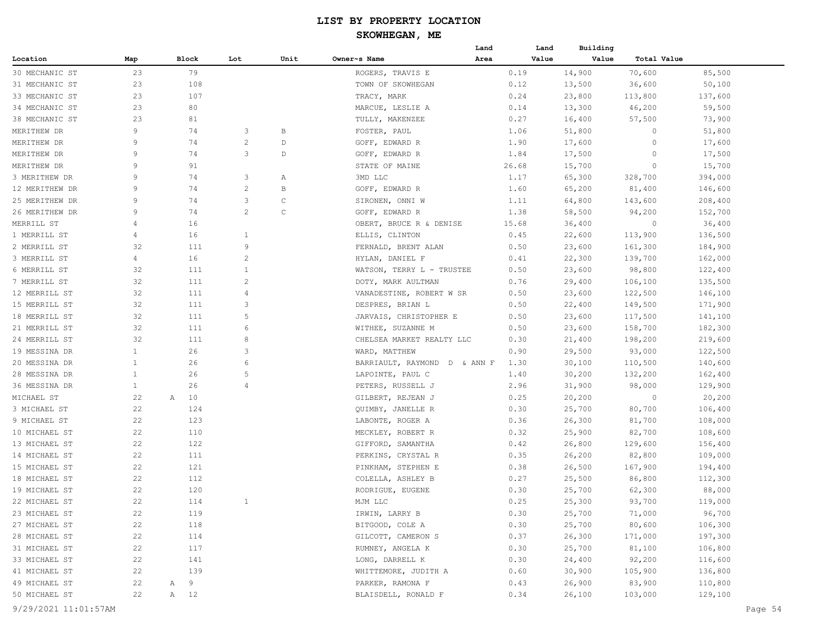#### **SKOWHEGAN, ME**

|                |              |         |                |      | Land                         | Land  | Building |             |         |
|----------------|--------------|---------|----------------|------|------------------------------|-------|----------|-------------|---------|
| Location       | Map          | Block   | Lot            | Unit | Owner~s Name<br>Area         | Value | Value    | Total Value |         |
| 30 MECHANIC ST | 23           | 79      |                |      | ROGERS, TRAVIS E             | 0.19  | 14,900   | 70,600      | 85,500  |
| 31 MECHANIC ST | 23           | 108     |                |      | TOWN OF SKOWHEGAN            | 0.12  | 13,500   | 36,600      | 50,100  |
| 33 MECHANIC ST | 23           | 107     |                |      | TRACY, MARK                  | 0.24  | 23,800   | 113,800     | 137,600 |
| 34 MECHANIC ST | 23           | 80      |                |      | MARCUE, LESLIE A             | 0.14  | 13,300   | 46,200      | 59,500  |
| 38 MECHANIC ST | 23           | 81      |                |      | TULLY, MAKENZEE              | 0.27  | 16,400   | 57,500      | 73,900  |
| MERITHEW DR    | 9            | 74      | 3              | В    | FOSTER, PAUL                 | 1.06  | 51,800   | $\Omega$    | 51,800  |
| MERITHEW DR    | 9            | 74      | $\overline{2}$ | D    | GOFF, EDWARD R               | 1.90  | 17,600   | $\Omega$    | 17,600  |
| MERITHEW DR    | 9            | 74      | 3              | D    | GOFF, EDWARD R               | 1.84  | 17,500   | $\Omega$    | 17,500  |
| MERITHEW DR    | 9            | 91      |                |      | STATE OF MAINE               | 26.68 | 15,700   | 0           | 15,700  |
| 3 MERITHEW DR  | 9            | 74      | 3              | Α    | 3MD LLC                      | 1.17  | 65,300   | 328,700     | 394,000 |
| 12 MERITHEW DR | 9            | 74      | $\overline{c}$ | В    | GOFF, EDWARD R               | 1.60  | 65,200   | 81,400      | 146,600 |
| 25 MERITHEW DR | 9            | 74      | 3              | С    | SIRONEN, ONNI W              | 1.11  | 64,800   | 143,600     | 208,400 |
| 26 MERITHEW DR | 9            | 74      | $\overline{2}$ | C    | GOFF, EDWARD R               | 1.38  | 58,500   | 94,200      | 152,700 |
| MERRILL ST     | 4            | 16      |                |      | OBERT, BRUCE R & DENISE      | 15.68 | 36,400   | 0           | 36,400  |
| 1 MERRILL ST   | 4            | 16      | -1             |      | ELLIS, CLINTON               | 0.45  | 22,600   | 113,900     | 136,500 |
| 2 MERRILL ST   | 32           | 111     | 9              |      | FERNALD, BRENT ALAN          | 0.50  | 23,600   | 161,300     | 184,900 |
| 3 MERRILL ST   | 4            | 16      | $\overline{c}$ |      | HYLAN, DANIEL F              | 0.41  | 22,300   | 139,700     | 162,000 |
| 6 MERRILL ST   | 32           | 111     | 1              |      | WATSON, TERRY L - TRUSTEE    | 0.50  | 23,600   | 98,800      | 122,400 |
| 7 MERRILL ST   | 32           | 111     | $\overline{2}$ |      | DOTY, MARK AULTMAN           | 0.76  | 29,400   | 106,100     | 135,500 |
| 12 MERRILL ST  | 32           | 111     | $\overline{4}$ |      | VANADESTINE, ROBERT W SR     | 0.50  | 23,600   | 122,500     | 146,100 |
| 15 MERRILL ST  | 32           | 111     | 3              |      | DESPRES, BRIAN L             | 0.50  | 22,400   | 149,500     | 171,900 |
| 18 MERRILL ST  | 32           | 111     | 5              |      | JARVAIS, CHRISTOPHER E       | 0.50  | 23,600   | 117,500     | 141,100 |
| 21 MERRILL ST  | 32           | 111     | 6              |      | WITHEE, SUZANNE M            | 0.50  | 23,600   | 158,700     | 182,300 |
| 24 MERRILL ST  | 32           | 111     | 8              |      | CHELSEA MARKET REALTY LLC    | 0.30  | 21,400   | 198,200     | 219,600 |
| 19 MESSINA DR  | $\mathbf{1}$ | 26      | 3              |      | WARD, MATTHEW                | 0.90  | 29,500   | 93,000      | 122,500 |
| 20 MESSINA DR  | $\mathbf{1}$ | 26      | 6              |      | BARRIAULT, RAYMOND D & ANN F | 1.30  | 30,100   | 110,500     | 140,600 |
| 28 MESSINA DR  | $\mathbf{1}$ | 26      | 5              |      | LAPOINTE, PAUL C             | 1.40  | 30,200   | 132,200     | 162,400 |
| 36 MESSINA DR  | $\mathbf{1}$ | 26      | $\overline{4}$ |      | PETERS, RUSSELL J            | 2.96  | 31,900   | 98,000      | 129,900 |
| MICHAEL ST     | 22           | 10<br>Α |                |      | GILBERT, REJEAN J            | 0.25  | 20,200   | 0           | 20,200  |
| 3 MICHAEL ST   | 22           | 124     |                |      | QUIMBY, JANELLE R            | 0.30  | 25,700   | 80,700      | 106,400 |
| 9 MICHAEL ST   | 22           | 123     |                |      | LABONTE, ROGER A             | 0.36  | 26,300   | 81,700      | 108,000 |
| 10 MICHAEL ST  | 22           | 110     |                |      | MECKLEY, ROBERT R            | 0.32  | 25,900   | 82,700      | 108,600 |
| 13 MICHAEL ST  | 22           | 122     |                |      | GIFFORD, SAMANTHA            | 0.42  | 26,800   | 129,600     | 156,400 |
| 14 MICHAEL ST  | 22           | 111     |                |      | PERKINS, CRYSTAL R           | 0.35  | 26,200   | 82,800      | 109,000 |
| 15 MICHAEL ST  | 22           | 121     |                |      | PINKHAM, STEPHEN E           | 0.38  | 26,500   | 167,900     | 194,400 |
| 18 MICHAEL ST  | 22           | 112     |                |      | COLELLA, ASHLEY B            | 0.27  | 25,500   | 86,800      | 112,300 |
| 19 MICHAEL ST  | 22           | 120     |                |      | RODRIGUE, EUGENE             | 0.30  | 25,700   | 62,300      | 88,000  |
| 22 MICHAEL ST  | 22           | 114     | 1              |      | MJM LLC                      | 0.25  | 25,300   | 93,700      | 119,000 |
| 23 MICHAEL ST  | 22           | 119     |                |      | IRWIN, LARRY B               | 0.30  | 25,700   | 71,000      | 96,700  |
| 27 MICHAEL ST  | 22           | 118     |                |      | BITGOOD, COLE A              | 0.30  | 25,700   | 80,600      | 106,300 |
| 28 MICHAEL ST  | 22           | 114     |                |      | GILCOTT, CAMERON S           | 0.37  | 26,300   | 171,000     | 197,300 |
| 31 MICHAEL ST  | 22           | 117     |                |      | RUMNEY, ANGELA K             | 0.30  | 25,700   | 81,100      | 106,800 |
| 33 MICHAEL ST  | 22           | 141     |                |      | LONG, DARRELL K              | 0.30  | 24,400   | 92,200      | 116,600 |
| 41 MICHAEL ST  | 22           | 139     |                |      | WHITTEMORE, JUDITH A         | 0.60  | 30,900   | 105,900     | 136,800 |
| 49 MICHAEL ST  | 22           | 9<br>Α  |                |      | PARKER, RAMONA F             | 0.43  | 26,900   | 83,900      | 110,800 |
| 50 MICHAEL ST  | 22           | A 12    |                |      | BLAISDELL, RONALD F          | 0.34  | 26,100   | 103,000     | 129,100 |
|                |              |         |                |      |                              |       |          |             |         |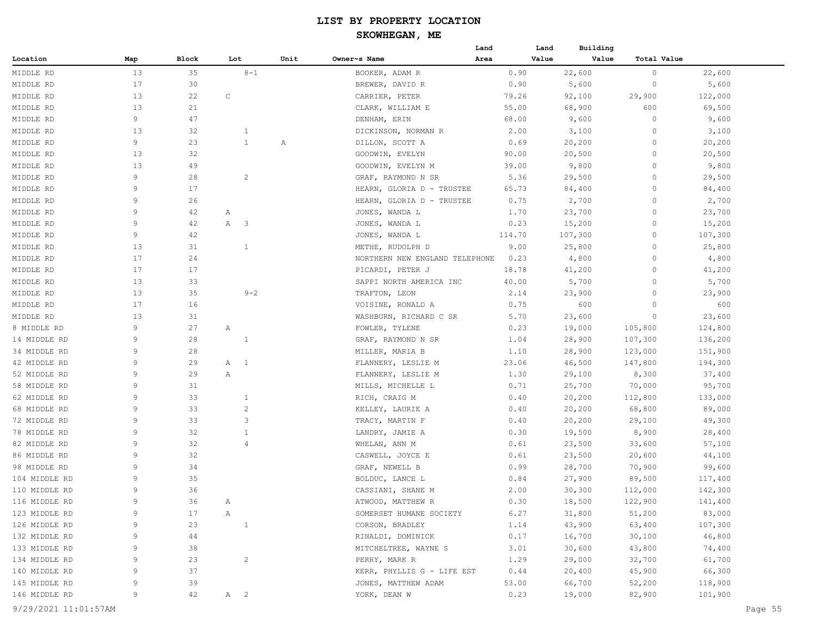#### **SKOWHEGAN, ME**

|               |             |       |     |                          |      |                                | Land   | Land  | Building |             |         |
|---------------|-------------|-------|-----|--------------------------|------|--------------------------------|--------|-------|----------|-------------|---------|
| Location      | Map         | Block | Lot |                          | Unit | Owner~s Name                   | Area   | Value | Value    | Total Value |         |
| MIDDLE RD     | 13          | 35    |     | $8 - 1$                  |      | BOOKER, ADAM R                 | 0.90   |       | 22,600   | $\circ$     | 22,600  |
| MIDDLE RD     | 17          | 30    |     |                          |      | BREWER, DAVID R                | 0.90   |       | 5,600    | $\circ$     | 5,600   |
| MIDDLE RD     | 13          | 22    | C   |                          |      | CARRIER, PETER                 | 79.26  |       | 92,100   | 29,900      | 122,000 |
| MIDDLE RD     | 13          | 21    |     |                          |      | CLARK, WILLIAM E               | 55.00  |       | 68,900   | 600         | 69,500  |
| MIDDLE RD     | 9           | 47    |     |                          |      | DENHAM, ERIN                   | 68.00  |       | 9,600    | $\circ$     | 9,600   |
| MIDDLE RD     | 13          | 32    |     | $\mathbf{1}$             |      | DICKINSON, NORMAN R            | 2.00   |       | 3,100    | $\circ$     | 3,100   |
| MIDDLE RD     | 9           | 23    |     | $\mathbf{1}$             | Α    | DILLON, SCOTT A                | 0.69   |       | 20,200   | $\circ$     | 20,200  |
| MIDDLE RD     | 13          | 32    |     |                          |      | GOODWIN, EVELYN                | 90.00  |       | 20,500   | $\circ$     | 20,500  |
| MIDDLE RD     | 13          | 49    |     |                          |      | GOODWIN, EVELYN M              | 39.00  |       | 9,800    | $\circ$     | 9,800   |
| MIDDLE RD     | 9           | 28    |     | $\overline{c}$           |      | GRAF, RAYMOND N SR             | 5.36   |       | 29,500   | 0           | 29,500  |
| MIDDLE RD     | 9           | 17    |     |                          |      | HEARN, GLORIA D - TRUSTEE      | 65.73  |       | 84,400   | $\circ$     | 84,400  |
| MIDDLE RD     | 9           | 26    |     |                          |      | HEARN, GLORIA D - TRUSTEE      | 0.75   |       | 2,700    | 0           | 2,700   |
| MIDDLE RD     | 9           | 42    | Α   |                          |      | JONES, WANDA L                 | 1.70   |       | 23,700   | 0           | 23,700  |
| MIDDLE RD     | 9           | 42    | Α   | $\overline{\phantom{a}}$ |      | JONES, WANDA L                 | 0.23   |       | 15,200   | $\circ$     | 15,200  |
| MIDDLE RD     | 9           | 42    |     |                          |      | JONES, WANDA L                 | 114.70 |       | 107,300  | $\circ$     | 107,300 |
| MIDDLE RD     | 13          | 31    |     | $\mathbf{1}$             |      | METHE, RUDOLPH D               | 9.00   |       | 25,800   | $\circ$     | 25,800  |
| MIDDLE RD     | 17          | 24    |     |                          |      | NORTHERN NEW ENGLAND TELEPHONE | 0.23   |       | 4,800    | $\circ$     | 4,800   |
| MIDDLE RD     | 17          | 17    |     |                          |      | PICARDI, PETER J               | 18.78  |       | 41,200   | 0           | 41,200  |
| MIDDLE RD     | 13          | 33    |     |                          |      | SAPPI NORTH AMERICA INC        | 40.00  |       | 5,700    | $\circ$     | 5,700   |
| MIDDLE RD     | 13          | 35    |     | $9 - 2$                  |      | TRAFTON, LEON                  | 2.14   |       | 23,900   | 0           | 23,900  |
| MIDDLE RD     | 17          | 16    |     |                          |      | VOISINE, RONALD A              | 0.75   |       | 600      | 0           | 600     |
| MIDDLE RD     | 13          | 31    |     |                          |      | WASHBURN, RICHARD C SR         | 5.70   |       | 23,600   | $\circ$     | 23,600  |
| 8 MIDDLE RD   | 9           | 27    | Α   |                          |      | FOWLER, TYLENE                 | 0.23   |       | 19,000   | 105,800     | 124,800 |
| 14 MIDDLE RD  | 9           | 28    |     | $\mathbf{1}$             |      | GRAF, RAYMOND N SR             | 1.04   |       | 28,900   | 107,300     | 136,200 |
| 34 MIDDLE RD  | 9           | 28    |     |                          |      | MILLER, MARIA B                | 1.10   |       | 28,900   | 123,000     | 151,900 |
| 42 MIDDLE RD  | 9           | 29    | A 1 |                          |      | FLANNERY, LESLIE M             | 23.06  |       | 46,500   | 147,800     | 194,300 |
| 52 MIDDLE RD  | 9           | 29    | Α   |                          |      | FLANNERY, LESLIE M             | 1.30   |       | 29,100   | 8,300       | 37,400  |
| 58 MIDDLE RD  | 9           | 31    |     |                          |      | MILLS, MICHELLE L              | 0.71   |       | 25,700   | 70,000      | 95,700  |
| 62 MIDDLE RD  | 9           | 33    |     | $\mathbf{1}$             |      | RICH, CRAIG M                  | 0.40   |       | 20,200   | 112,800     | 133,000 |
| 68 MIDDLE RD  | 9           | 33    |     | $\overline{c}$           |      | KELLEY, LAURIE A               | 0.40   |       | 20,200   | 68,800      | 89,000  |
| 72 MIDDLE RD  | 9           | 33    |     | 3                        |      | TRACY, MARTIN F                | 0.40   |       | 20,200   | 29,100      | 49,300  |
| 78 MIDDLE RD  | 9           | 32    |     | $\mathbf{1}$             |      | LANDRY, JAMIE A                | 0.30   |       | 19,500   | 8,900       | 28,400  |
| 82 MIDDLE RD  | 9           | 32    |     | $\overline{4}$           |      | WHELAN, ANN M                  | 0.61   |       | 23,500   | 33,600      | 57,100  |
| 86 MIDDLE RD  | 9           | 32    |     |                          |      | CASWELL, JOYCE E               | 0.61   |       | 23,500   | 20,600      | 44,100  |
| 98 MIDDLE RD  | 9           | 34    |     |                          |      | GRAF, NEWELL B                 | 0.99   |       | 28,700   | 70,900      | 99,600  |
| 104 MIDDLE RD | 9           | 35    |     |                          |      | BOLDUC, LANCE L                | 0.84   |       | 27,900   | 89,500      | 117,400 |
| 110 MIDDLE RD | 9           | 36    |     |                          |      | CASSIANI, SHANE M              | 2.00   |       | 30,300   | 112,000     | 142,300 |
| 116 MIDDLE RD | 9           | 36    | Α   |                          |      | ATWOOD, MATTHEW R              | 0.30   |       | 18,500   | 122,900     | 141,400 |
| 123 MIDDLE RD | 9           | 17    | Α   |                          |      | SOMERSET HUMANE SOCIETY        | 6.27   |       | 31,800   | 51,200      | 83,000  |
| 126 MIDDLE RD | 9           | 23    |     | $\mathbf{1}$             |      | CORSON, BRADLEY                | 1.14   |       | 43,900   | 63,400      | 107,300 |
| 132 MIDDLE RD | 9           | 44    |     |                          |      | RINALDI, DOMINICK              | 0.17   |       | 16,700   | 30,100      | 46,800  |
| 133 MIDDLE RD | 9           | 38    |     |                          |      | MITCHELTREE, WAYNE S           | 3.01   |       | 30,600   | 43,800      | 74,400  |
| 134 MIDDLE RD | 9           | 23    |     | $\overline{c}$           |      | PERRY, MARK R                  | 1.29   |       | 29,000   | 32,700      | 61,700  |
| 140 MIDDLE RD | $\mathsf 9$ | 37    |     |                          |      | KERR, PHYLLIS G - LIFE EST     | 0.44   |       | 20,400   | 45,900      | 66,300  |
| 145 MIDDLE RD | 9           | 39    |     |                          |      | JONES, MATTHEW ADAM            | 53.00  |       | 66,700   | 52,200      | 118,900 |
| 146 MIDDLE RD | 9           | 42    | A 2 |                          |      | YORK, DEAN W                   | 0.23   |       | 19,000   | 82,900      | 101,900 |
|               |             |       |     |                          |      |                                |        |       |          |             |         |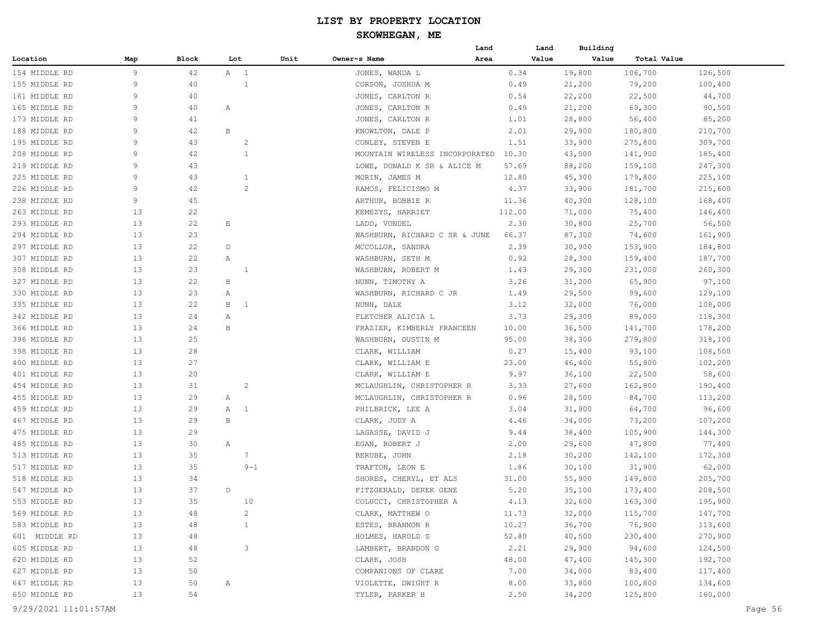|                      |     |          |                     |      | Land                            |        | Building<br>Land |             |         |
|----------------------|-----|----------|---------------------|------|---------------------------------|--------|------------------|-------------|---------|
| Location             | Map | Block    | Lot                 | Unit | Owner~s Name<br>Area            |        | Value<br>Value   | Total Value |         |
| 154 MIDDLE RD        | 9   | 42       | A 1                 |      | JONES, WANDA L                  | 0.34   | 19,800           | 106,700     | 126,500 |
| 155 MIDDLE RD        | 9   | 40       | 1                   |      | CORSON, JOSHUA M                | 0.49   | 21,200           | 79,200      | 100,400 |
| 161 MIDDLE RD        | 9   | 40       |                     |      | JONES, CARLTON R                | 0.54   | 22,200           | 22,500      | 44,700  |
| 165 MIDDLE RD        | 9   | 40       | Α                   |      | JONES, CARLTON R                | 0.49   | 21,200           | 69,300      | 90,500  |
| 173 MIDDLE RD        | 9   | 41       |                     |      | JONES, CARLTON R                | 1.01   | 28,800           | 56,400      | 85,200  |
| 188 MIDDLE RD        | 9   | 42       | B                   |      | KNOWLTON, DALE P                | 2.01   | 29,900           | 180,800     | 210,700 |
| 195 MIDDLE RD        | 9   | 43       | $\overline{c}$      |      | CONLEY, STEVEN E                | 1.51   | 33,900           | 275,800     | 309,700 |
| 208 MIDDLE RD        | 9   | 42       | $\mathbf{1}$        |      | MOUNTAIN WIRELESS INCORPORATED  | 10.30  | 43,500           | 141,900     | 185,400 |
| 219 MIDDLE RD        | 9   | 43       |                     |      | LOWE, DONALD K SR & ALICE M     | 57.69  | 88,200           | 159,100     | 247,300 |
| 225 MIDDLE RD        | 9   | 43       | $\mathbf{1}$        |      | MORIN, JAMES M                  | 12.80  | 45,300           | 179,800     | 225,100 |
| 226 MIDDLE RD        | 9   | 42       | $\overline{c}$      |      | RAMOS, FELICISMO M              | 4.37   | 33,900           | 181,700     | 215,600 |
| 238 MIDDLE RD        | 9   | 45       |                     |      | ARTHUR, BOBBIE R                | 11.36  | 40,300           | 128,100     | 168,400 |
| 263 MIDDLE RD        | 13  | 22       |                     |      | KEMEZYS, HARRIET                | 112.00 | 71,000           | 75,400      | 146,400 |
| 293 MIDDLE RD        | 13  | 22       | E                   |      | LADD, VONDEL                    | 2.30   | 30,800           | 25,700      | 56,500  |
| 294 MIDDLE RD        | 13  | 23       |                     |      | WASHBURN, RICHARD C SR & JUNE   | 66.37  | 87,300           | 74,600      | 161,900 |
| 297 MIDDLE RD        | 13  | 22       | D                   |      | MCCOLLOR, SANDRA                | 2.39   | 30,900           | 153,900     | 184,800 |
| 307 MIDDLE RD        | 13  | 22       | Α                   |      | WASHBURN, SETH M                | 0.92   | 28,300           | 159,400     | 187,700 |
| 308 MIDDLE RD        | 13  | 23       | 1                   |      | WASHBURN, ROBERT M              | 1.43   | 29,300           | 231,000     | 260,300 |
| 327 MIDDLE RD        | 13  | 22       | В                   |      | NUNN, TIMOTHY A                 | 3.26   | 31,200           | 65,900      | 97,100  |
| 330 MIDDLE RD        | 13  | 23       | Α                   |      | WASHBURN, RICHARD C JR          | 1.49   | 29,500           | 99,600      | 129,100 |
| 335 MIDDLE RD        | 13  | 22       | B<br>$\overline{1}$ |      |                                 | 3.12   |                  |             |         |
| 342 MIDDLE RD        | 13  |          |                     |      | NUNN, DALE<br>FLETCHER ALICIA L |        | 32,000           | 76,000      | 108,000 |
| 366 MIDDLE RD        | 13  | 24<br>24 | Α<br>В              |      |                                 | 3.73   | 29,300           | 89,000      | 118,300 |
|                      |     |          |                     |      | FRAZIER, KIMBERLY FRANCEEN      | 10.00  | 36,500           | 141,700     | 178,200 |
| 396 MIDDLE RD        | 13  | 25<br>28 |                     |      | WASHBURN, DUSTIN M              | 95.00  | 38,300           | 279,800     | 318,100 |
| 398 MIDDLE RD        | 13  |          |                     |      | CLARK, WILLIAM                  | 0.27   | 15,400           | 93,100      | 108,500 |
| 400 MIDDLE RD        | 13  | 27       |                     |      | CLARK, WILLIAM E                | 23.00  | 46,400           | 55,800      | 102,200 |
| 401 MIDDLE RD        | 13  | 20       |                     |      | CLARK, WILLIAM E                | 9.97   | 36,100           | 22,500      | 58,600  |
| 454 MIDDLE RD        | 13  | 31       | $\overline{c}$      |      | MCLAUGHLIN, CHRISTOPHER R       | 3.33   | 27,600           | 162,800     | 190,400 |
| 455 MIDDLE RD        | 13  | 29       | Α                   |      | MCLAUGHLIN, CHRISTOPHER R       | 0.96   | 28,500           | 84,700      | 113,200 |
| 459 MIDDLE RD        | 13  | 29       | $\overline{1}$<br>Α |      | PHILBRICK, LEE A                | 3.04   | 31,900           | 64,700      | 96,600  |
| 467 MIDDLE RD        | 13  | 29       | В                   |      | CLARK, JUDY A                   | 4.46   | 34,000           | 73,200      | 107,200 |
| 475 MIDDLE RD        | 13  | 29       |                     |      | LAGASSE, DAVID J                | 9.44   | 38,400           | 105,900     | 144,300 |
| 485 MIDDLE RD        | 13  | 30       | Α                   |      | EGAN, ROBERT J                  | 2.00   | 29,600           | 47,800      | 77,400  |
| 513 MIDDLE RD        | 13  | 35       | 7                   |      | BERUBE, JOHN                    | 2.18   | 30,200           | 142,100     | 172,300 |
| 517 MIDDLE RD        | 13  | 35       | $9 - 1$             |      | TRAFTON, LEON E                 | 1.86   | 30,100           | 31,900      | 62,000  |
| 518 MIDDLE RD        | 13  | 34       |                     |      | SHORES, CHERYL, ET ALS          | 31.00  | 55,900           | 149,800     | 205,700 |
| 547 MIDDLE RD        | 13  | 37       | D                   |      | FITZGERALD, DEREK GENE          | 5.20   | 35,100           | 173,400     | 208,500 |
| 553 MIDDLE RD        | 13  | 35       | 10                  |      | COLUCCI, CHRISTOPHER A          | 4.13   | 32,600           | 163,300     | 195,900 |
| 569 MIDDLE RD        | 13  | 48       | $\overline{2}$      |      | CLARK, MATTHEW O                | 11.73  | 32,000           | 115,700     | 147,700 |
| 583 MIDDLE RD        | 13  | 48       | $\mathbf{1}$        |      | ESTES, BRANNON R                | 10.27  | 36,700           | 76,900      | 113,600 |
| 601 MIDDLE RD        | 13  | 48       |                     |      | HOLMES, HAROLD S                | 52.80  | 40,500           | 230,400     | 270,900 |
| 605 MIDDLE RD        | 13  | 48       | $\mathbf{3}$        |      | LAMBERT, BRANDON G              | 2.21   | 29,900           | 94,600      | 124,500 |
| 620 MIDDLE RD        | 13  | 52       |                     |      | CLARK, JOSH                     | 48.00  | 47,400           | 145,300     | 192,700 |
| 627 MIDDLE RD        | 13  | 50       |                     |      | COMPANIONS OF CLARE             | 7.00   | 34,000           | 83,400      | 117,400 |
| 647 MIDDLE RD        | 13  | 50       | Α                   |      | VIOLETTE, DWIGHT R              | 8.00   | 33,800           | 100,800     | 134,600 |
| 650 MIDDLE RD        | 13  | 54       |                     |      | TYLER, PARKER H                 | 2.50   | 34,200           | 125,800     | 160,000 |
| 9/29/2021 11:01:57AM |     |          |                     |      |                                 |        |                  |             | Page 56 |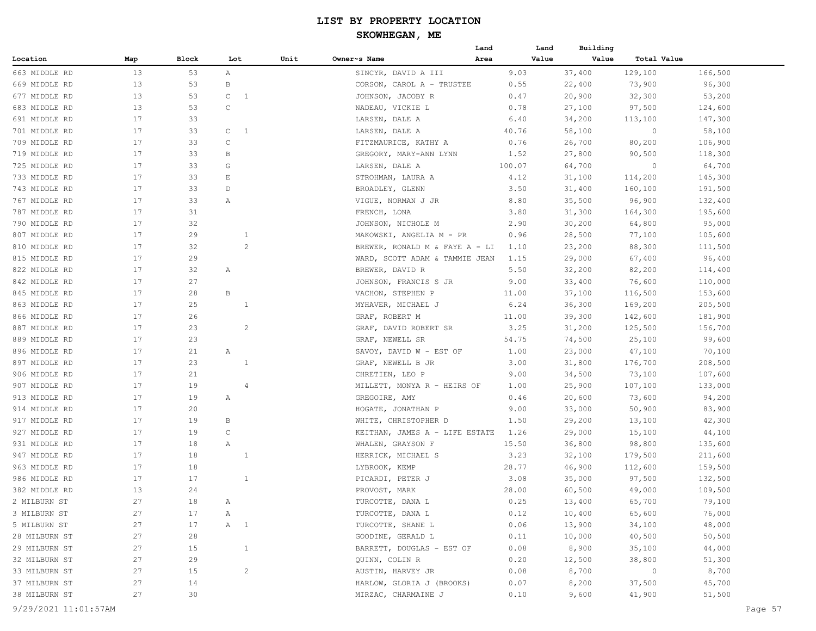|               |     |       |                                |      |                                | Land   | Land  | Building |                |         |
|---------------|-----|-------|--------------------------------|------|--------------------------------|--------|-------|----------|----------------|---------|
| Location      | Map | Block | Lot                            | Unit | Owner~s Name                   | Area   | Value | Value    | Total Value    |         |
| 663 MIDDLE RD | 13  | 53    | A                              |      | SINCYR, DAVID A III            | 9.03   |       | 37,400   | 129,100        | 166,500 |
| 669 MIDDLE RD | 13  | 53    | B                              |      | CORSON, CAROL A - TRUSTEE      | 0.55   |       | 22,400   | 73,900         | 96,300  |
| 677 MIDDLE RD | 13  | 53    | $\mathsf{C}$<br>$\overline{1}$ |      | JOHNSON, JACOBY R              | 0.47   |       | 20,900   | 32,300         | 53,200  |
| 683 MIDDLE RD | 13  | 53    | $\mathsf{C}$                   |      | NADEAU, VICKIE L               | 0.78   |       | 27,100   | 97,500         | 124,600 |
| 691 MIDDLE RD | 17  | 33    |                                |      | LARSEN, DALE A                 | 6.40   |       | 34,200   | 113,100        | 147,300 |
| 701 MIDDLE RD | 17  | 33    | $\mathsf{C}$<br>-1             |      | LARSEN, DALE A                 | 40.76  |       | 58,100   | 0              | 58,100  |
| 709 MIDDLE RD | 17  | 33    | C                              |      | FITZMAURICE, KATHY A           | 0.76   |       | 26,700   | 80,200         | 106,900 |
| 719 MIDDLE RD | 17  | 33    | B                              |      | GREGORY, MARY-ANN LYNN         | 1.52   |       | 27,800   | 90,500         | 118,300 |
| 725 MIDDLE RD | 17  | 33    | G                              |      | LARSEN, DALE A                 | 100.07 |       | 64,700   | $\circ$        | 64,700  |
| 733 MIDDLE RD | 17  | 33    | E                              |      | STROHMAN, LAURA A              | 4.12   |       | 31,100   | 114,200        | 145,300 |
| 743 MIDDLE RD | 17  | 33    | D                              |      | BROADLEY, GLENN                | 3.50   |       | 31,400   | 160,100        | 191,500 |
| 767 MIDDLE RD | 17  | 33    | Α                              |      | VIGUE, NORMAN J JR             | 8.80   |       | 35,500   | 96,900         | 132,400 |
| 787 MIDDLE RD | 17  | 31    |                                |      | FRENCH, LONA                   | 3.80   |       | 31,300   | 164,300        | 195,600 |
| 790 MIDDLE RD | 17  | 32    |                                |      | JOHNSON, NICHOLE M             | 2.90   |       | 30,200   | 64,800         | 95,000  |
| 807 MIDDLE RD | 17  | 29    | $\mathbf{1}$                   |      | MAKOWSKI, ANGELIA M - PR       | 0.96   |       | 28,500   | 77,100         | 105,600 |
| 810 MIDDLE RD | 17  | 32    | $\overline{c}$                 |      | BREWER, RONALD M & FAYE A - LI | 1.10   |       | 23,200   | 88,300         | 111,500 |
| 815 MIDDLE RD | 17  | 29    |                                |      | WARD, SCOTT ADAM & TAMMIE JEAN | 1.15   |       | 29,000   | 67,400         | 96,400  |
| 822 MIDDLE RD | 17  | 32    | Α                              |      | BREWER, DAVID R                | 5.50   |       | 32,200   | 82,200         | 114,400 |
| 842 MIDDLE RD | 17  | 27    |                                |      | JOHNSON, FRANCIS S JR          | 9.00   |       | 33,400   | 76,600         | 110,000 |
| 845 MIDDLE RD | 17  | 28    | B                              |      | VACHON, STEPHEN P              | 11.00  |       | 37,100   | 116,500        | 153,600 |
| 863 MIDDLE RD | 17  | 25    | $\mathbf{1}$                   |      | MYHAVER, MICHAEL J             | 6.24   |       | 36,300   | 169,200        | 205,500 |
| 866 MIDDLE RD | 17  | 26    |                                |      | GRAF, ROBERT M                 | 11.00  |       | 39,300   | 142,600        | 181,900 |
| 887 MIDDLE RD | 17  | 23    | $\overline{c}$                 |      | GRAF, DAVID ROBERT SR          | 3.25   |       | 31,200   | 125,500        | 156,700 |
| 889 MIDDLE RD | 17  | 23    |                                |      | GRAF, NEWELL SR                | 54.75  |       | 74,500   | 25,100         | 99,600  |
| 896 MIDDLE RD | 17  | 21    | Α                              |      | SAVOY, DAVID W - EST OF        | 1.00   |       | 23,000   | 47,100         | 70,100  |
| 897 MIDDLE RD | 17  | 23    | $\mathbf{1}$                   |      | GRAF, NEWELL B JR              | 3.00   |       | 31,800   | 176,700        | 208,500 |
| 906 MIDDLE RD | 17  | 21    |                                |      | CHRETIEN, LEO P                | 9.00   |       | 34,500   | 73,100         | 107,600 |
| 907 MIDDLE RD | 17  | 19    | $\overline{4}$                 |      | MILLETT, MONYA R - HEIRS OF    | 1.00   |       | 25,900   | 107,100        | 133,000 |
| 913 MIDDLE RD | 17  | 19    | Α                              |      | GREGOIRE, AMY                  | 0.46   |       | 20,600   | 73,600         | 94,200  |
| 914 MIDDLE RD | 17  | 20    |                                |      | HOGATE, JONATHAN P             | 9.00   |       | 33,000   | 50,900         | 83,900  |
| 917 MIDDLE RD | 17  | 19    | В                              |      | WHITE, CHRISTOPHER D           | 1.50   |       | 29,200   | 13,100         | 42,300  |
| 927 MIDDLE RD | 17  | 19    | $\mathsf C$                    |      | KEITHAN, JAMES A - LIFE ESTATE | 1.26   |       | 29,000   | 15,100         | 44,100  |
| 931 MIDDLE RD | 17  | 18    | Α                              |      | WHALEN, GRAYSON F              | 15.50  |       | 36,800   | 98,800         | 135,600 |
| 947 MIDDLE RD | 17  | 18    | 1                              |      | HERRICK, MICHAEL S             | 3.23   |       | 32,100   | 179,500        | 211,600 |
| 963 MIDDLE RD | 17  | 18    |                                |      | LYBROOK, KEMP                  | 28.77  |       | 46,900   | 112,600        | 159,500 |
| 986 MIDDLE RD | 17  | 17    | $\mathbf{1}$                   |      | PICARDI, PETER J               | 3.08   |       | 35,000   | 97,500         | 132,500 |
| 382 MIDDLE RD | 13  | 24    |                                |      | PROVOST, MARK                  | 28.00  |       | 60,500   | 49,000         | 109,500 |
| 2 MILBURN ST  | 27  | 18    | A                              |      | TURCOTTE, DANA L               | 0.25   |       | 13,400   | 65,700         | 79,100  |
| 3 MILBURN ST  | 27  | 17    | Α                              |      | TURCOTTE, DANA L               | 0.12   |       | 10,400   | 65,600         | 76,000  |
| 5 MILBURN ST  | 27  | 17    | A 1                            |      | TURCOTTE, SHANE L              | 0.06   |       | 13,900   | 34,100         | 48,000  |
| 28 MILBURN ST | 27  | 28    |                                |      | GOODINE, GERALD L              | 0.11   |       | 10,000   | 40,500         | 50,500  |
| 29 MILBURN ST | 27  | 15    | $\mathbf{1}$                   |      | BARRETT, DOUGLAS - EST OF      | 0.08   |       | 8,900    | 35,100         | 44,000  |
| 32 MILBURN ST | 27  | 29    |                                |      | QUINN, COLIN R                 | 0.20   |       | 12,500   | 38,800         | 51,300  |
| 33 MILBURN ST | 27  | 15    | $\overline{c}$                 |      | AUSTIN, HARVEY JR              | 0.08   |       | 8,700    | $\overline{0}$ | 8,700   |
| 37 MILBURN ST | 27  | 14    |                                |      | HARLOW, GLORIA J (BROOKS)      | 0.07   |       | 8,200    | 37,500         | 45,700  |
| 38 MILBURN ST | 27  | 30    |                                |      | MIRZAC, CHARMAINE J            | 0.10   |       | 9,600    | 41,900         | 51,500  |
|               |     |       |                                |      |                                |        |       |          |                |         |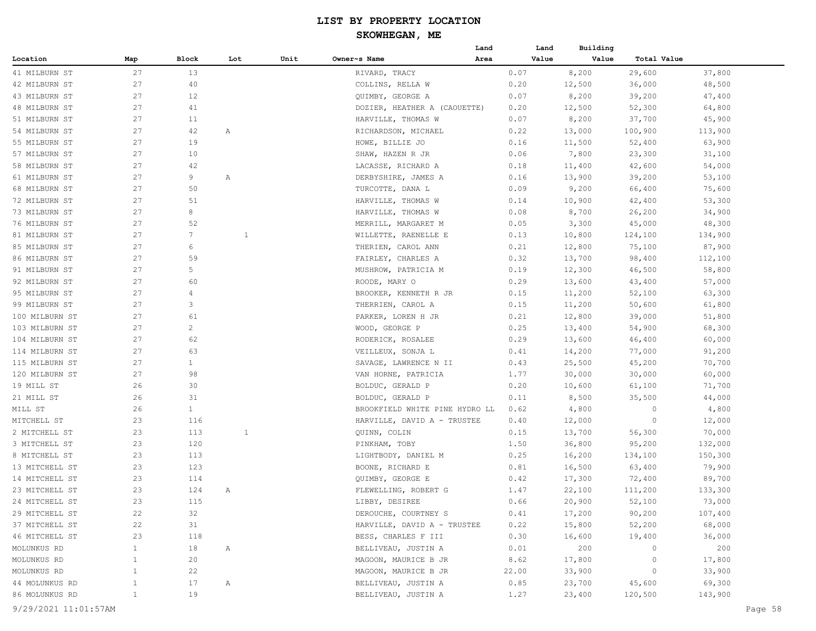#### **SKOWHEGAN, ME**

|                |              |                 |              |      |                                | Land | Land  | Building |             |         |
|----------------|--------------|-----------------|--------------|------|--------------------------------|------|-------|----------|-------------|---------|
| Location       | Map          | Block           | Lot          | Unit | Owner~s Name                   | Area | Value | Value    | Total Value |         |
| 41 MILBURN ST  | 27           | 13              |              |      | RIVARD, TRACY                  |      | 0.07  | 8,200    | 29,600      | 37,800  |
| 42 MILBURN ST  | 27           | 40              |              |      | COLLINS, RELLA W               |      | 0.20  | 12,500   | 36,000      | 48,500  |
| 43 MILBURN ST  | 27           | 12              |              |      | QUIMBY, GEORGE A               |      | 0.07  | 8,200    | 39,200      | 47,400  |
| 48 MILBURN ST  | 27           | 41              |              |      | DOZIER, HEATHER A (CAOUETTE)   |      | 0.20  | 12,500   | 52,300      | 64,800  |
| 51 MILBURN ST  | 27           | 11              |              |      | HARVILLE, THOMAS W             |      | 0.07  | 8,200    | 37,700      | 45,900  |
| 54 MILBURN ST  | 27           | 42              | Α            |      | RICHARDSON, MICHAEL            |      | 0.22  | 13,000   | 100,900     | 113,900 |
| 55 MILBURN ST  | 27           | 19              |              |      | HOWE, BILLIE JO                |      | 0.16  | 11,500   | 52,400      | 63,900  |
| 57 MILBURN ST  | 27           | 10              |              |      | SHAW, HAZEN R JR               |      | 0.06  | 7,800    | 23,300      | 31,100  |
| 58 MILBURN ST  | 27           | 42              |              |      | LACASSE, RICHARD A             |      | 0.18  | 11,400   | 42,600      | 54,000  |
| 61 MILBURN ST  | 27           | 9               | Α            |      | DERBYSHIRE, JAMES A            |      | 0.16  | 13,900   | 39,200      | 53,100  |
| 68 MILBURN ST  | 27           | 50              |              |      | TURCOTTE, DANA L               |      | 0.09  | 9,200    | 66,400      | 75,600  |
| 72 MILBURN ST  | 27           | 51              |              |      | HARVILLE, THOMAS W             |      | 0.14  | 10,900   | 42,400      | 53,300  |
| 73 MILBURN ST  | 27           | 8               |              |      | HARVILLE, THOMAS W             |      | 0.08  | 8,700    | 26,200      | 34,900  |
| 76 MILBURN ST  | 27           | 52              |              |      | MERRILL, MARGARET M            |      | 0.05  | 3,300    | 45,000      | 48,300  |
| 81 MILBURN ST  | 27           | $7\phantom{.0}$ | $\mathbf{1}$ |      | WILLETTE, RAENELLE E           |      | 0.13  | 10,800   | 124,100     | 134,900 |
| 85 MILBURN ST  | 27           | 6               |              |      | THERIEN, CAROL ANN             |      | 0.21  | 12,800   | 75,100      | 87,900  |
| 86 MILBURN ST  | 27           | 59              |              |      | FAIRLEY, CHARLES A             |      | 0.32  | 13,700   | 98,400      | 112,100 |
| 91 MILBURN ST  | 27           | 5               |              |      | MUSHROW, PATRICIA M            |      | 0.19  | 12,300   | 46,500      | 58,800  |
| 92 MILBURN ST  | 27           | 60              |              |      | ROODE, MARY O                  |      | 0.29  | 13,600   | 43,400      | 57,000  |
| 95 MILBURN ST  | 27           | 4               |              |      | BROOKER, KENNETH R JR          |      | 0.15  | 11,200   | 52,100      | 63,300  |
| 99 MILBURN ST  | 27           | 3               |              |      | THERRIEN, CAROL A              |      | 0.15  | 11,200   | 50,600      | 61,800  |
| 100 MILBURN ST | 27           | 61              |              |      | PARKER, LOREN H JR             |      | 0.21  | 12,800   | 39,000      | 51,800  |
| 103 MILBURN ST | 27           | $\overline{c}$  |              |      | WOOD, GEORGE P                 |      | 0.25  | 13,400   | 54,900      | 68,300  |
| 104 MILBURN ST | 27           | 62              |              |      | RODERICK, ROSALEE              |      | 0.29  | 13,600   | 46,400      | 60,000  |
| 114 MILBURN ST | 27           | 63              |              |      | VEILLEUX, SONJA L              |      | 0.41  | 14,200   | 77,000      | 91,200  |
| 115 MILBURN ST | 27           | $\mathbf{1}$    |              |      | SAVAGE, LAWRENCE N II          |      | 0.43  | 25,500   | 45,200      | 70,700  |
| 120 MILBURN ST | 27           | 98              |              |      | VAN HORNE, PATRICIA            |      | 1.77  | 30,000   | 30,000      | 60,000  |
| 19 MILL ST     | 26           | 30              |              |      | BOLDUC, GERALD P               |      | 0.20  | 10,600   | 61,100      | 71,700  |
| 21 MILL ST     | 26           | 31              |              |      | BOLDUC, GERALD P               |      | 0.11  | 8,500    | 35,500      | 44,000  |
| MILL ST        | 26           | $\mathbf{1}$    |              |      | BROOKFIELD WHITE PINE HYDRO LL |      | 0.62  | 4,800    | 0           | 4,800   |
| MITCHELL ST    | 23           | 116             |              |      | HARVILLE, DAVID A - TRUSTEE    |      | 0.40  | 12,000   | 0           | 12,000  |
| 2 MITCHELL ST  | 23           | 113             | $\mathbf{1}$ |      | QUINN, COLIN                   |      | 0.15  | 13,700   | 56,300      | 70,000  |
| 3 MITCHELL ST  | 23           | 120             |              |      | PINKHAM, TOBY                  |      | 1.50  | 36,800   | 95,200      | 132,000 |
| 8 MITCHELL ST  | 23           | 113             |              |      | LIGHTBODY, DANIEL M            |      | 0.25  | 16,200   | 134,100     | 150,300 |
| 13 MITCHELL ST | 23           | 123             |              |      | BOONE, RICHARD E               |      | 0.81  | 16,500   | 63,400      | 79,900  |
| 14 MITCHELL ST | 23           | 114             |              |      | QUIMBY, GEORGE E               |      | 0.42  | 17,300   | 72,400      | 89,700  |
| 23 MITCHELL ST | 23           | 124             | Α            |      | FLEWELLING, ROBERT G           |      | 1.47  | 22,100   | 111,200     | 133,300 |
| 24 MITCHELL ST | 23           | 115             |              |      | LIBBY, DESIREE                 |      | 0.66  | 20,900   | 52,100      | 73,000  |
| 29 MITCHELL ST | 22           | 32              |              |      | DEROUCHE, COURTNEY S           |      | 0.41  | 17,200   | 90,200      | 107,400 |
| 37 MITCHELL ST |              | 31              |              |      | HARVILLE, DAVID A - TRUSTEE    |      | 0.22  | 15,800   | 52,200      | 68,000  |
| 46 MITCHELL ST | 22<br>23     | 118             |              |      | BESS, CHARLES F III            |      | 0.30  | 16,600   | 19,400      | 36,000  |
|                | $\mathbf{1}$ |                 |              |      |                                |      |       |          | $\circ$     |         |
| MOLUNKUS RD    |              | 18              | $\mathbb{A}$ |      | BELLIVEAU, JUSTIN A            |      | 0.01  | 200      |             | 200     |
| MOLUNKUS RD    | $\mathbf{1}$ | 20              |              |      | MAGOON, MAURICE B JR           |      | 8.62  | 17,800   | $\circ$     | 17,800  |
| MOLUNKUS RD    | $\mathbf{1}$ | 22              |              |      | MAGOON, MAURICE B JR           |      | 22.00 | 33,900   | $\circ$     | 33,900  |
| 44 MOLUNKUS RD | $\mathbf{1}$ | 17              | $\mathbb{A}$ |      | BELLIVEAU, JUSTIN A            |      | 0.85  | 23,700   | 45,600      | 69,300  |
| 86 MOLUNKUS RD | $\mathbf{1}$ | 19              |              |      | BELLIVEAU, JUSTIN A            |      | 1.27  | 23,400   | 120,500     | 143,900 |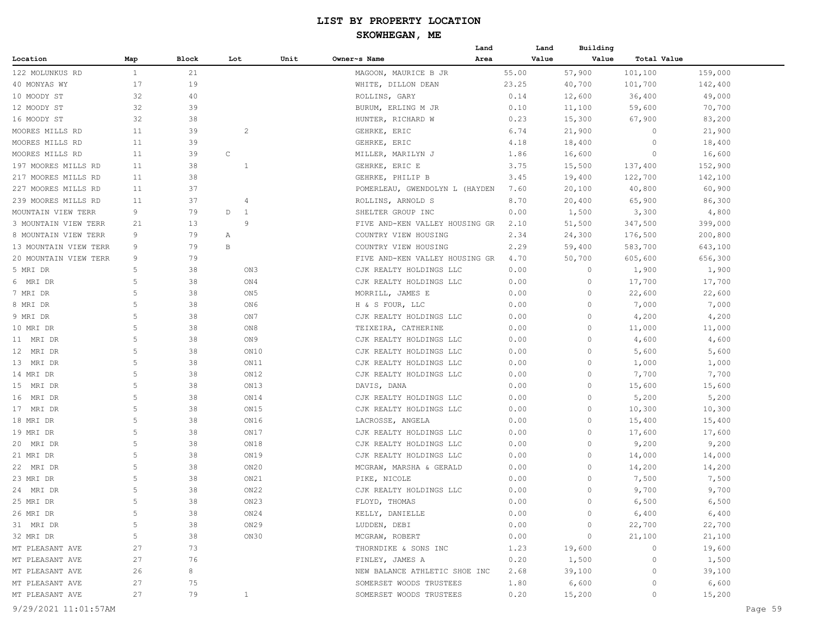|                       |              |       |                   |      |                                | Land | Land  | Building       |                |         |
|-----------------------|--------------|-------|-------------------|------|--------------------------------|------|-------|----------------|----------------|---------|
| Location              | Map          | Block | Lot               | Unit | Owner~s Name                   | Area | Value | Value          | Total Value    |         |
| 122 MOLUNKUS RD       | $\mathbf{1}$ | 21    |                   |      | MAGOON, MAURICE B JR           |      | 55.00 | 57,900         | 101,100        | 159,000 |
| 40 MONYAS WY          | 17           | 19    |                   |      | WHITE, DILLON DEAN             |      | 23.25 | 40,700         | 101,700        | 142,400 |
| 10 MOODY ST           | 32           | 40    |                   |      | ROLLINS, GARY                  |      | 0.14  | 12,600         | 36,400         | 49,000  |
| 12 MOODY ST           | 32           | 39    |                   |      | BURUM, ERLING M JR             |      | 0.10  | 11,100         | 59,600         | 70,700  |
| 16 MOODY ST           | 32           | 38    |                   |      | HUNTER, RICHARD W              |      | 0.23  | 15,300         | 67,900         | 83,200  |
| MOORES MILLS RD       | 11           | 39    | $\overline{c}$    |      | GEHRKE, ERIC                   |      | 6.74  | 21,900         | 0              | 21,900  |
| MOORES MILLS RD       | 11           | 39    |                   |      | GEHRKE, ERIC                   |      | 4.18  | 18,400         | $\Omega$       | 18,400  |
| MOORES MILLS RD       | 11           | 39    | $\mathsf C$       |      | MILLER, MARILYN J              |      | 1.86  | 16,600         | 0              | 16,600  |
| 197 MOORES MILLS RD   | 11           | 38    | 1                 |      | GEHRKE, ERIC E                 |      | 3.75  | 15,500         | 137,400        | 152,900 |
| 217 MOORES MILLS RD   | 11           | 38    |                   |      | GEHRKE, PHILIP B               |      | 3.45  | 19,400         | 122,700        | 142,100 |
| 227 MOORES MILLS RD   | 11           | 37    |                   |      | POMERLEAU, GWENDOLYN L (HAYDEN |      | 7.60  | 20,100         | 40,800         | 60,900  |
| 239 MOORES MILLS RD   | 11           | 37    | $\overline{4}$    |      | ROLLINS, ARNOLD S              |      | 8.70  | 20,400         | 65,900         | 86,300  |
| MOUNTAIN VIEW TERR    | 9            | 79    | D<br>$\mathbf{1}$ |      | SHELTER GROUP INC              |      | 0.00  | 1,500          | 3,300          | 4,800   |
| 3 MOUNTAIN VIEW TERR  | 21           | 13    | 9                 |      | FIVE AND-KEN VALLEY HOUSING GR |      | 2.10  | 51,500         | 347,500        | 399,000 |
| 8 MOUNTAIN VIEW TERR  | 9            | 79    | Α                 |      | COUNTRY VIEW HOUSING           |      | 2.34  | 24,300         | 176,500        | 200,800 |
| 13 MOUNTAIN VIEW TERR | 9            | 79    | B                 |      | COUNTRY VIEW HOUSING           |      | 2.29  | 59,400         | 583,700        | 643,100 |
| 20 MOUNTAIN VIEW TERR | 9            | 79    |                   |      | FIVE AND-KEN VALLEY HOUSING GR |      | 4.70  | 50,700         | 605,600        | 656,300 |
| 5 MRI DR              | 5            | 38    | ON3               |      | CJK REALTY HOLDINGS LLC        |      | 0.00  | 0              | 1,900          | 1,900   |
| 6 MRI DR              | 5            | 38    | ON4               |      | CJK REALTY HOLDINGS LLC        |      | 0.00  | 0              | 17,700         | 17,700  |
| 7 MRI DR              | 5            | 38    | ON <sub>5</sub>   |      | MORRILL, JAMES E               |      | 0.00  | $\circ$        | 22,600         | 22,600  |
| 8 MRI DR              | 5            | 38    | ON6               |      | H & S FOUR, LLC                |      | 0.00  | $\Omega$       | 7,000          | 7,000   |
| 9 MRI DR              | 5            | 38    | ON7               |      | CJK REALTY HOLDINGS LLC        |      | 0.00  | $\circ$        | 4,200          | 4,200   |
| 10 MRI DR             | 5            | 38    | ON8               |      | TEIXEIRA, CATHERINE            |      | 0.00  | $\circ$        | 11,000         | 11,000  |
| 11 MRI DR             | 5            | 38    | ON9               |      | CJK REALTY HOLDINGS LLC        |      | 0.00  | $\circ$        | 4,600          | 4,600   |
| 12 MRI DR             | 5            | 38    | ON10              |      | CJK REALTY HOLDINGS LLC        |      | 0.00  | 0              | 5,600          | 5,600   |
| 13 MRI DR             | 5            | 38    | ON11              |      | CJK REALTY HOLDINGS LLC        |      | 0.00  | 0              | 1,000          | 1,000   |
| 14 MRI DR             | 5            | 38    | ON12              |      | CJK REALTY HOLDINGS LLC        |      | 0.00  | 0              | 7,700          | 7,700   |
| 15 MRI DR             | 5            | 38    | ON13              |      | DAVIS, DANA                    |      | 0.00  | $\circ$        | 15,600         | 15,600  |
| 16 MRI DR             | 5            | 38    | ON14              |      | CJK REALTY HOLDINGS LLC        |      | 0.00  | $\Omega$       | 5,200          | 5,200   |
| 17 MRI DR             | 5            | 38    | ON15              |      | CJK REALTY HOLDINGS LLC        |      | 0.00  | 0              | 10,300         | 10,300  |
| 18 MRI DR             | 5            | 38    | ON16              |      | LACROSSE, ANGELA               |      | 0.00  | 0              | 15,400         | 15,400  |
| 19 MRI DR             | 5            | 38    | ON17              |      | CJK REALTY HOLDINGS LLC        |      | 0.00  | 0              | 17,600         | 17,600  |
| 20 MRI DR             | 5            | 38    | ON18              |      | CJK REALTY HOLDINGS LLC        |      | 0.00  | 0              | 9,200          | 9,200   |
| 21 MRI DR             | 5            | 38    | ON19              |      | CJK REALTY HOLDINGS LLC        |      | 0.00  | 0              | 14,000         | 14,000  |
| 22 MRI DR             | 5            | 38    | ON20              |      | MCGRAW, MARSHA & GERALD        |      | 0.00  | 0              | 14,200         | 14,200  |
| 23 MRI DR             | 5            | 38    | ON21              |      | PIKE, NICOLE                   |      | 0.00  | $\circ$        | 7,500          | 7,500   |
| 24 MRI DR             | 5            | 38    | ON22              |      | CJK REALTY HOLDINGS LLC        |      | 0.00  | 0              | 9,700          | 9,700   |
| 25 MRI DR             |              | 38    | ON23              |      | FLOYD, THOMAS                  |      | 0.00  | 0              | 6,500          | 6,500   |
| 26 MRI DR             | 5            | 38    | ON24              |      | KELLY, DANIELLE                |      | 0.00  | $\circ$        | 6,400          | 6,400   |
| 31 MRI DR             | 5            | 38    | ON29              |      | LUDDEN, DEBI                   |      | 0.00  | $\overline{0}$ | 22,700         | 22,700  |
| 32 MRI DR             | 5            | 38    | ON30              |      | MCGRAW, ROBERT                 |      | 0.00  | $\sim$ 0       | 21,100         | 21,100  |
| MT PLEASANT AVE       | 27           | 73    |                   |      | THORNDIKE & SONS INC           |      | 1.23  | 19,600         | $\overline{0}$ | 19,600  |
| MT PLEASANT AVE       | 27           | 76    |                   |      | FINLEY, JAMES A                |      | 0.20  | 1,500          | $\circ$        | 1,500   |
| MT PLEASANT AVE       | 26           | 8     |                   |      | NEW BALANCE ATHLETIC SHOE INC  |      | 2.68  | 39,100         | $\circ$        | 39,100  |
| MT PLEASANT AVE       | 27           | 75    |                   |      | SOMERSET WOODS TRUSTEES        |      | 1.80  | 6,600          | $\circ$        | 6,600   |
| MT PLEASANT AVE       | 27           | 79    | $\mathbf{1}$      |      | SOMERSET WOODS TRUSTEES        |      | 0.20  | 15,200         | $\circ$        | 15,200  |
|                       |              |       |                   |      |                                |      |       |                |                |         |
| 9/29/2021 11:01:57AM  |              |       |                   |      |                                |      |       |                |                | Page 59 |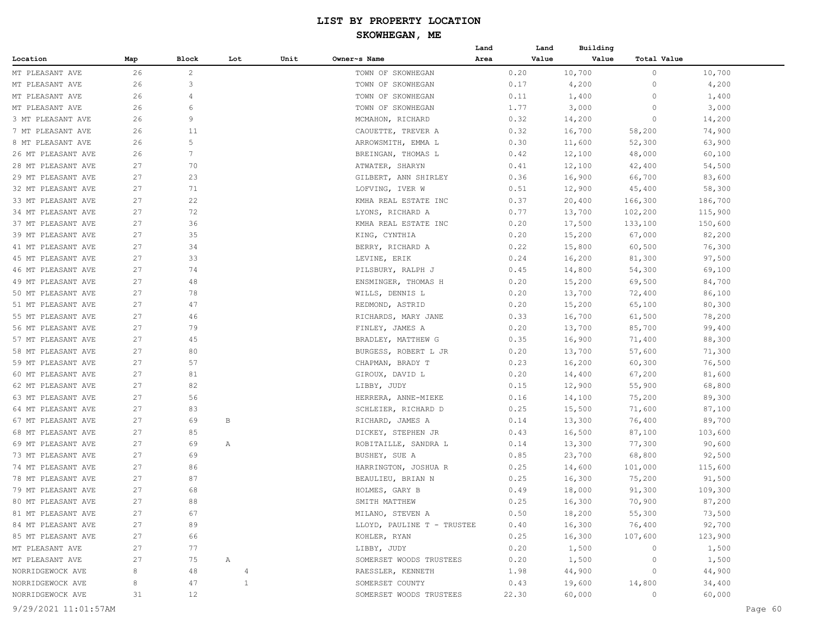|                    |     |                |                   |      |                            | Land | Land  | Building |                |         |
|--------------------|-----|----------------|-------------------|------|----------------------------|------|-------|----------|----------------|---------|
| Location           | Map | Block          | Lot               | Unit | Owner~s Name               | Area | Value | Value    | Total Value    |         |
| MT PLEASANT AVE    | 26  | $\overline{c}$ |                   |      | TOWN OF SKOWHEGAN          |      | 0.20  | 10,700   | 0              | 10,700  |
| MT PLEASANT AVE    | 26  | 3              |                   |      | TOWN OF SKOWHEGAN          |      | 0.17  | 4,200    | 0              | 4,200   |
| MT PLEASANT AVE    | 26  | $\overline{4}$ |                   |      | TOWN OF SKOWHEGAN          |      | 0.11  | 1,400    | 0              | 1,400   |
| MT PLEASANT AVE    | 26  | 6              |                   |      | TOWN OF SKOWHEGAN          |      | 1.77  | 3,000    | 0              | 3,000   |
| 3 MT PLEASANT AVE  | 26  | 9              |                   |      | MCMAHON, RICHARD           |      | 0.32  | 14,200   | $\circ$        | 14,200  |
| 7 MT PLEASANT AVE  | 26  | 11             |                   |      | CAOUETTE, TREVER A         |      | 0.32  | 16,700   | 58,200         | 74,900  |
| 8 MT PLEASANT AVE  | 26  | 5              |                   |      | ARROWSMITH, EMMA L         |      | 0.30  | 11,600   | 52,300         | 63,900  |
| 26 MT PLEASANT AVE | 26  | 7              |                   |      | BREINGAN, THOMAS L         |      | 0.42  | 12,100   | 48,000         | 60,100  |
| 28 MT PLEASANT AVE | 27  | 70             |                   |      | ATWATER, SHARYN            |      | 0.41  | 12,100   | 42,400         | 54,500  |
| 29 MT PLEASANT AVE | 27  | 23             |                   |      | GILBERT, ANN SHIRLEY       |      | 0.36  | 16,900   | 66,700         | 83,600  |
| 32 MT PLEASANT AVE | 27  | 71             |                   |      | LOFVING, IVER W            |      | 0.51  | 12,900   | 45,400         | 58,300  |
| 33 MT PLEASANT AVE | 27  | 22             |                   |      | KMHA REAL ESTATE INC       |      | 0.37  | 20,400   | 166,300        | 186,700 |
| 34 MT PLEASANT AVE | 27  | 72             |                   |      | LYONS, RICHARD A           |      | 0.77  | 13,700   | 102,200        | 115,900 |
| 37 MT PLEASANT AVE | 27  | 36             |                   |      | KMHA REAL ESTATE INC       |      | 0.20  | 17,500   | 133,100        | 150,600 |
| 39 MT PLEASANT AVE | 27  | 35             |                   |      | KING, CYNTHIA              |      | 0.20  | 15,200   | 67,000         | 82,200  |
| 41 MT PLEASANT AVE | 27  | 34             |                   |      | BERRY, RICHARD A           |      | 0.22  | 15,800   | 60,500         | 76,300  |
| 45 MT PLEASANT AVE | 27  | 33             |                   |      | LEVINE, ERIK               |      | 0.24  | 16,200   | 81,300         | 97,500  |
| 46 MT PLEASANT AVE | 27  | 74             |                   |      | PILSBURY, RALPH J          |      | 0.45  | 14,800   | 54,300         | 69,100  |
| 49 MT PLEASANT AVE | 27  | 48             |                   |      | ENSMINGER, THOMAS H        |      | 0.20  | 15,200   | 69,500         | 84,700  |
| 50 MT PLEASANT AVE | 27  | 78             |                   |      | WILLS, DENNIS L            |      | 0.20  | 13,700   | 72,400         | 86,100  |
| 51 MT PLEASANT AVE | 27  | 47             |                   |      | REDMOND, ASTRID            |      | 0.20  | 15,200   | 65,100         | 80,300  |
| 55 MT PLEASANT AVE | 27  | 46             |                   |      | RICHARDS, MARY JANE        |      | 0.33  | 16,700   | 61,500         | 78,200  |
| 56 MT PLEASANT AVE | 27  | 79             |                   |      | FINLEY, JAMES A            |      | 0.20  | 13,700   | 85,700         | 99,400  |
| 57 MT PLEASANT AVE | 27  | 45             |                   |      | BRADLEY, MATTHEW G         |      | 0.35  | 16,900   | 71,400         | 88,300  |
| 58 MT PLEASANT AVE | 27  | 80             |                   |      | BURGESS, ROBERT L JR       |      | 0.20  | 13,700   | 57,600         | 71,300  |
| 59 MT PLEASANT AVE | 27  | 57             |                   |      | CHAPMAN, BRADY T           |      | 0.23  | 16,200   | 60,300         | 76,500  |
| 60 MT PLEASANT AVE | 27  | 81             |                   |      | GIROUX, DAVID L            |      | 0.20  | 14,400   | 67,200         | 81,600  |
| 62 MT PLEASANT AVE | 27  | 82             |                   |      | LIBBY, JUDY                |      | 0.15  | 12,900   | 55,900         | 68,800  |
| 63 MT PLEASANT AVE | 27  | 56             |                   |      | HERRERA, ANNE-MIEKE        |      | 0.16  | 14,100   | 75,200         | 89,300  |
| 64 MT PLEASANT AVE | 27  | 83             |                   |      | SCHLEIER, RICHARD D        |      | 0.25  | 15,500   | 71,600         | 87,100  |
| 67 MT PLEASANT AVE | 27  | 69             | В                 |      | RICHARD, JAMES A           |      | 0.14  | 13,300   | 76,400         | 89,700  |
| 68 MT PLEASANT AVE | 27  | 85             |                   |      | DICKEY, STEPHEN JR         |      | 0.43  | 16,500   | 87,100         | 103,600 |
| 69 MT PLEASANT AVE | 27  | 69             | Α                 |      | ROBITAILLE, SANDRA L       |      | 0.14  | 13,300   | 77,300         | 90,600  |
| 73 MT PLEASANT AVE | 27  | 69             |                   |      | BUSHEY, SUE A              |      | 0.85  | 23,700   | 68,800         | 92,500  |
| 74 MT PLEASANT AVE | 27  | 86             |                   |      | HARRINGTON, JOSHUA R       |      | 0.25  | 14,600   | 101,000        | 115,600 |
| 78 MT PLEASANT AVE | 27  | 87             |                   |      | BEAULIEU, BRIAN N          |      | 0.25  | 16,300   | 75,200         | 91,500  |
| 79 MT PLEASANT AVE | 27  | 68             |                   |      | HOLMES, GARY B             |      | 0.49  | 18,000   | 91,300         | 109,300 |
| 80 MT PLEASANT AVE | 27  | 88             |                   |      | SMITH MATTHEW              |      | 0.25  | 16,300   | 70,900         | 87,200  |
| 81 MT PLEASANT AVE | 27  | 67             |                   |      | MILANO, STEVEN A           |      | 0.50  | 18,200   | 55,300         | 73,500  |
| 84 MT PLEASANT AVE | 27  | 89             |                   |      | LLOYD, PAULINE T - TRUSTEE |      | 0.40  | 16,300   | 76,400         | 92,700  |
| 85 MT PLEASANT AVE | 27  | 66             |                   |      | KOHLER, RYAN               |      | 0.25  | 16,300   | 107,600        | 123,900 |
| MT PLEASANT AVE    | 27  | 77             |                   |      | LIBBY, JUDY                |      | 0.20  | 1,500    | $\overline{0}$ | 1,500   |
| MT PLEASANT AVE    | 27  | 75             | $A \qquad \qquad$ |      | SOMERSET WOODS TRUSTEES    |      | 0.20  | 1,500    | $\overline{0}$ | 1,500   |
| NORRIDGEWOCK AVE   | 8   | 48             | $\overline{4}$    |      | RAESSLER, KENNETH          |      | 1.98  | 44,900   | $\circ$        | 44,900  |
| NORRIDGEWOCK AVE   | 8   | 47             | $\mathbf{1}$      |      | SOMERSET COUNTY            |      | 0.43  | 19,600   | 14,800         | 34,400  |
| NORRIDGEWOCK AVE   | 31  | 12             |                   |      | SOMERSET WOODS TRUSTEES    |      | 22.30 | 60,000   | $\circ$        | 60,000  |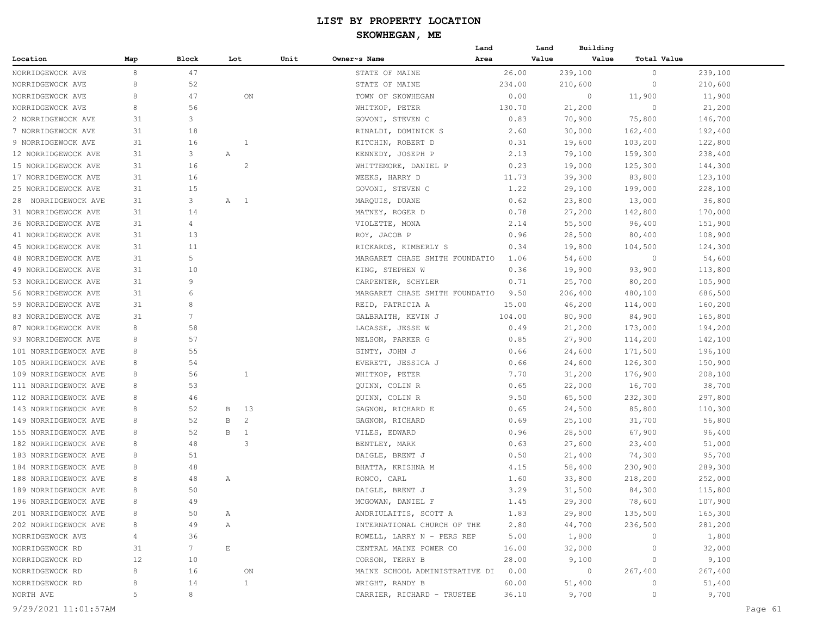#### **SKOWHEGAN, ME**

|                        |     |                 |                     |      |                                     | Land   | Land           | Building             |         |  |
|------------------------|-----|-----------------|---------------------|------|-------------------------------------|--------|----------------|----------------------|---------|--|
| Location               | Map | Block           | Lot                 | Unit | Owner~s Name                        | Area   | Value          | Value<br>Total Value |         |  |
| NORRIDGEWOCK AVE       | 8   | 47              |                     |      | STATE OF MAINE                      | 26.00  | 239,100        | $\circ$              | 239,100 |  |
| NORRIDGEWOCK AVE       | 8   | 52              |                     |      | STATE OF MAINE                      | 234.00 | 210,600        | $\circ$              | 210,600 |  |
| NORRIDGEWOCK AVE       | 8   | 47              | ON                  |      | TOWN OF SKOWHEGAN                   | 0.00   | $\circ$        | 11,900               | 11,900  |  |
| NORRIDGEWOCK AVE       | 8   | 56              |                     |      | WHITKOP, PETER                      | 130.70 | 21,200         | $\circ$              | 21,200  |  |
| 2 NORRIDGEWOCK AVE     | 31  | 3               |                     |      | GOVONI, STEVEN C                    | 0.83   | 70,900         | 75,800               | 146,700 |  |
| 7 NORRIDGEWOCK AVE     | 31  | 18              |                     |      | RINALDI, DOMINICK S                 | 2.60   | 30,000         | 162,400              | 192,400 |  |
| 9 NORRIDGEWOCK AVE     | 31  | 16              | 1                   |      | KITCHIN, ROBERT D                   | 0.31   | 19,600         | 103,200              | 122,800 |  |
| 12 NORRIDGEWOCK AVE    | 31  | 3               | Α                   |      | KENNEDY, JOSEPH P                   | 2.13   | 79,100         | 159,300              | 238,400 |  |
| 15 NORRIDGEWOCK AVE    | 31  | 16              | 2                   |      | WHITTEMORE, DANIEL P                | 0.23   | 19,000         | 125,300              | 144,300 |  |
| 17 NORRIDGEWOCK AVE    | 31  | 16              |                     |      | WEEKS, HARRY D                      | 11.73  | 39,300         | 83,800               | 123,100 |  |
| 25 NORRIDGEWOCK AVE    | 31  | 15              |                     |      | GOVONI, STEVEN C                    | 1.22   | 29,100         | 199,000              | 228,100 |  |
| NORRIDGEWOCK AVE<br>28 | 31  | 3               | A 1                 |      | MARQUIS, DUANE                      | 0.62   | 23,800         | 13,000               | 36,800  |  |
| 31 NORRIDGEWOCK AVE    | 31  | 14              |                     |      | MATNEY, ROGER D                     | 0.78   | 27,200         | 142,800              | 170,000 |  |
| 36 NORRIDGEWOCK AVE    | 31  | 4               |                     |      | VIOLETTE, MONA                      | 2.14   | 55,500         | 96,400               | 151,900 |  |
| 41 NORRIDGEWOCK AVE    | 31  | 13              |                     |      | ROY, JACOB P                        | 0.96   | 28,500         | 80,400               | 108,900 |  |
| 45 NORRIDGEWOCK AVE    | 31  | 11              |                     |      | RICKARDS, KIMBERLY S                | 0.34   | 19,800         | 104,500              | 124,300 |  |
| 48 NORRIDGEWOCK AVE    | 31  | 5               |                     |      | MARGARET CHASE SMITH FOUNDATIO      | 1.06   | 54,600         | $\circ$              | 54,600  |  |
| 49 NORRIDGEWOCK AVE    | 31  | 10              |                     |      | KING, STEPHEN W                     | 0.36   | 19,900         | 93,900               | 113,800 |  |
| 53 NORRIDGEWOCK AVE    | 31  | 9               |                     |      | CARPENTER, SCHYLER                  | 0.71   | 25,700         | 80,200               | 105,900 |  |
| 56 NORRIDGEWOCK AVE    | 31  | 6               |                     |      | MARGARET CHASE SMITH FOUNDATIO      | 9.50   | 206,400        | 480,100              | 686,500 |  |
| 59 NORRIDGEWOCK AVE    | 31  | 8               |                     |      | REID, PATRICIA A                    | 15.00  | 46,200         | 114,000              | 160,200 |  |
| 83 NORRIDGEWOCK AVE    | 31  | $7\phantom{.0}$ |                     |      | GALBRAITH, KEVIN J                  | 104.00 | 80,900         | 84,900               | 165,800 |  |
| 87 NORRIDGEWOCK AVE    | 8   | 58              |                     |      | LACASSE, JESSE W                    | 0.49   | 21,200         | 173,000              | 194,200 |  |
| 93 NORRIDGEWOCK AVE    | 8   | 57              |                     |      | NELSON, PARKER G                    | 0.85   | 27,900         | 114,200              | 142,100 |  |
| 101 NORRIDGEWOCK AVE   | 8   | 55              |                     |      | GINTY, JOHN J                       | 0.66   | 24,600         | 171,500              | 196,100 |  |
| 105 NORRIDGEWOCK AVE   | 8   | 54              |                     |      | EVERETT, JESSICA J                  | 0.66   | 24,600         | 126,300              | 150,900 |  |
| 109 NORRIDGEWOCK AVE   | 8   | 56              | 1                   |      | WHITKOP, PETER                      | 7.70   | 31,200         | 176,900              | 208,100 |  |
| 111 NORRIDGEWOCK AVE   | 8   | 53              |                     |      | QUINN, COLIN R                      | 0.65   | 22,000         | 16,700               | 38,700  |  |
| 112 NORRIDGEWOCK AVE   | 8   | 46              |                     |      | QUINN, COLIN R                      | 9.50   | 65,500         | 232,300              | 297,800 |  |
| 143 NORRIDGEWOCK AVE   | 8   | 52              | 13<br>B             |      | GAGNON, RICHARD E                   | 0.65   | 24,500         | 85,800               | 110,300 |  |
| 149 NORRIDGEWOCK AVE   | 8   | 52              | $\overline{c}$<br>В |      | GAGNON, RICHARD                     | 0.69   | 25,100         | 31,700               | 56,800  |  |
| 155 NORRIDGEWOCK AVE   | 8   | 52              | В<br>$\mathbf{1}$   |      | VILES, EDWARD                       | 0.96   | 28,500         | 67,900               | 96,400  |  |
| 182 NORRIDGEWOCK AVE   | 8   | 48              | 3                   |      | BENTLEY, MARK                       | 0.63   | 27,600         | 23,400               | 51,000  |  |
| 183 NORRIDGEWOCK AVE   | 8   | 51              |                     |      | DAIGLE, BRENT J                     | 0.50   | 21,400         | 74,300               | 95,700  |  |
| 184 NORRIDGEWOCK AVE   | 8   | 48              |                     |      | BHATTA, KRISHNA M                   | 4.15   | 58,400         | 230,900              | 289,300 |  |
| 188 NORRIDGEWOCK AVE   | 8   | 48              | Α                   |      | RONCO, CARL                         | 1.60   | 33,800         | 218,200              | 252,000 |  |
| 189 NORRIDGEWOCK AVE   | 8   | 50              |                     |      | DAIGLE, BRENT J                     | 3.29   | 31,500         | 84,300               | 115,800 |  |
| 196 NORRIDGEWOCK AVE   | 8   | 49              |                     |      | MCGOWAN, DANIEL F                   | 1.45   | 29,300         | 78,600               | 107,900 |  |
| 201 NORRIDGEWOCK AVE   | 8   | 50              | A                   |      | ANDRIULAITIS, SCOTT A               | 1.83   | 29,800         | 135,500              | 165,300 |  |
| 202 NORRIDGEWOCK AVE   | 8   | 49              | Α                   |      | INTERNATIONAL CHURCH OF THE         | 2.80   | 44,700         | 236,500              | 281,200 |  |
| NORRIDGEWOCK AVE       | 4   | 36              |                     |      | ROWELL, LARRY N - PERS REP          | 5.00   | 1,800          | $\circ$              | 1,800   |  |
| NORRIDGEWOCK RD        | 31  | $7^{\circ}$     | $\mathbf{E}$        |      | CENTRAL MAINE POWER CO              | 16.00  | 32,000         | 0                    | 32,000  |  |
| NORRIDGEWOCK RD        | 12  | 10              |                     |      | CORSON, TERRY B                     | 28.00  | 9,100          | 0                    | 9,100   |  |
| NORRIDGEWOCK RD        | 8   | 16              | ON                  |      | MAINE SCHOOL ADMINISTRATIVE DI 0.00 |        | $\overline{0}$ | 267,400              | 267,400 |  |
| NORRIDGEWOCK RD        | 8   | 14              | $\mathbf{1}$        |      | WRIGHT, RANDY B                     | 60.00  | 51,400         | $\circ$              | 51,400  |  |
| NORTH AVE              | 5   | 8               |                     |      | CARRIER, RICHARD - TRUSTEE          | 36.10  | 9,700          | $\circ$              | 9,700   |  |
|                        |     |                 |                     |      |                                     |        |                |                      |         |  |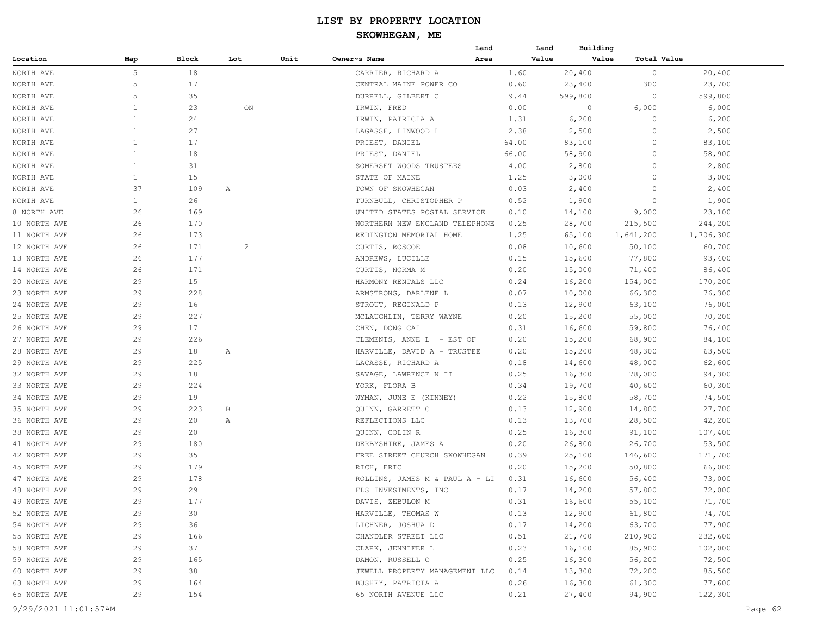| Block<br>Lot<br>Unit<br>Owner~s Name<br>Area<br>Value<br>Value<br>Total Value<br>Location<br>Map<br>5<br>18<br>20,400<br>$\circ$<br>CARRIER, RICHARD A<br>1.60<br>20,400<br>NORTH AVE<br>5<br>17<br>300<br>23,700<br>NORTH AVE<br>CENTRAL MAINE POWER CO<br>0.60<br>23,400<br>5<br>35<br>NORTH AVE<br>DURRELL, GILBERT C<br>9.44<br>599,800<br>$\circ$<br>599,800<br>23<br>6,000<br>NORTH AVE<br>$\mathbf{1}$<br>0.00<br>0<br>6,000<br>ON<br>IRWIN, FRED<br>1<br>24<br>IRWIN, PATRICIA A<br>1.31<br>6,200<br>$\circ$<br>6,200<br>$\mathbf{1}$<br>27<br>NORTH AVE<br>LAGASSE, LINWOOD L<br>2.38<br>2,500<br>$\circ$<br>2,500<br>$\mathbf{1}$<br>17<br>NORTH AVE<br>PRIEST, DANIEL<br>64.00<br>83,100<br>$\circ$<br>83,100<br>$\mathbf{1}$<br>18<br>66.00<br>58,900<br>$\circ$<br>58,900<br>PRIEST, DANIEL<br>$\mathbf{1}$<br>31<br>2,800<br>$\circ$<br>2,800<br>SOMERSET WOODS TRUSTEES<br>4.00<br>$\mathbf{1}$<br>15<br>$\circ$<br>NORTH AVE<br>STATE OF MAINE<br>1.25<br>3,000<br>3,000<br>37<br>NORTH AVE<br>109<br>0.03<br>2,400<br>$\circ$<br>2,400<br>Α<br>TOWN OF SKOWHEGAN<br>26<br>1,900<br>NORTH AVE<br>$\mathbf{1}$<br>0.52<br>1,900<br>$\circ$<br>TURNBULL, CHRISTOPHER P<br>8 NORTH AVE<br>26<br>169<br>UNITED STATES POSTAL SERVICE<br>0.10<br>14,100<br>9,000<br>23,100<br>244,200<br>10 NORTH AVE<br>26<br>170<br>NORTHERN NEW ENGLAND TELEPHONE<br>0.25<br>28,700<br>215,500<br>26<br>173<br>REDINGTON MEMORIAL HOME<br>1.25<br>65,100<br>1,641,200<br>1,706,300<br>11 NORTH AVE<br>171<br>26<br>$\overline{c}$<br>CURTIS, ROSCOE<br>0.08<br>10,600<br>50,100<br>60,700<br>12 NORTH AVE<br>26<br>177<br>ANDREWS, LUCILLE<br>0.15<br>77,800<br>93,400<br>15,600<br>26<br>14 NORTH AVE<br>171<br>CURTIS, NORMA M<br>0.20<br>15,000<br>71,400<br>86,400<br>15<br>20 NORTH AVE<br>29<br>0.24<br>16,200<br>154,000<br>170,200<br>HARMONY RENTALS LLC<br>29<br>228<br>23 NORTH AVE<br>0.07<br>10,000<br>66,300<br>76,300<br>ARMSTRONG, DARLENE L<br>24 NORTH AVE<br>29<br>16<br>STROUT, REGINALD P<br>0.13<br>12,900<br>63,100<br>76,000<br>29<br>227<br>25 NORTH AVE<br>MCLAUGHLIN, TERRY WAYNE<br>0.20<br>15,200<br>55,000<br>70,200<br>17<br>29<br>0.31<br>16,600<br>59,800<br>76,400<br>26 NORTH AVE<br>CHEN, DONG CAI<br>29<br>226<br>15,200<br>68,900<br>84,100<br>27 NORTH AVE<br>CLEMENTS, ANNE L - EST OF<br>0.20<br>29<br>18<br>15,200<br>48,300<br>63,500<br>28 NORTH AVE<br>Α<br>HARVILLE, DAVID A - TRUSTEE<br>0.20<br>29<br>225<br>29 NORTH AVE<br>0.18<br>14,600<br>48,000<br>62,600<br>LACASSE, RICHARD A<br>29<br>18<br>0.25<br>16,300<br>78,000<br>94,300<br>32 NORTH AVE<br>SAVAGE, LAWRENCE N II<br>29<br>224<br>0.34<br>19,700<br>40,600<br>60,300<br>33 NORTH AVE<br>YORK, FLORA B<br>34 NORTH AVE<br>29<br>19<br>0.22<br>15,800<br>58,700<br>74,500<br>WYMAN, JUNE E (KINNEY)<br>223<br>27,700<br>35 NORTH AVE<br>29<br>В<br>QUINN, GARRETT C<br>0.13<br>12,900<br>14,800<br>29<br>20<br>REFLECTIONS LLC<br>0.13<br>13,700<br>28,500<br>42,200<br>36 NORTH AVE<br>Α<br>29<br>20<br>0.25<br>16,300<br>107,400<br>38 NORTH AVE<br>QUINN, COLIN R<br>91,100<br>29<br>180<br>0.20<br>26,800<br>26,700<br>53,500<br>41 NORTH AVE<br>DERBYSHIRE, JAMES A<br>29<br>35<br>42 NORTH AVE<br>FREE STREET CHURCH SKOWHEGAN<br>0.39<br>25,100<br>146,600<br>171,700<br>45 NORTH AVE<br>29<br>179<br>0.20<br>15,200<br>50,800<br>66,000<br>RICH, ERIC<br>29<br>178<br>47 NORTH AVE<br>0.31<br>16,600<br>73,000<br>ROLLINS, JAMES M & PAUL A - LI<br>56,400<br>29<br>48 NORTH AVE<br>29<br>FLS INVESTMENTS, INC<br>0.17<br>14,200<br>57,800<br>72,000<br>29<br>177<br>71,700<br>49 NORTH AVE<br>DAVIS, ZEBULON M<br>0.31<br>16,600<br>55,100<br>74,700<br>52 NORTH AVE<br>29<br>30<br>HARVILLE, THOMAS W<br>0.13<br>12,900<br>61,800<br>29<br>36<br>63,700<br>77,900<br>54 NORTH AVE<br>LICHNER, JOSHUA D<br>0.17<br>14,200<br>29<br>166<br>232,600<br>55 NORTH AVE<br>CHANDLER STREET LLC<br>0.51<br>21,700<br>210,900<br>37<br>58 NORTH AVE<br>29<br>0.23<br>102,000<br>CLARK, JENNIFER L<br>16,100<br>85,900<br>29<br>165<br>72,500<br>59 NORTH AVE<br>DAMON, RUSSELL O<br>0.25<br>16,300<br>56,200<br>29<br>38<br>85,500<br>60 NORTH AVE<br>JEWELL PROPERTY MANAGEMENT LLC<br>0.14<br>13,300<br>72,200<br>77,600<br>63 NORTH AVE<br>29<br>164<br>BUSHEY, PATRICIA A<br>0.26<br>16,300<br>61,300<br>65 NORTH AVE<br>29<br>27,400<br>122,300<br>154<br>65 NORTH AVENUE LLC<br>0.21<br>94,900 |              |  |  | Land | Land | Building |  |  |
|------------------------------------------------------------------------------------------------------------------------------------------------------------------------------------------------------------------------------------------------------------------------------------------------------------------------------------------------------------------------------------------------------------------------------------------------------------------------------------------------------------------------------------------------------------------------------------------------------------------------------------------------------------------------------------------------------------------------------------------------------------------------------------------------------------------------------------------------------------------------------------------------------------------------------------------------------------------------------------------------------------------------------------------------------------------------------------------------------------------------------------------------------------------------------------------------------------------------------------------------------------------------------------------------------------------------------------------------------------------------------------------------------------------------------------------------------------------------------------------------------------------------------------------------------------------------------------------------------------------------------------------------------------------------------------------------------------------------------------------------------------------------------------------------------------------------------------------------------------------------------------------------------------------------------------------------------------------------------------------------------------------------------------------------------------------------------------------------------------------------------------------------------------------------------------------------------------------------------------------------------------------------------------------------------------------------------------------------------------------------------------------------------------------------------------------------------------------------------------------------------------------------------------------------------------------------------------------------------------------------------------------------------------------------------------------------------------------------------------------------------------------------------------------------------------------------------------------------------------------------------------------------------------------------------------------------------------------------------------------------------------------------------------------------------------------------------------------------------------------------------------------------------------------------------------------------------------------------------------------------------------------------------------------------------------------------------------------------------------------------------------------------------------------------------------------------------------------------------------------------------------------------------------------------------------------------------------------------------------------------------------------------------------------------------------------------------------------------------------------------------------------------------------------------------------------------------------------------------------------------------------------------------------------------------------------------------------------------------------------------------------------------------------------------------------------------------------------------------------------------------------------------------------------------------------------------------------------------------------------------------------------------------------------------------------------------------------------------------------------------------------------------------------------|--------------|--|--|------|------|----------|--|--|
|                                                                                                                                                                                                                                                                                                                                                                                                                                                                                                                                                                                                                                                                                                                                                                                                                                                                                                                                                                                                                                                                                                                                                                                                                                                                                                                                                                                                                                                                                                                                                                                                                                                                                                                                                                                                                                                                                                                                                                                                                                                                                                                                                                                                                                                                                                                                                                                                                                                                                                                                                                                                                                                                                                                                                                                                                                                                                                                                                                                                                                                                                                                                                                                                                                                                                                                                                                                                                                                                                                                                                                                                                                                                                                                                                                                                                                                                                                                                                                                                                                                                                                                                                                                                                                                                                                                                                                                                                  |              |  |  |      |      |          |  |  |
|                                                                                                                                                                                                                                                                                                                                                                                                                                                                                                                                                                                                                                                                                                                                                                                                                                                                                                                                                                                                                                                                                                                                                                                                                                                                                                                                                                                                                                                                                                                                                                                                                                                                                                                                                                                                                                                                                                                                                                                                                                                                                                                                                                                                                                                                                                                                                                                                                                                                                                                                                                                                                                                                                                                                                                                                                                                                                                                                                                                                                                                                                                                                                                                                                                                                                                                                                                                                                                                                                                                                                                                                                                                                                                                                                                                                                                                                                                                                                                                                                                                                                                                                                                                                                                                                                                                                                                                                                  |              |  |  |      |      |          |  |  |
|                                                                                                                                                                                                                                                                                                                                                                                                                                                                                                                                                                                                                                                                                                                                                                                                                                                                                                                                                                                                                                                                                                                                                                                                                                                                                                                                                                                                                                                                                                                                                                                                                                                                                                                                                                                                                                                                                                                                                                                                                                                                                                                                                                                                                                                                                                                                                                                                                                                                                                                                                                                                                                                                                                                                                                                                                                                                                                                                                                                                                                                                                                                                                                                                                                                                                                                                                                                                                                                                                                                                                                                                                                                                                                                                                                                                                                                                                                                                                                                                                                                                                                                                                                                                                                                                                                                                                                                                                  |              |  |  |      |      |          |  |  |
|                                                                                                                                                                                                                                                                                                                                                                                                                                                                                                                                                                                                                                                                                                                                                                                                                                                                                                                                                                                                                                                                                                                                                                                                                                                                                                                                                                                                                                                                                                                                                                                                                                                                                                                                                                                                                                                                                                                                                                                                                                                                                                                                                                                                                                                                                                                                                                                                                                                                                                                                                                                                                                                                                                                                                                                                                                                                                                                                                                                                                                                                                                                                                                                                                                                                                                                                                                                                                                                                                                                                                                                                                                                                                                                                                                                                                                                                                                                                                                                                                                                                                                                                                                                                                                                                                                                                                                                                                  |              |  |  |      |      |          |  |  |
|                                                                                                                                                                                                                                                                                                                                                                                                                                                                                                                                                                                                                                                                                                                                                                                                                                                                                                                                                                                                                                                                                                                                                                                                                                                                                                                                                                                                                                                                                                                                                                                                                                                                                                                                                                                                                                                                                                                                                                                                                                                                                                                                                                                                                                                                                                                                                                                                                                                                                                                                                                                                                                                                                                                                                                                                                                                                                                                                                                                                                                                                                                                                                                                                                                                                                                                                                                                                                                                                                                                                                                                                                                                                                                                                                                                                                                                                                                                                                                                                                                                                                                                                                                                                                                                                                                                                                                                                                  |              |  |  |      |      |          |  |  |
|                                                                                                                                                                                                                                                                                                                                                                                                                                                                                                                                                                                                                                                                                                                                                                                                                                                                                                                                                                                                                                                                                                                                                                                                                                                                                                                                                                                                                                                                                                                                                                                                                                                                                                                                                                                                                                                                                                                                                                                                                                                                                                                                                                                                                                                                                                                                                                                                                                                                                                                                                                                                                                                                                                                                                                                                                                                                                                                                                                                                                                                                                                                                                                                                                                                                                                                                                                                                                                                                                                                                                                                                                                                                                                                                                                                                                                                                                                                                                                                                                                                                                                                                                                                                                                                                                                                                                                                                                  | NORTH AVE    |  |  |      |      |          |  |  |
|                                                                                                                                                                                                                                                                                                                                                                                                                                                                                                                                                                                                                                                                                                                                                                                                                                                                                                                                                                                                                                                                                                                                                                                                                                                                                                                                                                                                                                                                                                                                                                                                                                                                                                                                                                                                                                                                                                                                                                                                                                                                                                                                                                                                                                                                                                                                                                                                                                                                                                                                                                                                                                                                                                                                                                                                                                                                                                                                                                                                                                                                                                                                                                                                                                                                                                                                                                                                                                                                                                                                                                                                                                                                                                                                                                                                                                                                                                                                                                                                                                                                                                                                                                                                                                                                                                                                                                                                                  |              |  |  |      |      |          |  |  |
|                                                                                                                                                                                                                                                                                                                                                                                                                                                                                                                                                                                                                                                                                                                                                                                                                                                                                                                                                                                                                                                                                                                                                                                                                                                                                                                                                                                                                                                                                                                                                                                                                                                                                                                                                                                                                                                                                                                                                                                                                                                                                                                                                                                                                                                                                                                                                                                                                                                                                                                                                                                                                                                                                                                                                                                                                                                                                                                                                                                                                                                                                                                                                                                                                                                                                                                                                                                                                                                                                                                                                                                                                                                                                                                                                                                                                                                                                                                                                                                                                                                                                                                                                                                                                                                                                                                                                                                                                  |              |  |  |      |      |          |  |  |
|                                                                                                                                                                                                                                                                                                                                                                                                                                                                                                                                                                                                                                                                                                                                                                                                                                                                                                                                                                                                                                                                                                                                                                                                                                                                                                                                                                                                                                                                                                                                                                                                                                                                                                                                                                                                                                                                                                                                                                                                                                                                                                                                                                                                                                                                                                                                                                                                                                                                                                                                                                                                                                                                                                                                                                                                                                                                                                                                                                                                                                                                                                                                                                                                                                                                                                                                                                                                                                                                                                                                                                                                                                                                                                                                                                                                                                                                                                                                                                                                                                                                                                                                                                                                                                                                                                                                                                                                                  | NORTH AVE    |  |  |      |      |          |  |  |
|                                                                                                                                                                                                                                                                                                                                                                                                                                                                                                                                                                                                                                                                                                                                                                                                                                                                                                                                                                                                                                                                                                                                                                                                                                                                                                                                                                                                                                                                                                                                                                                                                                                                                                                                                                                                                                                                                                                                                                                                                                                                                                                                                                                                                                                                                                                                                                                                                                                                                                                                                                                                                                                                                                                                                                                                                                                                                                                                                                                                                                                                                                                                                                                                                                                                                                                                                                                                                                                                                                                                                                                                                                                                                                                                                                                                                                                                                                                                                                                                                                                                                                                                                                                                                                                                                                                                                                                                                  | NORTH AVE    |  |  |      |      |          |  |  |
|                                                                                                                                                                                                                                                                                                                                                                                                                                                                                                                                                                                                                                                                                                                                                                                                                                                                                                                                                                                                                                                                                                                                                                                                                                                                                                                                                                                                                                                                                                                                                                                                                                                                                                                                                                                                                                                                                                                                                                                                                                                                                                                                                                                                                                                                                                                                                                                                                                                                                                                                                                                                                                                                                                                                                                                                                                                                                                                                                                                                                                                                                                                                                                                                                                                                                                                                                                                                                                                                                                                                                                                                                                                                                                                                                                                                                                                                                                                                                                                                                                                                                                                                                                                                                                                                                                                                                                                                                  |              |  |  |      |      |          |  |  |
|                                                                                                                                                                                                                                                                                                                                                                                                                                                                                                                                                                                                                                                                                                                                                                                                                                                                                                                                                                                                                                                                                                                                                                                                                                                                                                                                                                                                                                                                                                                                                                                                                                                                                                                                                                                                                                                                                                                                                                                                                                                                                                                                                                                                                                                                                                                                                                                                                                                                                                                                                                                                                                                                                                                                                                                                                                                                                                                                                                                                                                                                                                                                                                                                                                                                                                                                                                                                                                                                                                                                                                                                                                                                                                                                                                                                                                                                                                                                                                                                                                                                                                                                                                                                                                                                                                                                                                                                                  |              |  |  |      |      |          |  |  |
|                                                                                                                                                                                                                                                                                                                                                                                                                                                                                                                                                                                                                                                                                                                                                                                                                                                                                                                                                                                                                                                                                                                                                                                                                                                                                                                                                                                                                                                                                                                                                                                                                                                                                                                                                                                                                                                                                                                                                                                                                                                                                                                                                                                                                                                                                                                                                                                                                                                                                                                                                                                                                                                                                                                                                                                                                                                                                                                                                                                                                                                                                                                                                                                                                                                                                                                                                                                                                                                                                                                                                                                                                                                                                                                                                                                                                                                                                                                                                                                                                                                                                                                                                                                                                                                                                                                                                                                                                  |              |  |  |      |      |          |  |  |
|                                                                                                                                                                                                                                                                                                                                                                                                                                                                                                                                                                                                                                                                                                                                                                                                                                                                                                                                                                                                                                                                                                                                                                                                                                                                                                                                                                                                                                                                                                                                                                                                                                                                                                                                                                                                                                                                                                                                                                                                                                                                                                                                                                                                                                                                                                                                                                                                                                                                                                                                                                                                                                                                                                                                                                                                                                                                                                                                                                                                                                                                                                                                                                                                                                                                                                                                                                                                                                                                                                                                                                                                                                                                                                                                                                                                                                                                                                                                                                                                                                                                                                                                                                                                                                                                                                                                                                                                                  |              |  |  |      |      |          |  |  |
|                                                                                                                                                                                                                                                                                                                                                                                                                                                                                                                                                                                                                                                                                                                                                                                                                                                                                                                                                                                                                                                                                                                                                                                                                                                                                                                                                                                                                                                                                                                                                                                                                                                                                                                                                                                                                                                                                                                                                                                                                                                                                                                                                                                                                                                                                                                                                                                                                                                                                                                                                                                                                                                                                                                                                                                                                                                                                                                                                                                                                                                                                                                                                                                                                                                                                                                                                                                                                                                                                                                                                                                                                                                                                                                                                                                                                                                                                                                                                                                                                                                                                                                                                                                                                                                                                                                                                                                                                  |              |  |  |      |      |          |  |  |
|                                                                                                                                                                                                                                                                                                                                                                                                                                                                                                                                                                                                                                                                                                                                                                                                                                                                                                                                                                                                                                                                                                                                                                                                                                                                                                                                                                                                                                                                                                                                                                                                                                                                                                                                                                                                                                                                                                                                                                                                                                                                                                                                                                                                                                                                                                                                                                                                                                                                                                                                                                                                                                                                                                                                                                                                                                                                                                                                                                                                                                                                                                                                                                                                                                                                                                                                                                                                                                                                                                                                                                                                                                                                                                                                                                                                                                                                                                                                                                                                                                                                                                                                                                                                                                                                                                                                                                                                                  |              |  |  |      |      |          |  |  |
|                                                                                                                                                                                                                                                                                                                                                                                                                                                                                                                                                                                                                                                                                                                                                                                                                                                                                                                                                                                                                                                                                                                                                                                                                                                                                                                                                                                                                                                                                                                                                                                                                                                                                                                                                                                                                                                                                                                                                                                                                                                                                                                                                                                                                                                                                                                                                                                                                                                                                                                                                                                                                                                                                                                                                                                                                                                                                                                                                                                                                                                                                                                                                                                                                                                                                                                                                                                                                                                                                                                                                                                                                                                                                                                                                                                                                                                                                                                                                                                                                                                                                                                                                                                                                                                                                                                                                                                                                  |              |  |  |      |      |          |  |  |
|                                                                                                                                                                                                                                                                                                                                                                                                                                                                                                                                                                                                                                                                                                                                                                                                                                                                                                                                                                                                                                                                                                                                                                                                                                                                                                                                                                                                                                                                                                                                                                                                                                                                                                                                                                                                                                                                                                                                                                                                                                                                                                                                                                                                                                                                                                                                                                                                                                                                                                                                                                                                                                                                                                                                                                                                                                                                                                                                                                                                                                                                                                                                                                                                                                                                                                                                                                                                                                                                                                                                                                                                                                                                                                                                                                                                                                                                                                                                                                                                                                                                                                                                                                                                                                                                                                                                                                                                                  | 13 NORTH AVE |  |  |      |      |          |  |  |
|                                                                                                                                                                                                                                                                                                                                                                                                                                                                                                                                                                                                                                                                                                                                                                                                                                                                                                                                                                                                                                                                                                                                                                                                                                                                                                                                                                                                                                                                                                                                                                                                                                                                                                                                                                                                                                                                                                                                                                                                                                                                                                                                                                                                                                                                                                                                                                                                                                                                                                                                                                                                                                                                                                                                                                                                                                                                                                                                                                                                                                                                                                                                                                                                                                                                                                                                                                                                                                                                                                                                                                                                                                                                                                                                                                                                                                                                                                                                                                                                                                                                                                                                                                                                                                                                                                                                                                                                                  |              |  |  |      |      |          |  |  |
|                                                                                                                                                                                                                                                                                                                                                                                                                                                                                                                                                                                                                                                                                                                                                                                                                                                                                                                                                                                                                                                                                                                                                                                                                                                                                                                                                                                                                                                                                                                                                                                                                                                                                                                                                                                                                                                                                                                                                                                                                                                                                                                                                                                                                                                                                                                                                                                                                                                                                                                                                                                                                                                                                                                                                                                                                                                                                                                                                                                                                                                                                                                                                                                                                                                                                                                                                                                                                                                                                                                                                                                                                                                                                                                                                                                                                                                                                                                                                                                                                                                                                                                                                                                                                                                                                                                                                                                                                  |              |  |  |      |      |          |  |  |
|                                                                                                                                                                                                                                                                                                                                                                                                                                                                                                                                                                                                                                                                                                                                                                                                                                                                                                                                                                                                                                                                                                                                                                                                                                                                                                                                                                                                                                                                                                                                                                                                                                                                                                                                                                                                                                                                                                                                                                                                                                                                                                                                                                                                                                                                                                                                                                                                                                                                                                                                                                                                                                                                                                                                                                                                                                                                                                                                                                                                                                                                                                                                                                                                                                                                                                                                                                                                                                                                                                                                                                                                                                                                                                                                                                                                                                                                                                                                                                                                                                                                                                                                                                                                                                                                                                                                                                                                                  |              |  |  |      |      |          |  |  |
|                                                                                                                                                                                                                                                                                                                                                                                                                                                                                                                                                                                                                                                                                                                                                                                                                                                                                                                                                                                                                                                                                                                                                                                                                                                                                                                                                                                                                                                                                                                                                                                                                                                                                                                                                                                                                                                                                                                                                                                                                                                                                                                                                                                                                                                                                                                                                                                                                                                                                                                                                                                                                                                                                                                                                                                                                                                                                                                                                                                                                                                                                                                                                                                                                                                                                                                                                                                                                                                                                                                                                                                                                                                                                                                                                                                                                                                                                                                                                                                                                                                                                                                                                                                                                                                                                                                                                                                                                  |              |  |  |      |      |          |  |  |
|                                                                                                                                                                                                                                                                                                                                                                                                                                                                                                                                                                                                                                                                                                                                                                                                                                                                                                                                                                                                                                                                                                                                                                                                                                                                                                                                                                                                                                                                                                                                                                                                                                                                                                                                                                                                                                                                                                                                                                                                                                                                                                                                                                                                                                                                                                                                                                                                                                                                                                                                                                                                                                                                                                                                                                                                                                                                                                                                                                                                                                                                                                                                                                                                                                                                                                                                                                                                                                                                                                                                                                                                                                                                                                                                                                                                                                                                                                                                                                                                                                                                                                                                                                                                                                                                                                                                                                                                                  |              |  |  |      |      |          |  |  |
|                                                                                                                                                                                                                                                                                                                                                                                                                                                                                                                                                                                                                                                                                                                                                                                                                                                                                                                                                                                                                                                                                                                                                                                                                                                                                                                                                                                                                                                                                                                                                                                                                                                                                                                                                                                                                                                                                                                                                                                                                                                                                                                                                                                                                                                                                                                                                                                                                                                                                                                                                                                                                                                                                                                                                                                                                                                                                                                                                                                                                                                                                                                                                                                                                                                                                                                                                                                                                                                                                                                                                                                                                                                                                                                                                                                                                                                                                                                                                                                                                                                                                                                                                                                                                                                                                                                                                                                                                  |              |  |  |      |      |          |  |  |
|                                                                                                                                                                                                                                                                                                                                                                                                                                                                                                                                                                                                                                                                                                                                                                                                                                                                                                                                                                                                                                                                                                                                                                                                                                                                                                                                                                                                                                                                                                                                                                                                                                                                                                                                                                                                                                                                                                                                                                                                                                                                                                                                                                                                                                                                                                                                                                                                                                                                                                                                                                                                                                                                                                                                                                                                                                                                                                                                                                                                                                                                                                                                                                                                                                                                                                                                                                                                                                                                                                                                                                                                                                                                                                                                                                                                                                                                                                                                                                                                                                                                                                                                                                                                                                                                                                                                                                                                                  |              |  |  |      |      |          |  |  |
|                                                                                                                                                                                                                                                                                                                                                                                                                                                                                                                                                                                                                                                                                                                                                                                                                                                                                                                                                                                                                                                                                                                                                                                                                                                                                                                                                                                                                                                                                                                                                                                                                                                                                                                                                                                                                                                                                                                                                                                                                                                                                                                                                                                                                                                                                                                                                                                                                                                                                                                                                                                                                                                                                                                                                                                                                                                                                                                                                                                                                                                                                                                                                                                                                                                                                                                                                                                                                                                                                                                                                                                                                                                                                                                                                                                                                                                                                                                                                                                                                                                                                                                                                                                                                                                                                                                                                                                                                  |              |  |  |      |      |          |  |  |
|                                                                                                                                                                                                                                                                                                                                                                                                                                                                                                                                                                                                                                                                                                                                                                                                                                                                                                                                                                                                                                                                                                                                                                                                                                                                                                                                                                                                                                                                                                                                                                                                                                                                                                                                                                                                                                                                                                                                                                                                                                                                                                                                                                                                                                                                                                                                                                                                                                                                                                                                                                                                                                                                                                                                                                                                                                                                                                                                                                                                                                                                                                                                                                                                                                                                                                                                                                                                                                                                                                                                                                                                                                                                                                                                                                                                                                                                                                                                                                                                                                                                                                                                                                                                                                                                                                                                                                                                                  |              |  |  |      |      |          |  |  |
|                                                                                                                                                                                                                                                                                                                                                                                                                                                                                                                                                                                                                                                                                                                                                                                                                                                                                                                                                                                                                                                                                                                                                                                                                                                                                                                                                                                                                                                                                                                                                                                                                                                                                                                                                                                                                                                                                                                                                                                                                                                                                                                                                                                                                                                                                                                                                                                                                                                                                                                                                                                                                                                                                                                                                                                                                                                                                                                                                                                                                                                                                                                                                                                                                                                                                                                                                                                                                                                                                                                                                                                                                                                                                                                                                                                                                                                                                                                                                                                                                                                                                                                                                                                                                                                                                                                                                                                                                  |              |  |  |      |      |          |  |  |
|                                                                                                                                                                                                                                                                                                                                                                                                                                                                                                                                                                                                                                                                                                                                                                                                                                                                                                                                                                                                                                                                                                                                                                                                                                                                                                                                                                                                                                                                                                                                                                                                                                                                                                                                                                                                                                                                                                                                                                                                                                                                                                                                                                                                                                                                                                                                                                                                                                                                                                                                                                                                                                                                                                                                                                                                                                                                                                                                                                                                                                                                                                                                                                                                                                                                                                                                                                                                                                                                                                                                                                                                                                                                                                                                                                                                                                                                                                                                                                                                                                                                                                                                                                                                                                                                                                                                                                                                                  |              |  |  |      |      |          |  |  |
|                                                                                                                                                                                                                                                                                                                                                                                                                                                                                                                                                                                                                                                                                                                                                                                                                                                                                                                                                                                                                                                                                                                                                                                                                                                                                                                                                                                                                                                                                                                                                                                                                                                                                                                                                                                                                                                                                                                                                                                                                                                                                                                                                                                                                                                                                                                                                                                                                                                                                                                                                                                                                                                                                                                                                                                                                                                                                                                                                                                                                                                                                                                                                                                                                                                                                                                                                                                                                                                                                                                                                                                                                                                                                                                                                                                                                                                                                                                                                                                                                                                                                                                                                                                                                                                                                                                                                                                                                  |              |  |  |      |      |          |  |  |
|                                                                                                                                                                                                                                                                                                                                                                                                                                                                                                                                                                                                                                                                                                                                                                                                                                                                                                                                                                                                                                                                                                                                                                                                                                                                                                                                                                                                                                                                                                                                                                                                                                                                                                                                                                                                                                                                                                                                                                                                                                                                                                                                                                                                                                                                                                                                                                                                                                                                                                                                                                                                                                                                                                                                                                                                                                                                                                                                                                                                                                                                                                                                                                                                                                                                                                                                                                                                                                                                                                                                                                                                                                                                                                                                                                                                                                                                                                                                                                                                                                                                                                                                                                                                                                                                                                                                                                                                                  |              |  |  |      |      |          |  |  |
|                                                                                                                                                                                                                                                                                                                                                                                                                                                                                                                                                                                                                                                                                                                                                                                                                                                                                                                                                                                                                                                                                                                                                                                                                                                                                                                                                                                                                                                                                                                                                                                                                                                                                                                                                                                                                                                                                                                                                                                                                                                                                                                                                                                                                                                                                                                                                                                                                                                                                                                                                                                                                                                                                                                                                                                                                                                                                                                                                                                                                                                                                                                                                                                                                                                                                                                                                                                                                                                                                                                                                                                                                                                                                                                                                                                                                                                                                                                                                                                                                                                                                                                                                                                                                                                                                                                                                                                                                  |              |  |  |      |      |          |  |  |
|                                                                                                                                                                                                                                                                                                                                                                                                                                                                                                                                                                                                                                                                                                                                                                                                                                                                                                                                                                                                                                                                                                                                                                                                                                                                                                                                                                                                                                                                                                                                                                                                                                                                                                                                                                                                                                                                                                                                                                                                                                                                                                                                                                                                                                                                                                                                                                                                                                                                                                                                                                                                                                                                                                                                                                                                                                                                                                                                                                                                                                                                                                                                                                                                                                                                                                                                                                                                                                                                                                                                                                                                                                                                                                                                                                                                                                                                                                                                                                                                                                                                                                                                                                                                                                                                                                                                                                                                                  |              |  |  |      |      |          |  |  |
|                                                                                                                                                                                                                                                                                                                                                                                                                                                                                                                                                                                                                                                                                                                                                                                                                                                                                                                                                                                                                                                                                                                                                                                                                                                                                                                                                                                                                                                                                                                                                                                                                                                                                                                                                                                                                                                                                                                                                                                                                                                                                                                                                                                                                                                                                                                                                                                                                                                                                                                                                                                                                                                                                                                                                                                                                                                                                                                                                                                                                                                                                                                                                                                                                                                                                                                                                                                                                                                                                                                                                                                                                                                                                                                                                                                                                                                                                                                                                                                                                                                                                                                                                                                                                                                                                                                                                                                                                  |              |  |  |      |      |          |  |  |
|                                                                                                                                                                                                                                                                                                                                                                                                                                                                                                                                                                                                                                                                                                                                                                                                                                                                                                                                                                                                                                                                                                                                                                                                                                                                                                                                                                                                                                                                                                                                                                                                                                                                                                                                                                                                                                                                                                                                                                                                                                                                                                                                                                                                                                                                                                                                                                                                                                                                                                                                                                                                                                                                                                                                                                                                                                                                                                                                                                                                                                                                                                                                                                                                                                                                                                                                                                                                                                                                                                                                                                                                                                                                                                                                                                                                                                                                                                                                                                                                                                                                                                                                                                                                                                                                                                                                                                                                                  |              |  |  |      |      |          |  |  |
|                                                                                                                                                                                                                                                                                                                                                                                                                                                                                                                                                                                                                                                                                                                                                                                                                                                                                                                                                                                                                                                                                                                                                                                                                                                                                                                                                                                                                                                                                                                                                                                                                                                                                                                                                                                                                                                                                                                                                                                                                                                                                                                                                                                                                                                                                                                                                                                                                                                                                                                                                                                                                                                                                                                                                                                                                                                                                                                                                                                                                                                                                                                                                                                                                                                                                                                                                                                                                                                                                                                                                                                                                                                                                                                                                                                                                                                                                                                                                                                                                                                                                                                                                                                                                                                                                                                                                                                                                  |              |  |  |      |      |          |  |  |
|                                                                                                                                                                                                                                                                                                                                                                                                                                                                                                                                                                                                                                                                                                                                                                                                                                                                                                                                                                                                                                                                                                                                                                                                                                                                                                                                                                                                                                                                                                                                                                                                                                                                                                                                                                                                                                                                                                                                                                                                                                                                                                                                                                                                                                                                                                                                                                                                                                                                                                                                                                                                                                                                                                                                                                                                                                                                                                                                                                                                                                                                                                                                                                                                                                                                                                                                                                                                                                                                                                                                                                                                                                                                                                                                                                                                                                                                                                                                                                                                                                                                                                                                                                                                                                                                                                                                                                                                                  |              |  |  |      |      |          |  |  |
|                                                                                                                                                                                                                                                                                                                                                                                                                                                                                                                                                                                                                                                                                                                                                                                                                                                                                                                                                                                                                                                                                                                                                                                                                                                                                                                                                                                                                                                                                                                                                                                                                                                                                                                                                                                                                                                                                                                                                                                                                                                                                                                                                                                                                                                                                                                                                                                                                                                                                                                                                                                                                                                                                                                                                                                                                                                                                                                                                                                                                                                                                                                                                                                                                                                                                                                                                                                                                                                                                                                                                                                                                                                                                                                                                                                                                                                                                                                                                                                                                                                                                                                                                                                                                                                                                                                                                                                                                  |              |  |  |      |      |          |  |  |
|                                                                                                                                                                                                                                                                                                                                                                                                                                                                                                                                                                                                                                                                                                                                                                                                                                                                                                                                                                                                                                                                                                                                                                                                                                                                                                                                                                                                                                                                                                                                                                                                                                                                                                                                                                                                                                                                                                                                                                                                                                                                                                                                                                                                                                                                                                                                                                                                                                                                                                                                                                                                                                                                                                                                                                                                                                                                                                                                                                                                                                                                                                                                                                                                                                                                                                                                                                                                                                                                                                                                                                                                                                                                                                                                                                                                                                                                                                                                                                                                                                                                                                                                                                                                                                                                                                                                                                                                                  |              |  |  |      |      |          |  |  |
|                                                                                                                                                                                                                                                                                                                                                                                                                                                                                                                                                                                                                                                                                                                                                                                                                                                                                                                                                                                                                                                                                                                                                                                                                                                                                                                                                                                                                                                                                                                                                                                                                                                                                                                                                                                                                                                                                                                                                                                                                                                                                                                                                                                                                                                                                                                                                                                                                                                                                                                                                                                                                                                                                                                                                                                                                                                                                                                                                                                                                                                                                                                                                                                                                                                                                                                                                                                                                                                                                                                                                                                                                                                                                                                                                                                                                                                                                                                                                                                                                                                                                                                                                                                                                                                                                                                                                                                                                  |              |  |  |      |      |          |  |  |
|                                                                                                                                                                                                                                                                                                                                                                                                                                                                                                                                                                                                                                                                                                                                                                                                                                                                                                                                                                                                                                                                                                                                                                                                                                                                                                                                                                                                                                                                                                                                                                                                                                                                                                                                                                                                                                                                                                                                                                                                                                                                                                                                                                                                                                                                                                                                                                                                                                                                                                                                                                                                                                                                                                                                                                                                                                                                                                                                                                                                                                                                                                                                                                                                                                                                                                                                                                                                                                                                                                                                                                                                                                                                                                                                                                                                                                                                                                                                                                                                                                                                                                                                                                                                                                                                                                                                                                                                                  |              |  |  |      |      |          |  |  |
|                                                                                                                                                                                                                                                                                                                                                                                                                                                                                                                                                                                                                                                                                                                                                                                                                                                                                                                                                                                                                                                                                                                                                                                                                                                                                                                                                                                                                                                                                                                                                                                                                                                                                                                                                                                                                                                                                                                                                                                                                                                                                                                                                                                                                                                                                                                                                                                                                                                                                                                                                                                                                                                                                                                                                                                                                                                                                                                                                                                                                                                                                                                                                                                                                                                                                                                                                                                                                                                                                                                                                                                                                                                                                                                                                                                                                                                                                                                                                                                                                                                                                                                                                                                                                                                                                                                                                                                                                  |              |  |  |      |      |          |  |  |
|                                                                                                                                                                                                                                                                                                                                                                                                                                                                                                                                                                                                                                                                                                                                                                                                                                                                                                                                                                                                                                                                                                                                                                                                                                                                                                                                                                                                                                                                                                                                                                                                                                                                                                                                                                                                                                                                                                                                                                                                                                                                                                                                                                                                                                                                                                                                                                                                                                                                                                                                                                                                                                                                                                                                                                                                                                                                                                                                                                                                                                                                                                                                                                                                                                                                                                                                                                                                                                                                                                                                                                                                                                                                                                                                                                                                                                                                                                                                                                                                                                                                                                                                                                                                                                                                                                                                                                                                                  |              |  |  |      |      |          |  |  |
|                                                                                                                                                                                                                                                                                                                                                                                                                                                                                                                                                                                                                                                                                                                                                                                                                                                                                                                                                                                                                                                                                                                                                                                                                                                                                                                                                                                                                                                                                                                                                                                                                                                                                                                                                                                                                                                                                                                                                                                                                                                                                                                                                                                                                                                                                                                                                                                                                                                                                                                                                                                                                                                                                                                                                                                                                                                                                                                                                                                                                                                                                                                                                                                                                                                                                                                                                                                                                                                                                                                                                                                                                                                                                                                                                                                                                                                                                                                                                                                                                                                                                                                                                                                                                                                                                                                                                                                                                  |              |  |  |      |      |          |  |  |
|                                                                                                                                                                                                                                                                                                                                                                                                                                                                                                                                                                                                                                                                                                                                                                                                                                                                                                                                                                                                                                                                                                                                                                                                                                                                                                                                                                                                                                                                                                                                                                                                                                                                                                                                                                                                                                                                                                                                                                                                                                                                                                                                                                                                                                                                                                                                                                                                                                                                                                                                                                                                                                                                                                                                                                                                                                                                                                                                                                                                                                                                                                                                                                                                                                                                                                                                                                                                                                                                                                                                                                                                                                                                                                                                                                                                                                                                                                                                                                                                                                                                                                                                                                                                                                                                                                                                                                                                                  |              |  |  |      |      |          |  |  |
|                                                                                                                                                                                                                                                                                                                                                                                                                                                                                                                                                                                                                                                                                                                                                                                                                                                                                                                                                                                                                                                                                                                                                                                                                                                                                                                                                                                                                                                                                                                                                                                                                                                                                                                                                                                                                                                                                                                                                                                                                                                                                                                                                                                                                                                                                                                                                                                                                                                                                                                                                                                                                                                                                                                                                                                                                                                                                                                                                                                                                                                                                                                                                                                                                                                                                                                                                                                                                                                                                                                                                                                                                                                                                                                                                                                                                                                                                                                                                                                                                                                                                                                                                                                                                                                                                                                                                                                                                  |              |  |  |      |      |          |  |  |
|                                                                                                                                                                                                                                                                                                                                                                                                                                                                                                                                                                                                                                                                                                                                                                                                                                                                                                                                                                                                                                                                                                                                                                                                                                                                                                                                                                                                                                                                                                                                                                                                                                                                                                                                                                                                                                                                                                                                                                                                                                                                                                                                                                                                                                                                                                                                                                                                                                                                                                                                                                                                                                                                                                                                                                                                                                                                                                                                                                                                                                                                                                                                                                                                                                                                                                                                                                                                                                                                                                                                                                                                                                                                                                                                                                                                                                                                                                                                                                                                                                                                                                                                                                                                                                                                                                                                                                                                                  |              |  |  |      |      |          |  |  |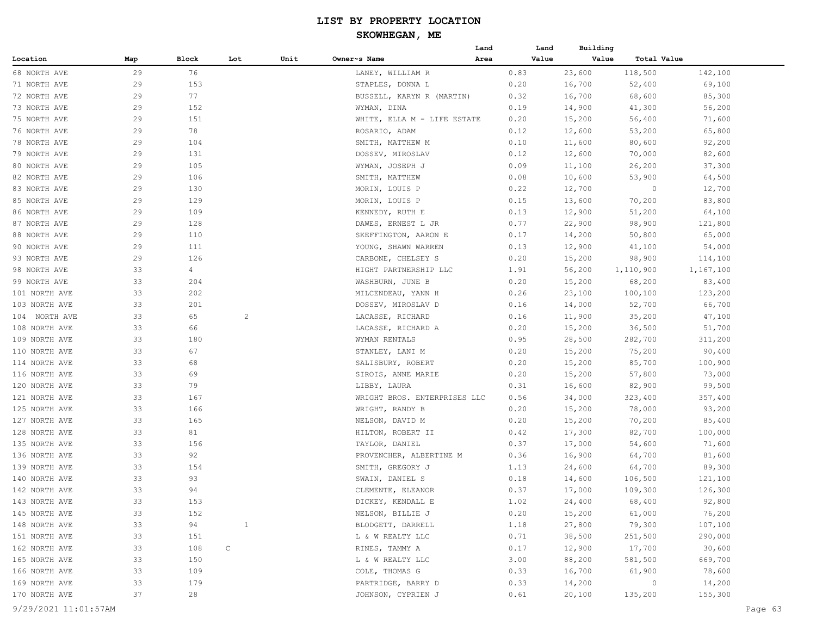|               |     |                |                |      |                              | Land | Land  | Building |                |           |
|---------------|-----|----------------|----------------|------|------------------------------|------|-------|----------|----------------|-----------|
| Location      | Map | Block          | Lot            | Unit | Owner~s Name                 | Area | Value | Value    | Total Value    |           |
| 68 NORTH AVE  | 29  | 76             |                |      | LANEY, WILLIAM R             |      | 0.83  | 23,600   | 118,500        | 142,100   |
| 71 NORTH AVE  | 29  | 153            |                |      | STAPLES, DONNA L             |      | 0.20  | 16,700   | 52,400         | 69,100    |
| 72 NORTH AVE  | 29  | 77             |                |      | BUSSELL, KARYN R (MARTIN)    |      | 0.32  | 16,700   | 68,600         | 85,300    |
| 73 NORTH AVE  | 29  | 152            |                |      | WYMAN, DINA                  |      | 0.19  | 14,900   | 41,300         | 56,200    |
| 75 NORTH AVE  | 29  | 151            |                |      | WHITE, ELLA M - LIFE ESTATE  |      | 0.20  | 15,200   | 56,400         | 71,600    |
| 76 NORTH AVE  | 29  | 78             |                |      | ROSARIO, ADAM                |      | 0.12  | 12,600   | 53,200         | 65,800    |
| 78 NORTH AVE  | 29  | 104            |                |      | SMITH, MATTHEW M             |      | 0.10  | 11,600   | 80,600         | 92,200    |
| 79 NORTH AVE  | 29  | 131            |                |      | DOSSEV, MIROSLAV             |      | 0.12  | 12,600   | 70,000         | 82,600    |
| 80 NORTH AVE  | 29  | 105            |                |      | WYMAN, JOSEPH J              |      | 0.09  | 11,100   | 26,200         | 37,300    |
| 82 NORTH AVE  | 29  | 106            |                |      | SMITH, MATTHEW               |      | 0.08  | 10,600   | 53,900         | 64,500    |
| 83 NORTH AVE  | 29  | 130            |                |      | MORIN, LOUIS P               |      | 0.22  | 12,700   | 0              | 12,700    |
| 85 NORTH AVE  | 29  | 129            |                |      | MORIN, LOUIS P               |      | 0.15  | 13,600   | 70,200         | 83,800    |
| 86 NORTH AVE  | 29  | 109            |                |      | KENNEDY, RUTH E              |      | 0.13  | 12,900   | 51,200         | 64,100    |
| 87 NORTH AVE  | 29  | 128            |                |      | DAWES, ERNEST L JR           |      | 0.77  | 22,900   | 98,900         | 121,800   |
| 88 NORTH AVE  | 29  | 110            |                |      | SKEFFINGTON, AARON E         |      | 0.17  | 14,200   | 50,800         | 65,000    |
| 90 NORTH AVE  | 29  | 111            |                |      | YOUNG, SHAWN WARREN          |      | 0.13  | 12,900   | 41,100         | 54,000    |
| 93 NORTH AVE  | 29  | 126            |                |      | CARBONE, CHELSEY S           |      | 0.20  | 15,200   | 98,900         | 114,100   |
| 98 NORTH AVE  | 33  | $\overline{4}$ |                |      | HIGHT PARTNERSHIP LLC        |      | 1.91  | 56,200   | 1,110,900      | 1,167,100 |
| 99 NORTH AVE  | 33  | 204            |                |      | WASHBURN, JUNE B             |      | 0.20  | 15,200   | 68,200         | 83,400    |
| 101 NORTH AVE | 33  | 202            |                |      | MILCENDEAU, YANN H           |      | 0.26  | 23,100   | 100,100        | 123,200   |
| 103 NORTH AVE | 33  | 201            |                |      | DOSSEV, MIROSLAV D           |      | 0.16  | 14,000   | 52,700         | 66,700    |
| 104 NORTH AVE | 33  | 65             | $\overline{c}$ |      | LACASSE, RICHARD             |      | 0.16  | 11,900   | 35,200         | 47,100    |
| 108 NORTH AVE | 33  | 66             |                |      | LACASSE, RICHARD A           |      | 0.20  | 15,200   | 36,500         | 51,700    |
| 109 NORTH AVE | 33  | 180            |                |      | WYMAN RENTALS                |      | 0.95  | 28,500   | 282,700        | 311,200   |
| 110 NORTH AVE | 33  | 67             |                |      | STANLEY, LANI M              |      | 0.20  | 15,200   | 75,200         | 90,400    |
| 114 NORTH AVE | 33  | 68             |                |      | SALISBURY, ROBERT            |      | 0.20  | 15,200   | 85,700         | 100,900   |
| 116 NORTH AVE | 33  | 69             |                |      | SIROIS, ANNE MARIE           |      | 0.20  | 15,200   | 57,800         | 73,000    |
| 120 NORTH AVE | 33  | 79             |                |      | LIBBY, LAURA                 |      | 0.31  | 16,600   | 82,900         | 99,500    |
| 121 NORTH AVE | 33  | 167            |                |      | WRIGHT BROS. ENTERPRISES LLC |      | 0.56  | 34,000   | 323,400        | 357,400   |
| 125 NORTH AVE | 33  | 166            |                |      | WRIGHT, RANDY B              |      | 0.20  | 15,200   | 78,000         | 93,200    |
| 127 NORTH AVE | 33  | 165            |                |      | NELSON, DAVID M              |      | 0.20  | 15,200   | 70,200         | 85,400    |
| 128 NORTH AVE | 33  | 81             |                |      | HILTON, ROBERT II            |      | 0.42  | 17,300   | 82,700         | 100,000   |
| 135 NORTH AVE | 33  | 156            |                |      | TAYLOR, DANIEL               |      | 0.37  | 17,000   | 54,600         | 71,600    |
| 136 NORTH AVE | 33  | 92             |                |      | PROVENCHER, ALBERTINE M      |      | 0.36  | 16,900   | 64,700         | 81,600    |
| 139 NORTH AVE | 33  | 154            |                |      | SMITH, GREGORY J             |      | 1.13  | 24,600   | 64,700         | 89,300    |
| 140 NORTH AVE | 33  | 93             |                |      | SWAIN, DANIEL S              |      | 0.18  | 14,600   | 106,500        | 121,100   |
| 142 NORTH AVE | 33  | 94             |                |      | CLEMENTE, ELEANOR            |      | 0.37  | 17,000   | 109,300        | 126,300   |
| 143 NORTH AVE | 33  | 153            |                |      | DICKEY, KENDALL E            |      | 1.02  | 24,400   | 68,400         | 92,800    |
| 145 NORTH AVE | 33  | 152            |                |      | NELSON, BILLIE J             |      | 0.20  | 15,200   | 61,000         | 76,200    |
| 148 NORTH AVE | 33  | 94             | $\mathbf{1}$   |      | BLODGETT, DARRELL            |      | 1.18  | 27,800   | 79,300         | 107,100   |
| 151 NORTH AVE | 33  | 151            |                |      | L & W REALTY LLC             |      | 0.71  | 38,500   | 251,500        | 290,000   |
| 162 NORTH AVE | 33  | 108            | C              |      | RINES, TAMMY A               |      | 0.17  | 12,900   | 17,700         | 30,600    |
| 165 NORTH AVE | 33  | 150            |                |      | L & W REALTY LLC             |      | 3.00  | 88,200   | 581,500        | 669,700   |
| 166 NORTH AVE | 33  | 109            |                |      | COLE, THOMAS G               |      | 0.33  | 16,700   | 61,900         | 78,600    |
| 169 NORTH AVE | 33  | 179            |                |      | PARTRIDGE, BARRY D           |      | 0.33  | 14,200   | $\overline{0}$ | 14,200    |
| 170 NORTH AVE | 37  | 28             |                |      | JOHNSON, CYPRIEN J           |      | 0.61  | 20,100   | 135,200        | 155,300   |
|               |     |                |                |      |                              |      |       |          |                |           |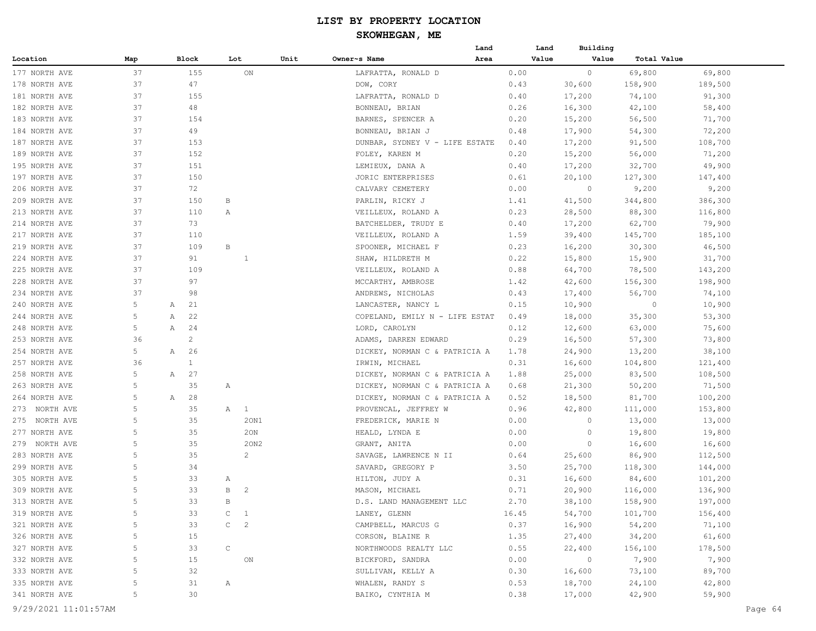|               |     |                |              |                |      |                                | Land | Land  | Building       |             |         |
|---------------|-----|----------------|--------------|----------------|------|--------------------------------|------|-------|----------------|-------------|---------|
| Location      | Map | Block          |              | Lot            | Unit | Owner~s Name                   | Area | Value | Value          | Total Value |         |
| 177 NORTH AVE | 37  | 155            |              | $_{\rm ON}$    |      | LAFRATTA, RONALD D             |      | 0.00  | $\circ$        | 69,800      | 69,800  |
| 178 NORTH AVE | 37  | 47             |              |                |      | DOW, CORY                      |      | 0.43  | 30,600         | 158,900     | 189,500 |
| 181 NORTH AVE | 37  | 155            |              |                |      | LAFRATTA, RONALD D             |      | 0.40  | 17,200         | 74,100      | 91,300  |
| 182 NORTH AVE | 37  | 48             |              |                |      | BONNEAU, BRIAN                 |      | 0.26  | 16,300         | 42,100      | 58,400  |
| 183 NORTH AVE | 37  | 154            |              |                |      | BARNES, SPENCER A              |      | 0.20  | 15,200         | 56,500      | 71,700  |
| 184 NORTH AVE | 37  | 49             |              |                |      | BONNEAU, BRIAN J               |      | 0.48  | 17,900         | 54,300      | 72,200  |
| 187 NORTH AVE | 37  | 153            |              |                |      | DUNBAR, SYDNEY V - LIFE ESTATE |      | 0.40  | 17,200         | 91,500      | 108,700 |
| 189 NORTH AVE | 37  | 152            |              |                |      | FOLEY, KAREN M                 |      | 0.20  | 15,200         | 56,000      | 71,200  |
| 195 NORTH AVE | 37  | 151            |              |                |      | LEMIEUX, DANA A                |      | 0.40  | 17,200         | 32,700      | 49,900  |
| 197 NORTH AVE | 37  | 150            |              |                |      | JORIC ENTERPRISES              |      | 0.61  | 20,100         | 127,300     | 147,400 |
| 206 NORTH AVE | 37  | 72             |              |                |      | CALVARY CEMETERY               |      | 0.00  | $\circ$        | 9,200       | 9,200   |
| 209 NORTH AVE | 37  | 150            | В            |                |      | PARLIN, RICKY J                |      | 1.41  | 41,500         | 344,800     | 386,300 |
| 213 NORTH AVE | 37  | 110            | Α            |                |      | VEILLEUX, ROLAND A             |      | 0.23  | 28,500         | 88,300      | 116,800 |
| 214 NORTH AVE | 37  | 73             |              |                |      | BATCHELDER, TRUDY E            |      | 0.40  | 17,200         | 62,700      | 79,900  |
| 217 NORTH AVE | 37  | 110            |              |                |      | VEILLEUX, ROLAND A             |      | 1.59  | 39,400         | 145,700     | 185,100 |
| 219 NORTH AVE | 37  | 109            | $\, {\bf B}$ |                |      | SPOONER, MICHAEL F             |      | 0.23  | 16,200         | 30, 300     | 46,500  |
| 224 NORTH AVE | 37  | 91             |              | 1              |      | SHAW, HILDRETH M               |      | 0.22  | 15,800         | 15,900      | 31,700  |
| 225 NORTH AVE | 37  | 109            |              |                |      | VEILLEUX, ROLAND A             |      | 0.88  | 64,700         | 78,500      | 143,200 |
| 228 NORTH AVE | 37  | 97             |              |                |      | MCCARTHY, AMBROSE              |      | 1.42  | 42,600         | 156,300     | 198,900 |
| 234 NORTH AVE | 37  | 98             |              |                |      | ANDREWS, NICHOLAS              |      | 0.43  | 17,400         | 56,700      | 74,100  |
| 240 NORTH AVE | 5   | 21<br>Α        |              |                |      | LANCASTER, NANCY L             |      | 0.15  | 10,900         | $\circ$     | 10,900  |
| 244 NORTH AVE | 5   | 22<br>Α        |              |                |      | COPELAND, EMILY N - LIFE ESTAT |      | 0.49  | 18,000         | 35,300      | 53,300  |
| 248 NORTH AVE | 5   | Α<br>24        |              |                |      | LORD, CAROLYN                  |      | 0.12  | 12,600         | 63,000      | 75,600  |
| 253 NORTH AVE | 36  | $\overline{c}$ |              |                |      | ADAMS, DARREN EDWARD           |      | 0.29  | 16,500         | 57,300      | 73,800  |
| 254 NORTH AVE | 5   | 26<br>Α        |              |                |      | DICKEY, NORMAN C & PATRICIA A  |      | 1.78  | 24,900         | 13,200      | 38,100  |
| 257 NORTH AVE | 36  | $\mathbf{1}$   |              |                |      | IRWIN, MICHAEL                 |      | 0.31  | 16,600         | 104,800     | 121,400 |
| 258 NORTH AVE | 5   | 27<br>Α        |              |                |      | DICKEY, NORMAN C & PATRICIA A  |      | 1.88  | 25,000         | 83,500      | 108,500 |
| 263 NORTH AVE | 5   | 35             | Α            |                |      | DICKEY, NORMAN C & PATRICIA A  |      | 0.68  | 21,300         | 50,200      | 71,500  |
| 264 NORTH AVE | 5   | 28<br>Α        |              |                |      | DICKEY, NORMAN C & PATRICIA A  |      | 0.52  | 18,500         | 81,700      | 100,200 |
| 273 NORTH AVE | 5   | 35             |              | A 1            |      | PROVENCAL, JEFFREY W           |      | 0.96  | 42,800         | 111,000     | 153,800 |
| 275 NORTH AVE | 5   | 35             |              | 20N1           |      | FREDERICK, MARIE N             |      | 0.00  | $\circ$        | 13,000      | 13,000  |
| 277 NORTH AVE | 5   | 35             |              | 20N            |      | HEALD, LYNDA E                 |      | 0.00  | $\circ$        | 19,800      | 19,800  |
| 279 NORTH AVE | 5   | 35             |              | 20N2           |      | GRANT, ANITA                   |      | 0.00  | $\circ$        | 16,600      | 16,600  |
| 283 NORTH AVE | 5   | 35             |              | 2              |      | SAVAGE, LAWRENCE N II          |      | 0.64  | 25,600         | 86,900      | 112,500 |
| 299 NORTH AVE | 5   | 34             |              |                |      | SAVARD, GREGORY P              |      | 3.50  | 25,700         | 118,300     | 144,000 |
| 305 NORTH AVE | 5   | 33             | Α            |                |      | HILTON, JUDY A                 |      | 0.31  | 16,600         | 84,600      | 101,200 |
| 309 NORTH AVE | 5   | 33             | B            | $\overline{2}$ |      | MASON, MICHAEL                 |      | 0.71  | 20,900         | 116,000     | 136,900 |
| 313 NORTH AVE |     | 33             | B            |                |      | D.S. LAND MANAGEMENT LLC       |      | 2.70  | 38,100         | 158,900     | 197,000 |
| 319 NORTH AVE | 5   | 33             | $\mathsf{C}$ | $\overline{1}$ |      | LANEY, GLENN                   |      | 16.45 | 54,700         | 101,700     | 156,400 |
| 321 NORTH AVE | 5   | 33             |              | $C \t 2$       |      | CAMPBELL, MARCUS G             |      | 0.37  | 16,900         | 54,200      | 71,100  |
| 326 NORTH AVE | 5   | 15             |              |                |      | CORSON, BLAINE R               |      | 1.35  | 27,400         | 34,200      | 61,600  |
| 327 NORTH AVE | 5   | 33             | $\mathsf{C}$ |                |      | NORTHWOODS REALTY LLC          |      | 0.55  | 22,400         | 156,100     | 178,500 |
| 332 NORTH AVE | 5   | 15             |              | ON             |      | BICKFORD, SANDRA               |      | 0.00  | $\overline{0}$ | 7,900       | 7,900   |
| 333 NORTH AVE | 5   | 32             |              |                |      | SULLIVAN, KELLY A              |      | 0.30  | 16,600         | 73,100      | 89,700  |
| 335 NORTH AVE | 5   | 31             | $\mathbb{A}$ |                |      | WHALEN, RANDY S                |      | 0.53  | 18,700         | 24,100      | 42,800  |
| 341 NORTH AVE | 5   | 30             |              |                |      | BAIKO, CYNTHIA M               |      | 0.38  | 17,000         | 42,900      | 59,900  |
|               |     |                |              |                |      |                                |      |       |                |             |         |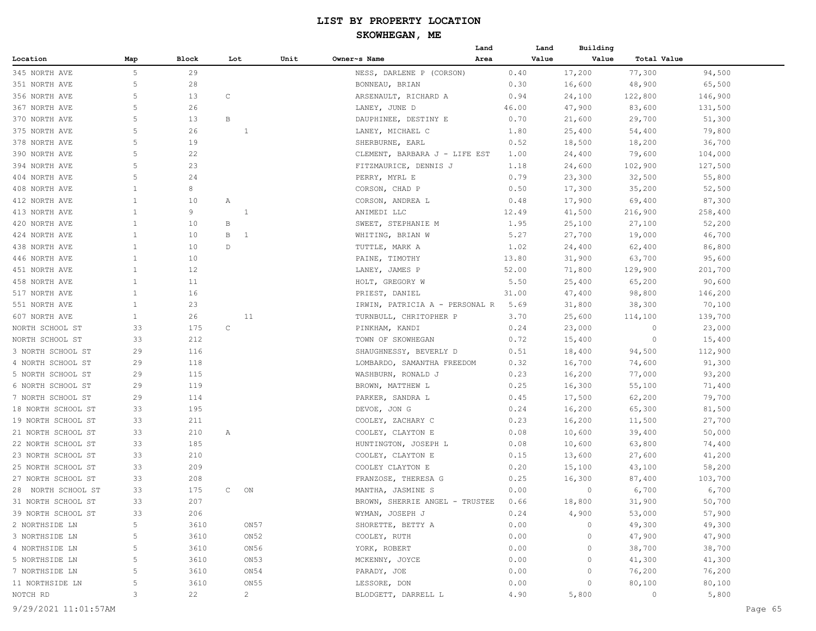#### **SKOWHEGAN, ME**

|                    |              |       |              |                |                                | Land | Land  | Building |             |         |
|--------------------|--------------|-------|--------------|----------------|--------------------------------|------|-------|----------|-------------|---------|
| Location           | Map          | Block | Lot          | Unit           | Owner~s Name                   | Area | Value | Value    | Total Value |         |
| 345 NORTH AVE      | 5            | 29    |              |                | NESS, DARLENE P (CORSON)       |      | 0.40  | 17,200   | 77,300      | 94,500  |
| 351 NORTH AVE      | 5            | 28    |              |                | BONNEAU, BRIAN                 |      | 0.30  | 16,600   | 48,900      | 65,500  |
| 356 NORTH AVE      | 5            | 13    | C            |                | ARSENAULT, RICHARD A           |      | 0.94  | 24,100   | 122,800     | 146,900 |
| 367 NORTH AVE      | 5            | 26    |              |                | LANEY, JUNE D                  |      | 46.00 | 47,900   | 83,600      | 131,500 |
| 370 NORTH AVE      | 5            | 13    | В            |                | DAUPHINEE, DESTINY E           |      | 0.70  | 21,600   | 29,700      | 51,300  |
| 375 NORTH AVE      | 5            | 26    |              | 1              | LANEY, MICHAEL C               |      | 1.80  | 25,400   | 54,400      | 79,800  |
| 378 NORTH AVE      | 5            | 19    |              |                | SHERBURNE, EARL                |      | 0.52  | 18,500   | 18,200      | 36,700  |
| 390 NORTH AVE      | 5            | 22    |              |                | CLEMENT, BARBARA J - LIFE EST  |      | 1.00  | 24,400   | 79,600      | 104,000 |
| 394 NORTH AVE      | 5            | 23    |              |                | FITZMAURICE, DENNIS J          |      | 1.18  | 24,600   | 102,900     | 127,500 |
| 404 NORTH AVE      | 5            | 24    |              |                | PERRY, MYRL E                  |      | 0.79  | 23,300   | 32,500      | 55,800  |
| 408 NORTH AVE      | $\mathbf{1}$ | 8     |              |                | CORSON, CHAD P                 |      | 0.50  | 17,300   | 35,200      | 52,500  |
| 412 NORTH AVE      | $\mathbf{1}$ | 10    | Α            |                | CORSON, ANDREA L               |      | 0.48  | 17,900   | 69,400      | 87,300  |
| 413 NORTH AVE      | $\mathbf{1}$ | 9     |              | 1              | ANIMEDI LLC                    |      | 12.49 | 41,500   | 216,900     | 258,400 |
| 420 NORTH AVE      | 1            | 10    | В            |                | SWEET, STEPHANIE M             |      | 1.95  | 25,100   | 27,100      | 52,200  |
| 424 NORTH AVE      | 1            | 10    | В            | $\overline{1}$ | WHITING, BRIAN W               |      | 5.27  | 27,700   | 19,000      | 46,700  |
| 438 NORTH AVE      | $\mathbf{1}$ | 10    | D            |                | TUTTLE, MARK A                 |      | 1.02  | 24,400   | 62,400      | 86,800  |
| 446 NORTH AVE      | $\mathbf{1}$ | 10    |              |                | PAINE, TIMOTHY                 |      | 13.80 | 31,900   | 63,700      | 95,600  |
| 451 NORTH AVE      | $\mathbf{1}$ | 12    |              |                | LANEY, JAMES P                 |      | 52.00 | 71,800   | 129,900     | 201,700 |
| 458 NORTH AVE      | $\mathbf{1}$ | 11    |              |                | HOLT, GREGORY W                |      | 5.50  | 25,400   | 65,200      | 90,600  |
| 517 NORTH AVE      | $\mathbf{1}$ | 16    |              |                | PRIEST, DANIEL                 |      | 31.00 | 47,400   | 98,800      | 146,200 |
| 551 NORTH AVE      | $\mathbf{1}$ | 23    |              |                | IRWIN, PATRICIA A - PERSONAL R |      | 5.69  | 31,800   | 38,300      | 70,100  |
| 607 NORTH AVE      | $\mathbf{1}$ | 26    |              | 11             | TURNBULL, CHRITOPHER P         |      | 3.70  | 25,600   | 114,100     | 139,700 |
| NORTH SCHOOL ST    | 33           | 175   | $\mathrm{C}$ |                | PINKHAM, KANDI                 |      | 0.24  | 23,000   | 0           | 23,000  |
| NORTH SCHOOL ST    | 33           | 212   |              |                | TOWN OF SKOWHEGAN              |      | 0.72  | 15,400   | 0           | 15,400  |
| 3 NORTH SCHOOL ST  | 29           | 116   |              |                | SHAUGHNESSY, BEVERLY D         |      | 0.51  | 18,400   | 94,500      | 112,900 |
| 4 NORTH SCHOOL ST  | 29           | 118   |              |                | LOMBARDO, SAMANTHA FREEDOM     |      | 0.32  | 16,700   | 74,600      | 91,300  |
| 5 NORTH SCHOOL ST  | 29           | 115   |              |                | WASHBURN, RONALD J             |      | 0.23  | 16,200   | 77,000      | 93,200  |
| 6 NORTH SCHOOL ST  | 29           | 119   |              |                | BROWN, MATTHEW L               |      | 0.25  | 16,300   | 55,100      | 71,400  |
| 7 NORTH SCHOOL ST  | 29           | 114   |              |                | PARKER, SANDRA L               |      | 0.45  | 17,500   | 62,200      | 79,700  |
| 18 NORTH SCHOOL ST | 33           | 195   |              |                | DEVOE, JON G                   |      | 0.24  | 16,200   | 65,300      | 81,500  |
| 19 NORTH SCHOOL ST | 33           | 211   |              |                | COOLEY, ZACHARY C              |      | 0.23  | 16,200   | 11,500      | 27,700  |
| 21 NORTH SCHOOL ST | 33           | 210   | Α            |                | COOLEY, CLAYTON E              |      | 0.08  | 10,600   | 39,400      | 50,000  |
| 22 NORTH SCHOOL ST | 33           | 185   |              |                | HUNTINGTON, JOSEPH L           |      | 0.08  | 10,600   | 63,800      | 74,400  |
| 23 NORTH SCHOOL ST | 33           | 210   |              |                | COOLEY, CLAYTON E              |      | 0.15  | 13,600   | 27,600      | 41,200  |
| 25 NORTH SCHOOL ST | 33           | 209   |              |                | COOLEY CLAYTON E               |      | 0.20  | 15,100   | 43,100      | 58,200  |
| 27 NORTH SCHOOL ST | 33           | 208   |              |                | FRANZOSE, THERESA G            |      | 0.25  | 16,300   | 87,400      | 103,700 |
| 28 NORTH SCHOOL ST | 33           | 175   | $\mathsf{C}$ | ON             | MANTHA, JASMINE S              |      | 0.00  | 0        | 6,700       | 6,700   |
| 31 NORTH SCHOOL ST | 33           | 207   |              |                | BROWN, SHERRIE ANGEL - TRUSTEE |      | 0.66  | 18,800   | 31,900      | 50,700  |
| 39 NORTH SCHOOL ST | 33           | 206   |              |                | WYMAN, JOSEPH J                |      | 0.24  | 4,900    | 53,000      | 57,900  |
| 2 NORTHSIDE LN     | 5            | 3610  |              | ON57           | SHORETTE, BETTY A              |      | 0.00  | $\circ$  | 49,300      | 49,300  |
| 3 NORTHSIDE LN     | 5            | 3610  |              | ON52           | COOLEY, RUTH                   |      | 0.00  | 0        | 47,900      | 47,900  |
| 4 NORTHSIDE LN     | 5            | 3610  |              | ON56           | YORK, ROBERT                   |      | 0.00  | 0        | 38,700      | 38,700  |
| 5 NORTHSIDE LN     | 5            | 3610  |              | ON53           | MCKENNY, JOYCE                 |      | 0.00  | 0        | 41,300      | 41,300  |
| 7 NORTHSIDE LN     | 5            | 3610  |              | ON54           | PARADY, JOE                    |      | 0.00  | $\circ$  | 76,200      | 76,200  |
| 11 NORTHSIDE LN    | 5            | 3610  |              | ON55           | LESSORE, DON                   |      | 0.00  | 0        | 80,100      | 80,100  |
| NOTCH RD           | 3            | 22    |              | $2^{\circ}$    | BLODGETT, DARRELL L            |      | 4.90  | 5,800    | $\circ$     | 5,800   |
|                    |              |       |              |                |                                |      |       |          |             |         |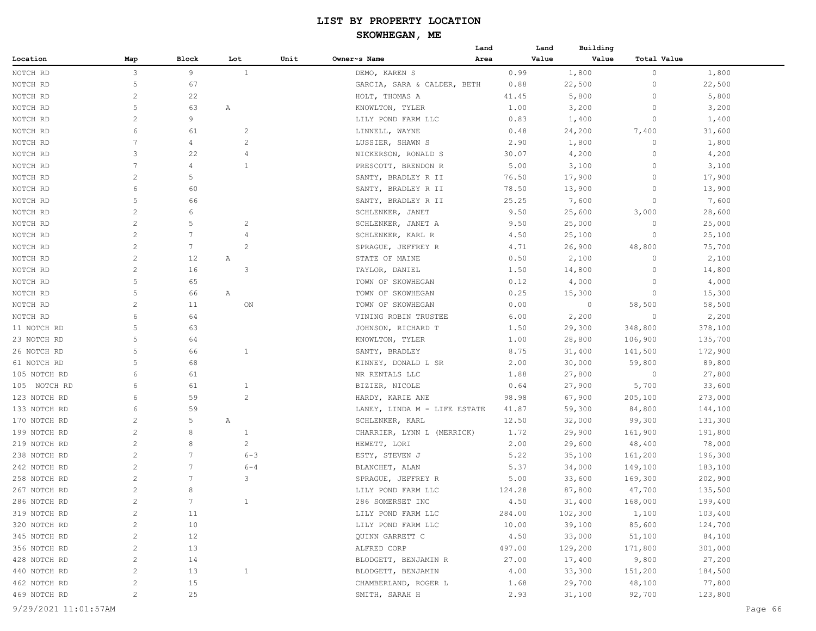|              |                       |                 |                |      |                              | Land | Land   | Building |                    |         |
|--------------|-----------------------|-----------------|----------------|------|------------------------------|------|--------|----------|--------------------|---------|
| Location     | Map                   | Block           | Lot            | Unit | Owner~s Name                 | Area | Value  | Value    | <b>Total Value</b> |         |
| NOTCH RD     | 3                     | 9               | $\mathbf{1}$   |      | DEMO, KAREN S                |      | 0.99   | 1,800    | 0                  | 1,800   |
| NOTCH RD     | 5                     | 67              |                |      | GARCIA, SARA & CALDER, BETH  |      | 0.88   | 22,500   | 0                  | 22,500  |
| NOTCH RD     | 2                     | 22              |                |      | HOLT, THOMAS A               |      | 41.45  | 5,800    | 0                  | 5,800   |
| NOTCH RD     | 5                     | 63              | A              |      | KNOWLTON, TYLER              |      | 1.00   | 3,200    | 0                  | 3,200   |
| NOTCH RD     | 2                     | 9               |                |      | LILY POND FARM LLC           |      | 0.83   | 1,400    | $\circ$            | 1,400   |
| NOTCH RD     | 6                     | 61              | 2              |      | LINNELL, WAYNE               |      | 0.48   | 24,200   | 7,400              | 31,600  |
| NOTCH RD     | 7                     | 4               | 2              |      | LUSSIER, SHAWN S             |      | 2.90   | 1,800    | 0                  | 1,800   |
| NOTCH RD     | 3                     | 22              | 4              |      | NICKERSON, RONALD S          |      | 30.07  | 4,200    | $\Omega$           | 4,200   |
| NOTCH RD     | 7                     | 4               | $\mathbf{1}$   |      | PRESCOTT, BRENDON R          |      | 5.00   | 3,100    | 0                  | 3,100   |
| NOTCH RD     | 2                     | 5               |                |      | SANTY, BRADLEY R II          |      | 76.50  | 17,900   | 0                  | 17,900  |
| NOTCH RD     | 6                     | 60              |                |      | SANTY, BRADLEY R II          |      | 78.50  | 13,900   | 0                  | 13,900  |
| NOTCH RD     | 5                     | 66              |                |      | SANTY, BRADLEY R II          |      | 25.25  | 7,600    | 0                  | 7,600   |
| NOTCH RD     | $\overline{c}$        | 6               |                |      | SCHLENKER, JANET             |      | 9.50   | 25,600   | 3,000              | 28,600  |
| NOTCH RD     | $\overline{c}$        | 5               | 2              |      | SCHLENKER, JANET A           |      | 9.50   | 25,000   | 0                  | 25,000  |
| NOTCH RD     | $\overline{2}$        | 7               | 4              |      | SCHLENKER, KARL R            |      | 4.50   | 25,100   | 0                  | 25,100  |
| NOTCH RD     | $\overline{c}$        | 7               | $\mathbf{2}$   |      | SPRAGUE, JEFFREY R           |      | 4.71   | 26,900   | 48,800             | 75,700  |
| NOTCH RD     | $\overline{c}$        | 12              | Α              |      | STATE OF MAINE               |      | 0.50   | 2,100    | 0                  | 2,100   |
| NOTCH RD     | 2                     | 16              | 3              |      | TAYLOR, DANIEL               |      | 1.50   | 14,800   | 0                  | 14,800  |
| NOTCH RD     | 5                     | 65              |                |      | TOWN OF SKOWHEGAN            |      | 0.12   | 4,000    | 0                  | 4,000   |
| NOTCH RD     | 5                     | 66              | A              |      | TOWN OF SKOWHEGAN            |      | 0.25   | 15,300   | 0                  | 15,300  |
| NOTCH RD     | 2                     | 11              | ON             |      | TOWN OF SKOWHEGAN            |      | 0.00   | $\circ$  | 58,500             | 58,500  |
| NOTCH RD     | 6                     | 64              |                |      | VINING ROBIN TRUSTEE         |      | 6.00   | 2,200    | 0                  | 2,200   |
| 11 NOTCH RD  | 5                     | 63              |                |      | JOHNSON, RICHARD T           |      | 1.50   | 29,300   | 348,800            | 378,100 |
| 23 NOTCH RD  | 5                     | 64              |                |      | KNOWLTON, TYLER              |      | 1.00   | 28,800   | 106,900            | 135,700 |
| 26 NOTCH RD  | 5                     | 66              | $\mathbf{1}$   |      | SANTY, BRADLEY               |      | 8.75   | 31,400   | 141,500            | 172,900 |
| 61 NOTCH RD  | 5                     | 68              |                |      | KINNEY, DONALD L SR          |      | 2.00   | 30,000   | 59,800             | 89,800  |
| 105 NOTCH RD | 6                     | 61              |                |      | NR RENTALS LLC               |      | 1.88   | 27,800   | 0                  | 27,800  |
| 105 NOTCH RD | 6                     | 61              | $\mathbf{1}$   |      | BIZIER, NICOLE               |      | 0.64   | 27,900   | 5,700              | 33,600  |
| 123 NOTCH RD | 6                     | 59              | $\overline{2}$ |      | HARDY, KARIE ANE             |      | 98.98  | 67,900   | 205,100            | 273,000 |
| 133 NOTCH RD | 6                     | 59              |                |      | LANEY, LINDA M - LIFE ESTATE |      | 41.87  | 59,300   | 84,800             | 144,100 |
| 170 NOTCH RD | $\overline{2}$        | 5               | A              |      | SCHLENKER, KARL              |      | 12.50  | 32,000   | 99,300             | 131,300 |
| 199 NOTCH RD | 2                     | 8               | $\mathbf{1}$   |      | CHARRIER, LYNN L (MERRICK)   |      | 1.72   | 29,900   | 161,900            | 191,800 |
| 219 NOTCH RD | $\overline{c}$        | 8               | $\overline{c}$ |      | HEWETT, LORI                 |      | 2.00   | 29,600   | 48,400             | 78,000  |
| 238 NOTCH RD | 2                     | 7               | $6 - 3$        |      | ESTY, STEVEN J               |      | 5.22   | 35,100   | 161,200            | 196,300 |
| 242 NOTCH RD | 2                     | 7               | $6 - 4$        |      | BLANCHET, ALAN               |      | 5.37   | 34,000   | 149,100            | 183,100 |
| 258 NOTCH RD | $\overline{c}$        | 7               | 3              |      | SPRAGUE, JEFFREY R           |      | 5.00   | 33,600   | 169,300            | 202,900 |
| 267 NOTCH RD | $\overline{c}$        | 8               |                |      | LILY POND FARM LLC           |      | 124.28 | 87,800   | 47,700             | 135,500 |
| 286 NOTCH RD | 2                     | $7\phantom{.0}$ |                |      | 286 SOMERSET INC             |      | 4.50   | 31,400   | 168,000            | 199,400 |
| 319 NOTCH RD | $\overline{c}$        | 11              |                |      | LILY POND FARM LLC           |      | 284.00 | 102,300  | 1,100              | 103,400 |
| 320 NOTCH RD | $\overline{c}$        | 10              |                |      | LILY POND FARM LLC           |      | 10.00  | 39,100   | 85,600             | 124,700 |
| 345 NOTCH RD | 2                     | 12              |                |      | QUINN GARRETT C              |      | 4.50   | 33,000   | 51,100             | 84,100  |
| 356 NOTCH RD | $\mathbf{2}^{\prime}$ | 13              |                |      | ALFRED CORP                  |      | 497.00 | 129,200  | 171,800            | 301,000 |
| 428 NOTCH RD | $\overline{c}$        | 14              |                |      | BLODGETT, BENJAMIN R         |      | 27.00  | 17,400   | 9,800              | 27,200  |
| 440 NOTCH RD | $\mathbf{2}$          | 13              | $\mathbf{1}$   |      | BLODGETT, BENJAMIN           |      | 4.00   | 33,300   | 151,200            | 184,500 |
| 462 NOTCH RD | $\overline{c}$        | 15              |                |      | CHAMBERLAND, ROGER L         |      | 1.68   | 29,700   | 48,100             | 77,800  |
| 469 NOTCH RD | $\mathbf{2}^{\prime}$ | 25              |                |      | SMITH, SARAH H               |      | 2.93   | 31,100   | 92,700             | 123,800 |
|              |                       |                 |                |      |                              |      |        |          |                    |         |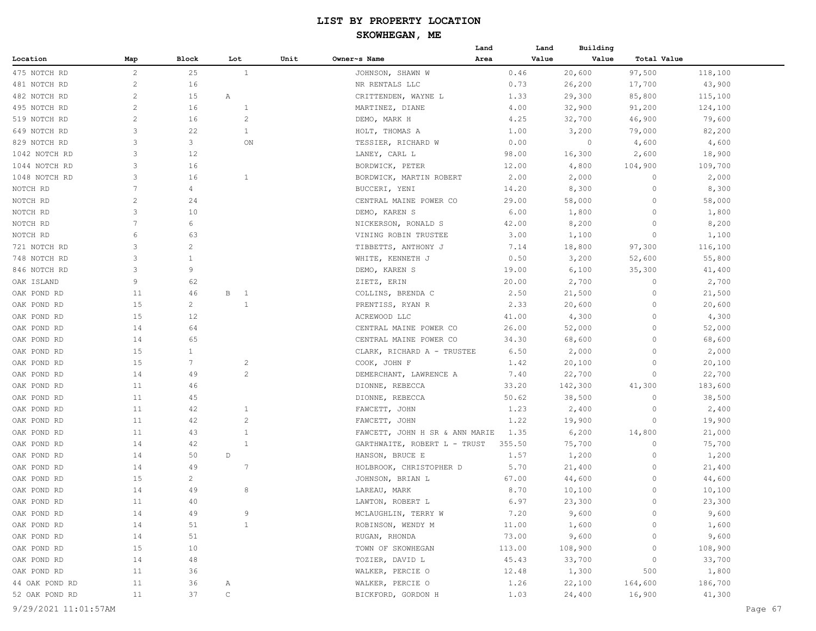#### **SKOWHEGAN, ME**

|                |                |                 |                               |      |                                | Land | Land   | Building |             |         |
|----------------|----------------|-----------------|-------------------------------|------|--------------------------------|------|--------|----------|-------------|---------|
| Location       | Map            | Block           | Lot                           | Unit | Owner~s Name                   | Area | Value  | Value    | Total Value |         |
| 475 NOTCH RD   | $\overline{c}$ | 25              | $\mathbf{1}$                  |      | JOHNSON, SHAWN W               |      | 0.46   | 20,600   | 97,500      | 118,100 |
| 481 NOTCH RD   | $\overline{c}$ | 16              |                               |      | NR RENTALS LLC                 |      | 0.73   | 26,200   | 17,700      | 43,900  |
| 482 NOTCH RD   | 2              | 15              | Α                             |      | CRITTENDEN, WAYNE L            |      | 1.33   | 29,300   | 85,800      | 115,100 |
| 495 NOTCH RD   | $\sqrt{2}$     | 16              | $\mathbf{1}$                  |      | MARTINEZ, DIANE                |      | 4.00   | 32,900   | 91,200      | 124,100 |
| 519 NOTCH RD   | $\overline{c}$ | 16              | $\overline{2}$                |      | DEMO, MARK H                   |      | 4.25   | 32,700   | 46,900      | 79,600  |
| 649 NOTCH RD   | 3              | 22              | $\mathbf{1}$                  |      | HOLT, THOMAS A                 |      | 1.00   | 3,200    | 79,000      | 82,200  |
| 829 NOTCH RD   | 3              | 3               | ON                            |      | TESSIER, RICHARD W             |      | 0.00   | $\circ$  | 4,600       | 4,600   |
| 1042 NOTCH RD  | 3              | 12              |                               |      | LANEY, CARL L                  |      | 98.00  | 16,300   | 2,600       | 18,900  |
| 1044 NOTCH RD  | 3              | 16              |                               |      | BORDWICK, PETER                |      | 12.00  | 4,800    | 104,900     | 109,700 |
| 1048 NOTCH RD  | 3              | 16              | $\mathbf{1}$                  |      | BORDWICK, MARTIN ROBERT        |      | 2.00   | 2,000    | 0           | 2,000   |
| NOTCH RD       | 7              | 4               |                               |      | BUCCERI, YENI                  |      | 14.20  | 8,300    | $\circ$     | 8,300   |
| NOTCH RD       | $\overline{c}$ | 24              |                               |      | CENTRAL MAINE POWER CO         |      | 29.00  | 58,000   | $\circ$     | 58,000  |
| NOTCH RD       | 3              | 10              |                               |      | DEMO, KAREN S                  |      | 6.00   | 1,800    | $\circ$     | 1,800   |
| NOTCH RD       | 7              | 6               |                               |      | NICKERSON, RONALD S            |      | 42.00  | 8,200    | $\Omega$    | 8,200   |
| NOTCH RD       | 6              | 63              |                               |      | VINING ROBIN TRUSTEE           |      | 3.00   | 1,100    | $\Omega$    | 1,100   |
| 721 NOTCH RD   | 3              | 2               |                               |      | TIBBETTS, ANTHONY J            |      | 7.14   | 18,800   | 97,300      | 116,100 |
| 748 NOTCH RD   | 3              | 1               |                               |      | WHITE, KENNETH J               |      | 0.50   | 3,200    | 52,600      | 55,800  |
| 846 NOTCH RD   | 3              | 9               |                               |      | DEMO, KAREN S                  |      | 19.00  | 6,100    | 35,300      | 41,400  |
| OAK ISLAND     | 9              | 62              |                               |      | ZIETZ, ERIN                    |      | 20.00  | 2,700    | $\circ$     | 2,700   |
| OAK POND RD    | 11             | 46              | В<br>$\overline{\phantom{0}}$ |      | COLLINS, BRENDA C              |      | 2.50   | 21,500   | $\circ$     | 21,500  |
|                | 15             | $\overline{c}$  | 1                             |      |                                |      | 2.33   |          | $\circ$     |         |
| OAK POND RD    | 15             | 12              |                               |      | PRENTISS, RYAN R               |      |        | 20,600   | $\Omega$    | 20,600  |
| OAK POND RD    |                |                 |                               |      | ACREWOOD LLC                   |      | 41.00  | 4,300    | $\Omega$    | 4,300   |
| OAK POND RD    | 14             | 64              |                               |      | CENTRAL MAINE POWER CO         |      | 26.00  | 52,000   |             | 52,000  |
| OAK POND RD    | 14             | 65              |                               |      | CENTRAL MAINE POWER CO         |      | 34.30  | 68,600   | $\circ$     | 68,600  |
| OAK POND RD    | 15             | $\mathbf{1}$    |                               |      | CLARK, RICHARD A - TRUSTEE     |      | 6.50   | 2,000    | $\Omega$    | 2,000   |
| OAK POND RD    | 15             | $7\phantom{.0}$ | $\overline{c}$                |      | COOK, JOHN F                   |      | 1.42   | 20,100   | $\Omega$    | 20,100  |
| OAK POND RD    | 14             | 49              | 2                             |      | DEMERCHANT, LAWRENCE A         |      | 7.40   | 22,700   | 0           | 22,700  |
| OAK POND RD    | 11             | 46              |                               |      | DIONNE, REBECCA                |      | 33.20  | 142,300  | 41,300      | 183,600 |
| OAK POND RD    | 11             | 45              |                               |      | DIONNE, REBECCA                |      | 50.62  | 38,500   | $\Omega$    | 38,500  |
| OAK POND RD    | 11             | 42              | $\mathbf{1}$                  |      | FAWCETT, JOHN                  |      | 1.23   | 2,400    | $\Omega$    | 2,400   |
| OAK POND RD    | 11             | 42              | $\overline{c}$                |      | FAWCETT, JOHN                  |      | 1.22   | 19,900   | $\Omega$    | 19,900  |
| OAK POND RD    | 11             | 43              | $\mathbf{1}$                  |      | FAWCETT, JOHN H SR & ANN MARIE |      | 1.35   | 6,200    | 14,800      | 21,000  |
| OAK POND RD    | 14             | 42              | 1                             |      | GARTHWAITE, ROBERT L - TRUST   |      | 355.50 | 75,700   | 0           | 75,700  |
| OAK POND RD    | 14             | 50              | D                             |      | HANSON, BRUCE E                |      | 1.57   | 1,200    | 0           | 1,200   |
| OAK POND RD    | 14             | 49              | -7                            |      | HOLBROOK, CHRISTOPHER D        |      | 5.70   | 21,400   | $\circ$     | 21,400  |
| OAK POND RD    | 15             | $\overline{c}$  |                               |      | JOHNSON, BRIAN L               |      | 67.00  | 44,600   | $\circ$     | 44,600  |
| OAK POND RD    | 14             | 49              | 8                             |      | LAREAU, MARK                   |      | 8.70   | 10,100   | $\circ$     | 10,100  |
| OAK POND RD    | 11             | 40              |                               |      | LAWTON, ROBERT L               |      | 6.97   | 23,300   | 0           | 23,300  |
| OAK POND RD    | 14             | 49              | 9                             |      | MCLAUGHLIN, TERRY W            |      | 7.20   | 9,600    | $\circ$     | 9,600   |
| OAK POND RD    | 14             | 51              | $\mathbf{1}$                  |      | ROBINSON, WENDY M              |      | 11.00  | 1,600    |             | 1,600   |
| OAK POND RD    | 14             | 51              |                               |      | RUGAN, RHONDA                  |      | 73.00  | 9,600    | $\Omega$    | 9,600   |
| OAK POND RD    | 15             | 10              |                               |      | TOWN OF SKOWHEGAN              |      | 113.00 | 108,900  | $\circ$     | 108,900 |
| OAK POND RD    | 14             | 48              |                               |      | TOZIER, DAVID L                |      | 45.43  | 33,700   | $\circ$     | 33,700  |
| OAK POND RD    | 11             | 36              |                               |      | WALKER, PERCIE O               |      | 12.48  | 1,300    | 500         | 1,800   |
| 44 OAK POND RD | 11             | 36              | Α                             |      | WALKER, PERCIE O               |      | 1.26   | 22,100   | 164,600     | 186,700 |
| 52 OAK POND RD | 11             | 37              | $\mathtt{C}$                  |      | BICKFORD, GORDON H             |      | 1.03   | 24,400   | 16,900      | 41,300  |
|                |                |                 |                               |      |                                |      |        |          |             |         |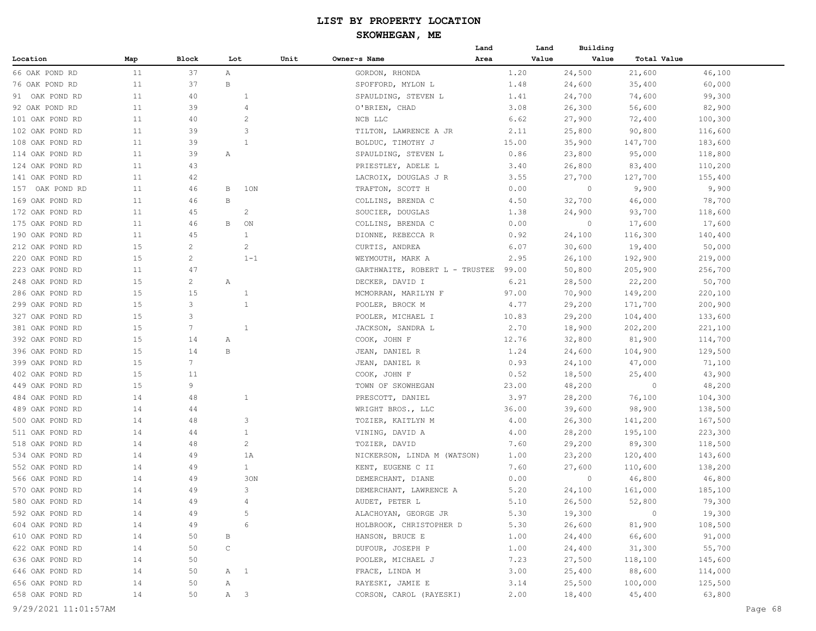#### **SKOWHEGAN, ME**

|                 |     |                |              |                |      |                                | Land  | Land  | Building |             |         |
|-----------------|-----|----------------|--------------|----------------|------|--------------------------------|-------|-------|----------|-------------|---------|
| Location        | Map | Block          | Lot          |                | Unit | Owner~s Name                   | Area  | Value | Value    | Total Value |         |
| 66 OAK POND RD  | 11  | 37             | Α            |                |      | GORDON, RHONDA                 |       | 1.20  | 24,500   | 21,600      | 46,100  |
| 76 OAK POND RD  | 11  | 37             | B            |                |      | SPOFFORD, MYLON L              |       | 1.48  | 24,600   | 35,400      | 60,000  |
| 91 OAK POND RD  | 11  | 40             |              | 1              |      | SPAULDING, STEVEN L            | 1.41  |       | 24,700   | 74,600      | 99,300  |
| 92 OAK POND RD  | 11  | 39             |              | $\overline{4}$ |      | O'BRIEN, CHAD                  |       | 3.08  | 26,300   | 56,600      | 82,900  |
| 101 OAK POND RD | 11  | 40             |              | $\overline{c}$ |      | NCB LLC                        |       | 6.62  | 27,900   | 72,400      | 100,300 |
| 102 OAK POND RD | 11  | 39             |              | 3              |      | TILTON, LAWRENCE A JR          |       | 2.11  | 25,800   | 90,800      | 116,600 |
| 108 OAK POND RD | 11  | 39             |              | 1              |      | BOLDUC, TIMOTHY J              | 15.00 |       | 35,900   | 147,700     | 183,600 |
| 114 OAK POND RD | 11  | 39             | Α            |                |      | SPAULDING, STEVEN L            |       | 0.86  | 23,800   | 95,000      | 118,800 |
| 124 OAK POND RD | 11  | 43             |              |                |      | PRIESTLEY, ADELE L             |       | 3.40  | 26,800   | 83,400      | 110,200 |
| 141 OAK POND RD | 11  | 42             |              |                |      | LACROIX, DOUGLAS J R           |       | 3.55  | 27,700   | 127,700     | 155,400 |
| 157 OAK POND RD | 11  | 46             | B            | 1ON            |      | TRAFTON, SCOTT H               |       | 0.00  | $\circ$  | 9,900       | 9,900   |
| 169 OAK POND RD | 11  | 46             | B            |                |      | COLLINS, BRENDA C              |       | 4.50  | 32,700   | 46,000      | 78,700  |
| 172 OAK POND RD | 11  | 45             |              | $\overline{c}$ |      | SOUCIER, DOUGLAS               |       | 1.38  | 24,900   | 93,700      | 118,600 |
| 175 OAK POND RD | 11  | 46             | B            | ON             |      | COLLINS, BRENDA C              |       | 0.00  | $\circ$  | 17,600      | 17,600  |
| 190 OAK POND RD | 11  | 45             |              | $\mathbf{1}$   |      | DIONNE, REBECCA R              |       | 0.92  | 24,100   | 116,300     | 140,400 |
| 212 OAK POND RD | 15  | 2              |              | $\overline{c}$ |      |                                |       | 6.07  | 30,600   | 19,400      | 50,000  |
|                 |     | $\mathbf{2}$   |              | $1 - 1$        |      | CURTIS, ANDREA                 |       |       |          |             |         |
| 220 OAK POND RD | 15  |                |              |                |      | WEYMOUTH, MARK A               |       | 2.95  | 26,100   | 192,900     | 219,000 |
| 223 OAK POND RD | 11  | 47             |              |                |      | GARTHWAITE, ROBERT L - TRUSTEE | 99.00 |       | 50,800   | 205,900     | 256,700 |
| 248 OAK POND RD | 15  | 2              | Α            |                |      | DECKER, DAVID I                |       | 6.21  | 28,500   | 22,200      | 50,700  |
| 286 OAK POND RD | 15  | 15             |              | $\mathbf{1}$   |      | MCMORRAN, MARILYN F            | 97.00 |       | 70,900   | 149,200     | 220,100 |
| 299 OAK POND RD | 15  | 3              |              | $\mathbf{1}$   |      | POOLER, BROCK M                |       | 4.77  | 29,200   | 171,700     | 200,900 |
| 327 OAK POND RD | 15  | 3              |              |                |      | POOLER, MICHAEL I              | 10.83 |       | 29,200   | 104,400     | 133,600 |
| 381 OAK POND RD | 15  | 7              |              | 1              |      | JACKSON, SANDRA L              |       | 2.70  | 18,900   | 202,200     | 221,100 |
| 392 OAK POND RD | 15  | 14             | Α            |                |      | COOK, JOHN F                   | 12.76 |       | 32,800   | 81,900      | 114,700 |
| 396 OAK POND RD | 15  | 14             | В            |                |      | JEAN, DANIEL R                 |       | 1.24  | 24,600   | 104,900     | 129,500 |
| 399 OAK POND RD | 15  | $7\phantom{.}$ |              |                |      | JEAN, DANIEL R                 |       | 0.93  | 24,100   | 47,000      | 71,100  |
| 402 OAK POND RD | 15  | 11             |              |                |      | COOK, JOHN F                   |       | 0.52  | 18,500   | 25,400      | 43,900  |
| 449 OAK POND RD | 15  | 9              |              |                |      | TOWN OF SKOWHEGAN              | 23.00 |       | 48,200   | $\circ$     | 48,200  |
| 484 OAK POND RD | 14  | 48             |              | $\mathbf{1}$   |      | PRESCOTT, DANIEL               |       | 3.97  | 28,200   | 76,100      | 104,300 |
| 489 OAK POND RD | 14  | 44             |              |                |      | WRIGHT BROS., LLC              | 36.00 |       | 39,600   | 98,900      | 138,500 |
| 500 OAK POND RD | 14  | 48             |              | 3              |      | TOZIER, KAITLYN M              |       | 4.00  | 26,300   | 141,200     | 167,500 |
| 511 OAK POND RD | 14  | 44             |              | $\mathbf{1}$   |      | VINING, DAVID A                |       | 4.00  | 28,200   | 195,100     | 223,300 |
| 518 OAK POND RD | 14  | 48             |              | $\overline{c}$ |      | TOZIER, DAVID                  |       | 7.60  | 29,200   | 89,300      | 118,500 |
| 534 OAK POND RD | 14  | 49             |              | 1A             |      | NICKERSON, LINDA M (WATSON)    |       | 1.00  | 23,200   | 120,400     | 143,600 |
| 552 OAK POND RD | 14  | 49             |              | $\mathbf{1}$   |      | KENT, EUGENE C II              |       | 7.60  | 27,600   | 110,600     | 138,200 |
| 566 OAK POND RD | 14  | 49             |              | 30N            |      | DEMERCHANT, DIANE              |       | 0.00  | $\circ$  | 46,800      | 46,800  |
| 570 OAK POND RD | 14  | 49             |              | 3              |      | DEMERCHANT, LAWRENCE A         |       | 5.20  | 24,100   | 161,000     | 185,100 |
| 580 OAK POND RD | 14  | 49             |              | 4              |      | AUDET, PETER L                 |       | 5.10  | 26,500   | 52,800      | 79,300  |
| 592 OAK POND RD | 14  | 49             |              | 5              |      | ALACHOYAN, GEORGE JR           |       | 5.30  | 19,300   | $\circ$     | 19,300  |
| 604 OAK POND RD | 14  | 49             |              | 6              |      | HOLBROOK, CHRISTOPHER D        |       | 5.30  | 26,600   | 81,900      | 108,500 |
| 610 OAK POND RD | 14  | 50             | В            |                |      | HANSON, BRUCE E                |       | 1.00  | 24,400   | 66,600      | 91,000  |
| 622 OAK POND RD | 14  | 50             | $\mathsf{C}$ |                |      | DUFOUR, JOSEPH P               |       | 1.00  | 24,400   | 31,300      | 55,700  |
| 636 OAK POND RD | 14  | 50             |              |                |      | POOLER, MICHAEL J              |       | 7.23  | 27,500   | 118,100     | 145,600 |
| 646 OAK POND RD | 14  | 50             | A 1          |                |      | FRACE, LINDA M                 |       | 3.00  | 25,400   | 88,600      | 114,000 |
| 656 OAK POND RD | 14  | 50             | A            |                |      | RAYESKI, JAMIE E               |       | 3.14  | 25,500   | 100,000     | 125,500 |
| 658 OAK POND RD | 14  | 50             | A 3          |                |      | CORSON, CAROL (RAYESKI)        |       | 2.00  | 18,400   | 45,400      | 63,800  |
|                 |     |                |              |                |      |                                |       |       |          |             |         |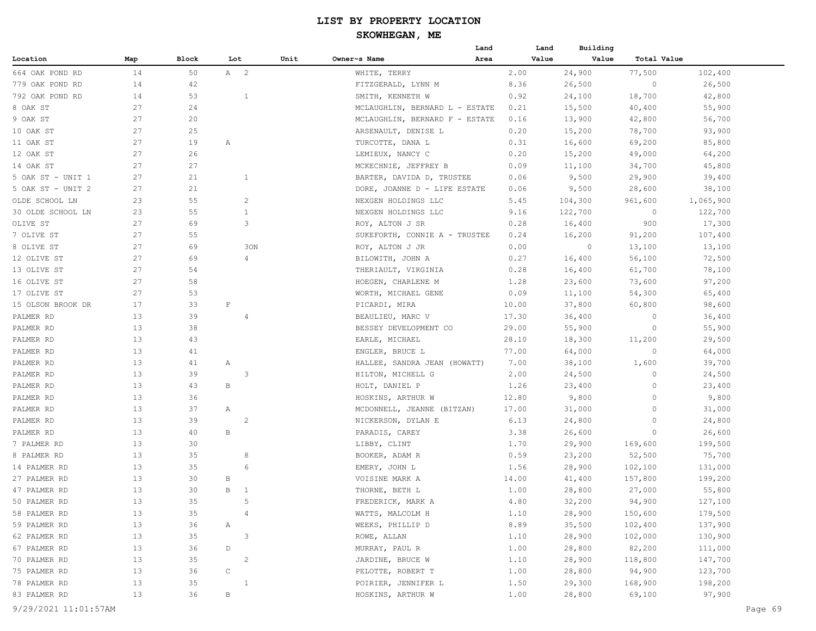|                   |     |       |                   |      |                                | Land  | Land  | Building |             |           |
|-------------------|-----|-------|-------------------|------|--------------------------------|-------|-------|----------|-------------|-----------|
| Location          | Map | Block | Lot               | Unit | Owner~s Name                   | Area  | Value | Value    | Total Value |           |
| 664 OAK POND RD   | 14  | 50    | A 2               |      | WHITE, TERRY                   | 2.00  |       | 24,900   | 77,500      | 102,400   |
| 779 OAK POND RD   | 14  | 42    |                   |      | FITZGERALD, LYNN M             | 8.36  |       | 26,500   | $\circ$     | 26,500    |
| 792 OAK POND RD   | 14  | 53    | $\mathbf{1}$      |      | SMITH, KENNETH W               | 0.92  |       | 24,100   | 18,700      | 42,800    |
| 8 OAK ST          | 27  | 24    |                   |      | MCLAUGHLIN, BERNARD L - ESTATE | 0.21  |       | 15,500   | 40,400      | 55,900    |
| 9 OAK ST          | 27  | 20    |                   |      | MCLAUGHLIN, BERNARD F - ESTATE | 0.16  |       | 13,900   | 42,800      | 56,700    |
| 10 OAK ST         | 27  | 25    |                   |      | ARSENAULT, DENISE L            | 0.20  |       | 15,200   | 78,700      | 93,900    |
| 11 OAK ST         | 27  | 19    | Α                 |      | TURCOTTE, DANA L               | 0.31  |       | 16,600   | 69,200      | 85,800    |
| 12 OAK ST         | 27  | 26    |                   |      | LEMIEUX, NANCY C               | 0.20  |       | 15,200   | 49,000      | 64,200    |
| 14 OAK ST         | 27  | 27    |                   |      | MCKECHNIE, JEFFREY B           | 0.09  |       | 11,100   | 34,700      | 45,800    |
| 5 OAK ST - UNIT 1 | 27  | 21    | $\mathbf{1}$      |      | BARTER, DAVIDA D, TRUSTEE      | 0.06  |       | 9,500    | 29,900      | 39,400    |
| 5 OAK ST - UNIT 2 | 27  | 21    |                   |      | DORE, JOANNE D - LIFE ESTATE   | 0.06  |       | 9,500    | 28,600      | 38,100    |
| OLDE SCHOOL LN    | 23  | 55    | $\overline{c}$    |      | NEXGEN HOLDINGS LLC            | 5.45  |       | 104,300  | 961,600     | 1,065,900 |
| 30 OLDE SCHOOL LN | 23  | 55    | $\mathbf{1}$      |      | NEXGEN HOLDINGS LLC            | 9.16  |       | 122,700  | $\circ$     | 122,700   |
| OLIVE ST          | 27  | 69    | 3                 |      | ROY, ALTON J SR                | 0.28  |       | 16,400   | 900         | 17,300    |
| 7 OLIVE ST        | 27  | 55    |                   |      | SUKEFORTH, CONNIE A - TRUSTEE  | 0.24  |       | 16,200   | 91,200      | 107,400   |
| 8 OLIVE ST        | 27  | 69    | 30N               |      | ROY, ALTON J JR                | 0.00  |       | $\circ$  | 13,100      | 13,100    |
| 12 OLIVE ST       | 27  | 69    | 4                 |      | BILOWITH, JOHN A               | 0.27  |       | 16,400   | 56,100      | 72,500    |
| 13 OLIVE ST       | 27  | 54    |                   |      | THERIAULT, VIRGINIA            | 0.28  |       | 16,400   | 61,700      | 78,100    |
| 16 OLIVE ST       | 27  | 58    |                   |      | HOEGEN, CHARLENE M             | 1.28  |       | 23,600   | 73,600      | 97,200    |
| 17 OLIVE ST       | 27  | 53    |                   |      | WORTH, MICHAEL GENE            | 0.09  |       | 11,100   | 54,300      | 65,400    |
| 15 OLSON BROOK DR | 17  | 33    | $\mathbf F$       |      | PICARDI, MIRA                  | 10.00 |       | 37,800   | 60,800      | 98,600    |
| PALMER RD         | 13  | 39    | $\overline{4}$    |      | BEAULIEU, MARC V               | 17.30 |       | 36,400   | 0           | 36,400    |
| PALMER RD         | 13  | 38    |                   |      | BESSEY DEVELOPMENT CO          | 29.00 |       | 55,900   | 0           | 55,900    |
| PALMER RD         | 13  | 43    |                   |      | EARLE, MICHAEL                 | 28.10 |       | 18,300   | 11,200      | 29,500    |
| PALMER RD         | 13  | 41    |                   |      | ENGLER, BRUCE L                | 77.00 |       | 64,000   | 0           | 64,000    |
| PALMER RD         | 13  | 41    | Α                 |      | HALLEE, SANDRA JEAN (HOWATT)   | 7.00  |       | 38,100   | 1,600       | 39,700    |
| PALMER RD         | 13  | 39    | 3                 |      | HILTON, MICHELL G              | 2.00  |       | 24,500   | 0           | 24,500    |
| PALMER RD         | 13  | 43    | $\, {\bf B}$      |      | HOLT, DANIEL P                 | 1.26  |       | 23,400   | 0           | 23,400    |
| PALMER RD         | 13  | 36    |                   |      | HOSKINS, ARTHUR W              | 12.80 |       | 9,800    | 0           | 9,800     |
| PALMER RD         | 13  | 37    | Α                 |      | MCDONNELL, JEANNE (BITZAN)     | 17.00 |       | 31,000   | 0           | 31,000    |
| PALMER RD         | 13  | 39    | $\overline{c}$    |      | NICKERSON, DYLAN E             | 6.13  |       | 24,800   | $\Omega$    | 24,800    |
| PALMER RD         | 13  | 40    | $\, {\bf B}$      |      | PARADIS, CAREY                 | 3.38  |       | 26,600   | 0           | 26,600    |
| 7 PALMER RD       | 13  | 30    |                   |      | LIBBY, CLINT                   | 1.70  |       | 29,900   | 169,600     | 199,500   |
| 8 PALMER RD       | 13  | 35    | 8                 |      | BOOKER, ADAM R                 | 0.59  |       | 23,200   | 52,500      | 75,700    |
| 14 PALMER RD      | 13  | 35    | 6                 |      | EMERY, JOHN L                  | 1.56  |       | 28,900   | 102,100     | 131,000   |
| 27 PALMER RD      | 13  | 30    | В                 |      | VOISINE MARK A                 | 14.00 |       | 41,400   | 157,800     | 199,200   |
| 47 PALMER RD      | 13  | 30    | B<br>$\mathbf{1}$ |      | THORNE, BETH L                 | 1.00  |       | 28,800   | 27,000      | 55,800    |
| 50 PALMER RD      | 13  | 35    | .5                |      | FREDERICK, MARK A              | 4.80  |       | 32,200   | 94,900      | 127,100   |
| 58 PALMER RD      | 13  | 35    | $\overline{4}$    |      | WATTS, MALCOLM H               | 1.10  |       | 28,900   | 150,600     | 179,500   |
| 59 PALMER RD      | 13  | 36    | $\mathbb{A}$      |      | WEEKS, PHILLIP D               | 8.89  |       | 35,500   | 102,400     | 137,900   |
| 62 PALMER RD      | 13  | 35    | $\mathbf{3}$      |      | ROWE, ALLAN                    | 1.10  |       | 28,900   | 102,000     | 130,900   |
| 67 PALMER RD      | 13  | 36    | D                 |      | MURRAY, PAUL R                 | 1.00  |       | 28,800   | 82,200      | 111,000   |
| 70 PALMER RD      | 13  | 35    | $\overline{c}$    |      | JARDINE, BRUCE W               | 1.10  |       | 28,900   | 118,800     | 147,700   |
| 75 PALMER RD      | 13  | 36    | $\mathsf C$       |      | PELOTTE, ROBERT T              | 1.00  |       | 28,800   | 94,900      | 123,700   |
| 78 PALMER RD      | 13  | 35    | $\mathbf{1}$      |      | POIRIER, JENNIFER L            | 1.50  |       | 29,300   | 168,900     | 198,200   |
| 83 PALMER RD      | 13  | 36    | $\, {\bf B}$      |      | HOSKINS, ARTHUR W              | 1.00  |       | 28,800   | 69,100      | 97,900    |
|                   |     |       |                   |      |                                |       |       |          |             |           |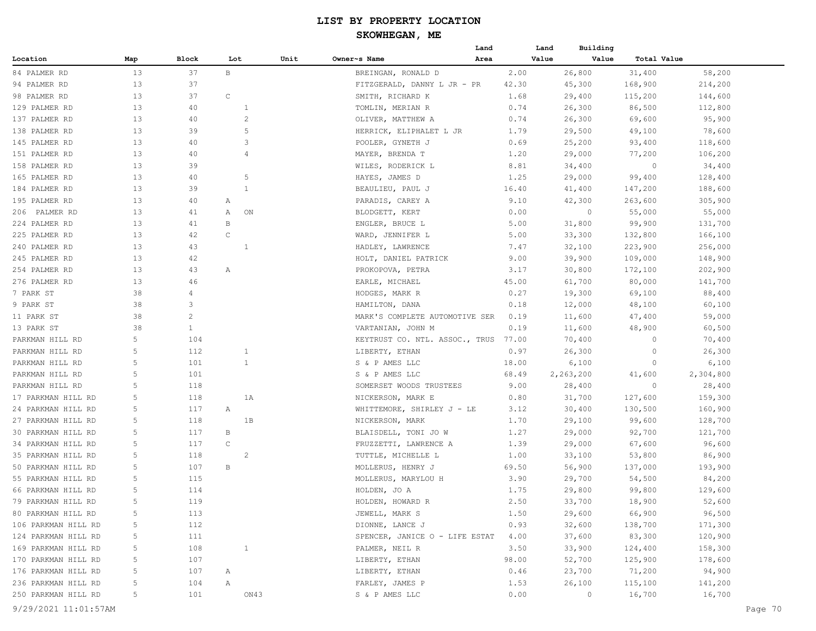|                     |     |                |              |                | Land                           |       | Building<br>Land |             |           |
|---------------------|-----|----------------|--------------|----------------|--------------------------------|-------|------------------|-------------|-----------|
| Location            | Map | Block          | Lot          | Unit           | Owner~s Name<br>Area           |       | Value<br>Value   | Total Value |           |
| 84 PALMER RD        | 13  | 37             | $\mathbf{B}$ |                | BREINGAN, RONALD D             | 2.00  | 26,800           | 31,400      | 58,200    |
| 94 PALMER RD        | 13  | 37             |              |                | FITZGERALD, DANNY L JR - PR    | 42.30 | 45,300           | 168,900     | 214,200   |
| 98 PALMER RD        | 13  | 37             | $\mathsf{C}$ |                | SMITH, RICHARD K               | 1.68  | 29,400           | 115,200     | 144,600   |
| 129 PALMER RD       | 13  | 40             |              | 1              | TOMLIN, MERIAN R               | 0.74  | 26,300           | 86,500      | 112,800   |
| 137 PALMER RD       | 13  | 40             |              | 2              | OLIVER, MATTHEW A              | 0.74  | 26,300           | 69,600      | 95,900    |
| 138 PALMER RD       | 13  | 39             |              | 5              | HERRICK, ELIPHALET L JR        | 1.79  | 29,500           | 49,100      | 78,600    |
| 145 PALMER RD       | 13  | 40             |              | 3              | POOLER, GYNETH J               | 0.69  | 25,200           | 93,400      | 118,600   |
| 151 PALMER RD       | 13  | 40             |              | $\overline{4}$ | MAYER, BRENDA T                | 1.20  | 29,000           | 77,200      | 106,200   |
| 158 PALMER RD       | 13  | 39             |              |                | WILES, RODERICK L              | 8.81  | 34,400           | $\circ$     | 34,400    |
| 165 PALMER RD       | 13  | 40             |              | 5              | HAYES, JAMES D                 | 1.25  | 29,000           | 99,400      | 128,400   |
| 184 PALMER RD       | 13  | 39             |              | 1              | BEAULIEU, PAUL J               | 16.40 | 41,400           | 147,200     | 188,600   |
| 195 PALMER RD       | 13  | 40             | Α            |                | PARADIS, CAREY A               | 9.10  | 42,300           | 263,600     | 305,900   |
| 206 PALMER RD       | 13  | 41             | Α            | ON             | BLODGETT, KERT                 | 0.00  | $\circ$          | 55,000      | 55,000    |
| 224 PALMER RD       | 13  | 41             | В            |                | ENGLER, BRUCE L                | 5.00  | 31,800           | 99,900      | 131,700   |
| 225 PALMER RD       | 13  | 42             | C            |                | WARD, JENNIFER L               | 5.00  | 33,300           | 132,800     | 166,100   |
| 240 PALMER RD       | 13  | 43             |              | 1              | HADLEY, LAWRENCE               | 7.47  | 32,100           | 223,900     | 256,000   |
| 245 PALMER RD       | 13  | 42             |              |                | HOLT, DANIEL PATRICK           | 9.00  | 39,900           | 109,000     | 148,900   |
| 254 PALMER RD       | 13  | 43             | Α            |                | PROKOPOVA, PETRA               | 3.17  | 30,800           | 172,100     | 202,900   |
| 276 PALMER RD       | 13  | 46             |              |                | EARLE, MICHAEL                 | 45.00 | 61,700           | 80,000      | 141,700   |
| 7 PARK ST           | 38  | 4              |              |                | HODGES, MARK R                 | 0.27  | 19,300           | 69,100      | 88,400    |
| 9 PARK ST           | 38  | 3              |              |                | HAMILTON, DANA                 | 0.18  | 12,000           | 48,100      | 60,100    |
| 11 PARK ST          | 38  | $\overline{c}$ |              |                | MARK'S COMPLETE AUTOMOTIVE SER | 0.19  | 11,600           | 47,400      | 59,000    |
| 13 PARK ST          | 38  | $\mathbf{1}$   |              |                | VARTANIAN, JOHN M              | 0.19  | 11,600           | 48,900      | 60,500    |
| PARKMAN HILL RD     | 5   | 104            |              |                | KEYTRUST CO. NTL. ASSOC., TRUS | 77.00 | 70,400           | $\circ$     | 70,400    |
| PARKMAN HILL RD     | 5   | 112            |              | $\mathbf{1}$   | LIBERTY, ETHAN                 | 0.97  | 26,300           | $\circ$     | 26,300    |
| PARKMAN HILL RD     | 5   | 101            |              | $\mathbf{1}$   | S & P AMES LLC                 | 18.00 | 6,100            | $\circ$     | 6,100     |
| PARKMAN HILL RD     | 5   | 101            |              |                | S & P AMES LLC                 | 68.49 | 2,263,200        | 41,600      | 2,304,800 |
| PARKMAN HILL RD     | 5   | 118            |              |                | SOMERSET WOODS TRUSTEES        | 9.00  | 28,400           | 0           | 28,400    |
| 17 PARKMAN HILL RD  | 5   | 118            |              | 1A             | NICKERSON, MARK E              | 0.80  | 31,700           | 127,600     | 159,300   |
| 24 PARKMAN HILL RD  | 5   | 117            | Α            |                | WHITTEMORE, SHIRLEY J - LE     | 3.12  | 30,400           | 130,500     | 160,900   |
| 27 PARKMAN HILL RD  | 5   | 118            |              | 1B             | NICKERSON, MARK                | 1.70  | 29,100           | 99,600      | 128,700   |
| 30 PARKMAN HILL RD  | 5   | 117            | В            |                | BLAISDELL, TONI JO W           | 1.27  | 29,000           | 92,700      | 121,700   |
| 34 PARKMAN HILL RD  | 5   | 117            | C            |                | FRUZZETTI, LAWRENCE A          | 1.39  | 29,000           | 67,600      | 96,600    |
| 35 PARKMAN HILL RD  | 5   | 118            |              | $\overline{c}$ | TUTTLE, MICHELLE L             | 1.00  | 33,100           | 53,800      | 86,900    |
| 50 PARKMAN HILL RD  | 5   | 107            | В            |                | MOLLERUS, HENRY J              | 69.50 | 56,900           | 137,000     | 193,900   |
| 55 PARKMAN HILL RD  | 5   | 115            |              |                | MOLLERUS, MARYLOU H            | 3.90  | 29,700           | 54,500      | 84,200    |
| 66 PARKMAN HILL RD  | 5   | 114            |              |                | HOLDEN, JO A                   | 1.75  | 29,800           | 99,800      | 129,600   |
| 79 PARKMAN HILL RD  | 5.  | 119            |              |                | HOLDEN, HOWARD R               | 2.50  | 33,700           | 18,900      | 52,600    |
| 80 PARKMAN HILL RD  | 5   | 113            |              |                | JEWELL, MARK S                 | 1.50  | 29,600           | 66,900      | 96,500    |
| 106 PARKMAN HILL RD | 5   | 112            |              |                | DIONNE, LANCE J                | 0.93  | 32,600           | 138,700     | 171,300   |
| 124 PARKMAN HILL RD | 5   | 111            |              |                | SPENCER, JANICE O - LIFE ESTAT | 4.00  | 37,600           | 83,300      | 120,900   |
| 169 PARKMAN HILL RD | 5   | 108            |              | $\mathbf{1}$   | PALMER, NEIL R                 | 3.50  | 33,900           | 124,400     | 158,300   |
| 170 PARKMAN HILL RD | 5   | 107            |              |                | LIBERTY, ETHAN                 | 98.00 | 52,700           | 125,900     | 178,600   |
| 176 PARKMAN HILL RD | 5   | 107            | Α            |                | LIBERTY, ETHAN                 | 0.46  | 23,700           | 71,200      | 94,900    |
| 236 PARKMAN HILL RD |     |                |              |                |                                |       |                  |             |           |
|                     | 5   | 104            | Α            |                | FARLEY, JAMES P                | 1.53  | 26,100           | 115,100     | 141,200   |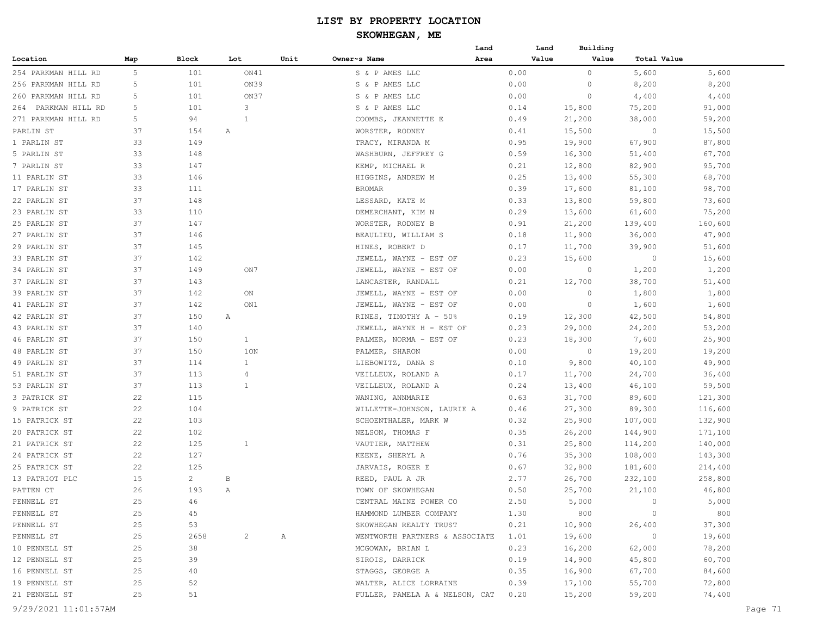|                     |     |              |     |                |      |                                     | Land |      | Land  | Building |                |         |
|---------------------|-----|--------------|-----|----------------|------|-------------------------------------|------|------|-------|----------|----------------|---------|
| Location            | Map | Block        | Lot |                | Unit | Owner~s Name                        | Area |      | Value | Value    | Total Value    |         |
| 254 PARKMAN HILL RD | 5   | 101          |     | ON41           |      | S & P AMES LLC                      |      | 0.00 |       | $\circ$  | 5,600          | 5,600   |
| 256 PARKMAN HILL RD | 5   | 101          |     | ON39           |      | S & P AMES LLC                      |      | 0.00 |       | 0        | 8,200          | 8,200   |
| 260 PARKMAN HILL RD | 5   | 101          |     | ON37           |      | S & P AMES LLC                      |      | 0.00 |       | 0        | 4,400          | 4,400   |
| 264 PARKMAN HILL RD | 5   | 101          |     | 3              |      | S & P AMES LLC                      |      | 0.14 |       | 15,800   | 75,200         | 91,000  |
| 271 PARKMAN HILL RD | 5   | 94           |     | 1              |      | COOMBS, JEANNETTE E                 |      | 0.49 |       | 21,200   | 38,000         | 59,200  |
| PARLIN ST           | 37  | 154          | Α   |                |      | WORSTER, RODNEY                     |      | 0.41 |       | 15,500   | $\circ$        | 15,500  |
| 1 PARLIN ST         | 33  | 149          |     |                |      | TRACY, MIRANDA M                    |      | 0.95 |       | 19,900   | 67,900         | 87,800  |
| 5 PARLIN ST         | 33  | 148          |     |                |      | WASHBURN, JEFFREY G                 |      | 0.59 |       | 16,300   | 51,400         | 67,700  |
| 7 PARLIN ST         | 33  | 147          |     |                |      | KEMP, MICHAEL R                     |      | 0.21 |       | 12,800   | 82,900         | 95,700  |
| 11 PARLIN ST        | 33  | 146          |     |                |      | HIGGINS, ANDREW M                   |      | 0.25 |       | 13,400   | 55,300         | 68,700  |
| 17 PARLIN ST        | 33  | 111          |     |                |      | <b>BROMAR</b>                       |      | 0.39 |       | 17,600   | 81,100         | 98,700  |
| 22 PARLIN ST        | 37  | 148          |     |                |      | LESSARD, KATE M                     |      | 0.33 |       | 13,800   | 59,800         | 73,600  |
| 23 PARLIN ST        | 33  | 110          |     |                |      | DEMERCHANT, KIM N                   |      | 0.29 |       | 13,600   | 61,600         | 75,200  |
| 25 PARLIN ST        | 37  | 147          |     |                |      | WORSTER, RODNEY B                   |      | 0.91 |       | 21,200   | 139,400        | 160,600 |
| 27 PARLIN ST        | 37  | 146          |     |                |      | BEAULIEU, WILLIAM S                 |      | 0.18 |       | 11,900   | 36,000         | 47,900  |
| 29 PARLIN ST        | 37  | 145          |     |                |      | HINES, ROBERT D                     |      | 0.17 |       | 11,700   | 39,900         | 51,600  |
| 33 PARLIN ST        | 37  | 142          |     |                |      | JEWELL, WAYNE - EST OF              |      | 0.23 |       | 15,600   | $\circ$        | 15,600  |
| 34 PARLIN ST        | 37  | 149          |     | ON7            |      | JEWELL, WAYNE - EST OF              |      | 0.00 |       | $\circ$  | 1,200          | 1,200   |
| 37 PARLIN ST        | 37  | 143          |     |                |      | LANCASTER, RANDALL                  |      | 0.21 |       | 12,700   | 38,700         | 51,400  |
| 39 PARLIN ST        | 37  | 142          |     | ON             |      | JEWELL, WAYNE - EST OF              |      | 0.00 |       | $\circ$  | 1,800          | 1,800   |
| 41 PARLIN ST        | 37  | 142          |     | ON1            |      | JEWELL, WAYNE - EST OF              |      | 0.00 |       | $\circ$  | 1,600          | 1,600   |
| 42 PARLIN ST        | 37  | 150          | Α   |                |      | RINES, TIMOTHY A - 50%              |      | 0.19 |       | 12,300   | 42,500         | 54,800  |
| 43 PARLIN ST        | 37  | 140          |     |                |      | JEWELL, WAYNE H - EST OF            |      | 0.23 |       | 29,000   | 24,200         | 53,200  |
| 46 PARLIN ST        | 37  | 150          |     | $\mathbf{1}$   |      | PALMER, NORMA - EST OF              |      | 0.23 |       | 18,300   | 7,600          | 25,900  |
| 48 PARLIN ST        | 37  | 150          |     | 1ON            |      | PALMER, SHARON                      |      | 0.00 |       | $\circ$  | 19,200         | 19,200  |
| 49 PARLIN ST        | 37  | 114          |     | $\mathbf{1}$   |      | LIEBOWITZ, DANA S                   |      | 0.10 |       | 9,800    | 40,100         | 49,900  |
| 51 PARLIN ST        | 37  | 113          |     | 4              |      | VEILLEUX, ROLAND A                  |      | 0.17 |       | 11,700   | 24,700         | 36,400  |
| 53 PARLIN ST        | 37  | 113          |     | $\mathbf{1}$   |      | VEILLEUX, ROLAND A                  |      | 0.24 |       | 13,400   | 46,100         | 59,500  |
| 3 PATRICK ST        | 22  | 115          |     |                |      | WANING, ANNMARIE                    |      | 0.63 |       | 31,700   | 89,600         | 121,300 |
| 9 PATRICK ST        | 22  | 104          |     |                |      | WILLETTE-JOHNSON, LAURIE A          |      | 0.46 |       | 27,300   | 89,300         | 116,600 |
| 15 PATRICK ST       | 22  | 103          |     |                |      | SCHOENTHALER, MARK W                |      | 0.32 |       | 25,900   | 107,000        | 132,900 |
| 20 PATRICK ST       | 22  | 102          |     |                |      | NELSON, THOMAS F                    |      | 0.35 |       | 26,200   | 144,900        | 171,100 |
| 21 PATRICK ST       | 22  | 125          |     | $\mathbf{1}$   |      | VAUTIER, MATTHEW                    |      | 0.31 |       | 25,800   | 114,200        | 140,000 |
| 24 PATRICK ST       | 22  | 127          |     |                |      | KEENE, SHERYL A                     |      | 0.76 |       | 35,300   | 108,000        | 143,300 |
| 25 PATRICK ST       | 22  | 125          |     |                |      | JARVAIS, ROGER E                    |      | 0.67 |       | 32,800   | 181,600        | 214,400 |
| 13 PATRIOT PLC      | 15  | $\mathbf{2}$ | B   |                |      | REED, PAUL A JR                     |      | 2.77 |       | 26,700   | 232,100        | 258,800 |
| PATTEN CT           | 26  | 193          | Α   |                |      | TOWN OF SKOWHEGAN                   |      | 0.50 |       | 25,700   | 21,100         | 46,800  |
| PENNELL ST          | 25  | 46           |     |                |      | CENTRAL MAINE POWER CO              |      | 2.50 |       | 5,000    | $\circ$        | 5,000   |
| PENNELL ST          | 25  | 45           |     |                |      | HAMMOND LUMBER COMPANY              |      | 1.30 |       | 800      | $\circ$        | 800     |
| PENNELL ST          | 25  | 53           |     |                |      | SKOWHEGAN REALTY TRUST              |      | 0.21 |       | 10,900   | 26,400         | 37,300  |
| PENNELL ST          | 25  | 2658         |     | $\overline{2}$ | A    | WENTWORTH PARTNERS & ASSOCIATE      |      | 1.01 |       | 19,600   | $\overline{0}$ | 19,600  |
| 10 PENNELL ST       | 25  | 38           |     |                |      | MCGOWAN, BRIAN L                    |      | 0.23 |       | 16,200   | 62,000         | 78,200  |
| 12 PENNELL ST       | 25  | 39           |     |                |      | SIROIS, DARRICK                     |      | 0.19 |       | 14,900   | 45,800         | 60,700  |
| 16 PENNELL ST       | 25  | 40           |     |                |      | STAGGS, GEORGE A                    |      | 0.35 |       | 16,900   | 67,700         | 84,600  |
| 19 PENNELL ST       | 25  | 52           |     |                |      | WALTER, ALICE LORRAINE              |      | 0.39 |       | 17,100   | 55,700         | 72,800  |
| 21 PENNELL ST       | 25  | 51           |     |                |      | FULLER, PAMELA A & NELSON, CAT 0.20 |      |      |       | 15,200   | 59,200         | 74,400  |
|                     |     |              |     |                |      |                                     |      |      |       |          |                |         |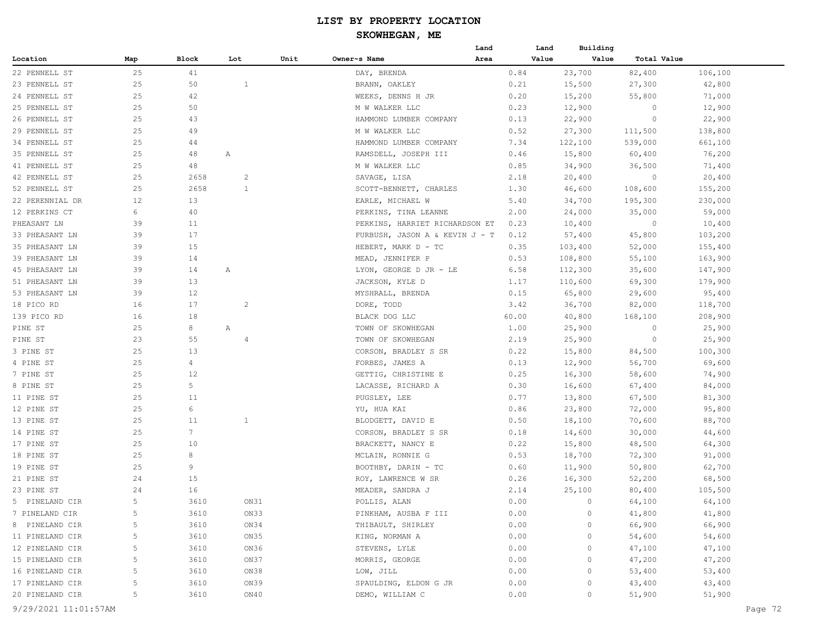|                      |     |                 |                |      |                                | Land | Land  | Building |             |         |
|----------------------|-----|-----------------|----------------|------|--------------------------------|------|-------|----------|-------------|---------|
| Location             | Map | Block           | Lot            | Unit | Owner~s Name                   | Area | Value | Value    | Total Value |         |
| 22 PENNELL ST        | 25  | 41              |                |      | DAY, BRENDA                    |      | 0.84  | 23,700   | 82,400      | 106,100 |
| 23 PENNELL ST        | 25  | 50              | $\mathbf{1}$   |      | BRANN, OAKLEY                  |      | 0.21  | 15,500   | 27,300      | 42,800  |
| 24 PENNELL ST        | 25  | 42              |                |      | WEEKS, DENNS H JR              |      | 0.20  | 15,200   | 55,800      | 71,000  |
| 25 PENNELL ST        | 25  | 50              |                |      | M W WALKER LLC                 |      | 0.23  | 12,900   | 0           | 12,900  |
| 26 PENNELL ST        | 25  | 43              |                |      | HAMMOND LUMBER COMPANY         |      | 0.13  | 22,900   | $\circ$     | 22,900  |
| 29 PENNELL ST        | 25  | 49              |                |      | M W WALKER LLC                 |      | 0.52  | 27,300   | 111,500     | 138,800 |
| 34 PENNELL ST        | 25  | 44              |                |      | HAMMOND LUMBER COMPANY         |      | 7.34  | 122,100  | 539,000     | 661,100 |
| 35 PENNELL ST        | 25  | 48              | Α              |      | RAMSDELL, JOSEPH III           |      | 0.46  | 15,800   | 60,400      | 76,200  |
| 41 PENNELL ST        | 25  | 48              |                |      | M W WALKER LLC                 |      | 0.85  | 34,900   | 36,500      | 71,400  |
| 42 PENNELL ST        | 25  | 2658            | $\overline{c}$ |      | SAVAGE, LISA                   |      | 2.18  | 20,400   | $\circ$     | 20,400  |
| 52 PENNELL ST        | 25  | 2658            | $\mathbf{1}$   |      | SCOTT-BENNETT, CHARLES         |      | 1.30  | 46,600   | 108,600     | 155,200 |
| 22 PERENNIAL DR      | 12  | 13              |                |      | EARLE, MICHAEL W               |      | 5.40  | 34,700   | 195,300     | 230,000 |
| 12 PERKINS CT        | 6   | 40              |                |      | PERKINS, TINA LEANNE           |      | 2.00  | 24,000   | 35,000      | 59,000  |
| PHEASANT LN          | 39  | 11              |                |      | PERKINS, HARRIET RICHARDSON ET |      | 0.23  | 10,400   | $\circ$     | 10,400  |
| 33 PHEASANT LN       | 39  | 17              |                |      | FURBUSH, JASON A & KEVIN J - T |      | 0.12  | 57,400   | 45,800      | 103,200 |
| 35 PHEASANT LN       | 39  | 15              |                |      | HEBERT, MARK D - TC            |      | 0.35  | 103,400  | 52,000      | 155,400 |
| 39 PHEASANT LN       | 39  | 14              |                |      | MEAD, JENNIFER P               |      | 0.53  | 108,800  | 55,100      | 163,900 |
| 45 PHEASANT LN       | 39  | 14              | А              |      | LYON, GEORGE D JR - LE         |      | 6.58  | 112,300  | 35,600      | 147,900 |
| 51 PHEASANT LN       | 39  | 13              |                |      | JACKSON, KYLE D                |      | 1.17  | 110,600  | 69,300      | 179,900 |
| 53 PHEASANT LN       | 39  | 12              |                |      | MYSHRALL, BRENDA               |      | 0.15  | 65,800   | 29,600      | 95,400  |
| 18 PICO RD           | 16  | 17              | $\overline{c}$ |      | DORE, TODD                     |      | 3.42  | 36,700   | 82,000      | 118,700 |
| 139 PICO RD          | 16  | 18              |                |      | BLACK DOG LLC                  |      | 60.00 | 40,800   | 168,100     | 208,900 |
| PINE ST              | 25  | 8               | Α              |      | TOWN OF SKOWHEGAN              |      | 1.00  | 25,900   | 0           | 25,900  |
| PINE ST              | 23  | 55              | $\overline{4}$ |      | TOWN OF SKOWHEGAN              |      | 2.19  | 25,900   | 0           | 25,900  |
| 3 PINE ST            | 25  | 13              |                |      | CORSON, BRADLEY S SR           |      | 0.22  | 15,800   | 84,500      | 100,300 |
| 4 PINE ST            | 25  | 4               |                |      | FORBES, JAMES A                |      | 0.13  | 12,900   | 56,700      | 69,600  |
| 7 PINE ST            | 25  | 12              |                |      | GETTIG, CHRISTINE E            |      | 0.25  | 16,300   | 58,600      | 74,900  |
| 8 PINE ST            | 25  | 5               |                |      | LACASSE, RICHARD A             |      | 0.30  | 16,600   | 67,400      | 84,000  |
| 11 PINE ST           | 25  | 11              |                |      | PUGSLEY, LEE                   |      | 0.77  | 13,800   | 67,500      | 81,300  |
| 12 PINE ST           | 25  | 6               |                |      | YU, HUA KAI                    |      | 0.86  | 23,800   | 72,000      | 95,800  |
| 13 PINE ST           | 25  | 11              | $\mathbf{1}$   |      | BLODGETT, DAVID E              |      | 0.50  | 18,100   | 70,600      | 88,700  |
| 14 PINE ST           | 25  | $7\phantom{.0}$ |                |      | CORSON, BRADLEY S SR           |      | 0.18  | 14,600   | 30,000      | 44,600  |
| 17 PINE ST           | 25  | 10              |                |      | BRACKETT, NANCY E              |      | 0.22  | 15,800   | 48,500      | 64,300  |
| 18 PINE ST           | 25  | 8               |                |      | MCLAIN, RONNIE G               |      | 0.53  | 18,700   | 72,300      | 91,000  |
| 19 PINE ST           | 25  | 9               |                |      | BOOTHBY, DARIN - TC            |      | 0.60  | 11,900   | 50,800      | 62,700  |
| 21 PINE ST           | 24  | 15              |                |      | ROY, LAWRENCE W SR             |      | 0.26  | 16,300   | 52,200      | 68,500  |
| 23 PINE ST           | 24  | 16              |                |      | MEADER, SANDRA J               |      | 2.14  | 25,100   | 80,400      | 105,500 |
| 5 PINELAND CIR       | 5.  | 3610            | ON31           |      | POLLIS, ALAN                   |      | 0.00  | $\circ$  | 64,100      | 64,100  |
| 7 PINELAND CIR       | 5   | 3610            | ON33           |      | PINKHAM, AUSBA F III           |      | 0.00  | 0        | 41,800      | 41,800  |
| 8 PINELAND CIR       | 5   | 3610            | ON34           |      | THIBAULT, SHIRLEY              |      | 0.00  | 0        | 66,900      | 66,900  |
| 11 PINELAND CIR      | 5   | 3610            | ON35           |      | KING, NORMAN A                 |      | 0.00  | 0        | 54,600      | 54,600  |
| 12 PINELAND CIR      | 5   | 3610            | ON36           |      | STEVENS, LYLE                  |      | 0.00  | 0        | 47,100      | 47,100  |
| 15 PINELAND CIR      | 5   | 3610            | ON37           |      | MORRIS, GEORGE                 |      | 0.00  | 0        | 47,200      | 47,200  |
| 16 PINELAND CIR      | 5   | 3610            | ON38           |      | LOW, JILL                      |      | 0.00  | 0        | 53,400      | 53,400  |
| 17 PINELAND CIR      | 5   | 3610            | ON39           |      | SPAULDING, ELDON G JR          |      | 0.00  | 0        | 43,400      | 43,400  |
| 20 PINELAND CIR      | 5   | 3610            | ON40           |      | DEMO, WILLIAM C                |      | 0.00  | $\circ$  | 51,900      | 51,900  |
| 9/29/2021 11:01:57AM |     |                 |                |      |                                |      |       |          |             | Page 72 |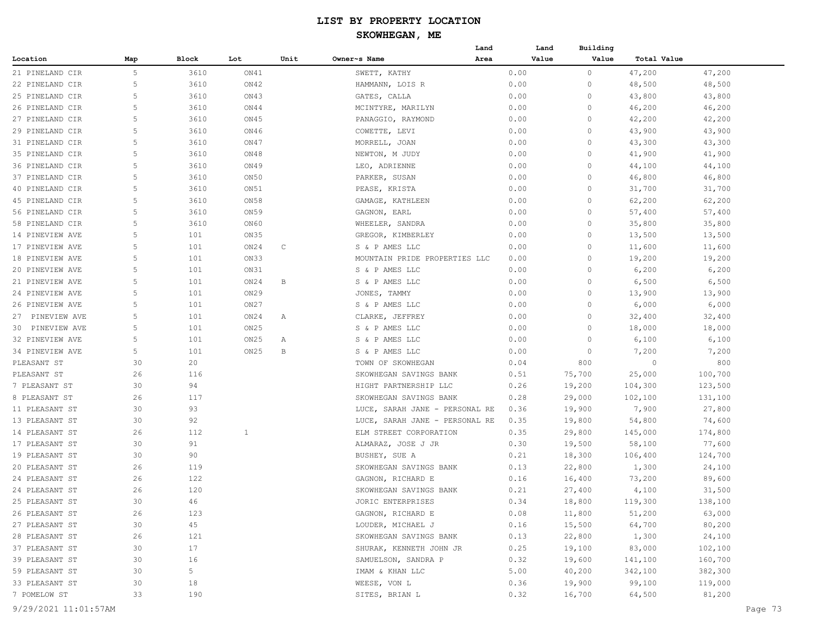|                      |     |                |                  |             | Land                           |      | Land  | Building |             |         |         |
|----------------------|-----|----------------|------------------|-------------|--------------------------------|------|-------|----------|-------------|---------|---------|
| Location             | Map | Block          | Lot              | Unit        | Owner~s Name<br>Area           |      | Value | Value    | Total Value |         |         |
| 21 PINELAND CIR      | 5   | 3610           | ON41             |             | SWETT, KATHY                   | 0.00 |       | $\circ$  | 47,200      | 47,200  |         |
| 22 PINELAND CIR      | 5   | 3610           | ON42             |             | HAMMANN, LOIS R                | 0.00 |       | 0        | 48,500      | 48,500  |         |
| 25 PINELAND CIR      | 5   | 3610           | ON43             |             | GATES, CALLA                   | 0.00 |       | 0        | 43,800      | 43,800  |         |
| 26 PINELAND CIR      | 5   | 3610           | ON44             |             | MCINTYRE, MARILYN              | 0.00 |       | 0        | 46,200      | 46,200  |         |
| 27 PINELAND CIR      | 5   | 3610           | ON45             |             | PANAGGIO, RAYMOND              | 0.00 |       | $\circ$  | 42,200      | 42,200  |         |
| 29 PINELAND CIR      | 5   | 3610           | ON46             |             | COWETTE, LEVI                  | 0.00 |       | 0        | 43,900      | 43,900  |         |
| 31 PINELAND CIR      | 5   | 3610           | ON47             |             | MORRELL, JOAN                  | 0.00 |       | $\circ$  | 43,300      | 43,300  |         |
| 35 PINELAND CIR      | 5   | 3610           | ON48             |             | NEWTON, M JUDY                 | 0.00 |       | $\circ$  | 41,900      | 41,900  |         |
| 36 PINELAND CIR      | 5   | 3610           | ON49             |             | LEO, ADRIENNE                  | 0.00 |       | $\circ$  | 44,100      | 44,100  |         |
| 37 PINELAND CIR      | 5   | 3610           | ON50             |             | PARKER, SUSAN                  | 0.00 |       | 0        | 46,800      | 46,800  |         |
| 40 PINELAND CIR      | 5   | 3610           | ON51             |             | PEASE, KRISTA                  | 0.00 |       | 0        | 31,700      | 31,700  |         |
| 45 PINELAND CIR      | 5   | 3610           | ON58             |             | GAMAGE, KATHLEEN               | 0.00 |       | 0        | 62,200      | 62,200  |         |
| 56 PINELAND CIR      | 5   | 3610           | ON59             |             | GAGNON, EARL                   | 0.00 |       | $\circ$  | 57,400      | 57,400  |         |
| 58 PINELAND CIR      | 5   | 3610           | ON60             |             | WHEELER, SANDRA                | 0.00 |       | $\Omega$ | 35,800      | 35,800  |         |
| 14 PINEVIEW AVE      | 5   | 101            | ON35             |             | GREGOR, KIMBERLEY              | 0.00 |       | $\circ$  | 13,500      | 13,500  |         |
| 17 PINEVIEW AVE      | 5   | 101            | ON24             | $\mathbb C$ | S & P AMES LLC                 | 0.00 |       | 0        | 11,600      | 11,600  |         |
| 18 PINEVIEW AVE      | 5   | 101            | ON33             |             | MOUNTAIN PRIDE PROPERTIES LLC  | 0.00 |       | 0        | 19,200      | 19,200  |         |
| 20 PINEVIEW AVE      | 5   | 101            | ON31             |             | S & P AMES LLC                 | 0.00 |       | 0        | 6,200       | 6,200   |         |
| 21 PINEVIEW AVE      | 5   | 101            | ON24             | В           | S & P AMES LLC                 | 0.00 |       | 0        | 6,500       | 6,500   |         |
| 24 PINEVIEW AVE      | 5   | 101            | ON <sub>29</sub> |             | JONES, TAMMY                   | 0.00 |       | 0        | 13,900      | 13,900  |         |
|                      | 5   | 101            | ON27             |             | S & P AMES LLC                 | 0.00 |       | $\circ$  |             |         |         |
| 26 PINEVIEW AVE      | 5   |                |                  |             |                                |      |       | $\Omega$ | 6,000       | 6,000   |         |
| 27 PINEVIEW AVE      | 5   | 101            | ON24             | Α           | CLARKE, JEFFREY                | 0.00 |       | $\circ$  | 32,400      | 32,400  |         |
| 30 PINEVIEW AVE      | 5   | 101            | ON <sub>25</sub> |             | S & P AMES LLC                 | 0.00 |       | $\circ$  | 18,000      | 18,000  |         |
| 32 PINEVIEW AVE      | 5   | 101            | ON25             | Α           | S & P AMES LLC                 | 0.00 |       | 0        | 6,100       | 6,100   |         |
| 34 PINEVIEW AVE      |     | 101            | ON25             | B           | S & P AMES LLC                 | 0.00 |       |          | 7,200       | 7,200   |         |
| PLEASANT ST          | 30  | 20             |                  |             | TOWN OF SKOWHEGAN              | 0.04 |       | 800      | $\circ$     | 800     |         |
| PLEASANT ST          | 26  | 116            |                  |             | SKOWHEGAN SAVINGS BANK         | 0.51 |       | 75,700   | 25,000      | 100,700 |         |
| 7 PLEASANT ST        | 30  | 94             |                  |             | HIGHT PARTNERSHIP LLC          | 0.26 |       | 19,200   | 104,300     | 123,500 |         |
| 8 PLEASANT ST        | 26  | 117            |                  |             | SKOWHEGAN SAVINGS BANK         | 0.28 |       | 29,000   | 102,100     | 131,100 |         |
| 11 PLEASANT ST       | 30  | 93             |                  |             | LUCE, SARAH JANE - PERSONAL RE | 0.36 |       | 19,900   | 7,900       | 27,800  |         |
| 13 PLEASANT ST       | 30  | 92             |                  |             | LUCE, SARAH JANE - PERSONAL RE | 0.35 |       | 19,800   | 54,800      | 74,600  |         |
| 14 PLEASANT ST       | 26  | 112            | $\mathbf{1}$     |             | ELM STREET CORPORATION         | 0.35 |       | 29,800   | 145,000     | 174,800 |         |
| 17 PLEASANT ST       | 30  | 91             |                  |             | ALMARAZ, JOSE J JR             | 0.30 |       | 19,500   | 58,100      | 77,600  |         |
| 19 PLEASANT ST       | 30  | 90             |                  |             | BUSHEY, SUE A                  | 0.21 |       | 18,300   | 106,400     | 124,700 |         |
| 20 PLEASANT ST       | 26  | 119            |                  |             | SKOWHEGAN SAVINGS BANK         | 0.13 |       | 22,800   | 1,300       | 24,100  |         |
| 24 PLEASANT ST       | 26  | 122            |                  |             | GAGNON, RICHARD E              | 0.16 |       | 16,400   | 73,200      | 89,600  |         |
| 24 PLEASANT ST       | 26  | 120            |                  |             | SKOWHEGAN SAVINGS BANK         | 0.21 |       | 27,400   | 4,100       | 31,500  |         |
| 25 PLEASANT ST       | 30  | 46             |                  |             | JORIC ENTERPRISES              | 0.34 |       | 18,800   | 119,300     | 138,100 |         |
| 26 PLEASANT ST       | 26  | 123            |                  |             | GAGNON, RICHARD E              | 0.08 |       | 11,800   | 51,200      | 63,000  |         |
| 27 PLEASANT ST       | 30  | 45             |                  |             | LOUDER, MICHAEL J              | 0.16 |       | 15,500   | 64,700      | 80,200  |         |
| 28 PLEASANT ST       | 26  | 121            |                  |             | SKOWHEGAN SAVINGS BANK         | 0.13 |       | 22,800   | 1,300       | 24,100  |         |
| 37 PLEASANT ST       | 30  | 17             |                  |             | SHURAK, KENNETH JOHN JR        | 0.25 |       | 19,100   | 83,000      | 102,100 |         |
| 39 PLEASANT ST       | 30  | 16             |                  |             | SAMUELSON, SANDRA P            | 0.32 |       | 19,600   | 141,100     | 160,700 |         |
| 59 PLEASANT ST       | 30  | 5 <sup>5</sup> |                  |             | IMAM & KHAN LLC                | 5.00 |       | 40,200   | 342,100     | 382,300 |         |
| 33 PLEASANT ST       | 30  | 18             |                  |             | WEESE, VON L                   | 0.36 |       | 19,900   | 99,100      | 119,000 |         |
| 7 POMELOW ST         | 33  | 190            |                  |             | SITES, BRIAN L                 | 0.32 |       | 16,700   | 64,500      | 81,200  |         |
| 9/29/2021 11:01:57AM |     |                |                  |             |                                |      |       |          |             |         | Page 73 |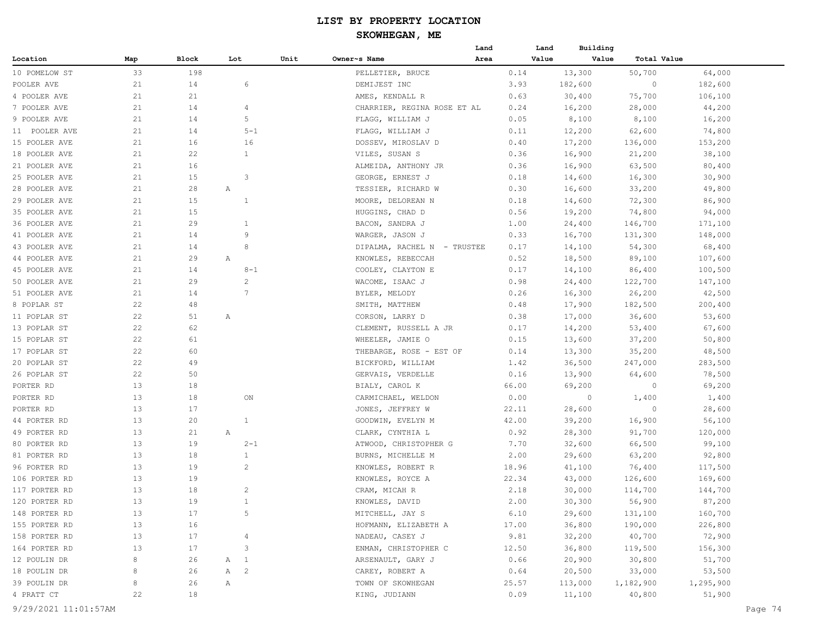# **SKOWHEGAN, ME**

|               |     |       |                         |      |                             | Land | Land  | Building |             |           |
|---------------|-----|-------|-------------------------|------|-----------------------------|------|-------|----------|-------------|-----------|
| Location      | Map | Block | Lot                     | Unit | Owner~s Name                | Area | Value | Value    | Total Value |           |
| 10 POMELOW ST | 33  | 198   |                         |      | PELLETIER, BRUCE            |      | 0.14  | 13,300   | 50,700      | 64,000    |
| POOLER AVE    | 21  | 14    | 6                       |      | DEMIJEST INC                |      | 3.93  | 182,600  | $\circ$     | 182,600   |
| 4 POOLER AVE  | 21  | 21    |                         |      | AMES, KENDALL R             |      | 0.63  | 30,400   | 75,700      | 106,100   |
| 7 POOLER AVE  | 21  | 14    | 4                       |      | CHARRIER, REGINA ROSE ET AL |      | 0.24  | 16,200   | 28,000      | 44,200    |
| 9 POOLER AVE  | 21  | 14    | 5                       |      | FLAGG, WILLIAM J            |      | 0.05  | 8,100    | 8,100       | 16,200    |
| 11 POOLER AVE | 21  | 14    | $5 - 1$                 |      | FLAGG, WILLIAM J            |      | 0.11  | 12,200   | 62,600      | 74,800    |
| 15 POOLER AVE | 21  | 16    | 16                      |      | DOSSEV, MIROSLAV D          |      | 0.40  | 17,200   | 136,000     | 153,200   |
| 18 POOLER AVE | 21  | 22    | $\mathbf{1}$            |      | VILES, SUSAN S              |      | 0.36  | 16,900   | 21,200      | 38,100    |
| 21 POOLER AVE | 21  | 16    |                         |      | ALMEIDA, ANTHONY JR         |      | 0.36  | 16,900   | 63,500      | 80,400    |
| 25 POOLER AVE | 21  | 15    | $\overline{\mathbf{3}}$ |      | GEORGE, ERNEST J            |      | 0.18  | 14,600   | 16,300      | 30,900    |
| 28 POOLER AVE | 21  | 28    | Α                       |      | TESSIER, RICHARD W          |      | 0.30  | 16,600   | 33,200      | 49,800    |
| 29 POOLER AVE | 21  | 15    | $\mathbf{1}$            |      | MOORE, DELOREAN N           |      | 0.18  | 14,600   | 72,300      | 86,900    |
| 35 POOLER AVE | 21  | 15    |                         |      | HUGGINS, CHAD D             |      | 0.56  | 19,200   | 74,800      | 94,000    |
| 36 POOLER AVE | 21  | 29    | $\mathbf{1}$            |      | BACON, SANDRA J             |      | 1.00  | 24,400   | 146,700     | 171,100   |
| 41 POOLER AVE | 21  | 14    | 9                       |      | WARGER, JASON J             |      | 0.33  | 16,700   | 131,300     | 148,000   |
| 43 POOLER AVE | 21  | 14    | 8                       |      | DIPALMA, RACHEL N - TRUSTEE |      | 0.17  | 14,100   | 54,300      | 68,400    |
| 44 POOLER AVE | 21  | 29    | Α                       |      | KNOWLES, REBECCAH           |      | 0.52  | 18,500   | 89,100      | 107,600   |
| 45 POOLER AVE | 21  | 14    | $8 - 1$                 |      | COOLEY, CLAYTON E           |      | 0.17  | 14,100   | 86,400      | 100,500   |
| 50 POOLER AVE | 21  | 29    | 2                       |      | WACOME, ISAAC J             |      | 0.98  | 24,400   | 122,700     | 147,100   |
| 51 POOLER AVE | 21  | 14    | $\overline{7}$          |      | BYLER, MELODY               |      | 0.26  | 16,300   | 26,200      | 42,500    |
| 8 POPLAR ST   | 22  | 48    |                         |      | SMITH, MATTHEW              |      | 0.48  | 17,900   | 182,500     | 200,400   |
| 11 POPLAR ST  | 22  | 51    | Α                       |      | CORSON, LARRY D             |      | 0.38  | 17,000   | 36,600      | 53,600    |
| 13 POPLAR ST  | 22  | 62    |                         |      | CLEMENT, RUSSELL A JR       |      | 0.17  | 14,200   | 53,400      | 67,600    |
| 15 POPLAR ST  | 22  | 61    |                         |      | WHEELER, JAMIE O            |      | 0.15  | 13,600   | 37,200      | 50,800    |
| 17 POPLAR ST  | 22  | 60    |                         |      | THEBARGE, ROSE - EST OF     |      | 0.14  | 13,300   | 35,200      | 48,500    |
| 20 POPLAR ST  | 22  | 49    |                         |      | BICKFORD, WILLIAM           |      | 1.42  | 36,500   | 247,000     | 283,500   |
| 26 POPLAR ST  | 22  | 50    |                         |      | GERVAIS, VERDELLE           |      | 0.16  | 13,900   | 64,600      | 78,500    |
| PORTER RD     | 13  | 18    |                         |      | BIALY, CAROL K              |      | 66.00 | 69,200   | 0           | 69,200    |
| PORTER RD     | 13  | 18    | ON                      |      | CARMICHAEL, WELDON          |      | 0.00  | $\circ$  | 1,400       | 1,400     |
| PORTER RD     | 13  | 17    |                         |      | JONES, JEFFREY W            |      | 22.11 | 28,600   | $\circ$     | 28,600    |
| 44 PORTER RD  | 13  | 20    | $\mathbf{1}$            |      | GOODWIN, EVELYN M           |      | 42.00 | 39,200   | 16,900      | 56,100    |
| 49 PORTER RD  | 13  | 21    | Α                       |      | CLARK, CYNTHIA L            |      | 0.92  | 28,300   | 91,700      | 120,000   |
| 80 PORTER RD  | 13  | 19    | $2 - 1$                 |      | ATWOOD, CHRISTOPHER G       |      | 7.70  | 32,600   | 66,500      | 99,100    |
| 81 PORTER RD  | 13  | 18    | $\mathbf{1}$            |      | BURNS, MICHELLE M           |      | 2.00  | 29,600   | 63,200      | 92,800    |
| 96 PORTER RD  | 13  | 19    | 2                       |      | KNOWLES, ROBERT R           |      | 18.96 | 41,100   | 76,400      | 117,500   |
| 106 PORTER RD | 13  | 19    |                         |      | KNOWLES, ROYCE A            |      | 22.34 | 43,000   | 126,600     | 169,600   |
| 117 PORTER RD | 13  | 18    | $\overline{c}$          |      | CRAM, MICAH R               |      | 2.18  | 30,000   | 114,700     | 144,700   |
| 120 PORTER RD | 13  | 19    | 1                       |      | KNOWLES, DAVID              |      | 2.00  | 30, 300  | 56,900      | 87,200    |
| 148 PORTER RD | 13  | 17    | 5                       |      | MITCHELL, JAY S             |      | 6.10  | 29,600   | 131,100     | 160,700   |
| 155 PORTER RD | 13  | 16    |                         |      | HOFMANN, ELIZABETH A        |      | 17.00 | 36,800   | 190,000     | 226,800   |
| 158 PORTER RD | 13  | 17    | $\overline{4}$          |      | NADEAU, CASEY J             |      | 9.81  | 32,200   | 40,700      | 72,900    |
| 164 PORTER RD | 13  | 17    | $\overline{\mathbf{3}}$ |      | ENMAN, CHRISTOPHER C        |      | 12.50 | 36,800   | 119,500     | 156,300   |
| 12 POULIN DR  | 8   | 26    | A 1                     |      | ARSENAULT, GARY J           |      | 0.66  | 20,900   | 30,800      | 51,700    |
| 18 POULIN DR  | 8   | 26    | A 2                     |      | CAREY, ROBERT A             |      | 0.64  | 20,500   | 33,000      | 53,500    |
| 39 POULIN DR  | 8   | 26    | Α                       |      | TOWN OF SKOWHEGAN           |      | 25.57 | 113,000  | 1,182,900   | 1,295,900 |
| 4 PRATT CT    | 22  | 18    |                         |      | KING, JUDIANN               |      | 0.09  | 11,100   | 40,800      | 51,900    |
|               |     |       |                         |      |                             |      |       |          |             |           |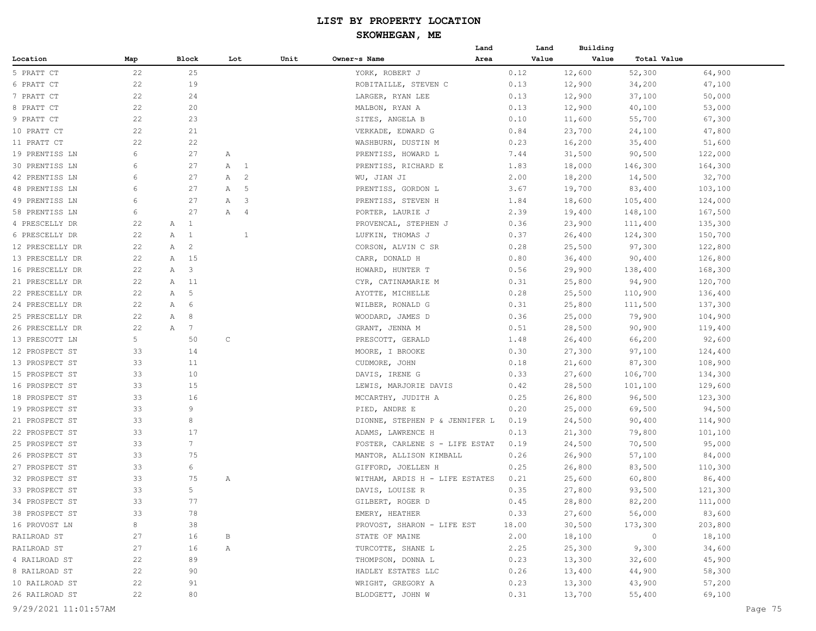|                 |     |                      |    |                              |      |                                | Land | Land  | Building |                |         |
|-----------------|-----|----------------------|----|------------------------------|------|--------------------------------|------|-------|----------|----------------|---------|
| Location        | Map | Block                |    | Lot                          | Unit | Owner~s Name                   | Area | Value | Value    | Total Value    |         |
| 5 PRATT CT      | 22  |                      | 25 |                              |      | YORK, ROBERT J                 |      | 0.12  | 12,600   | 52,300         | 64,900  |
| 6 PRATT CT      | 22  |                      | 19 |                              |      | ROBITAILLE, STEVEN C           |      | 0.13  | 12,900   | 34,200         | 47,100  |
| 7 PRATT CT      | 22  | 24                   |    |                              |      | LARGER, RYAN LEE               |      | 0.13  | 12,900   | 37,100         | 50,000  |
| 8 PRATT CT      | 22  | 20                   |    |                              |      | MALBON, RYAN A                 |      | 0.13  | 12,900   | 40,100         | 53,000  |
| 9 PRATT CT      | 22  |                      | 23 |                              |      | SITES, ANGELA B                |      | 0.10  | 11,600   | 55,700         | 67,300  |
| 10 PRATT CT     | 22  | 21                   |    |                              |      | VERKADE, EDWARD G              |      | 0.84  | 23,700   | 24,100         | 47,800  |
| 11 PRATT CT     | 22  |                      | 22 |                              |      | WASHBURN, DUSTIN M             |      | 0.23  | 16,200   | 35,400         | 51,600  |
| 19 PRENTISS LN  | 6   | 27                   |    | Α                            |      | PRENTISS, HOWARD L             |      | 7.44  | 31,500   | 90,500         | 122,000 |
| 30 PRENTISS LN  | 6   | 27                   |    | $\overline{1}$<br>Α          |      | PRENTISS, RICHARD E            |      | 1.83  | 18,000   | 146,300        | 164,300 |
| 42 PRENTISS LN  | 6   | 27                   |    | $\overline{c}$<br>Α          |      | WU, JIAN JI                    |      | 2.00  | 18,200   | 14,500         | 32,700  |
| 48 PRENTISS LN  | 6   | 27                   |    | 5<br>Α                       |      | PRENTISS, GORDON L             |      | 3.67  | 19,700   | 83,400         | 103,100 |
| 49 PRENTISS LN  | 6   | 27                   |    | $\mathbf{3}$<br>$\mathbb{A}$ |      | PRENTISS, STEVEN H             |      | 1.84  | 18,600   | 105,400        | 124,000 |
| 58 PRENTISS LN  | 6   | 27                   |    | $\overline{4}$<br>A          |      | PORTER, LAURIE J               |      | 2.39  | 19,400   | 148,100        | 167,500 |
| 4 PRESCELLY DR  | 22  | <sup>1</sup><br>Α    |    |                              |      | PROVENCAL, STEPHEN J           |      | 0.36  | 23,900   | 111,400        | 135,300 |
| 6 PRESCELLY DR  | 22  | $\mathbf{1}$<br>Α    |    | 1                            |      | LUFKIN, THOMAS J               |      | 0.37  | 26,400   | 124,300        | 150,700 |
| 12 PRESCELLY DR | 22  | $\overline{c}$<br>Α  |    |                              |      | CORSON, ALVIN C SR             |      | 0.28  | 25,500   | 97,300         | 122,800 |
| 13 PRESCELLY DR | 22  | 15<br>A              |    |                              |      | CARR, DONALD H                 |      | 0.80  | 36,400   | 90,400         | 126,800 |
| 16 PRESCELLY DR | 22  | 3<br>Α               |    |                              |      | HOWARD, HUNTER T               |      | 0.56  | 29,900   | 138,400        | 168,300 |
| 21 PRESCELLY DR | 22  | 11<br>Α              |    |                              |      | CYR, CATINAMARIE M             |      | 0.31  | 25,800   | 94,900         | 120,700 |
| 22 PRESCELLY DR | 22  | 5<br>Α               |    |                              |      | AYOTTE, MICHELLE               |      | 0.28  | 25,500   | 110,900        | 136,400 |
| 24 PRESCELLY DR | 22  | Α<br>6               |    |                              |      | WILBER, RONALD G               |      | 0.31  | 25,800   | 111,500        | 137,300 |
| 25 PRESCELLY DR | 22  | 8<br>Α               |    |                              |      | WOODARD, JAMES D               |      | 0.36  | 25,000   | 79,900         | 104,900 |
| 26 PRESCELLY DR | 22  | $7\phantom{.0}$<br>Α |    |                              |      | GRANT, JENNA M                 |      | 0.51  | 28,500   | 90,900         | 119,400 |
| 13 PRESCOTT LN  | 5   | 50                   |    | C                            |      | PRESCOTT, GERALD               |      | 1.48  | 26,400   | 66,200         | 92,600  |
| 12 PROSPECT ST  | 33  | 14                   |    |                              |      | MOORE, I BROOKE                |      | 0.30  | 27,300   | 97,100         | 124,400 |
| 13 PROSPECT ST  | 33  | 11                   |    |                              |      | CUDMORE, JOHN                  |      | 0.18  | 21,600   | 87,300         | 108,900 |
| 15 PROSPECT ST  | 33  |                      | 10 |                              |      | DAVIS, IRENE G                 |      | 0.33  | 27,600   | 106,700        | 134,300 |
| 16 PROSPECT ST  | 33  | 15                   |    |                              |      | LEWIS, MARJORIE DAVIS          |      | 0.42  | 28,500   | 101,100        | 129,600 |
| 18 PROSPECT ST  | 33  |                      | 16 |                              |      | MCCARTHY, JUDITH A             |      | 0.25  | 26,800   | 96,500         | 123,300 |
| 19 PROSPECT ST  | 33  | 9                    |    |                              |      | PIED, ANDRE E                  |      | 0.20  | 25,000   | 69,500         | 94,500  |
| 21 PROSPECT ST  | 33  | 8                    |    |                              |      | DIONNE, STEPHEN P & JENNIFER L |      | 0.19  | 24,500   | 90,400         | 114,900 |
| 22 PROSPECT ST  | 33  | 17                   |    |                              |      | ADAMS, LAWRENCE H              |      | 0.13  | 21,300   | 79,800         | 101,100 |
| 25 PROSPECT ST  | 33  | $7\overline{ }$      |    |                              |      | FOSTER, CARLENE S - LIFE ESTAT |      | 0.19  | 24,500   | 70,500         | 95,000  |
| 26 PROSPECT ST  | 33  | 75                   |    |                              |      | MANTOR, ALLISON KIMBALL        |      | 0.26  | 26,900   | 57,100         | 84,000  |
| 27 PROSPECT ST  | 33  | 6                    |    |                              |      | GIFFORD, JOELLEN H             |      | 0.25  | 26,800   | 83,500         | 110,300 |
| 32 PROSPECT ST  | 33  | 75                   |    | Α                            |      | WITHAM, ARDIS H - LIFE ESTATES |      | 0.21  | 25,600   | 60,800         | 86,400  |
| 33 PROSPECT ST  | 33  | 5                    |    |                              |      | DAVIS, LOUISE R                |      | 0.35  | 27,800   | 93,500         | 121,300 |
| 34 PROSPECT ST  | 33  | 77                   |    |                              |      | GILBERT, ROGER D               |      | 0.45  | 28,800   | 82,200         | 111,000 |
| 38 PROSPECT ST  | 33  |                      | 78 |                              |      | EMERY, HEATHER                 |      | 0.33  | 27,600   | 56,000         | 83,600  |
| 16 PROVOST LN   | 8   |                      | 38 |                              |      | PROVOST, SHARON - LIFE EST     |      | 18.00 | 30,500   | 173,300        | 203,800 |
| RAILROAD ST     | 27  |                      | 16 | B                            |      | STATE OF MAINE                 |      | 2.00  | 18,100   | $\overline{0}$ | 18,100  |
| RAILROAD ST     |     |                      |    | Α                            |      | TURCOTTE, SHANE L              |      |       |          |                |         |
| 4 RAILROAD ST   | 27  |                      | 16 |                              |      |                                |      | 2.25  | 25,300   | 9,300          | 34,600  |
|                 | 22  |                      | 89 |                              |      | THOMPSON, DONNA L              |      | 0.23  | 13,300   | 32,600         | 45,900  |
| 8 RAILROAD ST   | 22  |                      | 90 |                              |      | HADLEY ESTATES LLC             |      | 0.26  | 13,400   | 44,900         | 58,300  |
| 10 RAILROAD ST  | 22  |                      | 91 |                              |      | WRIGHT, GREGORY A              |      | 0.23  | 13,300   | 43,900         | 57,200  |
| 26 RAILROAD ST  | 22  |                      | 80 |                              |      | BLODGETT, JOHN W               |      | 0.31  | 13,700   | 55,400         | 69,100  |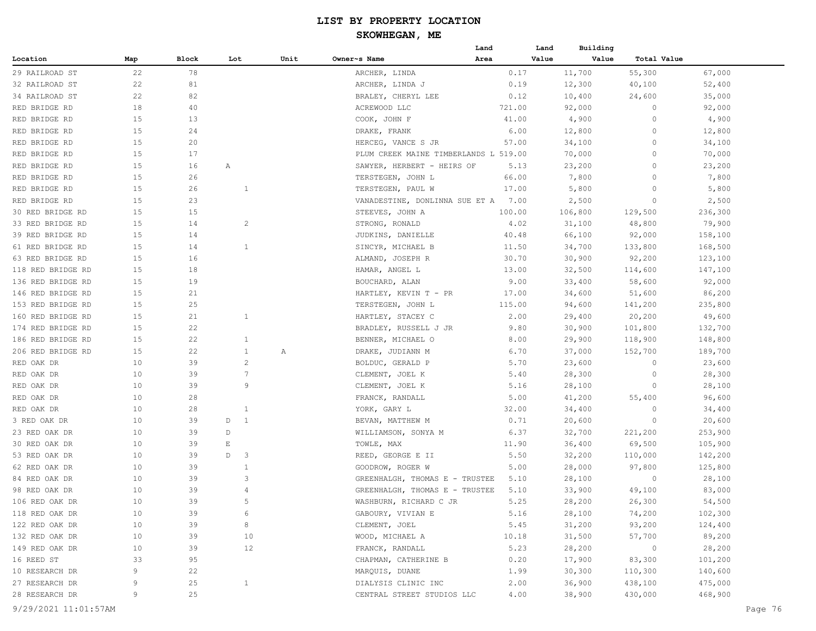# **SKOWHEGAN, ME**

|                   |     |       |                          |      |                                       | Land   | Land    | Building                    |         |  |
|-------------------|-----|-------|--------------------------|------|---------------------------------------|--------|---------|-----------------------------|---------|--|
| Location          | Map | Block | Lot                      | Unit | Owner~s Name                          | Area   | Value   | Value<br><b>Total Value</b> |         |  |
| 29 RAILROAD ST    | 22  | 78    |                          |      | ARCHER, LINDA                         | 0.17   | 11,700  | 55,300                      | 67,000  |  |
| 32 RAILROAD ST    | 22  | 81    |                          |      | ARCHER, LINDA J                       | 0.19   | 12,300  | 40,100                      | 52,400  |  |
| 34 RAILROAD ST    | 22  | 82    |                          |      | BRALEY, CHERYL LEE                    | 0.12   | 10,400  | 24,600                      | 35,000  |  |
| RED BRIDGE RD     | 18  | 40    |                          |      | ACREWOOD LLC                          | 721.00 | 92,000  | 0                           | 92,000  |  |
| RED BRIDGE RD     | 15  | 13    |                          |      | COOK, JOHN F                          | 41.00  | 4,900   | $\circ$                     | 4,900   |  |
| RED BRIDGE RD     | 15  | 24    |                          |      | DRAKE, FRANK                          | 6.00   | 12,800  | 0                           | 12,800  |  |
| RED BRIDGE RD     | 15  | 20    |                          |      | HERCEG, VANCE S JR                    | 57.00  | 34,100  | 0                           | 34,100  |  |
| RED BRIDGE RD     | 15  | 17    |                          |      | PLUM CREEK MAINE TIMBERLANDS L 519.00 |        | 70,000  | $\Omega$                    | 70,000  |  |
| RED BRIDGE RD     | 15  | 16    | Α                        |      | SAWYER, HERBERT - HEIRS OF            | 5.13   | 23,200  | $\circ$                     | 23,200  |  |
| RED BRIDGE RD     | 15  | 26    |                          |      | TERSTEGEN, JOHN L                     | 66.00  | 7,800   | 0                           | 7,800   |  |
| RED BRIDGE RD     | 15  | 26    | 1                        |      | TERSTEGEN, PAUL W                     | 17.00  | 5,800   | 0                           | 5,800   |  |
| RED BRIDGE RD     | 15  | 23    |                          |      | VANADESTINE, DONLINNA SUE ET A        | 7.00   | 2,500   | 0                           | 2,500   |  |
| 30 RED BRIDGE RD  | 15  | 15    |                          |      | STEEVES, JOHN A                       | 100.00 | 106,800 | 129,500                     | 236,300 |  |
| 33 RED BRIDGE RD  | 15  | 14    | $\overline{c}$           |      | STRONG, RONALD                        | 4.02   | 31,100  | 48,800                      | 79,900  |  |
| 39 RED BRIDGE RD  | 15  | 14    |                          |      | JUDKINS, DANIELLE                     | 40.48  | 66,100  | 92,000                      | 158,100 |  |
| 61 RED BRIDGE RD  | 15  | 14    | $\mathbf{1}$             |      | SINCYR, MICHAEL B                     | 11.50  | 34,700  | 133,800                     | 168,500 |  |
| 63 RED BRIDGE RD  | 15  | 16    |                          |      | ALMAND, JOSEPH R                      | 30.70  | 30,900  | 92,200                      | 123,100 |  |
| 118 RED BRIDGE RD | 15  | 18    |                          |      | HAMAR, ANGEL L                        | 13.00  | 32,500  | 114,600                     | 147,100 |  |
| 136 RED BRIDGE RD | 15  | 19    |                          |      | BOUCHARD, ALAN                        | 9.00   | 33,400  | 58,600                      | 92,000  |  |
|                   | 15  | 21    |                          |      |                                       |        |         |                             |         |  |
| 146 RED BRIDGE RD |     |       |                          |      | HARTLEY, KEVIN T - PR                 | 17.00  | 34,600  | 51,600                      | 86,200  |  |
| 153 RED BRIDGE RD | 15  | 25    |                          |      | TERSTEGEN, JOHN L                     | 115.00 | 94,600  | 141,200                     | 235,800 |  |
| 160 RED BRIDGE RD | 15  | 21    | 1                        |      | HARTLEY, STACEY C                     | 2.00   | 29,400  | 20,200                      | 49,600  |  |
| 174 RED BRIDGE RD | 15  | 22    |                          |      | BRADLEY, RUSSELL J JR                 | 9.80   | 30,900  | 101,800                     | 132,700 |  |
| 186 RED BRIDGE RD | 15  | 22    | $\mathbf{1}$             |      | BENNER, MICHAEL O                     | 8.00   | 29,900  | 118,900                     | 148,800 |  |
| 206 RED BRIDGE RD | 15  | 22    | $\mathbf{1}$             | A    | DRAKE, JUDIANN M                      | 6.70   | 37,000  | 152,700                     | 189,700 |  |
| RED OAK DR        | 10  | 39    | $\overline{c}$           |      | BOLDUC, GERALD P                      | 5.70   | 23,600  | 0                           | 23,600  |  |
| RED OAK DR        | 10  | 39    | $7\phantom{.0}$          |      | CLEMENT, JOEL K                       | 5.40   | 28,300  | 0                           | 28,300  |  |
| RED OAK DR        | 10  | 39    | 9                        |      | CLEMENT, JOEL K                       | 5.16   | 28,100  | 0                           | 28,100  |  |
| RED OAK DR        | 10  | 28    |                          |      | FRANCK, RANDALL                       | 5.00   | 41,200  | 55,400                      | 96,600  |  |
| RED OAK DR        | 10  | 28    | -1                       |      | YORK, GARY L                          | 32.00  | 34,400  | $\Omega$                    | 34,400  |  |
| 3 RED OAK DR      | 10  | 39    | D<br>$\mathbf{1}$        |      | BEVAN, MATTHEW M                      | 0.71   | 20,600  | 0                           | 20,600  |  |
| 23 RED OAK DR     | 10  | 39    | D                        |      | WILLIAMSON, SONYA M                   | 6.37   | 32,700  | 221,200                     | 253,900 |  |
| 30 RED OAK DR     | 10  | 39    | $\mathop{}\mathopen{} E$ |      | TOWLE, MAX                            | 11.90  | 36,400  | 69,500                      | 105,900 |  |
| 53 RED OAK DR     | 10  | 39    | D<br>3                   |      | REED, GEORGE E II                     | 5.50   | 32,200  | 110,000                     | 142,200 |  |
| 62 RED OAK DR     | 10  | 39    | 1                        |      | GOODROW, ROGER W                      | 5.00   | 28,000  | 97,800                      | 125,800 |  |
| 84 RED OAK DR     | 10  | 39    | 3                        |      | GREENHALGH, THOMAS E - TRUSTEE        | 5.10   | 28,100  | 0                           | 28,100  |  |
| 98 RED OAK DR     | 10  | 39    | $\overline{4}$           |      | GREENHALGH, THOMAS E - TRUSTEE        | 5.10   | 33,900  | 49,100                      | 83,000  |  |
| 106 RED OAK DR    | 10  | 39    | $\overline{a}$           |      | WASHBURN, RICHARD C JR                | 5.25   | 28,200  | 26,300                      | 54,500  |  |
| 118 RED OAK DR    | 10  | 39    | 6                        |      | GABOURY, VIVIAN E                     | 5.16   | 28,100  | 74,200                      | 102,300 |  |
| 122 RED OAK DR    | 10  | 39    | 8                        |      | CLEMENT, JOEL                         | 5.45   | 31,200  | 93,200                      | 124,400 |  |
| 132 RED OAK DR    | 10  | 39    |                          | 10   | WOOD, MICHAEL A                       | 10.18  | 31,500  | 57,700                      | 89,200  |  |
| 149 RED OAK DR    | 10  | 39    |                          | 12   | FRANCK, RANDALL                       | 5.23   | 28,200  | $\overline{0}$              | 28,200  |  |
| 16 REED ST        | 33  | 95    |                          |      | CHAPMAN, CATHERINE B                  | 0.20   | 17,900  | 83,300                      | 101,200 |  |
| 10 RESEARCH DR    | 9   | 22    |                          |      | MARQUIS, DUANE                        | 1.99   | 30,300  | 110,300                     | 140,600 |  |
| 27 RESEARCH DR    | 9   | 25    | $\mathbf{1}$             |      | DIALYSIS CLINIC INC                   | 2.00   | 36,900  | 438,100                     | 475,000 |  |
| 28 RESEARCH DR    | 9   | 25    |                          |      | CENTRAL STREET STUDIOS LLC            | 4.00   | 38,900  | 430,000                     | 468,900 |  |
|                   |     |       |                          |      |                                       |        |         |                             |         |  |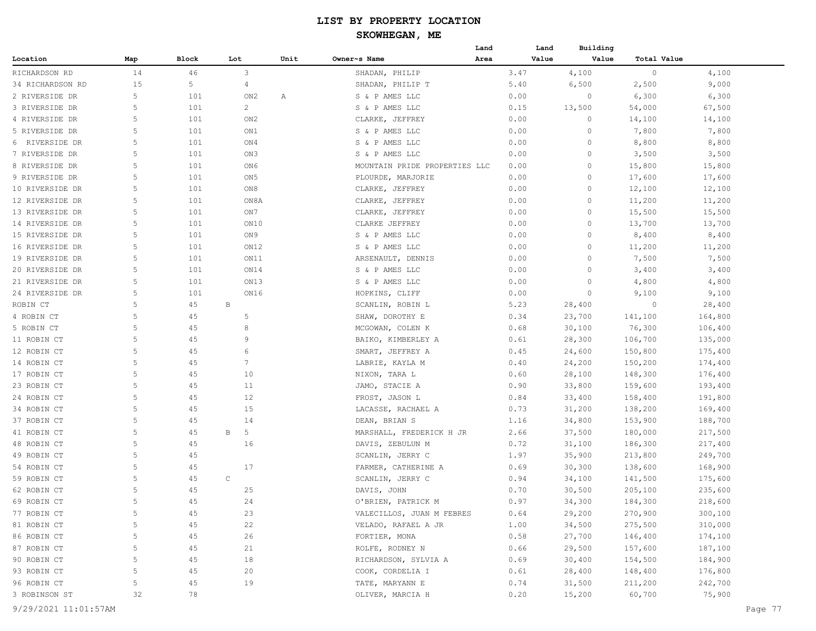|                  |     |        |                 |      |                               | Land | Land  | Building |             |         |
|------------------|-----|--------|-----------------|------|-------------------------------|------|-------|----------|-------------|---------|
| Location         | Map | Block  | Lot             | Unit | Owner~s Name                  | Area | Value | Value    | Total Value |         |
| RICHARDSON RD    | 14  | 46     | 3               |      | SHADAN, PHILIP                |      | 3.47  | 4,100    | $\circ$     | 4,100   |
| 34 RICHARDSON RD | 15  | 5      | 4               |      | SHADAN, PHILIP T              |      | 5.40  | 6,500    | 2,500       | 9,000   |
| 2 RIVERSIDE DR   | 5   | 101    | ON2             | Α    | S & P AMES LLC                |      | 0.00  | 0        | 6,300       | 6,300   |
| 3 RIVERSIDE DR   | 5   | 101    | $\overline{c}$  |      | S & P AMES LLC                |      | 0.15  | 13,500   | 54,000      | 67,500  |
| 4 RIVERSIDE DR   | 5   | 101    | ON <sub>2</sub> |      | CLARKE, JEFFREY               |      | 0.00  | 0        | 14,100      | 14,100  |
| 5 RIVERSIDE DR   | 5   | 101    | ON1             |      | S & P AMES LLC                |      | 0.00  | $\circ$  | 7,800       | 7,800   |
| 6 RIVERSIDE DR   | 5   | 101    | ON4             |      | S & P AMES LLC                |      | 0.00  | $\circ$  | 8,800       | 8,800   |
| 7 RIVERSIDE DR   | 5   | 101    | ON3             |      | S & P AMES LLC                |      | 0.00  | $\circ$  | 3,500       | 3,500   |
| 8 RIVERSIDE DR   | 5   | 101    | ON6             |      | MOUNTAIN PRIDE PROPERTIES LLC |      | 0.00  | 0        | 15,800      | 15,800  |
| 9 RIVERSIDE DR   | 5   | 101    | ON <sub>5</sub> |      | PLOURDE, MARJORIE             |      | 0.00  | 0        | 17,600      | 17,600  |
| 10 RIVERSIDE DR  | 5   | 101    | ON8             |      | CLARKE, JEFFREY               |      | 0.00  | $\circ$  | 12,100      | 12,100  |
| 12 RIVERSIDE DR  | 5   | 101    | ON8A            |      | CLARKE, JEFFREY               |      | 0.00  | $\circ$  | 11,200      | 11,200  |
| 13 RIVERSIDE DR  | 5   | 101    | ON 7            |      | CLARKE, JEFFREY               |      | 0.00  | 0        | 15,500      | 15,500  |
| 14 RIVERSIDE DR  | 5   | 101    | ON10            |      | CLARKE JEFFREY                |      | 0.00  | $\circ$  | 13,700      | 13,700  |
| 15 RIVERSIDE DR  | 5   | 101    | ON 9            |      | S & P AMES LLC                |      | 0.00  | 0        | 8,400       | 8,400   |
| 16 RIVERSIDE DR  | 5   | 101    | ON12            |      | S & P AMES LLC                |      | 0.00  | 0        | 11,200      | 11,200  |
| 19 RIVERSIDE DR  | 5   | 101    | ON11            |      | ARSENAULT, DENNIS             |      | 0.00  | 0        | 7,500       | 7,500   |
| 20 RIVERSIDE DR  | 5   | 101    | ON14            |      | S & P AMES LLC                |      | 0.00  | 0        | 3,400       | 3,400   |
| 21 RIVERSIDE DR  | 5   | 101    | ON13            |      | S & P AMES LLC                |      | 0.00  | $\circ$  | 4,800       | 4,800   |
| 24 RIVERSIDE DR  | 5   | 101    | ON16            |      | HOPKINS, CLIFF                |      | 0.00  | $\circ$  | 9,100       | 9,100   |
| ROBIN CT         | 5   | 45     | B               |      | SCANLIN, ROBIN L              |      | 5.23  | 28,400   | $\circ$     | 28,400  |
| 4 ROBIN CT       | 5   | 45     | 5               |      | SHAW, DOROTHY E               |      | 0.34  | 23,700   | 141,100     | 164,800 |
| 5 ROBIN CT       | 5   | 45     | 8               |      | MCGOWAN, COLEN K              |      | 0.68  | 30,100   | 76,300      | 106,400 |
| 11 ROBIN CT      | 5   | 45     | 9               |      | BAIKO, KIMBERLEY A            |      | 0.61  | 28,300   | 106,700     | 135,000 |
| 12 ROBIN CT      | 5   | 45     | 6               |      | SMART, JEFFREY A              |      | 0.45  | 24,600   | 150,800     | 175,400 |
| 14 ROBIN CT      | 5   | 45     | 7               |      | LABRIE, KAYLA M               |      | 0.40  | 24,200   | 150,200     | 174,400 |
| 17 ROBIN CT      | 5   | 45     | 10              |      | NIXON, TARA L                 |      | 0.60  | 28,100   | 148,300     | 176,400 |
| 23 ROBIN CT      | 5   | 45     | 11              |      | JAMO, STACIE A                |      | 0.90  | 33,800   | 159,600     | 193,400 |
| 24 ROBIN CT      | 5   | 45     | 12              |      | FROST, JASON L                |      | 0.84  | 33,400   | 158,400     | 191,800 |
| 34 ROBIN CT      | 5   | 45     | 15              |      | LACASSE, RACHAEL A            |      | 0.73  | 31,200   | 138,200     | 169,400 |
| 37 ROBIN CT      | 5   | 45     | 14              |      | DEAN, BRIAN S                 |      | 1.16  | 34,800   | 153,900     | 188,700 |
| 41 ROBIN CT      | 5   | 45     | B<br>5          |      | MARSHALL, FREDERICK H JR      |      | 2.66  | 37,500   | 180,000     | 217,500 |
| 48 ROBIN CT      | 5   | 45     | 16              |      | DAVIS, ZEBULUN M              |      | 0.72  | 31,100   | 186,300     | 217,400 |
| 49 ROBIN CT      | 5   | 45     |                 |      | SCANLIN, JERRY C              |      | 1.97  | 35,900   | 213,800     | 249,700 |
| 54 ROBIN CT      | 5   | 45     | 17              |      | FARMER, CATHERINE A           |      | 0.69  | 30,300   | 138,600     | 168,900 |
| 59 ROBIN CT      | 5   | 45     | $\mathsf{C}$    |      | SCANLIN, JERRY C              |      | 0.94  | 34,100   | 141,500     | 175,600 |
| 62 ROBIN CT      | 5   | 45     | 25              |      | DAVIS, JOHN                   |      | 0.70  | 30,500   | 205,100     | 235,600 |
| 69 ROBIN CT      | 5   | $4\,5$ | 24              |      | O'BRIEN, PATRICK M            |      | 0.97  | 34,300   | 184,300     | 218,600 |
| 77 ROBIN CT      | 5   | 45     | 23              |      | VALECILLOS, JUAN M FEBRES     |      | 0.64  | 29,200   | 270,900     | 300,100 |
| 81 ROBIN CT      | 5   | 45     | 22              |      | VELADO, RAFAEL A JR           |      | 1.00  | 34,500   | 275,500     | 310,000 |
| 86 ROBIN CT      | 5   | 45     | 26              |      | FORTIER, MONA                 |      | 0.58  | 27,700   | 146,400     | 174,100 |
| 87 ROBIN CT      | 5   | 45     | 21              |      | ROLFE, RODNEY N               |      | 0.66  | 29,500   | 157,600     | 187,100 |
| 90 ROBIN CT      | 5   | 45     | 18              |      | RICHARDSON, SYLVIA A          |      | 0.69  | 30,400   | 154,500     | 184,900 |
| 93 ROBIN CT      | 5   | 45     | 20              |      | COOK, CORDELIA I              |      | 0.61  | 28,400   | 148,400     | 176,800 |
| 96 ROBIN CT      | 5   | 45     | 19              |      | TATE, MARYANN E               |      | 0.74  | 31,500   | 211,200     | 242,700 |
| 3 ROBINSON ST    | 32  | 78     |                 |      | OLIVER, MARCIA H              |      | 0.20  | 15,200   | 60,700      | 75,900  |
|                  |     |        |                 |      |                               |      |       |          |             |         |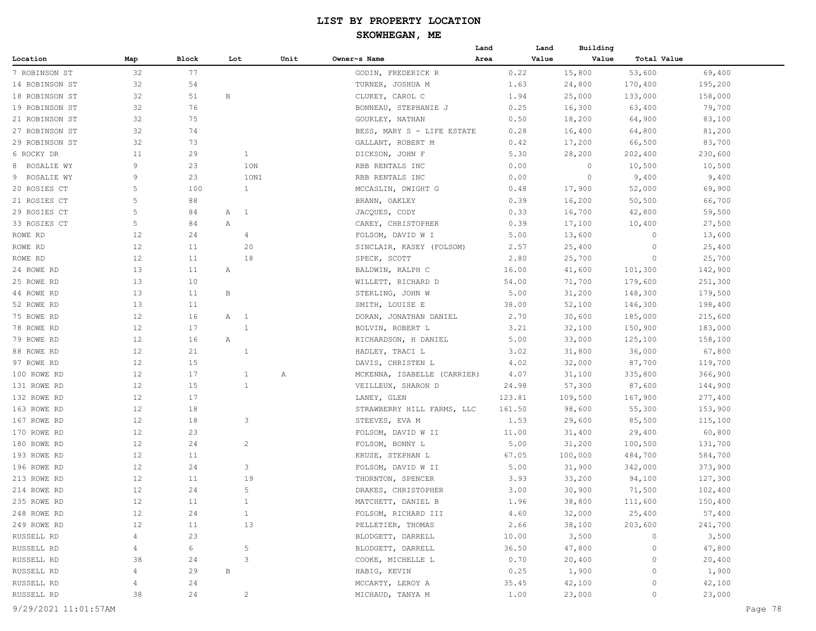|                |                   |              |     |                |      |                             | Land | Land   | Building |             |         |
|----------------|-------------------|--------------|-----|----------------|------|-----------------------------|------|--------|----------|-------------|---------|
| Location       | Map               | <b>Block</b> | Lot |                | Unit | Owner~s Name                | Area | Value  | Value    | Total Value |         |
| 7 ROBINSON ST  | 32                | 77           |     |                |      | GODIN, FREDERICK R          |      | 0.22   | 15,800   | 53,600      | 69,400  |
| 14 ROBINSON ST | 32                | 54           |     |                |      | TURNER, JOSHUA M            |      | 1.63   | 24,800   | 170,400     | 195,200 |
| 18 ROBINSON ST | 32                | 51           | В   |                |      | CLUKEY, CAROL C             |      | 1.94   | 25,000   | 133,000     | 158,000 |
| 19 ROBINSON ST | 32                | 76           |     |                |      | BONNEAU, STEPHANIE J        |      | 0.25   | 16,300   | 63,400      | 79,700  |
| 21 ROBINSON ST | 32                | 75           |     |                |      | GOURLEY, NATHAN             |      | 0.50   | 18,200   | 64,900      | 83,100  |
| 27 ROBINSON ST | 32                | 74           |     |                |      | BESS, MARY S - LIFE ESTATE  |      | 0.28   | 16,400   | 64,800      | 81,200  |
| 29 ROBINSON ST | 32                | 73           |     |                |      | GALLANT, ROBERT M           |      | 0.42   | 17,200   | 66,500      | 83,700  |
| 6 ROCKY DR     | 11                | 29           |     | $\mathbf{1}$   |      | DICKSON, JOHN F             |      | 5.30   | 28,200   | 202,400     | 230,600 |
| 8 ROSALIE WY   | 9                 | 23           |     | 1ON            |      | RBB RENTALS INC             |      | 0.00   | 0        | 10,500      | 10,500  |
| 9 ROSALIE WY   | 9                 | 23           |     | 10N1           |      | RBB RENTALS INC             |      | 0.00   | 0        | 9,400       | 9,400   |
| 20 ROSIES CT   | 5                 | 100          |     | $\mathbf{1}$   |      | MCCASLIN, DWIGHT G          |      | 0.48   | 17,900   | 52,000      | 69,900  |
| 21 ROSIES CT   | 5                 | 88           |     |                |      | BRANN, OAKLEY               |      | 0.39   | 16,200   | 50, 500     | 66,700  |
| 29 ROSIES CT   | 5                 | 84           | Α   | $\overline{1}$ |      | JACQUES, CODY               |      | 0.33   | 16,700   | 42,800      | 59,500  |
| 33 ROSIES CT   | 5                 | 84           | Α   |                |      | CAREY, CHRISTOPHER          |      | 0.39   | 17,100   | 10,400      | 27,500  |
| ROWE RD        | 12                | 24           |     | $\overline{4}$ |      | FOLSOM, DAVID W I           |      | 5.00   | 13,600   | 0           | 13,600  |
| ROWE RD        | 12                | 11           |     | 20             |      | SINCLAIR, KASEY (FOLSOM)    |      | 2.57   | 25,400   | 0           | 25,400  |
| ROWE RD        | $12 \overline{ }$ | 11           |     | 18             |      | SPECK, SCOTT                |      | 2.80   | 25,700   | 0           | 25,700  |
| 24 ROWE RD     | 13                | 11           | Α   |                |      | BALDWIN, RALPH C            |      | 16.00  | 41,600   | 101,300     | 142,900 |
| 25 ROWE RD     | 13                | 10           |     |                |      | WILLETT, RICHARD D          |      | 54.00  | 71,700   | 179,600     | 251,300 |
| 44 ROWE RD     | 13                | 11           | В   |                |      | STERLING, JOHN W            |      | 5.00   | 31,200   | 148,300     | 179,500 |
| 52 ROWE RD     | 13                | 11           |     |                |      | SMITH, LOUISE E             |      | 38.00  | 52,100   | 146,300     | 198,400 |
| 75 ROWE RD     | $12 \overline{ }$ | 16           | A 1 |                |      | DORAN, JONATHAN DANIEL      |      | 2.70   | 30,600   | 185,000     | 215,600 |
| 78 ROWE RD     | $12 \overline{ }$ | 17           |     | $\mathbf{1}$   |      | BOLVIN, ROBERT L            |      | 3.21   | 32,100   | 150,900     | 183,000 |
| 79 ROWE RD     | 12                | 16           | Α   |                |      | RICHARDSON, H DANIEL        |      | 5.00   | 33,000   | 125,100     | 158,100 |
| 88 ROWE RD     | $12 \overline{ }$ | 21           |     | 1              |      | HADLEY, TRACI L             |      | 3.02   | 31,800   | 36,000      | 67,800  |
| 97 ROWE RD     | $12 \overline{ }$ | 15           |     |                |      | DAVIS, CHRISTEN L           |      | 4.02   | 32,000   | 87,700      | 119,700 |
| 100 ROWE RD    | $12 \overline{ }$ | 17           |     | $\mathbf{1}$   | Α    | MCKENNA, ISABELLE (CARRIER) |      | 4.07   | 31,100   | 335,800     | 366,900 |
| 131 ROWE RD    | 12                | 15           |     | $\mathbf{1}$   |      | VEILLEUX, SHARON D          |      | 24.98  | 57,300   | 87,600      | 144,900 |
| 132 ROWE RD    | $12 \overline{ }$ | 17           |     |                |      | LANEY, GLEN                 |      | 123.81 | 109,500  | 167,900     | 277,400 |
| 163 ROWE RD    | 12                | 18           |     |                |      | STRAWBERRY HILL FARMS, LLC  |      | 161.50 | 98,600   | 55,300      | 153,900 |
| 167 ROWE RD    | $12 \overline{ }$ | 18           |     | 3              |      | STEEVES, EVA M              |      | 1.53   | 29,600   | 85,500      | 115,100 |
| 170 ROWE RD    | 12                | 23           |     |                |      | FOLSOM, DAVID W II          |      | 11.00  | 31,400   | 29,400      | 60,800  |
| 180 ROWE RD    | $12 \overline{ }$ | 24           |     | $\overline{c}$ |      | FOLSOM, BONNY L             |      | 5.00   | 31,200   | 100,500     | 131,700 |
| 193 ROWE RD    | 12                | 11           |     |                |      | KRUSE, STEPHAN L            |      | 67.05  | 100,000  | 484,700     | 584,700 |
| 196 ROWE RD    | $12 \overline{ }$ | 24           |     | 3              |      | FOLSOM, DAVID W II          |      | 5.00   | 31,900   | 342,000     | 373,900 |
| 213 ROWE RD    | 12                | 11           |     | 19             |      | THORNTON, SPENCER           |      | 3.93   | 33,200   | 94,100      | 127,300 |
| 214 ROWE RD    | $12 \overline{ }$ | 24           |     | 5              |      | DRAKES, CHRISTOPHER         |      | 3.00   | 30,900   | 71,500      | 102,400 |
| 235 ROWE RD    | 12                | 11           |     | 1              |      | MATCHETT, DANIEL B          |      | 1.96   | 38,800   | 111,600     | 150,400 |
| 248 ROWE RD    | 12                | 24           |     | $\mathbf{1}$   |      | FOLSOM, RICHARD III         |      | 4.60   | 32,000   | 25,400      | 57,400  |
| 249 ROWE RD    | 12                | 11           |     | 13             |      | PELLETIER, THOMAS           |      | 2.66   | 38,100   | 203,600     | 241,700 |
| RUSSELL RD     | 4                 | 23           |     |                |      | BLODGETT, DARRELL           |      | 10.00  | 3,500    | $\circ$     | 3,500   |
| RUSSELL RD     | $\overline{4}$    | 6            |     | 5              |      | BLODGETT, DARRELL           |      | 36.50  | 47,800   | $\circ$     | 47,800  |
| RUSSELL RD     | 38                | 24           |     | 3              |      | COOKE, MICHELLE L           |      | 0.70   | 20,400   | 0           | 20,400  |
| RUSSELL RD     | 4                 | 29           | В   |                |      | HABIG, KEVIN                |      | 0.25   | 1,900    | 0           | 1,900   |
| RUSSELL RD     | 4                 | 24           |     |                |      | MCCARTY, LEROY A            |      | 35.45  | 42,100   | 0           | 42,100  |
| RUSSELL RD     | 38                | 24           |     | $\overline{c}$ |      | MICHAUD, TANYA M            |      | 1.00   | 23,000   | 0           | 23,000  |
|                |                   |              |     |                |      |                             |      |        |          |             |         |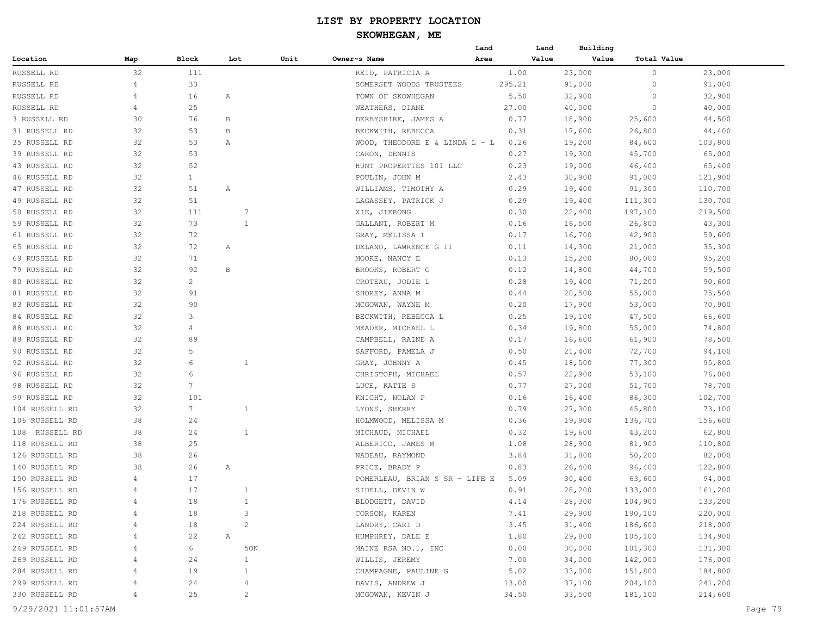# **SKOWHEGAN, ME**

|                |                |                 |              |                |                                  | Land   | Land  | Building |             |         |
|----------------|----------------|-----------------|--------------|----------------|----------------------------------|--------|-------|----------|-------------|---------|
| Location       | Map            | Block           | Lot          | Unit           | Owner~s Name                     | Area   | Value | Value    | Total Value |         |
| RUSSELL RD     | 32             | 111             |              |                | REID, PATRICIA A                 |        | 1.00  | 23,000   | 0           | 23,000  |
| RUSSELL RD     | 4              | 33              |              |                | SOMERSET WOODS TRUSTEES          | 295.21 |       | 91,000   | $\circ$     | 91,000  |
| RUSSELL RD     | 4              | 16              | Α            |                | TOWN OF SKOWHEGAN                |        | 5.50  | 32,900   | 0           | 32,900  |
| RUSSELL RD     | $\overline{4}$ | 25              |              |                | WEATHERS, DIANE                  |        | 27.00 | 40,000   | 0           | 40,000  |
| 3 RUSSELL RD   | 30             | 76              | B            |                | DERBYSHIRE, JAMES A              |        | 0.77  | 18,900   | 25,600      | 44,500  |
| 31 RUSSELL RD  | 32             | 53              | B            |                | BECKWITH, REBECCA                |        | 0.31  | 17,600   | 26,800      | 44,400  |
| 35 RUSSELL RD  | 32             | 53              | Α            |                | WOOD, THEODORE E & LINDA $L - L$ |        | 0.26  | 19,200   | 84,600      | 103,800 |
| 39 RUSSELL RD  | 32             | 53              |              |                | CARON, DENNIS                    |        | 0.27  | 19,300   | 45,700      | 65,000  |
| 43 RUSSELL RD  | 32             | 52              |              |                | HUNT PROPERTIES 101 LLC          |        | 0.23  | 19,000   | 46,400      | 65,400  |
| 46 RUSSELL RD  | 32             | $\mathbf{1}$    |              |                | POULIN, JOHN M                   |        | 2.43  | 30,900   | 91,000      | 121,900 |
| 47 RUSSELL RD  | 32             | 51              | Α            |                | WILLIAMS, TIMOTHY A              |        | 0.29  | 19,400   | 91,300      | 110,700 |
| 49 RUSSELL RD  | 32             | 51              |              |                | LAGASSEY, PATRICK J              |        | 0.29  | 19,400   | 111,300     | 130,700 |
| 50 RUSSELL RD  | 32             | 111             |              | 7              | XIE, JIERONG                     |        | 0.30  | 22,400   | 197,100     | 219,500 |
| 59 RUSSELL RD  | 32             | 73              |              | $\mathbf{1}$   | GALLANT, ROBERT M                |        | 0.16  | 16,500   | 26,800      | 43,300  |
| 61 RUSSELL RD  | 32             | 72              |              |                | GRAY, MELISSA I                  |        | 0.17  | 16,700   | 42,900      | 59,600  |
| 65 RUSSELL RD  | 32             | 72              | Α            |                | DELANO, LAWRENCE G II            |        | 0.11  | 14,300   | 21,000      | 35,300  |
| 69 RUSSELL RD  | 32             | 71              |              |                | MOORE, NANCY E                   |        | 0.13  | 15,200   | 80,000      | 95,200  |
| 79 RUSSELL RD  | 32             | 92              | B            |                | BROOKS, ROBERT G                 |        | 0.12  | 14,800   | 44,700      | 59,500  |
| 80 RUSSELL RD  | 32             | $\overline{c}$  |              |                | CROTEAU, JODIE L                 |        | 0.28  |          |             | 90,600  |
|                |                |                 |              |                |                                  |        |       | 19,400   | 71,200      |         |
| 81 RUSSELL RD  | 32             | 91              |              |                | SHOREY, ANNA M                   |        | 0.44  | 20,500   | 55,000      | 75,500  |
| 83 RUSSELL RD  | 32             | 90              |              |                | MCGOWAN, WAYNE M                 |        | 0.20  | 17,900   | 53,000      | 70,900  |
| 84 RUSSELL RD  | 32             | 3               |              |                | BECKWITH, REBECCA L              |        | 0.25  | 19,100   | 47,500      | 66,600  |
| 88 RUSSELL RD  | 32             | $\overline{4}$  |              |                | MEADER, MICHAEL L                |        | 0.34  | 19,800   | 55,000      | 74,800  |
| 89 RUSSELL RD  | 32             | 89              |              |                | CAMPBELL, RAINE A                |        | 0.17  | 16,600   | 61,900      | 78,500  |
| 90 RUSSELL RD  | 32             | 5               |              |                | SAFFORD, PAMELA J                |        | 0.50  | 21,400   | 72,700      | 94,100  |
| 92 RUSSELL RD  | 32             | 6               |              | $\mathbf{1}$   | GRAY, JOHNNY A                   |        | 0.45  | 18,500   | 77,300      | 95,800  |
| 96 RUSSELL RD  | 32             | 6               |              |                | CHRISTOPH, MICHAEL               |        | 0.57  | 22,900   | 53,100      | 76,000  |
| 98 RUSSELL RD  | 32             | $7\phantom{.0}$ |              |                | LUCE, KATIE S                    |        | 0.77  | 27,000   | 51,700      | 78,700  |
| 99 RUSSELL RD  | 32             | 101             |              |                | KNIGHT, NOLAN P                  |        | 0.16  | 16,400   | 86,300      | 102,700 |
| 104 RUSSELL RD | 32             | 7 <sup>7</sup>  |              | $\mathbf{1}$   | LYONS, SHERRY                    |        | 0.79  | 27,300   | 45,800      | 73,100  |
| 106 RUSSELL RD | 38             | 24              |              |                | HOLMWOOD, MELISSA M              |        | 0.36  | 19,900   | 136,700     | 156,600 |
| 108 RUSSELL RD | 38             | 24              |              | $\mathbf{1}$   | MICHAUD, MICHAEL                 |        | 0.32  | 19,600   | 43,200      | 62,800  |
| 118 RUSSELL RD | 38             | 25              |              |                | ALBERICO, JAMES M                |        | 1.08  | 28,900   | 81,900      | 110,800 |
| 126 RUSSELL RD | 38             | 26              |              |                | NADEAU, RAYMOND                  |        | 3.84  | 31,800   | 50,200      | 82,000  |
| 140 RUSSELL RD | 38             | 26              | Α            |                | PRICE, BRADY P                   |        | 0.83  | 26,400   | 96,400      | 122,800 |
| 150 RUSSELL RD | 4              | 17              |              |                | POMERLEAU, BRIAN S SR - LIFE E   |        | 5.09  | 30,400   | 63,600      | 94,000  |
| 156 RUSSELL RD | $\overline{4}$ | 17              |              | $\mathbf{1}$   | SIDELL, DEVIN W                  |        | 0.91  | 28,200   | 133,000     | 161,200 |
| 176 RUSSELL RD |                | 18              |              | $\mathbf{1}$   | BLODGETT, DAVID                  |        | 4.14  | 28,300   | 104,900     | 133,200 |
| 218 RUSSELL RD | 4              | 18              |              | 3              | CORSON, KAREN                    |        | 7.41  | 29,900   | 190,100     | 220,000 |
| 224 RUSSELL RD | 4              | 18              |              | $\overline{c}$ | LANDRY, CARI D                   |        | 3.45  | 31,400   | 186,600     | 218,000 |
| 242 RUSSELL RD | 4              | 22              | $\mathbb{A}$ |                | HUMPHREY, DALE E                 |        | 1.80  | 29,800   | 105,100     | 134,900 |
| 249 RUSSELL RD | 4              | 6               |              | 50N            | MAINE RSA NO.1, INC              |        | 0.00  | 30,000   | 101,300     | 131,300 |
| 269 RUSSELL RD |                | 24              |              | $\mathbf{1}$   | WILLIS, JEREMY                   |        | 7.00  | 34,000   | 142,000     | 176,000 |
| 284 RUSSELL RD | 4              | 19              |              | $\mathbf{1}$   | CHAMPAGNE, PAULINE G             |        | 5.02  | 33,000   | 151,800     | 184,800 |
| 299 RUSSELL RD | 4              | 24              |              | $\overline{4}$ | DAVIS, ANDREW J                  |        | 13.00 | 37,100   | 204,100     | 241,200 |
| 330 RUSSELL RD | 4              | 25              |              | $\overline{c}$ | MCGOWAN, KEVIN J                 |        | 34.50 | 33,500   | 181,100     | 214,600 |
|                |                |                 |              |                |                                  |        |       |          |             |         |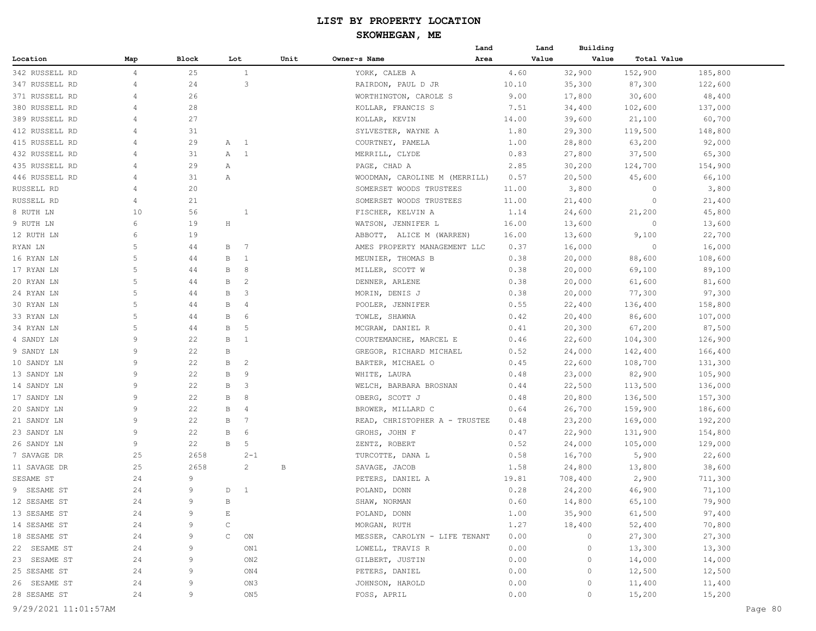|                      |                |       |              |                          |      |                               | Land | Land  | Building |             |         |         |
|----------------------|----------------|-------|--------------|--------------------------|------|-------------------------------|------|-------|----------|-------------|---------|---------|
| Location             | Map            | Block | Lot          |                          | Unit | Owner~s Name                  | Area | Value | Value    | Total Value |         |         |
| 342 RUSSELL RD       | $\overline{4}$ | 25    |              | $\mathbf{1}$             |      | YORK, CALEB A                 |      | 4.60  | 32,900   | 152,900     | 185,800 |         |
| 347 RUSSELL RD       | 4              | 24    |              | $\overline{\mathbf{3}}$  |      | RAIRDON, PAUL D JR            |      | 10.10 | 35,300   | 87,300      | 122,600 |         |
| 371 RUSSELL RD       | 4              | 26    |              |                          |      | WORTHINGTON, CAROLE S         |      | 9.00  | 17,800   | 30,600      | 48,400  |         |
| 380 RUSSELL RD       | 4              | 28    |              |                          |      | KOLLAR, FRANCIS S             |      | 7.51  | 34,400   | 102,600     | 137,000 |         |
| 389 RUSSELL RD       | 4              | 27    |              |                          |      | KOLLAR, KEVIN                 |      | 14.00 | 39,600   | 21,100      | 60,700  |         |
| 412 RUSSELL RD       | 4              | 31    |              |                          |      | SYLVESTER, WAYNE A            |      | 1.80  | 29,300   | 119,500     | 148,800 |         |
| 415 RUSSELL RD       | 4              | 29    | A 1          |                          |      | COURTNEY, PAMELA              |      | 1.00  | 28,800   | 63,200      | 92,000  |         |
| 432 RUSSELL RD       | 4              | 31    | А            | $\overline{\phantom{0}}$ |      | MERRILL, CLYDE                |      | 0.83  | 27,800   | 37,500      | 65,300  |         |
| 435 RUSSELL RD       | 4              | 29    | Α            |                          |      | PAGE, CHAD A                  |      | 2.85  | 30,200   | 124,700     | 154,900 |         |
| 446 RUSSELL RD       | 4              | 31    | Α            |                          |      | WOODMAN, CAROLINE M (MERRILL) |      | 0.57  | 20,500   | 45,600      | 66,100  |         |
| RUSSELL RD           | 4              | 20    |              |                          |      | SOMERSET WOODS TRUSTEES       |      | 11.00 | 3,800    | $\circ$     | 3,800   |         |
| RUSSELL RD           | 4              | 21    |              |                          |      | SOMERSET WOODS TRUSTEES       |      | 11.00 | 21,400   | $\circ$     | 21,400  |         |
| 8 RUTH LN            | 10             | 56    |              | $\mathbf{1}$             |      | FISCHER, KELVIN A             |      | 1.14  | 24,600   | 21,200      | 45,800  |         |
| 9 RUTH LN            | 6              | 19    | $\rm H$      |                          |      | WATSON, JENNIFER L            |      | 16.00 | 13,600   | $\circ$     | 13,600  |         |
| 12 RUTH LN           | 6              | 19    |              |                          |      | ABBOTT, ALICE M (WARREN)      |      | 16.00 | 13,600   | 9,100       | 22,700  |         |
| RYAN LN              | 5              | 44    | B            | $\overline{7}$           |      | AMES PROPERTY MANAGEMENT LLC  |      | 0.37  | 16,000   | - 0         | 16,000  |         |
| 16 RYAN LN           | 5              | 44    | В            | $\mathbf{1}$             |      | MEUNIER, THOMAS B             |      | 0.38  | 20,000   | 88,600      | 108,600 |         |
| 17 RYAN LN           | 5              | 44    | B            | 8                        |      | MILLER, SCOTT W               |      | 0.38  | 20,000   | 69,100      | 89,100  |         |
| 20 RYAN LN           | 5              | 44    | В            | $\overline{c}$           |      | DENNER, ARLENE                |      | 0.38  | 20,000   | 61,600      | 81,600  |         |
| 24 RYAN LN           | 5              | 44    | В            | $\overline{\mathbf{3}}$  |      | MORIN, DENIS J                |      | 0.38  | 20,000   | 77,300      | 97,300  |         |
| 30 RYAN LN           | 5              | 44    | В            | $\overline{4}$           |      | POOLER, JENNIFER              |      | 0.55  | 22,400   | 136,400     | 158,800 |         |
| 33 RYAN LN           | 5              | 44    | В            | 6                        |      | TOWLE, SHAWNA                 |      | 0.42  | 20,400   | 86,600      | 107,000 |         |
| 34 RYAN LN           | 5              | 44    | В            | 5                        |      | MCGRAW, DANIEL R              |      | 0.41  | 20,300   | 67,200      | 87,500  |         |
| 4 SANDY LN           | 9              | 22    | B            | $\mathbf{1}$             |      | COURTEMANCHE, MARCEL E        |      | 0.46  | 22,600   | 104,300     | 126,900 |         |
| 9 SANDY LN           | 9              | 22    | B            |                          |      | GREGOR, RICHARD MICHAEL       |      | 0.52  | 24,000   | 142,400     | 166,400 |         |
| 10 SANDY LN          | 9              | 22    | B            | $\overline{c}$           |      | BARTER, MICHAEL O             |      | 0.45  | 22,600   | 108,700     | 131,300 |         |
| 13 SANDY LN          | 9              | 22    | B            | 9                        |      | WHITE, LAURA                  |      | 0.48  | 23,000   | 82,900      | 105,900 |         |
| 14 SANDY LN          | 9              | 22    | В            | $\overline{\mathbf{3}}$  |      | WELCH,<br>BARBARA BROSNAN     |      | 0.44  | 22,500   | 113,500     | 136,000 |         |
| 17 SANDY LN          | 9              | 22    | В            | 8                        |      | OBERG, SCOTT J                |      | 0.48  | 20,800   | 136,500     | 157,300 |         |
| 20 SANDY LN          | 9              | 22    | В            | 4                        |      | BROWER, MILLARD C             |      | 0.64  | 26,700   | 159,900     | 186,600 |         |
| 21 SANDY LN          | 9              | 22    | В            | -7                       |      | READ, CHRISTOPHER A - TRUSTEE |      | 0.48  | 23,200   | 169,000     | 192,200 |         |
| 23 SANDY LN          | 9              | 22    | В            | 6                        |      | GROHS, JOHN F                 |      | 0.47  | 22,900   | 131,900     | 154,800 |         |
| 26 SANDY LN          | 9              | 22    | В            | 5                        |      | ZENTZ, ROBERT                 |      | 0.52  | 24,000   | 105,000     | 129,000 |         |
| 7 SAVAGE DR          | 25             | 2658  |              | $2 - 1$                  |      | TURCOTTE, DANA L              |      | 0.58  | 16,700   | 5,900       | 22,600  |         |
| 11 SAVAGE DR         | 25             | 2658  |              | $\mathbf{2}$             | В    | SAVAGE, JACOB                 |      | 1.58  | 24,800   | 13,800      | 38,600  |         |
| SESAME ST            | 24             | 9     |              |                          |      | PETERS, DANIEL A              |      | 19.81 | 708,400  | 2,900       | 711,300 |         |
| 9 SESAME ST          | 24             | 9     | D            | $\overline{1}$           |      | POLAND, DONN                  |      | 0.28  | 24,200   | 46,900      | 71,100  |         |
| 12 SESAME ST         | 24             | 9     | B            |                          |      | SHAW, NORMAN                  |      | 0.60  | 14,800   | 65,100      | 79,900  |         |
| 13 SESAME ST         | 24             | 9     | Е            |                          |      | POLAND, DONN                  |      | 1.00  | 35,900   | 61,500      | 97,400  |         |
| 14 SESAME ST         | 24             | 9     | $\mathsf{C}$ |                          |      | MORGAN, RUTH                  |      | 1.27  | 18,400   | 52,400      | 70,800  |         |
| 18 SESAME ST         | 24             | 9     | $\mathsf{C}$ | ON                       |      | MESSER, CAROLYN - LIFE TENANT |      | 0.00  | $\circ$  | 27,300      | 27,300  |         |
| 22 SESAME ST         | 24             | 9     |              | ON1                      |      | LOWELL, TRAVIS R              |      | 0.00  | $\circ$  | 13,300      | 13,300  |         |
| 23 SESAME ST         | 24             | 9     |              | ON2                      |      | GILBERT, JUSTIN               |      | 0.00  | 0        | 14,000      | 14,000  |         |
| 25 SESAME ST         | 24             | 9     |              | ON4                      |      | PETERS, DANIEL                |      | 0.00  | $\circ$  | 12,500      | 12,500  |         |
| 26 SESAME ST         | 24             | 9     |              | ON3                      |      | JOHNSON, HAROLD               |      | 0.00  | 0        | 11,400      | 11,400  |         |
| 28 SESAME ST         | 24             | 9     |              | ON5                      |      | FOSS, APRIL                   |      | 0.00  | $\circ$  | 15,200      | 15,200  |         |
|                      |                |       |              |                          |      |                               |      |       |          |             |         |         |
| 9/29/2021 11:01:57AM |                |       |              |                          |      |                               |      |       |          |             |         | Page 80 |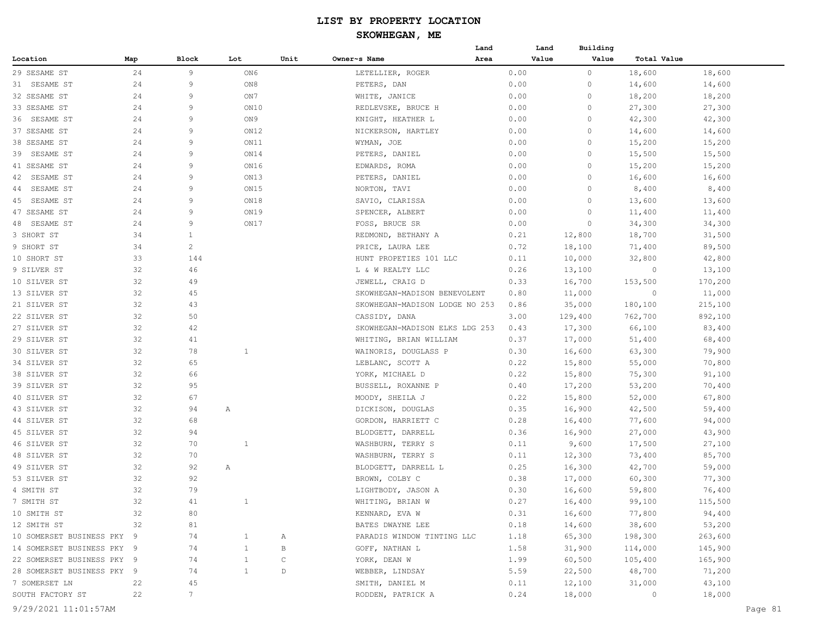| Map<br>Block<br>Lot<br>Unit<br>Owner~s Name<br>Area<br>Value<br>Value<br>Total Value<br>Location<br>24<br>9<br>18,600<br>29 SESAME ST<br>ON6<br>LETELLIER, ROGER<br>0.00<br>$\circ$<br>18,600<br>24<br>9<br>ON8<br>PETERS, DAN<br>0.00<br>0<br>14,600<br>14,600<br>31 SESAME ST<br>32 SESAME ST<br>24<br>9<br>ON 7<br>WHITE, JANICE<br>0.00<br>0<br>18,200<br>18,200<br>24<br>9<br>$\circ$<br>27,300<br>33 SESAME ST<br>ON10<br>REDLEVSKE, BRUCE H<br>0.00<br>27,300<br>24<br>9<br>ON 9<br>0.00<br>$\circ$<br>42,300<br>42,300<br>36 SESAME ST<br>KNIGHT, HEATHER L<br>9<br>$\circ$<br>37 SESAME ST<br>24<br>ON12<br>NICKERSON, HARTLEY<br>0.00<br>14,600<br>14,600<br>$\circ$<br>15,200<br>38 SESAME ST<br>24<br>9<br>ON11<br>WYMAN, JOE<br>0.00<br>15,200 |         |
|-------------------------------------------------------------------------------------------------------------------------------------------------------------------------------------------------------------------------------------------------------------------------------------------------------------------------------------------------------------------------------------------------------------------------------------------------------------------------------------------------------------------------------------------------------------------------------------------------------------------------------------------------------------------------------------------------------------------------------------------------------------|---------|
|                                                                                                                                                                                                                                                                                                                                                                                                                                                                                                                                                                                                                                                                                                                                                             |         |
|                                                                                                                                                                                                                                                                                                                                                                                                                                                                                                                                                                                                                                                                                                                                                             |         |
|                                                                                                                                                                                                                                                                                                                                                                                                                                                                                                                                                                                                                                                                                                                                                             |         |
|                                                                                                                                                                                                                                                                                                                                                                                                                                                                                                                                                                                                                                                                                                                                                             |         |
|                                                                                                                                                                                                                                                                                                                                                                                                                                                                                                                                                                                                                                                                                                                                                             |         |
|                                                                                                                                                                                                                                                                                                                                                                                                                                                                                                                                                                                                                                                                                                                                                             |         |
|                                                                                                                                                                                                                                                                                                                                                                                                                                                                                                                                                                                                                                                                                                                                                             |         |
|                                                                                                                                                                                                                                                                                                                                                                                                                                                                                                                                                                                                                                                                                                                                                             |         |
| 9<br>ON14<br>15,500<br>39 SESAME ST<br>24<br>PETERS, DANIEL<br>0.00<br>$\circ$<br>15,500                                                                                                                                                                                                                                                                                                                                                                                                                                                                                                                                                                                                                                                                    |         |
| 41 SESAME ST<br>24<br>9<br>ON16<br>EDWARDS, ROMA<br>0.00<br>0<br>15,200<br>15,200                                                                                                                                                                                                                                                                                                                                                                                                                                                                                                                                                                                                                                                                           |         |
| 9<br>ON13<br>SESAME ST<br>24<br>PETERS, DANIEL<br>0.00<br>$\circ$<br>16,600<br>16,600<br>42                                                                                                                                                                                                                                                                                                                                                                                                                                                                                                                                                                                                                                                                 |         |
| SESAME ST<br>24<br>9<br>ON15<br>NORTON, TAVI<br>0.00<br>$\circ$<br>8,400<br>8,400<br>44                                                                                                                                                                                                                                                                                                                                                                                                                                                                                                                                                                                                                                                                     |         |
| 9<br>ON18<br>SESAME ST<br>24<br>SAVIO, CLARISSA<br>0.00<br>$\circ$<br>13,600<br>13,600<br>45                                                                                                                                                                                                                                                                                                                                                                                                                                                                                                                                                                                                                                                                |         |
| 47 SESAME ST<br>24<br>9<br>ON19<br>SPENCER, ALBERT<br>0.00<br>$\circ$<br>11,400<br>11,400                                                                                                                                                                                                                                                                                                                                                                                                                                                                                                                                                                                                                                                                   |         |
| 9<br>SESAME ST<br>24<br>ON17<br>FOSS, BRUCE SR<br>0.00<br>$\circ$<br>34,300<br>34,300<br>48                                                                                                                                                                                                                                                                                                                                                                                                                                                                                                                                                                                                                                                                 |         |
| 3 SHORT ST<br>34<br>$\mathbf{1}$<br>REDMOND, BETHANY A<br>0.21<br>12,800<br>18,700<br>31,500                                                                                                                                                                                                                                                                                                                                                                                                                                                                                                                                                                                                                                                                |         |
| $\overline{c}$<br>89,500<br>9 SHORT ST<br>34<br>PRICE, LAURA LEE<br>0.72<br>18,100<br>71,400                                                                                                                                                                                                                                                                                                                                                                                                                                                                                                                                                                                                                                                                |         |
| 33<br>144<br>HUNT PROPETIES 101 LLC<br>0.11<br>10,000<br>32,800<br>42,800<br>10 SHORT ST                                                                                                                                                                                                                                                                                                                                                                                                                                                                                                                                                                                                                                                                    |         |
| 32<br>46<br>9 SILVER ST<br>L & W REALTY LLC<br>0.26<br>13,100<br>13,100<br>0                                                                                                                                                                                                                                                                                                                                                                                                                                                                                                                                                                                                                                                                                |         |
| 32<br>49<br>JEWELL, CRAIG D<br>0.33<br>16,700<br>153,500<br>170,200<br>10 SILVER ST                                                                                                                                                                                                                                                                                                                                                                                                                                                                                                                                                                                                                                                                         |         |
| 32<br>45<br>13 SILVER ST<br>SKOWHEGAN-MADISON BENEVOLENT<br>0.80<br>11,000<br>$\circ$<br>11,000                                                                                                                                                                                                                                                                                                                                                                                                                                                                                                                                                                                                                                                             |         |
| 21 SILVER ST<br>32<br>43<br>SKOWHEGAN-MADISON LODGE NO 253<br>0.86<br>35,000<br>180,100<br>215,100                                                                                                                                                                                                                                                                                                                                                                                                                                                                                                                                                                                                                                                          |         |
| 32<br>50<br>22 SILVER ST<br>3.00<br>129,400<br>762,700<br>892,100<br>CASSIDY, DANA                                                                                                                                                                                                                                                                                                                                                                                                                                                                                                                                                                                                                                                                          |         |
| 27 SILVER ST<br>32<br>42<br>SKOWHEGAN-MADISON ELKS LDG 253<br>0.43<br>17,300<br>66,100<br>83,400                                                                                                                                                                                                                                                                                                                                                                                                                                                                                                                                                                                                                                                            |         |
| 32<br>29 SILVER ST<br>41<br>WHITING, BRIAN WILLIAM<br>0.37<br>17,000<br>51,400<br>68,400                                                                                                                                                                                                                                                                                                                                                                                                                                                                                                                                                                                                                                                                    |         |
| 30 SILVER ST<br>32<br>78<br>$\mathbf{1}$<br>WAINORIS, DOUGLASS P<br>0.30<br>16,600<br>63,300<br>79,900                                                                                                                                                                                                                                                                                                                                                                                                                                                                                                                                                                                                                                                      |         |
| 32<br>65<br>LEBLANC, SCOTT A<br>0.22<br>15,800<br>55,000<br>70,800<br>34 SILVER ST                                                                                                                                                                                                                                                                                                                                                                                                                                                                                                                                                                                                                                                                          |         |
| 32<br>66<br>YORK, MICHAEL D<br>0.22<br>15,800<br>75,300<br>91,100<br>38 SILVER ST                                                                                                                                                                                                                                                                                                                                                                                                                                                                                                                                                                                                                                                                           |         |
| 32<br>39 SILVER ST<br>95<br>BUSSELL, ROXANNE P<br>0.40<br>17,200<br>53,200<br>70,400                                                                                                                                                                                                                                                                                                                                                                                                                                                                                                                                                                                                                                                                        |         |
| 40 SILVER ST<br>32<br>67<br>0.22<br>15,800<br>52,000<br>67,800<br>MOODY, SHEILA J                                                                                                                                                                                                                                                                                                                                                                                                                                                                                                                                                                                                                                                                           |         |
| 43 SILVER ST<br>32<br>94<br>0.35<br>16,900<br>42,500<br>59,400<br>Α<br>DICKISON, DOUGLAS                                                                                                                                                                                                                                                                                                                                                                                                                                                                                                                                                                                                                                                                    |         |
| 44 SILVER ST<br>32<br>68<br>GORDON, HARRIETT C<br>0.28<br>16,400<br>77,600<br>94,000                                                                                                                                                                                                                                                                                                                                                                                                                                                                                                                                                                                                                                                                        |         |
| 27,000<br>45 SILVER ST<br>32<br>94<br>BLODGETT, DARRELL<br>0.36<br>16,900<br>43,900                                                                                                                                                                                                                                                                                                                                                                                                                                                                                                                                                                                                                                                                         |         |
| 46 SILVER ST<br>32<br>70<br>1<br>WASHBURN, TERRY S<br>0.11<br>9,600<br>17,500<br>27,100                                                                                                                                                                                                                                                                                                                                                                                                                                                                                                                                                                                                                                                                     |         |
| 32<br>70<br>WASHBURN, TERRY S<br>0.11<br>12,300<br>73,400<br>85,700<br>48 SILVER ST                                                                                                                                                                                                                                                                                                                                                                                                                                                                                                                                                                                                                                                                         |         |
| 49 SILVER ST<br>32<br>92<br>BLODGETT, DARRELL L<br>0.25<br>16,300<br>42,700<br>59,000<br>Α                                                                                                                                                                                                                                                                                                                                                                                                                                                                                                                                                                                                                                                                  |         |
| 32<br>92<br>53 SILVER ST<br>BROWN, COLBY C<br>0.38<br>17,000<br>60,300<br>77,300                                                                                                                                                                                                                                                                                                                                                                                                                                                                                                                                                                                                                                                                            |         |
| 32<br>79<br>4 SMITH ST<br>0.30<br>16,600<br>59,800<br>76,400<br>LIGHTBODY, JASON A                                                                                                                                                                                                                                                                                                                                                                                                                                                                                                                                                                                                                                                                          |         |
| 32<br>WHITING, BRIAN W<br>115,500<br>7 SMITH ST<br>41<br>0.27<br>16,400<br>99,100                                                                                                                                                                                                                                                                                                                                                                                                                                                                                                                                                                                                                                                                           |         |
| 10 SMITH ST<br>32<br>KENNARD, EVA W<br>0.31<br>16,600<br>77,800<br>94,400<br>80                                                                                                                                                                                                                                                                                                                                                                                                                                                                                                                                                                                                                                                                             |         |
| 38,600<br>53,200<br>12 SMITH ST<br>BATES DWAYNE LEE<br>0.18<br>14,600<br>32<br>81                                                                                                                                                                                                                                                                                                                                                                                                                                                                                                                                                                                                                                                                           |         |
| 1.18<br>65,300<br>198,300<br>263,600<br>10 SOMERSET BUSINESS PKY 9<br>74<br>$\mathbf{1}$<br>PARADIS WINDOW TINTING LLC<br>Α                                                                                                                                                                                                                                                                                                                                                                                                                                                                                                                                                                                                                                 |         |
| 1.58<br>31,900<br>114,000<br>145,900<br>14 SOMERSET BUSINESS PKY 9<br>74<br>$\mathbf{1}$<br>B<br>GOFF, NATHAN L                                                                                                                                                                                                                                                                                                                                                                                                                                                                                                                                                                                                                                             |         |
| 22 SOMERSET BUSINESS PKY 9<br>$\mathsf C$<br>60,500<br>165,900<br>74<br>$\mathbf{1}$<br>YORK, DEAN W<br>1.99<br>105,400                                                                                                                                                                                                                                                                                                                                                                                                                                                                                                                                                                                                                                     |         |
| 22,500<br>28 SOMERSET BUSINESS PKY 9<br>$\mathbf{1}$<br>$\mathbb D$<br>5.59<br>48,700<br>71,200<br>74<br>WEBBER, LINDSAY                                                                                                                                                                                                                                                                                                                                                                                                                                                                                                                                                                                                                                    |         |
| 43,100<br>45<br>0.11<br>12,100<br>31,000<br>7 SOMERSET LN<br>22<br>SMITH, DANIEL M                                                                                                                                                                                                                                                                                                                                                                                                                                                                                                                                                                                                                                                                          |         |
| SOUTH FACTORY ST<br>22<br>$7\phantom{.0}$<br>RODDEN, PATRICK A<br>0.24<br>18,000<br>18,000<br>$\sim$ 0                                                                                                                                                                                                                                                                                                                                                                                                                                                                                                                                                                                                                                                      |         |
| 9/29/2021 11:01:57AM                                                                                                                                                                                                                                                                                                                                                                                                                                                                                                                                                                                                                                                                                                                                        | Page 81 |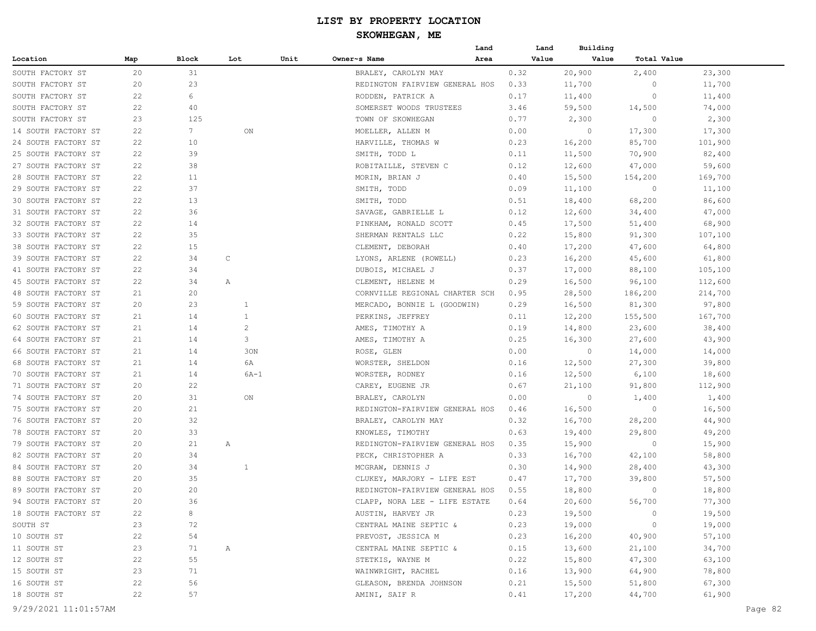|                     |     |             |              |      |                                | Land | Land  | Building |             |         |
|---------------------|-----|-------------|--------------|------|--------------------------------|------|-------|----------|-------------|---------|
| Location            | Map | Block       | Lot          | Unit | Owner~s Name                   | Area | Value | Value    | Total Value |         |
| SOUTH FACTORY ST    | 20  | 31          |              |      | BRALEY, CAROLYN MAY            |      | 0.32  | 20,900   | 2,400       | 23,300  |
| SOUTH FACTORY ST    | 20  | 23          |              |      | REDINGTON FAIRVIEW GENERAL HOS |      | 0.33  | 11,700   | $\circ$     | 11,700  |
| SOUTH FACTORY ST    | 22  | 6           |              |      | RODDEN, PATRICK A              |      | 0.17  | 11,400   | $\circ$     | 11,400  |
| SOUTH FACTORY ST    | 22  | 40          |              |      | SOMERSET WOODS TRUSTEES        |      | 3.46  | 59,500   | 14,500      | 74,000  |
| SOUTH FACTORY ST    | 23  | 125         |              |      | TOWN OF SKOWHEGAN              |      | 0.77  | 2,300    | 0           | 2,300   |
| 14 SOUTH FACTORY ST | 22  | $7^{\circ}$ | ON           |      | MOELLER, ALLEN M               |      | 0.00  | $\circ$  | 17,300      | 17,300  |
| 24 SOUTH FACTORY ST | 22  | 10          |              |      | HARVILLE, THOMAS W             |      | 0.23  | 16,200   | 85,700      | 101,900 |
| 25 SOUTH FACTORY ST | 22  | 39          |              |      | SMITH, TODD L                  |      | 0.11  | 11,500   | 70,900      | 82,400  |
| 27 SOUTH FACTORY ST | 22  | 38          |              |      | ROBITAILLE, STEVEN C           |      | 0.12  | 12,600   | 47,000      | 59,600  |
| 28 SOUTH FACTORY ST | 22  | 11          |              |      | MORIN, BRIAN J                 |      | 0.40  | 15,500   | 154,200     | 169,700 |
| 29 SOUTH FACTORY ST | 22  | 37          |              |      | SMITH, TODD                    |      | 0.09  | 11,100   | $\circ$     | 11,100  |
| 30 SOUTH FACTORY ST | 22  | 13          |              |      | SMITH, TODD                    |      | 0.51  | 18,400   | 68,200      | 86,600  |
| 31 SOUTH FACTORY ST | 22  | 36          |              |      | SAVAGE, GABRIELLE L            |      | 0.12  | 12,600   | 34,400      | 47,000  |
| 32 SOUTH FACTORY ST | 22  | 14          |              |      | PINKHAM, RONALD SCOTT          |      | 0.45  | 17,500   | 51,400      | 68,900  |
| 33 SOUTH FACTORY ST | 22  | 35          |              |      | SHERMAN RENTALS LLC            |      | 0.22  | 15,800   | 91,300      | 107,100 |
| 38 SOUTH FACTORY ST | 22  | 15          |              |      | CLEMENT, DEBORAH               |      | 0.40  | 17,200   | 47,600      | 64,800  |
| 39 SOUTH FACTORY ST | 22  | 34          | C            |      | LYONS, ARLENE (ROWELL)         |      | 0.23  | 16,200   | 45,600      | 61,800  |
| 41 SOUTH FACTORY ST | 22  | 34          |              |      | DUBOIS, MICHAEL J              |      | 0.37  | 17,000   | 88,100      | 105,100 |
| 45 SOUTH FACTORY ST | 22  | 34          | Α            |      | CLEMENT, HELENE M              |      | 0.29  | 16,500   | 96,100      | 112,600 |
| 48 SOUTH FACTORY ST | 21  | 20          |              |      | CORNVILLE REGIONAL CHARTER SCH |      | 0.95  | 28,500   | 186,200     | 214,700 |
| 59 SOUTH FACTORY ST | 20  | 23          | 1            |      | MERCADO, BONNIE L (GOODWIN)    |      | 0.29  | 16,500   | 81,300      | 97,800  |
| 60 SOUTH FACTORY ST | 21  | 14          | $\mathbf{1}$ |      | PERKINS, JEFFREY               |      | 0.11  | 12,200   | 155,500     | 167,700 |
| 62 SOUTH FACTORY ST | 21  | 14          | 2            |      | AMES, TIMOTHY A                |      | 0.19  | 14,800   | 23,600      | 38,400  |
| 64 SOUTH FACTORY ST | 21  | 14          | 3            |      | AMES, TIMOTHY A                |      | 0.25  | 16,300   | 27,600      | 43,900  |
| 66 SOUTH FACTORY ST | 21  | 14          | 30N          |      | ROSE, GLEN                     |      | 0.00  | $\circ$  | 14,000      | 14,000  |
| 68 SOUTH FACTORY ST | 21  | 14          | 6A           |      | WORSTER, SHELDON               |      | 0.16  | 12,500   | 27,300      | 39,800  |
| 70 SOUTH FACTORY ST | 21  | 14          | 6A-1         |      | WORSTER, RODNEY                |      | 0.16  | 12,500   | 6,100       | 18,600  |
| 71 SOUTH FACTORY ST | 20  | 22          |              |      | CAREY, EUGENE JR               |      | 0.67  | 21,100   | 91,800      | 112,900 |
| 74 SOUTH FACTORY ST | 20  | 31          | ON           |      | BRALEY, CAROLYN                |      | 0.00  | $\circ$  | 1,400       | 1,400   |
| 75 SOUTH FACTORY ST | 20  | 21          |              |      | REDINGTON-FAIRVIEW GENERAL HOS |      | 0.46  | 16,500   | $\circ$     | 16,500  |
| 76 SOUTH FACTORY ST | 20  | 32          |              |      | BRALEY, CAROLYN MAY            |      | 0.32  | 16,700   | 28,200      | 44,900  |
| 78 SOUTH FACTORY ST | 20  | 33          |              |      | KNOWLES, TIMOTHY               |      | 0.63  | 19,400   | 29,800      | 49,200  |
| 79 SOUTH FACTORY ST | 20  | 21          | Α            |      | REDINGTON-FAIRVIEW GENERAL HOS |      | 0.35  | 15,900   | $\circ$     | 15,900  |
| 82 SOUTH FACTORY ST | 20  | 34          |              |      | PECK, CHRISTOPHER A            |      | 0.33  | 16,700   | 42,100      | 58,800  |
| 84 SOUTH FACTORY ST | 20  | 34          | 1            |      | MCGRAW, DENNIS J               |      | 0.30  | 14,900   | 28,400      | 43,300  |
| 88 SOUTH FACTORY ST | 20  | 35          |              |      | CLUKEY, MARJORY - LIFE EST     |      | 0.47  | 17,700   | 39,800      | 57,500  |
| 89 SOUTH FACTORY ST | 20  | 20          |              |      | REDINGTON-FAIRVIEW GENERAL HOS |      | 0.55  | 18,800   | $\Omega$    | 18,800  |
| 94 SOUTH FACTORY ST | 20  | 36          |              |      | CLAPP, NORA LEE - LIFE ESTATE  |      | 0.64  | 20,600   | 56,700      | 77,300  |
| 18 SOUTH FACTORY ST | 22  | 8           |              |      | AUSTIN, HARVEY JR              |      | 0.23  | 19,500   | 0           | 19,500  |
| SOUTH ST            | 23  | 72          |              |      | CENTRAL MAINE SEPTIC &         |      | 0.23  | 19,000   | 0           | 19,000  |
| 10 SOUTH ST         | 22  | 54          |              |      | PREVOST, JESSICA M             |      | 0.23  | 16,200   | 40,900      | 57,100  |
| 11 SOUTH ST         | 23  | 71          | $\mathbb{A}$ |      | CENTRAL MAINE SEPTIC &         |      | 0.15  | 13,600   | 21,100      | 34,700  |
| 12 SOUTH ST         | 22  | 55          |              |      | STETKIS, WAYNE M               |      | 0.22  | 15,800   | 47,300      | 63,100  |
| 15 SOUTH ST         | 23  | 71          |              |      | WAINWRIGHT, RACHEL             |      | 0.16  | 13,900   | 64,900      | 78,800  |
| 16 SOUTH ST         | 22  | 56          |              |      | GLEASON, BRENDA JOHNSON        |      | 0.21  | 15,500   | 51,800      | 67,300  |
| 18 SOUTH ST         | 22  | 57          |              |      | AMINI, SAIF R                  |      | 0.41  | 17,200   | 44,700      | 61,900  |
|                     |     |             |              |      |                                |      |       |          |             |         |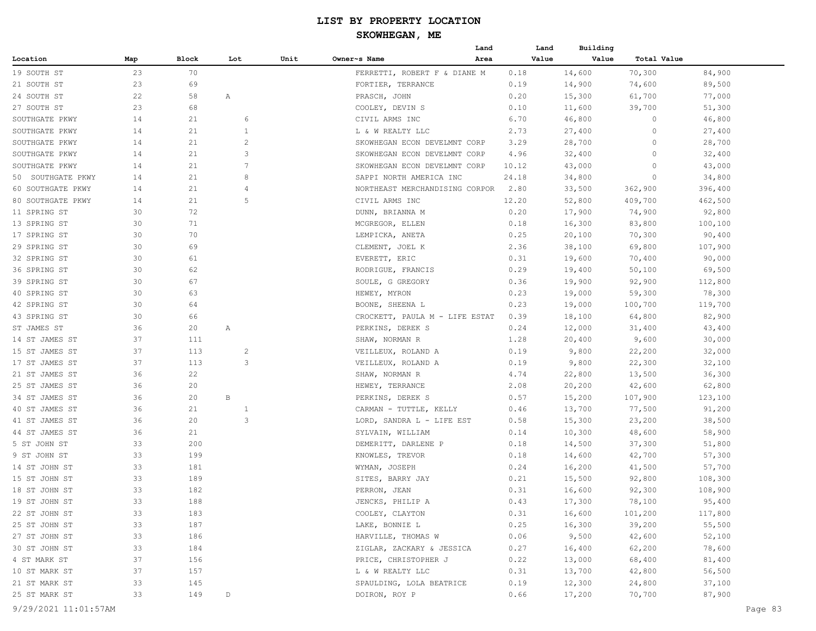|                   |     |       |                |      |                                | Land | Land  | Building |             |                  |
|-------------------|-----|-------|----------------|------|--------------------------------|------|-------|----------|-------------|------------------|
| Location          | Map | Block | Lot            | Unit | Owner~s Name                   | Area | Value | Value    | Total Value |                  |
| 19 SOUTH ST       | 23  | 70    |                |      | FERRETTI, ROBERT F & DIANE M   |      | 0.18  | 14,600   | 70,300      | 84,900           |
| 21 SOUTH ST       | 23  | 69    |                |      | FORTIER, TERRANCE              |      | 0.19  | 14,900   | 74,600      | 89,500           |
| 24 SOUTH ST       | 22  | 58    | Α              |      | PRASCH, JOHN                   |      | 0.20  | 15,300   | 61,700      | 77,000           |
| 27 SOUTH ST       | 23  | 68    |                |      | COOLEY, DEVIN S                |      | 0.10  | 11,600   | 39,700      | 51,300           |
| SOUTHGATE PKWY    | 14  | 21    | 6              |      | CIVIL ARMS INC                 |      | 6.70  | 46,800   | 0           | 46,800           |
| SOUTHGATE PKWY    | 14  | 21    | 1              |      | L & W REALTY LLC               |      | 2.73  | 27,400   | 0           | 27,400           |
| SOUTHGATE PKWY    | 14  | 21    | $\overline{2}$ |      | SKOWHEGAN ECON DEVELMNT CORP   |      | 3.29  | 28,700   | 0           | 28,700           |
| SOUTHGATE PKWY    | 14  | 21    | 3              |      | SKOWHEGAN ECON DEVELMNT CORP   |      | 4.96  | 32,400   | 0           | 32,400           |
| SOUTHGATE PKWY    | 14  | 21    | 7              |      | SKOWHEGAN ECON DEVELMNT CORP   |      | 10.12 | 43,000   | 0           | 43,000           |
| 50 SOUTHGATE PKWY | 14  | 21    | 8              |      | SAPPI NORTH AMERICA INC        |      | 24.18 | 34,800   | 0           | 34,800           |
| 60 SOUTHGATE PKWY | 14  | 21    | 4              |      | NORTHEAST MERCHANDISING CORPOR |      | 2.80  | 33,500   | 362,900     | 396,400          |
| 80 SOUTHGATE PKWY | 14  | 21    | 5              |      | CIVIL ARMS INC                 |      | 12.20 | 52,800   | 409,700     | 462,500          |
| 11 SPRING ST      | 30  | 72    |                |      | DUNN, BRIANNA M                |      | 0.20  | 17,900   | 74,900      | 92,800           |
| 13 SPRING ST      | 30  | 71    |                |      | MCGREGOR, ELLEN                |      | 0.18  | 16,300   | 83,800      | 100,100          |
| 17 SPRING ST      | 30  | 70    |                |      | LEMPICKA, ANETA                |      | 0.25  | 20,100   | 70,300      | 90,400           |
| 29 SPRING ST      | 30  | 69    |                |      | CLEMENT, JOEL K                |      | 2.36  | 38,100   | 69,800      | 107,900          |
| 32 SPRING ST      | 30  | 61    |                |      | EVERETT, ERIC                  |      | 0.31  | 19,600   | 70,400      | 90,000           |
| 36 SPRING ST      | 30  | 62    |                |      | RODRIGUE, FRANCIS              |      | 0.29  | 19,400   | 50,100      | 69,500           |
| 39 SPRING ST      | 30  | 67    |                |      | SOULE, G GREGORY               |      | 0.36  | 19,900   | 92,900      | 112,800          |
| 40 SPRING ST      | 30  | 63    |                |      | HEWEY, MYRON                   |      | 0.23  | 19,000   | 59,300      | 78,300           |
| 42 SPRING ST      | 30  | 64    |                |      | BOONE, SHEENA L                |      | 0.23  | 19,000   | 100,700     | 119,700          |
| 43 SPRING ST      | 30  | 66    |                |      | CROCKETT, PAULA M - LIFE ESTAT |      | 0.39  | 18,100   | 64,800      | 82,900           |
| ST JAMES ST       | 36  | 20    | Α              |      | PERKINS, DEREK S               |      | 0.24  | 12,000   | 31,400      | 43,400           |
| 14 ST JAMES ST    | 37  | 111   |                |      | SHAW, NORMAN R                 |      | 1.28  | 20,400   | 9,600       | 30,000           |
| 15 ST JAMES ST    | 37  | 113   | $\overline{c}$ |      | VEILLEUX, ROLAND A             |      | 0.19  | 9,800    | 22,200      | 32,000           |
| 17 ST JAMES ST    | 37  | 113   | 3              |      | VEILLEUX, ROLAND A             |      | 0.19  | 9,800    | 22,300      | 32,100           |
| 21 ST JAMES ST    | 36  | 22    |                |      | SHAW, NORMAN R                 |      | 4.74  | 22,800   | 13,500      | 36,300           |
| 25 ST JAMES ST    | 36  | 20    |                |      | HEWEY, TERRANCE                |      | 2.08  | 20,200   | 42,600      | 62,800           |
| 34 ST JAMES ST    | 36  | 20    | $\, {\bf B}$   |      | PERKINS, DEREK S               |      | 0.57  | 15,200   | 107,900     | 123,100          |
| 40 ST JAMES ST    | 36  | 21    | $\mathbf{1}$   |      | CARMAN - TUTTLE, KELLY         |      | 0.46  | 13,700   | 77,500      | 91,200           |
| 41 ST JAMES ST    | 36  | 20    | 3              |      | LORD, SANDRA L - LIFE EST      |      | 0.58  | 15,300   | 23,200      | 38,500           |
| 44 ST JAMES ST    | 36  | 21    |                |      | SYLVAIN, WILLIAM               |      | 0.14  | 10,300   | 48,600      | 58,900           |
| 5 ST JOHN ST      | 33  | 200   |                |      | DEMERITT, DARLENE P            |      | 0.18  | 14,500   | 37,300      | 51,800           |
| 9 ST JOHN ST      | 33  | 199   |                |      | KNOWLES, TREVOR                |      | 0.18  | 14,600   | 42,700      | 57,300           |
| 14 ST JOHN ST     | 33  | 181   |                |      | WYMAN, JOSEPH                  |      | 0.24  | 16,200   | 41,500      | 57,700           |
| 15 ST JOHN ST     | 33  | 189   |                |      | SITES, BARRY JAY               |      | 0.21  | 15,500   | 92,800      | 108,300          |
| 18 ST JOHN ST     | 33  | 182   |                |      | PERRON, JEAN                   |      | 0.31  | 16,600   | 92,300      | 108,900          |
| 19 ST JOHN ST     | 33  | 188   |                |      | JENCKS, PHILIP A               |      | 0.43  | 17,300   | 78,100      | 95,400           |
| 22 ST JOHN ST     | 33  | 183   |                |      | COOLEY, CLAYTON                |      | 0.31  | 16,600   | 101,200     | 117,800          |
| 25 ST JOHN ST     | 33  | 187   |                |      | LAKE, BONNIE L                 |      | 0.25  | 16,300   | 39,200      | 55,500           |
| 27 ST JOHN ST     | 33  | 186   |                |      | HARVILLE, THOMAS W             |      | 0.06  | 9,500    | 42,600      | 52,100           |
| 30 ST JOHN ST     | 33  | 184   |                |      | ZIGLAR, ZACKARY & JESSICA      |      | 0.27  | 16,400   | 62,200      | 78,600           |
| 4 ST MARK ST      | 37  | 156   |                |      | PRICE, CHRISTOPHER J           |      | 0.22  |          |             |                  |
| 10 ST MARK ST     | 37  | 157   |                |      | L & W REALTY LLC               |      | 0.31  | 13,000   | 68,400      | 81,400<br>56,500 |
| 21 ST MARK ST     | 33  |       |                |      |                                |      | 0.19  | 13,700   | 42,800      | 37,100           |
|                   |     | 145   |                |      | SPAULDING, LOLA BEATRICE       |      |       | 12,300   | 24,800      |                  |
| 25 ST MARK ST     | 33  | 149   | D              |      | DOIRON, ROY P                  |      | 0.66  | 17,200   | 70,700      | 87,900           |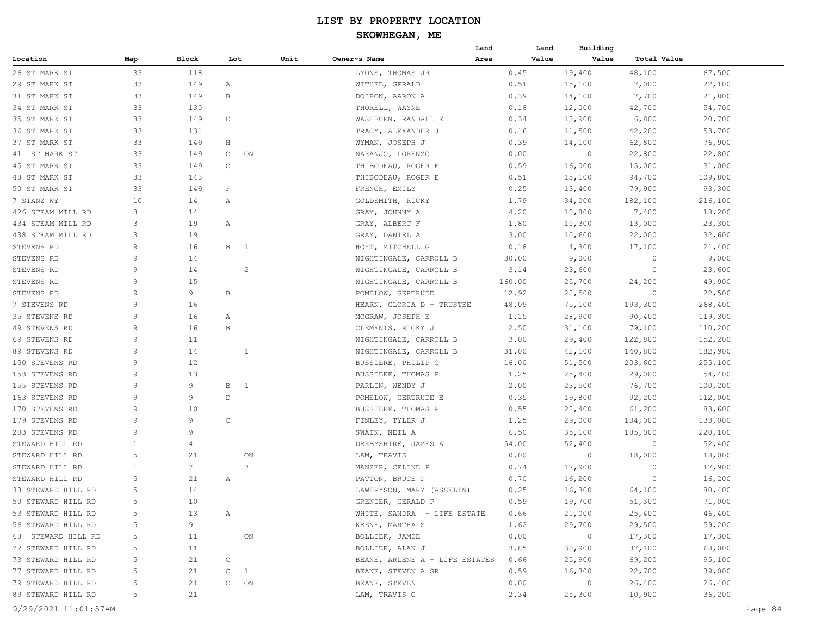# **SKOWHEGAN, ME**

| Map<br>Block<br>Lot<br>Unit<br>Owner~s Name<br>Area<br>Value<br>Value<br>Total Value<br>33<br>118<br>19,400<br>48,100<br>LYONS, THOMAS JR<br>0.45<br>67,500<br>33<br>22,100<br>149<br>WITHEE, GERALD<br>0.51<br>15,100<br>7,000<br>Α<br>33<br>149<br>В<br>DOIRON, AARON A<br>0.39<br>14,100<br>7,700<br>21,800<br>33<br>130<br>THORELL, WAYNE<br>0.18<br>12,000<br>42,700<br>54,700<br>33<br>149<br>E<br>WASHBURN, RANDALL E<br>0.34<br>13,900<br>6,800<br>20,700<br>33<br>53,700<br>131<br>0.16<br>11,500<br>42,200<br>TRACY, ALEXANDER J<br>33<br>149<br>WYMAN, JOSEPH J<br>0.39<br>14,100<br>62,800<br>76,900<br>Η<br>33<br>149<br>C<br>ON<br>NARANJO, LORENZO<br>0.00<br>$\circ$<br>22,800<br>22,800<br>45 ST MARK ST<br>33<br>149<br>C<br>THIBODEAU, ROGER E<br>0.59<br>16,000<br>15,000<br>31,000<br>33<br>143<br>0.51<br>15,100<br>94,700<br>109,800<br>THIBODEAU, ROGER E<br>33<br>149<br>$\mathbf F$<br>0.25<br>13,400<br>79,900<br>93,300<br>50 ST MARK ST<br>FRENCH, EMILY<br>10<br>14<br>1.79<br>34,000<br>182,100<br>216,100<br>7 STANZ WY<br>Α<br>GOLDSMITH, RICKY<br>14<br>3<br>4.20<br>10,800<br>7,400<br>18,200<br>426 STEAM MILL RD<br>GRAY, JOHNNY A<br>434 STEAM MILL RD<br>3<br>19<br>GRAY, ALBERT F<br>1.80<br>10,300<br>13,000<br>23,300<br>Α<br>438 STEAM MILL RD<br>3<br>19<br>GRAY, DANIEL A<br>3.00<br>10,600<br>22,000<br>32,600<br>STEVENS RD<br>9<br>16<br>B 1<br>HOYT, MITCHELL G<br>0.18<br>4,300<br>17,100<br>21,400<br>STEVENS RD<br>9<br>14<br>9,000<br>9,000<br>NIGHTINGALE, CARROLL B<br>30.00<br>0<br>9<br>STEVENS RD<br>14<br>$\overline{c}$<br>NIGHTINGALE, CARROLL B<br>23,600<br>23,600<br>3.14<br>0<br>9<br>STEVENS RD<br>15<br>NIGHTINGALE, CARROLL B<br>160.00<br>24,200<br>49,900<br>25,700<br>9<br>9<br>22,500<br>STEVENS RD<br>В<br>POMELOW, GERTRUDE<br>12.92<br>22,500<br>$\circ$<br>9<br>7 STEVENS RD<br>16<br>HEARN, GLORIA D - TRUSTEE<br>48.09<br>75,100<br>193,300<br>268,400<br>9<br>16<br>35 STEVENS RD<br>MCGRAW, JOSEPH E<br>1.15<br>28,900<br>90,400<br>119,300<br>Α<br>49 STEVENS RD<br>9<br>16<br>В<br>CLEMENTS, RICKY J<br>2.50<br>31,100<br>79,100<br>110,200<br>152,200<br>69 STEVENS RD<br>9<br>11<br>3.00<br>29,400<br>122,800<br>NIGHTINGALE, CARROLL B<br>89 STEVENS RD<br>9<br>14<br>NIGHTINGALE, CARROLL B<br>31.00<br>42,100<br>140,800<br>182,900<br>1<br>9<br>12<br>51,500<br>203,600<br>255,100<br>150 STEVENS RD<br>BUSSIERE, PHILIP G<br>16.00<br>9<br>13<br>1.25<br>25,400<br>29,000<br>54,400<br>153 STEVENS RD<br>BUSSIERE, THOMAS P<br>9<br>9<br>155 STEVENS RD<br>В<br>$\overline{1}$<br>PARLIN, WENDY J<br>2.00<br>23,500<br>76,700<br>100,200<br>163 STEVENS RD<br>9<br>9<br>$\mathbb D$<br>0.35<br>19,800<br>92,200<br>112,000<br>POMELOW, GERTRUDE E<br>9<br>170 STEVENS RD<br>10<br>BUSSIERE, THOMAS P<br>0.55<br>22,400<br>61,200<br>83,600<br>$\mathsf C$<br>179 STEVENS RD<br>9<br>9<br>FINLEY, TYLER J<br>1.25<br>29,000<br>104,000<br>133,000<br>9<br>203 STEVENS RD<br>9<br>6.50<br>35,100<br>185,000<br>220,100<br>SWAIN, NEIL A<br>STEWARD HILL RD<br>1<br>DERBYSHIRE, JAMES A<br>54.00<br>52,400<br>52,400<br>4<br>$\circ$<br>5<br>STEWARD HILL RD<br>21<br>$\circ$<br>18,000<br>18,000<br>ON<br>LAM, TRAVIS<br>0.00<br>3<br>$7\phantom{.0}$<br>STEWARD HILL RD<br>1<br>MANZER, CELINE P<br>0.74<br>17,900<br>0<br>17,900<br>5<br>21<br>PATTON, BRUCE P<br>0.70<br>16,200<br>0<br>16,200<br>STEWARD HILL RD<br>Α<br>5<br>14<br>33 STEWARD HILL RD<br>0.25<br>16,300<br>64,100<br>80,400<br>LAWERYSON, MARY (ASSELIN)<br>GRENIER, GERALD P<br>0.59<br>71,000<br>50 STEWARD HILL RD<br>5<br>10<br>19,700<br>51,300<br>WHITE, SANDRA - LIFE ESTATE<br>0.66<br>21,000<br>25,400<br>46,400<br>5<br>13<br>$\mathbb{A}$<br>KEENE, MARTHA S<br>1.62<br>29,700<br>29,500<br>59,200<br>9<br>5<br>0.00<br>$\overline{0}$<br>5<br>11<br>ON<br>BOLLIER, JAMIE<br>17,300<br>17,300<br>3.85<br>37,100<br>68,000<br>5<br>11<br>BOLLIER, ALAN J<br>30,900<br>$\mathtt{C}$<br>95,100<br>5<br>21<br>BEANE, ARLENE A - LIFE ESTATES<br>0.66<br>25,900<br>69,200<br>$C \quad 1$<br>0.59<br>16,300<br>22,700<br>39,000<br>5<br>21<br>BEANE, STEVEN A SR<br>0.00<br>$\overline{0}$<br>26,400<br>26,400<br>5<br>21<br>$C$ ON<br>BEANE, STEVEN<br>5<br>21<br>2.34<br>25,300<br>10,900<br>36,200<br>LAM, TRAVIS C |                    |  |  |  | Land | Land | Building |  |
|-----------------------------------------------------------------------------------------------------------------------------------------------------------------------------------------------------------------------------------------------------------------------------------------------------------------------------------------------------------------------------------------------------------------------------------------------------------------------------------------------------------------------------------------------------------------------------------------------------------------------------------------------------------------------------------------------------------------------------------------------------------------------------------------------------------------------------------------------------------------------------------------------------------------------------------------------------------------------------------------------------------------------------------------------------------------------------------------------------------------------------------------------------------------------------------------------------------------------------------------------------------------------------------------------------------------------------------------------------------------------------------------------------------------------------------------------------------------------------------------------------------------------------------------------------------------------------------------------------------------------------------------------------------------------------------------------------------------------------------------------------------------------------------------------------------------------------------------------------------------------------------------------------------------------------------------------------------------------------------------------------------------------------------------------------------------------------------------------------------------------------------------------------------------------------------------------------------------------------------------------------------------------------------------------------------------------------------------------------------------------------------------------------------------------------------------------------------------------------------------------------------------------------------------------------------------------------------------------------------------------------------------------------------------------------------------------------------------------------------------------------------------------------------------------------------------------------------------------------------------------------------------------------------------------------------------------------------------------------------------------------------------------------------------------------------------------------------------------------------------------------------------------------------------------------------------------------------------------------------------------------------------------------------------------------------------------------------------------------------------------------------------------------------------------------------------------------------------------------------------------------------------------------------------------------------------------------------------------------------------------------------------------------------------------------------------------------------------------------------------------------------------------------------------------------------------------------------------------------------------------------------------------------------------------------------------------------------------------------------------------------------------------------------------------------------------------------------------------------------------------------------------------------------------------------------------------------------------------------------------------------------------------------------------|--------------------|--|--|--|------|------|----------|--|
|                                                                                                                                                                                                                                                                                                                                                                                                                                                                                                                                                                                                                                                                                                                                                                                                                                                                                                                                                                                                                                                                                                                                                                                                                                                                                                                                                                                                                                                                                                                                                                                                                                                                                                                                                                                                                                                                                                                                                                                                                                                                                                                                                                                                                                                                                                                                                                                                                                                                                                                                                                                                                                                                                                                                                                                                                                                                                                                                                                                                                                                                                                                                                                                                                                                                                                                                                                                                                                                                                                                                                                                                                                                                                                                                                                                                                                                                                                                                                                                                                                                                                                                                                                                                                                                                                         | Location           |  |  |  |      |      |          |  |
|                                                                                                                                                                                                                                                                                                                                                                                                                                                                                                                                                                                                                                                                                                                                                                                                                                                                                                                                                                                                                                                                                                                                                                                                                                                                                                                                                                                                                                                                                                                                                                                                                                                                                                                                                                                                                                                                                                                                                                                                                                                                                                                                                                                                                                                                                                                                                                                                                                                                                                                                                                                                                                                                                                                                                                                                                                                                                                                                                                                                                                                                                                                                                                                                                                                                                                                                                                                                                                                                                                                                                                                                                                                                                                                                                                                                                                                                                                                                                                                                                                                                                                                                                                                                                                                                                         | 26 ST MARK ST      |  |  |  |      |      |          |  |
|                                                                                                                                                                                                                                                                                                                                                                                                                                                                                                                                                                                                                                                                                                                                                                                                                                                                                                                                                                                                                                                                                                                                                                                                                                                                                                                                                                                                                                                                                                                                                                                                                                                                                                                                                                                                                                                                                                                                                                                                                                                                                                                                                                                                                                                                                                                                                                                                                                                                                                                                                                                                                                                                                                                                                                                                                                                                                                                                                                                                                                                                                                                                                                                                                                                                                                                                                                                                                                                                                                                                                                                                                                                                                                                                                                                                                                                                                                                                                                                                                                                                                                                                                                                                                                                                                         | 29 ST MARK ST      |  |  |  |      |      |          |  |
|                                                                                                                                                                                                                                                                                                                                                                                                                                                                                                                                                                                                                                                                                                                                                                                                                                                                                                                                                                                                                                                                                                                                                                                                                                                                                                                                                                                                                                                                                                                                                                                                                                                                                                                                                                                                                                                                                                                                                                                                                                                                                                                                                                                                                                                                                                                                                                                                                                                                                                                                                                                                                                                                                                                                                                                                                                                                                                                                                                                                                                                                                                                                                                                                                                                                                                                                                                                                                                                                                                                                                                                                                                                                                                                                                                                                                                                                                                                                                                                                                                                                                                                                                                                                                                                                                         | 31 ST MARK ST      |  |  |  |      |      |          |  |
|                                                                                                                                                                                                                                                                                                                                                                                                                                                                                                                                                                                                                                                                                                                                                                                                                                                                                                                                                                                                                                                                                                                                                                                                                                                                                                                                                                                                                                                                                                                                                                                                                                                                                                                                                                                                                                                                                                                                                                                                                                                                                                                                                                                                                                                                                                                                                                                                                                                                                                                                                                                                                                                                                                                                                                                                                                                                                                                                                                                                                                                                                                                                                                                                                                                                                                                                                                                                                                                                                                                                                                                                                                                                                                                                                                                                                                                                                                                                                                                                                                                                                                                                                                                                                                                                                         | 34 ST MARK ST      |  |  |  |      |      |          |  |
|                                                                                                                                                                                                                                                                                                                                                                                                                                                                                                                                                                                                                                                                                                                                                                                                                                                                                                                                                                                                                                                                                                                                                                                                                                                                                                                                                                                                                                                                                                                                                                                                                                                                                                                                                                                                                                                                                                                                                                                                                                                                                                                                                                                                                                                                                                                                                                                                                                                                                                                                                                                                                                                                                                                                                                                                                                                                                                                                                                                                                                                                                                                                                                                                                                                                                                                                                                                                                                                                                                                                                                                                                                                                                                                                                                                                                                                                                                                                                                                                                                                                                                                                                                                                                                                                                         | 35 ST MARK ST      |  |  |  |      |      |          |  |
|                                                                                                                                                                                                                                                                                                                                                                                                                                                                                                                                                                                                                                                                                                                                                                                                                                                                                                                                                                                                                                                                                                                                                                                                                                                                                                                                                                                                                                                                                                                                                                                                                                                                                                                                                                                                                                                                                                                                                                                                                                                                                                                                                                                                                                                                                                                                                                                                                                                                                                                                                                                                                                                                                                                                                                                                                                                                                                                                                                                                                                                                                                                                                                                                                                                                                                                                                                                                                                                                                                                                                                                                                                                                                                                                                                                                                                                                                                                                                                                                                                                                                                                                                                                                                                                                                         | 36 ST MARK ST      |  |  |  |      |      |          |  |
|                                                                                                                                                                                                                                                                                                                                                                                                                                                                                                                                                                                                                                                                                                                                                                                                                                                                                                                                                                                                                                                                                                                                                                                                                                                                                                                                                                                                                                                                                                                                                                                                                                                                                                                                                                                                                                                                                                                                                                                                                                                                                                                                                                                                                                                                                                                                                                                                                                                                                                                                                                                                                                                                                                                                                                                                                                                                                                                                                                                                                                                                                                                                                                                                                                                                                                                                                                                                                                                                                                                                                                                                                                                                                                                                                                                                                                                                                                                                                                                                                                                                                                                                                                                                                                                                                         | 37 ST MARK ST      |  |  |  |      |      |          |  |
|                                                                                                                                                                                                                                                                                                                                                                                                                                                                                                                                                                                                                                                                                                                                                                                                                                                                                                                                                                                                                                                                                                                                                                                                                                                                                                                                                                                                                                                                                                                                                                                                                                                                                                                                                                                                                                                                                                                                                                                                                                                                                                                                                                                                                                                                                                                                                                                                                                                                                                                                                                                                                                                                                                                                                                                                                                                                                                                                                                                                                                                                                                                                                                                                                                                                                                                                                                                                                                                                                                                                                                                                                                                                                                                                                                                                                                                                                                                                                                                                                                                                                                                                                                                                                                                                                         | 41 ST MARK ST      |  |  |  |      |      |          |  |
|                                                                                                                                                                                                                                                                                                                                                                                                                                                                                                                                                                                                                                                                                                                                                                                                                                                                                                                                                                                                                                                                                                                                                                                                                                                                                                                                                                                                                                                                                                                                                                                                                                                                                                                                                                                                                                                                                                                                                                                                                                                                                                                                                                                                                                                                                                                                                                                                                                                                                                                                                                                                                                                                                                                                                                                                                                                                                                                                                                                                                                                                                                                                                                                                                                                                                                                                                                                                                                                                                                                                                                                                                                                                                                                                                                                                                                                                                                                                                                                                                                                                                                                                                                                                                                                                                         |                    |  |  |  |      |      |          |  |
|                                                                                                                                                                                                                                                                                                                                                                                                                                                                                                                                                                                                                                                                                                                                                                                                                                                                                                                                                                                                                                                                                                                                                                                                                                                                                                                                                                                                                                                                                                                                                                                                                                                                                                                                                                                                                                                                                                                                                                                                                                                                                                                                                                                                                                                                                                                                                                                                                                                                                                                                                                                                                                                                                                                                                                                                                                                                                                                                                                                                                                                                                                                                                                                                                                                                                                                                                                                                                                                                                                                                                                                                                                                                                                                                                                                                                                                                                                                                                                                                                                                                                                                                                                                                                                                                                         | 48 ST MARK ST      |  |  |  |      |      |          |  |
|                                                                                                                                                                                                                                                                                                                                                                                                                                                                                                                                                                                                                                                                                                                                                                                                                                                                                                                                                                                                                                                                                                                                                                                                                                                                                                                                                                                                                                                                                                                                                                                                                                                                                                                                                                                                                                                                                                                                                                                                                                                                                                                                                                                                                                                                                                                                                                                                                                                                                                                                                                                                                                                                                                                                                                                                                                                                                                                                                                                                                                                                                                                                                                                                                                                                                                                                                                                                                                                                                                                                                                                                                                                                                                                                                                                                                                                                                                                                                                                                                                                                                                                                                                                                                                                                                         |                    |  |  |  |      |      |          |  |
|                                                                                                                                                                                                                                                                                                                                                                                                                                                                                                                                                                                                                                                                                                                                                                                                                                                                                                                                                                                                                                                                                                                                                                                                                                                                                                                                                                                                                                                                                                                                                                                                                                                                                                                                                                                                                                                                                                                                                                                                                                                                                                                                                                                                                                                                                                                                                                                                                                                                                                                                                                                                                                                                                                                                                                                                                                                                                                                                                                                                                                                                                                                                                                                                                                                                                                                                                                                                                                                                                                                                                                                                                                                                                                                                                                                                                                                                                                                                                                                                                                                                                                                                                                                                                                                                                         |                    |  |  |  |      |      |          |  |
|                                                                                                                                                                                                                                                                                                                                                                                                                                                                                                                                                                                                                                                                                                                                                                                                                                                                                                                                                                                                                                                                                                                                                                                                                                                                                                                                                                                                                                                                                                                                                                                                                                                                                                                                                                                                                                                                                                                                                                                                                                                                                                                                                                                                                                                                                                                                                                                                                                                                                                                                                                                                                                                                                                                                                                                                                                                                                                                                                                                                                                                                                                                                                                                                                                                                                                                                                                                                                                                                                                                                                                                                                                                                                                                                                                                                                                                                                                                                                                                                                                                                                                                                                                                                                                                                                         |                    |  |  |  |      |      |          |  |
|                                                                                                                                                                                                                                                                                                                                                                                                                                                                                                                                                                                                                                                                                                                                                                                                                                                                                                                                                                                                                                                                                                                                                                                                                                                                                                                                                                                                                                                                                                                                                                                                                                                                                                                                                                                                                                                                                                                                                                                                                                                                                                                                                                                                                                                                                                                                                                                                                                                                                                                                                                                                                                                                                                                                                                                                                                                                                                                                                                                                                                                                                                                                                                                                                                                                                                                                                                                                                                                                                                                                                                                                                                                                                                                                                                                                                                                                                                                                                                                                                                                                                                                                                                                                                                                                                         |                    |  |  |  |      |      |          |  |
|                                                                                                                                                                                                                                                                                                                                                                                                                                                                                                                                                                                                                                                                                                                                                                                                                                                                                                                                                                                                                                                                                                                                                                                                                                                                                                                                                                                                                                                                                                                                                                                                                                                                                                                                                                                                                                                                                                                                                                                                                                                                                                                                                                                                                                                                                                                                                                                                                                                                                                                                                                                                                                                                                                                                                                                                                                                                                                                                                                                                                                                                                                                                                                                                                                                                                                                                                                                                                                                                                                                                                                                                                                                                                                                                                                                                                                                                                                                                                                                                                                                                                                                                                                                                                                                                                         |                    |  |  |  |      |      |          |  |
|                                                                                                                                                                                                                                                                                                                                                                                                                                                                                                                                                                                                                                                                                                                                                                                                                                                                                                                                                                                                                                                                                                                                                                                                                                                                                                                                                                                                                                                                                                                                                                                                                                                                                                                                                                                                                                                                                                                                                                                                                                                                                                                                                                                                                                                                                                                                                                                                                                                                                                                                                                                                                                                                                                                                                                                                                                                                                                                                                                                                                                                                                                                                                                                                                                                                                                                                                                                                                                                                                                                                                                                                                                                                                                                                                                                                                                                                                                                                                                                                                                                                                                                                                                                                                                                                                         |                    |  |  |  |      |      |          |  |
|                                                                                                                                                                                                                                                                                                                                                                                                                                                                                                                                                                                                                                                                                                                                                                                                                                                                                                                                                                                                                                                                                                                                                                                                                                                                                                                                                                                                                                                                                                                                                                                                                                                                                                                                                                                                                                                                                                                                                                                                                                                                                                                                                                                                                                                                                                                                                                                                                                                                                                                                                                                                                                                                                                                                                                                                                                                                                                                                                                                                                                                                                                                                                                                                                                                                                                                                                                                                                                                                                                                                                                                                                                                                                                                                                                                                                                                                                                                                                                                                                                                                                                                                                                                                                                                                                         |                    |  |  |  |      |      |          |  |
|                                                                                                                                                                                                                                                                                                                                                                                                                                                                                                                                                                                                                                                                                                                                                                                                                                                                                                                                                                                                                                                                                                                                                                                                                                                                                                                                                                                                                                                                                                                                                                                                                                                                                                                                                                                                                                                                                                                                                                                                                                                                                                                                                                                                                                                                                                                                                                                                                                                                                                                                                                                                                                                                                                                                                                                                                                                                                                                                                                                                                                                                                                                                                                                                                                                                                                                                                                                                                                                                                                                                                                                                                                                                                                                                                                                                                                                                                                                                                                                                                                                                                                                                                                                                                                                                                         |                    |  |  |  |      |      |          |  |
|                                                                                                                                                                                                                                                                                                                                                                                                                                                                                                                                                                                                                                                                                                                                                                                                                                                                                                                                                                                                                                                                                                                                                                                                                                                                                                                                                                                                                                                                                                                                                                                                                                                                                                                                                                                                                                                                                                                                                                                                                                                                                                                                                                                                                                                                                                                                                                                                                                                                                                                                                                                                                                                                                                                                                                                                                                                                                                                                                                                                                                                                                                                                                                                                                                                                                                                                                                                                                                                                                                                                                                                                                                                                                                                                                                                                                                                                                                                                                                                                                                                                                                                                                                                                                                                                                         |                    |  |  |  |      |      |          |  |
|                                                                                                                                                                                                                                                                                                                                                                                                                                                                                                                                                                                                                                                                                                                                                                                                                                                                                                                                                                                                                                                                                                                                                                                                                                                                                                                                                                                                                                                                                                                                                                                                                                                                                                                                                                                                                                                                                                                                                                                                                                                                                                                                                                                                                                                                                                                                                                                                                                                                                                                                                                                                                                                                                                                                                                                                                                                                                                                                                                                                                                                                                                                                                                                                                                                                                                                                                                                                                                                                                                                                                                                                                                                                                                                                                                                                                                                                                                                                                                                                                                                                                                                                                                                                                                                                                         |                    |  |  |  |      |      |          |  |
|                                                                                                                                                                                                                                                                                                                                                                                                                                                                                                                                                                                                                                                                                                                                                                                                                                                                                                                                                                                                                                                                                                                                                                                                                                                                                                                                                                                                                                                                                                                                                                                                                                                                                                                                                                                                                                                                                                                                                                                                                                                                                                                                                                                                                                                                                                                                                                                                                                                                                                                                                                                                                                                                                                                                                                                                                                                                                                                                                                                                                                                                                                                                                                                                                                                                                                                                                                                                                                                                                                                                                                                                                                                                                                                                                                                                                                                                                                                                                                                                                                                                                                                                                                                                                                                                                         |                    |  |  |  |      |      |          |  |
|                                                                                                                                                                                                                                                                                                                                                                                                                                                                                                                                                                                                                                                                                                                                                                                                                                                                                                                                                                                                                                                                                                                                                                                                                                                                                                                                                                                                                                                                                                                                                                                                                                                                                                                                                                                                                                                                                                                                                                                                                                                                                                                                                                                                                                                                                                                                                                                                                                                                                                                                                                                                                                                                                                                                                                                                                                                                                                                                                                                                                                                                                                                                                                                                                                                                                                                                                                                                                                                                                                                                                                                                                                                                                                                                                                                                                                                                                                                                                                                                                                                                                                                                                                                                                                                                                         |                    |  |  |  |      |      |          |  |
|                                                                                                                                                                                                                                                                                                                                                                                                                                                                                                                                                                                                                                                                                                                                                                                                                                                                                                                                                                                                                                                                                                                                                                                                                                                                                                                                                                                                                                                                                                                                                                                                                                                                                                                                                                                                                                                                                                                                                                                                                                                                                                                                                                                                                                                                                                                                                                                                                                                                                                                                                                                                                                                                                                                                                                                                                                                                                                                                                                                                                                                                                                                                                                                                                                                                                                                                                                                                                                                                                                                                                                                                                                                                                                                                                                                                                                                                                                                                                                                                                                                                                                                                                                                                                                                                                         |                    |  |  |  |      |      |          |  |
|                                                                                                                                                                                                                                                                                                                                                                                                                                                                                                                                                                                                                                                                                                                                                                                                                                                                                                                                                                                                                                                                                                                                                                                                                                                                                                                                                                                                                                                                                                                                                                                                                                                                                                                                                                                                                                                                                                                                                                                                                                                                                                                                                                                                                                                                                                                                                                                                                                                                                                                                                                                                                                                                                                                                                                                                                                                                                                                                                                                                                                                                                                                                                                                                                                                                                                                                                                                                                                                                                                                                                                                                                                                                                                                                                                                                                                                                                                                                                                                                                                                                                                                                                                                                                                                                                         |                    |  |  |  |      |      |          |  |
|                                                                                                                                                                                                                                                                                                                                                                                                                                                                                                                                                                                                                                                                                                                                                                                                                                                                                                                                                                                                                                                                                                                                                                                                                                                                                                                                                                                                                                                                                                                                                                                                                                                                                                                                                                                                                                                                                                                                                                                                                                                                                                                                                                                                                                                                                                                                                                                                                                                                                                                                                                                                                                                                                                                                                                                                                                                                                                                                                                                                                                                                                                                                                                                                                                                                                                                                                                                                                                                                                                                                                                                                                                                                                                                                                                                                                                                                                                                                                                                                                                                                                                                                                                                                                                                                                         |                    |  |  |  |      |      |          |  |
|                                                                                                                                                                                                                                                                                                                                                                                                                                                                                                                                                                                                                                                                                                                                                                                                                                                                                                                                                                                                                                                                                                                                                                                                                                                                                                                                                                                                                                                                                                                                                                                                                                                                                                                                                                                                                                                                                                                                                                                                                                                                                                                                                                                                                                                                                                                                                                                                                                                                                                                                                                                                                                                                                                                                                                                                                                                                                                                                                                                                                                                                                                                                                                                                                                                                                                                                                                                                                                                                                                                                                                                                                                                                                                                                                                                                                                                                                                                                                                                                                                                                                                                                                                                                                                                                                         |                    |  |  |  |      |      |          |  |
|                                                                                                                                                                                                                                                                                                                                                                                                                                                                                                                                                                                                                                                                                                                                                                                                                                                                                                                                                                                                                                                                                                                                                                                                                                                                                                                                                                                                                                                                                                                                                                                                                                                                                                                                                                                                                                                                                                                                                                                                                                                                                                                                                                                                                                                                                                                                                                                                                                                                                                                                                                                                                                                                                                                                                                                                                                                                                                                                                                                                                                                                                                                                                                                                                                                                                                                                                                                                                                                                                                                                                                                                                                                                                                                                                                                                                                                                                                                                                                                                                                                                                                                                                                                                                                                                                         |                    |  |  |  |      |      |          |  |
|                                                                                                                                                                                                                                                                                                                                                                                                                                                                                                                                                                                                                                                                                                                                                                                                                                                                                                                                                                                                                                                                                                                                                                                                                                                                                                                                                                                                                                                                                                                                                                                                                                                                                                                                                                                                                                                                                                                                                                                                                                                                                                                                                                                                                                                                                                                                                                                                                                                                                                                                                                                                                                                                                                                                                                                                                                                                                                                                                                                                                                                                                                                                                                                                                                                                                                                                                                                                                                                                                                                                                                                                                                                                                                                                                                                                                                                                                                                                                                                                                                                                                                                                                                                                                                                                                         |                    |  |  |  |      |      |          |  |
|                                                                                                                                                                                                                                                                                                                                                                                                                                                                                                                                                                                                                                                                                                                                                                                                                                                                                                                                                                                                                                                                                                                                                                                                                                                                                                                                                                                                                                                                                                                                                                                                                                                                                                                                                                                                                                                                                                                                                                                                                                                                                                                                                                                                                                                                                                                                                                                                                                                                                                                                                                                                                                                                                                                                                                                                                                                                                                                                                                                                                                                                                                                                                                                                                                                                                                                                                                                                                                                                                                                                                                                                                                                                                                                                                                                                                                                                                                                                                                                                                                                                                                                                                                                                                                                                                         |                    |  |  |  |      |      |          |  |
|                                                                                                                                                                                                                                                                                                                                                                                                                                                                                                                                                                                                                                                                                                                                                                                                                                                                                                                                                                                                                                                                                                                                                                                                                                                                                                                                                                                                                                                                                                                                                                                                                                                                                                                                                                                                                                                                                                                                                                                                                                                                                                                                                                                                                                                                                                                                                                                                                                                                                                                                                                                                                                                                                                                                                                                                                                                                                                                                                                                                                                                                                                                                                                                                                                                                                                                                                                                                                                                                                                                                                                                                                                                                                                                                                                                                                                                                                                                                                                                                                                                                                                                                                                                                                                                                                         |                    |  |  |  |      |      |          |  |
|                                                                                                                                                                                                                                                                                                                                                                                                                                                                                                                                                                                                                                                                                                                                                                                                                                                                                                                                                                                                                                                                                                                                                                                                                                                                                                                                                                                                                                                                                                                                                                                                                                                                                                                                                                                                                                                                                                                                                                                                                                                                                                                                                                                                                                                                                                                                                                                                                                                                                                                                                                                                                                                                                                                                                                                                                                                                                                                                                                                                                                                                                                                                                                                                                                                                                                                                                                                                                                                                                                                                                                                                                                                                                                                                                                                                                                                                                                                                                                                                                                                                                                                                                                                                                                                                                         |                    |  |  |  |      |      |          |  |
|                                                                                                                                                                                                                                                                                                                                                                                                                                                                                                                                                                                                                                                                                                                                                                                                                                                                                                                                                                                                                                                                                                                                                                                                                                                                                                                                                                                                                                                                                                                                                                                                                                                                                                                                                                                                                                                                                                                                                                                                                                                                                                                                                                                                                                                                                                                                                                                                                                                                                                                                                                                                                                                                                                                                                                                                                                                                                                                                                                                                                                                                                                                                                                                                                                                                                                                                                                                                                                                                                                                                                                                                                                                                                                                                                                                                                                                                                                                                                                                                                                                                                                                                                                                                                                                                                         |                    |  |  |  |      |      |          |  |
|                                                                                                                                                                                                                                                                                                                                                                                                                                                                                                                                                                                                                                                                                                                                                                                                                                                                                                                                                                                                                                                                                                                                                                                                                                                                                                                                                                                                                                                                                                                                                                                                                                                                                                                                                                                                                                                                                                                                                                                                                                                                                                                                                                                                                                                                                                                                                                                                                                                                                                                                                                                                                                                                                                                                                                                                                                                                                                                                                                                                                                                                                                                                                                                                                                                                                                                                                                                                                                                                                                                                                                                                                                                                                                                                                                                                                                                                                                                                                                                                                                                                                                                                                                                                                                                                                         |                    |  |  |  |      |      |          |  |
|                                                                                                                                                                                                                                                                                                                                                                                                                                                                                                                                                                                                                                                                                                                                                                                                                                                                                                                                                                                                                                                                                                                                                                                                                                                                                                                                                                                                                                                                                                                                                                                                                                                                                                                                                                                                                                                                                                                                                                                                                                                                                                                                                                                                                                                                                                                                                                                                                                                                                                                                                                                                                                                                                                                                                                                                                                                                                                                                                                                                                                                                                                                                                                                                                                                                                                                                                                                                                                                                                                                                                                                                                                                                                                                                                                                                                                                                                                                                                                                                                                                                                                                                                                                                                                                                                         |                    |  |  |  |      |      |          |  |
|                                                                                                                                                                                                                                                                                                                                                                                                                                                                                                                                                                                                                                                                                                                                                                                                                                                                                                                                                                                                                                                                                                                                                                                                                                                                                                                                                                                                                                                                                                                                                                                                                                                                                                                                                                                                                                                                                                                                                                                                                                                                                                                                                                                                                                                                                                                                                                                                                                                                                                                                                                                                                                                                                                                                                                                                                                                                                                                                                                                                                                                                                                                                                                                                                                                                                                                                                                                                                                                                                                                                                                                                                                                                                                                                                                                                                                                                                                                                                                                                                                                                                                                                                                                                                                                                                         |                    |  |  |  |      |      |          |  |
|                                                                                                                                                                                                                                                                                                                                                                                                                                                                                                                                                                                                                                                                                                                                                                                                                                                                                                                                                                                                                                                                                                                                                                                                                                                                                                                                                                                                                                                                                                                                                                                                                                                                                                                                                                                                                                                                                                                                                                                                                                                                                                                                                                                                                                                                                                                                                                                                                                                                                                                                                                                                                                                                                                                                                                                                                                                                                                                                                                                                                                                                                                                                                                                                                                                                                                                                                                                                                                                                                                                                                                                                                                                                                                                                                                                                                                                                                                                                                                                                                                                                                                                                                                                                                                                                                         |                    |  |  |  |      |      |          |  |
|                                                                                                                                                                                                                                                                                                                                                                                                                                                                                                                                                                                                                                                                                                                                                                                                                                                                                                                                                                                                                                                                                                                                                                                                                                                                                                                                                                                                                                                                                                                                                                                                                                                                                                                                                                                                                                                                                                                                                                                                                                                                                                                                                                                                                                                                                                                                                                                                                                                                                                                                                                                                                                                                                                                                                                                                                                                                                                                                                                                                                                                                                                                                                                                                                                                                                                                                                                                                                                                                                                                                                                                                                                                                                                                                                                                                                                                                                                                                                                                                                                                                                                                                                                                                                                                                                         |                    |  |  |  |      |      |          |  |
|                                                                                                                                                                                                                                                                                                                                                                                                                                                                                                                                                                                                                                                                                                                                                                                                                                                                                                                                                                                                                                                                                                                                                                                                                                                                                                                                                                                                                                                                                                                                                                                                                                                                                                                                                                                                                                                                                                                                                                                                                                                                                                                                                                                                                                                                                                                                                                                                                                                                                                                                                                                                                                                                                                                                                                                                                                                                                                                                                                                                                                                                                                                                                                                                                                                                                                                                                                                                                                                                                                                                                                                                                                                                                                                                                                                                                                                                                                                                                                                                                                                                                                                                                                                                                                                                                         |                    |  |  |  |      |      |          |  |
|                                                                                                                                                                                                                                                                                                                                                                                                                                                                                                                                                                                                                                                                                                                                                                                                                                                                                                                                                                                                                                                                                                                                                                                                                                                                                                                                                                                                                                                                                                                                                                                                                                                                                                                                                                                                                                                                                                                                                                                                                                                                                                                                                                                                                                                                                                                                                                                                                                                                                                                                                                                                                                                                                                                                                                                                                                                                                                                                                                                                                                                                                                                                                                                                                                                                                                                                                                                                                                                                                                                                                                                                                                                                                                                                                                                                                                                                                                                                                                                                                                                                                                                                                                                                                                                                                         |                    |  |  |  |      |      |          |  |
|                                                                                                                                                                                                                                                                                                                                                                                                                                                                                                                                                                                                                                                                                                                                                                                                                                                                                                                                                                                                                                                                                                                                                                                                                                                                                                                                                                                                                                                                                                                                                                                                                                                                                                                                                                                                                                                                                                                                                                                                                                                                                                                                                                                                                                                                                                                                                                                                                                                                                                                                                                                                                                                                                                                                                                                                                                                                                                                                                                                                                                                                                                                                                                                                                                                                                                                                                                                                                                                                                                                                                                                                                                                                                                                                                                                                                                                                                                                                                                                                                                                                                                                                                                                                                                                                                         | 53 STEWARD HILL RD |  |  |  |      |      |          |  |
|                                                                                                                                                                                                                                                                                                                                                                                                                                                                                                                                                                                                                                                                                                                                                                                                                                                                                                                                                                                                                                                                                                                                                                                                                                                                                                                                                                                                                                                                                                                                                                                                                                                                                                                                                                                                                                                                                                                                                                                                                                                                                                                                                                                                                                                                                                                                                                                                                                                                                                                                                                                                                                                                                                                                                                                                                                                                                                                                                                                                                                                                                                                                                                                                                                                                                                                                                                                                                                                                                                                                                                                                                                                                                                                                                                                                                                                                                                                                                                                                                                                                                                                                                                                                                                                                                         | 56 STEWARD HILL RD |  |  |  |      |      |          |  |
|                                                                                                                                                                                                                                                                                                                                                                                                                                                                                                                                                                                                                                                                                                                                                                                                                                                                                                                                                                                                                                                                                                                                                                                                                                                                                                                                                                                                                                                                                                                                                                                                                                                                                                                                                                                                                                                                                                                                                                                                                                                                                                                                                                                                                                                                                                                                                                                                                                                                                                                                                                                                                                                                                                                                                                                                                                                                                                                                                                                                                                                                                                                                                                                                                                                                                                                                                                                                                                                                                                                                                                                                                                                                                                                                                                                                                                                                                                                                                                                                                                                                                                                                                                                                                                                                                         | 68 STEWARD HILL RD |  |  |  |      |      |          |  |
|                                                                                                                                                                                                                                                                                                                                                                                                                                                                                                                                                                                                                                                                                                                                                                                                                                                                                                                                                                                                                                                                                                                                                                                                                                                                                                                                                                                                                                                                                                                                                                                                                                                                                                                                                                                                                                                                                                                                                                                                                                                                                                                                                                                                                                                                                                                                                                                                                                                                                                                                                                                                                                                                                                                                                                                                                                                                                                                                                                                                                                                                                                                                                                                                                                                                                                                                                                                                                                                                                                                                                                                                                                                                                                                                                                                                                                                                                                                                                                                                                                                                                                                                                                                                                                                                                         | 72 STEWARD HILL RD |  |  |  |      |      |          |  |
|                                                                                                                                                                                                                                                                                                                                                                                                                                                                                                                                                                                                                                                                                                                                                                                                                                                                                                                                                                                                                                                                                                                                                                                                                                                                                                                                                                                                                                                                                                                                                                                                                                                                                                                                                                                                                                                                                                                                                                                                                                                                                                                                                                                                                                                                                                                                                                                                                                                                                                                                                                                                                                                                                                                                                                                                                                                                                                                                                                                                                                                                                                                                                                                                                                                                                                                                                                                                                                                                                                                                                                                                                                                                                                                                                                                                                                                                                                                                                                                                                                                                                                                                                                                                                                                                                         | 73 STEWARD HILL RD |  |  |  |      |      |          |  |
|                                                                                                                                                                                                                                                                                                                                                                                                                                                                                                                                                                                                                                                                                                                                                                                                                                                                                                                                                                                                                                                                                                                                                                                                                                                                                                                                                                                                                                                                                                                                                                                                                                                                                                                                                                                                                                                                                                                                                                                                                                                                                                                                                                                                                                                                                                                                                                                                                                                                                                                                                                                                                                                                                                                                                                                                                                                                                                                                                                                                                                                                                                                                                                                                                                                                                                                                                                                                                                                                                                                                                                                                                                                                                                                                                                                                                                                                                                                                                                                                                                                                                                                                                                                                                                                                                         | 77 STEWARD HILL RD |  |  |  |      |      |          |  |
|                                                                                                                                                                                                                                                                                                                                                                                                                                                                                                                                                                                                                                                                                                                                                                                                                                                                                                                                                                                                                                                                                                                                                                                                                                                                                                                                                                                                                                                                                                                                                                                                                                                                                                                                                                                                                                                                                                                                                                                                                                                                                                                                                                                                                                                                                                                                                                                                                                                                                                                                                                                                                                                                                                                                                                                                                                                                                                                                                                                                                                                                                                                                                                                                                                                                                                                                                                                                                                                                                                                                                                                                                                                                                                                                                                                                                                                                                                                                                                                                                                                                                                                                                                                                                                                                                         | 79 STEWARD HILL RD |  |  |  |      |      |          |  |
|                                                                                                                                                                                                                                                                                                                                                                                                                                                                                                                                                                                                                                                                                                                                                                                                                                                                                                                                                                                                                                                                                                                                                                                                                                                                                                                                                                                                                                                                                                                                                                                                                                                                                                                                                                                                                                                                                                                                                                                                                                                                                                                                                                                                                                                                                                                                                                                                                                                                                                                                                                                                                                                                                                                                                                                                                                                                                                                                                                                                                                                                                                                                                                                                                                                                                                                                                                                                                                                                                                                                                                                                                                                                                                                                                                                                                                                                                                                                                                                                                                                                                                                                                                                                                                                                                         | 89 STEWARD HILL RD |  |  |  |      |      |          |  |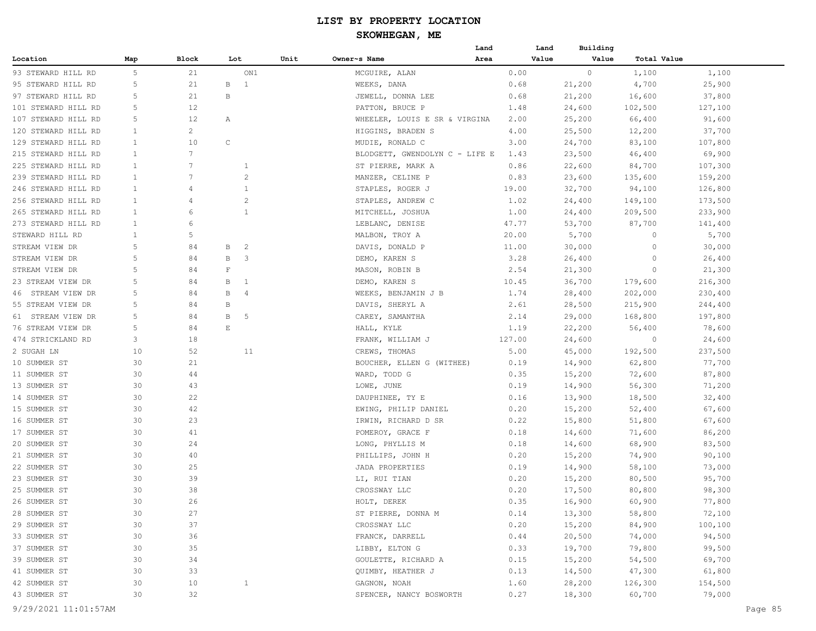|                     |              |                 |                       |                |      |                                | Land | Land   | Building |             |         |
|---------------------|--------------|-----------------|-----------------------|----------------|------|--------------------------------|------|--------|----------|-------------|---------|
| Location            | Map          | Block           | Lot                   |                | Unit | Owner~s Name                   | Area | Value  | Value    | Total Value |         |
| 93 STEWARD HILL RD  | 5            | 21              |                       | ON1            |      | MCGUIRE, ALAN                  |      | 0.00   | $\circ$  | 1,100       | 1,100   |
| 95 STEWARD HILL RD  | 5            | 21              | В                     | 1              |      | WEEKS, DANA                    |      | 0.68   | 21,200   | 4,700       | 25,900  |
| 97 STEWARD HILL RD  | 5            | 21              | В                     |                |      | JEWELL, DONNA LEE              |      | 0.68   | 21,200   | 16,600      | 37,800  |
| 101 STEWARD HILL RD | 5            | 12              |                       |                |      | PATTON, BRUCE P                |      | 1.48   | 24,600   | 102,500     | 127,100 |
| 107 STEWARD HILL RD | 5            | 12              | Α                     |                |      | WHEELER, LOUIS E SR & VIRGINA  |      | 2.00   | 25,200   | 66,400      | 91,600  |
| 120 STEWARD HILL RD | $\mathbf{1}$ | $\overline{c}$  |                       |                |      | HIGGINS, BRADEN S              |      | 4.00   | 25,500   | 12,200      | 37,700  |
| 129 STEWARD HILL RD | 1            | 10              | $\mathsf C$           |                |      | MUDIE, RONALD C                |      | 3.00   | 24,700   | 83,100      | 107,800 |
| 215 STEWARD HILL RD | $\mathbf{1}$ | $7\phantom{.0}$ |                       |                |      | BLODGETT, GWENDOLYN C - LIFE E |      | 1.43   | 23,500   | 46,400      | 69,900  |
| 225 STEWARD HILL RD | $\mathbf{1}$ | 7               |                       | 1              |      | ST PIERRE, MARK A              |      | 0.86   | 22,600   | 84,700      | 107,300 |
| 239 STEWARD HILL RD | $\mathbf{1}$ | 7               |                       | $\overline{c}$ |      | MANZER, CELINE P               |      | 0.83   | 23,600   | 135,600     | 159,200 |
| 246 STEWARD HILL RD | $\mathbf{1}$ | 4               |                       | 1              |      | STAPLES, ROGER J               |      | 19.00  | 32,700   | 94,100      | 126,800 |
| 256 STEWARD HILL RD | 1            | 4               |                       | $\overline{c}$ |      | STAPLES, ANDREW C              |      | 1.02   | 24,400   | 149,100     | 173,500 |
| 265 STEWARD HILL RD | 1            | 6               |                       | $\mathbf{1}$   |      | MITCHELL, JOSHUA               |      | 1.00   | 24,400   | 209,500     | 233,900 |
| 273 STEWARD HILL RD | $\mathbf{1}$ | 6               |                       |                |      | LEBLANC, DENISE                |      | 47.77  | 53,700   | 87,700      | 141,400 |
| STEWARD HILL RD     | 1            | 5               |                       |                |      | MALBON, TROY A                 |      | 20.00  | 5,700    | $\circ$     | 5,700   |
| STREAM VIEW DR      | 5            | 84              | В                     | $\overline{c}$ |      | DAVIS, DONALD P                |      | 11.00  | 30,000   | $\circ$     | 30,000  |
| STREAM VIEW DR      | 5            | 84              | В                     | 3              |      | DEMO, KAREN S                  |      | 3.28   | 26,400   | 0           | 26,400  |
| STREAM VIEW DR      | 5            | 84              | $\mathbf F$           |                |      | MASON, ROBIN B                 |      | 2.54   | 21,300   | 0           | 21,300  |
| 23 STREAM VIEW DR   | 5            | 84              | В                     | 1              |      | DEMO, KAREN S                  |      | 10.45  | 36,700   | 179,600     | 216,300 |
| 46 STREAM VIEW DR   | 5            | 84              | В                     | 4              |      | WEEKS, BENJAMIN J B            |      | 1.74   | 28,400   | 202,000     | 230,400 |
| 55 STREAM VIEW DR   | 5            | 84              | В                     |                |      | DAVIS, SHERYL A                |      | 2.61   | 28,500   | 215,900     | 244,400 |
| 61 STREAM VIEW DR   | 5            | 84              | В                     | 5              |      | CAREY, SAMANTHA                |      | 2.14   | 29,000   | 168,800     | 197,800 |
| 76 STREAM VIEW DR   | 5            | 84              | $\mathop{}\mathbb{E}$ |                |      | HALL, KYLE                     |      | 1.19   | 22,200   | 56,400      | 78,600  |
| 474 STRICKLAND RD   | 3            | 18              |                       |                |      | FRANK, WILLIAM J               |      | 127.00 | 24,600   | $\circ$     | 24,600  |
| 2 SUGAH LN          | 10           | 52              |                       | 11             |      | CREWS, THOMAS                  |      | 5.00   | 45,000   | 192,500     | 237,500 |
| 10 SUMMER ST        | 30           | 21              |                       |                |      | BOUCHER, ELLEN G (WITHEE)      |      | 0.19   | 14,900   | 62,800      | 77,700  |
| 11 SUMMER ST        | 30           | 44              |                       |                |      | WARD, TODD G                   |      | 0.35   | 15,200   | 72,600      | 87,800  |
| 13 SUMMER ST        | 30           | 43              |                       |                |      | LOWE, JUNE                     |      | 0.19   | 14,900   | 56,300      | 71,200  |
| 14 SUMMER ST        | 30           | 22              |                       |                |      | DAUPHINEE, TY E                |      | 0.16   | 13,900   | 18,500      | 32,400  |
| 15 SUMMER ST        | 30           | 42              |                       |                |      | EWING, PHILIP DANIEL           |      | 0.20   | 15,200   | 52,400      | 67,600  |
| 16 SUMMER ST        | 30           | 23              |                       |                |      | IRWIN, RICHARD D SR            |      | 0.22   | 15,800   | 51,800      | 67,600  |
| 17 SUMMER ST        | 30           | 41              |                       |                |      | POMEROY, GRACE F               |      | 0.18   | 14,600   | 71,600      | 86,200  |
| 20 SUMMER ST        | 30           | 24              |                       |                |      | LONG, PHYLLIS M                |      | 0.18   | 14,600   | 68,900      | 83,500  |
| 21 SUMMER ST        | 30           | 40              |                       |                |      | PHILLIPS, JOHN H               |      | 0.20   | 15,200   | 74,900      | 90,100  |
| 22 SUMMER ST        | 30           | 25              |                       |                |      | JADA PROPERTIES                |      | 0.19   | 14,900   | 58,100      | 73,000  |
| 23 SUMMER ST        | 30           | 39              |                       |                |      | LI, RUI TIAN                   |      | 0.20   | 15,200   | 80,500      | 95,700  |
| 25 SUMMER ST        | 30           | 38              |                       |                |      | CROSSWAY LLC                   |      | 0.20   | 17,500   | 80,800      | 98,300  |
| 26 SUMMER ST        | 30           | 26              |                       |                |      | HOLT, DEREK                    |      | 0.35   | 16,900   | 60,900      | 77,800  |
| 28 SUMMER ST        | 30           | 27              |                       |                |      | ST PIERRE, DONNA M             |      | 0.14   | 13,300   | 58,800      | 72,100  |
| 29 SUMMER ST        | 30           | 37              |                       |                |      | CROSSWAY LLC                   |      | 0.20   | 15,200   | 84,900      | 100,100 |
| 33 SUMMER ST        | 30           | 36              |                       |                |      | FRANCK, DARRELL                |      | 0.44   | 20,500   | 74,000      | 94,500  |
| 37 SUMMER ST        | 30           | 35              |                       |                |      | LIBBY, ELTON G                 |      | 0.33   | 19,700   | 79,800      | 99,500  |
| 39 SUMMER ST        | 30           | 34              |                       |                |      | GOULETTE, RICHARD A            |      | 0.15   | 15,200   | 54,500      | 69,700  |
| 41 SUMMER ST        | 30           | 33              |                       |                |      | QUIMBY, HEATHER J              |      | 0.13   | 14,500   | 47,300      | 61,800  |
| 42 SUMMER ST        | 30           | 10              |                       | $\mathbf{1}$   |      |                                |      | 1.60   | 28,200   | 126,300     | 154,500 |
|                     |              |                 |                       |                |      | GAGNON, NOAH                   |      |        |          |             |         |
| 43 SUMMER ST        | 30           | 32              |                       |                |      | SPENCER, NANCY BOSWORTH        |      | 0.27   | 18,300   | 60,700      | 79,000  |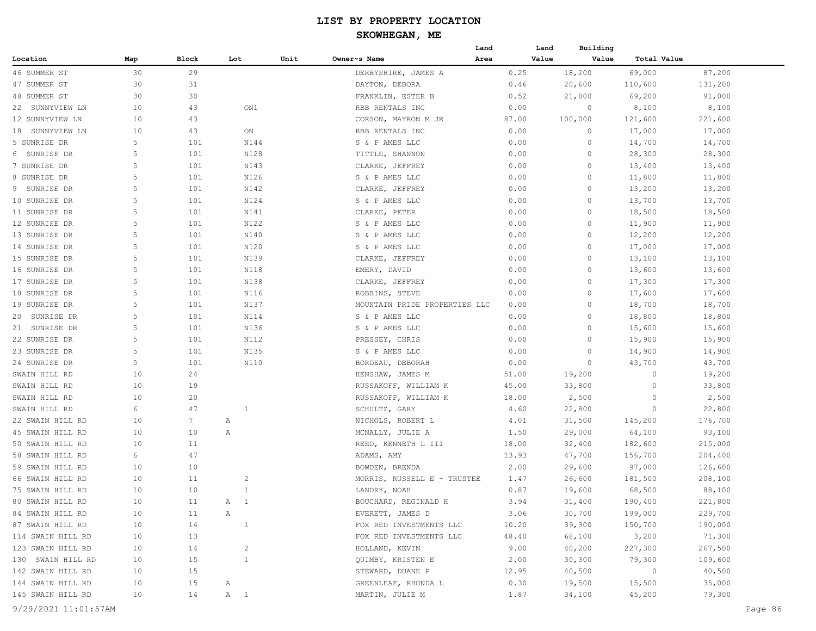# **SKOWHEGAN, ME**

|                   |                 |                 |                |      |                               | Land  | Land  | Building |             |         |
|-------------------|-----------------|-----------------|----------------|------|-------------------------------|-------|-------|----------|-------------|---------|
| Location          | Map             | Block           | Lot            | Unit | Owner~s Name                  | Area  | Value | Value    | Total Value |         |
| 46 SUMMER ST      | 30              | 29              |                |      | DERBYSHIRE, JAMES A           | 0.25  |       | 18,200   | 69,000      | 87,200  |
| 47 SUMMER ST      | 30              | 31              |                |      | DAYTON, DEBORA                | 0.46  |       | 20,600   | 110,600     | 131,200 |
| 48 SUMMER ST      | 30              | 30              |                |      | FRANKLIN, ESTER B             | 0.52  |       | 21,800   | 69,200      | 91,000  |
| 22 SUNNYVIEW LN   | 10              | 43              | ON1            |      | RBB RENTALS INC               | 0.00  |       | 0        | 8,100       | 8,100   |
| 12 SUNNYVIEW LN   | 10              | 43              |                |      | CORSON, MAYRON M JR           | 87.00 |       | 100,000  | 121,600     | 221,600 |
| 18 SUNNYVIEW LN   | 10              | 43              | ON             |      | RBB RENTALS INC               | 0.00  |       | 0        | 17,000      | 17,000  |
| 5 SUNRISE DR      | 5               | 101             | N144           |      | S & P AMES LLC                | 0.00  |       | $\circ$  | 14,700      | 14,700  |
| 6 SUNRISE DR      | 5               | 101             | N128           |      | TITTLE, SHANNON               | 0.00  |       | $\circ$  | 28,300      | 28,300  |
| 7 SUNRISE DR      | 5               | 101             | N143           |      | CLARKE, JEFFREY               | 0.00  |       | $\circ$  | 13,400      | 13,400  |
| 8 SUNRISE DR      | 5               | 101             | N126           |      | S & P AMES LLC                | 0.00  |       | 0        | 11,800      | 11,800  |
| 9 SUNRISE DR      | 5               | 101             | N142           |      | CLARKE, JEFFREY               | 0.00  |       | 0        | 13,200      | 13,200  |
| 10 SUNRISE DR     | 5               | 101             | N124           |      | S & P AMES LLC                | 0.00  |       | 0        | 13,700      | 13,700  |
| 11 SUNRISE DR     | 5               | 101             | N141           |      | CLARKE, PETER                 | 0.00  |       | $\circ$  | 18,500      | 18,500  |
| 12 SUNRISE DR     | 5               | 101             | N122           |      | S & P AMES LLC                | 0.00  |       | $\Omega$ | 11,900      | 11,900  |
| 13 SUNRISE DR     | 5               | 101             | N140           |      | S & P AMES LLC                | 0.00  |       | $\circ$  | 12,200      | 12,200  |
| 14 SUNRISE DR     | 5               | 101             | N120           |      | S & P AMES LLC                | 0.00  |       | $\Omega$ | 17,000      | 17,000  |
| 15 SUNRISE DR     | 5               | 101             | N139           |      | CLARKE, JEFFREY               | 0.00  |       | 0        | 13,100      | 13,100  |
| 16 SUNRISE DR     | 5               | 101             | N118           |      | EMERY, DAVID                  | 0.00  |       | 0        | 13,600      | 13,600  |
| 17 SUNRISE DR     | 5               | 101             | N138           |      | CLARKE, JEFFREY               | 0.00  |       | 0        | 17,300      | 17,300  |
| 18 SUNRISE DR     | 5               | 101             | N116           |      | ROBBINS, STEVE                | 0.00  |       | 0        | 17,600      | 17,600  |
| 19 SUNRISE DR     | 5               | 101             | N137           |      | MOUNTAIN PRIDE PROPERTIES LLC | 0.00  |       | $\Omega$ | 18,700      | 18,700  |
| 20 SUNRISE DR     | 5               | 101             | N114           |      | S & P AMES LLC                | 0.00  |       | $\Omega$ | 18,800      | 18,800  |
| 21 SUNRISE DR     | 5               | 101             | N136           |      | S & P AMES LLC                | 0.00  |       | $\Omega$ | 15,600      | 15,600  |
| 22 SUNRISE DR     | 5               | 101             | N112           |      | PRESSEY, CHRIS                | 0.00  |       | $\Omega$ | 15,900      | 15,900  |
| 23 SUNRISE DR     | 5               | 101             | N135           |      | S & P AMES LLC                | 0.00  |       | 0        | 14,900      | 14,900  |
| 24 SUNRISE DR     | 5               | 101             | N110           |      | BORDEAU, DEBORAH              | 0.00  |       | 0        | 43,700      | 43,700  |
| SWAIN HILL RD     | 10              | 24              |                |      | HENSHAW, JAMES M              | 51.00 |       | 19,200   | $\circ$     | 19,200  |
| SWAIN HILL RD     | 10              | 19              |                |      | RUSSAKOFF, WILLIAM K          | 45.00 |       | 33,800   | 0           | 33,800  |
| SWAIN HILL RD     | 10              | 20              |                |      | RUSSAKOFF, WILLIAM K          | 18.00 |       | 2,500    | $\circ$     | 2,500   |
| SWAIN HILL RD     | 6               | 47              | $\mathbf{1}$   |      | SCHULTZ, GARY                 | 4.60  |       | 22,800   | 0           | 22,800  |
| 22 SWAIN HILL RD  | 10              | $7\phantom{.0}$ | Α              |      | NICHOLS, ROBERT L             | 4.01  |       | 31,500   | 145,200     | 176,700 |
| 45 SWAIN HILL RD  | 10              | 10              | Α              |      | MCNALLY, JULIE A              | 1.50  |       | 29,000   | 64,100      | 93,100  |
| 50 SWAIN HILL RD  | 10              | 11              |                |      | REED, KENNETH L III           | 18.00 |       | 32,400   | 182,600     | 215,000 |
| 58 SWAIN HILL RD  | 6               | 47              |                |      | ADAMS, AMY                    | 13.93 |       | 47,700   | 156,700     | 204,400 |
| 59 SWAIN HILL RD  | 10              | 10              |                |      | BOWDEN, BRENDA                | 2.00  |       | 29,600   | 97,000      | 126,600 |
| 66 SWAIN HILL RD  | 10              | 11              | $\overline{c}$ |      | MORRIS, RUSSELL E - TRUSTEE   | 1.47  |       | 26,600   | 181,500     | 208,100 |
| 75 SWAIN HILL RD  | 10              | 10              | $\mathbf{1}$   |      | LANDRY, NOAH                  | 0.87  |       | 19,600   | 68,500      | 88,100  |
| 80 SWAIN HILL RD  | 10              | 11              | A 1            |      | BOUCHARD, REGINALD H          | 3.94  |       | 31,400   | 190,400     | 221,800 |
| 84 SWAIN HILL RD  | 10              | 11              | Α              |      | EVERETT, JAMES D              | 3.06  |       | 30,700   | 199,000     | 229,700 |
| 87 SWAIN HILL RD  | 10              | 14              | $\mathbf{1}$   |      | FOX RED INVESTMENTS LLC       | 10.20 |       | 39,300   | 150,700     | 190,000 |
| 114 SWAIN HILL RD | 10              | 13              |                |      | FOX RED INVESTMENTS LLC       | 48.40 |       | 68,100   | 3,200       | 71,300  |
| 123 SWAIN HILL RD | 10              | 14              | 2              |      | HOLLAND, KEVIN                | 9.00  |       | 40,200   | 227,300     | 267,500 |
| 130 SWAIN HILL RD | 10              | 15              | $\mathbf{1}$   |      | QUIMBY, KRISTEN E             | 2.00  |       | 30,300   | 79,300      | 109,600 |
| 142 SWAIN HILL RD | 10              | 15              |                |      | STEWARD, DUANE P              | 12.95 |       | 40,500   | $\sim$ 0    | 40,500  |
| 144 SWAIN HILL RD | 10              | 15              | A              |      | GREENLEAF, RHONDA L           | 0.30  |       | 19,500   | 15,500      | 35,000  |
| 145 SWAIN HILL RD | 10 <sub>o</sub> | 14              | A 1            |      | MARTIN, JULIE M               | 1.87  |       | 34,100   | 45,200      | 79,300  |
|                   |                 |                 |                |      |                               |       |       |          |             |         |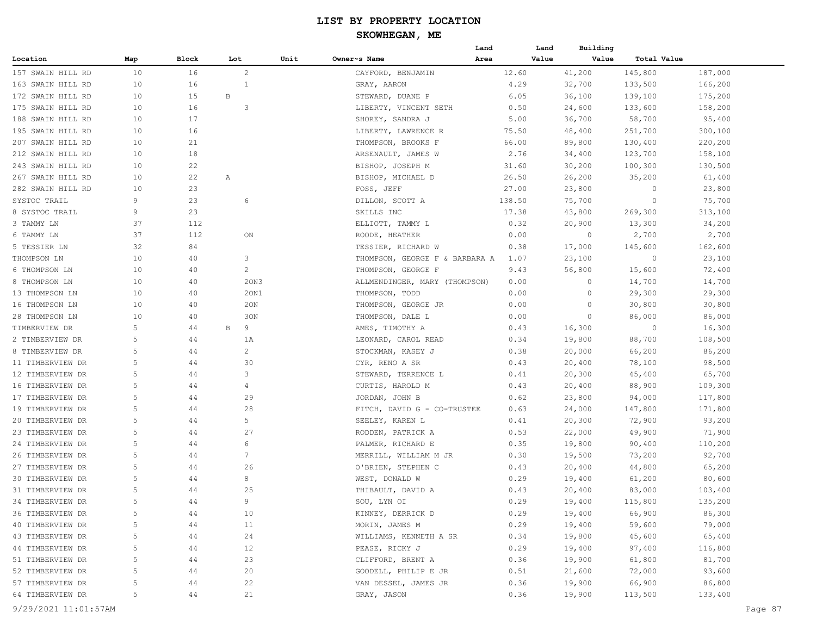|                                      |        |          |                         |      |                                          | Land         | Land             | Building             |                   |         |
|--------------------------------------|--------|----------|-------------------------|------|------------------------------------------|--------------|------------------|----------------------|-------------------|---------|
| Location                             | Map    | Block    | Lot                     | Unit | Owner~s Name                             | Area         | Value            | Value<br>Total Value |                   |         |
| 157 SWAIN HILL RD                    | 10     | 16       | 2                       |      | CAYFORD, BENJAMIN                        | 12.60        | 41,200           | 145,800              | 187,000           |         |
| 163 SWAIN HILL RD                    | 10     | 16       | 1                       |      | GRAY, AARON                              | 4.29         | 32,700           | 133,500              | 166,200           |         |
| 172 SWAIN HILL RD                    | 10     | 15       | B                       |      | STEWARD, DUANE P                         | 6.05         | 36,100           | 139,100              | 175,200           |         |
| 175 SWAIN HILL RD                    | 10     | 16       | $\overline{\mathbf{3}}$ |      | LIBERTY, VINCENT SETH                    | 0.50         | 24,600           | 133,600              | 158,200           |         |
| 188 SWAIN HILL RD                    | 10     | 17       |                         |      | SHOREY, SANDRA J                         | 5.00         | 36,700           | 58,700               | 95,400            |         |
| 195 SWAIN HILL RD                    | 10     | 16       |                         |      | LIBERTY, LAWRENCE R                      | 75.50        | 48,400           | 251,700              | 300,100           |         |
| 207 SWAIN HILL RD                    | 10     | 21       |                         |      | THOMPSON, BROOKS F                       | 66.00        | 89,800           | 130,400              | 220,200           |         |
| 212 SWAIN HILL RD                    | 10     | 18       |                         |      | ARSENAULT, JAMES W                       | 2.76         | 34,400           | 123,700              | 158,100           |         |
| 243 SWAIN HILL RD                    | 10     | 22       |                         |      | BISHOP, JOSEPH M                         | 31.60        | 30,200           | 100,300              | 130,500           |         |
| 267 SWAIN HILL RD                    | 10     | 22       | Α                       |      | BISHOP, MICHAEL D                        | 26.50        | 26,200           | 35,200               | 61,400            |         |
| 282 SWAIN HILL RD                    | 10     | 23       |                         |      | FOSS, JEFF                               | 27.00        | 23,800           | $\Omega$             | 23,800            |         |
| SYSTOC TRAIL                         | 9      | 23       | 6                       |      | DILLON, SCOTT A                          | 138.50       | 75,700           | 0                    | 75,700            |         |
| 8 SYSTOC TRAIL                       | 9      | 23       |                         |      | SKILLS INC                               | 17.38        | 43,800           | 269,300              | 313,100           |         |
| 3 TAMMY LN                           | 37     | 112      |                         |      | ELLIOTT, TAMMY L                         | 0.32         | 20,900           | 13,300               | 34,200            |         |
| 6 TAMMY LN                           | 37     | 112      | ON                      |      | ROODE, HEATHER                           | 0.00         | 0                | 2,700                | 2,700             |         |
| 5 TESSIER LN                         | 32     | 84       |                         |      | TESSIER, RICHARD W                       | 0.38         | 17,000           | 145,600              | 162,600           |         |
| THOMPSON LN                          | 10     | 40       | 3                       |      | THOMPSON, GEORGE F & BARBARA A           | 1.07         | 23,100           | 0                    | 23,100            |         |
| 6 THOMPSON LN                        | 10     | 40       | $\overline{c}$          |      | THOMPSON, GEORGE F                       | 9.43         | 56,800           | 15,600               | 72,400            |         |
| 8 THOMPSON LN                        | 10     | 40       | 20N3                    |      | ALLMENDINGER, MARY (THOMPSON)            | 0.00         | 0                | 14,700               | 14,700            |         |
| 13 THOMPSON LN                       | 10     | 40       | 20N1                    |      | THOMPSON, TODD                           | 0.00         | $\circ$          | 29,300               | 29,300            |         |
| 16 THOMPSON LN                       | 10     | 40       | 20N                     |      | THOMPSON, GEORGE JR                      | 0.00         | $\Omega$         | 30,800               | 30,800            |         |
| 28 THOMPSON LN                       | 10     | 40       | 30N                     |      | THOMPSON, DALE L                         | 0.00         | $\Omega$         | 86,000               | 86,000            |         |
| TIMBERVIEW DR                        | 5      | 44       | 9<br>B                  |      | AMES, TIMOTHY A                          | 0.43         | 16,300           | 0                    | 16,300            |         |
| 2 TIMBERVIEW DR                      | 5      | 44       | 1 A                     |      | LEONARD, CAROL READ                      | 0.34         | 19,800           | 88,700               | 108,500           |         |
| 8 TIMBERVIEW DR                      | 5      | 44       | $\overline{c}$          |      | STOCKMAN, KASEY J                        | 0.38         | 20,000           | 66,200               | 86,200            |         |
| 11 TIMBERVIEW DR                     | 5      | 44       | 30                      |      | CYR, RENO A SR                           | 0.43         | 20,400           | 78,100               | 98,500            |         |
| 12 TIMBERVIEW DR                     | 5      | 44       | 3                       |      | STEWARD, TERRENCE L                      | 0.41         | 20,300           | 45,400               | 65,700            |         |
| 16 TIMBERVIEW DR                     | 5      | 44       | $\overline{4}$          |      | CURTIS, HAROLD M                         | 0.43         | 20,400           | 88,900               | 109,300           |         |
| 17 TIMBERVIEW DR                     | 5      | 44       | 29                      |      | JORDAN, JOHN B                           | 0.62         | 23,800           | 94,000               | 117,800           |         |
| 19 TIMBERVIEW DR                     | 5      | 44       | 28                      |      | FITCH, DAVID G - CO-TRUSTEE              | 0.63         | 24,000           | 147,800              | 171,800           |         |
| 20 TIMBERVIEW DR                     | 5      | 44       | 5                       |      | SEELEY, KAREN L                          | 0.41         | 20,300           | 72,900               | 93,200            |         |
| 23 TIMBERVIEW DR                     | 5      | 44       | 27                      |      | RODDEN, PATRICK A                        | 0.53         | 22,000           | 49,900               | 71,900            |         |
| 24 TIMBERVIEW DR                     | 5      | 44       | 6                       |      | PALMER, RICHARD E                        | 0.35         | 19,800           | 90,400               | 110,200           |         |
| 26 TIMBERVIEW DR                     | 5      | 44       | 7                       |      | MERRILL, WILLIAM M JR                    | 0.30         | 19,500           | 73,200               | 92,700            |         |
| 27 TIMBERVIEW DR                     | 5      | 44       | 26                      |      | O'BRIEN, STEPHEN C                       | 0.43         | 20,400           | 44,800               | 65,200            |         |
| 30 TIMBERVIEW DR                     | 5      | 44       | 8                       |      |                                          | 0.29         |                  |                      |                   |         |
| 31 TIMBERVIEW DR                     | 5      | 44       | 25                      |      | WEST, DONALD W<br>THIBAULT, DAVID A      | 0.43         | 19,400<br>20,400 | 61,200<br>83,000     | 80,600<br>103,400 |         |
|                                      | 5      |          | 9                       |      |                                          | 0.29         |                  |                      | 135,200           |         |
| 34 TIMBERVIEW DR<br>36 TIMBERVIEW DR | 5      | 44       |                         |      | SOU, LYN OI<br>KINNEY, DERRICK D         | 0.29         | 19,400<br>19,400 | 115,800<br>66,900    | 86,300            |         |
| 40 TIMBERVIEW DR                     |        | 44       | 10                      |      |                                          |              | 19,400           | 59,600               | 79,000            |         |
| 43 TIMBERVIEW DR                     | 5<br>5 | 44<br>44 | 11<br>24                |      | MORIN, JAMES M<br>WILLIAMS, KENNETH A SR | 0.29<br>0.34 |                  | 45,600               | 65,400            |         |
| 44 TIMBERVIEW DR                     | 5      | 44       | 12                      |      |                                          | 0.29         | 19,800           |                      |                   |         |
|                                      |        |          |                         |      | PEASE, RICKY J                           |              | 19,400           | 97,400               | 116,800           |         |
| 51 TIMBERVIEW DR                     | 5      | 44       | 23                      |      | CLIFFORD, BRENT A                        | 0.36         | 19,900           | 61,800               | 81,700            |         |
| 52 TIMBERVIEW DR                     | 5      | 44       | 20                      |      | GOODELL, PHILIP E JR                     | 0.51         | 21,600           | 72,000               | 93,600            |         |
| 57 TIMBERVIEW DR                     | 5      | 44       | 22                      |      | VAN DESSEL, JAMES JR                     | 0.36         | 19,900           | 66,900               | 86,800            |         |
| 64 TIMBERVIEW DR                     | 5      | 44       | 21                      |      | GRAY, JASON                              | 0.36         | 19,900           | 113,500              | 133,400           |         |
| 9/29/2021 11:01:57AM                 |        |          |                         |      |                                          |              |                  |                      |                   | Page 87 |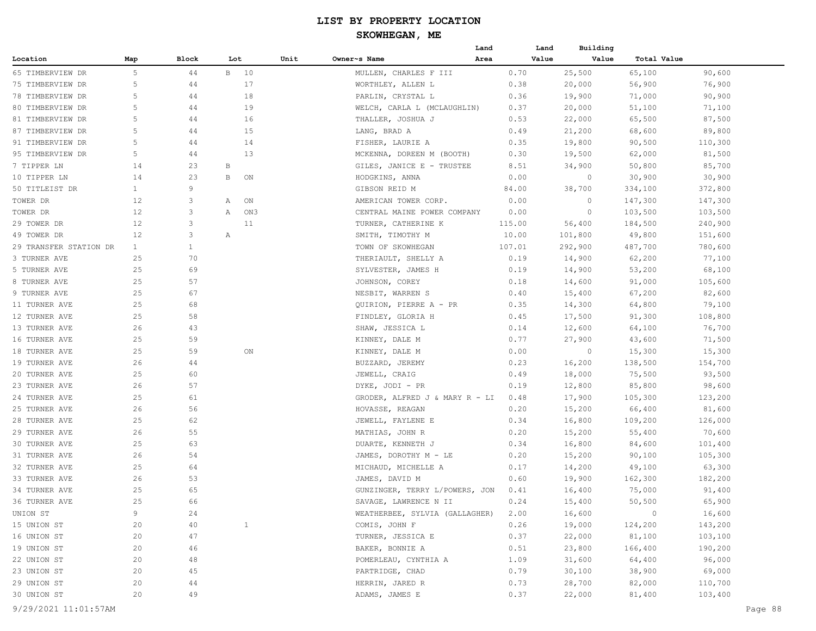|                        |              |              |     |              |      |                                | Land | Land   | Building |                |         |
|------------------------|--------------|--------------|-----|--------------|------|--------------------------------|------|--------|----------|----------------|---------|
| Location               | Map          | Block        | Lot |              | Unit | Owner~s Name                   | Area | Value  | Value    | Total Value    |         |
| 65 TIMBERVIEW DR       | 5            | 44           |     | B 10         |      | MULLEN, CHARLES F III          |      | 0.70   | 25,500   | 65,100         | 90,600  |
| 75 TIMBERVIEW DR       | 5            | 44           |     | 17           |      | WORTHLEY, ALLEN L              |      | 0.38   | 20,000   | 56,900         | 76,900  |
| 78 TIMBERVIEW DR       | 5            | 44           |     | 18           |      | PARLIN, CRYSTAL L              |      | 0.36   | 19,900   | 71,000         | 90,900  |
| 80 TIMBERVIEW DR       | 5            | 44           |     | 19           |      | WELCH, CARLA L (MCLAUGHLIN)    |      | 0.37   | 20,000   | 51,100         | 71,100  |
| 81 TIMBERVIEW DR       | 5            | 44           |     | 16           |      | THALLER, JOSHUA J              |      | 0.53   | 22,000   | 65,500         | 87,500  |
| 87 TIMBERVIEW DR       | 5            | 44           |     | 15           |      | LANG, BRAD A                   |      | 0.49   | 21,200   | 68,600         | 89,800  |
| 91 TIMBERVIEW DR       | 5            | 44           |     | 14           |      | FISHER, LAURIE A               |      | 0.35   | 19,800   | 90,500         | 110,300 |
| 95 TIMBERVIEW DR       | 5            | 44           |     | 13           |      | MCKENNA, DOREEN M (BOOTH)      |      | 0.30   | 19,500   | 62,000         | 81,500  |
| 7 TIPPER LN            | 14           | 23           | В   |              |      | GILES, JANICE E - TRUSTEE      |      | 8.51   | 34,900   | 50,800         | 85,700  |
| 10 TIPPER LN           | 14           | 23           | В   | ON           |      | HODGKINS, ANNA                 |      | 0.00   | $\circ$  | 30,900         | 30,900  |
| 50 TITLEIST DR         | $\mathbf{1}$ | 9            |     |              |      | GIBSON REID M                  |      | 84.00  | 38,700   | 334,100        | 372,800 |
| TOWER DR               | 12           | 3            | A   | ON           |      | AMERICAN TOWER CORP.           |      | 0.00   | 0        | 147,300        | 147,300 |
| TOWER DR               | 12           | 3            | Α   | ON3          |      | CENTRAL MAINE POWER COMPANY    |      | 0.00   | 0        | 103,500        | 103,500 |
| 29 TOWER DR            | 12           | 3            |     | 11           |      | TURNER, CATHERINE K            |      | 115.00 | 56,400   | 184,500        | 240,900 |
| 49 TOWER DR            | 12           | 3            | Α   |              |      | SMITH, TIMOTHY M               |      | 10.00  | 101,800  | 49,800         | 151,600 |
| 29 TRANSFER STATION DR | $\mathbf{1}$ | $\mathbf{1}$ |     |              |      | TOWN OF SKOWHEGAN              |      | 107.01 | 292,900  | 487,700        | 780,600 |
| 3 TURNER AVE           | 25           | 70           |     |              |      | THERIAULT, SHELLY A            |      | 0.19   | 14,900   | 62,200         | 77,100  |
| 5 TURNER AVE           | 25           | 69           |     |              |      | SYLVESTER, JAMES H             |      | 0.19   | 14,900   | 53,200         | 68,100  |
| 8 TURNER AVE           | 25           | 57           |     |              |      | JOHNSON, COREY                 |      | 0.18   | 14,600   | 91,000         | 105,600 |
| 9 TURNER AVE           | 25           | 67           |     |              |      | NESBIT, WARREN S               |      | 0.40   | 15,400   | 67,200         | 82,600  |
| 11 TURNER AVE          | 25           | 68           |     |              |      | QUIRION, PIERRE A - PR         |      | 0.35   | 14,300   | 64,800         | 79,100  |
| 12 TURNER AVE          | 25           | 58           |     |              |      | FINDLEY, GLORIA H              |      | 0.45   | 17,500   | 91,300         | 108,800 |
| 13 TURNER AVE          | 26           | 43           |     |              |      | SHAW, JESSICA L                |      | 0.14   | 12,600   | 64,100         | 76,700  |
| 16 TURNER AVE          | 25           | 59           |     |              |      | KINNEY, DALE M                 |      | 0.77   | 27,900   | 43,600         | 71,500  |
| 18 TURNER AVE          | 25           | 59           |     | ON           |      | KINNEY, DALE M                 |      | 0.00   | $\circ$  | 15,300         | 15,300  |
| 19 TURNER AVE          | 26           | 44           |     |              |      | BUZZARD, JEREMY                |      | 0.23   | 16,200   | 138,500        | 154,700 |
| 20 TURNER AVE          | 25           | 60           |     |              |      | JEWELL, CRAIG                  |      | 0.49   | 18,000   | 75,500         | 93,500  |
| 23 TURNER AVE          | 26           | 57           |     |              |      | DYKE, JODI - PR                |      | 0.19   | 12,800   | 85,800         | 98,600  |
| 24 TURNER AVE          | 25           | 61           |     |              |      | GRODER, ALFRED J & MARY R - LI |      | 0.48   | 17,900   | 105,300        | 123,200 |
| 25 TURNER AVE          | 26           | 56           |     |              |      | HOVASSE, REAGAN                |      | 0.20   | 15,200   | 66,400         | 81,600  |
| 28 TURNER AVE          | 25           | 62           |     |              |      | JEWELL, FAYLENE E              |      | 0.34   | 16,800   | 109,200        | 126,000 |
| 29 TURNER AVE          | 26           | 55           |     |              |      | MATHIAS, JOHN R                |      | 0.20   | 15,200   | 55,400         | 70,600  |
| 30 TURNER AVE          | 25           | 63           |     |              |      | DUARTE, KENNETH J              |      | 0.34   | 16,800   | 84,600         | 101,400 |
| 31 TURNER AVE          | 26           | 54           |     |              |      | JAMES, DOROTHY M - LE          |      | 0.20   | 15,200   | 90,100         | 105,300 |
| 32 TURNER AVE          | 25           | 64           |     |              |      | MICHAUD, MICHELLE A            |      | 0.17   | 14,200   | 49,100         | 63,300  |
| 33 TURNER AVE          | 26           | 53           |     |              |      | JAMES, DAVID M                 |      | 0.60   | 19,900   | 162,300        | 182,200 |
| 34 TURNER AVE          | 25           | 65           |     |              |      | GUNZINGER, TERRY L/POWERS, JON |      | 0.41   | 16,400   | 75,000         | 91,400  |
| 36 TURNER AVE          | 25           | 66           |     |              |      | SAVAGE, LAWRENCE N II          |      | 0.24   | 15,400   | 50, 500        | 65,900  |
| UNION ST               | 9            | 24           |     |              |      | WEATHERBEE, SYLVIA (GALLAGHER) |      | 2.00   | 16,600   | $\overline{0}$ | 16,600  |
| 15 UNION ST            | 20           | 40           |     | $\mathbf{1}$ |      | COMIS, JOHN F                  |      | 0.26   | 19,000   | 124,200        | 143,200 |
| 16 UNION ST            | 20           | 47           |     |              |      | TURNER, JESSICA E              |      | 0.37   | 22,000   | 81,100         | 103,100 |
| 19 UNION ST            | 20           | 46           |     |              |      | BAKER, BONNIE A                |      | 0.51   | 23,800   | 166,400        | 190,200 |
| 22 UNION ST            | 20           | 48           |     |              |      | POMERLEAU, CYNTHIA A           |      | 1.09   | 31,600   | 64,400         | 96,000  |
| 23 UNION ST            | 20           | 45           |     |              |      | PARTRIDGE, CHAD                |      | 0.79   | 30,100   | 38,900         | 69,000  |
| 29 UNION ST            | 20           | 44           |     |              |      | HERRIN, JARED R                |      | 0.73   | 28,700   | 82,000         | 110,700 |
| 30 UNION ST            | 20           | 49           |     |              |      | ADAMS, JAMES E                 |      | 0.37   | 22,000   | 81,400         | 103,400 |
|                        |              |              |     |              |      |                                |      |        |          |                |         |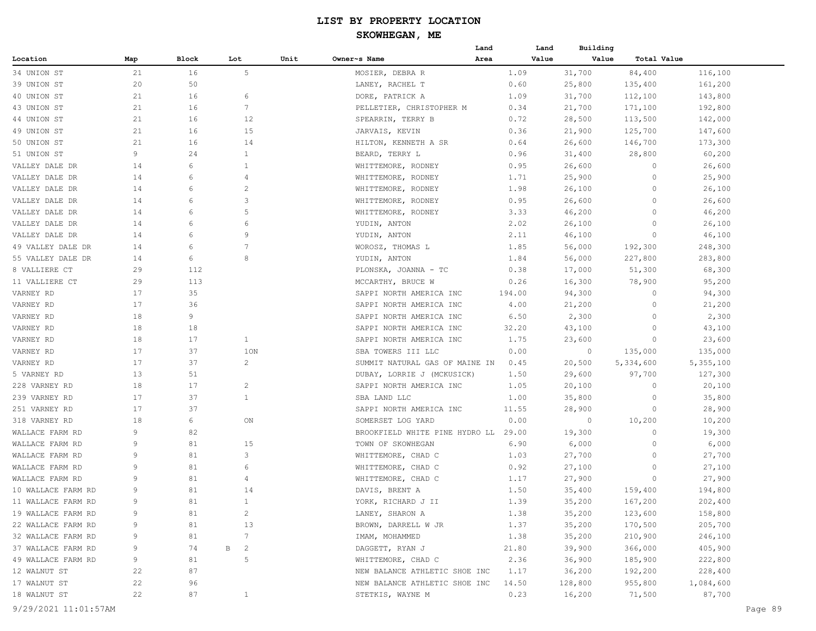# **SKOWHEGAN, ME**

|                    |     |       |                               |      |                                | Land   | Land  | Building       |             |           |
|--------------------|-----|-------|-------------------------------|------|--------------------------------|--------|-------|----------------|-------------|-----------|
| Location           | Map | Block | Lot                           | Unit | Owner~s Name                   | Area   | Value | Value          | Total Value |           |
| 34 UNION ST        | 21  | 16    | 5                             |      | MOSIER, DEBRA R                | 1.09   |       | 31,700         | 84,400      | 116,100   |
| 39 UNION ST        | 20  | 50    |                               |      | LANEY, RACHEL T                | 0.60   |       | 25,800         | 135,400     | 161,200   |
| 40 UNION ST        | 21  | 16    | 6                             |      | DORE, PATRICK A                | 1.09   |       | 31,700         | 112,100     | 143,800   |
| 43 UNION ST        | 21  | 16    | $7\phantom{.0}$               |      | PELLETIER, CHRISTOPHER M       | 0.34   |       | 21,700         | 171,100     | 192,800   |
| 44 UNION ST        | 21  | 16    | 12                            |      | SPEARRIN, TERRY B              |        | 0.72  | 28,500         | 113,500     | 142,000   |
| 49 UNION ST        | 21  | 16    | 15                            |      | JARVAIS, KEVIN                 |        | 0.36  | 21,900         | 125,700     | 147,600   |
| 50 UNION ST        | 21  | 16    | 14                            |      | HILTON, KENNETH A SR           | 0.64   |       | 26,600         | 146,700     | 173,300   |
| 51 UNION ST        | 9   | 24    | 1                             |      | BEARD, TERRY L                 |        | 0.96  | 31,400         | 28,800      | 60,200    |
| VALLEY DALE DR     | 14  | 6     | 1                             |      | WHITTEMORE, RODNEY             | 0.95   |       | 26,600         | 0           | 26,600    |
| VALLEY DALE DR     | 14  | 6     | 4                             |      | WHITTEMORE, RODNEY             | 1.71   |       | 25,900         | 0           | 25,900    |
| VALLEY DALE DR     | 14  | 6     | 2                             |      | WHITTEMORE, RODNEY             | 1.98   |       | 26,100         | 0           | 26,100    |
| VALLEY DALE DR     | 14  | 6     | 3                             |      | WHITTEMORE, RODNEY             | 0.95   |       | 26,600         | 0           | 26,600    |
| VALLEY DALE DR     | 14  | 6     | 5                             |      | WHITTEMORE, RODNEY             | 3.33   |       | 46,200         | $\circ$     | 46,200    |
| VALLEY DALE DR     | 14  | 6     | 6                             |      | YUDIN, ANTON                   | 2.02   |       | 26,100         | $\Omega$    | 26,100    |
| VALLEY DALE DR     | 14  | 6     | 9                             |      | YUDIN, ANTON                   | 2.11   |       | 46,100         | 0           | 46,100    |
| 49 VALLEY DALE DR  | 14  | 6     | 7                             |      | WOROSZ, THOMAS L               | 1.85   |       | 56,000         | 192,300     | 248,300   |
| 55 VALLEY DALE DR  |     | 6     | 8                             |      | YUDIN, ANTON                   |        |       |                |             |           |
|                    | 14  |       |                               |      |                                | 1.84   |       | 56,000         | 227,800     | 283,800   |
| 8 VALLIERE CT      | 29  | 112   |                               |      | PLONSKA, JOANNA - TC           | 0.38   |       | 17,000         | 51,300      | 68,300    |
| 11 VALLIERE CT     | 29  | 113   |                               |      | MCCARTHY, BRUCE W              | 0.26   |       | 16,300         | 78,900      | 95,200    |
| VARNEY RD          | 17  | 35    |                               |      | SAPPI NORTH AMERICA INC        | 194.00 |       | 94,300         | $\circ$     | 94,300    |
| VARNEY RD          | 17  | 36    |                               |      | SAPPI NORTH AMERICA INC        | 4.00   |       | 21,200         | $\circ$     | 21,200    |
| VARNEY RD          | 18  | 9     |                               |      | SAPPI NORTH AMERICA INC        | 6.50   |       | 2,300          | 0           | 2,300     |
| VARNEY RD          | 18  | 18    |                               |      | SAPPI NORTH AMERICA INC        | 32.20  |       | 43,100         | 0           | 43,100    |
| VARNEY RD          | 18  | 17    | $\mathbf{1}$                  |      | SAPPI NORTH AMERICA INC        | 1.75   |       | 23,600         | 0           | 23,600    |
| VARNEY RD          | 17  | 37    | 1ON                           |      | SBA TOWERS III LLC             | 0.00   |       | $\overline{0}$ | 135,000     | 135,000   |
| VARNEY RD          | 17  | 37    | $\overline{c}$                |      | SUMMIT NATURAL GAS OF MAINE IN | 0.45   |       | 20,500         | 5,334,600   | 5,355,100 |
| 5 VARNEY RD        | 13  | 51    |                               |      | DUBAY, LORRIE J (MCKUSICK)     | 1.50   |       | 29,600         | 97,700      | 127,300   |
| 228 VARNEY RD      | 18  | 17    | $\overline{c}$                |      | SAPPI NORTH AMERICA INC        | 1.05   |       | 20,100         | 0           | 20,100    |
| 239 VARNEY RD      | 17  | 37    | $\mathbf{1}$                  |      | SBA LAND LLC                   | 1.00   |       | 35,800         | $\circ$     | 35,800    |
| 251 VARNEY RD      | 17  | 37    |                               |      | SAPPI NORTH AMERICA INC        | 11.55  |       | 28,900         | 0           | 28,900    |
| 318 VARNEY RD      | 18  | 6     | ON                            |      | SOMERSET LOG YARD              | 0.00   |       | 0              | 10,200      | 10,200    |
| WALLACE FARM RD    | 9   | 82    |                               |      | BROOKFIELD WHITE PINE HYDRO LL | 29.00  |       | 19,300         | $\Omega$    | 19,300    |
| WALLACE FARM RD    | 9   | 81    | 15                            |      | TOWN OF SKOWHEGAN              |        | 6.90  | 6,000          | 0           | 6,000     |
| WALLACE FARM RD    | 9   | 81    | 3                             |      | WHITTEMORE, CHAD C             | 1.03   |       | 27,700         | 0           | 27,700    |
| WALLACE FARM RD    | 9   | 81    | 6                             |      | WHITTEMORE, CHAD C             | 0.92   |       | 27,100         | 0           | 27,100    |
| WALLACE FARM RD    | 9   | 81    | 4                             |      | WHITTEMORE, CHAD C             | 1.17   |       | 27,900         | 0           | 27,900    |
| 10 WALLACE FARM RD | 9   | 81    | 14                            |      | DAVIS, BRENT A                 | 1.50   |       | 35,400         | 159,400     | 194,800   |
| 11 WALLACE FARM RD | q   | 81    |                               |      | YORK, RICHARD J II             | 1.39   |       | 35,200         | 167,200     | 202,400   |
| 19 WALLACE FARM RD | 9   | 81    | $\overline{2}$                |      | LANEY, SHARON A                | 1.38   |       | 35,200         | 123,600     | 158,800   |
| 22 WALLACE FARM RD | 9   | 81    | 13                            |      | BROWN, DARRELL W JR            | 1.37   |       | 35,200         | 170,500     | 205,700   |
| 32 WALLACE FARM RD | 9   | 81    | $7\phantom{.0}$               |      | IMAM, MOHAMMED                 | 1.38   |       | 35,200         | 210,900     | 246,100   |
| 37 WALLACE FARM RD | 9   | 74    | $\mathbb B$<br>$\overline{c}$ |      | DAGGETT, RYAN J                | 21.80  |       | 39,900         | 366,000     | 405,900   |
| 49 WALLACE FARM RD | 9   | 81    | 5                             |      | WHITTEMORE, CHAD C             | 2.36   |       | 36,900         | 185,900     | 222,800   |
| 12 WALNUT ST       | 22  | 87    |                               |      | NEW BALANCE ATHLETIC SHOE INC  | 1.17   |       | 36,200         | 192,200     | 228,400   |
| 17 WALNUT ST       | 22  | 96    |                               |      | NEW BALANCE ATHLETIC SHOE INC  | 14.50  |       | 128,800        | 955,800     | 1,084,600 |
| 18 WALNUT ST       | 22  | 87    | $\mathbf{1}$                  |      | STETKIS, WAYNE M               | 0.23   |       | 16,200         | 71,500      | 87,700    |
|                    |     |       |                               |      |                                |        |       |                |             |           |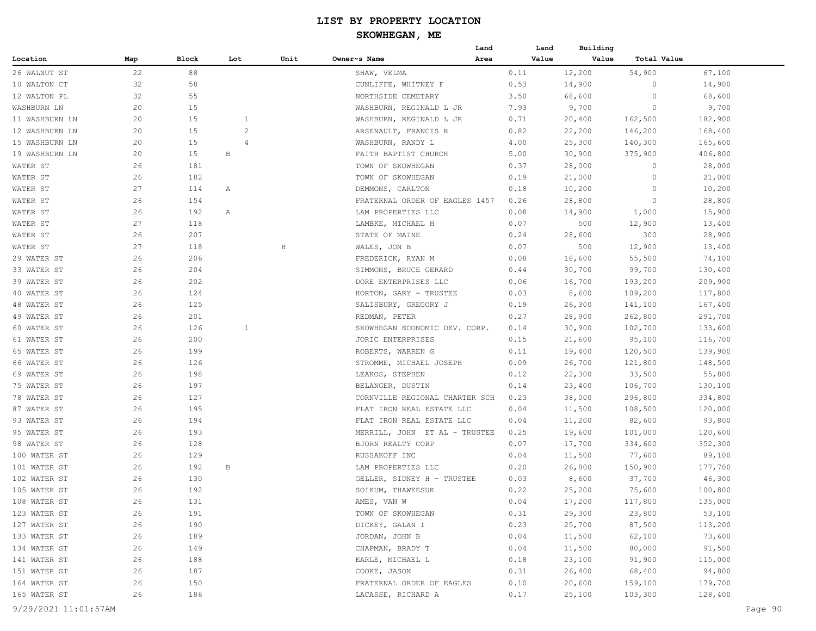|                |     |       |                |         |                                | Land | Land  | Building |             |         |
|----------------|-----|-------|----------------|---------|--------------------------------|------|-------|----------|-------------|---------|
| Location       | Map | Block | Lot            | Unit    | Owner~s Name                   | Area | Value | Value    | Total Value |         |
| 26 WALNUT ST   | 22  | 88    |                |         | SHAW, VELMA                    |      | 0.11  | 12,200   | 54,900      | 67,100  |
| 10 WALTON CT   | 32  | 58    |                |         | CUNLIFFE, WHITNEY F            |      | 0.53  | 14,900   | 0           | 14,900  |
| 12 WALTON PL   | 32  | 55    |                |         | NORTHSIDE CEMETARY             |      | 3.50  | 68,600   | $\circ$     | 68,600  |
| WASHBURN LN    | 20  | 15    |                |         | WASHBURN, REGINALD L JR        |      | 7.93  | 9,700    | 0           | 9,700   |
| 11 WASHBURN LN | 20  | 15    | $\mathbf{1}$   |         | WASHBURN, REGINALD L JR        |      | 0.71  | 20,400   | 162,500     | 182,900 |
| 12 WASHBURN LN | 20  | 15    | $\overline{c}$ |         | ARSENAULT, FRANCIS R           |      | 0.82  | 22,200   | 146,200     | 168,400 |
| 15 WASHBURN LN | 20  | 15    | $\overline{4}$ |         | WASHBURN, RANDY L              |      | 4.00  | 25,300   | 140,300     | 165,600 |
| 19 WASHBURN LN | 20  | 15    | В              |         | FAITH BAPTIST CHURCH           |      | 5.00  | 30,900   | 375,900     | 406,800 |
| WATER ST       | 26  | 181   |                |         | TOWN OF SKOWHEGAN              |      | 0.37  | 28,000   | 0           | 28,000  |
| WATER ST       | 26  | 182   |                |         | TOWN OF SKOWHEGAN              |      | 0.19  | 21,000   | 0           | 21,000  |
| WATER ST       | 27  | 114   | Α              |         | DEMMONS, CARLTON               |      | 0.18  | 10,200   | 0           | 10,200  |
| WATER ST       | 26  | 154   |                |         | FRATERNAL ORDER OF EAGLES 1457 |      | 0.26  | 28,800   | 0           | 28,800  |
| WATER ST       | 26  | 192   | Α              |         | LAM PROPERTIES LLC             |      | 0.08  | 14,900   | 1,000       | 15,900  |
| WATER ST       | 27  | 118   |                |         | LAMBKE, MICHAEL H              |      | 0.07  | 500      | 12,900      | 13,400  |
| WATER ST       | 26  | 207   |                |         | STATE OF MAINE                 |      | 0.24  | 28,600   | 300         | 28,900  |
| WATER ST       | 27  | 118   |                | $\rm H$ | WALES, JON B                   |      | 0.07  | 500      | 12,900      | 13,400  |
| 29 WATER ST    | 26  | 206   |                |         | FREDERICK, RYAN M              |      | 0.08  | 18,600   | 55,500      | 74,100  |
| 33 WATER ST    | 26  | 204   |                |         | SIMMONS, BRUCE GERARD          |      | 0.44  | 30,700   | 99,700      | 130,400 |
| 39 WATER ST    | 26  | 202   |                |         | DORE ENTERPRISES LLC           |      | 0.06  | 16,700   | 193,200     | 209,900 |
| 40 WATER ST    | 26  | 124   |                |         | HORTON, GARY - TRUSTEE         |      | 0.03  | 8,600    | 109,200     | 117,800 |
| 48 WATER ST    | 26  | 125   |                |         | SALISBURY, GREGORY J           |      | 0.19  | 26,300   | 141,100     | 167,400 |
| 49 WATER ST    | 26  | 201   |                |         | REDMAN, PETER                  |      | 0.27  | 28,900   | 262,800     | 291,700 |
| 60 WATER ST    | 26  | 126   | 1              |         | SKOWHEGAN ECONOMIC DEV. CORP.  |      | 0.14  | 30,900   | 102,700     | 133,600 |
| 61 WATER ST    | 26  | 200   |                |         | JORIC ENTERPRISES              |      | 0.15  | 21,600   | 95,100      | 116,700 |
| 65 WATER ST    | 26  | 199   |                |         | ROBERTS, WARREN G              |      | 0.11  | 19,400   | 120,500     | 139,900 |
| 66 WATER ST    | 26  | 126   |                |         | STROMME, MICHAEL JOSEPH        |      | 0.09  | 26,700   | 121,800     | 148,500 |
| 69 WATER ST    | 26  | 198   |                |         | LEAKOS, STEPHEN                |      | 0.12  | 22,300   | 33,500      | 55,800  |
| 75 WATER ST    | 26  | 197   |                |         | BELANGER, DUSTIN               |      | 0.14  | 23,400   | 106,700     | 130,100 |
| 78 WATER ST    | 26  | 127   |                |         | CORNVILLE REGIONAL CHARTER SCH |      | 0.23  | 38,000   | 296,800     | 334,800 |
| 87 WATER ST    | 26  | 195   |                |         | FLAT IRON REAL ESTATE LLC      |      | 0.04  | 11,500   | 108,500     | 120,000 |
| 93 WATER ST    | 26  | 194   |                |         | FLAT IRON REAL ESTATE LLC      |      | 0.04  | 11,200   | 82,600      | 93,800  |
| 95 WATER ST    | 26  | 193   |                |         | MERRILL, JOHN ET AL - TRUSTEE  |      | 0.25  | 19,600   | 101,000     | 120,600 |
| 98 WATER ST    | 26  | 128   |                |         | BJORN REALTY CORP              |      | 0.07  | 17,700   | 334,600     | 352,300 |
| 100 WATER ST   | 26  | 129   |                |         | RUSSAKOFF INC                  |      | 0.04  | 11,500   | 77,600      | 89,100  |
| 101 WATER ST   | 26  | 192   | В              |         | LAM PROPERTIES LLC             |      | 0.20  | 26,800   | 150,900     | 177,700 |
| 102 WATER ST   | 26  | 130   |                |         | GELLER, SIDNEY H - TRUSTEE     |      | 0.03  | 8,600    | 37,700      | 46,300  |
| 105 WATER ST   | 26  | 192   |                |         | SOIKUM, THAWEESUK              |      | 0.22  | 25,200   | 75,600      | 100,800 |
| 108 WATER ST   | 26  | 131   |                |         | AMES, VAN W                    |      | 0.04  | 17,200   | 117,800     | 135,000 |
| 123 WATER ST   | 26  | 191   |                |         | TOWN OF SKOWHEGAN              |      | 0.31  | 29,300   | 23,800      | 53,100  |
| 127 WATER ST   | 26  | 190   |                |         | DICKEY, GALAN I                |      | 0.23  | 25,700   | 87,500      | 113,200 |
| 133 WATER ST   | 26  | 189   |                |         | JORDAN, JOHN B                 |      | 0.04  | 11,500   | 62,100      | 73,600  |
| 134 WATER ST   | 26  | 149   |                |         | CHAPMAN, BRADY T               |      | 0.04  | 11,500   | 80,000      | 91,500  |
| 141 WATER ST   | 26  | 188   |                |         | EARLE, MICHAEL L               |      | 0.18  | 23,100   | 91,900      | 115,000 |
| 151 WATER ST   | 26  | 187   |                |         | COOKE, JASON                   |      | 0.31  | 26,400   | 68,400      | 94,800  |
| 164 WATER ST   | 26  | 150   |                |         | FRATERNAL ORDER OF EAGLES      |      | 0.10  | 20,600   | 159,100     | 179,700 |
| 165 WATER ST   | 26  | 186   |                |         | LACASSE, RICHARD A             |      | 0.17  | 25,100   | 103,300     | 128,400 |
|                |     |       |                |         |                                |      |       |          |             |         |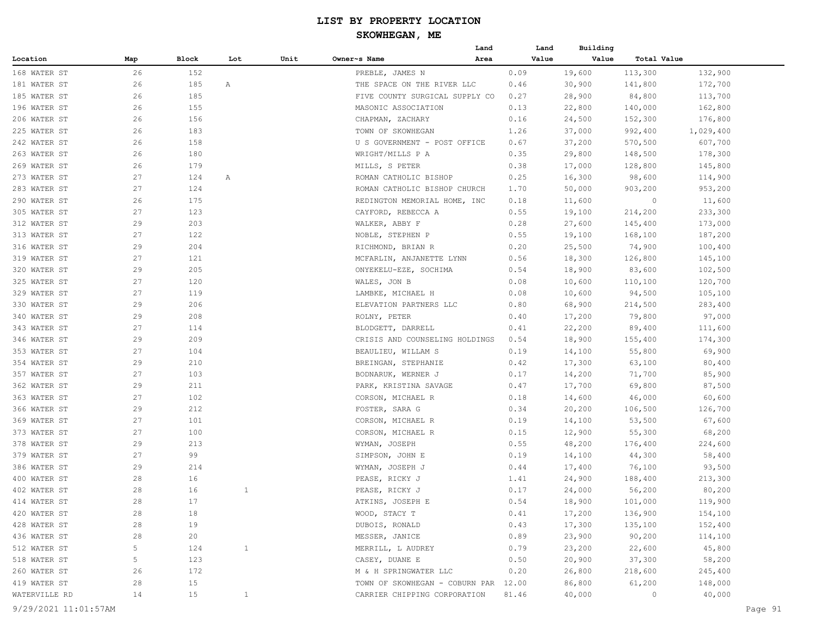|               |     |        |              |      |                                      | Land | Land  | Building |             |           |
|---------------|-----|--------|--------------|------|--------------------------------------|------|-------|----------|-------------|-----------|
| Location      | Map | Block  | Lot          | Unit | Owner~s Name                         | Area | Value | Value    | Total Value |           |
| 168 WATER ST  | 26  | 152    |              |      | PREBLE, JAMES N                      |      | 0.09  | 19,600   | 113,300     | 132,900   |
| 181 WATER ST  | 26  | 185    | Α            |      | THE SPACE ON THE RIVER LLC           |      | 0.46  | 30,900   | 141,800     | 172,700   |
| 185 WATER ST  | 26  | 185    |              |      | FIVE COUNTY SURGICAL SUPPLY CO       |      | 0.27  | 28,900   | 84,800      | 113,700   |
| 196 WATER ST  | 26  | 155    |              |      | MASONIC ASSOCIATION                  |      | 0.13  | 22,800   | 140,000     | 162,800   |
| 206 WATER ST  | 26  | 156    |              |      | CHAPMAN, ZACHARY                     |      | 0.16  | 24,500   | 152,300     | 176,800   |
| 225 WATER ST  | 26  | 183    |              |      | TOWN OF SKOWHEGAN                    |      | 1.26  | 37,000   | 992,400     | 1,029,400 |
| 242 WATER ST  | 26  | 158    |              |      | U S GOVERNMENT - POST OFFICE         |      | 0.67  | 37,200   | 570,500     | 607,700   |
| 263 WATER ST  | 26  | 180    |              |      | WRIGHT/MILLS P A                     |      | 0.35  | 29,800   | 148,500     | 178,300   |
| 269 WATER ST  | 26  | 179    |              |      | MILLS, S PETER                       |      | 0.38  | 17,000   | 128,800     | 145,800   |
| 273 WATER ST  | 27  | 124    | Α            |      | ROMAN CATHOLIC BISHOP                |      | 0.25  | 16,300   | 98,600      | 114,900   |
| 283 WATER ST  | 27  | 124    |              |      | ROMAN CATHOLIC BISHOP CHURCH         |      | 1.70  | 50,000   | 903,200     | 953,200   |
| 290 WATER ST  | 26  | 175    |              |      | REDINGTON MEMORIAL HOME, INC         |      | 0.18  | 11,600   | $\circ$     | 11,600    |
| 305 WATER ST  | 27  | 123    |              |      | CAYFORD, REBECCA A                   |      | 0.55  | 19,100   | 214,200     | 233,300   |
| 312 WATER ST  | 29  | 203    |              |      | WALKER, ABBY F                       |      | 0.28  | 27,600   | 145,400     | 173,000   |
| 313 WATER ST  | 27  | 122    |              |      | NOBLE, STEPHEN P                     |      | 0.55  | 19,100   | 168,100     | 187,200   |
| 316 WATER ST  | 29  | 204    |              |      | RICHMOND, BRIAN R                    |      | 0.20  | 25,500   | 74,900      | 100,400   |
| 319 WATER ST  | 27  | 121    |              |      | MCFARLIN, ANJANETTE LYNN             |      | 0.56  | 18,300   | 126,800     | 145,100   |
| 320 WATER ST  | 29  | 205    |              |      | ONYEKELU-EZE, SOCHIMA                |      | 0.54  | 18,900   | 83,600      | 102,500   |
| 325 WATER ST  | 27  | 120    |              |      | WALES, JON B                         |      | 0.08  | 10,600   | 110,100     | 120,700   |
| 329 WATER ST  | 27  | 119    |              |      | LAMBKE, MICHAEL H                    |      | 0.08  | 10,600   | 94,500      | 105,100   |
| 330 WATER ST  | 29  | 206    |              |      | ELEVATION PARTNERS LLC               |      | 0.80  | 68,900   | 214,500     | 283,400   |
| 340 WATER ST  | 29  | 208    |              |      | ROLNY, PETER                         |      | 0.40  | 17,200   | 79,800      | 97,000    |
| 343 WATER ST  | 27  | 114    |              |      | BLODGETT, DARRELL                    |      | 0.41  | 22,200   | 89,400      | 111,600   |
| 346 WATER ST  | 29  | 209    |              |      | CRISIS AND COUNSELING HOLDINGS       |      | 0.54  | 18,900   | 155,400     | 174,300   |
| 353 WATER ST  | 27  | 104    |              |      | BEAULIEU, WILLAM S                   |      | 0.19  | 14,100   | 55,800      | 69,900    |
| 354 WATER ST  | 29  | 210    |              |      | BREINGAN, STEPHANIE                  |      | 0.42  | 17,300   | 63,100      | 80,400    |
| 357 WATER ST  | 27  | 103    |              |      | BODNARUK, WERNER J                   |      | 0.17  | 14,200   | 71,700      | 85,900    |
| 362 WATER ST  | 29  | 211    |              |      | PARK, KRISTINA SAVAGE                |      | 0.47  | 17,700   | 69,800      | 87,500    |
| 363 WATER ST  | 27  | 102    |              |      | CORSON, MICHAEL R                    |      | 0.18  | 14,600   | 46,000      | 60,600    |
| 366 WATER ST  | 29  | 212    |              |      | FOSTER, SARA G                       |      | 0.34  | 20,200   | 106,500     | 126,700   |
| 369 WATER ST  | 27  | 101    |              |      | CORSON, MICHAEL R                    |      | 0.19  | 14,100   | 53,500      | 67,600    |
| 373 WATER ST  | 27  | 100    |              |      | CORSON, MICHAEL R                    |      | 0.15  | 12,900   | 55,300      | 68,200    |
| 378 WATER ST  | 29  | 213    |              |      | WYMAN, JOSEPH                        |      | 0.55  | 48,200   | 176,400     | 224,600   |
| 379 WATER ST  | 27  | 99     |              |      | SIMPSON, JOHN E                      |      | 0.19  | 14,100   | 44,300      | 58,400    |
| 386 WATER ST  | 29  | 214    |              |      | WYMAN, JOSEPH J                      |      | 0.44  | 17,400   | 76,100      | 93,500    |
| 400 WATER ST  | 28  | 16     |              |      | PEASE, RICKY J                       |      | 1.41  | 24,900   | 188,400     | 213,300   |
| 402 WATER ST  | 28  | 16     | 1            |      | PEASE, RICKY J                       |      | 0.17  | 24,000   | 56,200      | 80,200    |
| 414 WATER ST  | 28  | $17\,$ |              |      | ATKINS, JOSEPH E                     |      | 0.54  | 18,900   | 101,000     | 119,900   |
| 420 WATER ST  | 28  | 18     |              |      | WOOD, STACY T                        |      | 0.41  | 17,200   | 136,900     | 154,100   |
| 428 WATER ST  | 28  | 19     |              |      | DUBOIS, RONALD                       |      | 0.43  | 17,300   | 135,100     | 152,400   |
| 436 WATER ST  | 28  | 20     |              |      | MESSER, JANICE                       |      | 0.89  | 23,900   | 90,200      | 114,100   |
| 512 WATER ST  | 5   | 124    | $\mathbf{1}$ |      | MERRILL, L AUDREY                    |      | 0.79  | 23,200   | 22,600      | 45,800    |
| 518 WATER ST  | 5   | 123    |              |      | CASEY, DUANE E                       |      | 0.50  | 20,900   | 37,300      | 58,200    |
| 260 WATER ST  | 26  | 172    |              |      | M & H SPRINGWATER LLC                |      | 0.20  | 26,800   | 218,600     | 245,400   |
| 419 WATER ST  | 28  | 15     |              |      | TOWN OF SKOWHEGAN - COBURN PAR 12.00 |      |       | 86,800   | 61,200      | 148,000   |
| WATERVILLE RD | 14  | 15     | $\mathbf{1}$ |      | CARRIER CHIPPING CORPORATION         |      | 81.46 | 40,000   | 0           | 40,000    |
|               |     |        |              |      |                                      |      |       |          |             |           |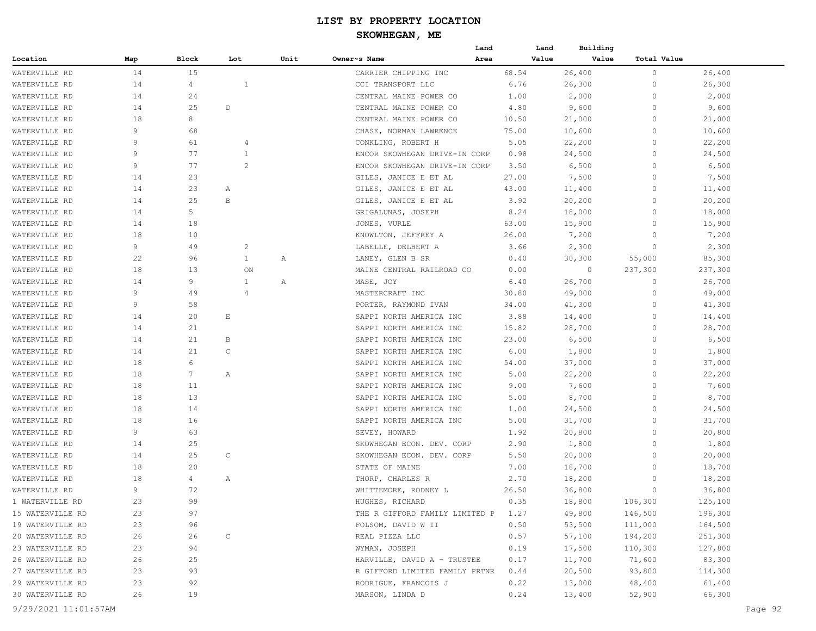|                  |     |                 |              |                |              |                                     | Land | Land  | Building |             |         |
|------------------|-----|-----------------|--------------|----------------|--------------|-------------------------------------|------|-------|----------|-------------|---------|
| Location         | Map | Block           | Lot          |                | Unit         | Owner~s Name                        | Area | Value | Value    | Total Value |         |
| WATERVILLE RD    | 14  | 15              |              |                |              | CARRIER CHIPPING INC                |      | 68.54 | 26,400   | $\circ$     | 26,400  |
| WATERVILLE RD    | 14  | $\overline{4}$  |              | 1              |              | CCI TRANSPORT LLC                   |      | 6.76  | 26,300   | $\circ$     | 26,300  |
| WATERVILLE RD    | 14  | 24              |              |                |              | CENTRAL MAINE POWER CO              |      | 1.00  | 2,000    | $\circ$     | 2,000   |
| WATERVILLE RD    | 14  | 25              | D            |                |              | CENTRAL MAINE POWER CO              |      | 4.80  | 9,600    | $\circ$     | 9,600   |
| WATERVILLE RD    | 18  | 8               |              |                |              | CENTRAL MAINE POWER CO              |      | 10.50 | 21,000   | $\Omega$    | 21,000  |
| WATERVILLE RD    | 9   | 68              |              |                |              | CHASE, NORMAN LAWRENCE              |      | 75.00 | 10,600   | $\circ$     | 10,600  |
| WATERVILLE RD    | 9   | 61              |              | 4              |              | CONKLING, ROBERT H                  |      | 5.05  | 22,200   | $\circ$     | 22,200  |
| WATERVILLE RD    | 9   | 77              |              | 1              |              | ENCOR SKOWHEGAN DRIVE-IN CORP       |      | 0.98  | 24,500   | $\circ$     | 24,500  |
| WATERVILLE RD    | 9   | 77              |              | $\overline{c}$ |              | ENCOR SKOWHEGAN DRIVE-IN CORP       |      | 3.50  | 6,500    | $\circ$     | 6,500   |
| WATERVILLE RD    | 14  | 23              |              |                |              | GILES, JANICE E ET AL               |      | 27.00 | 7,500    | $\circ$     | 7,500   |
| WATERVILLE RD    | 14  | 23              | Α            |                |              | GILES, JANICE E ET AL               |      | 43.00 | 11,400   | $\circ$     | 11,400  |
| WATERVILLE RD    | 14  | 25              | B            |                |              | GILES, JANICE E ET AL               |      | 3.92  | 20,200   | $\circ$     | 20,200  |
| WATERVILLE RD    | 14  | 5               |              |                |              | GRIGALUNAS, JOSEPH                  |      | 8.24  | 18,000   | $\Omega$    | 18,000  |
| WATERVILLE RD    | 14  | 18              |              |                |              | JONES, VURLE                        |      | 63.00 | 15,900   | $\circ$     | 15,900  |
| WATERVILLE RD    | 18  | 10              |              |                |              | KNOWLTON, JEFFREY A                 |      | 26.00 | 7,200    | $\Omega$    | 7,200   |
| WATERVILLE RD    | 9   | 49              |              | $\overline{c}$ |              | LABELLE, DELBERT A                  |      | 3.66  | 2,300    | $\Omega$    | 2,300   |
| WATERVILLE RD    | 22  | 96              |              | $\mathbf{1}$   | $\mathbb{A}$ | LANEY, GLEN B SR                    |      | 0.40  | 30,300   | 55,000      | 85,300  |
| WATERVILLE RD    | 18  | 13              |              | ON             |              | MAINE CENTRAL RAILROAD CO           |      | 0.00  | $\circ$  | 237,300     | 237,300 |
| WATERVILLE RD    | 14  | 9               |              | $\mathbf{1}$   | Α            | MASE, JOY                           |      | 6.40  | 26,700   | $\circ$     | 26,700  |
| WATERVILLE RD    | 9   | 49              |              | $\overline{4}$ |              | MASTERCRAFT INC                     |      | 30.80 | 49,000   | $\circ$     | 49,000  |
| WATERVILLE RD    | 9   | 58              |              |                |              | PORTER, RAYMOND IVAN                |      | 34.00 | 41,300   | $\Omega$    | 41,300  |
| WATERVILLE RD    | 14  | 20              | Ε            |                |              | SAPPI NORTH AMERICA INC             |      | 3.88  | 14,400   | $\circ$     | 14,400  |
| WATERVILLE RD    | 14  | 21              |              |                |              | SAPPI NORTH AMERICA INC             |      | 15.82 | 28,700   | $\circ$     | 28,700  |
| WATERVILLE RD    | 14  | 21              | B            |                |              | SAPPI NORTH AMERICA INC             |      | 23.00 | 6,500    | $\circ$     | 6,500   |
| WATERVILLE RD    | 14  | 21              | $\mathsf{C}$ |                |              | SAPPI NORTH AMERICA INC             |      | 6.00  | 1,800    | $\circ$     | 1,800   |
| WATERVILLE RD    | 18  | 6               |              |                |              | SAPPI NORTH AMERICA INC             |      | 54.00 | 37,000   | $\circ$     | 37,000  |
| WATERVILLE RD    | 18  | $7\phantom{.0}$ | Α            |                |              | SAPPI NORTH AMERICA INC             |      | 5.00  | 22,200   | $\circ$     | 22,200  |
| WATERVILLE RD    | 18  | 11              |              |                |              | SAPPI NORTH AMERICA INC             |      | 9.00  | 7,600    | $\circ$     | 7,600   |
| WATERVILLE RD    | 18  | 13              |              |                |              | SAPPI NORTH AMERICA INC             |      | 5.00  | 8,700    | $\Omega$    | 8,700   |
| WATERVILLE RD    | 18  | 14              |              |                |              | SAPPI NORTH AMERICA INC             |      | 1.00  | 24,500   | $\circ$     | 24,500  |
| WATERVILLE RD    | 18  | 16              |              |                |              | SAPPI NORTH AMERICA INC             |      | 5.00  | 31,700   | $\Omega$    | 31,700  |
| WATERVILLE RD    | 9   | 63              |              |                |              | SEVEY, HOWARD                       |      | 1.92  | 20,800   | $\circ$     | 20,800  |
| WATERVILLE RD    | 14  | 25              |              |                |              | SKOWHEGAN ECON. DEV. CORP           |      | 2.90  | 1,800    | $\circ$     | 1,800   |
| WATERVILLE RD    | 14  | 25              | $\mathsf{C}$ |                |              | SKOWHEGAN ECON. DEV. CORP           |      | 5.50  | 20,000   | $\circ$     | 20,000  |
| WATERVILLE RD    | 18  | 20              |              |                |              | STATE OF MAINE                      |      | 7.00  | 18,700   | $\Omega$    | 18,700  |
| WATERVILLE RD    | 18  | $\overline{4}$  | Α            |                |              | THORP, CHARLES R                    |      | 2.70  | 18,200   | $\circ$     | 18,200  |
| WATERVILLE RD    | 9   | 72              |              |                |              | WHITTEMORE, RODNEY L                |      | 26.50 | 36,800   | $\Omega$    | 36,800  |
| 1 WATERVILLE RD  | 23  | 99              |              |                |              | HUGHES, RICHARD                     |      | 0.35  | 18,800   | 106,300     | 125,100 |
| 15 WATERVILLE RD | 23  | 97              |              |                |              | THE R GIFFORD FAMILY LIMITED P 1.27 |      |       | 49,800   | 146,500     | 196,300 |
| 19 WATERVILLE RD | 23  | 96              |              |                |              | FOLSOM, DAVID W II                  |      | 0.50  | 53,500   | 111,000     | 164,500 |
| 20 WATERVILLE RD | 26  | 26              | $\mathsf{C}$ |                |              | REAL PIZZA LLC                      |      | 0.57  | 57,100   | 194,200     | 251,300 |
| 23 WATERVILLE RD | 23  | 94              |              |                |              | WYMAN, JOSEPH                       |      | 0.19  | 17,500   | 110,300     | 127,800 |
| 26 WATERVILLE RD | 26  | 25              |              |                |              | HARVILLE, DAVID A - TRUSTEE         |      | 0.17  | 11,700   | 71,600      | 83,300  |
| 27 WATERVILLE RD | 23  | 93              |              |                |              | R GIFFORD LIMITED FAMILY PRTNR      |      | 0.44  | 20,500   | 93,800      | 114,300 |
| 29 WATERVILLE RD | 23  | 92              |              |                |              | RODRIGUE, FRANCOIS J                |      | 0.22  | 13,000   | 48,400      | 61,400  |
| 30 WATERVILLE RD | 26  | 19              |              |                |              | MARSON, LINDA D                     |      | 0.24  | 13,400   | 52,900      | 66,300  |
|                  |     |                 |              |                |              |                                     |      |       |          |             |         |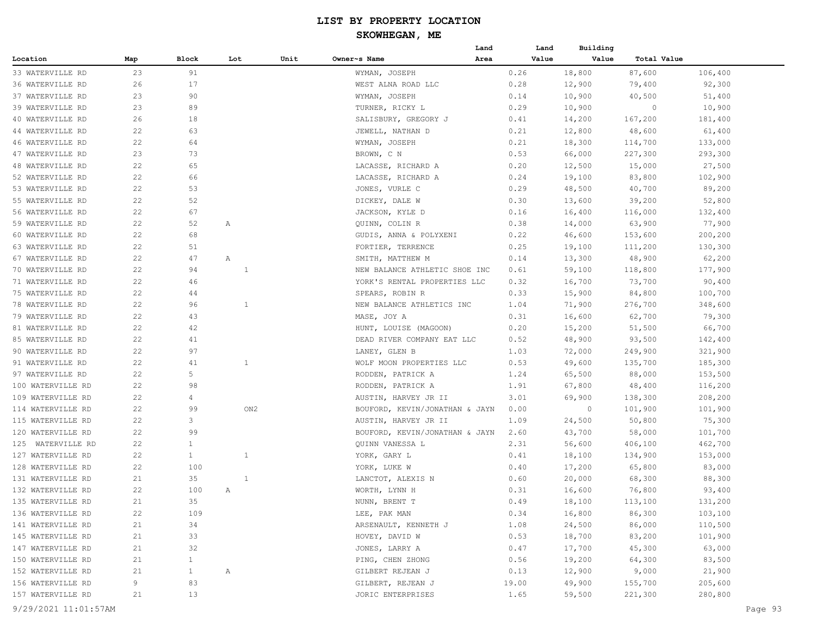|                         |     |              |              |      |                                | Land | Land  | Building |             |         |
|-------------------------|-----|--------------|--------------|------|--------------------------------|------|-------|----------|-------------|---------|
| Location                | Map | Block        | Lot          | Unit | Owner~s Name                   | Area | Value | Value    | Total Value |         |
| 33 WATERVILLE RD        | 23  | 91           |              |      | WYMAN, JOSEPH                  |      | 0.26  | 18,800   | 87,600      | 106,400 |
| 36 WATERVILLE RD        | 26  | 17           |              |      | WEST ALNA ROAD LLC             |      | 0.28  | 12,900   | 79,400      | 92,300  |
| 37 WATERVILLE RD        | 23  | 90           |              |      | WYMAN, JOSEPH                  |      | 0.14  | 10,900   | 40,500      | 51,400  |
| 39 WATERVILLE RD        | 23  | 89           |              |      | TURNER, RICKY L                |      | 0.29  | 10,900   | $\circ$     | 10,900  |
| 40 WATERVILLE RD        | 26  | 18           |              |      | SALISBURY, GREGORY J           |      | 0.41  | 14,200   | 167,200     | 181,400 |
| 44 WATERVILLE RD        | 22  | 63           |              |      | JEWELL, NATHAN D               |      | 0.21  | 12,800   | 48,600      | 61,400  |
| <b>46 WATERVILLE RD</b> | 22  | 64           |              |      | WYMAN, JOSEPH                  |      | 0.21  | 18,300   | 114,700     | 133,000 |
| 47 WATERVILLE RD        | 23  | 73           |              |      | BROWN, C N                     |      | 0.53  | 66,000   | 227,300     | 293,300 |
| 48 WATERVILLE RD        | 22  | 65           |              |      | LACASSE, RICHARD A             |      | 0.20  | 12,500   | 15,000      | 27,500  |
| 52 WATERVILLE RD        | 22  | 66           |              |      | LACASSE, RICHARD A             |      | 0.24  | 19,100   | 83,800      | 102,900 |
| 53 WATERVILLE RD        | 22  | 53           |              |      | JONES, VURLE C                 |      | 0.29  | 48,500   | 40,700      | 89,200  |
| 55 WATERVILLE RD        | 22  | 52           |              |      | DICKEY, DALE W                 |      | 0.30  | 13,600   | 39,200      | 52,800  |
| 56 WATERVILLE RD        | 22  | 67           |              |      | JACKSON, KYLE D                |      | 0.16  | 16,400   | 116,000     | 132,400 |
| 59 WATERVILLE RD        | 22  | 52           | Α            |      | QUINN, COLIN R                 |      | 0.38  | 14,000   | 63,900      | 77,900  |
| 60 WATERVILLE RD        | 22  | 68           |              |      | GUDIS, ANNA & POLYXENI         |      | 0.22  | 46,600   | 153,600     | 200,200 |
| 63 WATERVILLE RD        | 22  | 51           |              |      | FORTIER, TERRENCE              |      | 0.25  | 19,100   | 111,200     | 130,300 |
| 67 WATERVILLE RD        | 22  | 47           | Α            |      | SMITH, MATTHEW M               |      | 0.14  | 13,300   | 48,900      | 62,200  |
| 70 WATERVILLE RD        | 22  | 94           | 1            |      | NEW BALANCE ATHLETIC SHOE INC  |      | 0.61  | 59,100   | 118,800     | 177,900 |
| 71 WATERVILLE RD        | 22  | 46           |              |      | YORK'S RENTAL PROPERTIES LLC   |      | 0.32  | 16,700   | 73,700      | 90,400  |
| 75 WATERVILLE RD        | 22  | 44           |              |      | SPEARS, ROBIN R                |      | 0.33  | 15,900   | 84,800      | 100,700 |
| 78 WATERVILLE RD        | 22  | 96           | 1            |      | NEW BALANCE ATHLETICS INC      |      | 1.04  | 71,900   | 276,700     | 348,600 |
| 79 WATERVILLE RD        | 22  | 43           |              |      | MASE, JOY A                    |      | 0.31  | 16,600   | 62,700      | 79,300  |
| 81 WATERVILLE RD        | 22  | 42           |              |      | HUNT, LOUISE (MAGOON)          |      | 0.20  | 15,200   | 51,500      | 66,700  |
| 85 WATERVILLE RD        | 22  | 41           |              |      | DEAD RIVER COMPANY EAT LLC     |      | 0.52  | 48,900   | 93,500      | 142,400 |
| 90 WATERVILLE RD        | 22  | 97           |              |      | LANEY, GLEN B                  |      | 1.03  | 72,000   | 249,900     | 321,900 |
| 91 WATERVILLE RD        | 22  | 41           | $\mathbf{1}$ |      | WOLF MOON PROPERTIES LLC       |      | 0.53  | 49,600   | 135,700     | 185,300 |
| 97 WATERVILLE RD        | 22  | 5            |              |      | RODDEN, PATRICK A              |      | 1.24  | 65,500   | 88,000      | 153,500 |
| 100 WATERVILLE RD       | 22  | 98           |              |      | RODDEN, PATRICK A              |      | 1.91  | 67,800   | 48,400      | 116,200 |
| 109 WATERVILLE RD       | 22  | 4            |              |      | AUSTIN, HARVEY JR II           |      | 3.01  | 69,900   | 138,300     | 208,200 |
| 114 WATERVILLE RD       | 22  | 99           | ON2          |      | BOUFORD, KEVIN/JONATHAN & JAYN |      | 0.00  | $\circ$  | 101,900     | 101,900 |
| 115 WATERVILLE RD       | 22  | 3            |              |      | AUSTIN, HARVEY JR II           |      | 1.09  | 24,500   | 50,800      | 75,300  |
| 120 WATERVILLE RD       | 22  | 99           |              |      | BOUFORD, KEVIN/JONATHAN & JAYN |      | 2.60  | 43,700   | 58,000      | 101,700 |
| 125 WATERVILLE RD       | 22  | $\mathbf{1}$ |              |      | QUINN VANESSA L                |      | 2.31  | 56,600   | 406,100     | 462,700 |
| 127 WATERVILLE RD       | 22  | $\mathbf{1}$ | 1            |      | YORK, GARY L                   |      | 0.41  | 18,100   | 134,900     | 153,000 |
| 128 WATERVILLE RD       | 22  | 100          |              |      | YORK, LUKE W                   |      | 0.40  | 17,200   | 65,800      | 83,000  |
| 131 WATERVILLE RD       | 21  | 35           | 1            |      | LANCTOT, ALEXIS N              |      | 0.60  | 20,000   | 68,300      | 88,300  |
| 132 WATERVILLE RD       | 22  | 100          | Α            |      | WORTH, LYNN H                  |      | 0.31  | 16,600   | 76,800      | 93,400  |
| 135 WATERVILLE RD       | 21  | 35           |              |      | NUNN, BRENT T                  |      | 0.49  | 18,100   | 113,100     | 131,200 |
| 136 WATERVILLE RD       | 22  | 109          |              |      | LEE, PAK MAN                   |      | 0.34  | 16,800   | 86,300      | 103,100 |
| 141 WATERVILLE RD       | 21  | 34           |              |      | ARSENAULT, KENNETH J           |      | 1.08  | 24,500   | 86,000      | 110,500 |
| 145 WATERVILLE RD       | 21  | 33           |              |      | HOVEY, DAVID W                 |      | 0.53  | 18,700   | 83,200      | 101,900 |
| 147 WATERVILLE RD       | 21  | 32           |              |      | JONES, LARRY A                 |      | 0.47  | 17,700   | 45,300      | 63,000  |
| 150 WATERVILLE RD       | 21  | $\mathbf{1}$ |              |      | PING, CHEN ZHONG               |      | 0.56  | 19,200   | 64,300      | 83,500  |
| 152 WATERVILLE RD       | 21  | 1            | $\mathbb{A}$ |      | GILBERT REJEAN J               |      | 0.13  | 12,900   | 9,000       | 21,900  |
| 156 WATERVILLE RD       | 9   | 83           |              |      | GILBERT, REJEAN J              |      | 19.00 | 49,900   | 155,700     | 205,600 |
| 157 WATERVILLE RD       | 21  | 13           |              |      | JORIC ENTERPRISES              |      | 1.65  | 59,500   | 221,300     | 280,800 |
|                         |     |              |              |      |                                |      |       |          |             |         |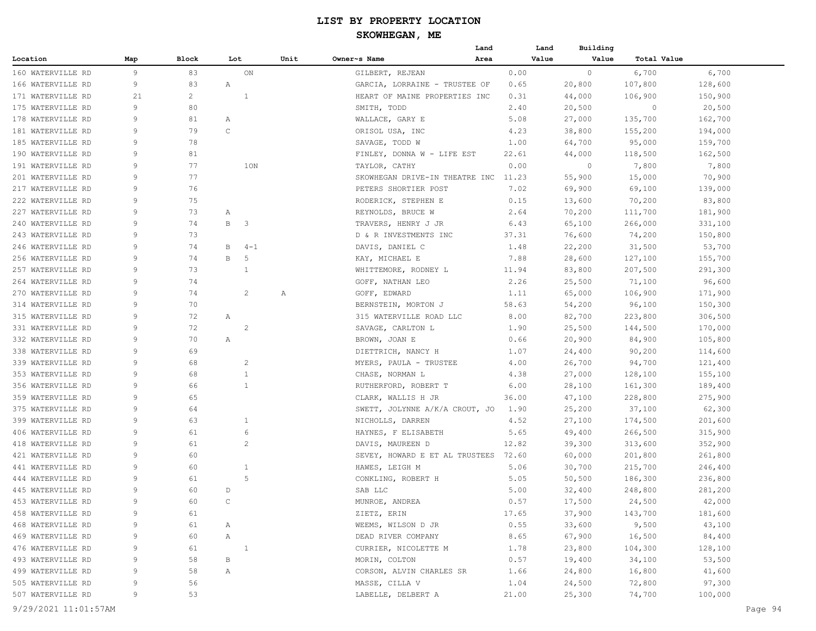|                   |              |                |              |                         |      | Land                                 |       | Land  | Building |             |         |
|-------------------|--------------|----------------|--------------|-------------------------|------|--------------------------------------|-------|-------|----------|-------------|---------|
| Location          | Map          | Block          | Lot          |                         | Unit | Owner~s Name<br>Area                 |       | Value | Value    | Total Value |         |
| 160 WATERVILLE RD | 9            | 83             |              | ON                      |      | GILBERT, REJEAN                      | 0.00  |       | $\circ$  | 6,700       | 6,700   |
| 166 WATERVILLE RD | 9            | 83             | Α            |                         |      | GARCIA, LORRAINE - TRUSTEE OF        | 0.65  |       | 20,800   | 107,800     | 128,600 |
| 171 WATERVILLE RD | 21           | $\overline{c}$ |              | 1                       |      | HEART OF MAINE PROPERTIES INC        | 0.31  |       | 44,000   | 106,900     | 150,900 |
| 175 WATERVILLE RD | 9            | 80             |              |                         |      | SMITH, TODD                          | 2.40  |       | 20,500   | $\circ$     | 20,500  |
| 178 WATERVILLE RD | 9            | 81             | Α            |                         |      | WALLACE, GARY E                      | 5.08  |       | 27,000   | 135,700     | 162,700 |
| 181 WATERVILLE RD | 9            | 79             | C            |                         |      | ORISOL USA, INC                      | 4.23  |       | 38,800   | 155,200     | 194,000 |
| 185 WATERVILLE RD | 9            | 78             |              |                         |      | SAVAGE, TODD W                       | 1.00  |       | 64,700   | 95,000      | 159,700 |
| 190 WATERVILLE RD | 9            | 81             |              |                         |      | FINLEY, DONNA W - LIFE EST           | 22.61 |       | 44,000   | 118,500     | 162,500 |
| 191 WATERVILLE RD | 9            | 77             |              | 1ON                     |      | TAYLOR, CATHY                        | 0.00  |       | $\circ$  | 7,800       | 7,800   |
| 201 WATERVILLE RD | 9            | 77             |              |                         |      | SKOWHEGAN DRIVE-IN THEATRE INC 11.23 |       |       | 55,900   | 15,000      | 70,900  |
| 217 WATERVILLE RD | 9            | 76             |              |                         |      | PETERS SHORTIER POST                 | 7.02  |       | 69,900   | 69,100      | 139,000 |
| 222 WATERVILLE RD | 9            | 75             |              |                         |      | RODERICK, STEPHEN E                  | 0.15  |       | 13,600   | 70,200      | 83,800  |
| 227 WATERVILLE RD | 9            | 73             | Α            |                         |      | REYNOLDS, BRUCE W                    | 2.64  |       | 70,200   | 111,700     | 181,900 |
| 240 WATERVILLE RD | 9            | 74             | B            | $\overline{\mathbf{3}}$ |      | TRAVERS, HENRY J JR                  | 6.43  |       | 65,100   | 266,000     | 331,100 |
| 243 WATERVILLE RD | 9            | 73             |              |                         |      | D & R INVESTMENTS INC                | 37.31 |       | 76,600   | 74,200      | 150,800 |
| 246 WATERVILLE RD | 9            | 74             | В            | $4 - 1$                 |      | DAVIS, DANIEL C                      | 1.48  |       | 22,200   | 31,500      | 53,700  |
| 256 WATERVILLE RD | 9            | 74             | В            | 5                       |      | KAY, MICHAEL E                       | 7.88  |       | 28,600   | 127,100     | 155,700 |
| 257 WATERVILLE RD | 9            | 73             |              | 1                       |      | WHITTEMORE, RODNEY L                 | 11.94 |       | 83,800   | 207,500     | 291,300 |
| 264 WATERVILLE RD | 9            | 74             |              |                         |      | GOFF, NATHAN LEO                     | 2.26  |       | 25,500   | 71,100      | 96,600  |
| 270 WATERVILLE RD | 9            | 74             |              | 2                       | Α    | GOFF, EDWARD                         | 1.11  |       | 65,000   | 106,900     | 171,900 |
| 314 WATERVILLE RD | 9            | 70             |              |                         |      | BERNSTEIN, MORTON J                  | 58.63 |       | 54,200   | 96,100      | 150,300 |
| 315 WATERVILLE RD | 9            | 72             | Α            |                         |      | 315 WATERVILLE ROAD LLC              | 8.00  |       | 82,700   | 223,800     | 306,500 |
| 331 WATERVILLE RD | 9            | 72             |              | 2                       |      |                                      | 1.90  |       |          |             |         |
|                   | 9            | 70             |              |                         |      | SAVAGE, CARLTON L                    |       |       | 25,500   | 144,500     | 170,000 |
| 332 WATERVILLE RD |              |                | Α            |                         |      | BROWN, JOAN E                        | 0.66  |       | 20,900   | 84,900      | 105,800 |
| 338 WATERVILLE RD | 9            | 69             |              |                         |      | DIETTRICH, NANCY H                   | 1.07  |       | 24,400   | 90,200      | 114,600 |
| 339 WATERVILLE RD | 9            | 68             |              | 2                       |      | MYERS, PAULA - TRUSTEE               | 4.00  |       | 26,700   | 94,700      | 121,400 |
| 353 WATERVILLE RD | 9            | 68             |              | $\mathbf{1}$            |      | CHASE, NORMAN L                      | 4.38  |       | 27,000   | 128,100     | 155,100 |
| 356 WATERVILLE RD | 9            | 66             |              | $\mathbf{1}$            |      | RUTHERFORD, ROBERT T                 | 6.00  |       | 28,100   | 161,300     | 189,400 |
| 359 WATERVILLE RD | 9            | 65             |              |                         |      | CLARK, WALLIS H JR                   | 36.00 |       | 47,100   | 228,800     | 275,900 |
| 375 WATERVILLE RD | 9            | 64             |              |                         |      | SWETT, JOLYNNE A/K/A CROUT, JO       | 1.90  |       | 25,200   | 37,100      | 62,300  |
| 399 WATERVILLE RD | 9            | 63             |              | 1                       |      | NICHOLLS, DARREN                     | 4.52  |       | 27,100   | 174,500     | 201,600 |
| 406 WATERVILLE RD | 9            | 61             |              | 6                       |      | HAYNES, F ELISABETH                  | 5.65  |       | 49,400   | 266,500     | 315,900 |
| 418 WATERVILLE RD | 9            | 61             |              | 2                       |      | DAVIS, MAUREEN D                     | 12.82 |       | 39,300   | 313,600     | 352,900 |
| 421 WATERVILLE RD | 9            | 60             |              |                         |      | SEVEY, HOWARD E ET AL TRUSTEES 72.60 |       |       | 60,000   | 201,800     | 261,800 |
| 441 WATERVILLE RD | 9            | 60             |              | 1                       |      | HAWES, LEIGH M                       | 5.06  |       | 30,700   | 215,700     | 246,400 |
| 444 WATERVILLE RD | 9            | 61             |              | 5                       |      | CONKLING, ROBERT H                   | 5.05  |       | 50, 500  | 186,300     | 236,800 |
| 445 WATERVILLE RD | 9            | 60             | D            |                         |      | SAB LLC                              | 5.00  |       | 32,400   | 248,800     | 281,200 |
| 453 WATERVILLE RD | $\mathsf{Q}$ | 60             | $\mathsf{C}$ |                         |      | MUNROE, ANDREA                       | 0.57  |       | 17,500   | 24,500      | 42,000  |
| 458 WATERVILLE RD | 9            | 61             |              |                         |      | ZIETZ, ERIN                          | 17.65 |       | 37,900   | 143,700     | 181,600 |
| 468 WATERVILLE RD | 9            | 61             | A            |                         |      | WEEMS, WILSON D JR                   | 0.55  |       | 33,600   | 9,500       | 43,100  |
| 469 WATERVILLE RD | 9            | 60             | A            |                         |      | DEAD RIVER COMPANY                   | 8.65  |       | 67,900   | 16,500      | 84,400  |
| 476 WATERVILLE RD | 9            | 61             | $\sim$ 1     |                         |      | CURRIER, NICOLETTE M                 | 1.78  |       | 23,800   | 104,300     | 128,100 |
| 493 WATERVILLE RD | 9            | 58             | В            |                         |      | MORIN, COLTON                        | 0.57  |       | 19,400   | 34,100      | 53,500  |
| 499 WATERVILLE RD | 9            | 58             | $\mathbb{A}$ |                         |      | CORSON, ALVIN CHARLES SR             | 1.66  |       | 24,800   | 16,800      | 41,600  |
| 505 WATERVILLE RD | 9            | 56             |              |                         |      | MASSE, CILLA V                       | 1.04  |       | 24,500   | 72,800      | 97,300  |
| 507 WATERVILLE RD | 9            | 53             |              |                         |      | LABELLE, DELBERT A                   | 21.00 |       | 25,300   | 74,700      | 100,000 |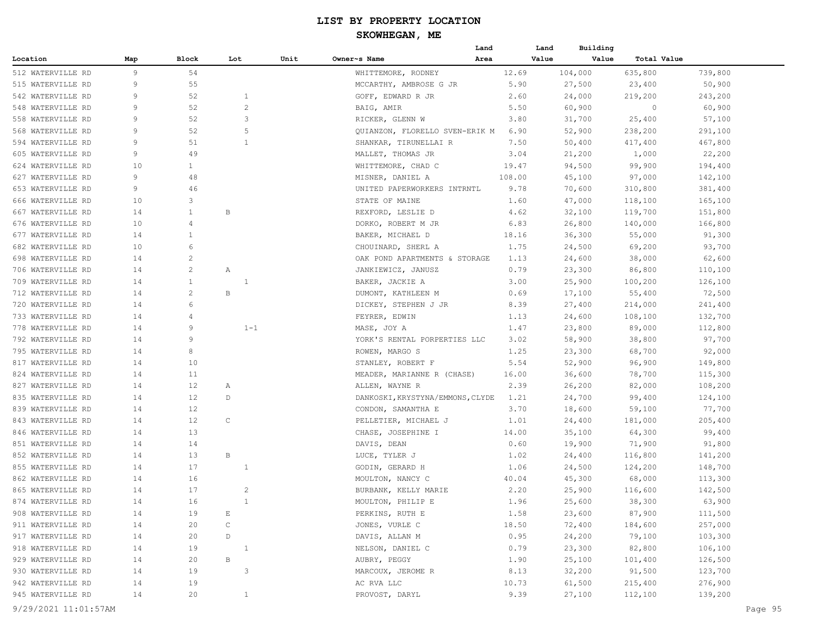|                   |     |                |                |      |                                  | Land   | Land    | Building             |         |
|-------------------|-----|----------------|----------------|------|----------------------------------|--------|---------|----------------------|---------|
| Location          | Map | Block          | Lot            | Unit | Owner~s Name                     | Area   | Value   | Value<br>Total Value |         |
| 512 WATERVILLE RD | 9   | 54             |                |      | WHITTEMORE, RODNEY               | 12.69  | 104,000 | 635,800              | 739,800 |
| 515 WATERVILLE RD | 9   | 55             |                |      | MCCARTHY, AMBROSE G JR           | 5.90   | 27,500  | 23,400               | 50,900  |
| 542 WATERVILLE RD | 9   | 52             | $\mathbf{1}$   |      | GOFF, EDWARD R JR                | 2.60   | 24,000  | 219,200              | 243,200 |
| 548 WATERVILLE RD | 9   | 52             | $\overline{c}$ |      | BAIG, AMIR                       | 5.50   | 60,900  | $\circ$              | 60,900  |
| 558 WATERVILLE RD | 9   | 52             | 3              |      | RICKER, GLENN W                  | 3.80   | 31,700  | 25,400               | 57,100  |
| 568 WATERVILLE RD | 9   | 52             | 5              |      | QUIANZON, FLORELLO SVEN-ERIK M   | 6.90   | 52,900  | 238,200              | 291,100 |
| 594 WATERVILLE RD | 9   | 51             | 1              |      | SHANKAR, TIRUNELLAI R            | 7.50   | 50,400  | 417,400              | 467,800 |
| 605 WATERVILLE RD | 9   | 49             |                |      | MALLET, THOMAS JR                | 3.04   | 21,200  | 1,000                | 22,200  |
| 624 WATERVILLE RD | 10  | $\mathbf{1}$   |                |      | WHITTEMORE, CHAD C               | 19.47  | 94,500  | 99,900               | 194,400 |
| 627 WATERVILLE RD | 9   | 48             |                |      | MISNER, DANIEL A                 | 108.00 | 45,100  | 97,000               | 142,100 |
| 653 WATERVILLE RD | 9   | 46             |                |      | UNITED PAPERWORKERS INTRNTL      | 9.78   | 70,600  | 310,800              | 381,400 |
| 666 WATERVILLE RD | 10  | 3              |                |      | STATE OF MAINE                   | 1.60   | 47,000  | 118,100              | 165,100 |
| 667 WATERVILLE RD | 14  | $\mathbf{1}$   | B              |      | REXFORD, LESLIE D                | 4.62   | 32,100  | 119,700              | 151,800 |
| 676 WATERVILLE RD | 10  | $\overline{4}$ |                |      | DORKO, ROBERT M JR               | 6.83   | 26,800  | 140,000              | 166,800 |
| 677 WATERVILLE RD | 14  | $\mathbf{1}$   |                |      | BAKER, MICHAEL D                 | 18.16  | 36,300  | 55,000               | 91,300  |
| 682 WATERVILLE RD | 10  | 6              |                |      | CHOUINARD, SHERL A               | 1.75   | 24,500  | 69,200               | 93,700  |
| 698 WATERVILLE RD | 14  | $\overline{c}$ |                |      | OAK POND APARTMENTS & STORAGE    | 1.13   | 24,600  | 38,000               | 62,600  |
| 706 WATERVILLE RD | 14  | 2              | Α              |      | JANKIEWICZ, JANUSZ               | 0.79   | 23,300  | 86,800               | 110,100 |
| 709 WATERVILLE RD | 14  | $\mathbf{1}$   | 1              |      | BAKER, JACKIE A                  | 3.00   | 25,900  |                      | 126,100 |
| 712 WATERVILLE RD | 14  | $\overline{c}$ | B              |      |                                  | 0.69   |         | 100,200              |         |
|                   | 14  | 6              |                |      | DUMONT, KATHLEEN M               |        | 17,100  | 55,400               | 72,500  |
| 720 WATERVILLE RD |     |                |                |      | DICKEY, STEPHEN J JR             | 8.39   | 27,400  | 214,000              | 241,400 |
| 733 WATERVILLE RD | 14  | 4              |                |      | FEYRER, EDWIN                    | 1.13   | 24,600  | 108,100              | 132,700 |
| 778 WATERVILLE RD | 14  | 9              | $1 - 1$        |      | MASE, JOY A                      | 1.47   | 23,800  | 89,000               | 112,800 |
| 792 WATERVILLE RD | 14  | 9              |                |      | YORK'S RENTAL PORPERTIES LLC     | 3.02   | 58,900  | 38,800               | 97,700  |
| 795 WATERVILLE RD | 14  | 8              |                |      | ROWEN, MARGO S                   | 1.25   | 23,300  | 68,700               | 92,000  |
| 817 WATERVILLE RD | 14  | 10             |                |      | STANLEY, ROBERT F                | 5.54   | 52,900  | 96,900               | 149,800 |
| 824 WATERVILLE RD | 14  | 11             |                |      | MEADER, MARIANNE R (CHASE)       | 16.00  | 36,600  | 78,700               | 115,300 |
| 827 WATERVILLE RD | 14  | 12             | Α              |      | ALLEN, WAYNE R                   | 2.39   | 26,200  | 82,000               | 108,200 |
| 835 WATERVILLE RD | 14  | 12             | $\mathbb D$    |      | DANKOSKI, KRYSTYNA/EMMONS, CLYDE | 1.21   | 24,700  | 99,400               | 124,100 |
| 839 WATERVILLE RD | 14  | 12             |                |      | CONDON, SAMANTHA E               | 3.70   | 18,600  | 59,100               | 77,700  |
| 843 WATERVILLE RD | 14  | 12             | C              |      | PELLETIER, MICHAEL J             | 1.01   | 24,400  | 181,000              | 205,400 |
| 846 WATERVILLE RD | 14  | 13             |                |      | CHASE, JOSEPHINE I               | 14.00  | 35,100  | 64,300               | 99,400  |
| 851 WATERVILLE RD | 14  | 14             |                |      | DAVIS, DEAN                      | 0.60   | 19,900  | 71,900               | 91,800  |
| 852 WATERVILLE RD | 14  | 13             | В              |      | LUCE, TYLER J                    | 1.02   | 24,400  | 116,800              | 141,200 |
| 855 WATERVILLE RD | 14  | 17             | -1             |      | GODIN, GERARD H                  | 1.06   | 24,500  | 124,200              | 148,700 |
| 862 WATERVILLE RD | 14  | 16             |                |      | MOULTON, NANCY C                 | 40.04  | 45,300  | 68,000               | 113,300 |
| 865 WATERVILLE RD | 14  | 17             | $\overline{c}$ |      | BURBANK, KELLY MARIE             | 2.20   | 25,900  | 116,600              | 142,500 |
| 874 WATERVILLE RD | 14  | 16             | $\mathbf{1}$   |      | MOULTON, PHILIP E                | 1.96   | 25,600  | 38,300               | 63,900  |
| 908 WATERVILLE RD | 14  | 19             | Е              |      | PERKINS, RUTH E                  | 1.58   | 23,600  | 87,900               | 111,500 |
| 911 WATERVILLE RD | 14  | 20             | $\mathsf C$    |      | JONES, VURLE C                   | 18.50  | 72,400  | 184,600              | 257,000 |
| 917 WATERVILLE RD | 14  | 20             | D              |      | DAVIS, ALLAN M                   | 0.95   | 24,200  | 79,100               | 103,300 |
| 918 WATERVILLE RD | 14  | 19             | $\overline{1}$ |      | NELSON, DANIEL C                 | 0.79   | 23,300  | 82,800               | 106,100 |
| 929 WATERVILLE RD | 14  | 20             | В              |      | AUBRY, PEGGY                     | 1.90   | 25,100  | 101,400              | 126,500 |
| 930 WATERVILLE RD | 14  | 19             | 3              |      | MARCOUX, JEROME R                | 8.13   | 32,200  | 91,500               | 123,700 |
| 942 WATERVILLE RD | 14  | 19             |                |      | AC RVA LLC                       | 10.73  | 61,500  | 215,400              | 276,900 |
| 945 WATERVILLE RD | 14  | 20             | $\mathbf{1}$   |      | PROVOST, DARYL                   | 9.39   | 27,100  | 112,100              | 139,200 |
|                   |     |                |                |      |                                  |        |         |                      |         |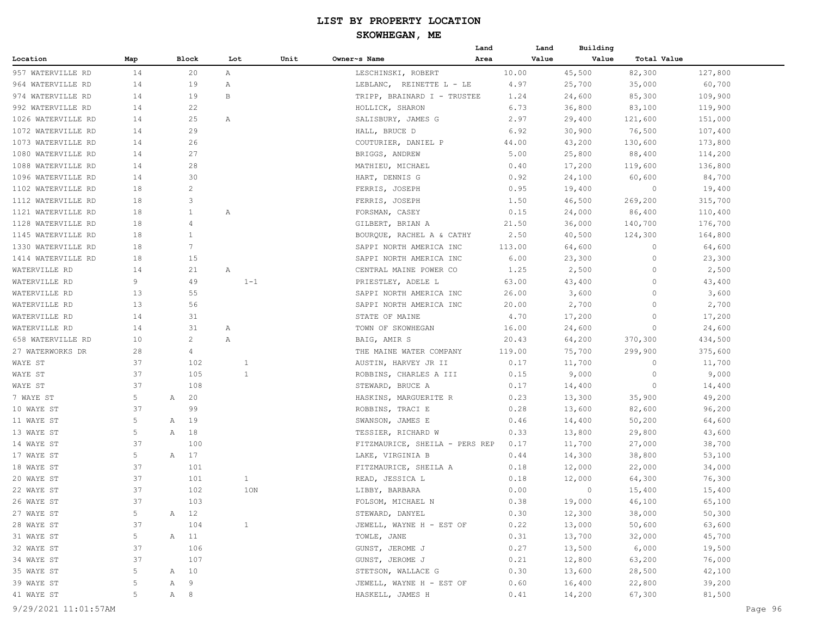|                      |     |     |                 |              |      |                                | Land | Land   | Building |             |         |
|----------------------|-----|-----|-----------------|--------------|------|--------------------------------|------|--------|----------|-------------|---------|
| Location             | Map |     | Block           | Lot          | Unit | Owner~s Name                   | Area | Value  | Value    | Total Value |         |
| 957 WATERVILLE RD    | 14  |     | 20              | Α            |      | LESCHINSKI, ROBERT             |      | 10.00  | 45,500   | 82,300      | 127,800 |
| 964 WATERVILLE RD    | 14  |     | 19              | Α            |      | LEBLANC, REINETTE L - LE       |      | 4.97   | 25,700   | 35,000      | 60,700  |
| 974 WATERVILLE RD    | 14  |     | 19              | В            |      | TRIPP, BRAINARD I - TRUSTEE    |      | 1.24   | 24,600   | 85,300      | 109,900 |
| 992 WATERVILLE RD    | 14  |     | 22              |              |      | HOLLICK, SHARON                |      | 6.73   | 36,800   | 83,100      | 119,900 |
| 1026 WATERVILLE RD   | 14  |     | 25              | Α            |      | SALISBURY, JAMES G             |      | 2.97   | 29,400   | 121,600     | 151,000 |
| 1072 WATERVILLE RD   | 14  |     | 29              |              |      | HALL, BRUCE D                  |      | 6.92   | 30,900   | 76,500      | 107,400 |
| 1073 WATERVILLE RD   | 14  |     | 26              |              |      | COUTURIER, DANIEL P            |      | 44.00  | 43,200   | 130,600     | 173,800 |
| 1080 WATERVILLE RD   | 14  |     | 27              |              |      | BRIGGS, ANDREW                 |      | 5.00   | 25,800   | 88,400      | 114,200 |
| 1088 WATERVILLE RD   | 14  |     | 28              |              |      | MATHIEU, MICHAEL               |      | 0.40   | 17,200   | 119,600     | 136,800 |
| 1096 WATERVILLE RD   | 14  |     | 30              |              |      | HART, DENNIS G                 |      | 0.92   | 24,100   | 60,600      | 84,700  |
| 1102 WATERVILLE RD   | 18  |     | 2               |              |      | FERRIS, JOSEPH                 |      | 0.95   | 19,400   | 0           | 19,400  |
| 1112 WATERVILLE RD   | 18  |     | 3               |              |      | FERRIS, JOSEPH                 |      | 1.50   | 46,500   | 269,200     | 315,700 |
| 1121 WATERVILLE RD   | 18  |     | $\mathbf{1}$    | Α            |      | FORSMAN, CASEY                 |      | 0.15   | 24,000   | 86,400      | 110,400 |
| 1128 WATERVILLE RD   | 18  |     | 4               |              |      | GILBERT, BRIAN A               |      | 21.50  | 36,000   | 140,700     | 176,700 |
| 1145 WATERVILLE RD   | 18  |     | $\mathbf{1}$    |              |      | BOURQUE, RACHEL A & CATHY      |      | 2.50   | 40,500   | 124,300     | 164,800 |
| 1330 WATERVILLE RD   | 18  |     | $7\overline{ }$ |              |      | SAPPI NORTH AMERICA INC        |      | 113.00 | 64,600   | 0           | 64,600  |
| 1414 WATERVILLE RD   | 18  |     | 15              |              |      | SAPPI NORTH AMERICA INC        |      | 6.00   | 23,300   | 0           | 23,300  |
| WATERVILLE RD        | 14  |     | 21              | Α            |      | CENTRAL MAINE POWER CO         |      | 1.25   | 2,500    | 0           | 2,500   |
| WATERVILLE RD        | 9   |     | 49              | $1 - 1$      |      | PRIESTLEY, ADELE L             |      | 63.00  | 43,400   | 0           | 43,400  |
| WATERVILLE RD        | 13  |     | 55              |              |      | SAPPI NORTH AMERICA INC        |      | 26.00  | 3,600    | 0           | 3,600   |
| WATERVILLE RD        | 13  |     | 56              |              |      | SAPPI NORTH AMERICA INC        |      | 20.00  | 2,700    | 0           | 2,700   |
| WATERVILLE RD        | 14  |     | 31              |              |      | STATE OF MAINE                 |      | 4.70   | 17,200   | 0           | 17,200  |
| WATERVILLE RD        | 14  |     | 31              | Α            |      | TOWN OF SKOWHEGAN              |      | 16.00  | 24,600   | 0           | 24,600  |
| 658 WATERVILLE RD    | 10  |     | 2               | Α            |      | BAIG, AMIR S                   |      | 20.43  | 64,200   | 370,300     | 434,500 |
| 27 WATERWORKS DR     | 28  |     | $\overline{4}$  |              |      | THE MAINE WATER COMPANY        |      | 119.00 | 75,700   | 299,900     | 375,600 |
| WAYE ST              | 37  |     | 102             | $\mathbf{1}$ |      | AUSTIN, HARVEY JR II           |      | 0.17   | 11,700   | 0           | 11,700  |
| WAYE ST              | 37  |     | 105             | $\mathbf{1}$ |      | ROBBINS, CHARLES A III         |      | 0.15   | 9,000    | 0           | 9,000   |
| WAYE ST              | 37  |     | 108             |              |      | STEWARD, BRUCE A               |      | 0.17   | 14,400   | 0           | 14,400  |
| 7 WAYE ST            | 5   | Α   | 20              |              |      | HASKINS, MARGUERITE R          |      | 0.23   | 13,300   | 35,900      | 49,200  |
| 10 WAYE ST           | 37  |     | 99              |              |      | ROBBINS, TRACI E               |      | 0.28   | 13,600   | 82,600      | 96,200  |
| 11 WAYE ST           | 5   | Α   | 19              |              |      | SWANSON, JAMES E               |      | 0.46   | 14,400   | 50,200      | 64,600  |
| 13 WAYE ST           | 5   | Α   | 18              |              |      | TESSIER, RICHARD W             |      | 0.33   | 13,800   | 29,800      | 43,600  |
| 14 WAYE ST           | 37  |     | 100             |              |      | FITZMAURICE, SHEILA - PERS REP |      | 0.17   | 11,700   | 27,000      | 38,700  |
| 17 WAYE ST           | 5   | Α   | 17              |              |      | LAKE, VIRGINIA B               |      | 0.44   | 14,300   | 38,800      | 53,100  |
| 18 WAYE ST           | 37  |     | 101             |              |      | FITZMAURICE, SHEILA A          |      | 0.18   | 12,000   | 22,000      | 34,000  |
| 20 WAYE ST           | 37  |     | 101             | $\mathbf{1}$ |      | READ, JESSICA L                |      | 0.18   | 12,000   | 64,300      | 76,300  |
| 22 WAYE ST           | 37  |     | 102             | 1ON          |      | LIBBY, BARBARA                 |      | 0.00   | $\circ$  | 15,400      | 15,400  |
| 26 WAYE ST           | 37  |     | 103             |              |      | FOLSOM, MICHAEL N              |      | 0.38   | 19,000   | 46,100      | 65,100  |
| 27 WAYE ST           | 5   |     | A 12            |              |      | STEWARD, DANYEL                |      | 0.30   | 12,300   | 38,000      | 50,300  |
| 28 WAYE ST           | 37  |     | 104             | $\mathbf{1}$ |      | JEWELL, WAYNE H - EST OF       |      | 0.22   | 13,000   | 50,600      | 63,600  |
| 31 WAYE ST           | 5   |     | A 11            |              |      | TOWLE, JANE                    |      | 0.31   | 13,700   | 32,000      | 45,700  |
| 32 WAYE ST           | 37  |     | 106             |              |      | GUNST, JEROME J                |      | 0.27   | 13,500   | 6,000       | 19,500  |
| 34 WAYE ST           | 37  |     | 107             |              |      | GUNST, JEROME J                |      | 0.21   | 12,800   | 63,200      | 76,000  |
| 35 WAYE ST           | 5   | Α   | 10              |              |      | STETSON, WALLACE G             |      | 0.30   | 13,600   | 28,500      | 42,100  |
| 39 WAYE ST           | 5   | A 9 |                 |              |      | JEWELL, WAYNE H - EST OF       |      | 0.60   | 16,400   | 22,800      | 39,200  |
| 41 WAYE ST           | 5   | A 8 |                 |              |      | HASKELL, JAMES H               |      | 0.41   | 14,200   | 67,300      | 81,500  |
|                      |     |     |                 |              |      |                                |      |        |          |             |         |
| 9/29/2021 11:01:57AM |     |     |                 |              |      |                                |      |        |          |             | Page 96 |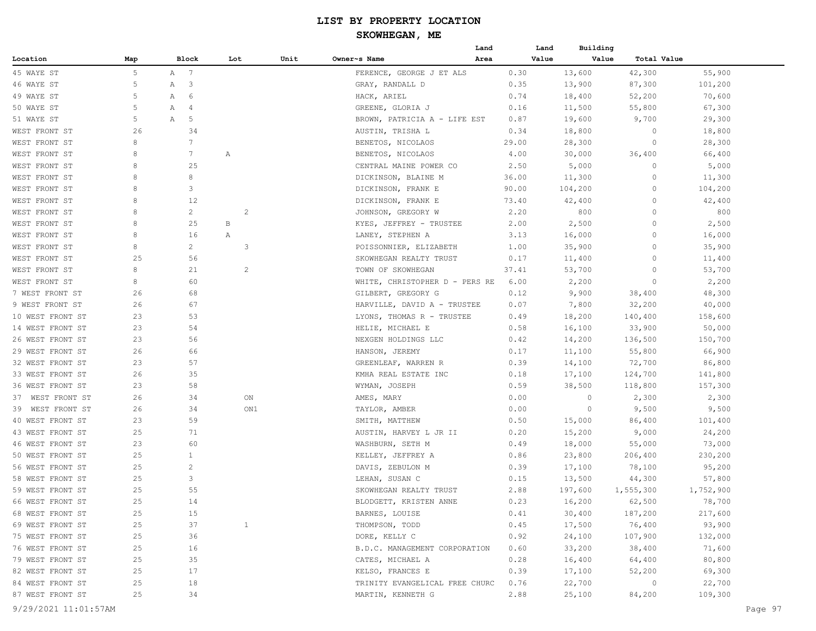|                      |          |   |              |     |                |      |                                       | Land |              | Building<br>Land |                    |                   |         |
|----------------------|----------|---|--------------|-----|----------------|------|---------------------------------------|------|--------------|------------------|--------------------|-------------------|---------|
| Location             | Map      |   | Block        | Lot |                | Unit | Owner~s Name                          | Area |              | Value<br>Value   | Total Value        |                   |         |
| 45 WAYE ST           | 5        |   | A 7          |     |                |      | FERENCE, GEORGE J ET ALS              |      | 0.30         | 13,600           | 42,300             | 55,900            |         |
| 46 WAYE ST           | 5        | Α | 3            |     |                |      | GRAY, RANDALL D                       |      | 0.35         | 13,900           | 87,300             | 101,200           |         |
| 49 WAYE ST           | 5        | Α | 6            |     |                |      | HACK, ARIEL                           |      | 0.74         | 18,400           | 52,200             | 70,600            |         |
| 50 WAYE ST           | 5        | Α | 4            |     |                |      | GREENE, GLORIA J                      |      | 0.16         | 11,500           | 55,800             | 67,300            |         |
| 51 WAYE ST           | 5        | Α | 5            |     |                |      | BROWN, PATRICIA A - LIFE EST          |      | 0.87         | 19,600           | 9,700              | 29,300            |         |
| WEST FRONT ST        | 26       |   | 34           |     |                |      | AUSTIN, TRISHA L                      |      | 0.34         | 18,800           | 0                  | 18,800            |         |
| WEST FRONT ST        | 8        |   | 7            |     |                |      | BENETOS, NICOLAOS                     |      | 29.00        | 28,300           | 0                  | 28,300            |         |
| WEST FRONT ST        | 8        |   | 7            | Α   |                |      | BENETOS, NICOLAOS                     |      | 4.00         | 30,000           | 36,400             | 66,400            |         |
| WEST FRONT ST        | 8        |   | 25           |     |                |      | CENTRAL MAINE POWER CO                |      | 2.50         | 5,000            | 0                  | 5,000             |         |
| WEST FRONT ST        | 8        |   | 8            |     |                |      | DICKINSON, BLAINE M                   |      | 36.00        | 11,300           | 0                  | 11,300            |         |
| WEST FRONT ST        | 8        |   | 3            |     |                |      | DICKINSON, FRANK E                    |      | 90.00        | 104,200          | 0                  | 104,200           |         |
| WEST FRONT ST        | 8        |   | 12           |     |                |      | DICKINSON, FRANK E                    |      | 73.40        | 42,400           | $\circ$            | 42,400            |         |
| WEST FRONT ST        | 8        |   | $\mathbf{2}$ |     | $\overline{c}$ |      | JOHNSON, GREGORY W                    |      | 2.20         | 800              | $\circ$            | 800               |         |
| WEST FRONT ST        | 8        |   | 25           | В   |                |      | KYES, JEFFREY - TRUSTEE               |      | 2.00         | 2,500            | $\circ$            | 2,500             |         |
| WEST FRONT ST        | 8        |   | 16           | А   |                |      | LANEY, STEPHEN A                      |      | 3.13         | 16,000           | 0                  | 16,000            |         |
| WEST FRONT ST        | 8        |   | 2            |     | 3              |      | POISSONNIER, ELIZABETH                |      | 1.00         | 35,900           | 0                  | 35,900            |         |
| WEST FRONT ST        | 25       |   | 56           |     |                |      | SKOWHEGAN REALTY TRUST                |      | 0.17         | 11,400           | 0                  | 11,400            |         |
| WEST FRONT ST        | 8        |   | 21           |     | 2              |      | TOWN OF SKOWHEGAN                     |      | 37.41        | 53,700           | 0                  | 53,700            |         |
| WEST FRONT ST        | 8        |   | 60           |     |                |      | WHITE, CHRISTOPHER D - PERS RE        |      | 6.00         | 2,200            | 0                  | 2,200             |         |
| 7 WEST FRONT ST      | 26       |   | 68           |     |                |      | GILBERT, GREGORY G                    |      | 0.12         | 9,900            | 38,400             | 48,300            |         |
| 9 WEST FRONT ST      | 26       |   | 67           |     |                |      | HARVILLE, DAVID A - TRUSTEE           |      | 0.07         | 7,800            | 32,200             | 40,000            |         |
| 10 WEST FRONT ST     | 23       |   | 53           |     |                |      | LYONS, THOMAS R - TRUSTEE             |      | 0.49         | 18,200           | 140,400            | 158,600           |         |
| 14 WEST FRONT ST     | 23       |   | 54           |     |                |      | HELIE, MICHAEL E                      |      | 0.58         | 16,100           | 33,900             | 50,000            |         |
| 26 WEST FRONT ST     | 23       |   | 56           |     |                |      | NEXGEN HOLDINGS LLC                   |      | 0.42         | 14,200           | 136,500            | 150,700           |         |
| 29 WEST FRONT ST     | 26       |   | 66           |     |                |      | HANSON, JEREMY                        |      | 0.17         | 11,100           | 55,800             | 66,900            |         |
| 32 WEST FRONT ST     | 23       |   | 57           |     |                |      | GREENLEAF, WARREN R                   |      | 0.39         | 14,100           | 72,700             | 86,800            |         |
| 33 WEST FRONT ST     | 26       |   | 35           |     |                |      | KMHA REAL ESTATE INC                  |      | 0.18         | 17,100           |                    | 141,800           |         |
| 36 WEST FRONT ST     | 23       |   | 58           |     |                |      | WYMAN, JOSEPH                         |      | 0.59         | 38,500           | 124,700<br>118,800 | 157,300           |         |
| 37 WEST FRONT ST     | 26       |   | 34           |     | ON             |      | AMES, MARY                            |      | 0.00         | $\circ$          | 2,300              | 2,300             |         |
| 39 WEST FRONT ST     | 26       |   | 34           |     | ON1            |      |                                       |      | 0.00         | 0                |                    | 9,500             |         |
| 40 WEST FRONT ST     |          |   | 59           |     |                |      | TAYLOR, AMBER                         |      |              |                  | 9,500              |                   |         |
|                      | 23       |   | 71           |     |                |      | SMITH, MATTHEW                        |      | 0.50<br>0.20 | 15,000           | 86,400             | 101,400           |         |
| 43 WEST FRONT ST     | 25<br>23 |   | 60           |     |                |      | AUSTIN, HARVEY L JR II                |      |              | 15,200           | 9,000              | 24,200            |         |
| 46 WEST FRONT ST     | 25       |   | $\mathbf{1}$ |     |                |      | WASHBURN, SETH M<br>KELLEY, JEFFREY A |      | 0.49         | 18,000           | 55,000             | 73,000<br>230,200 |         |
| 50 WEST FRONT ST     | 25       |   | $\mathbf{2}$ |     |                |      |                                       |      | 0.86         | 23,800           | 206,400            |                   |         |
| 56 WEST FRONT ST     |          |   | 3            |     |                |      | DAVIS, ZEBULON M                      |      | 0.39         | 17,100           | 78,100             | 95,200            |         |
| 58 WEST FRONT ST     | 25<br>25 |   | 55           |     |                |      | LEHAN, SUSAN C                        |      | 0.15         | 13,500           | 44,300             | 57,800            |         |
| 59 WEST FRONT ST     |          |   |              |     |                |      | SKOWHEGAN REALTY TRUST                |      | 2.88         | 197,600          | 1,555,300          | 1,752,900         |         |
| 66 WEST FRONT ST     | 25       |   | 14           |     |                |      | BLODGETT, KRISTEN ANNE                |      | 0.23         | 16,200           | 62,500             | 78,700            |         |
| 68 WEST FRONT ST     | 25       |   | 15           |     |                |      | BARNES, LOUISE                        |      | 0.41         | 30,400           | 187,200            | 217,600           |         |
| 69 WEST FRONT ST     | 25       |   | 37           |     | $\mathbf{1}$   |      | THOMPSON, TODD                        |      | 0.45         | 17,500           | 76,400             | 93,900            |         |
| 75 WEST FRONT ST     | 25       |   | 36           |     |                |      | DORE, KELLY C                         |      | 0.92         | 24,100           | 107,900            | 132,000           |         |
| 76 WEST FRONT ST     | 25       |   | 16           |     |                |      | B.D.C. MANAGEMENT CORPORATION         |      | 0.60         | 33,200           | 38,400             | 71,600            |         |
| 79 WEST FRONT ST     | 25       |   | 35           |     |                |      | CATES, MICHAEL A                      |      | 0.28         | 16,400           | 64,400             | 80,800            |         |
| 82 WEST FRONT ST     | 25       |   | 17           |     |                |      | KELSO, FRANCES E                      |      | 0.39         | 17,100           | 52,200             | 69,300            |         |
| 84 WEST FRONT ST     | 25       |   | 18           |     |                |      | TRINITY EVANGELICAL FREE CHURC        |      | 0.76         | 22,700           | $\overline{0}$     | 22,700            |         |
| 87 WEST FRONT ST     | 25       |   | 34           |     |                |      | MARTIN, KENNETH G                     |      | 2.88         | 25,100           | 84,200             | 109,300           |         |
| 9/29/2021 11:01:57AM |          |   |              |     |                |      |                                       |      |              |                  |                    |                   | Page 97 |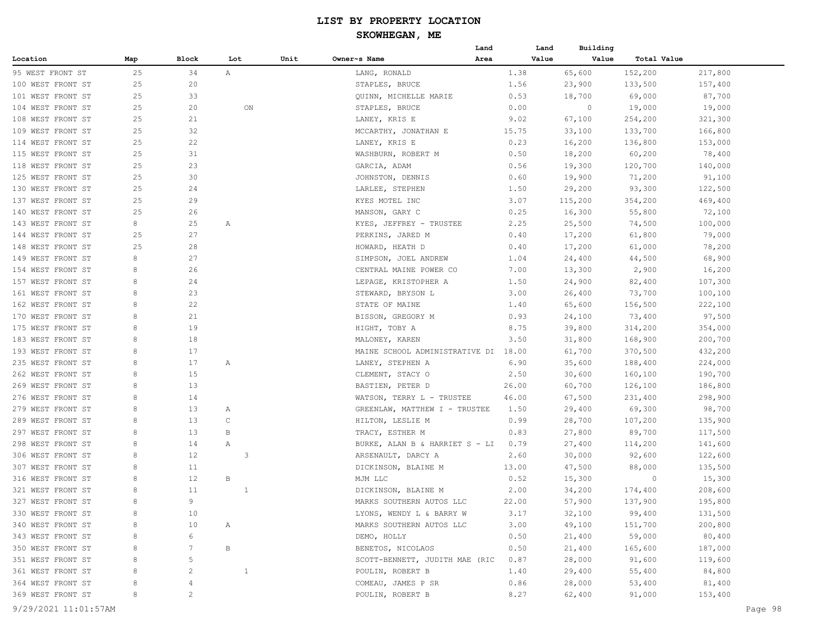# **SKOWHEGAN, ME**

|                   |     |              |              |      |                                | Land  | Land  | Building |             |         |
|-------------------|-----|--------------|--------------|------|--------------------------------|-------|-------|----------|-------------|---------|
| Location          | Map | Block        | Lot          | Unit | Owner~s Name                   | Area  | Value | Value    | Total Value |         |
| 95 WEST FRONT ST  | 25  | 34           | Α            |      | LANG, RONALD                   | 1.38  |       | 65,600   | 152,200     | 217,800 |
| 100 WEST FRONT ST | 25  | 20           |              |      | STAPLES, BRUCE                 | 1.56  |       | 23,900   | 133,500     | 157,400 |
| 101 WEST FRONT ST | 25  | 33           |              |      | QUINN, MICHELLE MARIE          | 0.53  |       | 18,700   | 69,000      | 87,700  |
| 104 WEST FRONT ST | 25  | 20           | ON           |      | STAPLES, BRUCE                 | 0.00  |       | $\circ$  | 19,000      | 19,000  |
| 108 WEST FRONT ST | 25  | 21           |              |      | LANEY, KRIS E                  | 9.02  |       | 67,100   | 254,200     | 321,300 |
| 109 WEST FRONT ST | 25  | 32           |              |      | MCCARTHY, JONATHAN E           | 15.75 |       | 33,100   | 133,700     | 166,800 |
| 114 WEST FRONT ST | 25  | 22           |              |      | LANEY, KRIS E                  | 0.23  |       | 16,200   | 136,800     | 153,000 |
| 115 WEST FRONT ST | 25  | 31           |              |      | WASHBURN, ROBERT M             | 0.50  |       | 18,200   | 60,200      | 78,400  |
| 118 WEST FRONT ST | 25  | 23           |              |      | GARCIA, ADAM                   | 0.56  |       | 19,300   | 120,700     | 140,000 |
| 125 WEST FRONT ST | 25  | 30           |              |      | JOHNSTON, DENNIS               | 0.60  |       | 19,900   | 71,200      | 91,100  |
| 130 WEST FRONT ST | 25  | 24           |              |      | LARLEE, STEPHEN                | 1.50  |       | 29,200   | 93,300      | 122,500 |
| 137 WEST FRONT ST | 25  | 29           |              |      | KYES MOTEL INC                 | 3.07  |       | 115,200  | 354,200     | 469,400 |
| 140 WEST FRONT ST | 25  | 26           |              |      | MANSON, GARY C                 | 0.25  |       | 16,300   | 55,800      | 72,100  |
| 143 WEST FRONT ST | 8   | 25           | Α            |      | KYES, JEFFREY - TRUSTEE        | 2.25  |       | 25,500   | 74,500      | 100,000 |
| 144 WEST FRONT ST | 25  | 27           |              |      | PERKINS, JARED M               | 0.40  |       | 17,200   | 61,800      | 79,000  |
| 148 WEST FRONT ST | 25  | 28           |              |      | HOWARD, HEATH D                | 0.40  |       | 17,200   | 61,000      | 78,200  |
| 149 WEST FRONT ST | 8   | 27           |              |      | SIMPSON, JOEL ANDREW           | 1.04  |       | 24,400   | 44,500      | 68,900  |
| 154 WEST FRONT ST | 8   | 26           |              |      | CENTRAL MAINE POWER CO         | 7.00  |       | 13,300   | 2,900       | 16,200  |
| 157 WEST FRONT ST | 8   | 24           |              |      | LEPAGE, KRISTOPHER A           | 1.50  |       | 24,900   | 82,400      | 107,300 |
| 161 WEST FRONT ST | 8   | 23           |              |      | STEWARD, BRYSON L              | 3.00  |       | 26,400   | 73,700      | 100,100 |
| 162 WEST FRONT ST | 8   | 22           |              |      | STATE OF MAINE                 | 1.40  |       | 65,600   | 156,500     | 222,100 |
| 170 WEST FRONT ST | 8   | 21           |              |      | BISSON, GREGORY M              | 0.93  |       | 24,100   | 73,400      | 97,500  |
| 175 WEST FRONT ST | 8   | 19           |              |      | HIGHT, TOBY A                  | 8.75  |       | 39,800   | 314,200     | 354,000 |
| 183 WEST FRONT ST | 8   | 18           |              |      | MALONEY, KAREN                 | 3.50  |       | 31,800   | 168,900     | 200,700 |
| 193 WEST FRONT ST | 8   | 17           |              |      | MAINE SCHOOL ADMINISTRATIVE DI | 18.00 |       | 61,700   | 370,500     | 432,200 |
| 235 WEST FRONT ST | 8   | 17           | Α            |      | LANEY, STEPHEN A               | 6.90  |       | 35,600   | 188,400     | 224,000 |
| 262 WEST FRONT ST | 8   | 15           |              |      | CLEMENT, STACY O               | 2.50  |       | 30,600   | 160,100     | 190,700 |
| 269 WEST FRONT ST | 8   | 13           |              |      | BASTIEN, PETER D               | 26.00 |       | 60,700   | 126,100     | 186,800 |
| 276 WEST FRONT ST | 8   | 14           |              |      | WATSON, TERRY L - TRUSTEE      | 46.00 |       | 67,500   | 231,400     | 298,900 |
| 279 WEST FRONT ST | 8   | 13           | Α            |      | GREENLAW, MATTHEW I - TRUSTEE  | 1.50  |       | 29,400   | 69,300      | 98,700  |
| 289 WEST FRONT ST | 8   | 13           | C            |      | HILTON, LESLIE M               | 0.99  |       | 28,700   | 107,200     | 135,900 |
| 297 WEST FRONT ST | 8   | 13           | В            |      | TRACY, ESTHER M                | 0.83  |       | 27,800   | 89,700      | 117,500 |
| 298 WEST FRONT ST | 8   | 14           | Α            |      | BURKE, ALAN B & HARRIET S - LI | 0.79  |       | 27,400   | 114,200     | 141,600 |
| 306 WEST FRONT ST | 8   | 12           | 3            |      | ARSENAULT, DARCY A             | 2.60  |       | 30,000   | 92,600      | 122,600 |
| 307 WEST FRONT ST | 8   | 11           |              |      | DICKINSON, BLAINE M            | 13.00 |       | 47,500   | 88,000      | 135,500 |
| 316 WEST FRONT ST | 8   | 12           | В            |      | MJM LLC                        | 0.52  |       | 15,300   | 0           | 15,300  |
| 321 WEST FRONT ST | 8   | 11           | -1           |      | DICKINSON, BLAINE M            | 2.00  |       | 34,200   | 174,400     | 208,600 |
| 327 WEST FRONT ST | 8   | 9            |              |      | MARKS SOUTHERN AUTOS LLC       | 22.00 |       | 57,900   | 137,900     | 195,800 |
| 330 WEST FRONT ST | 8   | 10           |              |      | LYONS, WENDY L & BARRY W       | 3.17  |       | 32,100   | 99,400      | 131,500 |
| 340 WEST FRONT ST | 8   | 10           | $\mathbb{A}$ |      | MARKS SOUTHERN AUTOS LLC       | 3.00  |       | 49,100   | 151,700     | 200,800 |
| 343 WEST FRONT ST | 8   | 6            |              |      | DEMO, HOLLY                    | 0.50  |       | 21,400   | 59,000      | 80,400  |
| 350 WEST FRONT ST | 8   | 7            | B            |      | BENETOS, NICOLAOS              | 0.50  |       | 21,400   | 165,600     | 187,000 |
| 351 WEST FRONT ST | 8   | 5            |              |      | SCOTT-BENNETT, JUDITH MAE (RIC | 0.87  |       | 28,000   | 91,600      | 119,600 |
| 361 WEST FRONT ST | 8   | 2            | 1            |      | POULIN, ROBERT B               | 1.40  |       | 29,400   | 55,400      | 84,800  |
| 364 WEST FRONT ST | 8   | 4            |              |      | COMEAU, JAMES P SR             | 0.86  |       | 28,000   | 53,400      | 81,400  |
| 369 WEST FRONT ST | 8   | $\mathbf{2}$ |              |      | POULIN, ROBERT B               | 8.27  |       | 62,400   | 91,000      | 153,400 |
|                   |     |              |              |      |                                |       |       |          |             |         |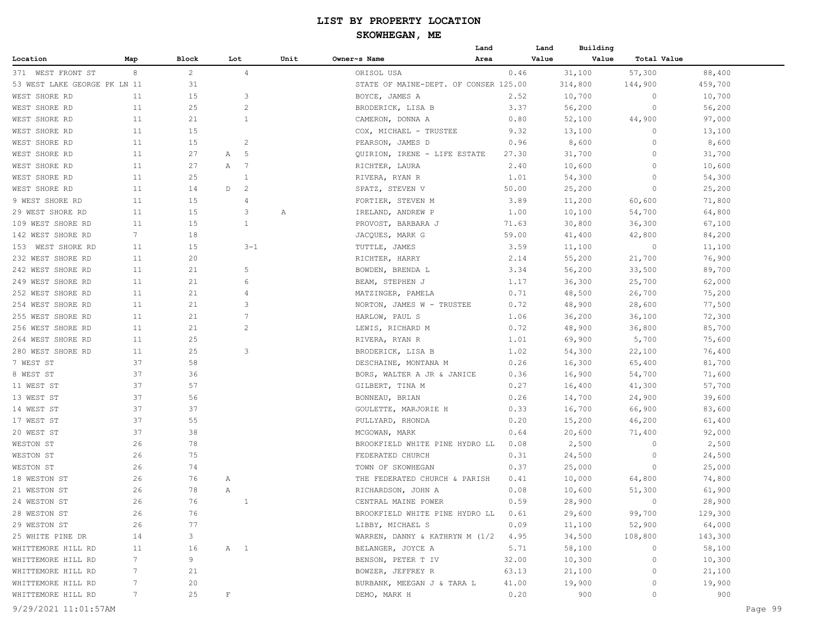|                              |                 |              |              |                |      | Building<br>Land<br>Land<br>Owner~s Name<br>Value<br>Value<br>Total Value<br>Area<br>57,300<br>ORISOL USA<br>0.46<br>31,100<br>88,400<br>314,800<br>459,700<br>STATE OF MAINE-DEPT. OF CONSER 125.00<br>144,900<br>2.52<br>10,700<br>10,700<br>BOYCE, JAMES A<br>0<br>BRODERICK, LISA B<br>3.37<br>56,200<br>$\circ$<br>56,200<br>0.80<br>52,100<br>44,900<br>97,000<br>CAMERON, DONNA A<br>9.32<br>13,100<br>13,100<br>COX, MICHAEL - TRUSTEE<br>0<br>PEARSON, JAMES D<br>0.96<br>8,600<br>$\Omega$<br>8,600<br>QUIRION, IRENE - LIFE ESTATE<br>27.30<br>31,700<br>$\circ$<br>31,700<br>2.40 |       |        |          |         |
|------------------------------|-----------------|--------------|--------------|----------------|------|-----------------------------------------------------------------------------------------------------------------------------------------------------------------------------------------------------------------------------------------------------------------------------------------------------------------------------------------------------------------------------------------------------------------------------------------------------------------------------------------------------------------------------------------------------------------------------------------------|-------|--------|----------|---------|
| Location                     | Map             | Block        | Lot          |                | Unit |                                                                                                                                                                                                                                                                                                                                                                                                                                                                                                                                                                                               |       |        |          |         |
| 371 WEST FRONT ST            | 8               | $\mathbf{2}$ |              | 4              |      |                                                                                                                                                                                                                                                                                                                                                                                                                                                                                                                                                                                               |       |        |          |         |
| 53 WEST LAKE GEORGE PK LN 11 |                 | 31           |              |                |      |                                                                                                                                                                                                                                                                                                                                                                                                                                                                                                                                                                                               |       |        |          |         |
| WEST SHORE RD                | 11              | 15           |              | 3              |      |                                                                                                                                                                                                                                                                                                                                                                                                                                                                                                                                                                                               |       |        |          |         |
| WEST SHORE RD                | 11              | 25           |              | $\overline{c}$ |      |                                                                                                                                                                                                                                                                                                                                                                                                                                                                                                                                                                                               |       |        |          |         |
| WEST SHORE RD                | 11              | 21           |              | 1              |      |                                                                                                                                                                                                                                                                                                                                                                                                                                                                                                                                                                                               |       |        |          |         |
| WEST SHORE RD                | 11              | 15           |              |                |      |                                                                                                                                                                                                                                                                                                                                                                                                                                                                                                                                                                                               |       |        |          |         |
| WEST SHORE RD                | 11              | 15           |              | 2              |      |                                                                                                                                                                                                                                                                                                                                                                                                                                                                                                                                                                                               |       |        |          |         |
| WEST SHORE RD                | 11              | 27           | Α            | 5              |      |                                                                                                                                                                                                                                                                                                                                                                                                                                                                                                                                                                                               |       |        |          |         |
| WEST SHORE RD                | 11              | 27           | Α            | 7              |      | RICHTER, LAURA                                                                                                                                                                                                                                                                                                                                                                                                                                                                                                                                                                                |       | 10,600 | $\circ$  | 10,600  |
| WEST SHORE RD                | 11              | 25           |              | 1              |      | RIVERA, RYAN R                                                                                                                                                                                                                                                                                                                                                                                                                                                                                                                                                                                | 1.01  | 54,300 | 0        | 54,300  |
| WEST SHORE RD                | 11              | 14           | D            | 2              |      | SPATZ, STEVEN V                                                                                                                                                                                                                                                                                                                                                                                                                                                                                                                                                                               | 50.00 | 25,200 | 0        | 25,200  |
| 9 WEST SHORE RD              | 11              | 15           |              | 4              |      | FORTIER, STEVEN M                                                                                                                                                                                                                                                                                                                                                                                                                                                                                                                                                                             | 3.89  | 11,200 | 60,600   | 71,800  |
| 29 WEST SHORE RD             | 11              | 15           |              | 3              | Α    | IRELAND, ANDREW P                                                                                                                                                                                                                                                                                                                                                                                                                                                                                                                                                                             | 1.00  | 10,100 | 54,700   | 64,800  |
| 109 WEST SHORE RD            | 11              | 15           |              | $\mathbf{1}$   |      | PROVOST, BARBARA J                                                                                                                                                                                                                                                                                                                                                                                                                                                                                                                                                                            | 71.63 | 30,800 | 36,300   | 67,100  |
| 142 WEST SHORE RD            | 7               | 18           |              |                |      | JACQUES, MARK G                                                                                                                                                                                                                                                                                                                                                                                                                                                                                                                                                                               | 59.00 | 41,400 | 42,800   | 84,200  |
| 153 WEST SHORE RD            | 11              | 15           |              | $3 - 1$        |      | TUTTLE, JAMES                                                                                                                                                                                                                                                                                                                                                                                                                                                                                                                                                                                 | 3.59  | 11,100 | 0        | 11,100  |
| 232 WEST SHORE RD            | 11              | 20           |              |                |      | RICHTER, HARRY                                                                                                                                                                                                                                                                                                                                                                                                                                                                                                                                                                                | 2.14  | 55,200 | 21,700   | 76,900  |
| 242 WEST SHORE RD            | 11              | 21           |              | 5              |      | BOWDEN, BRENDA L                                                                                                                                                                                                                                                                                                                                                                                                                                                                                                                                                                              | 3.34  | 56,200 | 33,500   | 89,700  |
| 249 WEST SHORE RD            | 11              | 21           |              | 6              |      | BEAM, STEPHEN J                                                                                                                                                                                                                                                                                                                                                                                                                                                                                                                                                                               | 1.17  | 36,300 | 25,700   | 62,000  |
| 252 WEST SHORE RD            | 11              | 21           |              | 4              |      | MATZINGER, PAMELA                                                                                                                                                                                                                                                                                                                                                                                                                                                                                                                                                                             | 0.71  | 48,500 | 26,700   | 75,200  |
| 254 WEST SHORE RD            | 11              | 21           |              | 3              |      | NORTON, JAMES W - TRUSTEE                                                                                                                                                                                                                                                                                                                                                                                                                                                                                                                                                                     | 0.72  | 48,900 | 28,600   | 77,500  |
| 255 WEST SHORE RD            | 11              | 21           |              | 7              |      | HARLOW, PAUL S                                                                                                                                                                                                                                                                                                                                                                                                                                                                                                                                                                                | 1.06  | 36,200 | 36,100   | 72,300  |
| 256 WEST SHORE RD            | 11              | 21           |              | 2              |      | LEWIS, RICHARD M                                                                                                                                                                                                                                                                                                                                                                                                                                                                                                                                                                              | 0.72  | 48,900 | 36,800   | 85,700  |
| 264 WEST SHORE RD            | 11              | 25           |              |                |      | RIVERA, RYAN R                                                                                                                                                                                                                                                                                                                                                                                                                                                                                                                                                                                | 1.01  | 69,900 | 5,700    | 75,600  |
| 280 WEST SHORE RD            | 11              | 25           |              | 3              |      | BRODERICK, LISA B                                                                                                                                                                                                                                                                                                                                                                                                                                                                                                                                                                             | 1.02  | 54,300 | 22,100   | 76,400  |
| 7 WEST ST                    | 37              | 58           |              |                |      | DESCHAINE, MONTANA M                                                                                                                                                                                                                                                                                                                                                                                                                                                                                                                                                                          | 0.26  | 16,300 | 65,400   | 81,700  |
| 8 WEST ST                    | 37              | 36           |              |                |      | BORS, WALTER A JR & JANICE                                                                                                                                                                                                                                                                                                                                                                                                                                                                                                                                                                    | 0.36  | 16,900 | 54,700   | 71,600  |
| 11 WEST ST                   | 37              | 57           |              |                |      | GILBERT, TINA M                                                                                                                                                                                                                                                                                                                                                                                                                                                                                                                                                                               | 0.27  | 16,400 | 41,300   | 57,700  |
| 13 WEST ST                   | 37              | 56           |              |                |      | BONNEAU, BRIAN                                                                                                                                                                                                                                                                                                                                                                                                                                                                                                                                                                                | 0.26  | 14,700 | 24,900   | 39,600  |
| 14 WEST ST                   | 37              | 37           |              |                |      | GOULETTE, MARJORIE H                                                                                                                                                                                                                                                                                                                                                                                                                                                                                                                                                                          | 0.33  | 16,700 | 66,900   | 83,600  |
| 17 WEST ST                   | 37              | 55           |              |                |      | PULLYARD, RHONDA                                                                                                                                                                                                                                                                                                                                                                                                                                                                                                                                                                              | 0.20  | 15,200 | 46,200   | 61,400  |
| 20 WEST ST                   | 37              | 38           |              |                |      | MCGOWAN, MARK                                                                                                                                                                                                                                                                                                                                                                                                                                                                                                                                                                                 | 0.64  | 20,600 | 71,400   | 92,000  |
| WESTON ST                    | 26              | 78           |              |                |      | BROOKFIELD WHITE PINE HYDRO LL                                                                                                                                                                                                                                                                                                                                                                                                                                                                                                                                                                | 0.08  | 2,500  | $\Omega$ | 2,500   |
| WESTON ST                    | 26              | 75           |              |                |      | FEDERATED CHURCH                                                                                                                                                                                                                                                                                                                                                                                                                                                                                                                                                                              | 0.31  | 24,500 | $\circ$  | 24,500  |
| WESTON ST                    | 26              | 74           |              |                |      | TOWN OF SKOWHEGAN                                                                                                                                                                                                                                                                                                                                                                                                                                                                                                                                                                             | 0.37  | 25,000 | 0        | 25,000  |
| 18 WESTON ST                 | 26              | 76           | Α            |                |      | THE FEDERATED CHURCH & PARISH                                                                                                                                                                                                                                                                                                                                                                                                                                                                                                                                                                 | 0.41  | 10,000 | 64,800   | 74,800  |
| 21 WESTON ST                 | 26              | 78           | Α            |                |      | RICHARDSON, JOHN A                                                                                                                                                                                                                                                                                                                                                                                                                                                                                                                                                                            | 0.08  | 10,600 | 51,300   | 61,900  |
| 24 WESTON ST                 | 26              | 76           |              |                |      | CENTRAL MAINE POWER                                                                                                                                                                                                                                                                                                                                                                                                                                                                                                                                                                           | 0.59  | 28,900 | $\circ$  | 28,900  |
| 28 WESTON ST                 | 26              | 76           |              |                |      | BROOKFIELD WHITE PINE HYDRO LL 0.61                                                                                                                                                                                                                                                                                                                                                                                                                                                                                                                                                           |       | 29,600 | 99,700   | 129,300 |
| 29 WESTON ST                 | 26              | 77           |              |                |      | LIBBY, MICHAEL S                                                                                                                                                                                                                                                                                                                                                                                                                                                                                                                                                                              | 0.09  | 11,100 | 52,900   | 64,000  |
| 25 WHITE PINE DR             | 14              | 3            |              |                |      | WARREN, DANNY & KATHRYN M (1/2 4.95                                                                                                                                                                                                                                                                                                                                                                                                                                                                                                                                                           |       | 34,500 | 108,800  | 143,300 |
| WHITTEMORE HILL RD           | 11              | 16           |              | A 1            |      | BELANGER, JOYCE A                                                                                                                                                                                                                                                                                                                                                                                                                                                                                                                                                                             | 5.71  | 58,100 | $\circ$  | 58,100  |
| WHITTEMORE HILL RD           | 7               | 9            |              |                |      | BENSON, PETER T IV                                                                                                                                                                                                                                                                                                                                                                                                                                                                                                                                                                            | 32.00 | 10,300 | $\circ$  | 10,300  |
| WHITTEMORE HILL RD           | 7 <sup>7</sup>  | 21           |              |                |      | BOWZER, JEFFREY R                                                                                                                                                                                                                                                                                                                                                                                                                                                                                                                                                                             | 63.13 | 21,100 | 0        | 21,100  |
| WHITTEMORE HILL RD           | $7\phantom{.0}$ | 20           |              |                |      | BURBANK, MEEGAN J & TARA L                                                                                                                                                                                                                                                                                                                                                                                                                                                                                                                                                                    | 41.00 | 19,900 | $\circ$  | 19,900  |
| WHITTEMORE HILL RD           | 7               | 25           | $\mathbf{F}$ |                |      | DEMO, MARK H                                                                                                                                                                                                                                                                                                                                                                                                                                                                                                                                                                                  | 0.20  | 900    | 0        | 900     |
|                              |                 |              |              |                |      |                                                                                                                                                                                                                                                                                                                                                                                                                                                                                                                                                                                               |       |        |          |         |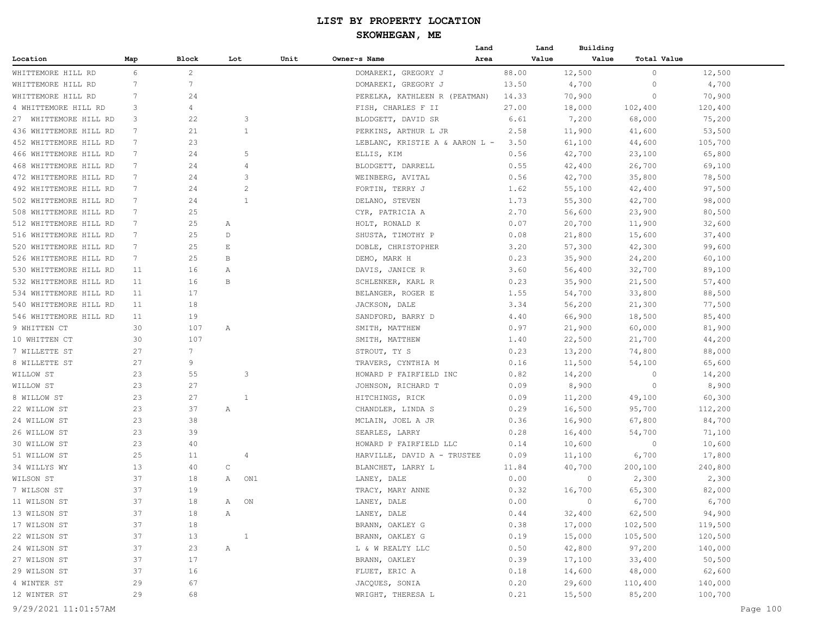|                        |                 |                |                 |                |                                              | Land | Land  | Building        |             |          |
|------------------------|-----------------|----------------|-----------------|----------------|----------------------------------------------|------|-------|-----------------|-------------|----------|
| Location               | Map             | Block          | Lot             | Unit           | Owner~s Name                                 | Area | Value | Value           | Total Value |          |
| WHITTEMORE HILL RD     | 6               | $\overline{c}$ |                 |                | DOMAREKI, GREGORY J                          |      | 88.00 | 12,500          | 0           | 12,500   |
| WHITTEMORE HILL RD     | 7               | 7              |                 |                | DOMAREKI, GREGORY J                          |      | 13.50 | 4,700           | 0           | 4,700    |
| WHITTEMORE HILL RD     | 7               | 24             |                 |                | PERELKA, KATHLEEN R (PEATMAN)                |      | 14.33 | 70,900          | 0           | 70,900   |
| 4 WHITTEMORE HILL RD   | 3               | 4              |                 |                | FISH, CHARLES F II                           |      | 27.00 | 18,000          | 102,400     | 120,400  |
| 27 WHITTEMORE HILL RD  | 3               | 22             |                 | 3              | BLODGETT, DAVID SR                           |      | 6.61  | 7,200           | 68,000      | 75,200   |
| 436 WHITTEMORE HILL RD | 7               | 21             |                 | 1              | PERKINS, ARTHUR L JR                         |      | 2.58  | 11,900          | 41,600      | 53,500   |
| 452 WHITTEMORE HILL RD | 7               | 23             |                 |                | LEBLANC, KRISTIE A & AARON L -               |      | 3.50  | 61,100          | 44,600      | 105,700  |
| 466 WHITTEMORE HILL RD | 7               | 24             |                 | 5              | ELLIS, KIM                                   |      | 0.56  | 42,700          | 23,100      | 65,800   |
| 468 WHITTEMORE HILL RD | 7               | 24             |                 | $\overline{4}$ | BLODGETT, DARRELL                            |      | 0.55  | 42,400          | 26,700      | 69,100   |
| 472 WHITTEMORE HILL RD | 7               | 24             |                 | 3              | WEINBERG, AVITAL                             |      | 0.56  | 42,700          | 35,800      | 78,500   |
| 492 WHITTEMORE HILL RD | 7               | 24             |                 | $\overline{c}$ | FORTIN, TERRY J                              |      | 1.62  | 55,100          | 42,400      | 97,500   |
| 502 WHITTEMORE HILL RD | $7\phantom{.0}$ | 24             |                 | $\mathbf{1}$   | DELANO, STEVEN                               |      | 1.73  | 55,300          | 42,700      | 98,000   |
| 508 WHITTEMORE HILL RD | 7               | 25             |                 |                | CYR, PATRICIA A                              |      | 2.70  | 56,600          | 23,900      | 80,500   |
| 512 WHITTEMORE HILL RD | 7               | 25             | Α               |                | HOLT, RONALD K                               |      | 0.07  | 20,700          | 11,900      | 32,600   |
| 516 WHITTEMORE HILL RD | 7               | 25             | D               |                | SHUSTA, TIMOTHY P                            |      | 0.08  | 21,800          | 15,600      | 37,400   |
| 520 WHITTEMORE HILL RD | 7               | 25             | $\mathbb E$     |                | DOBLE, CHRISTOPHER                           |      | 3.20  | 57,300          | 42,300      | 99,600   |
| 526 WHITTEMORE HILL RD | 7               | 25             | B               |                | DEMO, MARK H                                 |      | 0.23  | 35,900          | 24,200      | 60,100   |
| 530 WHITTEMORE HILL RD | 11              | 16             | Α               |                | DAVIS, JANICE R                              |      | 3.60  | 56,400          | 32,700      | 89,100   |
| 532 WHITTEMORE HILL RD | 11              | 16             | B               |                | SCHLENKER, KARL R                            |      | 0.23  | 35,900          | 21,500      | 57,400   |
| 534 WHITTEMORE HILL RD | 11              | 17             |                 |                | BELANGER, ROGER E                            |      | 1.55  | 54,700          | 33,800      | 88,500   |
| 540 WHITTEMORE HILL RD | 11              | 18             |                 |                | JACKSON, DALE                                |      | 3.34  | 56,200          | 21,300      | 77,500   |
| 546 WHITTEMORE HILL RD | 11              | 19             |                 |                | SANDFORD, BARRY D                            |      | 4.40  | 66,900          | 18,500      | 85,400   |
| 9 WHITTEN CT           | 30              | 107            | Α               |                | SMITH, MATTHEW                               |      | 0.97  | 21,900          | 60,000      | 81,900   |
| 10 WHITTEN CT          | 30              | 107            |                 |                | SMITH, MATTHEW                               |      | 1.40  | 22,500          | 21,700      | 44,200   |
| 7 WILLETTE ST          | 27              | 7              |                 |                | STROUT, TY S                                 |      | 0.23  | 13,200          | 74,800      | 88,000   |
| 8 WILLETTE ST          | 27              | 9              |                 |                |                                              |      | 0.16  | 11,500          | 54,100      | 65,600   |
| WILLOW ST              | 23              | 55             |                 | 3              | TRAVERS, CYNTHIA M<br>HOWARD P FAIRFIELD INC |      | 0.82  | 14,200          | $\circ$     | 14,200   |
| WILLOW ST              | 23              | 27             |                 |                |                                              |      | 0.09  |                 | $\circ$     | 8,900    |
| 8 WILLOW ST            | 23              | 27             |                 | 1              | JOHNSON, RICHARD T                           |      | 0.09  | 8,900<br>11,200 | 49,100      | 60,300   |
| 22 WILLOW ST           | 23              | 37             |                 |                | HITCHINGS, RICK<br>CHANDLER, LINDA S         |      | 0.29  | 16,500          | 95,700      | 112,200  |
|                        | 23              | 38             | Α               |                |                                              |      | 0.36  |                 |             | 84,700   |
| 24 WILLOW ST           | 23              | 39             |                 |                | MCLAIN, JOEL A JR                            |      |       | 16,900          | 67,800      |          |
| 26 WILLOW ST           | 23              | 40             |                 |                | SEARLES, LARRY                               |      | 0.28  | 16,400          | 54,700      | 71,100   |
| 30 WILLOW ST           | 25              |                |                 |                | HOWARD P FAIRFIELD LLC                       |      | 0.14  | 10,600          | 0           | 10,600   |
| 51 WILLOW ST           |                 | 11             |                 | $\overline{4}$ | HARVILLE, DAVID A - TRUSTEE                  |      | 0.09  | 11,100          | 6,700       | 17,800   |
| 34 WILLYS WY           | 13              | 40             | $\mathtt{C}$    |                | BLANCHET, LARRY L                            |      | 11.84 | 40,700          | 200,100     | 240,800  |
| WILSON ST              | 37<br>37        | 18<br>19       | A               | ON1            | LANEY, DALE                                  |      | 0.00  | 0               | 2,300       | 2,300    |
| 7 WILSON ST            |                 |                |                 |                | TRACY, MARY ANNE                             |      | 0.32  | 16,700          | 65,300      | 82,000   |
| 11 WILSON ST           | 37              | 18             | A               | ON             | LANEY, DALE                                  |      | 0.00  | $\circ$         | 6,700       | 6,700    |
| 13 WILSON ST           | 37              | 18             | A               |                | LANEY, DALE                                  |      | 0.44  | 32,400          | 62,500      | 94,900   |
| 17 WILSON ST           | 37              | 18             |                 |                | BRANN, OAKLEY G                              |      | 0.38  | 17,000          | 102,500     | 119,500  |
| 22 WILSON ST           | 37              | 13             | $\sim$ $\sim$ 1 |                | BRANN, OAKLEY G                              |      | 0.19  | 15,000          | 105,500     | 120,500  |
| 24 WILSON ST           | 37              | 23             | $\mathbb{A}$    |                | L & W REALTY LLC                             |      | 0.50  | 42,800          | 97,200      | 140,000  |
| 27 WILSON ST           | 37              | 17             |                 |                | BRANN, OAKLEY                                |      | 0.39  | 17,100          | 33,400      | 50,500   |
| 29 WILSON ST           | 37              | 16             |                 |                | FLUET, ERIC A                                |      | 0.18  | 14,600          | 48,000      | 62,600   |
| 4 WINTER ST            | 29              | 67             |                 |                | JACQUES, SONIA                               |      | 0.20  | 29,600          | 110,400     | 140,000  |
| 12 WINTER ST           | 29              | 68             |                 |                | WRIGHT, THERESA L                            |      | 0.21  | 15,500          | 85,200      | 100,700  |
| 9/29/2021 11:01:57AM   |                 |                |                 |                |                                              |      |       |                 |             | Page 100 |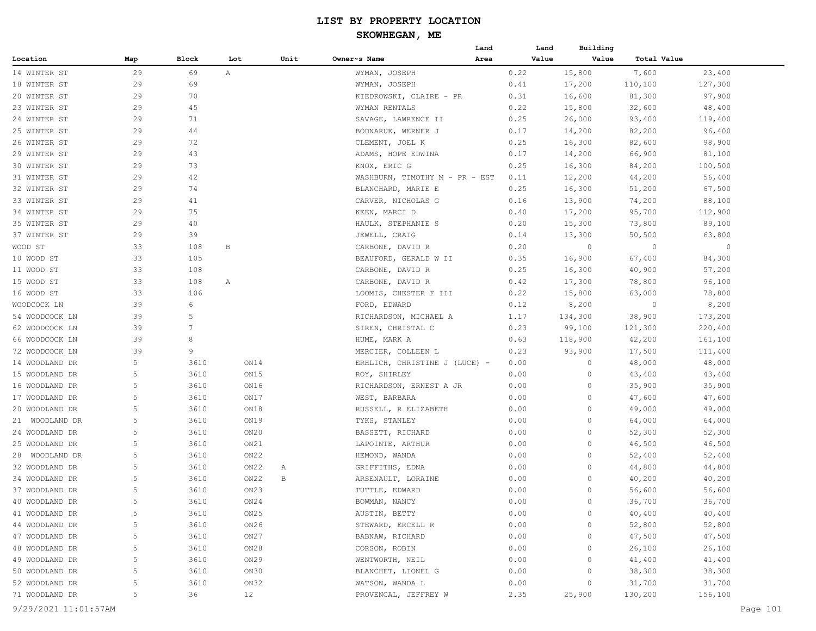|                      |     |       |                 |      |                                | Land | Land  | Building |             |          |
|----------------------|-----|-------|-----------------|------|--------------------------------|------|-------|----------|-------------|----------|
| Location             | Map | Block | Lot             | Unit | Owner~s Name                   | Area | Value | Value    | Total Value |          |
| 14 WINTER ST         | 29  | 69    | $\mathbb{A}^-$  |      | WYMAN, JOSEPH                  |      | 0.22  | 15,800   | 7,600       | 23,400   |
| 18 WINTER ST         | 29  | 69    |                 |      | WYMAN, JOSEPH                  |      | 0.41  | 17,200   | 110,100     | 127,300  |
| 20 WINTER ST         | 29  | 70    |                 |      | KIEDROWSKI, CLAIRE - PR        |      | 0.31  | 16,600   | 81,300      | 97,900   |
| 23 WINTER ST         | 29  | 45    |                 |      | WYMAN RENTALS                  |      | 0.22  | 15,800   | 32,600      | 48,400   |
| 24 WINTER ST         | 29  | 71    |                 |      | SAVAGE, LAWRENCE II            |      | 0.25  | 26,000   | 93,400      | 119,400  |
| 25 WINTER ST         | 29  | 44    |                 |      | BODNARUK, WERNER J             |      | 0.17  | 14,200   | 82,200      | 96,400   |
| 26 WINTER ST         | 29  | 72    |                 |      | CLEMENT, JOEL K                |      | 0.25  | 16,300   | 82,600      | 98,900   |
| 29 WINTER ST         | 29  | 43    |                 |      | ADAMS, HOPE EDWINA             |      | 0.17  | 14,200   | 66,900      | 81,100   |
| 30 WINTER ST         | 29  | 73    |                 |      | KNOX, ERIC G                   |      | 0.25  | 16,300   | 84,200      | 100,500  |
| 31 WINTER ST         | 29  | 42    |                 |      | WASHBURN, TIMOTHY M - PR - EST |      | 0.11  | 12,200   | 44,200      | 56,400   |
| 32 WINTER ST         | 29  | 74    |                 |      | BLANCHARD, MARIE E             |      | 0.25  | 16,300   | 51,200      | 67,500   |
| 33 WINTER ST         | 29  | 41    |                 |      | CARVER, NICHOLAS G             |      | 0.16  | 13,900   | 74,200      | 88,100   |
| 34 WINTER ST         | 29  | 75    |                 |      | KEEN, MARCI D                  |      | 0.40  | 17,200   | 95,700      | 112,900  |
| 35 WINTER ST         | 29  | 40    |                 |      | HAULK, STEPHANIE S             |      | 0.20  | 15,300   | 73,800      | 89,100   |
| 37 WINTER ST         | 29  | 39    |                 |      | JEWELL, CRAIG                  |      | 0.14  | 13,300   | 50,500      | 63,800   |
| WOOD ST              | 33  | 108   | В               |      | CARBONE, DAVID R               |      | 0.20  | $\circ$  | $\circ$     | 0        |
| 10 WOOD ST           | 33  | 105   |                 |      | BEAUFORD, GERALD W II          |      | 0.35  | 16,900   | 67,400      | 84,300   |
| 11 WOOD ST           | 33  | 108   |                 |      | CARBONE, DAVID R               |      | 0.25  | 16,300   | 40,900      | 57,200   |
| 15 WOOD ST           | 33  | 108   | А               |      | CARBONE, DAVID R               |      | 0.42  | 17,300   | 78,800      | 96,100   |
| 16 WOOD ST           | 33  | 106   |                 |      | LOOMIS, CHESTER F III          |      | 0.22  | 15,800   | 63,000      | 78,800   |
| WOODCOCK LN          | 39  | 6     |                 |      | FORD, EDWARD                   |      | 0.12  | 8,200    | $\circ$     | 8,200    |
| 54 WOODCOCK LN       | 39  | 5     |                 |      | RICHARDSON, MICHAEL A          |      | 1.17  | 134,300  | 38,900      | 173,200  |
| 62 WOODCOCK LN       | 39  | 7     |                 |      | SIREN, CHRISTAL C              |      | 0.23  | 99,100   | 121,300     | 220,400  |
| 66 WOODCOCK LN       | 39  | 8     |                 |      | HUME, MARK A                   |      | 0.63  | 118,900  | 42,200      | 161,100  |
| 72 WOODCOCK LN       | 39  | 9     |                 |      | MERCIER, COLLEEN L             |      | 0.23  | 93,900   | 17,500      | 111,400  |
| 14 WOODLAND DR       | 5   | 3610  | ON14            |      | ERHLICH, CHRISTINE J (LUCE) -  |      | 0.00  | 0        | 48,000      | 48,000   |
| 15 WOODLAND DR       | 5   | 3610  | ON15            |      | ROY, SHIRLEY                   |      | 0.00  | 0        | 43,400      | 43,400   |
| 16 WOODLAND DR       | 5   | 3610  | ON16            |      | RICHARDSON, ERNEST A JR        |      | 0.00  | $\circ$  | 35,900      | 35,900   |
| 17 WOODLAND DR       | 5   | 3610  | ON17            |      | WEST, BARBARA                  |      | 0.00  | 0        | 47,600      | 47,600   |
| 20 WOODLAND DR       | 5   | 3610  | ON18            |      | RUSSELL, R ELIZABETH           |      | 0.00  | 0        | 49,000      | 49,000   |
| 21 WOODLAND DR       | 5   | 3610  | ON19            |      | TYKS, STANLEY                  |      | 0.00  | 0        | 64,000      | 64,000   |
| 24 WOODLAND DR       | 5   | 3610  | ON20            |      | BASSETT, RICHARD               |      | 0.00  | 0        | 52,300      | 52,300   |
| 25 WOODLAND DR       | 5   | 3610  | ON21            |      | LAPOINTE, ARTHUR               |      | 0.00  | 0        | 46,500      | 46,500   |
| 28 WOODLAND DR       | 5   | 3610  | ON22            |      | HEMOND, WANDA                  |      | 0.00  | 0        | 52,400      | 52,400   |
| 32 WOODLAND DR       | 5   | 3610  | ON22            | Α    | GRIFFITHS, EDNA                |      | 0.00  | 0        | 44,800      | 44,800   |
| 34 WOODLAND DR       | 5   | 3610  | ON22            | В    | ARSENAULT, LORAINE             |      | 0.00  | $\circ$  | 40,200      | 40,200   |
| 37 WOODLAND DR       | 5   | 3610  | ON23            |      | TUTTLE, EDWARD                 |      | 0.00  | 0        | 56,600      | 56,600   |
| 40 WOODLAND DR       |     | 3610  | ON24            |      | BOWMAN, NANCY                  |      | 0.00  | 0        | 36,700      | 36,700   |
| 41 WOODLAND DR       | 5   | 3610  | ON25            |      | AUSTIN, BETTY                  |      | 0.00  | 0        | 40,400      | 40,400   |
| 44 WOODLAND DR       | 5   | 3610  | ON26            |      | STEWARD, ERCELL R              |      | 0.00  | 0        | 52,800      | 52,800   |
| 47 WOODLAND DR       | 5   | 3610  | ON27            |      | BABNAW, RICHARD                |      | 0.00  | 0        | 47,500      | 47,500   |
| 48 WOODLAND DR       | 5   | 3610  | ON28            |      | CORSON, ROBIN                  |      | 0.00  | $\circ$  | 26,100      | 26,100   |
| 49 WOODLAND DR       | 5   | 3610  | ON29            |      | WENTWORTH, NEIL                |      | 0.00  | 0        | 41,400      | 41,400   |
| 50 WOODLAND DR       | 5   | 3610  | ON30            |      | BLANCHET, LIONEL G             |      | 0.00  | 0        | 38,300      | 38,300   |
| 52 WOODLAND DR       | 5   | 3610  | ON32            |      | WATSON, WANDA L                |      | 0.00  | 0        | 31,700      | 31,700   |
| 71 WOODLAND DR       | 5   | 36    | 12 <sup>°</sup> |      | PROVENCAL, JEFFREY W           |      | 2.35  | 25,900   | 130,200     | 156,100  |
| 9/29/2021 11:01:57AM |     |       |                 |      |                                |      |       |          |             | Page 101 |